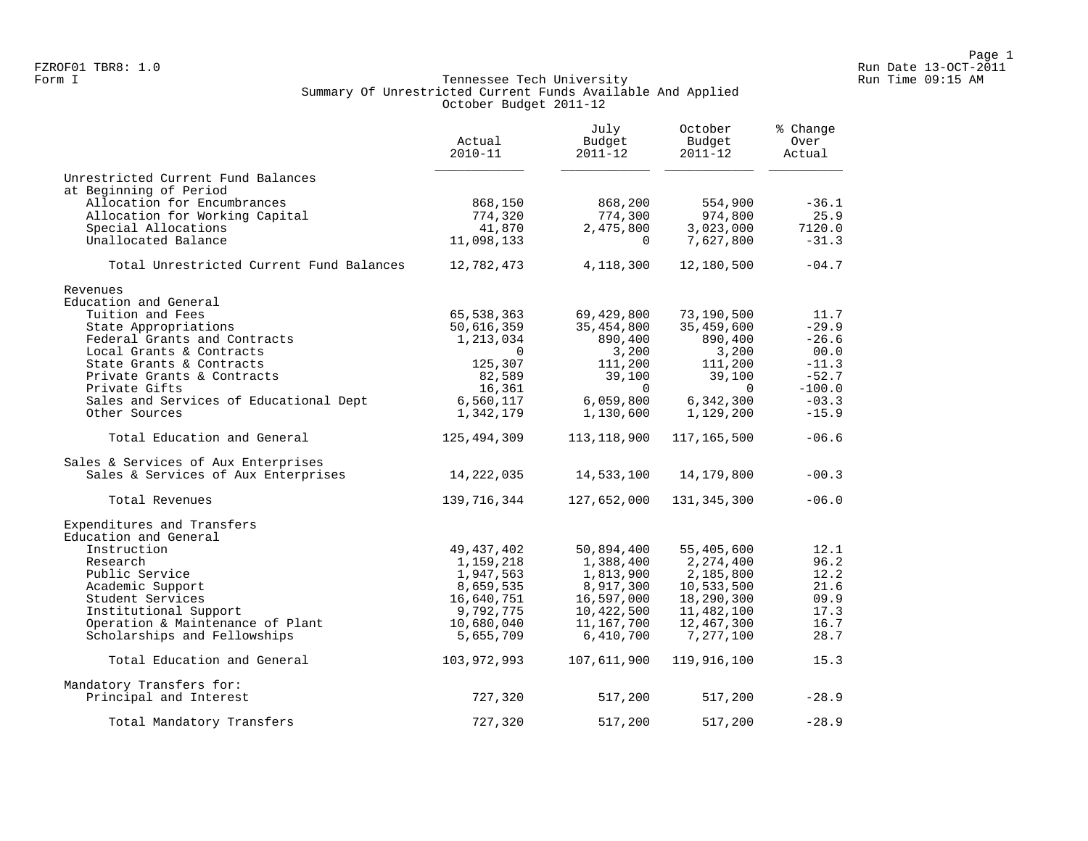## Form I Georgian Communication of the Secondary Run Time of the Secondary Run Time 09:15 AM Summary Of Unrestricted Current Funds Available And Applied October Budget 2011-12

|                                          | Actual<br>$2010 - 11$ | July<br>Budget<br>2011-12 | October<br>Budget<br>$2011 - 12$ | % Change<br>Over<br>Actual |
|------------------------------------------|-----------------------|---------------------------|----------------------------------|----------------------------|
| Unrestricted Current Fund Balances       |                       |                           |                                  |                            |
| at Beginning of Period                   |                       |                           |                                  |                            |
| Allocation for Encumbrances              | 868,150               | 868,200                   | 554,900                          | $-36.1$                    |
| Allocation for Working Capital           | 774,320               | 774,300                   | 974,800                          | 25.9                       |
| Special Allocations                      | 41,870                | 2,475,800                 | 3,023,000                        | 7120.0                     |
| Unallocated Balance                      | 11,098,133            | $\Omega$                  | 7,627,800                        | $-31.3$                    |
| Total Unrestricted Current Fund Balances | 12,782,473            | 4,118,300                 | 12,180,500                       | $-04.7$                    |
| Revenues                                 |                       |                           |                                  |                            |
| Education and General                    |                       |                           |                                  |                            |
| Tuition and Fees                         | 65,538,363            | 69,429,800                | 73,190,500                       | 11.7                       |
| State Appropriations                     | 50,616,359            | 35,454,800                | 35,459,600                       | $-29.9$                    |
| Federal Grants and Contracts             | 1,213,034             | 890,400                   | 890,400                          | $-26.6$                    |
| Local Grants & Contracts                 | $\Omega$              | 3,200                     | 3,200                            | 00.0                       |
| State Grants & Contracts                 | 125,307               | 111,200                   | 111,200                          | $-11.3$                    |
| Private Grants & Contracts               | 82,589                | 39,100                    | 39,100                           | $-52.7$                    |
| Private Gifts                            | 16,361                | $\overline{0}$            | $\Omega$                         | $-100.0$                   |
| Sales and Services of Educational Dept   | 6,560,117             | 6,059,800                 | 6,342,300                        | $-03.3$                    |
| Other Sources                            | 1,342,179             | 1,130,600                 | 1,129,200                        | $-15.9$                    |
| Total Education and General              | 125,494,309           | 113, 118, 900             | 117,165,500                      | $-06.6$                    |
| Sales & Services of Aux Enterprises      |                       |                           |                                  |                            |
| Sales & Services of Aux Enterprises      | 14, 222, 035          | 14,533,100                | 14,179,800                       | $-00.3$                    |
| Total Revenues                           | 139,716,344           | 127,652,000               | 131, 345, 300                    | $-06.0$                    |
| Expenditures and Transfers               |                       |                           |                                  |                            |
| Education and General                    |                       |                           |                                  |                            |
| Instruction                              | 49, 437, 402          | 50,894,400                | 55,405,600                       | 12.1                       |
| Research                                 | 1,159,218             | 1,388,400                 | 2,274,400                        | 96.2                       |
| Public Service                           | 1,947,563             | 1,813,900                 | 2,185,800                        | 12.2                       |
| Academic Support                         | 8,659,535             | 8,917,300                 | 10,533,500                       | 21.6                       |
| Student Services                         | 16,640,751            | 16,597,000                | 18,290,300                       | 09.9                       |
| Institutional Support                    | 9,792,775             | 10,422,500                | 11,482,100                       | 17.3                       |
| Operation & Maintenance of Plant         | 10,680,040            | 11,167,700                | 12,467,300                       | 16.7                       |
| Scholarships and Fellowships             | 5,655,709             | 6,410,700                 | 7,277,100                        | 28.7                       |
| Total Education and General              | 103,972,993           | 107,611,900               | 119,916,100                      | 15.3                       |
| Mandatory Transfers for:                 |                       |                           |                                  |                            |
| Principal and Interest                   | 727,320               | 517,200                   | 517,200                          | $-28.9$                    |
| Total Mandatory Transfers                | 727,320               | 517,200                   | 517,200                          | $-28.9$                    |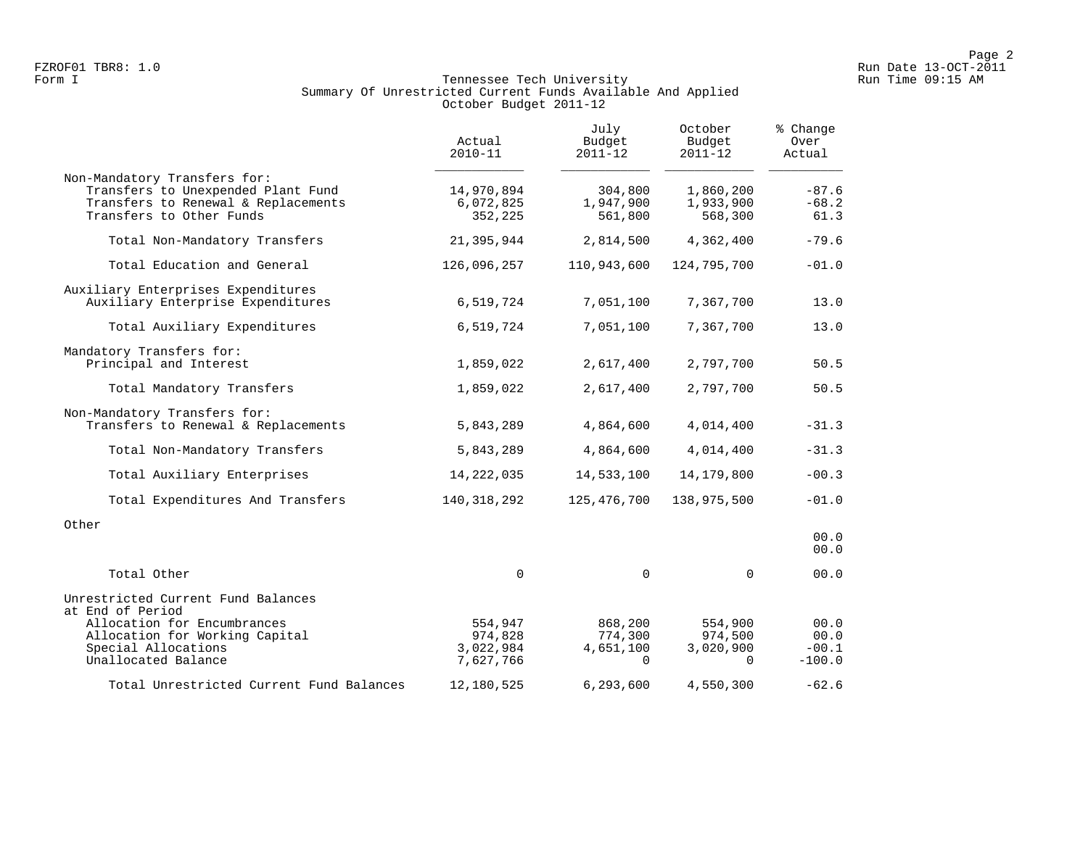# Form I Georgian Communication of the Secondary Run Time of the Secondary Run Time 09:15 AM Summary Of Unrestricted Current Funds Available And Applied October Budget 2011-12

|                                                                                                                                       | Actual<br>$2010 - 11$                        | July<br>Budget<br>$2011 - 12$               | October<br>Budget<br>$2011 - 12$            | % Change<br>Over<br>Actual          |
|---------------------------------------------------------------------------------------------------------------------------------------|----------------------------------------------|---------------------------------------------|---------------------------------------------|-------------------------------------|
| Non-Mandatory Transfers for:<br>Transfers to Unexpended Plant Fund<br>Transfers to Renewal & Replacements<br>Transfers to Other Funds | 14,970,894<br>6,072,825<br>352,225           | 304,800<br>1,947,900<br>561,800             | 1,860,200<br>1,933,900<br>568,300           | $-87.6$<br>$-68.2$<br>61.3          |
| Total Non-Mandatory Transfers                                                                                                         | 21,395,944                                   | 2,814,500                                   | 4,362,400                                   | $-79.6$                             |
| Total Education and General                                                                                                           | 126,096,257                                  | 110,943,600                                 | 124,795,700                                 | $-01.0$                             |
| Auxiliary Enterprises Expenditures<br>Auxiliary Enterprise Expenditures                                                               | 6,519,724                                    | 7,051,100                                   | 7,367,700                                   | 13.0                                |
| Total Auxiliary Expenditures                                                                                                          | 6,519,724                                    | 7,051,100                                   | 7,367,700                                   | 13.0                                |
| Mandatory Transfers for:<br>Principal and Interest                                                                                    | 1,859,022                                    | 2,617,400                                   | 2,797,700                                   | 50.5                                |
| Total Mandatory Transfers                                                                                                             | 1,859,022                                    | 2,617,400                                   | 2,797,700                                   | 50.5                                |
| Non-Mandatory Transfers for:<br>Transfers to Renewal & Replacements                                                                   | 5,843,289                                    | 4,864,600                                   | 4,014,400                                   | $-31.3$                             |
| Total Non-Mandatory Transfers                                                                                                         | 5,843,289                                    | 4,864,600                                   | 4,014,400                                   | $-31.3$                             |
| Total Auxiliary Enterprises                                                                                                           | 14, 222, 035                                 | 14,533,100                                  | 14,179,800                                  | $-00.3$                             |
| Total Expenditures And Transfers                                                                                                      | 140, 318, 292                                | 125,476,700                                 | 138,975,500                                 | $-01.0$                             |
| Other                                                                                                                                 |                                              |                                             |                                             | 00.0<br>00.0                        |
| Total Other                                                                                                                           | $\mathbf 0$                                  | $\mathbf 0$                                 | $\Omega$                                    | 00.0                                |
| Unrestricted Current Fund Balances<br>at End of Period                                                                                |                                              |                                             |                                             |                                     |
| Allocation for Encumbrances<br>Allocation for Working Capital<br>Special Allocations<br>Unallocated Balance                           | 554,947<br>974,828<br>3,022,984<br>7,627,766 | 868,200<br>774,300<br>4,651,100<br>$\Omega$ | 554,900<br>974,500<br>3,020,900<br>$\Omega$ | 00.0<br>00.0<br>$-00.1$<br>$-100.0$ |
| Total Unrestricted Current Fund Balances                                                                                              | 12,180,525                                   | 6,293,600                                   | 4,550,300                                   | $-62.6$                             |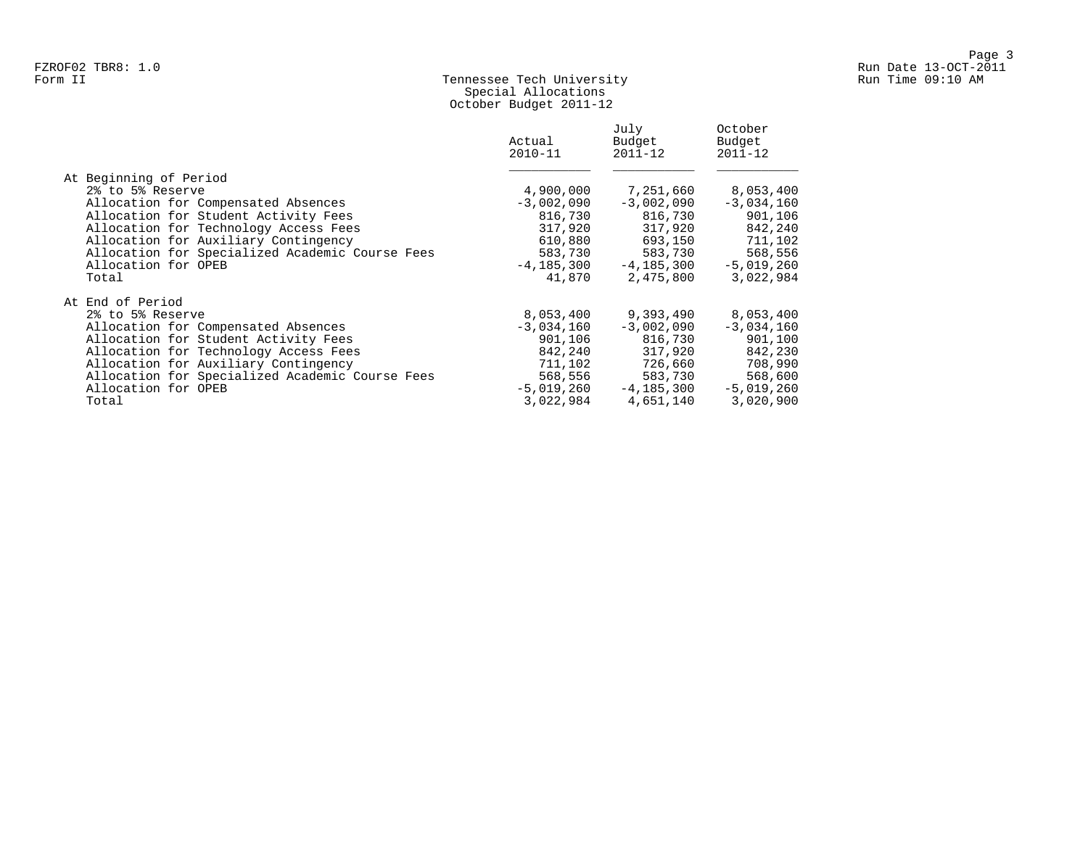## Form II Tennessee Tech University Run Time 09:10 AM Special Allocations October Budget 2011-12

|                                                 | Actual<br>$2010 - 11$ | July<br>Budget<br>$2011 - 12$ | October<br>Budget<br>$2011 - 12$ |
|-------------------------------------------------|-----------------------|-------------------------------|----------------------------------|
| At Beginning of Period                          |                       |                               |                                  |
| 2% to 5% Reserve                                | 4,900,000             | 7,251,660                     | 8,053,400                        |
| Allocation for Compensated Absences             | $-3,002,090$          | $-3,002,090$                  | $-3,034,160$                     |
| Allocation for Student Activity Fees            | 816,730               | 816,730                       | 901,106                          |
| Allocation for Technology Access Fees           | 317,920               | 317,920                       | 842,240                          |
| Allocation for Auxiliary Contingency            | 610,880               | 693,150                       | 711,102                          |
| Allocation for Specialized Academic Course Fees | 583,730               | 583,730                       | 568,556                          |
| Allocation for OPEB                             | $-4, 185, 300$        | $-4,185,300$                  | $-5,019,260$                     |
| Total                                           | 41,870                | 2,475,800                     | 3,022,984                        |
| At End of Period                                |                       |                               |                                  |
| 2% to 5% Reserve                                | 8,053,400             | 9,393,490                     | 8,053,400                        |
| Allocation for Compensated Absences             | $-3,034,160$          | $-3,002,090$                  | $-3,034,160$                     |
| Allocation for Student Activity Fees            | 901,106               | 816,730                       | 901,100                          |
| Allocation for Technology Access Fees           | 842,240               | 317,920                       | 842,230                          |
| Allocation for Auxiliary Contingency            | 711,102               | 726,660                       | 708,990                          |
| Allocation for Specialized Academic Course Fees | 568,556               | 583,730                       | 568,600                          |
| Allocation for OPEB                             | $-5.019.260$          | $-4.185.300$                  | $-5,019,260$                     |
| Total                                           | 3,022,984             | 4,651,140                     | 3,020,900                        |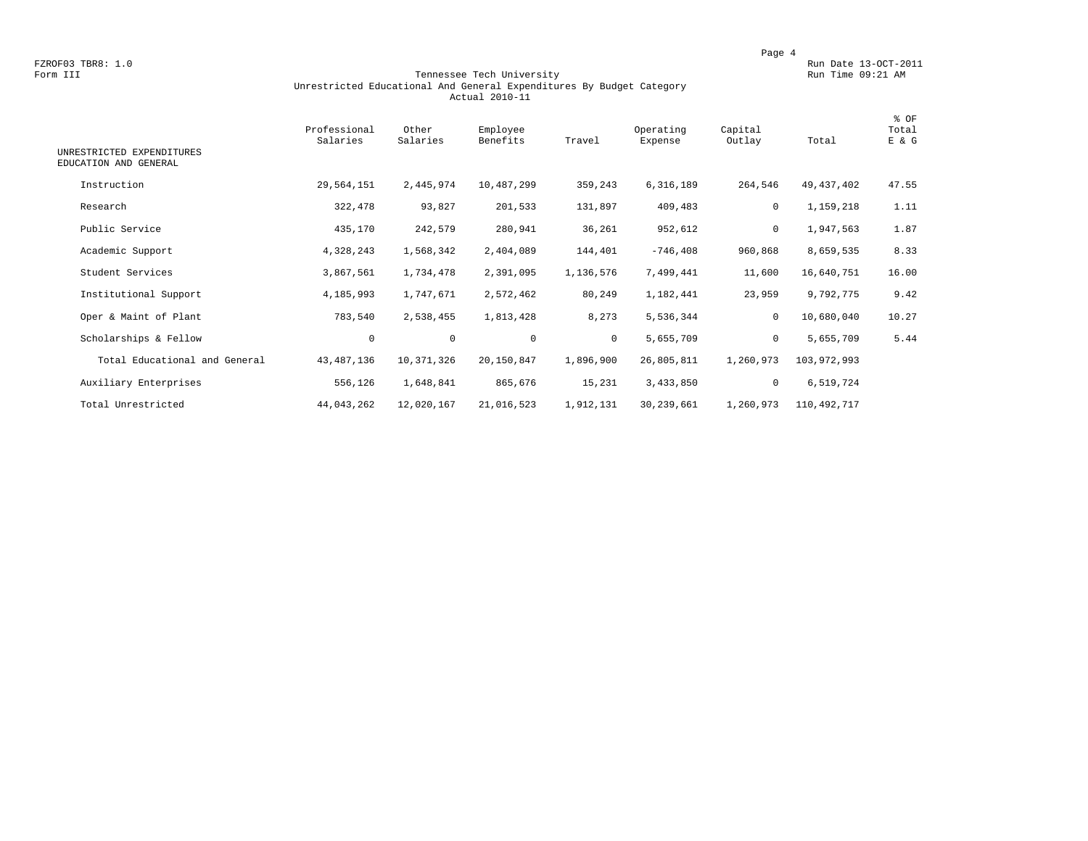FZROF03 TBR8: 1.0<br>Form III Run Date 13-OCT-2011 Run Date 13-OCT-2011<br>Form III Run Time 09:21 AM

#### Form III Tennessee Tech University Run Time 09:21 AM Unrestricted Educational And General Expenditures By Budget Category Actual 2010-11

| UNRESTRICTED EXPENDITURES<br>EDUCATION AND GENERAL | Professional<br>Salaries | Other<br>Salaries | Employee<br>Benefits | Travel       | Operating<br>Expense | Capital<br>Outlay | Total       | % OF<br>Total<br>E & G |
|----------------------------------------------------|--------------------------|-------------------|----------------------|--------------|----------------------|-------------------|-------------|------------------------|
| Instruction                                        | 29,564,151               | 2,445,974         | 10,487,299           | 359,243      | 6,316,189            | 264,546           | 49,437,402  | 47.55                  |
| Research                                           | 322,478                  | 93,827            | 201,533              | 131,897      | 409,483              | $\mathbf 0$       | 1,159,218   | 1.11                   |
| Public Service                                     | 435,170                  | 242,579           | 280,941              | 36,261       | 952,612              | 0                 | 1,947,563   | 1.87                   |
| Academic Support                                   | 4,328,243                | 1,568,342         | 2,404,089            | 144,401      | $-746, 408$          | 960,868           | 8,659,535   | 8.33                   |
| Student Services                                   | 3,867,561                | 1,734,478         | 2,391,095            | 1,136,576    | 7,499,441            | 11,600            | 16,640,751  | 16.00                  |
| Institutional Support                              | 4,185,993                | 1,747,671         | 2,572,462            | 80,249       | 1,182,441            | 23,959            | 9,792,775   | 9.42                   |
| Oper & Maint of Plant                              | 783,540                  | 2,538,455         | 1,813,428            | 8,273        | 5,536,344            | $\mathbf 0$       | 10,680,040  | 10.27                  |
| Scholarships & Fellow                              | $\mathbf 0$              | $\mathsf{O}$      | $\mathbf 0$          | $\mathbf{0}$ | 5,655,709            | $\mathsf{O}$      | 5,655,709   | 5.44                   |
| Total Educational and General                      | 43, 487, 136             | 10,371,326        | 20,150,847           | 1,896,900    | 26,805,811           | 1,260,973         | 103,972,993 |                        |
| Auxiliary Enterprises                              | 556,126                  | 1,648,841         | 865,676              | 15,231       | 3,433,850            | $\mathsf{O}$      | 6,519,724   |                        |
| Total Unrestricted                                 | 44,043,262               | 12,020,167        | 21,016,523           | 1,912,131    | 30,239,661           | 1,260,973         | 110,492,717 |                        |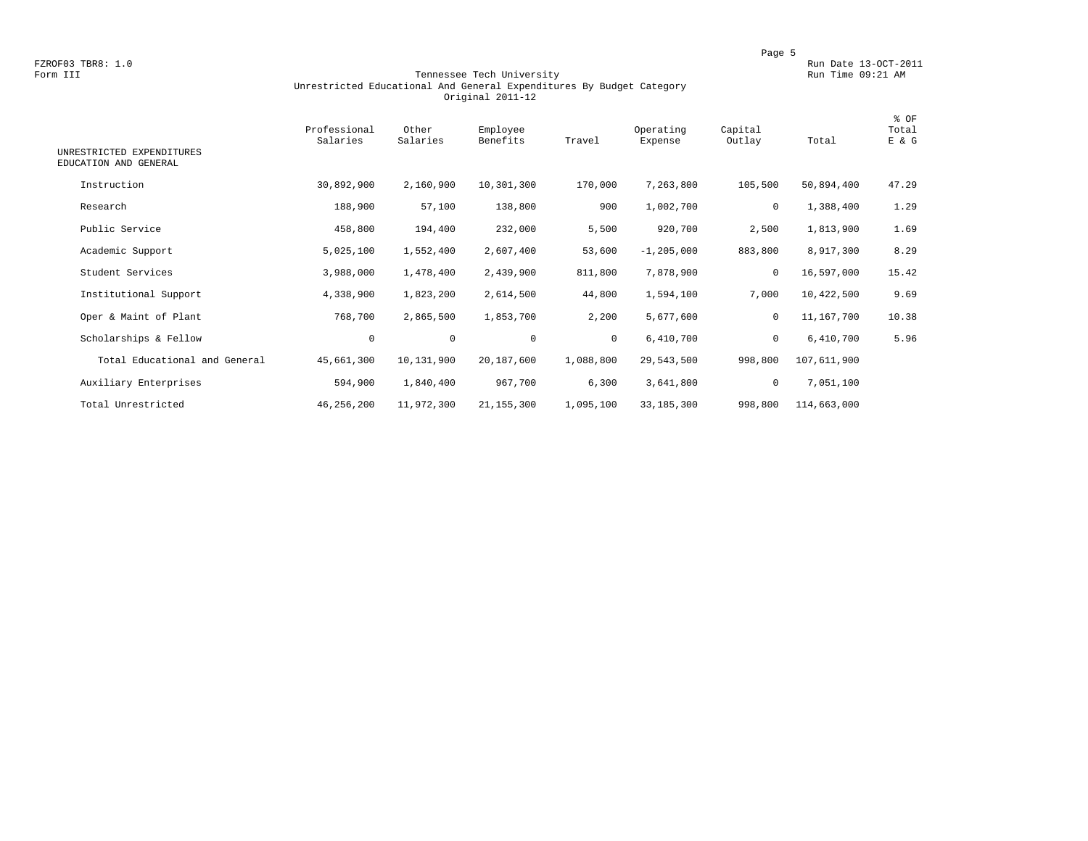FZROF03 TBR8: 1.0<br>Form III Run Date 13-OCT-2011 Run Date 13-OCT-2011<br>Run Time 09:21 AM

#### Form III Tennessee Tech University Run Time 09:21 AM Unrestricted Educational And General Expenditures By Budget Category Original 2011-12

| UNRESTRICTED EXPENDITURES<br>EDUCATION AND GENERAL | Professional<br>Salaries | Other<br>Salaries | Employee<br>Benefits | Travel       | Operating<br>Expense | Capital<br>Outlay | Total       | % OF<br>Total<br>E & G |
|----------------------------------------------------|--------------------------|-------------------|----------------------|--------------|----------------------|-------------------|-------------|------------------------|
| Instruction                                        | 30,892,900               | 2,160,900         | 10,301,300           | 170,000      | 7,263,800            | 105,500           | 50,894,400  | 47.29                  |
| Research                                           | 188,900                  | 57,100            | 138,800              | 900          | 1,002,700            | 0                 | 1,388,400   | 1.29                   |
| Public Service                                     | 458,800                  | 194,400           | 232,000              | 5,500        | 920,700              | 2,500             | 1,813,900   | 1.69                   |
| Academic Support                                   | 5,025,100                | 1,552,400         | 2,607,400            | 53,600       | $-1, 205, 000$       | 883,800           | 8,917,300   | 8.29                   |
| Student Services                                   | 3,988,000                | 1,478,400         | 2,439,900            | 811,800      | 7,878,900            | $\mathbf 0$       | 16,597,000  | 15.42                  |
| Institutional Support                              | 4,338,900                | 1,823,200         | 2,614,500            | 44,800       | 1,594,100            | 7,000             | 10,422,500  | 9.69                   |
| Oper & Maint of Plant                              | 768,700                  | 2,865,500         | 1,853,700            | 2,200        | 5,677,600            | $\mathbf 0$       | 11,167,700  | 10.38                  |
| Scholarships & Fellow                              | $\mathbf 0$              | $\mathbf 0$       | $\mathbf 0$          | $\mathbf{0}$ | 6,410,700            | $\mathbf 0$       | 6,410,700   | 5.96                   |
| Total Educational and General                      | 45,661,300               | 10,131,900        | 20,187,600           | 1,088,800    | 29,543,500           | 998,800           | 107,611,900 |                        |
| Auxiliary Enterprises                              | 594,900                  | 1,840,400         | 967,700              | 6,300        | 3,641,800            | 0                 | 7,051,100   |                        |
| Total Unrestricted                                 | 46,256,200               | 11,972,300        | 21, 155, 300         | 1,095,100    | 33,185,300           | 998,800           | 114,663,000 |                        |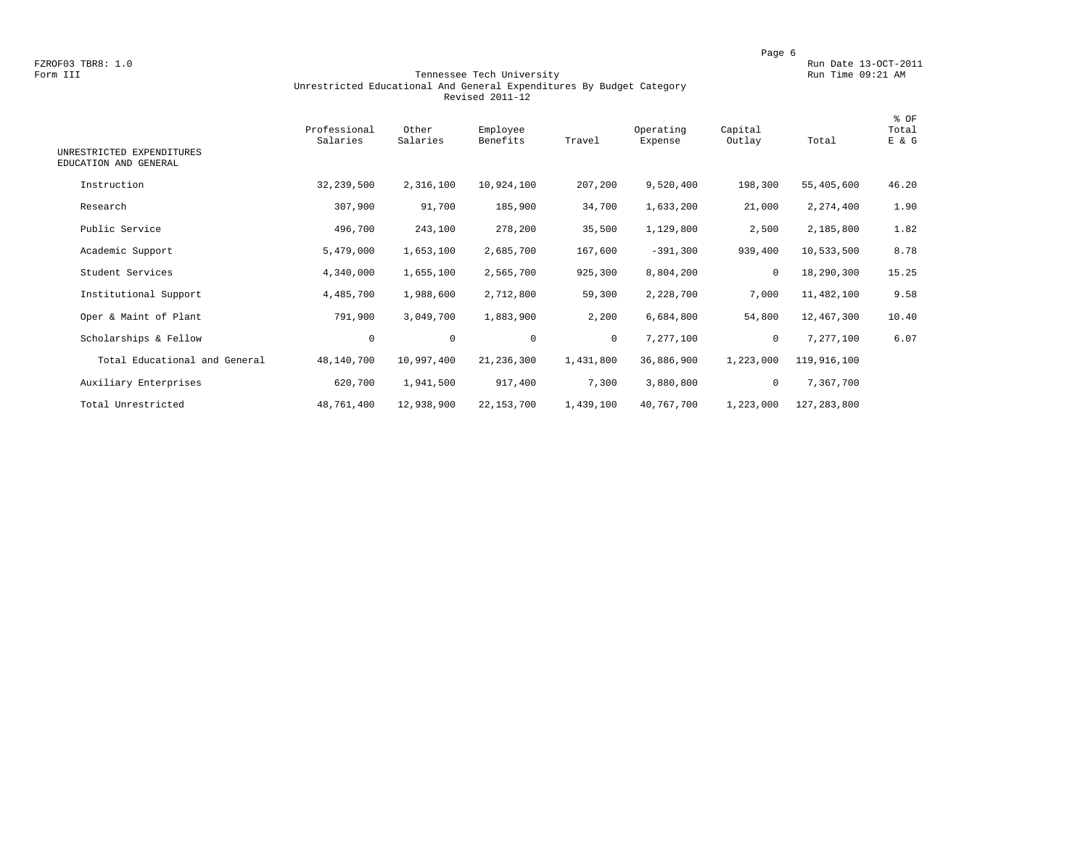FZROF03 TBR8: 1.0<br>Form III Run Date 13-OCT-2011 Run Date 13-OCT-2011<br>Form III Run Time 09:21 AM

#### Form III Tennessee Tech University Run Time 09:21 AM Unrestricted Educational And General Expenditures By Budget Category Revised 2011-12

| UNRESTRICTED EXPENDITURES<br>EDUCATION AND GENERAL | Professional<br>Salaries | Other<br>Salaries | Employee<br>Benefits | Travel       | Operating<br>Expense | Capital<br>Outlay | Total       | % OF<br>Total<br>E & G |
|----------------------------------------------------|--------------------------|-------------------|----------------------|--------------|----------------------|-------------------|-------------|------------------------|
| Instruction                                        | 32, 239, 500             | 2,316,100         | 10,924,100           | 207,200      | 9,520,400            | 198,300           | 55,405,600  | 46.20                  |
|                                                    |                          |                   |                      |              |                      |                   |             |                        |
| Research                                           | 307,900                  | 91,700            | 185,900              | 34,700       | 1,633,200            | 21,000            | 2,274,400   | 1.90                   |
| Public Service                                     | 496,700                  | 243,100           | 278,200              | 35,500       | 1,129,800            | 2,500             | 2,185,800   | 1.82                   |
| Academic Support                                   | 5,479,000                | 1,653,100         | 2,685,700            | 167,600      | $-391,300$           | 939,400           | 10,533,500  | 8.78                   |
| Student Services                                   | 4,340,000                | 1,655,100         | 2,565,700            | 925,300      | 8,804,200            | 0                 | 18,290,300  | 15.25                  |
| Institutional Support                              | 4,485,700                | 1,988,600         | 2,712,800            | 59,300       | 2,228,700            | 7,000             | 11,482,100  | 9.58                   |
| Oper & Maint of Plant                              | 791,900                  | 3,049,700         | 1,883,900            | 2,200        | 6,684,800            | 54,800            | 12,467,300  | 10.40                  |
| Scholarships & Fellow                              | $\mathbf 0$              | $\mathsf{O}$      | $\mathbf 0$          | $\mathbf{0}$ | 7,277,100            | 0                 | 7,277,100   | 6.07                   |
| Total Educational and General                      | 48,140,700               | 10,997,400        | 21,236,300           | 1,431,800    | 36,886,900           | 1,223,000         | 119,916,100 |                        |
| Auxiliary Enterprises                              | 620,700                  | 1,941,500         | 917,400              | 7,300        | 3,880,800            | 0                 | 7,367,700   |                        |
| Total Unrestricted                                 | 48,761,400               | 12,938,900        | 22, 153, 700         | 1,439,100    | 40,767,700           | 1,223,000         | 127,283,800 |                        |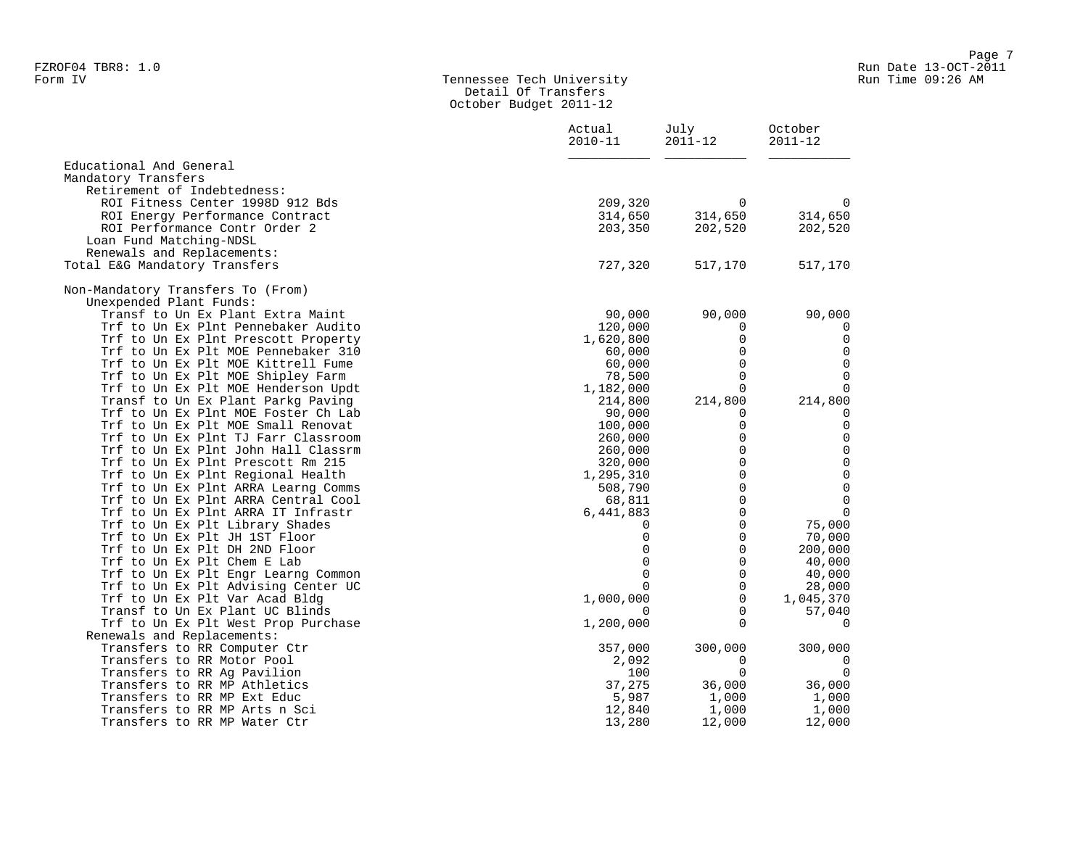#### Form IV Tennessee Tech University Run Time 09:26 AM Detail Of Transfers October Budget 2011-12

|                                     | Actual<br>$2010 - 11$ | July<br>$2011 - 12$ | October<br>$2011 - 12$ |
|-------------------------------------|-----------------------|---------------------|------------------------|
| Educational And General             |                       |                     |                        |
| Mandatory Transfers                 |                       |                     |                        |
| Retirement of Indebtedness:         |                       |                     |                        |
| ROI Fitness Center 1998D 912 Bds    | 209,320               | 0                   | 0                      |
| ROI Energy Performance Contract     | 314,650               | 314,650             | 314,650                |
| ROI Performance Contr Order 2       | 203,350               | 202,520             | 202,520                |
| Loan Fund Matching-NDSL             |                       |                     |                        |
| Renewals and Replacements:          |                       |                     |                        |
| Total E&G Mandatory Transfers       | 727,320               | 517,170             | 517,170                |
| Non-Mandatory Transfers To (From)   |                       |                     |                        |
| Unexpended Plant Funds:             |                       |                     |                        |
| Transf to Un Ex Plant Extra Maint   | 90,000                | 90,000              | 90,000                 |
| Trf to Un Ex Plnt Pennebaker Audito | 120,000               | 0                   | 0                      |
| Trf to Un Ex Plnt Prescott Property | 1,620,800             | 0                   | $\mathsf{O}$           |
| Trf to Un Ex Plt MOE Pennebaker 310 | 60,000                | $\mathbf 0$         | $\mathbf 0$            |
| Trf to Un Ex Plt MOE Kittrell Fume  | 60,000                | 0                   | $\mathbf 0$            |
| Trf to Un Ex Plt MOE Shipley Farm   | 78,500                | $\Omega$            | $\mathbf 0$            |
| Trf to Un Ex Plt MOE Henderson Updt | 1,182,000             | $\Omega$            | $\overline{0}$         |
| Transf to Un Ex Plant Parkg Paving  | 214,800               | 214,800             | 214,800                |
| Trf to Un Ex Plnt MOE Foster Ch Lab | 90,000                | $\Omega$            | 0                      |
| Trf to Un Ex Plt MOE Small Renovat  | 100,000               | 0                   | $\mathbf 0$            |
| Trf to Un Ex Plnt TJ Farr Classroom | 260,000               | 0                   | $\mathsf 0$            |
| Trf to Un Ex Plnt John Hall Classrm | 260,000               | $\Omega$            | $\mathsf{O}\xspace$    |
| Trf to Un Ex Plnt Prescott Rm 215   | 320,000               | 0                   | $\mathsf 0$            |
| Trf to Un Ex Plnt Regional Health   | 1,295,310             | $\Omega$            | $\mathsf 0$            |
| Trf to Un Ex Plnt ARRA Learng Comms | 508,790               | $\mathsf 0$         | $\mathsf{O}\xspace$    |
| Trf to Un Ex Plnt ARRA Central Cool | 68,811                | 0                   | $\mathsf 0$            |
| Trf to Un Ex Plnt ARRA IT Infrastr  | 6,441,883             | 0                   | $\overline{0}$         |
| Trf to Un Ex Plt Library Shades     | $\Omega$              | 0                   | 75,000                 |
| Trf to Un Ex Plt JH 1ST Floor       | 0                     | 0                   | 70,000                 |
| Trf to Un Ex Plt DH 2ND Floor       | $\mathbf 0$           | $\mathbf 0$         | 200,000                |
| Trf to Un Ex Plt Chem E Lab         | $\mathbf 0$           | $\mathbf 0$         | 40,000                 |
| Trf to Un Ex Plt Engr Learng Common | $\Omega$              | $\mathbf 0$         | 40,000                 |
| Trf to Un Ex Plt Advising Center UC | $\Omega$              | $\mathbf 0$         | 28,000                 |
| Trf to Un Ex Plt Var Acad Bldg      | 1,000,000             | $\mathbf 0$         | 1,045,370              |
| Transf to Un Ex Plant UC Blinds     | $\Omega$              | $\Omega$            | 57,040                 |
| Trf to Un Ex Plt West Prop Purchase | 1,200,000             | $\Omega$            | 0                      |
| Renewals and Replacements:          |                       |                     |                        |
| Transfers to RR Computer Ctr        | 357,000               | 300,000             | 300,000                |
| Transfers to RR Motor Pool          | 2,092                 | 0                   | 0                      |
| Transfers to RR Ag Pavilion         | 100                   | $\Omega$            | $\overline{0}$         |
| Transfers to RR MP Athletics        | 37,275                | 36,000              | 36,000                 |
| Transfers to RR MP Ext Educ         | 5,987                 | 1,000               | 1,000                  |
| Transfers to RR MP Arts n Sci       | 12,840                | 1,000               | 1,000                  |
| Transfers to RR MP Water Ctr        | 13,280                | 12,000              | 12,000                 |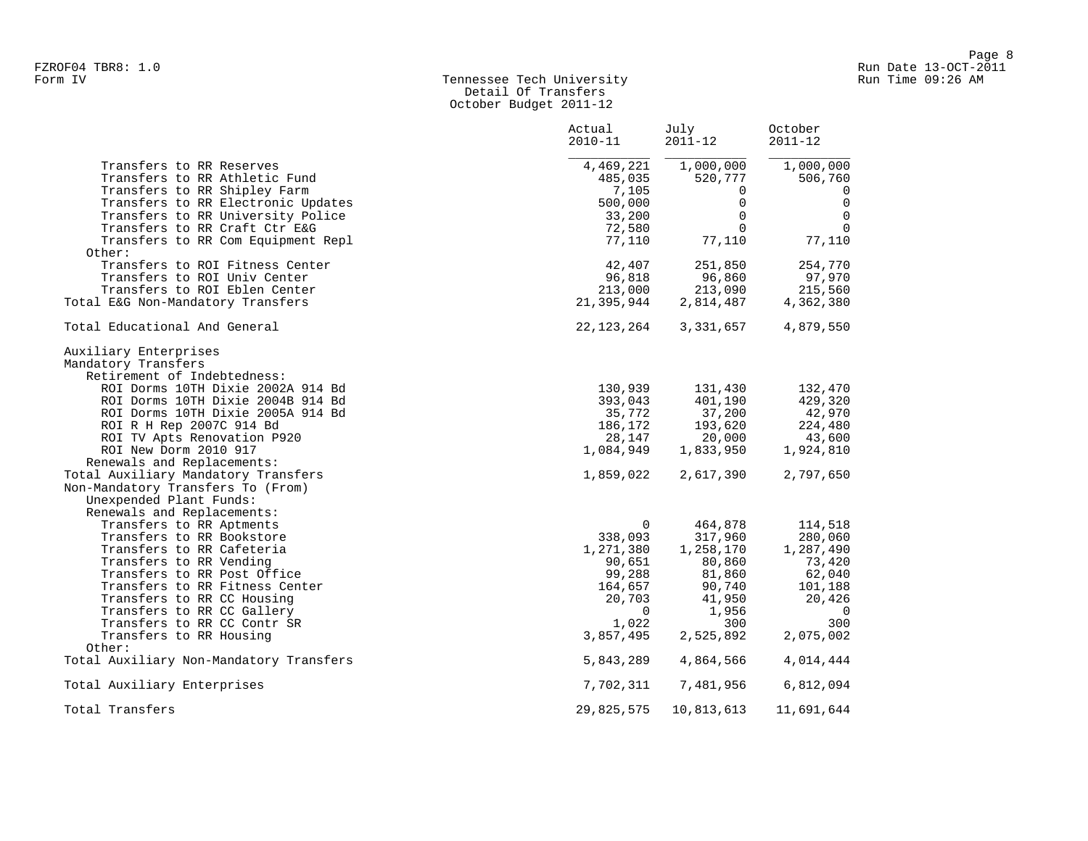# Form IV Tennessee Tech University Run Time 09:26 AM Detail Of Transfers October Budget 2011-12

|                                                              | Actual<br>$2010 - 11$ | July<br>$2011 - 12$ | October<br>$2011 - 12$ |
|--------------------------------------------------------------|-----------------------|---------------------|------------------------|
| Transfers to RR Reserves                                     | 4,469,221             | 1,000,000           | 1,000,000              |
| Transfers to RR Athletic Fund                                | 485,035               | 520,777             | 506,760                |
| Transfers to RR Shipley Farm                                 | 7,105                 | $\Omega$            | $\Omega$               |
| Transfers to RR Electronic Updates                           | 500,000               | $\mathbf 0$         | $\mathbf 0$            |
| Transfers to RR University Police                            | 33,200                | $\Omega$            | 0                      |
| Transfers to RR Craft Ctr E&G                                | 72,580                | $\Omega$            | $\mathbf 0$            |
| Transfers to RR Com Equipment Repl                           | 77,110                | 77,110              | 77,110                 |
| Other:                                                       |                       |                     |                        |
| Transfers to ROI Fitness Center                              | 42,407                | 251,850             | 254,770                |
| Transfers to ROI Univ Center                                 | 96,818                | 96,860              | 97,970                 |
| Transfers to ROI Eblen Center                                | 213,000               | 213,090             | 215,560                |
| Total E&G Non-Mandatory Transfers                            | 21,395,944            | 2,814,487           | 4,362,380              |
| Total Educational And General                                | 22,123,264            | 3,331,657           | 4,879,550              |
| Auxiliary Enterprises                                        |                       |                     |                        |
| Mandatory Transfers                                          |                       |                     |                        |
| Retirement of Indebtedness:                                  |                       |                     |                        |
| ROI Dorms 10TH Dixie 2002A 914 Bd                            | 130,939               | 131,430             | 132,470                |
| ROI Dorms 10TH Dixie 2004B 914 Bd                            | 393,043               | 401,190             | 429,320                |
| ROI Dorms 10TH Dixie 2005A 914 Bd                            | 35,772                | 37,200              | 42,970                 |
| ROI R H Rep 2007C 914 Bd                                     | 186,172               | 193,620             | 224,480                |
| ROI TV Apts Renovation P920                                  | 28,147                | 20,000              | 43,600                 |
| ROI New Dorm 2010 917                                        | 1,084,949             | 1,833,950           | 1,924,810              |
| Renewals and Replacements:                                   |                       |                     |                        |
| Total Auxiliary Mandatory Transfers                          | 1,859,022             | 2,617,390           | 2,797,650              |
| Non-Mandatory Transfers To (From)<br>Unexpended Plant Funds: |                       |                     |                        |
| Renewals and Replacements:                                   |                       |                     |                        |
| Transfers to RR Aptments                                     | $\Omega$              | 464,878             | 114,518                |
| Transfers to RR Bookstore                                    | 338,093               | 317,960             | 280,060                |
| Transfers to RR Cafeteria                                    | 1,271,380             | 1,258,170           | 1,287,490              |
| Transfers to RR Vending                                      | 90,651                | 80,860              | 73,420                 |
| Transfers to RR Post Office                                  | 99,288                | 81,860              | 62,040                 |
| Transfers to RR Fitness Center                               | 164,657               | 90,740              | 101,188                |
| Transfers to RR CC Housing                                   | 20,703                | 41,950              | 20,426                 |
| Transfers to RR CC Gallery                                   | $\mathbf 0$           | 1,956               | $\overline{0}$         |
| Transfers to RR CC Contr SR                                  | 1,022                 | 300                 | 300                    |
| Transfers to RR Housing                                      | 3,857,495             | 2,525,892           | 2,075,002              |
| Other:                                                       |                       |                     |                        |
| Total Auxiliary Non-Mandatory Transfers                      | 5,843,289             | 4,864,566           | 4,014,444              |
| Total Auxiliary Enterprises                                  | 7,702,311             | 7,481,956           | 6,812,094              |
| Total Transfers                                              | 29,825,575            | 10,813,613          | 11,691,644             |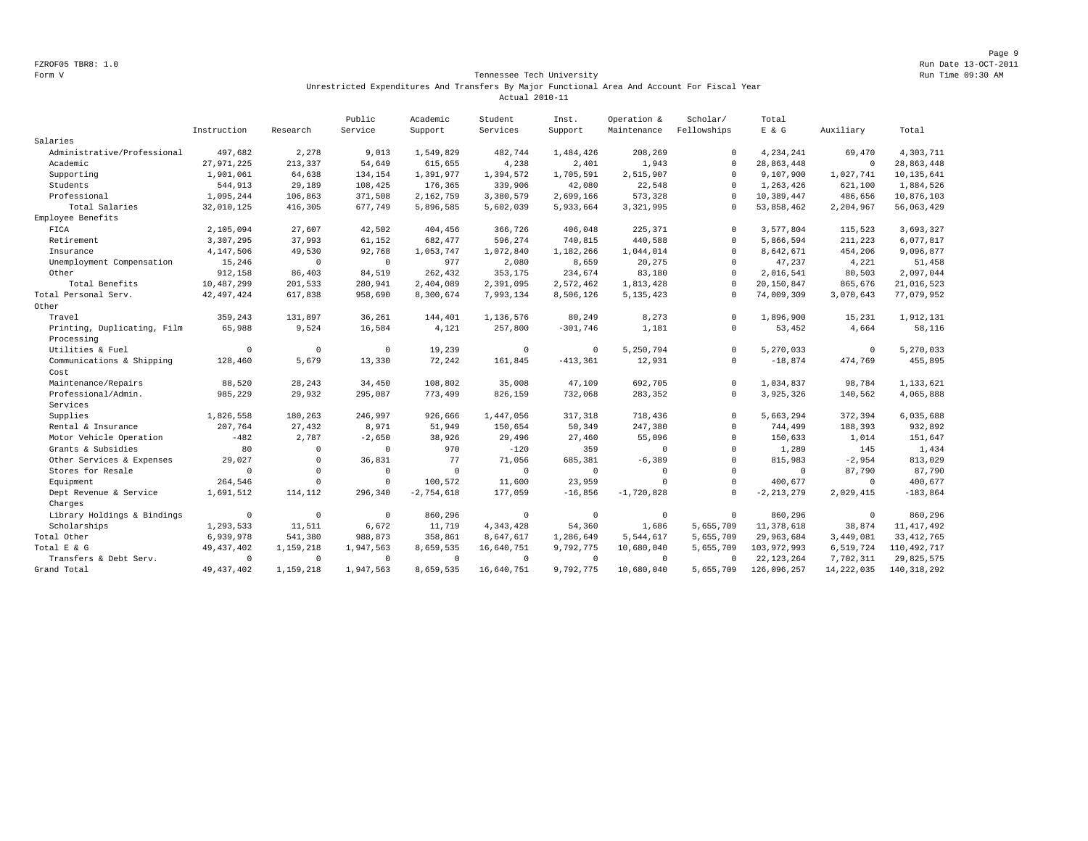Page 9 FZROF05 TBR8: 1.0 Run Date 13-OCT-2011

#### Form V Tennessee Tech University Run Time 09:30 AM Unrestricted Expenditures And Transfers By Major Functional Area And Account For Fiscal Year Actual 2010-11

|                             |              |              | Public    | Academic     | Student     | Inst.      | Operation &  | Scholar/    | Total          |              |               |
|-----------------------------|--------------|--------------|-----------|--------------|-------------|------------|--------------|-------------|----------------|--------------|---------------|
|                             | Instruction  | Research     | Service   | Support      | Services    | Support    | Maintenance  | Fellowships | $E$ & $G$      | Auxiliary    | Total         |
| Salaries                    |              |              |           |              |             |            |              |             |                |              |               |
| Administrative/Professional | 497,682      | 2,278        | 9,013     | 1,549,829    | 482,744     | 1,484,426  | 208,269      | $^{\circ}$  | 4,234,241      | 69,470       | 4,303,711     |
| Academic                    | 27, 971, 225 | 213,337      | 54,649    | 615,655      | 4,238       | 2,401      | 1,943        | $\Omega$    | 28,863,448     | $\mathbb O$  | 28,863,448    |
| Supporting                  | 1,901,061    | 64,638       | 134,154   | 1,391,977    | 1,394,572   | 1,705,591  | 2,515,907    | $\mathbf 0$ | 9,107,900      | 1,027,741    | 10, 135, 641  |
| Students                    | 544,913      | 29,189       | 108,425   | 176,365      | 339,906     | 42,080     | 22,548       | $\Omega$    | 1,263,426      | 621,100      | 1,884,526     |
| Professional                | 1,095,244    | 106,863      | 371,508   | 2,162,759    | 3,380,579   | 2,699,166  | 573,328      | $\Omega$    | 10,389,447     | 486,656      | 10,876,103    |
| Total Salaries              | 32,010,125   | 416,305      | 677,749   | 5,896,585    | 5,602,039   | 5,933,664  | 3,321,995    | $\Omega$    | 53,858,462     | 2,204,967    | 56,063,429    |
| Employee Benefits           |              |              |           |              |             |            |              |             |                |              |               |
| FICA                        | 2,105,094    | 27,607       | 42,502    | 404,456      | 366,726     | 406,048    | 225,371      | $\Omega$    | 3,577,804      | 115,523      | 3,693,327     |
| Retirement                  | 3,307,295    | 37,993       | 61,152    | 682,477      | 596,274     | 740,815    | 440,588      | $\mathbf 0$ | 5,866,594      | 211,223      | 6,077,817     |
| Insurance                   | 4,147,506    | 49,530       | 92,768    | 1,053,747    | 1,072,840   | 1,182,266  | 1,044,014    | $\mathbf 0$ | 8,642,671      | 454,206      | 9,096,877     |
| Unemployment Compensation   | 15,246       | $^{\circ}$   | $\Omega$  | 977          | 2,080       | 8,659      | 20,275       | $\Omega$    | 47,237         | 4,221        | 51,458        |
| Other                       | 912,158      | 86,403       | 84,519    | 262,432      | 353,175     | 234,674    | 83,180       | $\Omega$    | 2,016,541      | 80,503       | 2,097,044     |
| Total Benefits              | 10,487,299   | 201,533      | 280,941   | 2,404,089    | 2,391,095   | 2,572,462  | 1,813,428    | $\Omega$    | 20,150,847     | 865,676      | 21,016,523    |
| Total Personal Serv.        | 42, 497, 424 | 617,838      | 958,690   | 8,300,674    | 7,993,134   | 8,506,126  | 5, 135, 423  | 0           | 74,009,309     | 3,070,643    | 77,079,952    |
| Other                       |              |              |           |              |             |            |              |             |                |              |               |
| Travel                      | 359,243      | 131,897      | 36,261    | 144,401      | 1,136,576   | 80,249     | 8,273        | $\Omega$    | 1,896,900      | 15,231       | 1,912,131     |
| Printing, Duplicating, Film | 65,988       | 9,524        | 16,584    | 4.121        | 257,800     | $-301,746$ | 1,181        | $^{\circ}$  | 53,452         | 4,664        | 58,116        |
| Processing                  |              |              |           |              |             |            |              |             |                |              |               |
| Utilities & Fuel            | $\mathbf 0$  | $\mathbf 0$  | $\Omega$  | 19,239       | $\mathbf 0$ | $^{\circ}$ | 5,250,794    | $\Omega$    | 5,270,033      | $\circ$      | 5,270,033     |
| Communications & Shipping   | 128,460      | 5,679        | 13,330    | 72,242       | 161,845     | $-413.361$ | 12,931       | $^{\circ}$  | $-18,874$      | 474.769      | 455,895       |
| Cost                        |              |              |           |              |             |            |              |             |                |              |               |
| Maintenance/Repairs         | 88,520       | 28,243       | 34,450    | 108,802      | 35,008      | 47,109     | 692,705      | $\Omega$    | 1,034,837      | 98,784       | 1,133,621     |
| Professional/Admin.         | 985,229      | 29,932       | 295,087   | 773,499      | 826,159     | 732,068    | 283,352      | $\mathbf 0$ | 3,925,326      | 140,562      | 4,065,888     |
| Services                    |              |              |           |              |             |            |              |             |                |              |               |
| Supplies                    | 1,826,558    | 180,263      | 246,997   | 926,666      | 1,447,056   | 317,318    | 718,436      | $^{\circ}$  | 5,663,294      | 372,394      | 6,035,688     |
| Rental & Insurance          | 207,764      | 27,432       | 8,971     | 51,949       | 150,654     | 50,349     | 247,380      | $\mathbf 0$ | 744,499        | 188,393      | 932,892       |
| Motor Vehicle Operation     | $-482$       | 2,787        | $-2,650$  | 38,926       | 29,496      | 27,460     | 55,096       | $\Omega$    | 150,633        | 1,014        | 151,647       |
| Grants & Subsidies          | 80           | $\circ$      | $\Omega$  | 970          | $-120$      | 359        | $\mathbf{0}$ | $\Omega$    | 1,289          | 145          | 1,434         |
| Other Services & Expenses   | 29,027       | $\mathbf{0}$ | 36,831    | 77           | 71,056      | 685,381    | $-6,389$     | $\mathbf 0$ | 815,983        | $-2,954$     | 813,029       |
| Stores for Resale           | $\mathbf 0$  | $\mathbb O$  | $\Omega$  | $\mathbf{0}$ | $^{\circ}$  | $\circ$    | $^{\circ}$   | $\mathbf 0$ | $^{\circ}$     | 87,790       | 87,790        |
| Equipment                   | 264,546      | $\mathbf{0}$ | $\circ$   | 100,572      | 11,600      | 23,959     | $\mathbf{0}$ | $\Omega$    | 400,677        | $^{\circ}$   | 400,677       |
| Dept Revenue & Service      | 1,691,512    | 114,112      | 296,340   | $-2,754,618$ | 177,059     | $-16,856$  | $-1,720,828$ | $\Omega$    | $-2, 213, 279$ | 2,029,415    | $-183,864$    |
| Charges                     |              |              |           |              |             |            |              |             |                |              |               |
| Library Holdings & Bindings | $^{\circ}$   | $^{\circ}$   | $\circ$   | 860,296      | $^{\circ}$  | $^{\circ}$ | $^{\circ}$   | $^{\circ}$  | 860,296        | $\mathbf{0}$ | 860,296       |
| Scholarships                | 1,293,533    | 11,511       | 6,672     | 11,719       | 4,343,428   | 54,360     | 1,686        | 5,655,709   | 11,378,618     | 38,874       | 11, 417, 492  |
| Total Other                 | 6,939,978    | 541,380      | 988,873   | 358,861      | 8,647,617   | 1,286,649  | 5,544,617    | 5,655,709   | 29,963,684     | 3,449,081    | 33, 412, 765  |
| Total E & G                 | 49, 437, 402 | 1,159,218    | 1,947,563 | 8,659,535    | 16,640,751  | 9,792,775  | 10,680,040   | 5,655,709   | 103,972,993    | 6,519,724    | 110, 492, 717 |
| Transfers & Debt Serv.      | $\Omega$     | $\mathbf 0$  | $\Omega$  | $^{\circ}$   | $\Omega$    | $\Omega$   | $\Omega$     | $\Omega$    | 22, 123, 264   | 7,702,311    | 29,825,575    |
| Grand Total                 | 49, 437, 402 | 1,159,218    | 1,947,563 | 8,659,535    | 16,640,751  | 9,792,775  | 10,680,040   | 5,655,709   | 126,096,257    | 14, 222, 035 | 140, 318, 292 |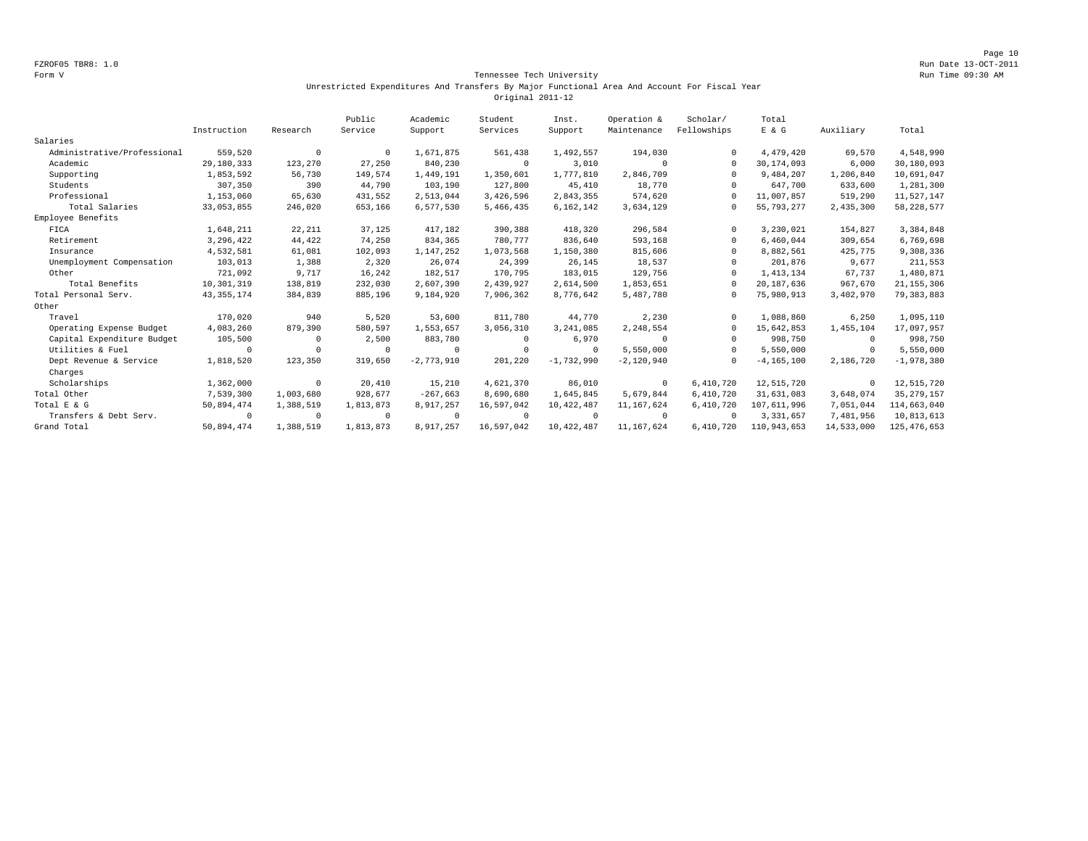#### Form V Tennessee Tech University Run Time 09:30 AM Unrestricted Expenditures And Transfers By Major Functional Area And Account For Fiscal Year Original 2011-12

|                             |              |            | Public     | Academic     | Student    | Inst.        | Operation &  | Scholar/    | Total          |            |               |
|-----------------------------|--------------|------------|------------|--------------|------------|--------------|--------------|-------------|----------------|------------|---------------|
|                             | Instruction  | Research   | Service    | Support      | Services   | Support      | Maintenance  | Fellowships | E & G          | Auxiliary  | Total         |
| Salaries                    |              |            |            |              |            |              |              |             |                |            |               |
| Administrative/Professional | 559,520      | $^{\circ}$ | $^{\circ}$ | 1,671,875    | 561,438    | 1,492,557    | 194,030      |             | 4,479,420      | 69,570     | 4,548,990     |
| Academic                    | 29,180,333   | 123,270    | 27,250     | 840,230      | $\Omega$   | 3,010        | $\Omega$     | $\Omega$    | 30, 174, 093   | 6,000      | 30,180,093    |
| Supporting                  | 1,853,592    | 56,730     | 149,574    | 1,449,191    | 1,350,601  | 1,777,810    | 2,846,709    | $\Omega$    | 9,484,207      | 1,206,840  | 10,691,047    |
| Students                    | 307,350      | 390        | 44,790     | 103,190      | 127,800    | 45,410       | 18,770       |             | 647,700        | 633,600    | 1,281,300     |
| Professional                | 1,153,060    | 65,630     | 431,552    | 2,513,044    | 3,426,596  | 2,843,355    | 574,620      |             | 11,007,857     | 519,290    | 11,527,147    |
| Total Salaries              | 33,053,855   | 246,020    | 653,166    | 6,577,530    | 5,466,435  | 6,162,142    | 3,634,129    |             | 55, 793, 277   | 2,435,300  | 58, 228, 577  |
| Employee Benefits           |              |            |            |              |            |              |              |             |                |            |               |
| FICA                        | 1,648,211    | 22, 211    | 37,125     | 417,182      | 390,388    | 418,320      | 296,584      | $\Omega$    | 3,230,021      | 154,827    | 3,384,848     |
| Retirement                  | 3,296,422    | 44,422     | 74,250     | 834,365      | 780,777    | 836,640      | 593,168      | $\Omega$    | 6,460,044      | 309,654    | 6,769,698     |
| Insurance                   | 4,532,581    | 61,081     | 102,093    | 1,147,252    | 1,073,568  | 1,150,380    | 815,606      | $\Omega$    | 8,882,561      | 425,775    | 9,308,336     |
| Unemployment Compensation   | 103,013      | 1,388      | 2,320      | 26,074       | 24,399     | 26,145       | 18,537       |             | 201,876        | 9,677      | 211,553       |
| Other                       | 721,092      | 9,717      | 16,242     | 182,517      | 170,795    | 183,015      | 129,756      | $\Omega$    | 1, 413, 134    | 67,737     | 1,480,871     |
| Total Benefits              | 10,301,319   | 138,819    | 232,030    | 2,607,390    | 2,439,927  | 2,614,500    | 1,853,651    |             | 20,187,636     | 967,670    | 21, 155, 306  |
| Total Personal Serv.        | 43, 355, 174 | 384,839    | 885,196    | 9,184,920    | 7,906,362  | 8,776,642    | 5,487,780    | $\Omega$    | 75,980,913     | 3,402,970  | 79, 383, 883  |
| Other                       |              |            |            |              |            |              |              |             |                |            |               |
| Travel                      | 170,020      | 940        | 5,520      | 53,600       | 811,780    | 44,770       | 2,230        | $\Omega$    | 1,088,860      | 6,250      | 1,095,110     |
| Operating Expense Budget    | 4,083,260    | 879,390    | 580,597    | 1,553,657    | 3,056,310  | 3,241,085    | 2,248,554    | $\Omega$    | 15,642,853     | 1,455,104  | 17,097,957    |
| Capital Expenditure Budget  | 105,500      | $\Omega$   | 2,500      | 883,780      | $\Omega$   | 6,970        | $\Omega$     |             | 998,750        | $^{\circ}$ | 998,750       |
| Utilities & Fuel            | $^{\circ}$   | $\Omega$   | $\Omega$   | $^{\circ}$   | $\Omega$   | $^{\circ}$   | 5,550,000    | $\Omega$    | 5,550,000      | $^{\circ}$ | 5,550,000     |
| Dept Revenue & Service      | 1,818,520    | 123,350    | 319,650    | $-2,773,910$ | 201,220    | $-1,732,990$ | $-2,120,940$ | $\Omega$    | $-4, 165, 100$ | 2,186,720  | $-1,978,380$  |
| Charges                     |              |            |            |              |            |              |              |             |                |            |               |
| Scholarships                | 1,362,000    | $^{\circ}$ | 20,410     | 15,210       | 4,621,370  | 86,010       | $^{\circ}$   | 6,410,720   | 12,515,720     | $^{\circ}$ | 12,515,720    |
| Total Other                 | 7,539,300    | 1,003,680  | 928,677    | $-267,663$   | 8,690,680  | 1,645,845    | 5,679,844    | 6,410,720   | 31,631,083     | 3,648,074  | 35, 279, 157  |
| Total E & G                 | 50,894,474   | 1,388,519  | 1,813,873  | 8,917,257    | 16,597,042 | 10,422,487   | 11,167,624   | 6,410,720   | 107,611,996    | 7,051,044  | 114,663,040   |
| Transfers & Debt Serv.      | $^{\circ}$   | $^{\circ}$ | $\Omega$   | $^{\circ}$   | $\Omega$   | $\Omega$     | $^{\circ}$   | $\Omega$    | 3, 331, 657    | 7,481,956  | 10,813,613    |
| Grand Total                 | 50,894,474   | 1,388,519  | 1,813,873  | 8,917,257    | 16,597,042 | 10,422,487   | 11, 167, 624 | 6,410,720   | 110,943,653    | 14,533,000 | 125, 476, 653 |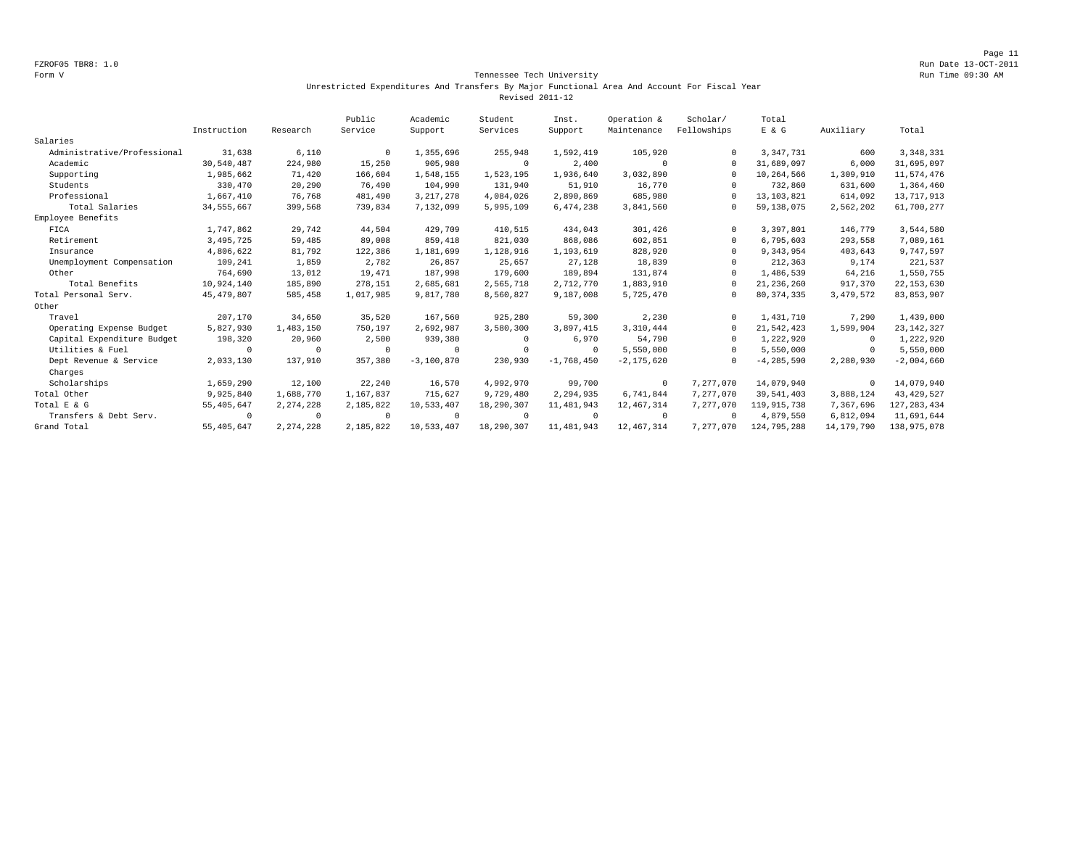Page 11 FZROF05 TBR8: 1.0 Run Date 13-OCT-2011

#### Form V Tennessee Tech University Run Time 09:30 AM Unrestricted Expenditures And Transfers By Major Functional Area And Account For Fiscal Year Revised 2011-12

|                             |              |            | Public     | Academic     | Student    | Inst.        | Operation &    | Scholar/    | Total          |              |               |
|-----------------------------|--------------|------------|------------|--------------|------------|--------------|----------------|-------------|----------------|--------------|---------------|
|                             | Instruction  | Research   | Service    | Support      | Services   | Support      | Maintenance    | Fellowships | E & G          | Auxiliary    | Total         |
| Salaries                    |              |            |            |              |            |              |                |             |                |              |               |
| Administrative/Professional | 31,638       | 6,110      | $^{\circ}$ | 1,355,696    | 255,948    | 1,592,419    | 105,920        | $\Omega$    | 3, 347, 731    | 600          | 3, 348, 331   |
| Academic                    | 30,540,487   | 224,980    | 15,250     | 905,980      | $\circ$    | 2,400        | $\Omega$       | $\cap$      | 31,689,097     | 6,000        | 31,695,097    |
| Supporting                  | 1,985,662    | 71,420     | 166,604    | 1,548,155    | 1,523,195  | 1,936,640    | 3,032,890      | $\Omega$    | 10,264,566     | 1,309,910    | 11,574,476    |
| Students                    | 330,470      | 20,290     | 76,490     | 104,990      | 131,940    | 51,910       | 16,770         | $\cap$      | 732,860        | 631,600      | 1,364,460     |
| Professional                | 1,667,410    | 76,768     | 481,490    | 3, 217, 278  | 4,084,026  | 2,890,869    | 685,980        | $\cap$      | 13, 103, 821   | 614,092      | 13,717,913    |
| Total Salaries              | 34, 555, 667 | 399,568    | 739,834    | 7,132,099    | 5,995,109  | 6,474,238    | 3,841,560      | $\Omega$    | 59,138,075     | 2,562,202    | 61,700,277    |
| Employee Benefits           |              |            |            |              |            |              |                |             |                |              |               |
| FICA                        | 1,747,862    | 29,742     | 44,504     | 429,709      | 410,515    | 434,043      | 301,426        | $\Omega$    | 3,397,801      | 146,779      | 3,544,580     |
| Retirement                  | 3,495,725    | 59,485     | 89,008     | 859,418      | 821,030    | 868,086      | 602,851        | $\Omega$    | 6,795,603      | 293,558      | 7,089,161     |
| Insurance                   | 4,806,622    | 81,792     | 122,386    | 1,181,699    | 1,128,916  | 1,193,619    | 828,920        | $\Omega$    | 9,343,954      | 403,643      | 9,747,597     |
| Unemployment Compensation   | 109,241      | 1,859      | 2,782      | 26,857       | 25,657     | 27,128       | 18,839         | $\cap$      | 212,363        | 9,174        | 221,537       |
| Other                       | 764,690      | 13,012     | 19,471     | 187,998      | 179,600    | 189,894      | 131,874        | $\Omega$    | 1,486,539      | 64,216       | 1,550,755     |
| Total Benefits              | 10,924,140   | 185,890    | 278,151    | 2,685,681    | 2,565,718  | 2,712,770    | 1,883,910      | $\Omega$    | 21, 236, 260   | 917,370      | 22, 153, 630  |
| Total Personal Serv.        | 45, 479, 807 | 585,458    | 1,017,985  | 9,817,780    | 8,560,827  | 9,187,008    | 5,725,470      | $\Omega$    | 80, 374, 335   | 3,479,572    | 83, 853, 907  |
| Other                       |              |            |            |              |            |              |                |             |                |              |               |
| Travel                      | 207,170      | 34,650     | 35,520     | 167.560      | 925,280    | 59,300       | 2,230          | $\Omega$    | 1,431,710      | 7.290        | 1,439,000     |
| Operating Expense Budget    | 5,827,930    | 1,483,150  | 750,197    | 2,692,987    | 3,580,300  | 3,897,415    | 3,310,444      | $\Omega$    | 21,542,423     | 1,599,904    | 23, 142, 327  |
| Capital Expenditure Budget  | 198,320      | 20,960     | 2,500      | 939,380      | $^{\circ}$ | 6,970        | 54,790         | $\Omega$    | 1,222,920      | $^{\circ}$   | 1,222,920     |
| Utilities & Fuel            | $\cap$       | $^{\circ}$ | $\cup$     | $^{\circ}$   | $^{\circ}$ | $\Omega$     | 5,550,000      | $\Omega$    | 5,550,000      | 0            | 5,550,000     |
| Dept Revenue & Service      | 2,033,130    | 137,910    | 357,380    | $-3,100,870$ | 230,930    | $-1,768,450$ | $-2, 175, 620$ | $\Omega$    | $-4, 285, 590$ | 2,280,930    | $-2,004,660$  |
| Charges                     |              |            |            |              |            |              |                |             |                |              |               |
| Scholarships                | 1,659,290    | 12,100     | 22,240     | 16,570       | 4,992,970  | 99,700       | $^{\circ}$     | 7,277,070   | 14,079,940     | $^{\circ}$   | 14,079,940    |
| Total Other                 | 9,925,840    | 1,688,770  | 1,167,837  | 715,627      | 9,729,480  | 2,294,935    | 6,741,844      | 7,277,070   | 39,541,403     | 3,888,124    | 43, 429, 527  |
| Total E & G                 | 55, 405, 647 | 2,274,228  | 2,185,822  | 10,533,407   | 18,290,307 | 11,481,943   | 12, 467, 314   | 7,277,070   | 119,915,738    | 7,367,696    | 127, 283, 434 |
| Transfers & Debt Serv.      | $\Omega$     | $^{\circ}$ | $\Omega$   | $^{\circ}$   | $\Omega$   | $\Omega$     | $^{\circ}$     | $\Omega$    | 4,879,550      | 6,812,094    | 11,691,644    |
| Grand Total                 | 55,405,647   | 2,274,228  | 2,185,822  | 10,533,407   | 18,290,307 | 11,481,943   | 12,467,314     | 7.277.070   | 124,795,288    | 14, 179, 790 | 138,975,078   |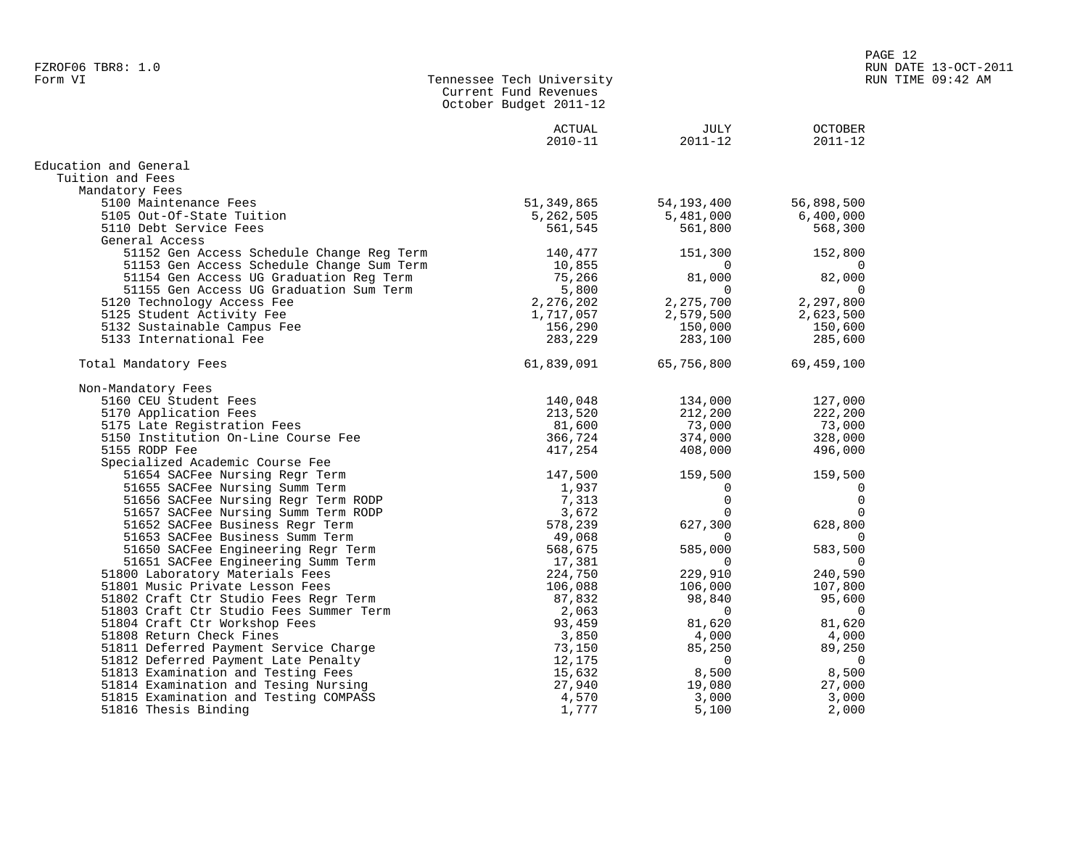| <b>OCTOBER</b><br>ACTUAL<br>JULY<br>$2010 - 11$<br>$2011 - 12$<br>$2011 - 12$<br>Education and General<br>Tuition and Fees<br>Mandatory Fees<br>5100 Maintenance Fees<br>51,349,865<br>56,898,500<br>54,193,400<br>5105 Out-Of-State Tuition<br>5,262,505<br>5,481,000<br>6,400,000<br>5110 Debt Service Fees<br>561,545<br>568,300<br>561,800<br>General Access<br>51152 Gen Access Schedule Change Reg Term<br>140,477<br>151,300<br>152,800<br>51153 Gen Access Schedule Change Sum Term<br>10,855<br>$\Omega$<br>51154 Gen Access UG Graduation Reg Term<br>75,266<br>81,000<br>82,000<br>51155 Gen Access UG Graduation Sum Term<br>5,800<br>$\Omega$<br>$\Omega$<br>2,276,202<br>2,275,700<br>2,297,800<br>5120 Technology Access Fee<br>5125 Student Activity Fee<br>1,717,057<br>2,579,500<br>2,623,500<br>150,600<br>5132 Sustainable Campus Fee<br>156,290<br>150,000<br>5133 International Fee<br>283,229<br>283,100<br>285,600<br>69,459,100<br>Total Mandatory Fees<br>61,839,091<br>65,756,800<br>Non-Mandatory Fees<br>5160 CEU Student Fees<br>140,048<br>134,000<br>127,000<br>212,200<br>222,200<br>5170 Application Fees<br>213,520<br>81,600<br>73,000<br>73,000<br>5175 Late Registration Fees<br>366,724<br>328,000<br>5150 Institution On-Line Course Fee<br>374,000<br>5155 RODP Fee<br>417,254<br>408,000<br>496,000<br>Specialized Academic Course Fee<br>147,500<br>159,500<br>51654 SACFee Nursing Regr Term<br>159,500<br>51655 SACFee Nursing Summ Term<br>1,937<br>0<br>0<br>$\Omega$<br>$\mathbf 0$<br>51656 SACFee Nursing Regr Term RODP<br>7,313<br>51657 SACFee Nursing Summ Term RODP<br>3,672<br>$\Omega$<br>$\Omega$<br>627,300<br>628,800<br>51652 SACFee Business Regr Term<br>578,239<br>51653 SACFee Business Summ Term<br>49,068<br>$\Omega$<br>585,000<br>583,500<br>51650 SACFee Engineering Regr Term<br>568,675<br>17,381<br>51651 SACFee Engineering Summ Term<br>$\Omega$<br>$\Omega$<br>51800 Laboratory Materials Fees<br>224,750<br>229,910<br>240,590<br>106,088<br>51801 Music Private Lesson Fees<br>106,000<br>107,800<br>51802 Craft Ctr Studio Fees Regr Term<br>87,832<br>98,840<br>95,600<br>51803 Craft Ctr Studio Fees Summer Term<br>2,063<br>$\Omega$<br>0<br>51804 Craft Ctr Workshop Fees<br>93,459<br>81,620<br>81,620<br>51808 Return Check Fines<br>3,850<br>4,000<br>4,000<br>51811 Deferred Payment Service Charge<br>89,250<br>73,150<br>85,250<br>12,175<br>51812 Deferred Payment Late Penalty<br>$\Omega$<br>$\Omega$<br>51813 Examination and Testing Fees<br>15,632<br>8,500<br>8,500<br>51814 Examination and Tesing Nursing<br>27,940<br>27,000<br>19,080 |                                       | Current Fund Revenues<br>October Budget 2011-12 |       |       |
|-------------------------------------------------------------------------------------------------------------------------------------------------------------------------------------------------------------------------------------------------------------------------------------------------------------------------------------------------------------------------------------------------------------------------------------------------------------------------------------------------------------------------------------------------------------------------------------------------------------------------------------------------------------------------------------------------------------------------------------------------------------------------------------------------------------------------------------------------------------------------------------------------------------------------------------------------------------------------------------------------------------------------------------------------------------------------------------------------------------------------------------------------------------------------------------------------------------------------------------------------------------------------------------------------------------------------------------------------------------------------------------------------------------------------------------------------------------------------------------------------------------------------------------------------------------------------------------------------------------------------------------------------------------------------------------------------------------------------------------------------------------------------------------------------------------------------------------------------------------------------------------------------------------------------------------------------------------------------------------------------------------------------------------------------------------------------------------------------------------------------------------------------------------------------------------------------------------------------------------------------------------------------------------------------------------------------------------------------------------------------------------------------------------------------------------------------------------------------------------------------------------------------------------------------------------------------------------------------------------------------------------------|---------------------------------------|-------------------------------------------------|-------|-------|
|                                                                                                                                                                                                                                                                                                                                                                                                                                                                                                                                                                                                                                                                                                                                                                                                                                                                                                                                                                                                                                                                                                                                                                                                                                                                                                                                                                                                                                                                                                                                                                                                                                                                                                                                                                                                                                                                                                                                                                                                                                                                                                                                                                                                                                                                                                                                                                                                                                                                                                                                                                                                                                           |                                       |                                                 |       |       |
|                                                                                                                                                                                                                                                                                                                                                                                                                                                                                                                                                                                                                                                                                                                                                                                                                                                                                                                                                                                                                                                                                                                                                                                                                                                                                                                                                                                                                                                                                                                                                                                                                                                                                                                                                                                                                                                                                                                                                                                                                                                                                                                                                                                                                                                                                                                                                                                                                                                                                                                                                                                                                                           |                                       |                                                 |       |       |
|                                                                                                                                                                                                                                                                                                                                                                                                                                                                                                                                                                                                                                                                                                                                                                                                                                                                                                                                                                                                                                                                                                                                                                                                                                                                                                                                                                                                                                                                                                                                                                                                                                                                                                                                                                                                                                                                                                                                                                                                                                                                                                                                                                                                                                                                                                                                                                                                                                                                                                                                                                                                                                           |                                       |                                                 |       |       |
|                                                                                                                                                                                                                                                                                                                                                                                                                                                                                                                                                                                                                                                                                                                                                                                                                                                                                                                                                                                                                                                                                                                                                                                                                                                                                                                                                                                                                                                                                                                                                                                                                                                                                                                                                                                                                                                                                                                                                                                                                                                                                                                                                                                                                                                                                                                                                                                                                                                                                                                                                                                                                                           |                                       |                                                 |       |       |
|                                                                                                                                                                                                                                                                                                                                                                                                                                                                                                                                                                                                                                                                                                                                                                                                                                                                                                                                                                                                                                                                                                                                                                                                                                                                                                                                                                                                                                                                                                                                                                                                                                                                                                                                                                                                                                                                                                                                                                                                                                                                                                                                                                                                                                                                                                                                                                                                                                                                                                                                                                                                                                           |                                       |                                                 |       |       |
|                                                                                                                                                                                                                                                                                                                                                                                                                                                                                                                                                                                                                                                                                                                                                                                                                                                                                                                                                                                                                                                                                                                                                                                                                                                                                                                                                                                                                                                                                                                                                                                                                                                                                                                                                                                                                                                                                                                                                                                                                                                                                                                                                                                                                                                                                                                                                                                                                                                                                                                                                                                                                                           |                                       |                                                 |       |       |
|                                                                                                                                                                                                                                                                                                                                                                                                                                                                                                                                                                                                                                                                                                                                                                                                                                                                                                                                                                                                                                                                                                                                                                                                                                                                                                                                                                                                                                                                                                                                                                                                                                                                                                                                                                                                                                                                                                                                                                                                                                                                                                                                                                                                                                                                                                                                                                                                                                                                                                                                                                                                                                           |                                       |                                                 |       |       |
|                                                                                                                                                                                                                                                                                                                                                                                                                                                                                                                                                                                                                                                                                                                                                                                                                                                                                                                                                                                                                                                                                                                                                                                                                                                                                                                                                                                                                                                                                                                                                                                                                                                                                                                                                                                                                                                                                                                                                                                                                                                                                                                                                                                                                                                                                                                                                                                                                                                                                                                                                                                                                                           |                                       |                                                 |       |       |
|                                                                                                                                                                                                                                                                                                                                                                                                                                                                                                                                                                                                                                                                                                                                                                                                                                                                                                                                                                                                                                                                                                                                                                                                                                                                                                                                                                                                                                                                                                                                                                                                                                                                                                                                                                                                                                                                                                                                                                                                                                                                                                                                                                                                                                                                                                                                                                                                                                                                                                                                                                                                                                           |                                       |                                                 |       |       |
|                                                                                                                                                                                                                                                                                                                                                                                                                                                                                                                                                                                                                                                                                                                                                                                                                                                                                                                                                                                                                                                                                                                                                                                                                                                                                                                                                                                                                                                                                                                                                                                                                                                                                                                                                                                                                                                                                                                                                                                                                                                                                                                                                                                                                                                                                                                                                                                                                                                                                                                                                                                                                                           |                                       |                                                 |       |       |
|                                                                                                                                                                                                                                                                                                                                                                                                                                                                                                                                                                                                                                                                                                                                                                                                                                                                                                                                                                                                                                                                                                                                                                                                                                                                                                                                                                                                                                                                                                                                                                                                                                                                                                                                                                                                                                                                                                                                                                                                                                                                                                                                                                                                                                                                                                                                                                                                                                                                                                                                                                                                                                           |                                       |                                                 |       |       |
|                                                                                                                                                                                                                                                                                                                                                                                                                                                                                                                                                                                                                                                                                                                                                                                                                                                                                                                                                                                                                                                                                                                                                                                                                                                                                                                                                                                                                                                                                                                                                                                                                                                                                                                                                                                                                                                                                                                                                                                                                                                                                                                                                                                                                                                                                                                                                                                                                                                                                                                                                                                                                                           |                                       |                                                 |       |       |
|                                                                                                                                                                                                                                                                                                                                                                                                                                                                                                                                                                                                                                                                                                                                                                                                                                                                                                                                                                                                                                                                                                                                                                                                                                                                                                                                                                                                                                                                                                                                                                                                                                                                                                                                                                                                                                                                                                                                                                                                                                                                                                                                                                                                                                                                                                                                                                                                                                                                                                                                                                                                                                           |                                       |                                                 |       |       |
|                                                                                                                                                                                                                                                                                                                                                                                                                                                                                                                                                                                                                                                                                                                                                                                                                                                                                                                                                                                                                                                                                                                                                                                                                                                                                                                                                                                                                                                                                                                                                                                                                                                                                                                                                                                                                                                                                                                                                                                                                                                                                                                                                                                                                                                                                                                                                                                                                                                                                                                                                                                                                                           |                                       |                                                 |       |       |
|                                                                                                                                                                                                                                                                                                                                                                                                                                                                                                                                                                                                                                                                                                                                                                                                                                                                                                                                                                                                                                                                                                                                                                                                                                                                                                                                                                                                                                                                                                                                                                                                                                                                                                                                                                                                                                                                                                                                                                                                                                                                                                                                                                                                                                                                                                                                                                                                                                                                                                                                                                                                                                           |                                       |                                                 |       |       |
|                                                                                                                                                                                                                                                                                                                                                                                                                                                                                                                                                                                                                                                                                                                                                                                                                                                                                                                                                                                                                                                                                                                                                                                                                                                                                                                                                                                                                                                                                                                                                                                                                                                                                                                                                                                                                                                                                                                                                                                                                                                                                                                                                                                                                                                                                                                                                                                                                                                                                                                                                                                                                                           |                                       |                                                 |       |       |
|                                                                                                                                                                                                                                                                                                                                                                                                                                                                                                                                                                                                                                                                                                                                                                                                                                                                                                                                                                                                                                                                                                                                                                                                                                                                                                                                                                                                                                                                                                                                                                                                                                                                                                                                                                                                                                                                                                                                                                                                                                                                                                                                                                                                                                                                                                                                                                                                                                                                                                                                                                                                                                           |                                       |                                                 |       |       |
|                                                                                                                                                                                                                                                                                                                                                                                                                                                                                                                                                                                                                                                                                                                                                                                                                                                                                                                                                                                                                                                                                                                                                                                                                                                                                                                                                                                                                                                                                                                                                                                                                                                                                                                                                                                                                                                                                                                                                                                                                                                                                                                                                                                                                                                                                                                                                                                                                                                                                                                                                                                                                                           |                                       |                                                 |       |       |
|                                                                                                                                                                                                                                                                                                                                                                                                                                                                                                                                                                                                                                                                                                                                                                                                                                                                                                                                                                                                                                                                                                                                                                                                                                                                                                                                                                                                                                                                                                                                                                                                                                                                                                                                                                                                                                                                                                                                                                                                                                                                                                                                                                                                                                                                                                                                                                                                                                                                                                                                                                                                                                           |                                       |                                                 |       |       |
|                                                                                                                                                                                                                                                                                                                                                                                                                                                                                                                                                                                                                                                                                                                                                                                                                                                                                                                                                                                                                                                                                                                                                                                                                                                                                                                                                                                                                                                                                                                                                                                                                                                                                                                                                                                                                                                                                                                                                                                                                                                                                                                                                                                                                                                                                                                                                                                                                                                                                                                                                                                                                                           |                                       |                                                 |       |       |
|                                                                                                                                                                                                                                                                                                                                                                                                                                                                                                                                                                                                                                                                                                                                                                                                                                                                                                                                                                                                                                                                                                                                                                                                                                                                                                                                                                                                                                                                                                                                                                                                                                                                                                                                                                                                                                                                                                                                                                                                                                                                                                                                                                                                                                                                                                                                                                                                                                                                                                                                                                                                                                           |                                       |                                                 |       |       |
|                                                                                                                                                                                                                                                                                                                                                                                                                                                                                                                                                                                                                                                                                                                                                                                                                                                                                                                                                                                                                                                                                                                                                                                                                                                                                                                                                                                                                                                                                                                                                                                                                                                                                                                                                                                                                                                                                                                                                                                                                                                                                                                                                                                                                                                                                                                                                                                                                                                                                                                                                                                                                                           |                                       |                                                 |       |       |
|                                                                                                                                                                                                                                                                                                                                                                                                                                                                                                                                                                                                                                                                                                                                                                                                                                                                                                                                                                                                                                                                                                                                                                                                                                                                                                                                                                                                                                                                                                                                                                                                                                                                                                                                                                                                                                                                                                                                                                                                                                                                                                                                                                                                                                                                                                                                                                                                                                                                                                                                                                                                                                           |                                       |                                                 |       |       |
|                                                                                                                                                                                                                                                                                                                                                                                                                                                                                                                                                                                                                                                                                                                                                                                                                                                                                                                                                                                                                                                                                                                                                                                                                                                                                                                                                                                                                                                                                                                                                                                                                                                                                                                                                                                                                                                                                                                                                                                                                                                                                                                                                                                                                                                                                                                                                                                                                                                                                                                                                                                                                                           |                                       |                                                 |       |       |
|                                                                                                                                                                                                                                                                                                                                                                                                                                                                                                                                                                                                                                                                                                                                                                                                                                                                                                                                                                                                                                                                                                                                                                                                                                                                                                                                                                                                                                                                                                                                                                                                                                                                                                                                                                                                                                                                                                                                                                                                                                                                                                                                                                                                                                                                                                                                                                                                                                                                                                                                                                                                                                           |                                       |                                                 |       |       |
|                                                                                                                                                                                                                                                                                                                                                                                                                                                                                                                                                                                                                                                                                                                                                                                                                                                                                                                                                                                                                                                                                                                                                                                                                                                                                                                                                                                                                                                                                                                                                                                                                                                                                                                                                                                                                                                                                                                                                                                                                                                                                                                                                                                                                                                                                                                                                                                                                                                                                                                                                                                                                                           |                                       |                                                 |       |       |
|                                                                                                                                                                                                                                                                                                                                                                                                                                                                                                                                                                                                                                                                                                                                                                                                                                                                                                                                                                                                                                                                                                                                                                                                                                                                                                                                                                                                                                                                                                                                                                                                                                                                                                                                                                                                                                                                                                                                                                                                                                                                                                                                                                                                                                                                                                                                                                                                                                                                                                                                                                                                                                           |                                       |                                                 |       |       |
|                                                                                                                                                                                                                                                                                                                                                                                                                                                                                                                                                                                                                                                                                                                                                                                                                                                                                                                                                                                                                                                                                                                                                                                                                                                                                                                                                                                                                                                                                                                                                                                                                                                                                                                                                                                                                                                                                                                                                                                                                                                                                                                                                                                                                                                                                                                                                                                                                                                                                                                                                                                                                                           |                                       |                                                 |       |       |
|                                                                                                                                                                                                                                                                                                                                                                                                                                                                                                                                                                                                                                                                                                                                                                                                                                                                                                                                                                                                                                                                                                                                                                                                                                                                                                                                                                                                                                                                                                                                                                                                                                                                                                                                                                                                                                                                                                                                                                                                                                                                                                                                                                                                                                                                                                                                                                                                                                                                                                                                                                                                                                           |                                       |                                                 |       |       |
|                                                                                                                                                                                                                                                                                                                                                                                                                                                                                                                                                                                                                                                                                                                                                                                                                                                                                                                                                                                                                                                                                                                                                                                                                                                                                                                                                                                                                                                                                                                                                                                                                                                                                                                                                                                                                                                                                                                                                                                                                                                                                                                                                                                                                                                                                                                                                                                                                                                                                                                                                                                                                                           |                                       |                                                 |       |       |
|                                                                                                                                                                                                                                                                                                                                                                                                                                                                                                                                                                                                                                                                                                                                                                                                                                                                                                                                                                                                                                                                                                                                                                                                                                                                                                                                                                                                                                                                                                                                                                                                                                                                                                                                                                                                                                                                                                                                                                                                                                                                                                                                                                                                                                                                                                                                                                                                                                                                                                                                                                                                                                           |                                       |                                                 |       |       |
|                                                                                                                                                                                                                                                                                                                                                                                                                                                                                                                                                                                                                                                                                                                                                                                                                                                                                                                                                                                                                                                                                                                                                                                                                                                                                                                                                                                                                                                                                                                                                                                                                                                                                                                                                                                                                                                                                                                                                                                                                                                                                                                                                                                                                                                                                                                                                                                                                                                                                                                                                                                                                                           |                                       |                                                 |       |       |
|                                                                                                                                                                                                                                                                                                                                                                                                                                                                                                                                                                                                                                                                                                                                                                                                                                                                                                                                                                                                                                                                                                                                                                                                                                                                                                                                                                                                                                                                                                                                                                                                                                                                                                                                                                                                                                                                                                                                                                                                                                                                                                                                                                                                                                                                                                                                                                                                                                                                                                                                                                                                                                           |                                       |                                                 |       |       |
|                                                                                                                                                                                                                                                                                                                                                                                                                                                                                                                                                                                                                                                                                                                                                                                                                                                                                                                                                                                                                                                                                                                                                                                                                                                                                                                                                                                                                                                                                                                                                                                                                                                                                                                                                                                                                                                                                                                                                                                                                                                                                                                                                                                                                                                                                                                                                                                                                                                                                                                                                                                                                                           |                                       |                                                 |       |       |
|                                                                                                                                                                                                                                                                                                                                                                                                                                                                                                                                                                                                                                                                                                                                                                                                                                                                                                                                                                                                                                                                                                                                                                                                                                                                                                                                                                                                                                                                                                                                                                                                                                                                                                                                                                                                                                                                                                                                                                                                                                                                                                                                                                                                                                                                                                                                                                                                                                                                                                                                                                                                                                           |                                       |                                                 |       |       |
|                                                                                                                                                                                                                                                                                                                                                                                                                                                                                                                                                                                                                                                                                                                                                                                                                                                                                                                                                                                                                                                                                                                                                                                                                                                                                                                                                                                                                                                                                                                                                                                                                                                                                                                                                                                                                                                                                                                                                                                                                                                                                                                                                                                                                                                                                                                                                                                                                                                                                                                                                                                                                                           |                                       |                                                 |       |       |
|                                                                                                                                                                                                                                                                                                                                                                                                                                                                                                                                                                                                                                                                                                                                                                                                                                                                                                                                                                                                                                                                                                                                                                                                                                                                                                                                                                                                                                                                                                                                                                                                                                                                                                                                                                                                                                                                                                                                                                                                                                                                                                                                                                                                                                                                                                                                                                                                                                                                                                                                                                                                                                           |                                       |                                                 |       |       |
|                                                                                                                                                                                                                                                                                                                                                                                                                                                                                                                                                                                                                                                                                                                                                                                                                                                                                                                                                                                                                                                                                                                                                                                                                                                                                                                                                                                                                                                                                                                                                                                                                                                                                                                                                                                                                                                                                                                                                                                                                                                                                                                                                                                                                                                                                                                                                                                                                                                                                                                                                                                                                                           |                                       |                                                 |       |       |
|                                                                                                                                                                                                                                                                                                                                                                                                                                                                                                                                                                                                                                                                                                                                                                                                                                                                                                                                                                                                                                                                                                                                                                                                                                                                                                                                                                                                                                                                                                                                                                                                                                                                                                                                                                                                                                                                                                                                                                                                                                                                                                                                                                                                                                                                                                                                                                                                                                                                                                                                                                                                                                           |                                       |                                                 |       |       |
|                                                                                                                                                                                                                                                                                                                                                                                                                                                                                                                                                                                                                                                                                                                                                                                                                                                                                                                                                                                                                                                                                                                                                                                                                                                                                                                                                                                                                                                                                                                                                                                                                                                                                                                                                                                                                                                                                                                                                                                                                                                                                                                                                                                                                                                                                                                                                                                                                                                                                                                                                                                                                                           |                                       |                                                 |       |       |
|                                                                                                                                                                                                                                                                                                                                                                                                                                                                                                                                                                                                                                                                                                                                                                                                                                                                                                                                                                                                                                                                                                                                                                                                                                                                                                                                                                                                                                                                                                                                                                                                                                                                                                                                                                                                                                                                                                                                                                                                                                                                                                                                                                                                                                                                                                                                                                                                                                                                                                                                                                                                                                           |                                       |                                                 |       |       |
|                                                                                                                                                                                                                                                                                                                                                                                                                                                                                                                                                                                                                                                                                                                                                                                                                                                                                                                                                                                                                                                                                                                                                                                                                                                                                                                                                                                                                                                                                                                                                                                                                                                                                                                                                                                                                                                                                                                                                                                                                                                                                                                                                                                                                                                                                                                                                                                                                                                                                                                                                                                                                                           |                                       |                                                 |       |       |
|                                                                                                                                                                                                                                                                                                                                                                                                                                                                                                                                                                                                                                                                                                                                                                                                                                                                                                                                                                                                                                                                                                                                                                                                                                                                                                                                                                                                                                                                                                                                                                                                                                                                                                                                                                                                                                                                                                                                                                                                                                                                                                                                                                                                                                                                                                                                                                                                                                                                                                                                                                                                                                           |                                       |                                                 |       |       |
|                                                                                                                                                                                                                                                                                                                                                                                                                                                                                                                                                                                                                                                                                                                                                                                                                                                                                                                                                                                                                                                                                                                                                                                                                                                                                                                                                                                                                                                                                                                                                                                                                                                                                                                                                                                                                                                                                                                                                                                                                                                                                                                                                                                                                                                                                                                                                                                                                                                                                                                                                                                                                                           | 51815 Examination and Testing COMPASS | 4,570                                           | 3,000 | 3,000 |
| 51816 Thesis Binding<br>1,777<br>5,100<br>2,000                                                                                                                                                                                                                                                                                                                                                                                                                                                                                                                                                                                                                                                                                                                                                                                                                                                                                                                                                                                                                                                                                                                                                                                                                                                                                                                                                                                                                                                                                                                                                                                                                                                                                                                                                                                                                                                                                                                                                                                                                                                                                                                                                                                                                                                                                                                                                                                                                                                                                                                                                                                           |                                       |                                                 |       |       |

Tennessee Tech University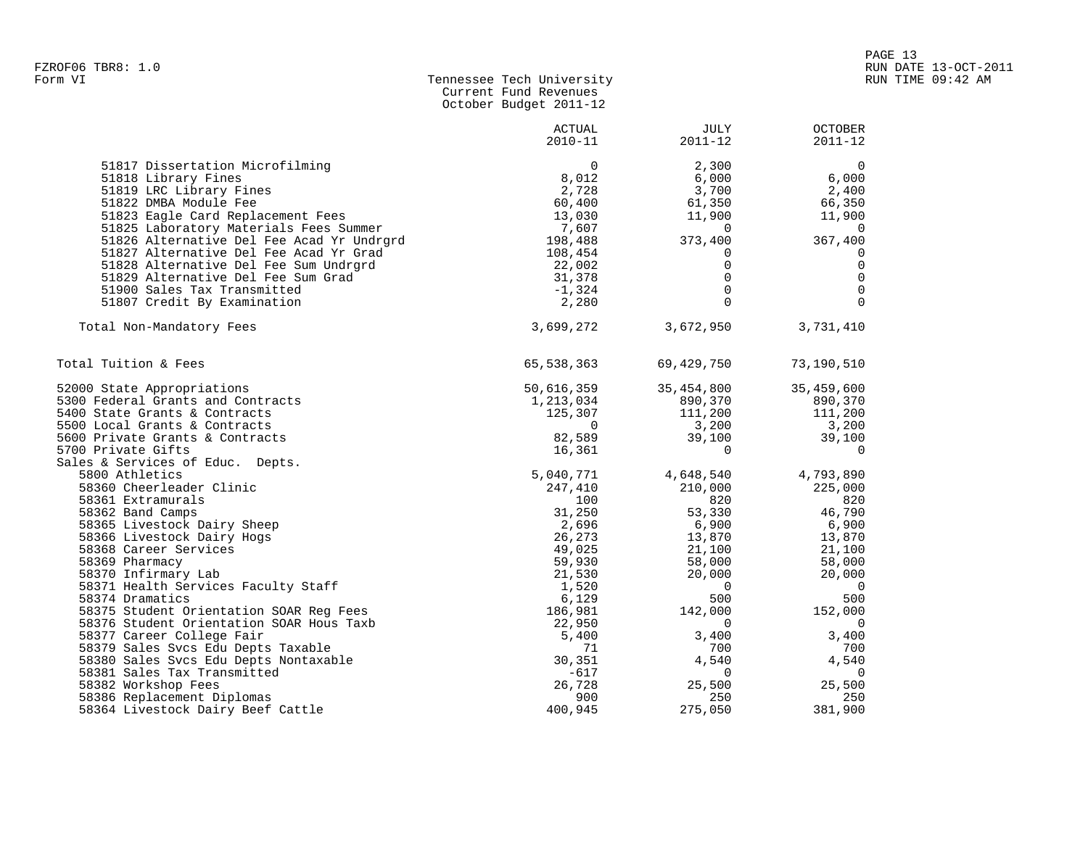| Form VI | Tennessee Tech University |  |
|---------|---------------------------|--|
|         | Current Fund Revenues     |  |
|         | October Budget 2011-12    |  |

|                                                           | <b>ACTUAL</b><br>$2010 - 11$ | JULY<br>$2011 - 12$ | <b>OCTOBER</b><br>$2011 - 12$ |
|-----------------------------------------------------------|------------------------------|---------------------|-------------------------------|
| 51817 Dissertation Microfilming                           | $\Omega$                     | 2,300               | $\mathbf 0$                   |
| 51818 Library Fines                                       | 8,012                        | 6,000               | 6,000                         |
| 51819 LRC Library Fines                                   | 2,728                        | 3,700               | 2,400                         |
| 51822 DMBA Module Fee                                     | 60,400                       | 61,350              | 66,350                        |
| 51823 Eagle Card Replacement Fees                         | 13,030                       | 11,900              | 11,900                        |
| 51825 Laboratory Materials Fees Summer                    | 7,607                        | 0                   | $\overline{\phantom{0}}$      |
| 51826 Alternative Del Fee Acad Yr Undrgrd                 | 198,488                      | 373,400             | 367,400                       |
| 51827 Alternative Del Fee Acad Yr Grad                    | 108,454                      | 0                   | 0                             |
| 51828 Alternative Del Fee Sum Undrgrd                     | 22,002                       | $\Omega$            | $\mathbf 0$                   |
| 51829 Alternative Del Fee Sum Grad                        | 31,378                       | $\Omega$            | $\overline{0}$                |
| 51900 Sales Tax Transmitted                               | $-1,324$                     | $\mathbf 0$         | $\overline{0}$                |
| 51807 Credit By Examination                               | 2,280                        | $\Omega$            | $\Omega$                      |
| Total Non-Mandatory Fees                                  | 3,699,272                    | 3,672,950           | 3,731,410                     |
| Total Tuition & Fees                                      | 65,538,363                   | 69,429,750          | 73,190,510                    |
| 52000 State Appropriations                                | 50,616,359                   | 35,454,800          | 35,459,600                    |
| 5300 Federal Grants and Contracts                         | 1,213,034                    | 890,370             | 890,370                       |
| 5400 State Grants & Contracts                             | 125,307                      | 111,200             | 111,200                       |
| 5500 Local Grants & Contracts                             | $\overline{0}$               | 3,200               | 3,200                         |
| 5600 Private Grants & Contracts                           | 82,589                       | 39,100              | 39,100                        |
| 5700 Private Gifts                                        | 16,361                       | $\mathbf 0$         | 0                             |
| Sales & Services of Educ. Depts.                          |                              |                     |                               |
| 5800 Athletics                                            | 5,040,771                    | 4,648,540           | 4,793,890                     |
| 58360 Cheerleader Clinic                                  | 247,410                      | 210,000             | 225,000                       |
| 58361 Extramurals                                         | 100                          | 820                 | 820                           |
| 58362 Band Camps                                          | 31,250<br>2,696              | 53,330<br>6,900     | 46,790<br>6,900               |
| 58365 Livestock Dairy Sheep<br>58366 Livestock Dairy Hogs | 26,273                       | 13,870              | 13,870                        |
| 58368 Career Services                                     | 49,025                       | 21,100              | 21,100                        |
| 58369 Pharmacy                                            | 59,930                       | 58,000              | 58,000                        |
| 58370 Infirmary Lab                                       | 21,530                       | 20,000              | 20,000                        |
| 58371 Health Services Faculty Staff                       | 1,520                        | $\Omega$            | $\overline{0}$                |
| 58374 Dramatics                                           | 6,129                        | 500                 | 500                           |
| 58375 Student Orientation SOAR Reg Fees                   | 186,981                      | 142,000             | 152,000                       |
| 58376 Student Orientation SOAR Hous Taxb                  | 22,950                       | 0                   | $\overline{0}$                |
| 58377 Career College Fair                                 | 5,400                        | 3,400               | 3,400                         |
| 58379 Sales Svcs Edu Depts Taxable                        | 71                           | 700                 | 700                           |
| 58380 Sales Svcs Edu Depts Nontaxable                     | 30,351                       | 4,540               | 4,540                         |
| 58381 Sales Tax Transmitted                               | $-617$                       | 0                   | $\overline{0}$                |
| 58382 Workshop Fees                                       | 26,728                       | 25,500              | 25,500                        |
| 58386 Replacement Diplomas                                | 900                          | 250                 | 250                           |
| 58364 Livestock Dairy Beef Cattle                         | 400,945                      | 275,050             | 381,900                       |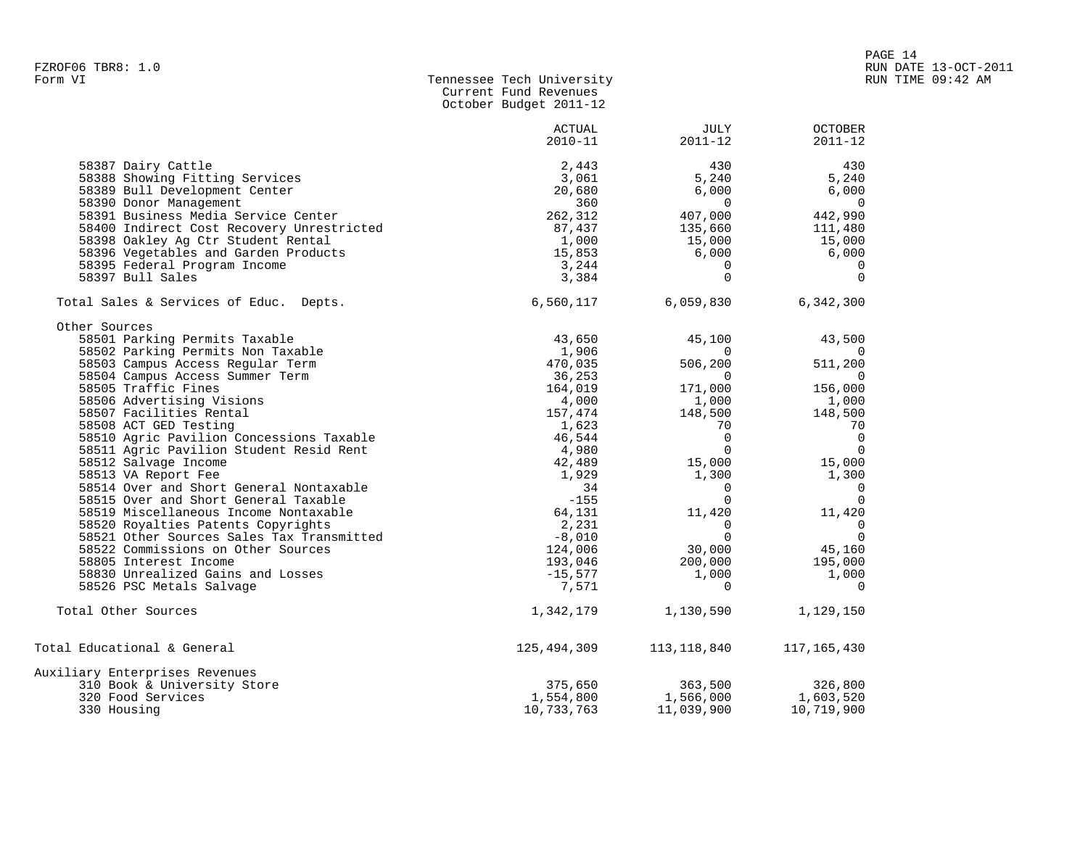| Form VI | Tennessee Tech University |
|---------|---------------------------|
|         | Current Fund Revenues     |
|         | October Budget 2011-12    |
|         |                           |

|                                           | <b>ACTUAL</b> | <b>JULY</b>    | <b>OCTOBER</b> |
|-------------------------------------------|---------------|----------------|----------------|
|                                           | $2010 - 11$   | $2011 - 12$    | $2011 - 12$    |
| 58387 Dairy Cattle                        | 2,443         | 430            | 430            |
| 58388 Showing Fitting Services            | 3,061         | 5,240          | 5,240          |
| 58389 Bull Development Center             | 20,680        | 6,000          | 6,000          |
| 58390 Donor Management                    | 360           | $\mathbf 0$    | $\overline{0}$ |
| 58391 Business Media Service Center       | 262,312       | 407,000        | 442,990        |
| 58400 Indirect Cost Recovery Unrestricted | 87,437        | 135,660        | 111,480        |
| 58398 Oakley Ag Ctr Student Rental        | 1,000         | 15,000         | 15,000         |
| 58396 Vegetables and Garden Products      | 15,853        | 6,000          | 6,000          |
| 58395 Federal Program Income              | 3,244         | 0              | $\Omega$       |
| 58397 Bull Sales                          | 3,384         | $\mathbf 0$    | $\Omega$       |
| Total Sales & Services of Educ. Depts.    | 6,560,117     | 6,059,830      | 6,342,300      |
| Other Sources                             |               |                |                |
| 58501 Parking Permits Taxable             | 43,650        | 45,100         | 43,500         |
| 58502 Parking Permits Non Taxable         | 1,906         | $\overline{0}$ | $\Omega$       |
| 58503 Campus Access Regular Term          | 470,035       | 506,200        | 511,200        |
| 58504 Campus Access Summer Term           | 36,253        | $\mathbf 0$    | $\overline{0}$ |
| 58505 Traffic Fines                       | 164,019       | 171,000        | 156,000        |
| 58506 Advertising Visions                 | 4,000         | 1,000          | 1,000          |
| 58507 Facilities Rental                   | 157,474       | 148,500        | 148,500        |
| 58508 ACT GED Testing                     | 1,623         | 70             | 70             |
| 58510 Agric Pavilion Concessions Taxable  | 46,544        | $\Omega$       | $\overline{0}$ |
| 58511 Agric Pavilion Student Resid Rent   | 4,980         | $\mathbf 0$    | $\Omega$       |
| 58512 Salvage Income                      | 42,489        | 15,000         | 15,000         |
| 58513 VA Report Fee                       | 1,929         | 1,300          | 1,300          |
| 58514 Over and Short General Nontaxable   | 34            | $\Omega$       | $\Omega$       |
| 58515 Over and Short General Taxable      | $-155$        | $\Omega$       | $\Omega$       |
| 58519 Miscellaneous Income Nontaxable     | 64,131        | 11,420         | 11,420         |
| 58520 Royalties Patents Copyrights        | 2,231         | $\mathbf 0$    | $\overline{0}$ |
| 58521 Other Sources Sales Tax Transmitted | $-8,010$      | $\Omega$       | $\Omega$       |
| 58522 Commissions on Other Sources        | 124,006       | 30,000         | 45,160         |
| 58805 Interest Income                     | 193,046       | 200,000        | 195,000        |
| 58830 Unrealized Gains and Losses         | $-15,577$     | 1,000          | 1,000          |
| 58526 PSC Metals Salvage                  | 7,571         | $\Omega$       | $\Omega$       |
| Total Other Sources                       | 1,342,179     | 1,130,590      | 1,129,150      |
| Total Educational & General               | 125,494,309   | 113,118,840    | 117,165,430    |
| Auxiliary Enterprises Revenues            |               |                |                |
| 310 Book & University Store               | 375,650       | 363,500        | 326,800        |
| 320 Food Services                         | 1,554,800     | 1,566,000      | 1,603,520      |
| 330 Housing                               | 10,733,763    | 11,039,900     | 10,719,900     |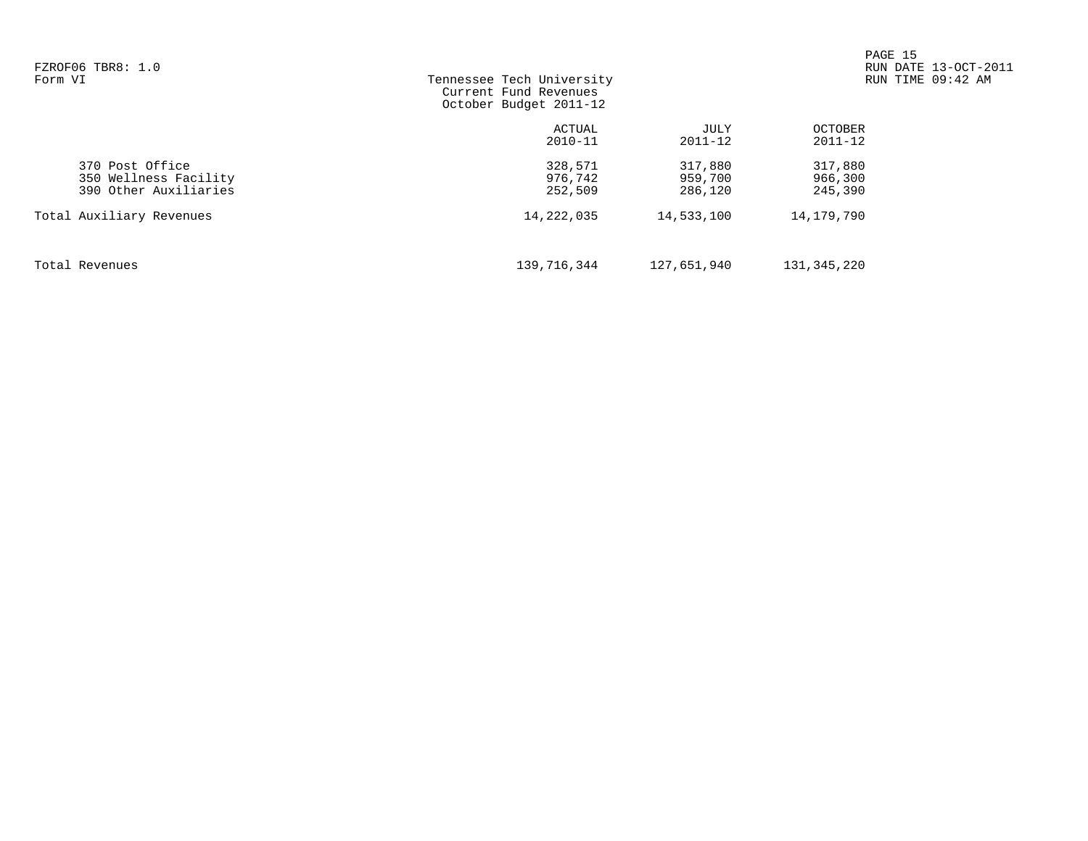| FZROF06 TBR8: 1.0<br>Form VI                                      | Tennessee Tech University<br>Current Fund Revenues<br>October Budget 2011-12 |                               | PAGE 15                       | RUN DATE 13-OCT-2011<br>RUN TIME 09:42 AM |
|-------------------------------------------------------------------|------------------------------------------------------------------------------|-------------------------------|-------------------------------|-------------------------------------------|
|                                                                   | ACTUAL<br>$2010 - 11$                                                        | JULY<br>$2011 - 12$           | OCTOBER<br>2011-12            |                                           |
| 370 Post Office<br>350 Wellness Facility<br>390 Other Auxiliaries | 328,571<br>976,742<br>252,509                                                | 317,880<br>959,700<br>286,120 | 317,880<br>966,300<br>245,390 |                                           |
| Total Auxiliary Revenues                                          | 14,222,035                                                                   | 14,533,100                    | 14,179,790                    |                                           |
| Total Revenues                                                    | 139,716,344                                                                  | 127,651,940                   | 131,345,220                   |                                           |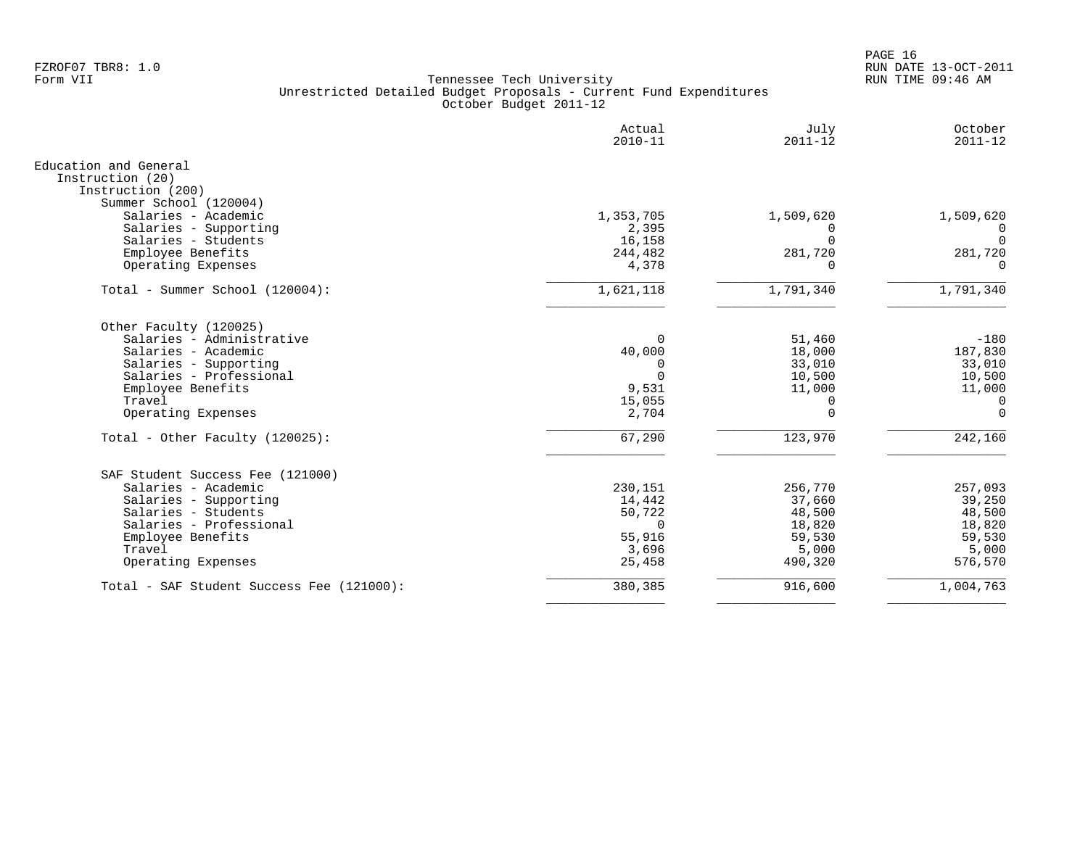|                                                                | Actual<br>$2010 - 11$ | July<br>$2011 - 12$   | October<br>$2011 - 12$ |
|----------------------------------------------------------------|-----------------------|-----------------------|------------------------|
| Education and General<br>Instruction (20)<br>Instruction (200) |                       |                       |                        |
| Summer School (120004)                                         |                       |                       |                        |
| Salaries - Academic<br>Salaries - Supporting                   | 1,353,705<br>2,395    | 1,509,620<br>$\Omega$ | 1,509,620              |
| Salaries - Students                                            | 16,158                | $\Omega$              |                        |
| Employee Benefits                                              | 244,482               | 281,720               | 281,720                |
| Operating Expenses                                             | 4,378                 | $\Omega$              | ∩                      |
| Total - Summer School (120004):                                | 1,621,118             | 1,791,340             | 1,791,340              |
| Other Faculty (120025)                                         |                       |                       |                        |
| Salaries - Administrative                                      | $\Omega$              | 51,460                | $-180$                 |
| Salaries - Academic                                            | 40,000                | 18,000                | 187,830                |
| Salaries - Supporting<br>Salaries - Professional               | $\Omega$<br>$\Omega$  | 33,010                | 33,010                 |
| Employee Benefits                                              | 9,531                 | 10,500<br>11,000      | 10,500<br>11,000       |
| Travel                                                         | 15,055                | 0                     | 0                      |
| Operating Expenses                                             | 2,704                 | $\Omega$              | $\Omega$               |
| Total - Other Faculty (120025):                                | 67,290                | 123,970               | 242,160                |
| SAF Student Success Fee (121000)                               |                       |                       |                        |
| Salaries - Academic                                            | 230,151               | 256,770               | 257,093                |
| Salaries - Supporting                                          | 14,442                | 37,660                | 39,250                 |
| Salaries - Students                                            | 50,722                | 48,500                | 48,500                 |
| Salaries - Professional                                        | $\Omega$              | 18,820                | 18,820                 |
| Employee Benefits<br>Travel                                    | 55,916                | 59,530                | 59,530                 |
| Operating Expenses                                             | 3,696<br>25,458       | 5,000<br>490,320      | 5,000<br>576,570       |
| Total - SAF Student Success Fee (121000):                      | 380,385               | 916,600               | 1,004,763              |
|                                                                |                       |                       |                        |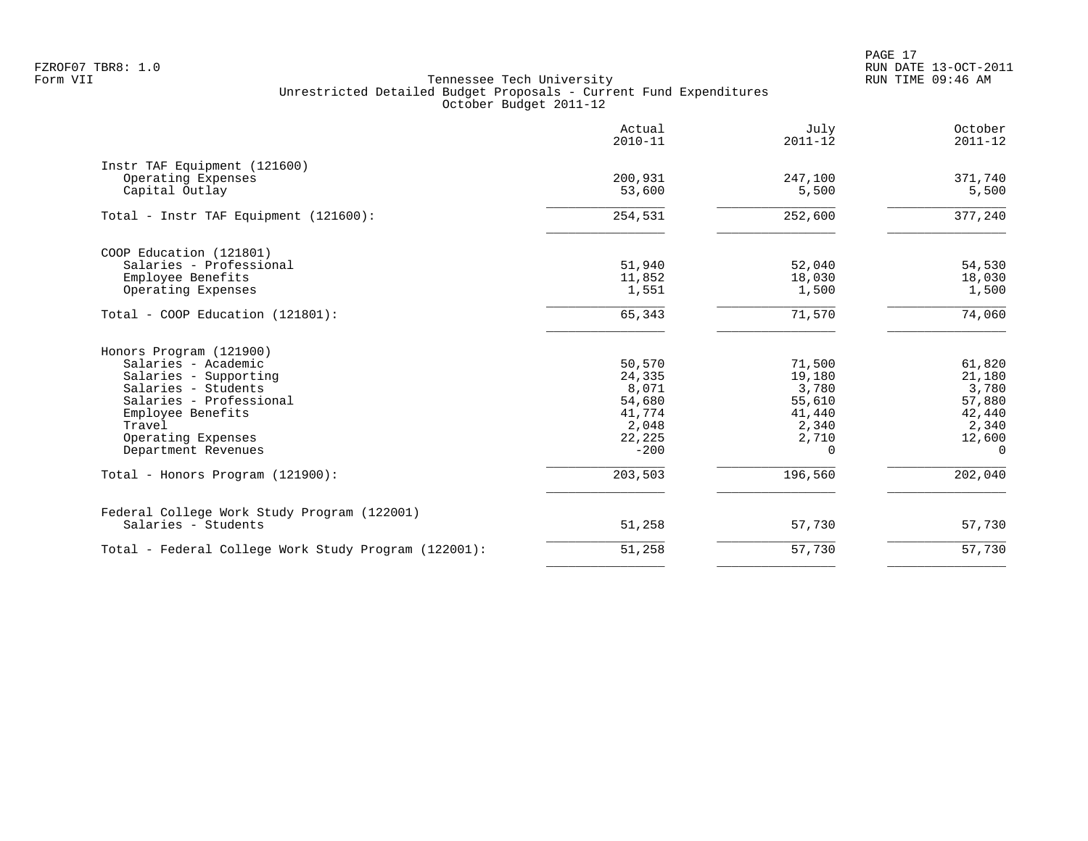PAGE 17 FZROF07 TBR8: 1.0 RUN DATE 13-OCT-2011

|                                                      | Actual<br>$2010 - 11$ | July<br>$2011 - 12$ | October<br>$2011 - 12$ |
|------------------------------------------------------|-----------------------|---------------------|------------------------|
| Instr TAF Equipment (121600)                         |                       |                     |                        |
| Operating Expenses                                   | 200,931               | 247,100             | 371,740                |
| Capital Outlay                                       | 53,600                | 5,500               | 5,500                  |
| Total - Instr TAF Equipment (121600):                | 254,531               | 252,600             | 377,240                |
| COOP Education (121801)                              |                       |                     |                        |
| Salaries - Professional                              | 51,940                | 52,040              | 54,530                 |
| Employee Benefits                                    | 11,852                | 18,030              | 18,030                 |
| Operating Expenses                                   | 1,551                 | 1,500               | 1,500                  |
| Total - COOP Education (121801):                     | 65,343                | 71,570              | 74,060                 |
| Honors Program (121900)                              |                       |                     |                        |
| Salaries - Academic                                  | 50,570                | 71,500              | 61,820                 |
| Salaries - Supporting                                | 24,335                | 19,180              | 21,180                 |
| Salaries - Students                                  | 8,071                 | 3,780               | 3,780                  |
| Salaries - Professional                              | 54,680                | 55,610              | 57,880                 |
| Employee Benefits                                    | 41,774                | 41,440              | 42,440                 |
| Travel                                               | 2,048                 | 2,340               | 2,340                  |
| Operating Expenses                                   | 22,225                | 2,710               | 12,600                 |
| Department Revenues                                  | $-200$                | 0                   | $\Omega$               |
| Total - Honors Program (121900):                     | 203,503               | 196,560             | 202,040                |
| Federal College Work Study Program (122001)          |                       |                     |                        |
| Salaries - Students                                  | 51,258                | 57,730              | 57,730                 |
| Total - Federal College Work Study Program (122001): | 51,258                | 57,730              | 57,730                 |
|                                                      |                       |                     |                        |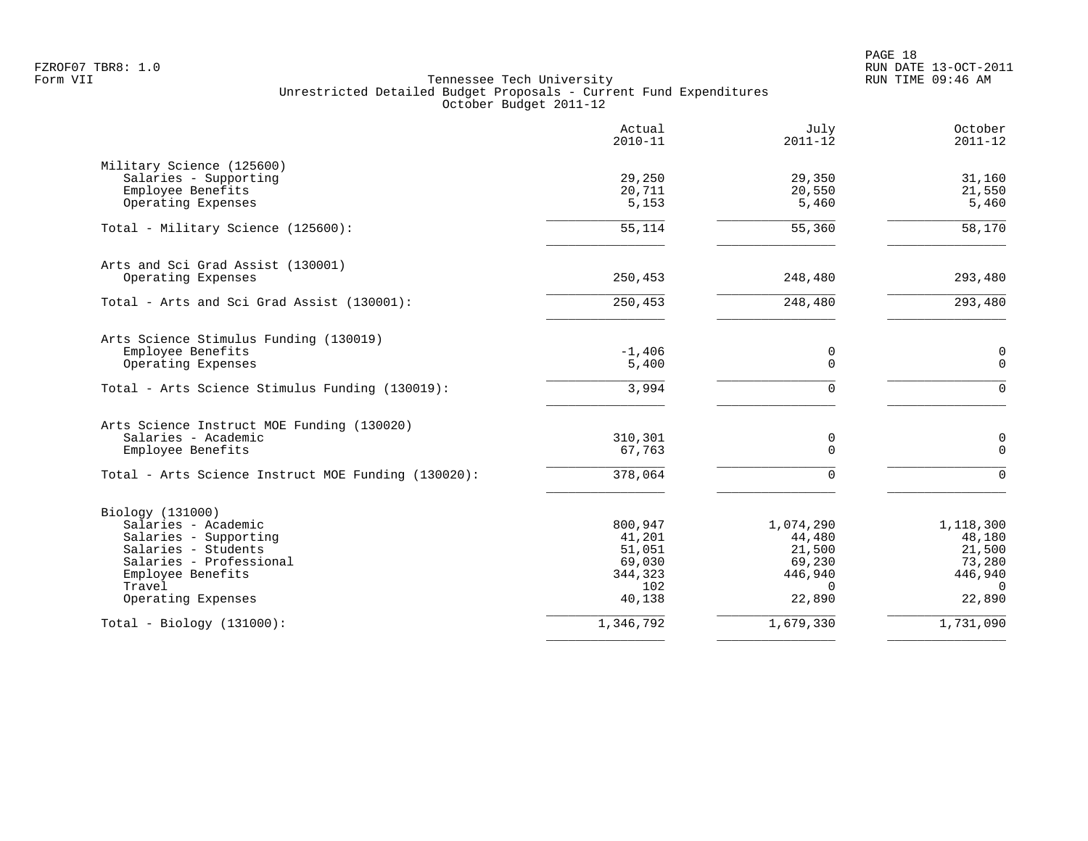PAGE 18 FZROF07 TBR8: 1.0 RUN DATE 13-OCT-2011

|                                                     | Actual<br>$2010 - 11$ | July<br>$2011 - 12$ | October<br>$2011 - 12$  |
|-----------------------------------------------------|-----------------------|---------------------|-------------------------|
| Military Science (125600)<br>Salaries - Supporting  | 29,250                | 29,350              | 31,160                  |
| Employee Benefits                                   | 20,711                | 20,550              | 21,550                  |
| Operating Expenses                                  | 5,153                 | 5,460               | 5,460                   |
| Total - Military Science (125600):                  | 55,114                | 55,360              | 58,170                  |
| Arts and Sci Grad Assist (130001)                   |                       |                     |                         |
| Operating Expenses                                  | 250,453               | 248,480             | 293,480                 |
| Total - Arts and Sci Grad Assist (130001):          | 250,453               | 248,480             | 293,480                 |
| Arts Science Stimulus Funding (130019)              |                       |                     |                         |
| Employee Benefits<br>Operating Expenses             | $-1,406$<br>5,400     | 0<br>$\Omega$       | 0<br>$\Omega$           |
| Total - Arts Science Stimulus Funding (130019):     | 3,994                 | $\Omega$            | $\Omega$                |
| Arts Science Instruct MOE Funding (130020)          |                       |                     |                         |
| Salaries - Academic                                 | 310,301               | 0                   | $\mathbf 0$<br>$\Omega$ |
| Employee Benefits                                   | 67,763                | $\Omega$            |                         |
| Total - Arts Science Instruct MOE Funding (130020): | 378,064               | $\Omega$            | $\Omega$                |
| Biology (131000)                                    |                       |                     |                         |
| Salaries - Academic                                 | 800,947               | 1,074,290           | 1,118,300               |
| Salaries - Supporting<br>Salaries - Students        | 41,201<br>51,051      | 44,480<br>21,500    | 48,180<br>21,500        |
| Salaries - Professional                             | 69,030                | 69,230              | 73,280                  |
| Employee Benefits                                   | 344,323               | 446,940             | 446,940                 |
| Travel                                              | 102                   | $\Omega$            | $\cap$                  |
| Operating Expenses                                  | 40,138                | 22,890              | 22,890                  |
| $Total - Biology (131000):$                         | 1,346,792             | 1,679,330           | 1,731,090               |
|                                                     |                       |                     |                         |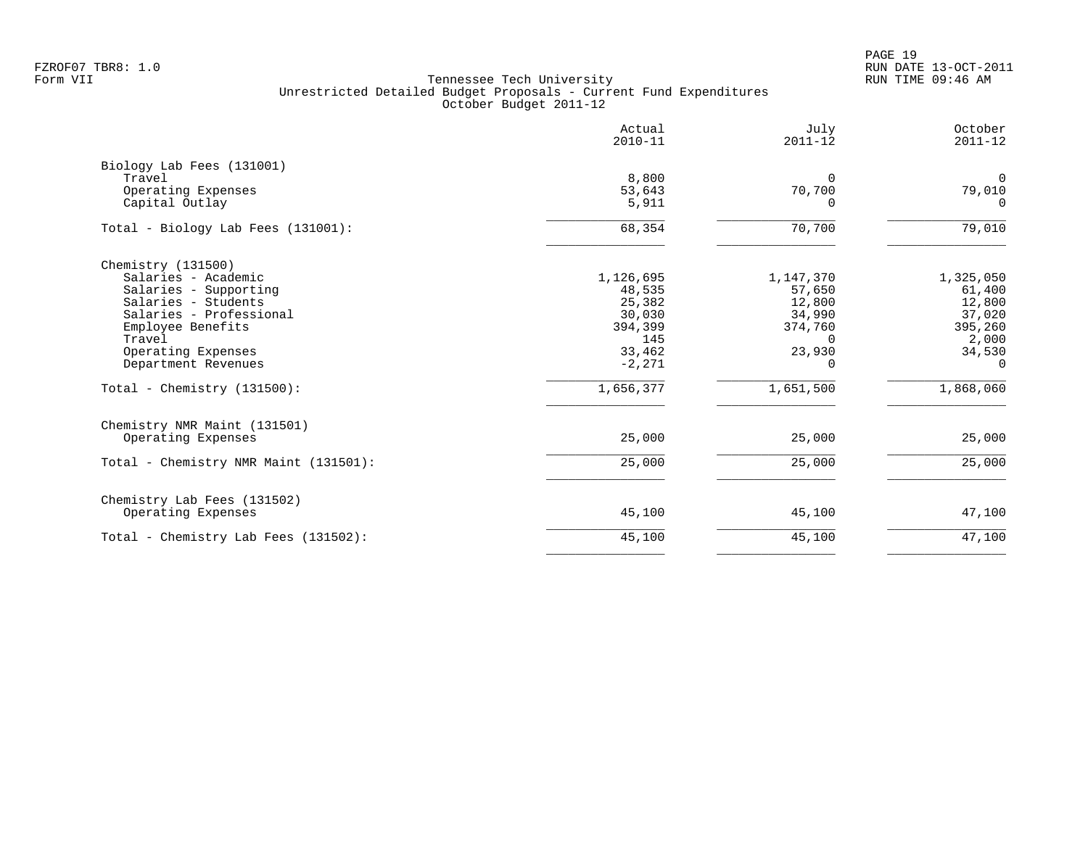PAGE 19 FZROF07 TBR8: 1.0 RUN DATE 13-OCT-2011

|                                                                                                                                                                                                                                    | Actual<br>$2010 - 11$                                                                        | July<br>$2011 - 12$                                                                               | October<br>$2011 - 12$                                                                         |
|------------------------------------------------------------------------------------------------------------------------------------------------------------------------------------------------------------------------------------|----------------------------------------------------------------------------------------------|---------------------------------------------------------------------------------------------------|------------------------------------------------------------------------------------------------|
| Biology Lab Fees (131001)<br>Travel<br>Operating Expenses<br>Capital Outlay                                                                                                                                                        | 8,800<br>53,643<br>5,911                                                                     | $\Omega$<br>70,700<br>$\Omega$                                                                    | $\overline{0}$<br>79,010<br>$\Omega$                                                           |
| Total - Biology Lab Fees (131001):                                                                                                                                                                                                 | 68, 354                                                                                      | 70,700                                                                                            | 79,010                                                                                         |
| Chemistry (131500)<br>Salaries - Academic<br>Salaries - Supporting<br>Salaries - Students<br>Salaries - Professional<br>Employee Benefits<br>Travel<br>Operating Expenses<br>Department Revenues<br>Total - Chemistry $(131500)$ : | 1,126,695<br>48,535<br>25,382<br>30,030<br>394,399<br>145<br>33,462<br>$-2,271$<br>1,656,377 | 1,147,370<br>57,650<br>12,800<br>34,990<br>374,760<br>$\Omega$<br>23,930<br>$\Omega$<br>1,651,500 | 1,325,050<br>61,400<br>12,800<br>37,020<br>395,260<br>2,000<br>34,530<br>$\Omega$<br>1,868,060 |
| Chemistry NMR Maint (131501)<br>Operating Expenses<br>Total - Chemistry NMR Maint (131501):                                                                                                                                        | 25,000<br>25,000                                                                             | 25,000<br>25,000                                                                                  | 25,000<br>25,000                                                                               |
| Chemistry Lab Fees (131502)<br>Operating Expenses                                                                                                                                                                                  | 45,100                                                                                       | 45,100                                                                                            | 47,100                                                                                         |
| Total - Chemistry Lab Fees (131502):                                                                                                                                                                                               | 45,100                                                                                       | 45,100                                                                                            | 47,100                                                                                         |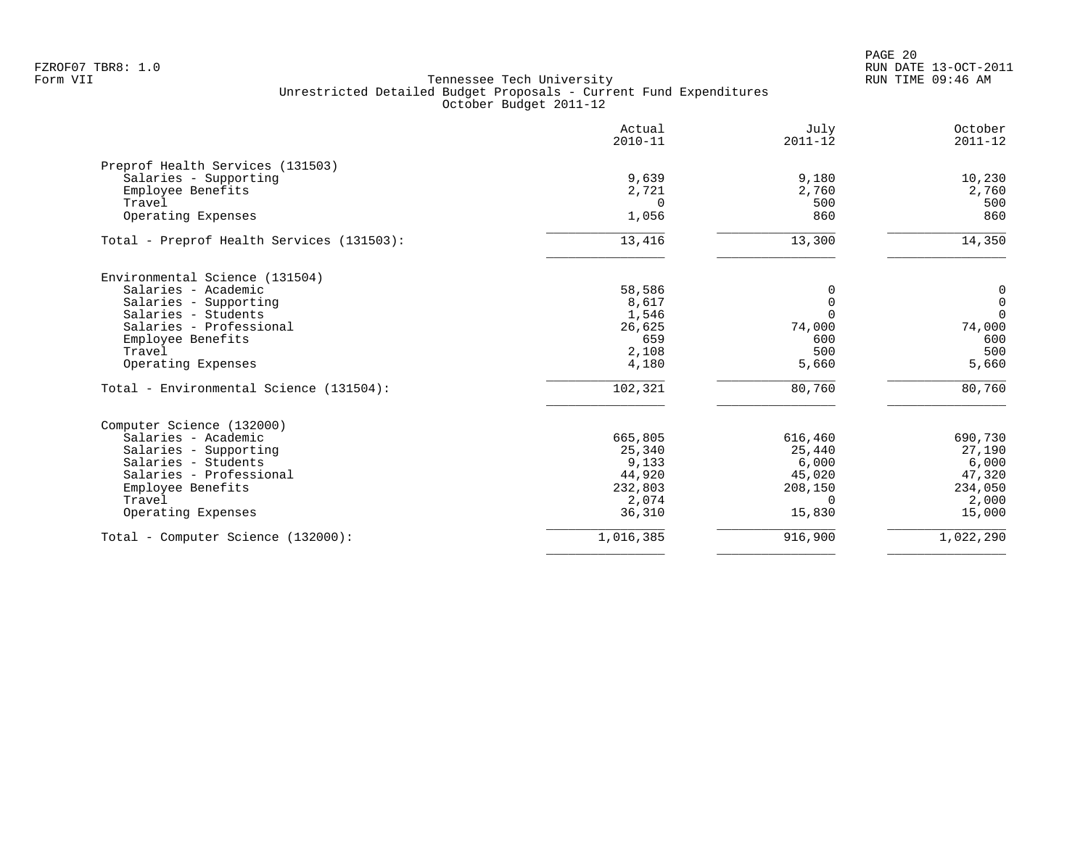|                                           | Actual<br>$2010 - 11$ | July<br>$2011 - 12$ | October<br>$2011 - 12$ |
|-------------------------------------------|-----------------------|---------------------|------------------------|
| Preprof Health Services (131503)          |                       |                     |                        |
| Salaries - Supporting                     | 9,639                 | 9,180               | 10,230                 |
| Employee Benefits                         | 2,721                 | 2,760               | 2,760                  |
| Travel                                    | $\Omega$              | 500                 | 500                    |
| Operating Expenses                        | 1,056                 | 860                 | 860                    |
| Total - Preprof Health Services (131503): | 13,416                | 13,300              | 14,350                 |
| Environmental Science (131504)            |                       |                     |                        |
| Salaries - Academic                       | 58,586                | 0                   | $\overline{0}$         |
| Salaries - Supporting                     | 8,617                 | $\Omega$            | $\mathsf{O}\xspace$    |
| Salaries - Students                       | 1,546                 | $\Omega$            | $\mathbf 0$            |
| Salaries - Professional                   | 26,625                | 74,000              | 74,000                 |
| Employee Benefits                         | 659                   | 600                 | 600                    |
| Travel                                    | 2,108                 | 500                 | 500                    |
| Operating Expenses                        | 4,180                 | 5,660               | 5,660                  |
| Total - Environmental Science (131504):   | 102,321               | 80,760              | 80,760                 |
| Computer Science (132000)                 |                       |                     |                        |
| Salaries - Academic                       | 665,805               | 616,460             | 690,730                |
| Salaries - Supporting                     | 25,340                | 25,440              | 27,190                 |
| Salaries - Students                       | 9,133                 | 6,000               | 6,000                  |
| Salaries - Professional                   | 44,920                | 45,020              | 47,320                 |
| Employee Benefits                         | 232,803               | 208,150             | 234,050                |
| Travel                                    | 2,074                 | $\Omega$            | 2,000                  |
| Operating Expenses                        | 36,310                | 15,830              | 15,000                 |
| Total - Computer Science (132000):        | 1,016,385             | 916,900             | 1,022,290              |
|                                           |                       |                     |                        |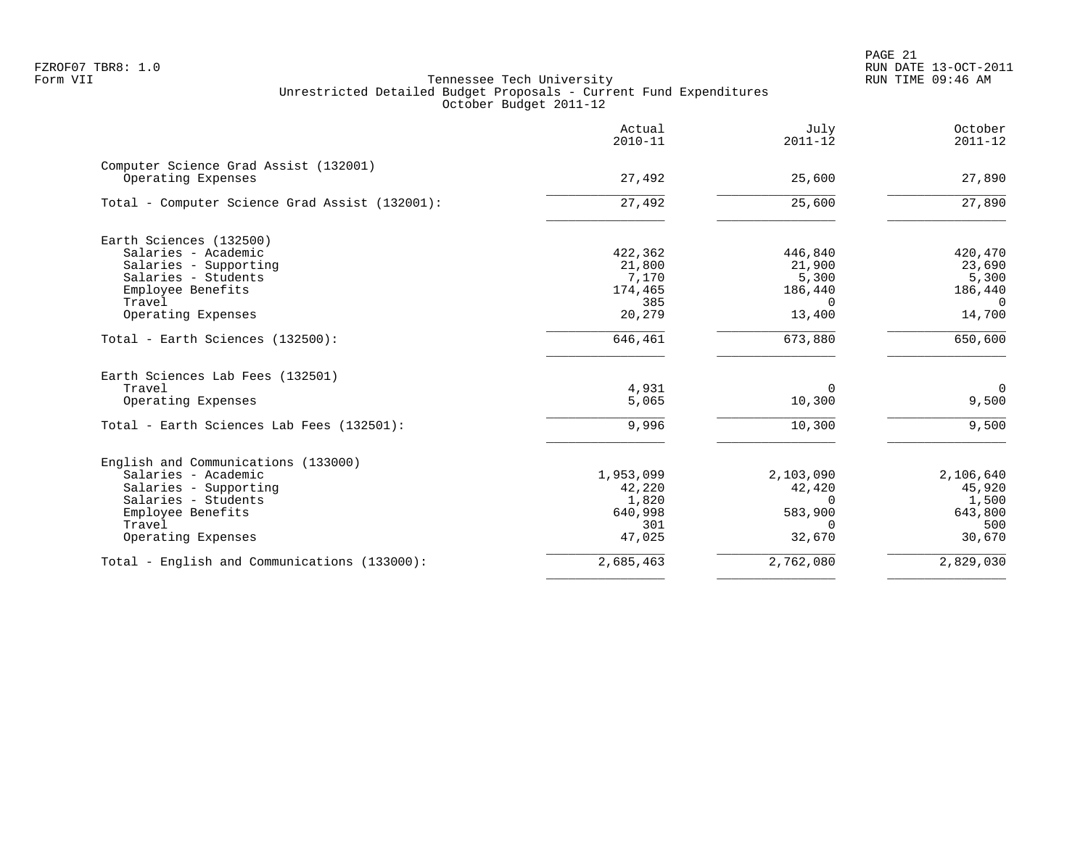|                                                             | Actual<br>$2010 - 11$ | July<br>$2011 - 12$ | October<br>$2011 - 12$ |
|-------------------------------------------------------------|-----------------------|---------------------|------------------------|
| Computer Science Grad Assist (132001)<br>Operating Expenses | 27,492                | 25,600              | 27,890                 |
| Total - Computer Science Grad Assist (132001):              | 27,492                | 25,600              | 27,890                 |
| Earth Sciences (132500)                                     |                       |                     |                        |
| Salaries - Academic                                         | 422,362               | 446,840             | 420,470                |
| Salaries - Supporting                                       | 21,800                | 21,900              | 23,690                 |
| Salaries - Students                                         | 7,170                 | 5,300               | 5,300                  |
| Employee Benefits                                           | 174,465               | 186,440             | 186,440                |
| Travel                                                      | 385                   | $\Omega$            | $\Omega$               |
| Operating Expenses                                          | 20,279                | 13,400              | 14,700                 |
| Total - Earth Sciences (132500):                            | 646,461               | 673,880             | 650,600                |
| Earth Sciences Lab Fees (132501)                            |                       |                     |                        |
| Travel                                                      | 4,931                 | $\Omega$            | $\mathbf 0$            |
| Operating Expenses                                          | 5,065                 | 10,300              | 9,500                  |
| Total - Earth Sciences Lab Fees (132501):                   | 9,996                 | 10,300              | 9,500                  |
| English and Communications (133000)                         |                       |                     |                        |
| Salaries - Academic                                         | 1,953,099             | 2,103,090           | 2,106,640              |
| Salaries - Supporting                                       | 42,220                | 42,420              | 45,920                 |
| Salaries - Students                                         | 1,820                 | $\Omega$            | 1,500                  |
| Employee Benefits                                           | 640,998               | 583,900             | 643,800                |
| Travel                                                      | 301                   | $\Omega$            | 500                    |
| Operating Expenses                                          | 47,025                | 32,670              | 30,670                 |
| Total - English and Communications (133000):                | 2,685,463             | 2,762,080           | 2,829,030              |
|                                                             |                       |                     |                        |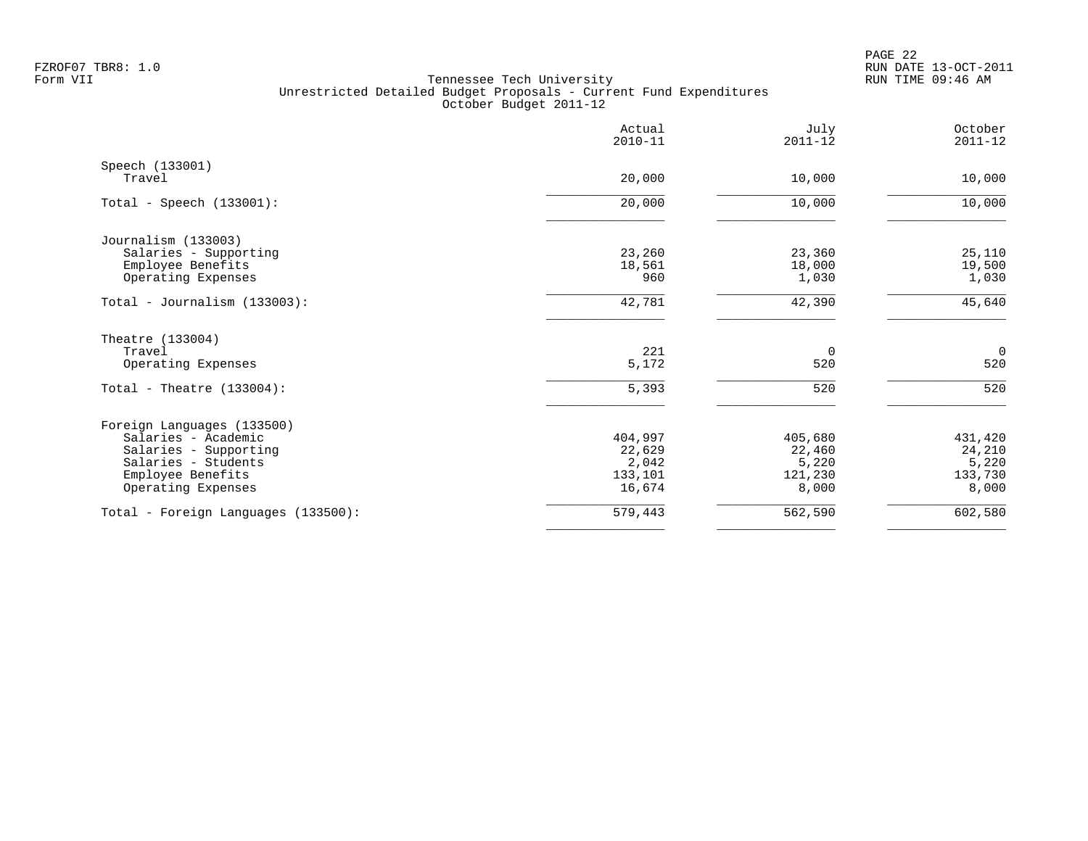|                                     | Actual<br>$2010 - 11$ | July<br>$2011 - 12$ | October<br>$2011 - 12$ |
|-------------------------------------|-----------------------|---------------------|------------------------|
| Speech (133001)<br>Travel           | 20,000                | 10,000              | 10,000                 |
| Total - Speech $(133001)$ :         | 20,000                | 10,000              | 10,000                 |
| Journalism (133003)                 |                       |                     |                        |
| Salaries - Supporting               | 23,260                | 23,360              | 25,110                 |
| Employee Benefits                   | 18,561                | 18,000              | 19,500                 |
| Operating Expenses                  | 960                   | 1,030               | 1,030                  |
| Total - Journalism $(133003)$ :     | 42,781                | 42,390              | 45,640                 |
| Theatre (133004)                    |                       |                     |                        |
| Travel                              | 221                   | 0                   | $\overline{0}$         |
| Operating Expenses                  | 5,172                 | 520                 | 520                    |
| Total - Theatre $(133004)$ :        | 5,393                 | 520                 | 520                    |
| Foreign Languages (133500)          |                       |                     |                        |
| Salaries - Academic                 | 404,997               | 405,680             | 431,420                |
| Salaries - Supporting               | 22,629                | 22,460              | 24,210                 |
| Salaries - Students                 | 2,042                 | 5,220               | 5,220                  |
| Employee Benefits                   | 133,101               | 121,230             | 133,730                |
| Operating Expenses                  | 16,674                | 8,000               | 8,000                  |
| Total - Foreign Languages (133500): | 579,443               | 562,590             | 602,580                |
|                                     |                       |                     |                        |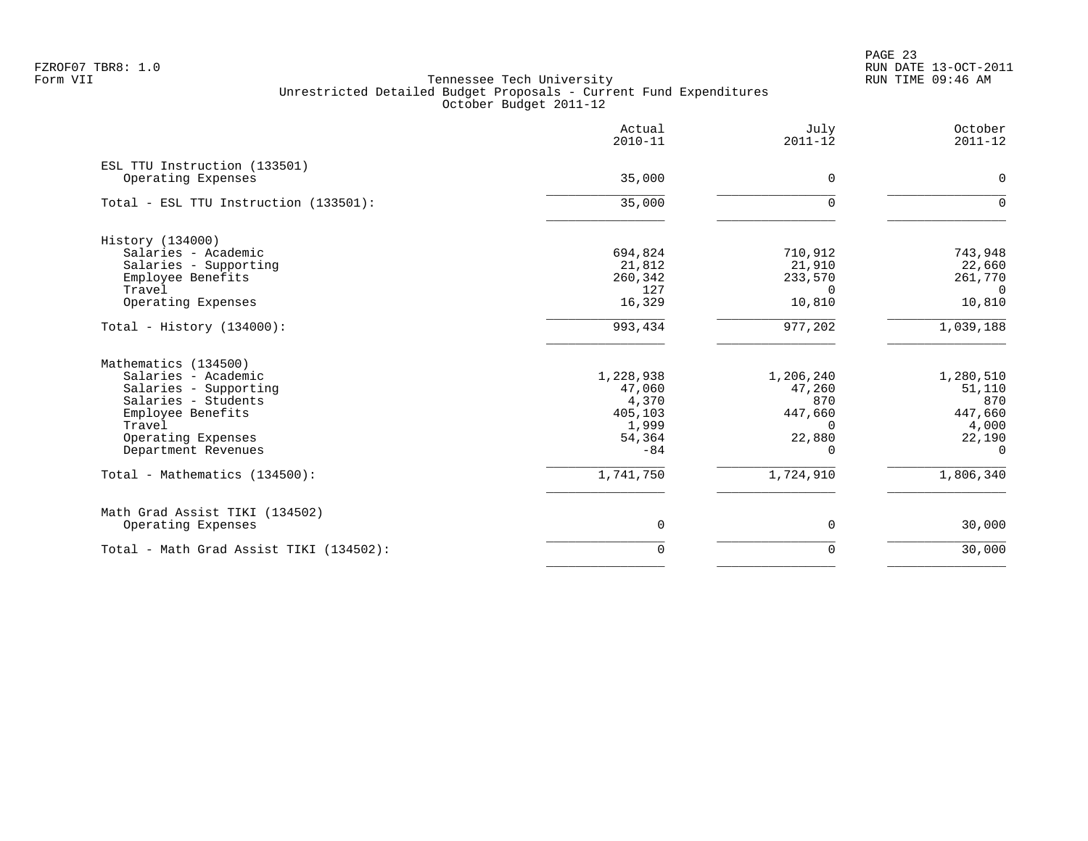PAGE 23 FZROF07 TBR8: 1.0 RUN DATE 13-OCT-2011

|                                                    | Actual<br>$2010 - 11$ | July<br>$2011 - 12$ | October<br>$2011 - 12$ |
|----------------------------------------------------|-----------------------|---------------------|------------------------|
| ESL TTU Instruction (133501)<br>Operating Expenses | 35,000                | 0                   | 0                      |
| Total - ESL TTU Instruction (133501):              | 35,000                | 0                   | $\Omega$               |
| History (134000)                                   |                       |                     |                        |
| Salaries - Academic                                | 694,824               | 710,912             | 743,948                |
| Salaries - Supporting                              | 21,812                | 21,910              | 22,660                 |
| Employee Benefits                                  | 260,342               | 233,570             | 261,770                |
| Travel                                             | 127                   | $\Omega$            | $\Omega$               |
| Operating Expenses                                 | 16,329                | 10,810              | 10,810                 |
| Total - History $(134000)$ :                       | 993,434               | 977,202             | 1,039,188              |
| Mathematics (134500)                               |                       |                     |                        |
| Salaries - Academic                                | 1,228,938             | 1,206,240           | 1,280,510              |
| Salaries - Supporting                              | 47,060                | 47,260              | 51,110                 |
| Salaries - Students                                | 4,370                 | 870                 | 870                    |
| Employee Benefits                                  | 405,103               | 447,660             | 447,660                |
| Travel                                             | 1,999                 | $\Omega$            | 4,000                  |
| Operating Expenses                                 | 54,364                | 22,880              | 22,190                 |
| Department Revenues                                | $-84$                 | $\Omega$            | $\Omega$               |
| Total - Mathematics (134500):                      | 1,741,750             | 1,724,910           | 1,806,340              |
| Math Grad Assist TIKI (134502)                     |                       |                     |                        |
| Operating Expenses                                 | 0                     | 0                   | 30,000                 |
| Total - Math Grad Assist TIKI (134502):            | $\Omega$              | $\mathbf 0$         | 30,000                 |
|                                                    |                       |                     |                        |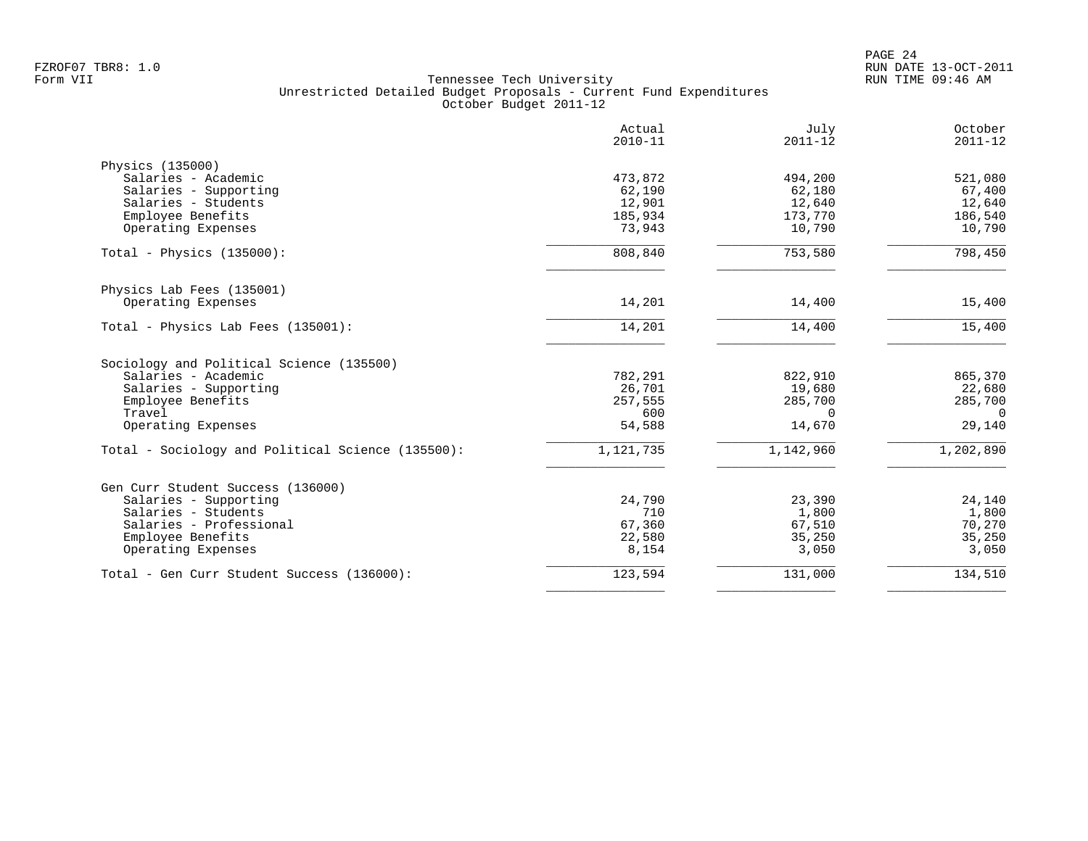|                                                   | Actual<br>$2010 - 11$ | July<br>$2011 - 12$ | October<br>$2011 - 12$ |
|---------------------------------------------------|-----------------------|---------------------|------------------------|
| Physics (135000)                                  |                       |                     |                        |
| Salaries - Academic                               | 473,872               | 494,200             | 521,080                |
| Salaries - Supporting                             | 62,190                | 62,180              | 67,400                 |
| Salaries - Students                               | 12,901                | 12,640              | 12,640                 |
| Employee Benefits                                 | 185,934               | 173,770             | 186,540                |
| Operating Expenses                                | 73,943                | 10,790              | 10,790                 |
| Total - Physics $(135000)$ :                      | 808,840               | 753,580             | 798,450                |
| Physics Lab Fees (135001)                         |                       |                     |                        |
| Operating Expenses                                | 14,201                | 14,400              | 15,400                 |
| Total - Physics Lab Fees (135001):                | 14,201                | 14,400              | 15,400                 |
| Sociology and Political Science (135500)          |                       |                     |                        |
| Salaries - Academic                               | 782,291               | 822,910             | 865,370                |
| Salaries - Supporting                             | 26,701                | 19,680              | 22,680                 |
| Employee Benefits                                 | 257,555               | 285,700             | 285,700                |
| Travel                                            | 600                   | $\Omega$            | $\Omega$               |
| Operating Expenses                                | 54,588                | 14,670              | 29,140                 |
| Total - Sociology and Political Science (135500): | 1,121,735             | 1,142,960           | 1,202,890              |
| Gen Curr Student Success (136000)                 |                       |                     |                        |
| Salaries - Supporting                             | 24,790                | 23,390              | 24,140                 |
| Salaries - Students                               | 710                   | 1,800               | 1,800                  |
| Salaries - Professional                           | 67,360                | 67,510              | 70,270                 |
| Employee Benefits                                 | 22,580                | 35,250              | 35,250                 |
| Operating Expenses                                | 8,154                 | 3,050               | 3,050                  |
| Total - Gen Curr Student Success (136000):        | 123,594               | 131,000             | 134,510                |
|                                                   |                       |                     |                        |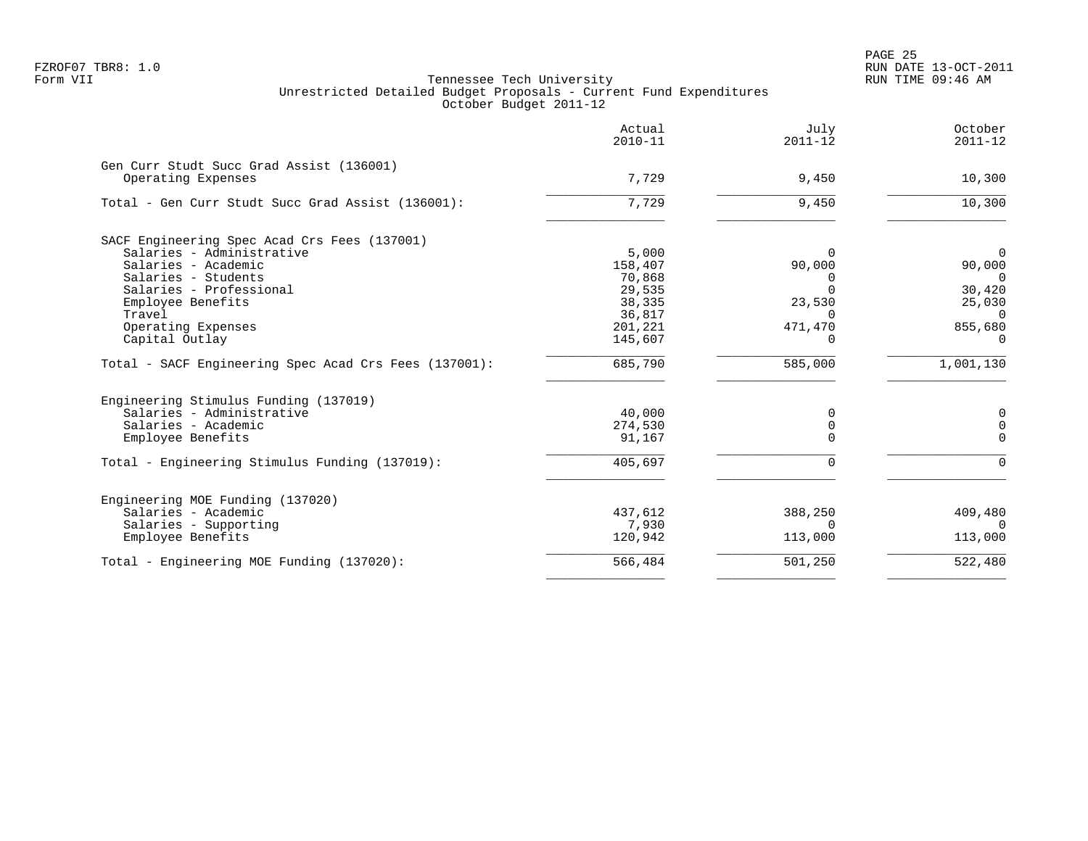|                                                                | Actual<br>$2010 - 11$ | July<br>$2011 - 12$ | October<br>$2011 - 12$ |
|----------------------------------------------------------------|-----------------------|---------------------|------------------------|
| Gen Curr Studt Succ Grad Assist (136001)<br>Operating Expenses | 7,729                 | 9,450               | 10,300                 |
| Total - Gen Curr Studt Succ Grad Assist (136001):              | 7,729                 | 9,450               | 10,300                 |
|                                                                |                       |                     |                        |
| SACF Engineering Spec Acad Crs Fees (137001)                   |                       |                     |                        |
| Salaries - Administrative                                      | 5,000                 | $\Omega$            | $\overline{0}$         |
| Salaries - Academic                                            | 158,407               | 90,000              | 90,000                 |
| Salaries - Students                                            | 70,868                | $\Omega$            | $\Omega$               |
| Salaries - Professional                                        | 29,535                | $\Omega$            | 30,420                 |
| Employee Benefits                                              | 38,335                | 23,530              | 25,030                 |
| Travel                                                         | 36,817                | $\Omega$            | $\Omega$               |
| Operating Expenses                                             | 201,221               | 471,470             | 855,680                |
| Capital Outlay                                                 | 145,607               | $\Omega$            | $\Omega$               |
| Total - SACF Engineering Spec Acad Crs Fees (137001):          | 685,790               | 585,000             | 1,001,130              |
| Engineering Stimulus Funding (137019)                          |                       |                     |                        |
| Salaries - Administrative                                      | 40,000                | 0                   | 0                      |
| Salaries - Academic                                            | 274,530               | 0                   | $\mathbf 0$            |
| Employee Benefits                                              | 91,167                | $\Omega$            | $\mathbf 0$            |
| Total - Engineering Stimulus Funding (137019):                 | 405,697               | $\Omega$            | $\Omega$               |
| Engineering MOE Funding (137020)                               |                       |                     |                        |
| Salaries - Academic                                            | 437,612               | 388,250             | 409,480                |
| Salaries - Supporting                                          | 7,930                 | $\Omega$            | $\Omega$               |
| Employee Benefits                                              | 120,942               | 113,000             | 113,000                |
| Total - Engineering MOE Funding (137020):                      | 566,484               | 501,250             | 522,480                |
|                                                                |                       |                     |                        |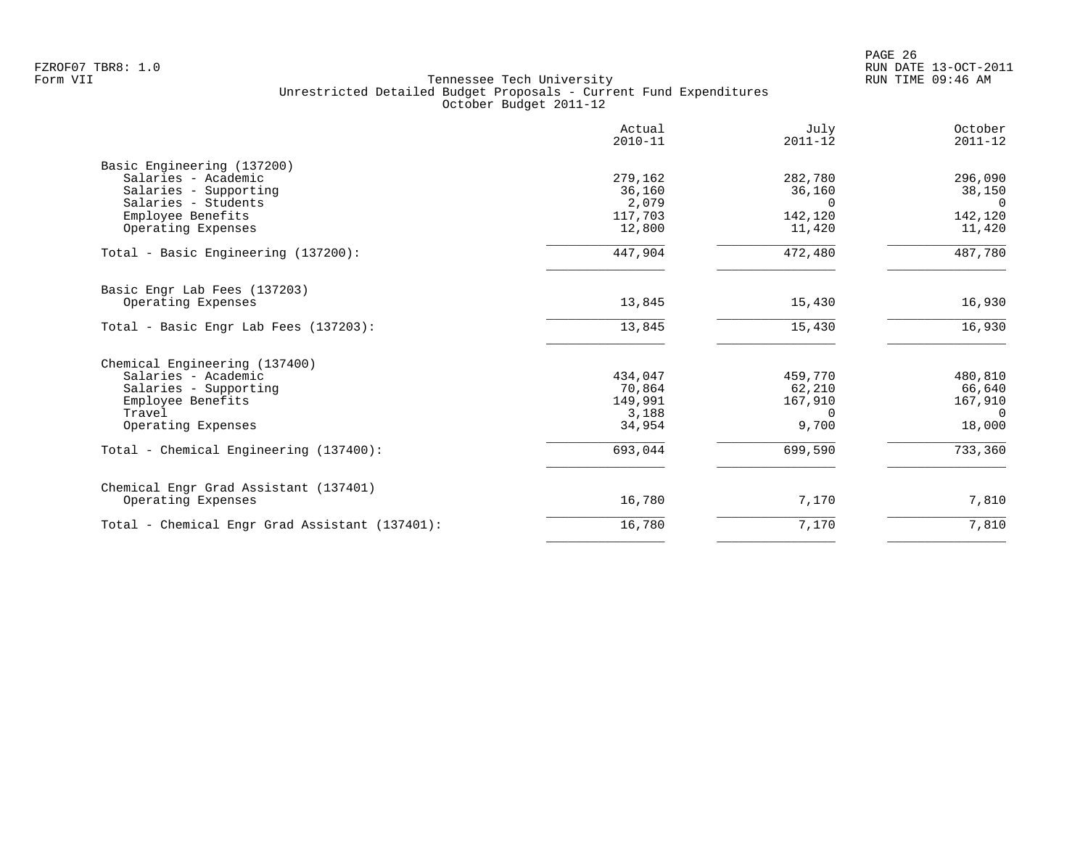|                                                | Actual<br>$2010 - 11$ | July<br>$2011 - 12$ | October<br>$2011 - 12$ |
|------------------------------------------------|-----------------------|---------------------|------------------------|
| Basic Engineering (137200)                     |                       |                     |                        |
| Salaries - Academic                            | 279,162               | 282,780             | 296,090                |
| Salaries - Supporting                          | 36,160                | 36,160              | 38,150                 |
| Salaries - Students<br>Employee Benefits       | 2,079<br>117,703      | $\Omega$<br>142,120 | $\Omega$<br>142,120    |
| Operating Expenses                             | 12,800                | 11,420              | 11,420                 |
|                                                |                       |                     |                        |
| Total - Basic Engineering (137200):            | 447,904               | 472,480             | 487,780                |
| Basic Engr Lab Fees (137203)                   |                       |                     |                        |
| Operating Expenses                             | 13,845                | 15,430              | 16,930                 |
| Total - Basic Engr Lab Fees (137203):          | 13,845                | 15,430              | 16,930                 |
| Chemical Engineering (137400)                  |                       |                     |                        |
| Salaries - Academic                            | 434,047               | 459,770             | 480,810                |
| Salaries - Supporting                          | 70,864                | 62,210              | 66,640                 |
| Employee Benefits                              | 149,991               | 167,910             | 167,910                |
| Travel                                         | 3,188                 | $\Omega$            | $\Omega$               |
| Operating Expenses                             | 34,954                | 9,700               | 18,000                 |
| Total - Chemical Engineering (137400):         | 693,044               | 699,590             | 733,360                |
| Chemical Engr Grad Assistant (137401)          |                       |                     |                        |
| Operating Expenses                             | 16,780                | 7,170               | 7,810                  |
| Total - Chemical Engr Grad Assistant (137401): | 16,780                | 7,170               | 7,810                  |
|                                                |                       |                     |                        |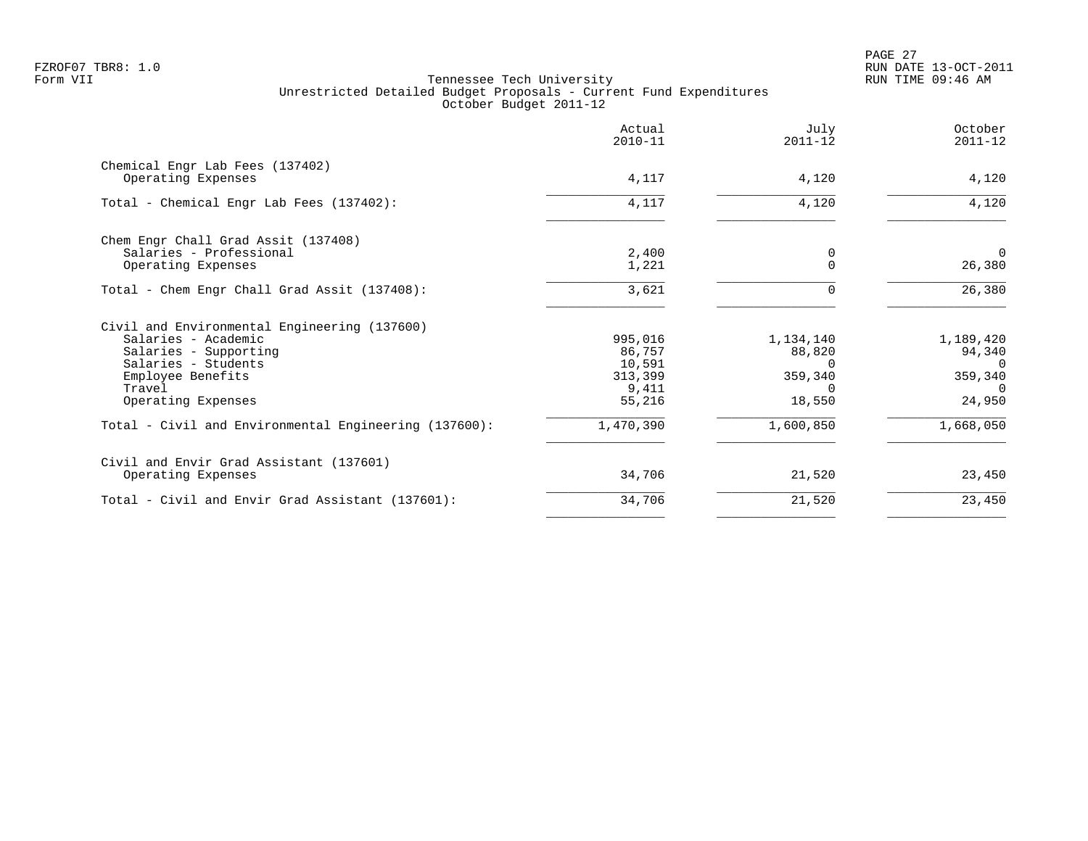PAGE 27 FZROF07 TBR8: 1.0 RUN DATE 13-OCT-2011

|                                                                                                                                                                          | Actual<br>$2010 - 11$                                     | July<br>$2011 - 12$                                       | October<br>$2011 - 12$                                           |
|--------------------------------------------------------------------------------------------------------------------------------------------------------------------------|-----------------------------------------------------------|-----------------------------------------------------------|------------------------------------------------------------------|
| Chemical Engr Lab Fees (137402)<br>Operating Expenses                                                                                                                    | 4,117                                                     | 4,120                                                     | 4,120                                                            |
| Total - Chemical Engr Lab Fees (137402):                                                                                                                                 | 4,117                                                     | 4,120                                                     | 4,120                                                            |
| Chem Engr Chall Grad Assit (137408)<br>Salaries - Professional<br>Operating Expenses                                                                                     | 2,400<br>1,221                                            | 0<br>$\Omega$                                             | $\Omega$<br>26,380                                               |
| Total - Chem Engr Chall Grad Assit (137408):                                                                                                                             | 3,621                                                     | $\Omega$                                                  | 26,380                                                           |
| Civil and Environmental Engineering (137600)<br>Salaries - Academic<br>Salaries - Supporting<br>Salaries - Students<br>Employee Benefits<br>Travel<br>Operating Expenses | 995,016<br>86,757<br>10,591<br>313,399<br>9,411<br>55,216 | 1,134,140<br>88,820<br>O<br>359,340<br>$\Omega$<br>18,550 | 1,189,420<br>94,340<br>$\Omega$<br>359,340<br>$\Omega$<br>24,950 |
| Total - Civil and Environmental Engineering (137600):                                                                                                                    | 1,470,390                                                 | 1,600,850                                                 | 1,668,050                                                        |
| Civil and Envir Grad Assistant (137601)<br>Operating Expenses                                                                                                            | 34,706                                                    | 21,520                                                    | 23,450                                                           |
| Total - Civil and Envir Grad Assistant (137601):                                                                                                                         | 34,706                                                    | 21,520                                                    | 23,450                                                           |
|                                                                                                                                                                          |                                                           |                                                           |                                                                  |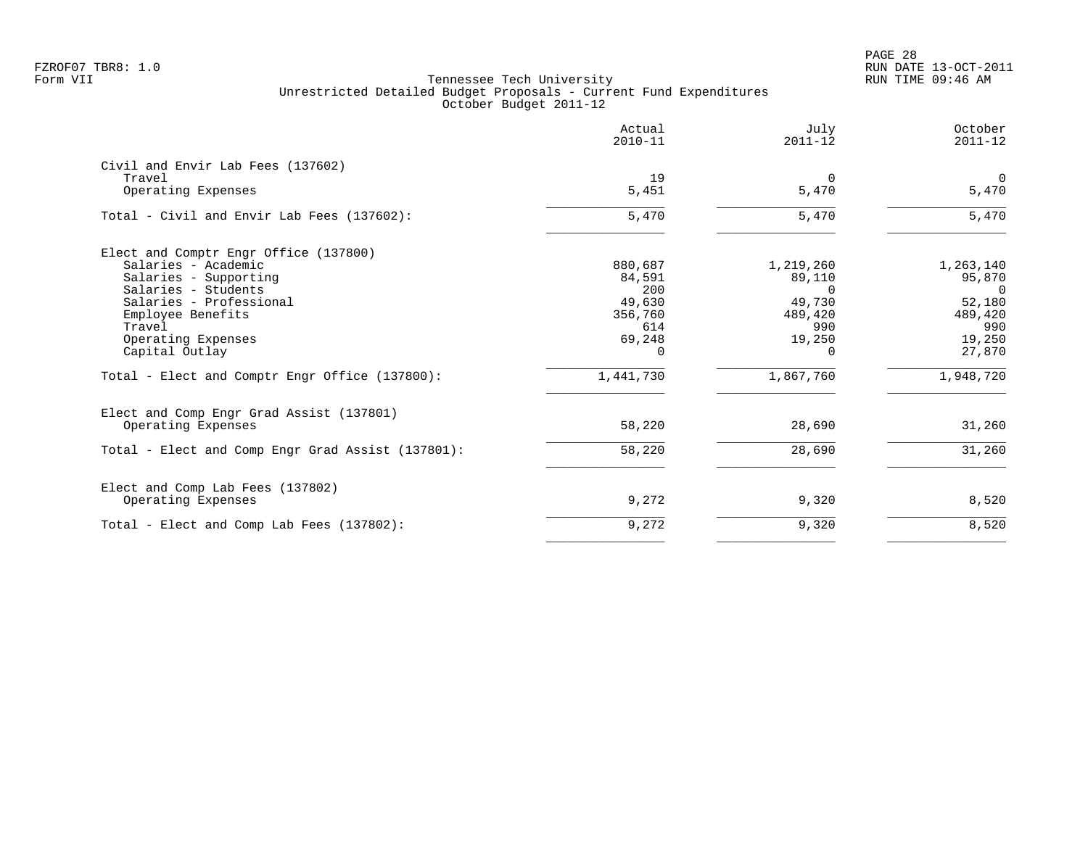PAGE 28 FZROF07 TBR8: 1.0 RUN DATE 13-OCT-2011

|                                                   | Actual<br>$2010 - 11$ | July<br>$2011 - 12$ | October<br>$2011 - 12$ |
|---------------------------------------------------|-----------------------|---------------------|------------------------|
| Civil and Envir Lab Fees (137602)<br>Travel       | 19                    | $\Omega$            | $\mathbf 0$            |
| Operating Expenses                                | 5,451                 | 5,470               | 5,470                  |
| Total - Civil and Envir Lab Fees (137602):        | 5,470                 | 5,470               | 5,470                  |
| Elect and Comptr Engr Office (137800)             |                       |                     |                        |
| Salaries - Academic                               | 880,687               | 1,219,260           | 1,263,140              |
| Salaries - Supporting                             | 84,591                | 89,110              | 95,870                 |
| Salaries - Students<br>Salaries - Professional    | 200<br>49,630         | $\Omega$<br>49,730  | $\Omega$<br>52,180     |
| Employee Benefits                                 | 356,760               | 489,420             | 489,420                |
| Travel                                            | 614                   | 990                 | 990                    |
| Operating Expenses                                | 69,248                | 19,250              | 19,250                 |
| Capital Outlay                                    | $\Omega$              | $\Omega$            | 27,870                 |
| Total - Elect and Comptr Engr Office (137800):    | 1,441,730             | 1,867,760           | 1,948,720              |
| Elect and Comp Engr Grad Assist (137801)          |                       |                     |                        |
| Operating Expenses                                | 58,220                | 28,690              | 31,260                 |
| Total - Elect and Comp Engr Grad Assist (137801): | 58,220                | 28,690              | 31,260                 |
| Elect and Comp Lab Fees (137802)                  |                       |                     |                        |
| Operating Expenses                                | 9,272                 | 9,320               | 8,520                  |
| Total - Elect and Comp Lab Fees (137802):         | 9,272                 | 9,320               | 8,520                  |
|                                                   |                       |                     |                        |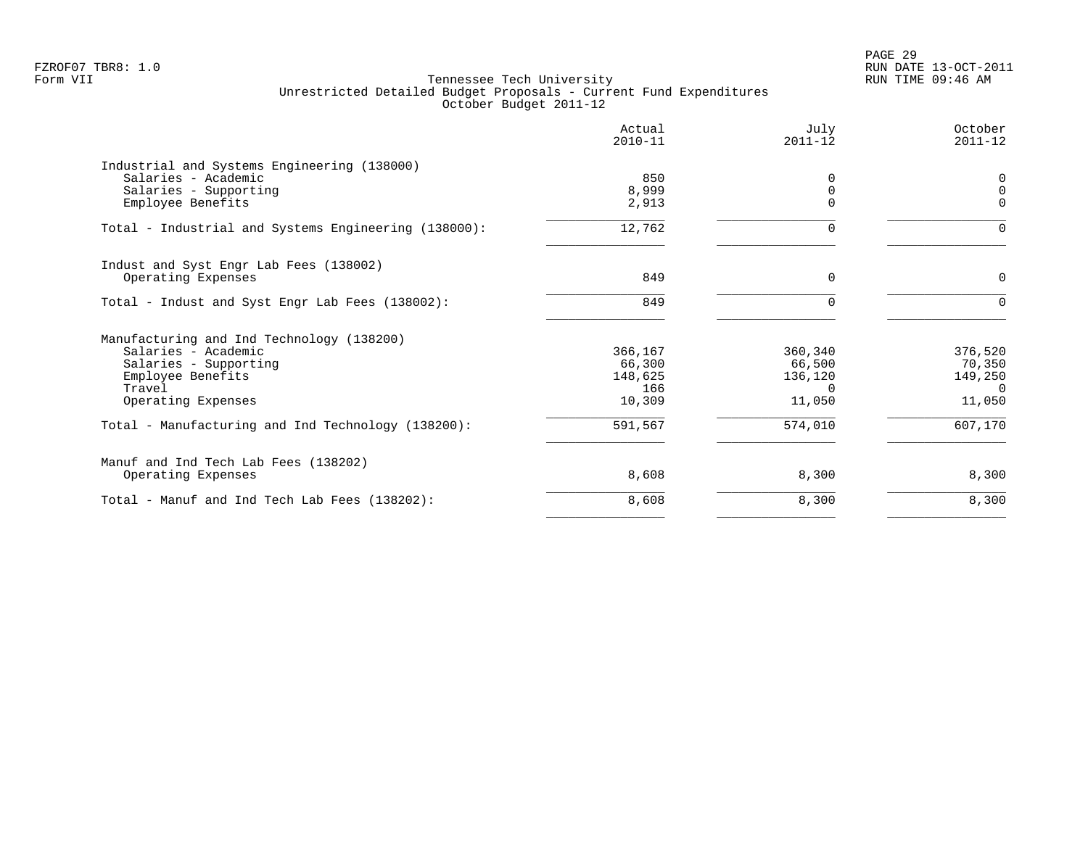|                                                      | Actual<br>$2010 - 11$ | July<br>$2011 - 12$ | October<br>$2011 - 12$ |
|------------------------------------------------------|-----------------------|---------------------|------------------------|
| Industrial and Systems Engineering (138000)          |                       |                     |                        |
| Salaries - Academic                                  | 850                   | $\Omega$            | 0                      |
| Salaries - Supporting                                | 8,999                 | 0                   | $\mathbf 0$            |
| Employee Benefits                                    | 2,913                 | $\Omega$            | $\Omega$               |
| Total - Industrial and Systems Engineering (138000): | 12,762                | 0                   | $\Omega$               |
| Indust and Syst Engr Lab Fees (138002)               |                       |                     |                        |
| Operating Expenses                                   | 849                   | $\Omega$            | 0                      |
| Total - Indust and Syst Engr Lab Fees (138002):      | 849                   | $\Omega$            | $\Omega$               |
| Manufacturing and Ind Technology (138200)            |                       |                     |                        |
| Salaries - Academic                                  | 366,167               | 360,340             | 376,520                |
| Salaries - Supporting                                | 66,300                | 66,500              | 70,350                 |
| Employee Benefits                                    | 148,625               | 136,120             | 149,250                |
| Travel                                               | 166                   | $\Omega$            | $\Omega$               |
| Operating Expenses                                   | 10,309                | 11,050              | 11,050                 |
| Total - Manufacturing and Ind Technology (138200):   | 591,567               | 574,010             | 607,170                |
| Manuf and Ind Tech Lab Fees (138202)                 |                       |                     |                        |
| Operating Expenses                                   | 8,608                 | 8,300               | 8,300                  |
| Total - Manuf and Ind Tech Lab Fees (138202):        | 8,608                 | 8,300               | 8,300                  |
|                                                      |                       |                     |                        |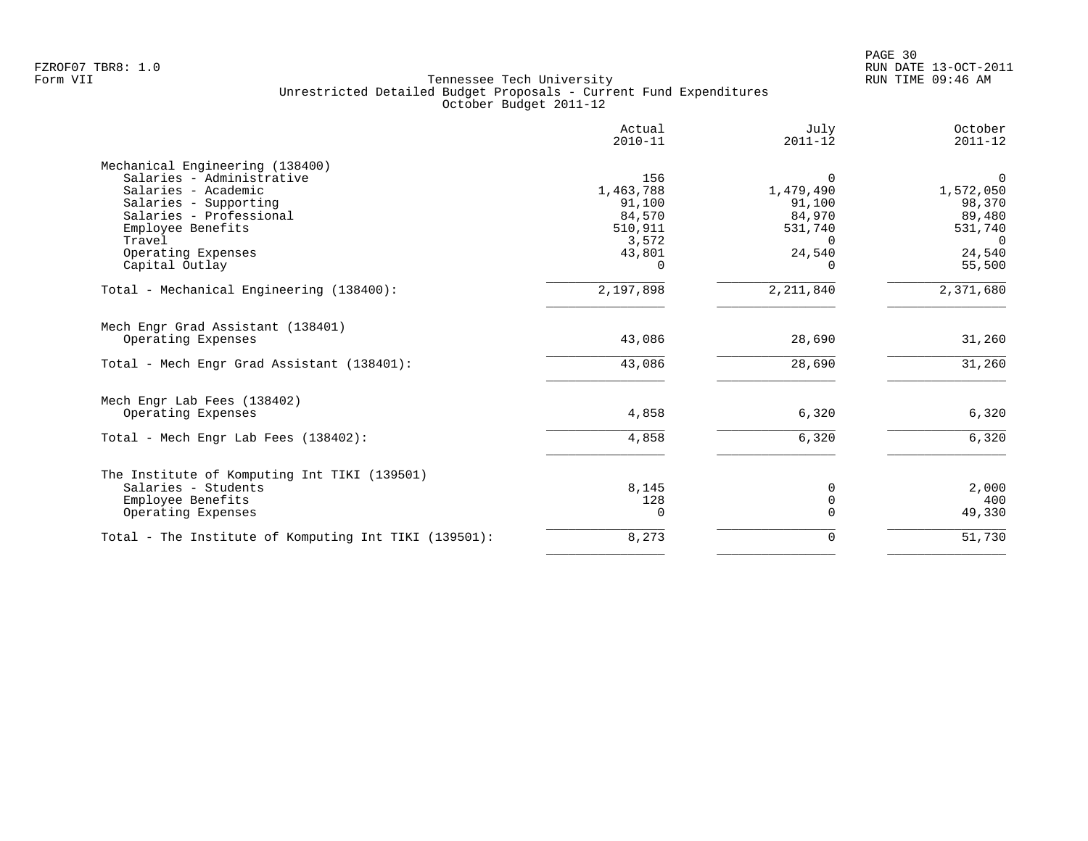|                                                              | Actual<br>$2010 - 11$ | July<br>$2011 - 12$ | October<br>$2011 - 12$ |
|--------------------------------------------------------------|-----------------------|---------------------|------------------------|
| Mechanical Engineering (138400)<br>Salaries - Administrative | 156                   | $\Omega$            | $\mathbf 0$            |
| Salaries - Academic                                          | 1,463,788             | 1,479,490           | 1,572,050              |
| Salaries - Supporting                                        | 91,100                | 91,100              | 98,370                 |
| Salaries - Professional                                      | 84,570                | 84,970              | 89,480                 |
| Employee Benefits                                            | 510,911               | 531,740             | 531,740                |
| Travel                                                       | 3,572                 | $\Omega$            | $\Omega$               |
| Operating Expenses                                           | 43,801                | 24,540              | 24,540                 |
| Capital Outlay                                               | $\Omega$              | $\cap$              | 55,500                 |
| Total - Mechanical Engineering (138400):                     | 2,197,898             | 2, 211, 840         | 2,371,680              |
| Mech Engr Grad Assistant (138401)                            |                       |                     |                        |
| Operating Expenses                                           | 43,086                | 28,690              | 31,260                 |
| Total - Mech Engr Grad Assistant (138401):                   | 43,086                | 28,690              | 31,260                 |
| Mech Engr Lab Fees (138402)                                  |                       |                     |                        |
| Operating Expenses                                           | 4,858                 | 6,320               | 6,320                  |
| Total - Mech Engr Lab Fees (138402):                         | 4,858                 | 6,320               | 6,320                  |
| The Institute of Komputing Int TIKI (139501)                 |                       |                     |                        |
| Salaries - Students                                          | 8,145                 | 0                   | 2,000                  |
| Employee Benefits                                            | 128                   | $\mathbf 0$         | 400                    |
| Operating Expenses                                           | 0                     | $\Omega$            | 49,330                 |
| Total - The Institute of Komputing Int TIKI (139501):        | 8,273                 | 0                   | 51,730                 |
|                                                              |                       |                     |                        |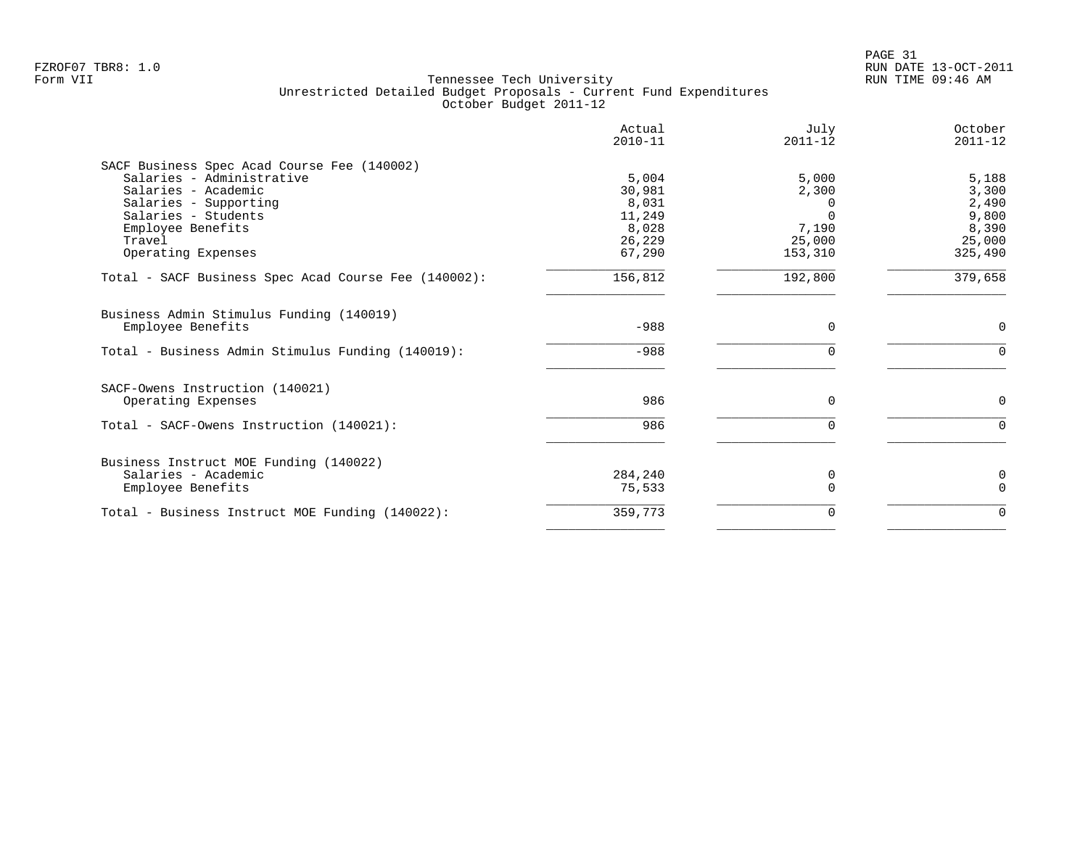|                                                      | Actual<br>$2010 - 11$ | July<br>$2011 - 12$ | October<br>$2011 - 12$ |
|------------------------------------------------------|-----------------------|---------------------|------------------------|
| SACF Business Spec Acad Course Fee (140002)          |                       |                     |                        |
| Salaries - Administrative                            | 5,004                 | 5,000               | 5,188                  |
| Salaries - Academic                                  | 30,981                | 2,300               | 3,300                  |
| Salaries - Supporting                                | 8,031                 |                     | 2,490                  |
| Salaries - Students                                  | 11,249                |                     | 9,800                  |
| Employee Benefits                                    | 8,028                 | 7,190               | 8,390                  |
| Travel                                               | 26,229                | 25,000              | 25,000                 |
| Operating Expenses                                   | 67,290                | 153,310             | 325,490                |
| Total - SACF Business Spec Acad Course Fee (140002): | 156,812               | 192,800             | 379,658                |
| Business Admin Stimulus Funding (140019)             |                       |                     |                        |
| Employee Benefits                                    | $-988$                | $\mathbf 0$         | $\mathbf 0$            |
| Total - Business Admin Stimulus Funding (140019):    | $-988$                | $\Omega$            | $\Omega$               |
| SACF-Owens Instruction (140021)                      |                       |                     |                        |
| Operating Expenses                                   | 986                   | 0                   | 0                      |
| Total - SACF-Owens Instruction (140021):             | 986                   | $\mathbf 0$         | $\Omega$               |
| Business Instruct MOE Funding (140022)               |                       |                     |                        |
| Salaries - Academic                                  | 284,240               | 0                   | 0                      |
| Employee Benefits                                    | 75,533                | $\Omega$            | $\Omega$               |
| Total - Business Instruct MOE Funding (140022):      | 359,773               | $\Omega$            | $\Omega$               |
|                                                      |                       |                     |                        |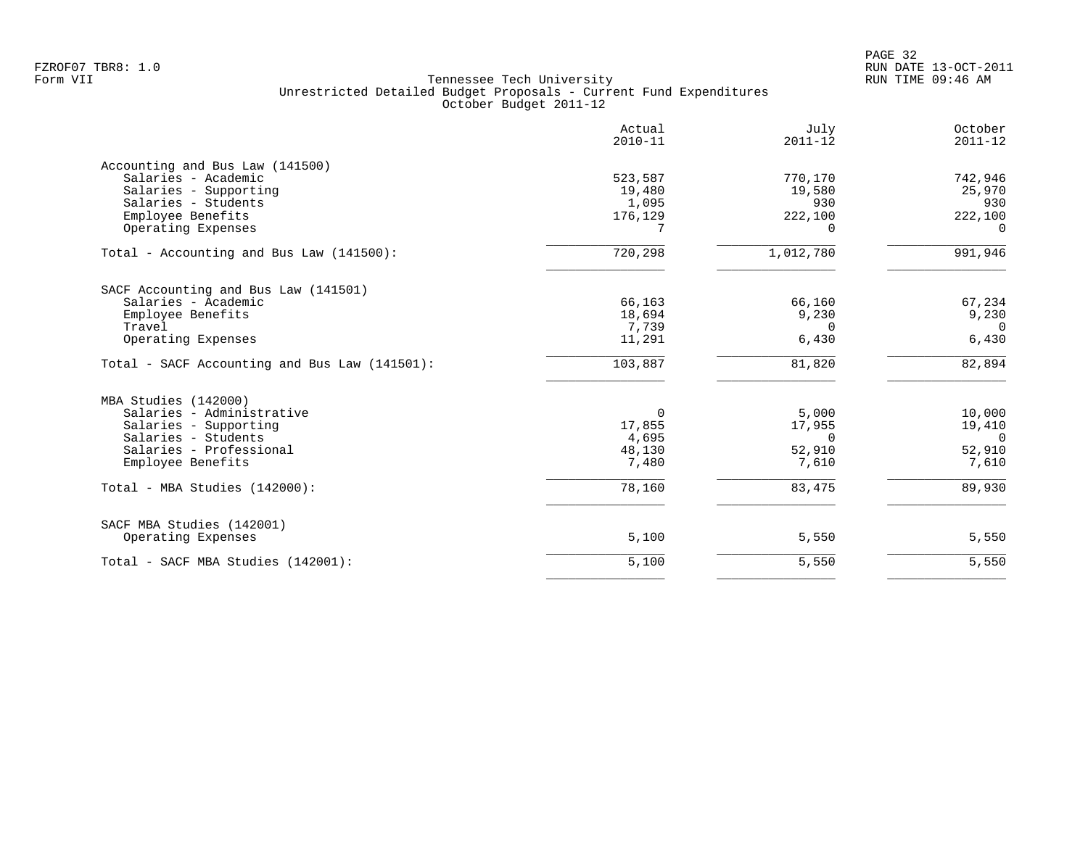|                                                 | Actual<br>$2010 - 11$ | July<br>$2011 - 12$ | October<br>$2011 - 12$ |
|-------------------------------------------------|-----------------------|---------------------|------------------------|
| Accounting and Bus Law (141500)                 |                       |                     |                        |
| Salaries - Academic                             | 523,587               | 770,170             | 742,946                |
| Salaries - Supporting                           | 19,480                | 19,580              | 25,970                 |
| Salaries - Students                             | 1,095                 | 930                 | 930                    |
| Employee Benefits                               | 176,129               | 222,100             | 222,100                |
| Operating Expenses                              |                       | $\Omega$            | $\Omega$               |
| Total - Accounting and Bus Law (141500):        | 720,298               | 1,012,780           | 991,946                |
| SACF Accounting and Bus Law (141501)            |                       |                     |                        |
| Salaries - Academic                             | 66,163                | 66,160              | 67,234                 |
| Employee Benefits                               | 18,694                | 9,230               | 9,230                  |
| Travel                                          | 7,739                 | $\Omega$            | $\Omega$               |
| Operating Expenses                              | 11,291                | 6,430               | 6,430                  |
| Total - SACF Accounting and Bus Law (141501):   | 103,887               | 81,820              | 82,894                 |
| MBA Studies (142000)                            |                       |                     |                        |
| Salaries - Administrative                       | $\Omega$              | 5,000               | 10,000                 |
| Salaries - Supporting                           | 17,855                | 17,955              | 19,410                 |
| Salaries - Students                             | 4,695                 | 0                   | $\overline{0}$         |
| Salaries - Professional                         | 48,130                | 52,910              | 52,910                 |
| Employee Benefits                               | 7,480                 | 7,610               | 7,610                  |
| Total - MBA Studies (142000):                   | 78,160                | 83,475              | 89,930                 |
|                                                 |                       |                     |                        |
| SACF MBA Studies (142001)<br>Operating Expenses | 5,100                 | 5,550               | 5,550                  |
|                                                 |                       |                     |                        |
| Total - SACF MBA Studies (142001):              | 5,100                 | 5,550               | 5,550                  |
|                                                 |                       |                     |                        |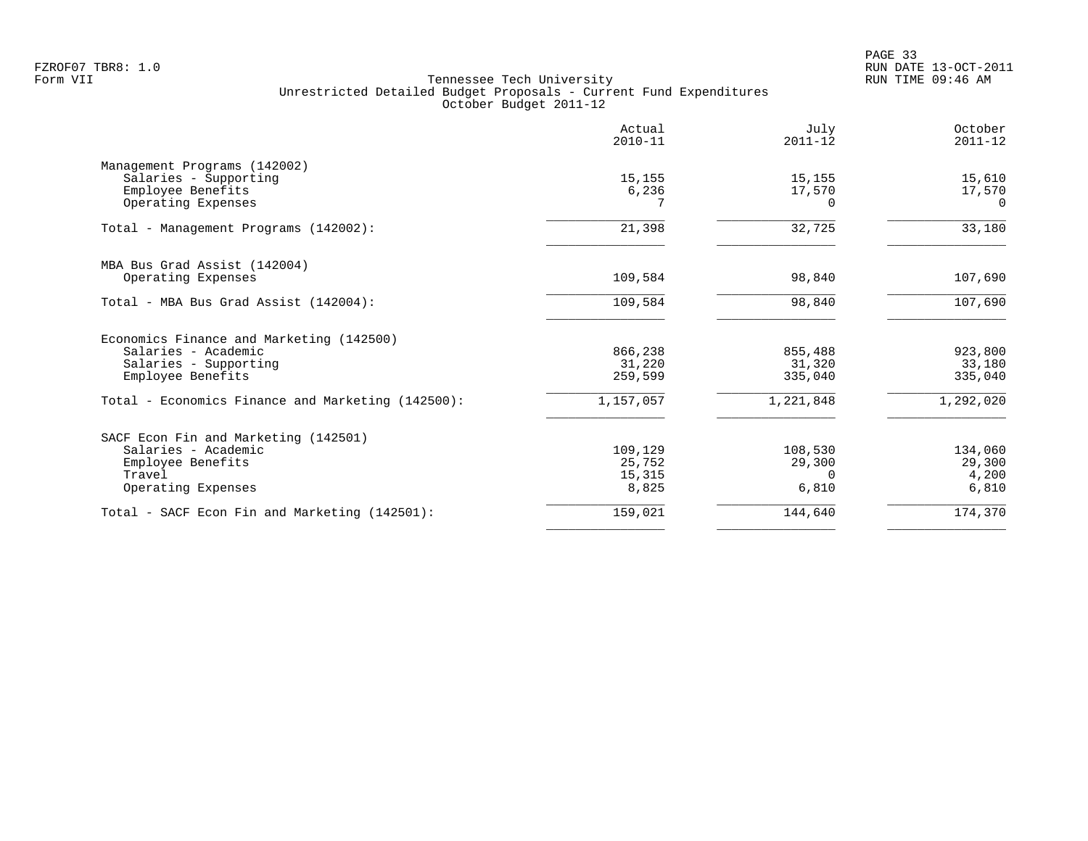PAGE 33 FZROF07 TBR8: 1.0 RUN DATE 13-OCT-2011

| Actual<br>$2010 - 11$ | July<br>$2011 - 12$ | October<br>$2011 - 12$      |
|-----------------------|---------------------|-----------------------------|
|                       |                     |                             |
| 15,155                | 15,155              | 15,610                      |
| 6,236                 | 17,570              | 17,570                      |
|                       |                     | $\Omega$                    |
| 21,398                | 32,725              | 33,180                      |
|                       |                     |                             |
| 109,584               | 98,840              | 107,690                     |
| 109,584               | 98,840              | 107,690                     |
|                       |                     |                             |
| 866,238               | 855,488             | 923,800                     |
| 31,220                | 31,320              | 33,180                      |
| 259,599               | 335,040             | 335,040                     |
| 1,157,057             | 1,221,848           | 1,292,020                   |
|                       |                     |                             |
| 109,129               | 108,530             | 134,060                     |
| 25,752                |                     | 29,300                      |
|                       |                     | 4,200                       |
|                       |                     | 6,810                       |
| 159,021               | 144,640             | 174,370                     |
|                       | 15,315<br>8,825     | 29,300<br>$\Omega$<br>6,810 |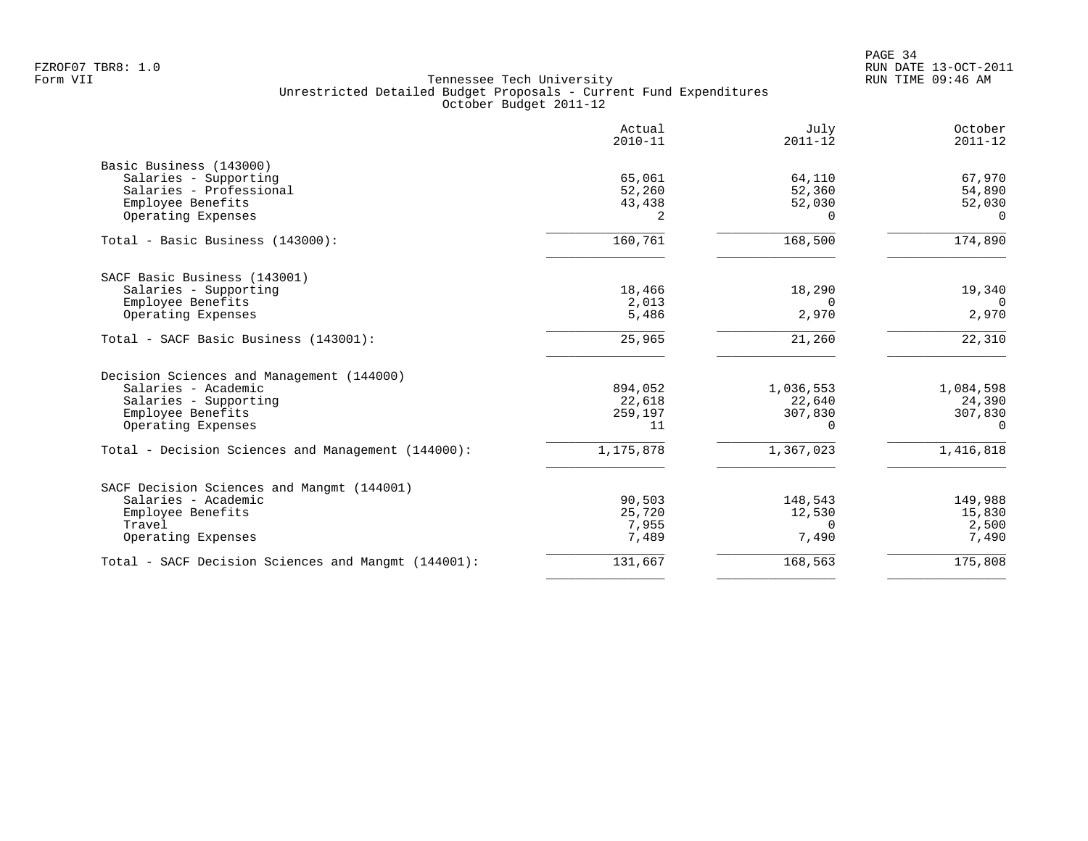| Actual<br>$2010 - 11$ | July<br>$2011 - 12$                                                                              | October<br>$2011 - 12$                                                                        |
|-----------------------|--------------------------------------------------------------------------------------------------|-----------------------------------------------------------------------------------------------|
|                       |                                                                                                  |                                                                                               |
| 65,061                | 64,110                                                                                           | 67,970                                                                                        |
|                       |                                                                                                  | 54,890                                                                                        |
|                       |                                                                                                  | 52,030                                                                                        |
| 2                     | $\Omega$                                                                                         | $\Omega$                                                                                      |
| 160,761               | 168,500                                                                                          | 174,890                                                                                       |
|                       |                                                                                                  |                                                                                               |
|                       |                                                                                                  | 19,340                                                                                        |
|                       | $\Omega$                                                                                         | $\Omega$                                                                                      |
| 5,486                 | 2,970                                                                                            | 2,970                                                                                         |
| 25,965                | 21,260                                                                                           | 22,310                                                                                        |
|                       |                                                                                                  |                                                                                               |
|                       |                                                                                                  | 1,084,598                                                                                     |
|                       |                                                                                                  | 24,390                                                                                        |
|                       |                                                                                                  | 307,830                                                                                       |
| 11                    | $\Omega$                                                                                         | $\Omega$                                                                                      |
| 1,175,878             | 1,367,023                                                                                        | 1,416,818                                                                                     |
|                       |                                                                                                  |                                                                                               |
|                       |                                                                                                  | 149,988                                                                                       |
|                       |                                                                                                  | 15,830                                                                                        |
|                       |                                                                                                  | 2,500                                                                                         |
| 7,489                 | 7,490                                                                                            | 7,490                                                                                         |
| 131,667               | 168,563                                                                                          | 175,808                                                                                       |
|                       | 52,260<br>43,438<br>18,466<br>2,013<br>894,052<br>22,618<br>259,197<br>90,503<br>25,720<br>7,955 | 52,360<br>52,030<br>18,290<br>1,036,553<br>22,640<br>307,830<br>148,543<br>12,530<br>$\Omega$ |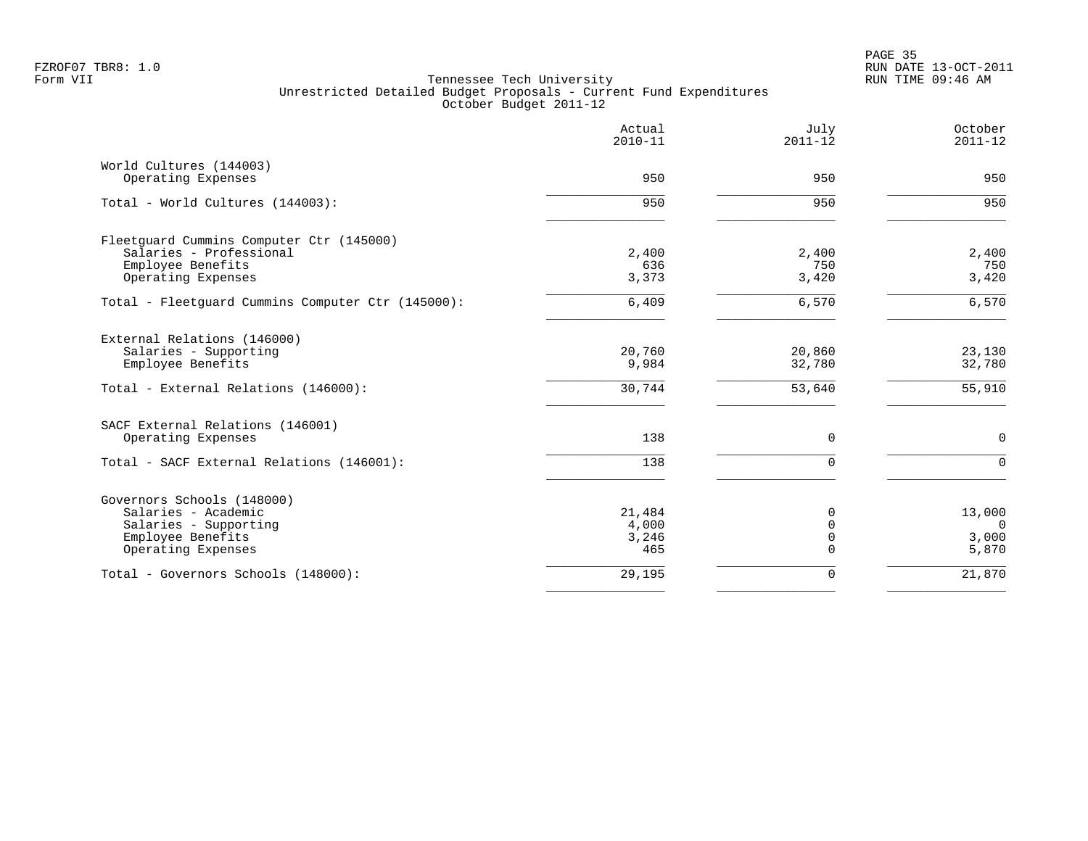|                                                   | Actual<br>$2010 - 11$ | July<br>$2011 - 12$ | October<br>$2011 - 12$ |
|---------------------------------------------------|-----------------------|---------------------|------------------------|
| World Cultures (144003)                           |                       |                     |                        |
| Operating Expenses                                | 950                   | 950                 | 950                    |
| Total - World Cultures (144003):                  | 950                   | 950                 | 950                    |
| Fleetquard Cummins Computer Ctr (145000)          |                       |                     |                        |
| Salaries - Professional                           | 2,400                 | 2,400               | 2,400                  |
| Employee Benefits                                 | 636                   | 750                 | 750                    |
| Operating Expenses                                | 3,373                 | 3,420               | 3,420                  |
| Total - Fleetguard Cummins Computer Ctr (145000): | 6,409                 | 6,570               | 6,570                  |
| External Relations (146000)                       |                       |                     |                        |
| Salaries - Supporting                             | 20,760                | 20,860              | 23,130                 |
| Employee Benefits                                 | 9,984                 | 32,780              | 32,780                 |
| Total - External Relations (146000):              | 30,744                | 53,640              | 55,910                 |
| SACF External Relations (146001)                  |                       |                     |                        |
| Operating Expenses                                | 138                   | 0                   | $\mathbf 0$            |
| Total - SACF External Relations (146001):         | 138                   | $\Omega$            | $\Omega$               |
| Governors Schools (148000)                        |                       |                     |                        |
| Salaries - Academic                               | 21,484                | $\Omega$            | 13,000                 |
| Salaries - Supporting                             | 4,000                 | $\mathbf 0$         | $\overline{0}$         |
| Employee Benefits                                 | 3,246                 | $\mathbf 0$         | 3,000                  |
| Operating Expenses                                | 465                   | $\Omega$            | 5,870                  |
| Total - Governors Schools (148000):               | 29,195                | 0                   | 21,870                 |
|                                                   |                       |                     |                        |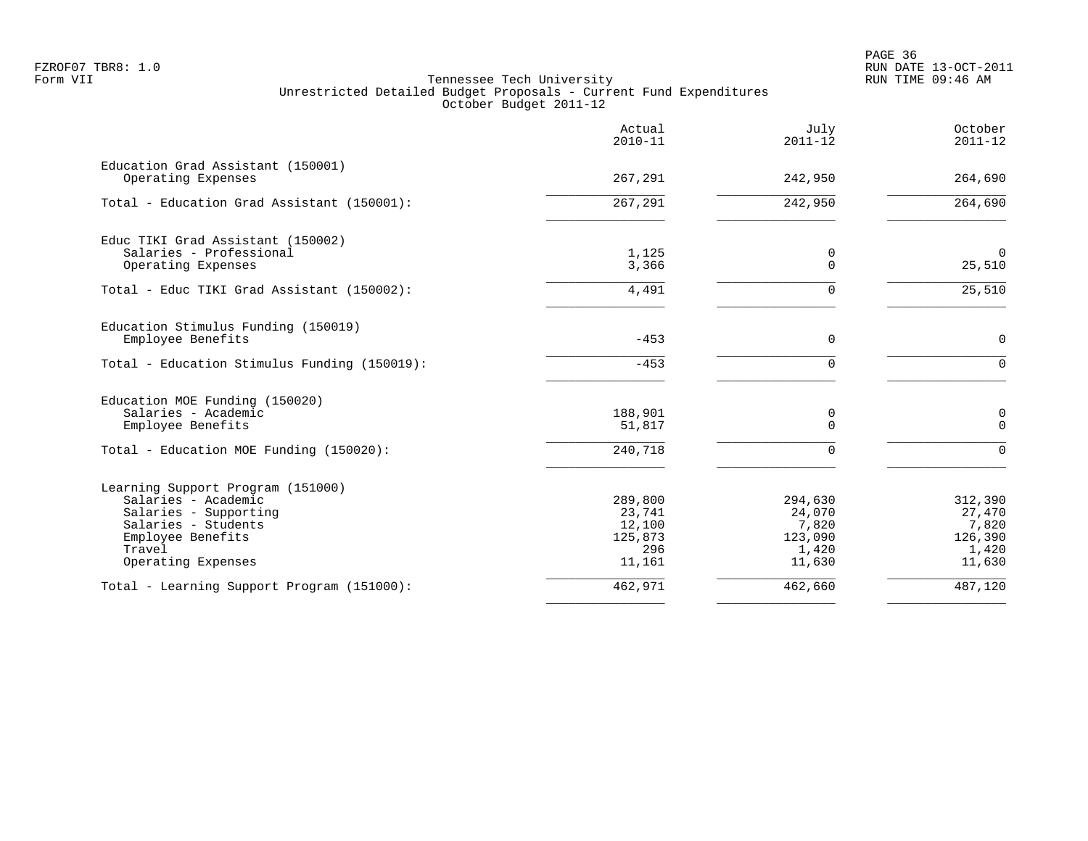|                                                                                                                                                               | Actual<br>$2010 - 11$                                   | July<br>$2011 - 12$                                      | October<br>$2011 - 12$                                   |
|---------------------------------------------------------------------------------------------------------------------------------------------------------------|---------------------------------------------------------|----------------------------------------------------------|----------------------------------------------------------|
| Education Grad Assistant (150001)<br>Operating Expenses                                                                                                       | 267,291                                                 | 242,950                                                  | 264,690                                                  |
| Total - Education Grad Assistant (150001):                                                                                                                    | 267,291                                                 | 242,950                                                  | 264,690                                                  |
| Educ TIKI Grad Assistant (150002)<br>Salaries - Professional<br>Operating Expenses                                                                            | 1,125<br>3,366                                          | 0<br>$\Omega$                                            | $\mathbf 0$<br>25,510                                    |
| Total - Educ TIKI Grad Assistant (150002):                                                                                                                    | 4,491                                                   | $\Omega$                                                 | 25,510                                                   |
| Education Stimulus Funding (150019)<br>Employee Benefits                                                                                                      | $-453$                                                  | $\mathbf 0$                                              | $\mathbf 0$                                              |
| Total - Education Stimulus Funding (150019):                                                                                                                  | $-453$                                                  | $\Omega$                                                 | $\Omega$                                                 |
| Education MOE Funding (150020)<br>Salaries - Academic<br>Employee Benefits<br>Total - Education MOE Funding (150020):                                         | 188,901<br>51,817<br>240,718                            | 0<br>$\Omega$<br>$\Omega$                                | 0<br>$\Omega$<br>$\Omega$                                |
| Learning Support Program (151000)<br>Salaries - Academic<br>Salaries - Supporting<br>Salaries - Students<br>Employee Benefits<br>Travel<br>Operating Expenses | 289,800<br>23,741<br>12,100<br>125,873<br>296<br>11,161 | 294,630<br>24,070<br>7,820<br>123,090<br>1,420<br>11,630 | 312,390<br>27,470<br>7,820<br>126,390<br>1,420<br>11,630 |
| Total - Learning Support Program (151000):                                                                                                                    | 462,971                                                 | 462,660                                                  | 487,120                                                  |
|                                                                                                                                                               |                                                         |                                                          |                                                          |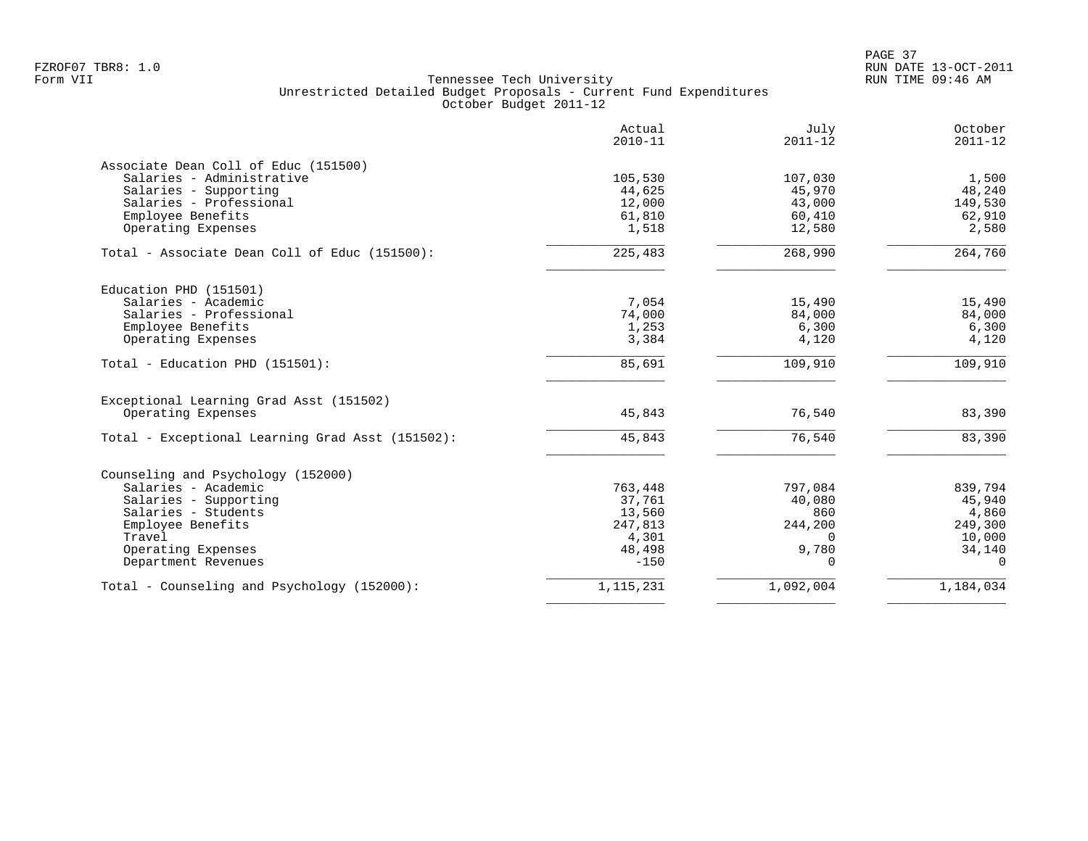| Actual<br>$2010 - 11$ | July<br>$2011 - 12$                                                                             | October<br>$2011 - 12$                                                    |
|-----------------------|-------------------------------------------------------------------------------------------------|---------------------------------------------------------------------------|
|                       |                                                                                                 |                                                                           |
| 105,530               | 107,030                                                                                         | 1,500                                                                     |
| 44,625                | 45,970                                                                                          | 48,240                                                                    |
| 12,000                | 43,000                                                                                          | 149,530                                                                   |
|                       | 60,410                                                                                          | 62,910                                                                    |
| 1,518                 | 12,580                                                                                          | 2,580                                                                     |
| 225,483               | 268,990                                                                                         | 264,760                                                                   |
|                       |                                                                                                 |                                                                           |
|                       |                                                                                                 | 15,490                                                                    |
|                       |                                                                                                 | 84,000                                                                    |
|                       |                                                                                                 | 6,300                                                                     |
| 3,384                 | 4,120                                                                                           | 4,120                                                                     |
| 85,691                | 109,910                                                                                         | 109,910                                                                   |
|                       |                                                                                                 |                                                                           |
| 45,843                | 76,540                                                                                          | 83,390                                                                    |
| 45,843                | 76,540                                                                                          | 83,390                                                                    |
|                       |                                                                                                 |                                                                           |
|                       |                                                                                                 | 839,794                                                                   |
|                       |                                                                                                 | 45,940                                                                    |
|                       |                                                                                                 | 4,860                                                                     |
|                       |                                                                                                 | 249,300                                                                   |
|                       | $\Omega$                                                                                        | 10,000                                                                    |
|                       |                                                                                                 | 34,140                                                                    |
| $-150$                | $\Omega$                                                                                        | $\Omega$                                                                  |
| 1,115,231             | 1,092,004                                                                                       | 1,184,034                                                                 |
|                       | 61,810<br>7,054<br>74,000<br>1,253<br>763,448<br>37,761<br>13,560<br>247,813<br>4,301<br>48,498 | 15,490<br>84,000<br>6,300<br>797,084<br>40,080<br>860<br>244,200<br>9,780 |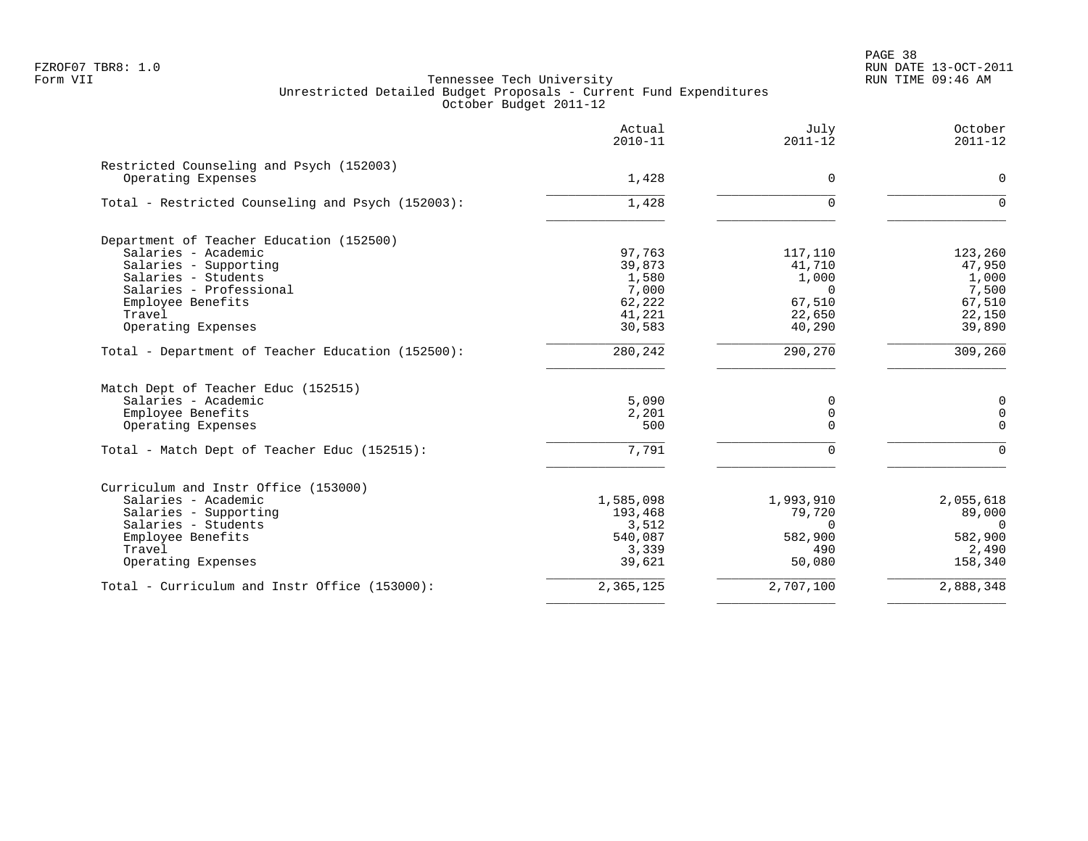|                                                   | Actual<br>$2010 - 11$ | July<br>$2011 - 12$ | October<br>$2011 - 12$ |
|---------------------------------------------------|-----------------------|---------------------|------------------------|
| Restricted Counseling and Psych (152003)          |                       |                     |                        |
| Operating Expenses                                | 1,428                 | $\mathbf 0$         | $\Omega$               |
| Total - Restricted Counseling and Psych (152003): | 1,428                 | $\Omega$            | $\Omega$               |
| Department of Teacher Education (152500)          |                       |                     |                        |
| Salaries - Academic                               | 97,763                | 117,110             | 123,260                |
| Salaries - Supporting                             | 39,873                | 41,710              | 47,950                 |
| Salaries - Students                               | 1,580                 | 1,000               | 1,000                  |
| Salaries - Professional                           | 7,000                 | $\Omega$            | 7,500                  |
| Employee Benefits                                 | 62,222                | 67,510              | 67,510                 |
| Travel                                            | 41,221                | 22,650              | 22,150                 |
| Operating Expenses                                | 30,583                | 40,290              | 39,890                 |
| Total - Department of Teacher Education (152500): | 280,242               | 290,270             | 309,260                |
| Match Dept of Teacher Educ (152515)               |                       |                     |                        |
| Salaries - Academic                               | 5,090                 | 0                   | $\mathbf 0$            |
| Employee Benefits                                 | 2,201                 | 0                   | $\Omega$               |
| Operating Expenses                                | 500                   | $\Omega$            | $\Omega$               |
| Total - Match Dept of Teacher Educ (152515):      | 7,791                 | $\Omega$            | $\Omega$               |
| Curriculum and Instr Office (153000)              |                       |                     |                        |
| Salaries - Academic                               | 1,585,098             | 1,993,910           | 2,055,618              |
| Salaries - Supporting                             | 193,468               | 79,720              | 89,000                 |
| Salaries - Students                               | 3,512                 | $\Omega$            | $\Omega$               |
| Employee Benefits                                 | 540,087               | 582,900             | 582,900                |
| Travel                                            | 3,339                 | 490                 | 2,490                  |
| Operating Expenses                                | 39,621                | 50,080              | 158,340                |
| Total - Curriculum and Instr Office (153000):     | 2,365,125             | 2,707,100           | 2,888,348              |
|                                                   |                       |                     |                        |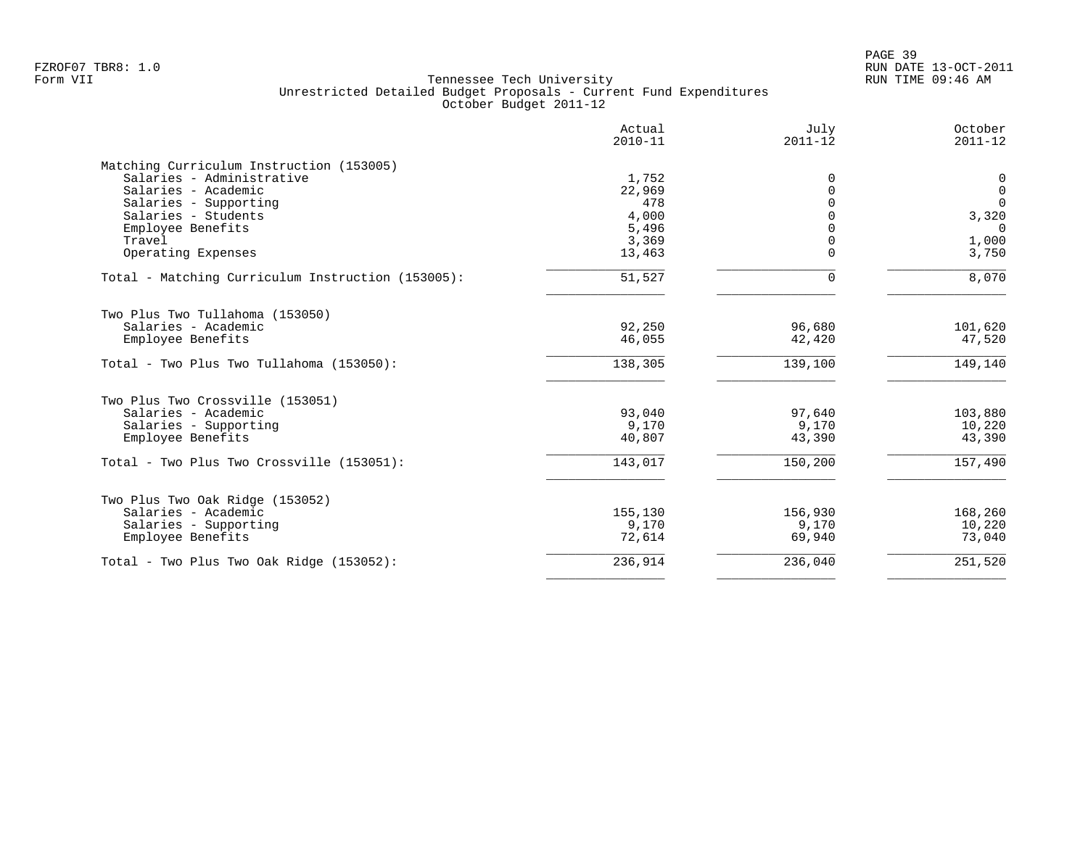|                                                   | Actual<br>$2010 - 11$ | July<br>$2011 - 12$ | October<br>$2011 - 12$ |
|---------------------------------------------------|-----------------------|---------------------|------------------------|
| Matching Curriculum Instruction (153005)          |                       |                     |                        |
| Salaries - Administrative                         | 1,752                 | 0                   | $\overline{0}$         |
| Salaries - Academic                               | 22,969                | 0                   | $\overline{0}$         |
| Salaries - Supporting                             | 478                   |                     | $\Omega$               |
| Salaries - Students                               | 4,000                 |                     | 3,320                  |
| Employee Benefits                                 | 5,496                 |                     | $\Omega$               |
| Travel                                            | 3,369                 | 0                   | 1,000                  |
| Operating Expenses                                | 13,463                | $\Omega$            | 3,750                  |
| Total - Matching Curriculum Instruction (153005): | 51,527                | 0                   | 8,070                  |
| Two Plus Two Tullahoma (153050)                   |                       |                     |                        |
| Salaries - Academic                               | 92,250                | 96,680              | 101,620                |
| Employee Benefits                                 | 46,055                | 42,420              | 47,520                 |
|                                                   |                       |                     |                        |
| Total - Two Plus Two Tullahoma (153050):          | 138,305               | 139,100             | 149,140                |
| Two Plus Two Crossville (153051)                  |                       |                     |                        |
| Salaries - Academic                               | 93,040                | 97,640              | 103,880                |
| Salaries - Supporting                             | 9,170                 | 9,170               | 10,220                 |
| Employee Benefits                                 | 40,807                | 43,390              | 43,390                 |
| Total - Two Plus Two Crossville (153051):         | 143,017               | 150,200             | 157,490                |
| Two Plus Two Oak Ridge (153052)                   |                       |                     |                        |
| Salaries - Academic                               | 155,130               | 156,930             | 168,260                |
| Salaries - Supporting                             | 9,170                 | 9,170               | 10,220                 |
| Employee Benefits                                 | 72,614                | 69,940              | 73,040                 |
| Total - Two Plus Two Oak Ridge $(153052)$ :       | 236,914               | 236,040             | 251,520                |
|                                                   |                       |                     |                        |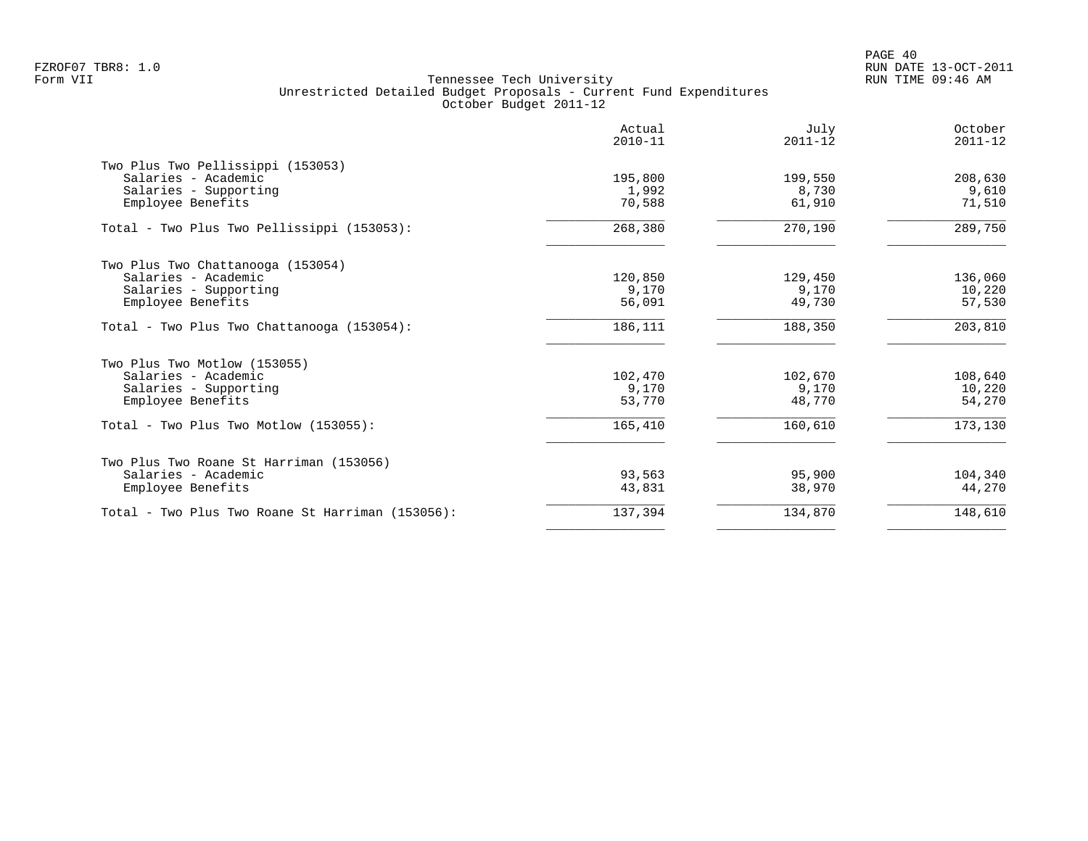|                                                  | Actual<br>$2010 - 11$ | July<br>$2011 - 12$ | October<br>$2011 - 12$ |
|--------------------------------------------------|-----------------------|---------------------|------------------------|
| Two Plus Two Pellissippi (153053)                |                       |                     |                        |
| Salaries - Academic                              | 195,800               | 199,550             | 208,630                |
| Salaries - Supporting                            | 1,992                 | 8,730               | 9,610                  |
| Employee Benefits                                | 70,588                | 61,910              | 71,510                 |
| Total - Two Plus Two Pellissippi (153053):       | 268,380               | 270,190             | 289,750                |
| Two Plus Two Chattanooga (153054)                |                       |                     |                        |
| Salaries - Academic                              | 120,850               | 129,450             | 136,060                |
| Salaries - Supporting                            | 9,170                 | 9,170               | 10,220                 |
| Employee Benefits                                | 56,091                | 49,730              | 57,530                 |
| Total - Two Plus Two Chattanooga (153054):       | 186,111               | 188,350             | 203,810                |
| Two Plus Two Motlow (153055)                     |                       |                     |                        |
| Salaries - Academic                              | 102,470               | 102,670             | 108,640                |
| Salaries - Supporting                            | 9,170                 | 9,170               | 10,220                 |
| Employee Benefits                                | 53,770                | 48,770              | 54,270                 |
| Total - Two Plus Two Motlow $(153055)$ :         | 165,410               | 160,610             | 173,130                |
| Two Plus Two Roane St Harriman (153056)          |                       |                     |                        |
| Salaries - Academic                              | 93,563                | 95,900              | 104,340                |
| Employee Benefits                                | 43,831                | 38,970              | 44,270                 |
| Total - Two Plus Two Roane St Harriman (153056): | 137,394               | 134,870             | 148,610                |
|                                                  |                       |                     |                        |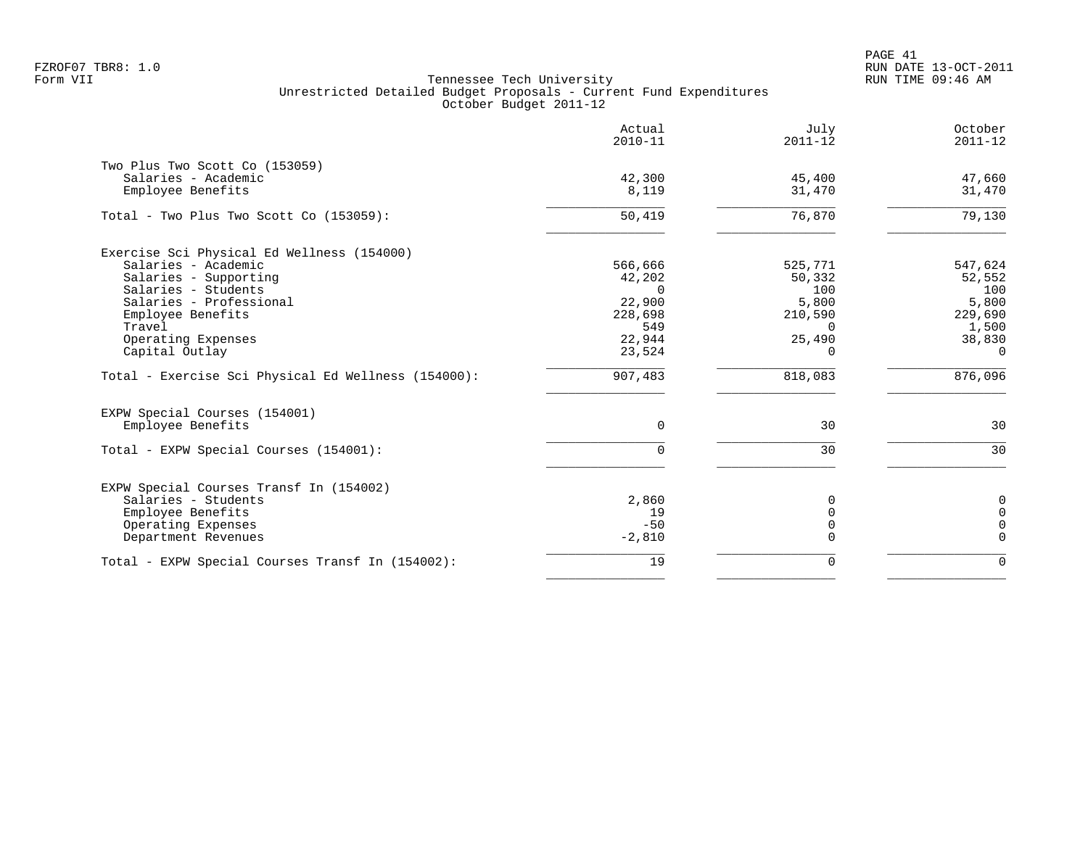PAGE 41 FZROF07 TBR8: 1.0 RUN DATE 13-OCT-2011

|                                                                                                                                                                                                                                                                            | Actual<br>$2010 - 11$                                                                    | July<br>$2011 - 12$                                                                       | October<br>$2011 - 12$                                                                 |
|----------------------------------------------------------------------------------------------------------------------------------------------------------------------------------------------------------------------------------------------------------------------------|------------------------------------------------------------------------------------------|-------------------------------------------------------------------------------------------|----------------------------------------------------------------------------------------|
| Two Plus Two Scott Co (153059)<br>Salaries - Academic<br>Employee Benefits                                                                                                                                                                                                 | 42,300<br>8,119                                                                          | 45,400<br>31,470                                                                          | 47,660<br>31,470                                                                       |
| Total - Two Plus Two Scott Co (153059):                                                                                                                                                                                                                                    | 50,419                                                                                   | 76,870                                                                                    | 79,130                                                                                 |
| Exercise Sci Physical Ed Wellness (154000)<br>Salaries - Academic<br>Salaries - Supporting<br>Salaries - Students<br>Salaries - Professional<br>Employee Benefits<br>Travel<br>Operating Expenses<br>Capital Outlay<br>Total - Exercise Sci Physical Ed Wellness (154000): | 566,666<br>42,202<br>$\Omega$<br>22,900<br>228,698<br>549<br>22,944<br>23,524<br>907,483 | 525,771<br>50,332<br>100<br>5,800<br>210,590<br>$\Omega$<br>25,490<br>$\Omega$<br>818,083 | 547,624<br>52,552<br>100<br>5,800<br>229,690<br>1,500<br>38,830<br>$\Omega$<br>876,096 |
| EXPW Special Courses (154001)<br>Employee Benefits                                                                                                                                                                                                                         | 0                                                                                        | 30                                                                                        | 30                                                                                     |
| Total - EXPW Special Courses (154001):                                                                                                                                                                                                                                     | $\Omega$                                                                                 | 30                                                                                        | 30                                                                                     |
| EXPW Special Courses Transf In (154002)<br>Salaries - Students<br>Employee Benefits<br>Operating Expenses<br>Department Revenues                                                                                                                                           | 2,860<br>19<br>$-50$<br>$-2,810$                                                         | $\Omega$<br>$\Omega$<br>$\Omega$<br>$\Omega$                                              | $\mathbf 0$<br>$\mathbf 0$<br>$\Omega$<br>$\mathbf 0$                                  |
| Total - EXPW Special Courses Transf In (154002):                                                                                                                                                                                                                           | 19                                                                                       | $\mathbf 0$                                                                               | $\mathbf 0$                                                                            |
|                                                                                                                                                                                                                                                                            |                                                                                          |                                                                                           |                                                                                        |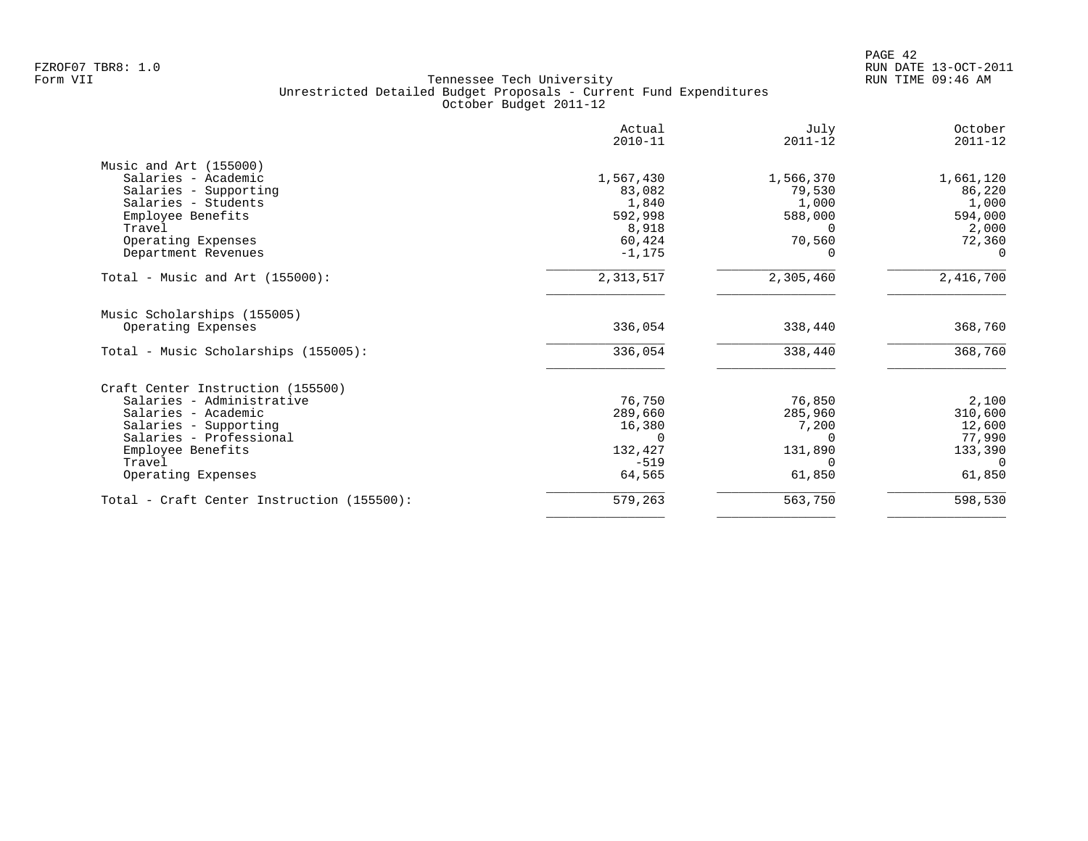|                                            | Actual<br>$2010 - 11$ | July<br>$2011 - 12$ | October<br>$2011 - 12$ |
|--------------------------------------------|-----------------------|---------------------|------------------------|
| Music and Art (155000)                     |                       |                     |                        |
| Salaries - Academic                        | 1,567,430             | 1,566,370           | 1,661,120              |
| Salaries - Supporting                      | 83,082                | 79,530              | 86,220                 |
| Salaries - Students                        | 1,840                 | 1,000               | 1,000                  |
| Employee Benefits                          | 592,998               | 588,000             | 594,000                |
| Travel                                     | 8,918                 | $\Omega$            | 2,000                  |
| Operating Expenses                         | 60,424                | 70,560              | 72,360                 |
| Department Revenues                        | $-1, 175$             |                     | $\Omega$               |
| Total - Music and Art $(155000)$ :         | 2, 313, 517           | 2,305,460           | 2,416,700              |
| Music Scholarships (155005)                |                       |                     |                        |
| Operating Expenses                         | 336,054               | 338,440             | 368,760                |
| Total - Music Scholarships (155005):       | 336,054               | 338,440             | 368,760                |
| Craft Center Instruction (155500)          |                       |                     |                        |
| Salaries - Administrative                  | 76,750                | 76,850              | 2,100                  |
| Salaries - Academic                        | 289,660               | 285,960             | 310,600                |
| Salaries - Supporting                      | 16,380                | 7,200               | 12,600                 |
| Salaries - Professional                    | $\Omega$              | $\Omega$            | 77,990                 |
| Employee Benefits                          | 132,427               | 131,890             | 133,390                |
| Travel                                     | $-519$                | $\Omega$            | $\Omega$               |
| Operating Expenses                         | 64,565                | 61,850              | 61,850                 |
| Total - Craft Center Instruction (155500): | 579,263               | 563,750             | 598,530                |
|                                            |                       |                     |                        |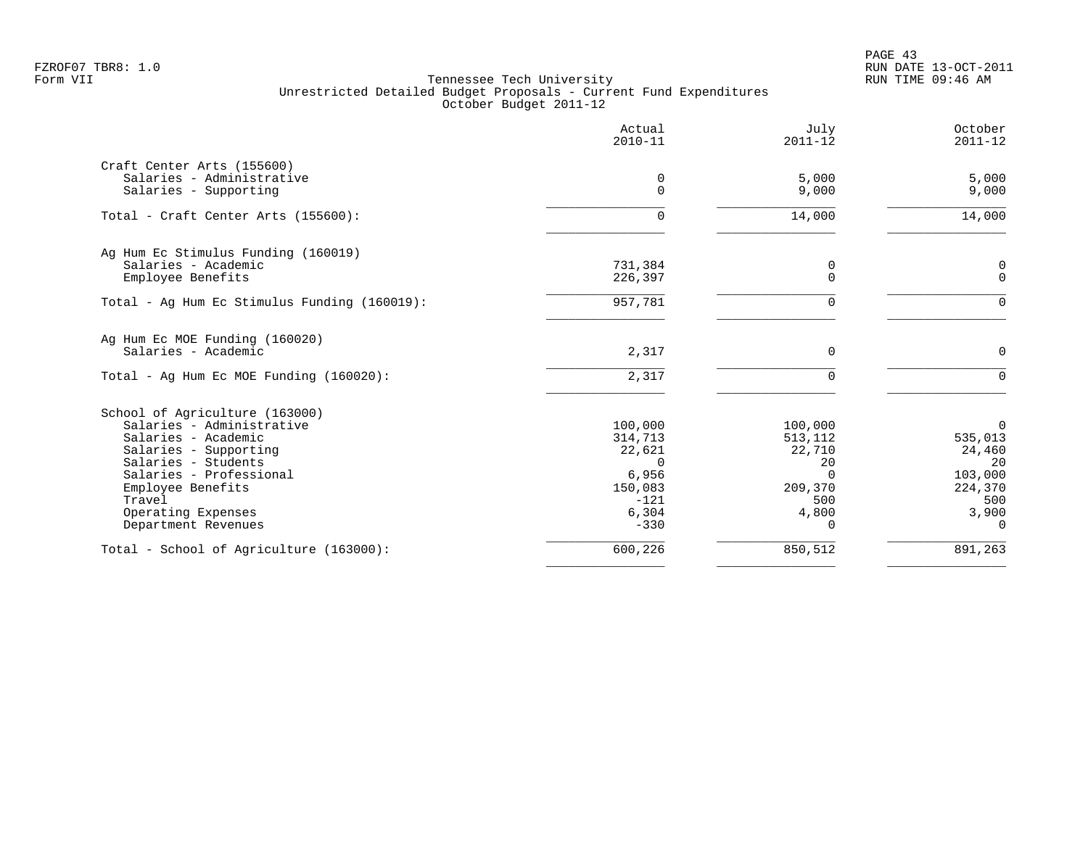PAGE 43 FZROF07 TBR8: 1.0 RUN DATE 13-OCT-2011

| Actual<br>$2010 - 11$ | July<br>$2011 - 12$                                                      | October<br>$2011 - 12$                                          |
|-----------------------|--------------------------------------------------------------------------|-----------------------------------------------------------------|
|                       |                                                                          |                                                                 |
| 0                     | 5,000                                                                    | 5,000                                                           |
| $\Omega$              | 9,000                                                                    | 9,000                                                           |
| $\Omega$              | 14,000                                                                   | 14,000                                                          |
|                       |                                                                          |                                                                 |
|                       | 0                                                                        | 0                                                               |
|                       |                                                                          | $\mathbf 0$                                                     |
| 957,781               | $\Omega$                                                                 | $\Omega$                                                        |
|                       |                                                                          |                                                                 |
| 2,317                 | $\Omega$                                                                 | 0                                                               |
| 2,317                 | $\cap$                                                                   | $\Omega$                                                        |
|                       |                                                                          |                                                                 |
| 100,000               | 100,000                                                                  | 0                                                               |
| 314,713               | 513,112                                                                  | 535,013                                                         |
|                       |                                                                          | 24,460                                                          |
|                       |                                                                          | 20                                                              |
|                       |                                                                          | 103,000                                                         |
|                       |                                                                          | 224,370                                                         |
|                       |                                                                          | 500                                                             |
| $-330$                | $\Omega$                                                                 | 3,900<br>$\Omega$                                               |
| 600,226               | 850,512                                                                  | 891,263                                                         |
|                       | 731,384<br>226,397<br>22,621<br>0<br>6,956<br>150,083<br>$-121$<br>6,304 | $\Omega$<br>22,710<br>20<br>$\Omega$<br>209,370<br>500<br>4,800 |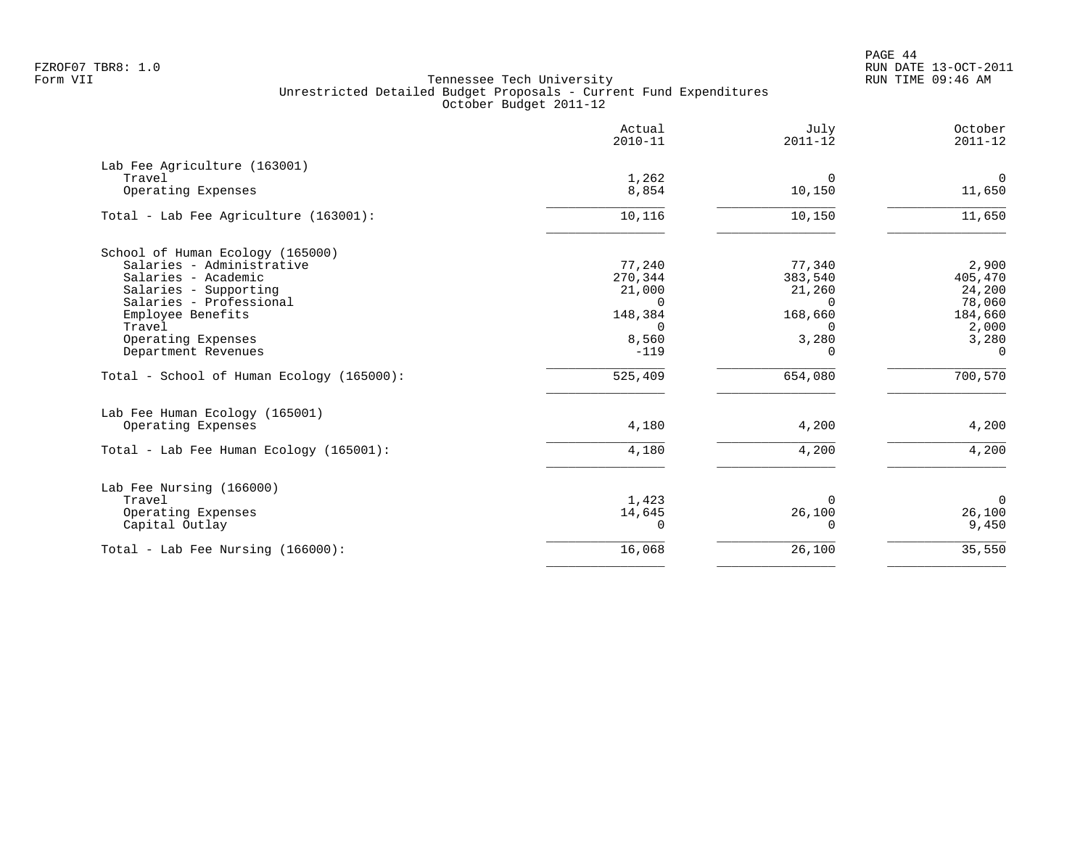PAGE 44 FZROF07 TBR8: 1.0 RUN DATE 13-OCT-2011

|                                           | Actual<br>$2010 - 11$ | July<br>$2011 - 12$     | October<br>$2011 - 12$ |
|-------------------------------------------|-----------------------|-------------------------|------------------------|
| Lab Fee Agriculture (163001)              |                       |                         |                        |
| Travel<br>Operating Expenses              | 1,262<br>8,854        | $\Omega$<br>10,150      | $\mathbf 0$<br>11,650  |
| Total - Lab Fee Agriculture (163001):     | 10,116                | 10,150                  | 11,650                 |
| School of Human Ecology (165000)          |                       |                         |                        |
| Salaries - Administrative                 | 77,240                | 77,340                  | 2,900                  |
| Salaries - Academic                       | 270,344               | 383,540                 | 405,470                |
| Salaries - Supporting                     | 21,000                | 21,260                  | 24,200                 |
| Salaries - Professional                   | $\cap$                | <sup>n</sup>            | 78,060                 |
| Employee Benefits<br>Travel               | 148,384<br>$\Omega$   | 168,660<br><sup>n</sup> | 184,660<br>2,000       |
| Operating Expenses                        | 8,560                 | 3,280                   | 3,280                  |
| Department Revenues                       | $-119$                | $\Omega$                | $\Omega$               |
| Total - School of Human Ecology (165000): | 525,409               | 654,080                 | 700,570                |
| Lab Fee Human Ecology (165001)            |                       |                         |                        |
| Operating Expenses                        | 4,180                 | 4,200                   | 4,200                  |
| Total - Lab Fee Human Ecology (165001):   | 4,180                 | 4,200                   | 4,200                  |
| Lab Fee Nursing (166000)                  |                       |                         |                        |
| Travel                                    | 1,423                 | $\Omega$                | $\overline{0}$         |
| Operating Expenses                        | 14,645                | 26,100                  | 26,100                 |
| Capital Outlay                            | $\Omega$              | $\Omega$                | 9,450                  |
| Total - Lab Fee Nursing (166000):         | 16,068                | 26,100                  | 35,550                 |
|                                           |                       |                         |                        |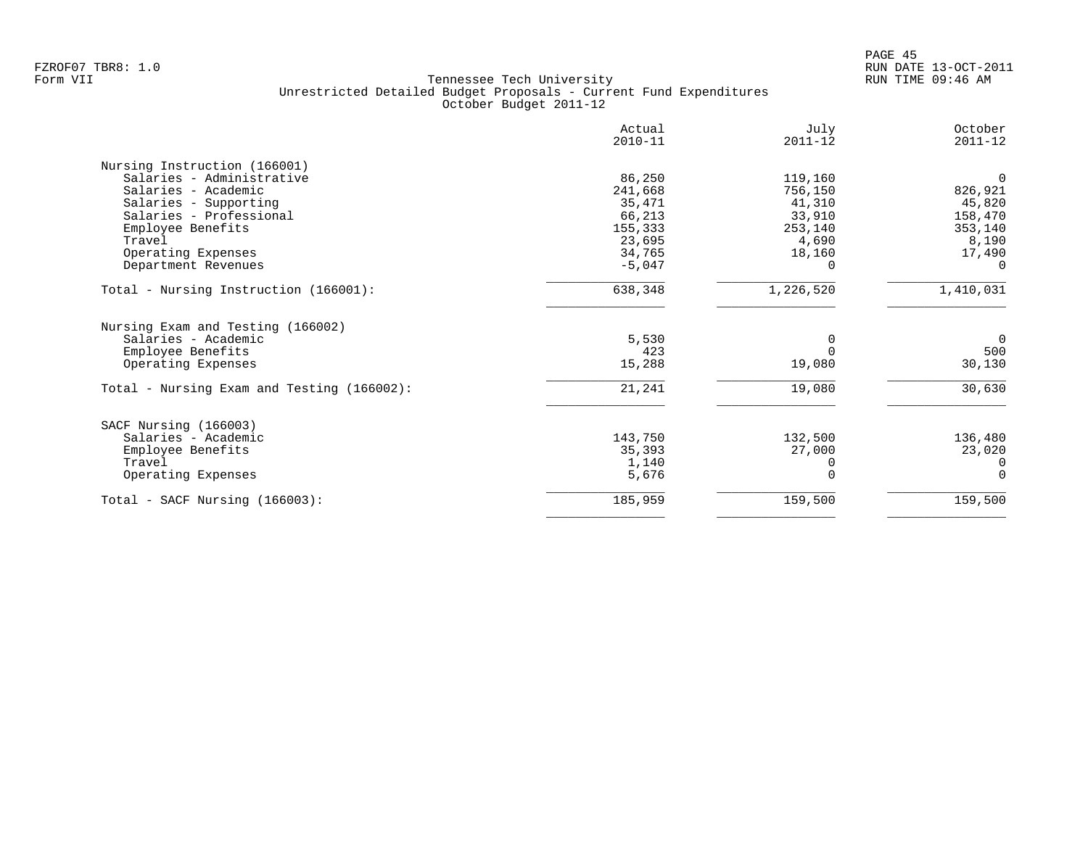|                                            | Actual<br>$2010 - 11$ | July<br>$2011 - 12$ | October<br>$2011 - 12$ |
|--------------------------------------------|-----------------------|---------------------|------------------------|
| Nursing Instruction (166001)               |                       |                     |                        |
| Salaries - Administrative                  | 86,250                | 119,160             | $\Omega$               |
| Salaries - Academic                        | 241,668               | 756,150             | 826,921                |
| Salaries - Supporting                      | 35,471                | 41,310              | 45,820                 |
| Salaries - Professional                    | 66,213                | 33,910              | 158,470                |
| Employee Benefits                          | 155,333               | 253,140             | 353,140                |
| Travel                                     | 23,695                | 4,690               | 8,190                  |
| Operating Expenses                         | 34,765                | 18,160              | 17,490                 |
| Department Revenues                        | $-5,047$              |                     |                        |
| Total - Nursing Instruction (166001):      | 638,348               | 1,226,520           | 1,410,031              |
| Nursing Exam and Testing (166002)          |                       |                     |                        |
| Salaries - Academic                        | 5,530                 |                     | $\overline{0}$         |
| Employee Benefits                          | 423                   |                     | 500                    |
| Operating Expenses                         | 15,288                | 19,080              | 30,130                 |
| Total - Nursing Exam and Testing (166002): | 21,241                | 19,080              | 30,630                 |
| SACF Nursing (166003)                      |                       |                     |                        |
| Salaries - Academic                        | 143,750               | 132,500             | 136,480                |
| Employee Benefits                          | 35,393                | 27,000              | 23,020                 |
| Travel                                     | 1,140                 |                     | $\Omega$               |
| Operating Expenses                         | 5,676                 |                     | $\Omega$               |
| Total - SACF Nursing (166003):             | 185,959               | 159,500             | 159,500                |
|                                            |                       |                     |                        |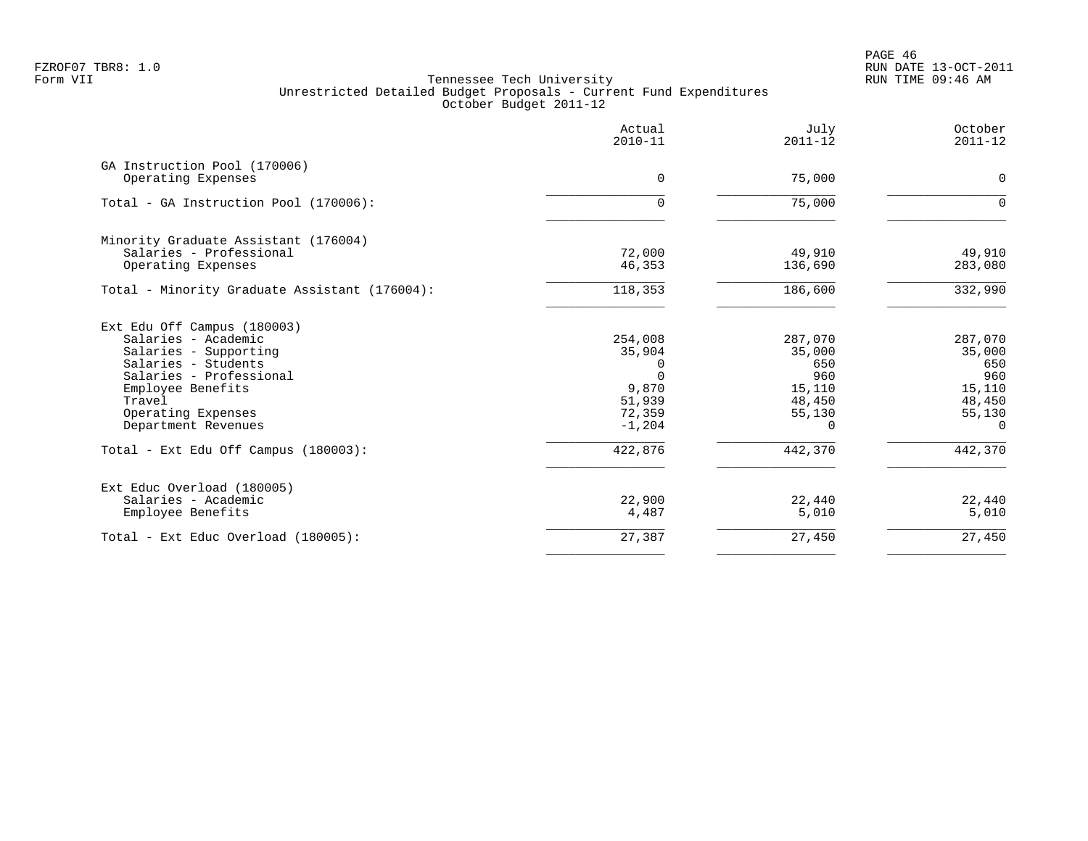PAGE 46 FZROF07 TBR8: 1.0 RUN DATE 13-OCT-2011

| Actual<br>$2010 - 11$ | July<br>$2011 - 12$                                                          | October<br>$2011 - 12$                                                                  |
|-----------------------|------------------------------------------------------------------------------|-----------------------------------------------------------------------------------------|
|                       |                                                                              |                                                                                         |
|                       |                                                                              | 0                                                                                       |
| $\Omega$              | 75,000                                                                       | $\Omega$                                                                                |
|                       |                                                                              |                                                                                         |
| 72,000                | 49,910                                                                       | 49,910                                                                                  |
| 46,353                | 136,690                                                                      | 283,080                                                                                 |
| 118,353               | 186,600                                                                      | 332,990                                                                                 |
|                       |                                                                              |                                                                                         |
|                       |                                                                              | 287,070                                                                                 |
|                       |                                                                              | 35,000                                                                                  |
| 0                     |                                                                              | 650                                                                                     |
|                       |                                                                              | 960                                                                                     |
|                       |                                                                              | 15,110                                                                                  |
|                       |                                                                              | 48,450                                                                                  |
|                       |                                                                              | 55,130<br>$\Omega$                                                                      |
|                       |                                                                              |                                                                                         |
| 422,876               | 442,370                                                                      | 442,370                                                                                 |
|                       |                                                                              |                                                                                         |
| 22,900                | 22,440                                                                       | 22,440                                                                                  |
| 4,487                 | 5,010                                                                        | 5,010                                                                                   |
| 27,387                | 27,450                                                                       | 27,450                                                                                  |
|                       | $\Omega$<br>254,008<br>35,904<br>∩<br>9,870<br>51,939<br>72,359<br>$-1, 204$ | 75,000<br>287,070<br>35,000<br>650<br>960<br>15,110<br>48,450<br>55,130<br><sup>n</sup> |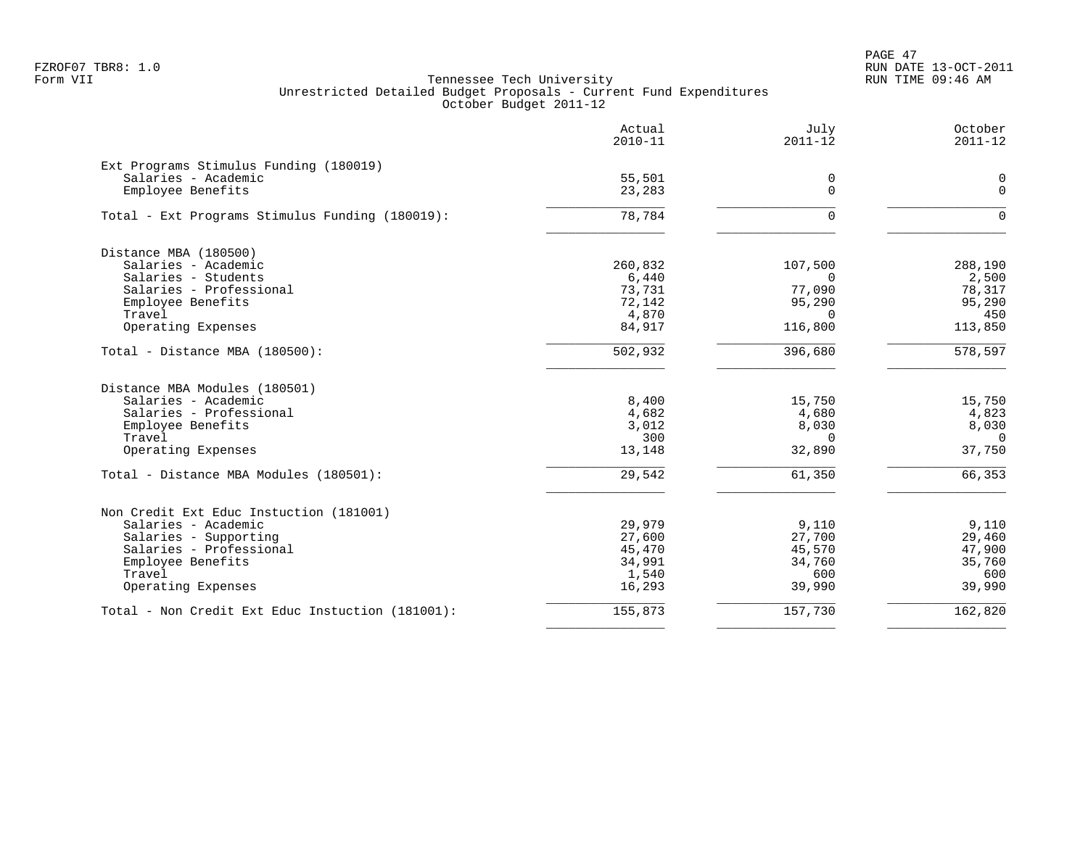PAGE 47 FZROF07 TBR8: 1.0 RUN DATE 13-OCT-2011

|                                                  | Actual<br>$2010 - 11$ | July<br>$2011 - 12$ | October<br>$2011 - 12$ |
|--------------------------------------------------|-----------------------|---------------------|------------------------|
| Ext Programs Stimulus Funding (180019)           |                       |                     |                        |
| Salaries - Academic                              | 55,501                | 0                   | $\mathbf 0$            |
| Employee Benefits                                | 23,283                | $\mathbf 0$         | $\mathbf 0$            |
| Total - Ext Programs Stimulus Funding (180019):  | 78,784                | $\Omega$            | $\Omega$               |
| Distance MBA (180500)                            |                       |                     |                        |
| Salaries - Academic                              | 260,832               | 107,500             | 288,190                |
| Salaries - Students                              | 6,440                 | $\Omega$            | 2,500                  |
| Salaries - Professional                          | 73,731                | 77,090              | 78,317                 |
| Employee Benefits                                | 72,142                | 95,290              | 95,290                 |
| Travel                                           | 4,870                 | $\Omega$            | 450                    |
| Operating Expenses                               | 84,917                | 116,800             | 113,850                |
| Total - Distance MBA (180500):                   | 502,932               | 396,680             | 578,597                |
| Distance MBA Modules (180501)                    |                       |                     |                        |
| Salaries - Academic                              | 8,400                 | 15,750              | 15,750                 |
| Salaries - Professional                          | 4,682                 | 4,680               | 4,823                  |
| Employee Benefits                                | 3,012                 | 8,030               | 8,030                  |
| Travel                                           | 300                   | $\overline{0}$      | $\overline{0}$         |
| Operating Expenses                               | 13,148                | 32,890              | 37,750                 |
| Total - Distance MBA Modules (180501):           | 29,542                | 61,350              | 66,353                 |
| Non Credit Ext Educ Instuction (181001)          |                       |                     |                        |
| Salaries - Academic                              | 29,979                | 9,110               | 9,110                  |
| Salaries - Supporting                            | 27,600                | 27,700              | 29,460                 |
| Salaries - Professional                          | 45,470                | 45,570              | 47,900                 |
| Employee Benefits                                | 34,991                | 34,760              | 35,760                 |
| Travel                                           | 1,540                 | 600                 | 600                    |
| Operating Expenses                               | 16,293                | 39,990              | 39,990                 |
| Total - Non Credit Ext Educ Instuction (181001): | 155,873               | 157,730             | 162,820                |
|                                                  |                       |                     |                        |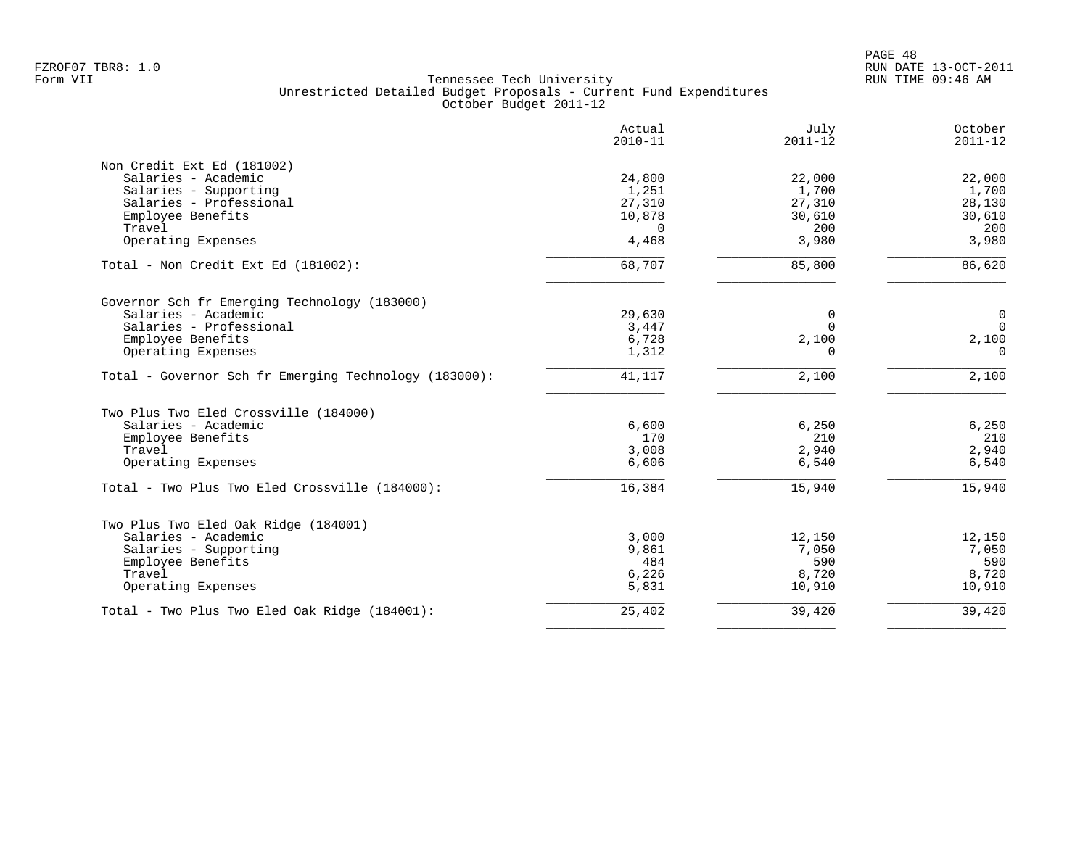|                                                       | Actual<br>$2010 - 11$ | July<br>$2011 - 12$ | October<br>$2011 - 12$ |
|-------------------------------------------------------|-----------------------|---------------------|------------------------|
| Non Credit Ext Ed (181002)                            |                       |                     |                        |
| Salaries - Academic                                   | 24,800                | 22,000              | 22,000                 |
| Salaries - Supporting                                 | 1,251                 | 1,700               | 1,700                  |
| Salaries - Professional                               | 27,310                | 27,310              | 28,130                 |
| Employee Benefits                                     | 10,878                | 30,610              | 30,610                 |
| Travel                                                | 0                     | 200                 | 200                    |
| Operating Expenses                                    | 4,468                 | 3,980               | 3,980                  |
| Total - Non Credit Ext Ed (181002):                   | 68,707                | 85,800              | 86,620                 |
| Governor Sch fr Emerging Technology (183000)          |                       |                     |                        |
| Salaries - Academic                                   | 29,630                | 0                   | $\mathbf 0$            |
| Salaries - Professional                               | 3,447                 | $\Omega$            | $\mathbf 0$            |
| Employee Benefits                                     | 6,728                 | 2,100               | 2,100                  |
| Operating Expenses                                    | 1,312                 | 0                   | $\Omega$               |
| Total - Governor Sch fr Emerging Technology (183000): | 41,117                | 2,100               | 2,100                  |
| Two Plus Two Eled Crossville (184000)                 |                       |                     |                        |
| Salaries - Academic                                   | 6,600                 | 6,250               | 6,250                  |
| Employee Benefits                                     | 170                   | 210                 | 210                    |
| Travel                                                | 3,008                 | 2,940               | 2,940                  |
| Operating Expenses                                    | 6,606                 | 6,540               | 6,540                  |
| Total - Two Plus Two Eled Crossville (184000):        | 16,384                | 15,940              | 15,940                 |
| Two Plus Two Eled Oak Ridge (184001)                  |                       |                     |                        |
| Salaries - Academic                                   | 3,000                 | 12,150              | 12,150                 |
| Salaries - Supporting                                 | 9,861                 | 7,050               | 7,050                  |
| Employee Benefits                                     | 484                   | 590                 | 590                    |
| Travel                                                | 6,226                 | 8,720               | 8,720                  |
| Operating Expenses                                    | 5,831                 | 10,910              | 10,910                 |
| Total - Two Plus Two Eled Oak Ridge (184001):         | 25,402                | 39,420              | 39,420                 |
|                                                       |                       |                     |                        |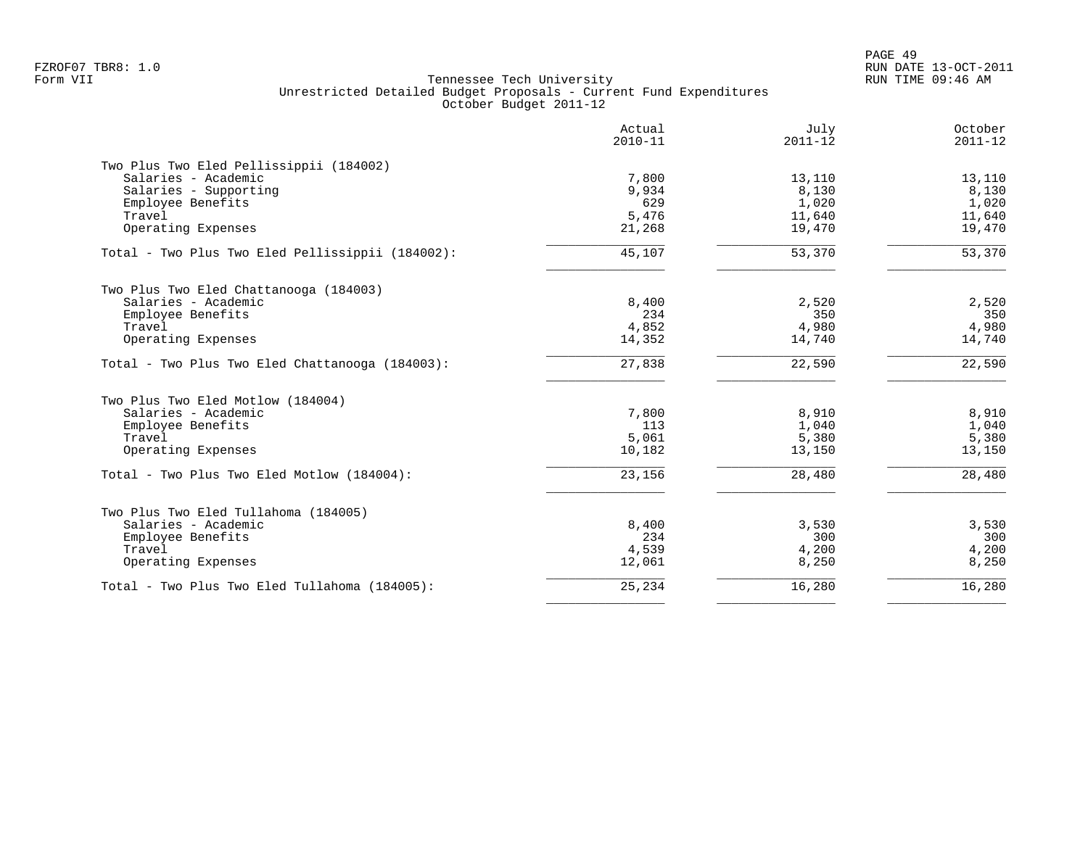|                                                  | Actual<br>$2010 - 11$ | July<br>$2011 - 12$ | October<br>$2011 - 12$ |
|--------------------------------------------------|-----------------------|---------------------|------------------------|
| Two Plus Two Eled Pellissippii (184002)          |                       |                     |                        |
| Salaries - Academic                              | 7,800                 | 13,110              | 13,110                 |
| Salaries - Supporting                            | 9,934                 | 8,130               | 8,130                  |
| Employee Benefits                                | 629                   | 1,020               | 1,020                  |
| Travel                                           | 5,476                 | 11,640              | 11,640                 |
| Operating Expenses                               | 21,268                | 19,470              | 19,470                 |
| Total - Two Plus Two Eled Pellissippii (184002): | 45,107                | 53,370              | 53,370                 |
| Two Plus Two Eled Chattanooga (184003)           |                       |                     |                        |
| Salaries - Academic                              | 8,400                 | 2,520               | 2,520                  |
| Employee Benefits                                | 234                   | 350                 | 350                    |
| Travel                                           | 4,852                 | 4,980               | 4,980                  |
| Operating Expenses                               | 14,352                | 14,740              | 14,740                 |
| Total - Two Plus Two Eled Chattanooga (184003):  | 27,838                | 22,590              | 22,590                 |
| Two Plus Two Eled Motlow (184004)                |                       |                     |                        |
| Salaries - Academic                              | 7,800                 | 8,910               | 8,910                  |
| Employee Benefits                                | 113                   | 1,040               | 1,040                  |
| Travel                                           | 5,061                 | 5,380               | 5,380                  |
| Operating Expenses                               | 10,182                | 13,150              | 13,150                 |
| Total - Two Plus Two Eled Motlow (184004):       | 23,156                | 28,480              | 28,480                 |
| Two Plus Two Eled Tullahoma (184005)             |                       |                     |                        |
| Salaries - Academic                              | 8,400                 | 3,530               | 3,530                  |
| Employee Benefits                                | 234                   | 300                 | 300                    |
| Travel                                           | 4,539                 | 4,200               | 4,200                  |
| Operating Expenses                               | 12,061                | 8,250               | 8,250                  |
|                                                  | 25,234                | 16,280              | 16,280                 |
| Total - Two Plus Two Eled Tullahoma (184005):    |                       |                     |                        |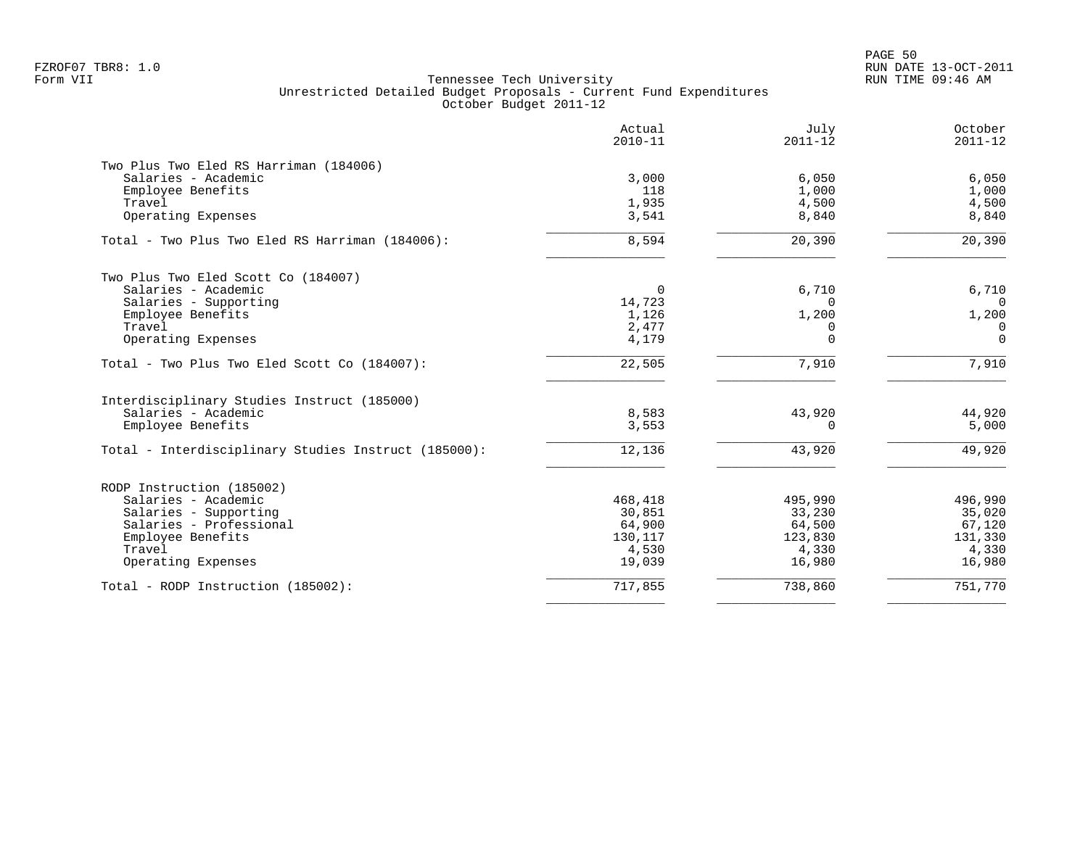PAGE 50 FZROF07 TBR8: 1.0 RUN DATE 13-OCT-2011

|                                                      | Actual<br>$2010 - 11$ | July<br>$2011 - 12$ | October<br>$2011 - 12$ |
|------------------------------------------------------|-----------------------|---------------------|------------------------|
| Two Plus Two Eled RS Harriman (184006)               |                       |                     |                        |
| Salaries - Academic                                  | 3,000                 | 6,050               | 6,050                  |
| Employee Benefits                                    | 118                   | 1,000               | 1,000                  |
| Travel<br>Operating Expenses                         | 1,935<br>3,541        | 4,500<br>8,840      | 4,500<br>8,840         |
| Total - Two Plus Two Eled RS Harriman (184006):      | 8,594                 | 20,390              | 20,390                 |
| Two Plus Two Eled Scott Co (184007)                  |                       |                     |                        |
| Salaries - Academic                                  | 0                     | 6,710               | 6,710                  |
| Salaries - Supporting                                | 14,723                | $\Omega$            | $\Omega$               |
| Employee Benefits                                    | 1,126                 | 1,200               | 1,200                  |
| Travel                                               | 2,477                 | $\Omega$            | $\mathbf 0$            |
| Operating Expenses                                   | 4,179                 | $\Omega$            | $\mathbf 0$            |
| Total - Two Plus Two Eled Scott Co (184007):         | 22,505                | 7,910               | 7,910                  |
| Interdisciplinary Studies Instruct (185000)          |                       |                     |                        |
| Salaries - Academic                                  | 8,583                 | 43,920              | 44,920                 |
| Employee Benefits                                    | 3,553                 | $\Omega$            | 5,000                  |
| Total - Interdisciplinary Studies Instruct (185000): | 12,136                | 43,920              | 49,920                 |
| RODP Instruction (185002)                            |                       |                     |                        |
| Salaries - Academic                                  | 468,418               | 495,990             | 496,990                |
| Salaries - Supporting                                | 30,851                | 33,230              | 35,020                 |
| Salaries - Professional                              | 64,900                | 64,500              | 67,120                 |
| Employee Benefits                                    | 130,117               | 123,830             | 131,330                |
| Travel                                               | 4,530                 | 4,330               | 4,330                  |
| Operating Expenses                                   | 19,039                | 16,980              | 16,980                 |
| Total - RODP Instruction (185002):                   | 717,855               | 738,860             | 751,770                |
|                                                      |                       |                     |                        |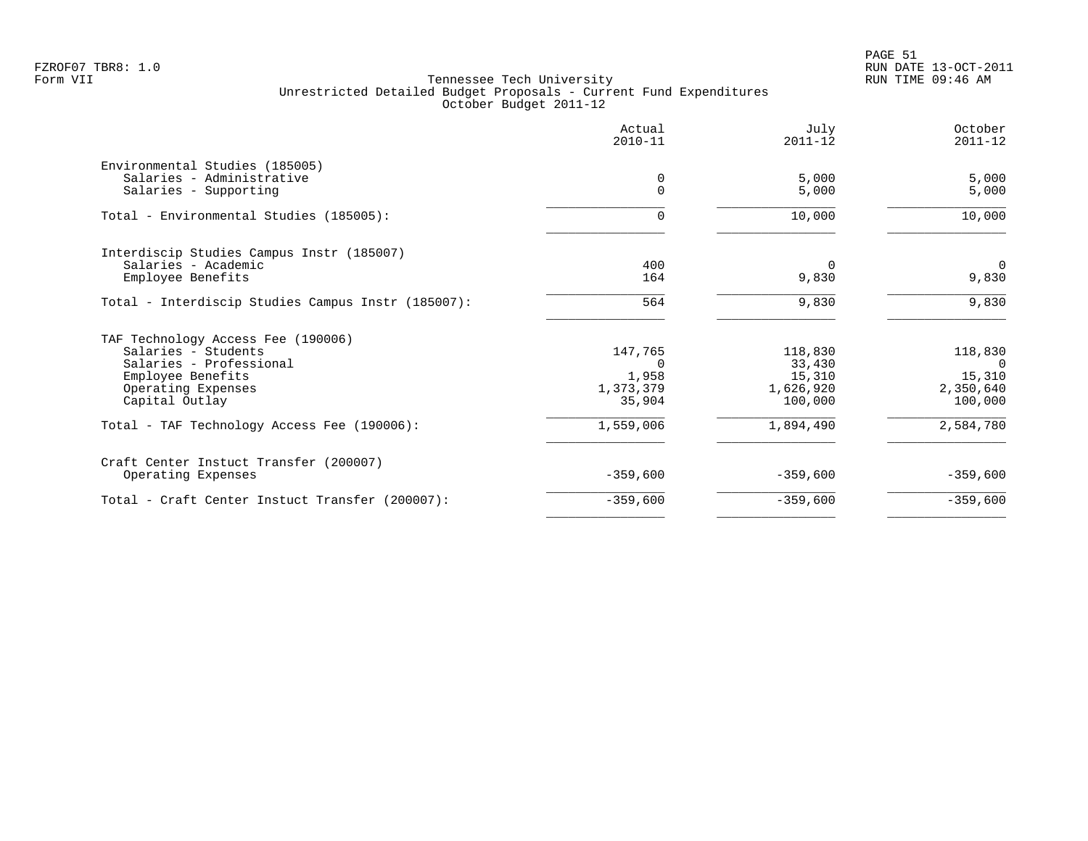|                                                    | Actual<br>$2010 - 11$ | July<br>$2011 - 12$ | October<br>$2011 - 12$ |
|----------------------------------------------------|-----------------------|---------------------|------------------------|
| Environmental Studies (185005)                     |                       |                     |                        |
| Salaries - Administrative                          | 0                     | 5,000               | 5,000                  |
| Salaries - Supporting                              | $\Omega$              | 5,000               | 5,000                  |
| Total - Environmental Studies (185005):            | $\Omega$              | 10,000              | 10,000                 |
| Interdiscip Studies Campus Instr (185007)          |                       |                     |                        |
| Salaries - Academic                                | 400                   | $\Omega$            | $\overline{0}$         |
| Employee Benefits                                  | 164                   | 9,830               | 9,830                  |
| Total - Interdiscip Studies Campus Instr (185007): | 564                   | 9,830               | 9,830                  |
| TAF Technology Access Fee (190006)                 |                       |                     |                        |
| Salaries - Students                                | 147,765               | 118,830             | 118,830                |
| Salaries - Professional                            | $\Omega$              | 33,430              | $\Omega$               |
| Employee Benefits                                  | 1,958                 | 15,310              | 15,310                 |
| Operating Expenses                                 | 1,373,379             | 1,626,920           | 2,350,640              |
| Capital Outlay                                     | 35,904                | 100,000             | 100,000                |
| Total - TAF Technology Access Fee (190006):        | 1,559,006             | 1,894,490           | 2,584,780              |
| Craft Center Instuct Transfer (200007)             |                       |                     |                        |
| Operating Expenses                                 | $-359,600$            | $-359,600$          | $-359,600$             |
| Total - Craft Center Instuct Transfer (200007):    | $-359,600$            | $-359,600$          | $-359,600$             |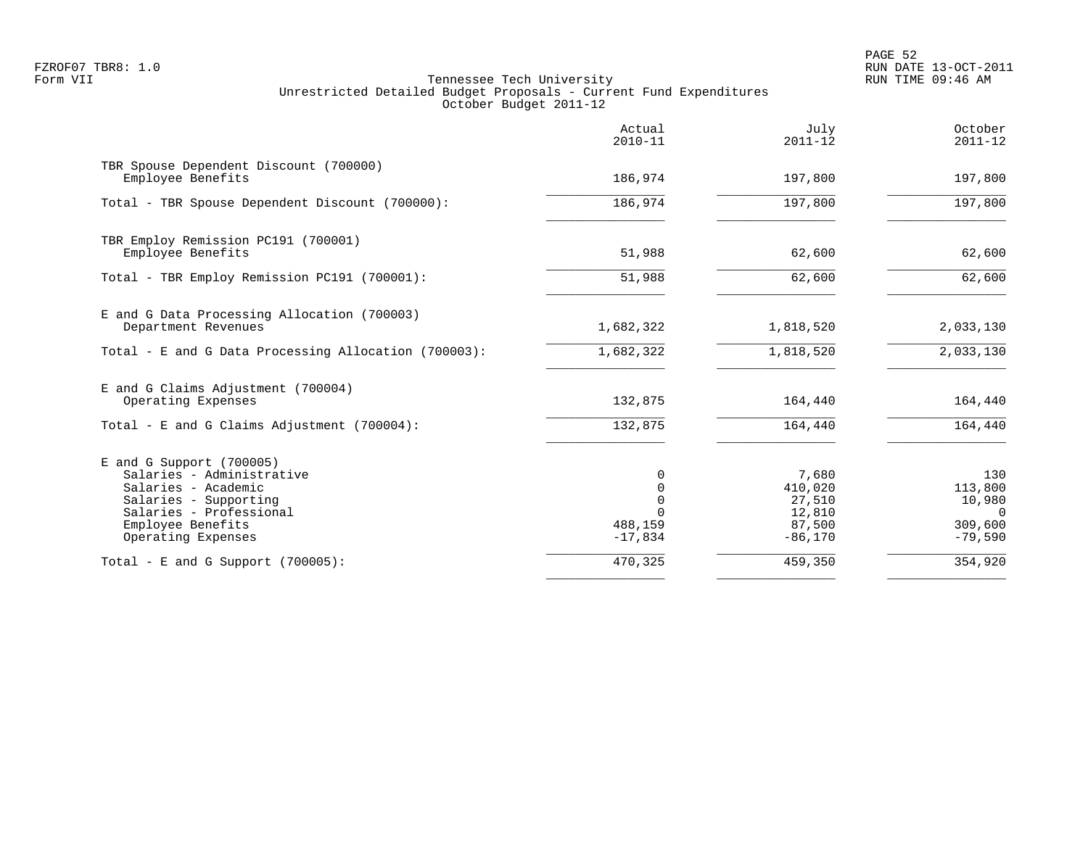PAGE 52 FZROF07 TBR8: 1.0 RUN DATE 13-OCT-2011

|                                                                                                                                                                             | Actual<br>$2010 - 11$                                               | July<br>$2011 - 12$                                         | October<br>$2011 - 12$                                       |
|-----------------------------------------------------------------------------------------------------------------------------------------------------------------------------|---------------------------------------------------------------------|-------------------------------------------------------------|--------------------------------------------------------------|
| TBR Spouse Dependent Discount (700000)<br>Employee Benefits                                                                                                                 | 186,974                                                             | 197,800                                                     | 197,800                                                      |
| Total - TBR Spouse Dependent Discount (700000):                                                                                                                             | 186,974                                                             | 197,800                                                     | 197,800                                                      |
| TBR Employ Remission PC191 (700001)<br>Employee Benefits                                                                                                                    | 51,988                                                              | 62,600                                                      | 62,600                                                       |
| Total - TBR Employ Remission PC191 (700001):                                                                                                                                | 51,988                                                              | 62,600                                                      | 62,600                                                       |
| E and G Data Processing Allocation (700003)<br>Department Revenues                                                                                                          | 1,682,322                                                           | 1,818,520                                                   | 2,033,130                                                    |
| Total - E and G Data Processing Allocation (700003):                                                                                                                        | 1,682,322                                                           | 1,818,520                                                   | 2,033,130                                                    |
| E and G Claims Adjustment (700004)<br>Operating Expenses                                                                                                                    | 132,875                                                             | 164,440                                                     | 164,440                                                      |
| Total - E and G Claims Adjustment $(700004)$ :                                                                                                                              | 132,875                                                             | 164,440                                                     | 164,440                                                      |
| E and G Support (700005)<br>Salaries - Administrative<br>Salaries - Academic<br>Salaries - Supporting<br>Salaries - Professional<br>Employee Benefits<br>Operating Expenses | 0<br>$\mathbf 0$<br>$\mathbf 0$<br>$\Omega$<br>488,159<br>$-17,834$ | 7,680<br>410,020<br>27,510<br>12,810<br>87,500<br>$-86,170$ | 130<br>113,800<br>10,980<br>$\Omega$<br>309,600<br>$-79,590$ |
| Total - E and G Support $(700005)$ :                                                                                                                                        | 470,325                                                             | 459,350                                                     | 354,920                                                      |
|                                                                                                                                                                             |                                                                     |                                                             |                                                              |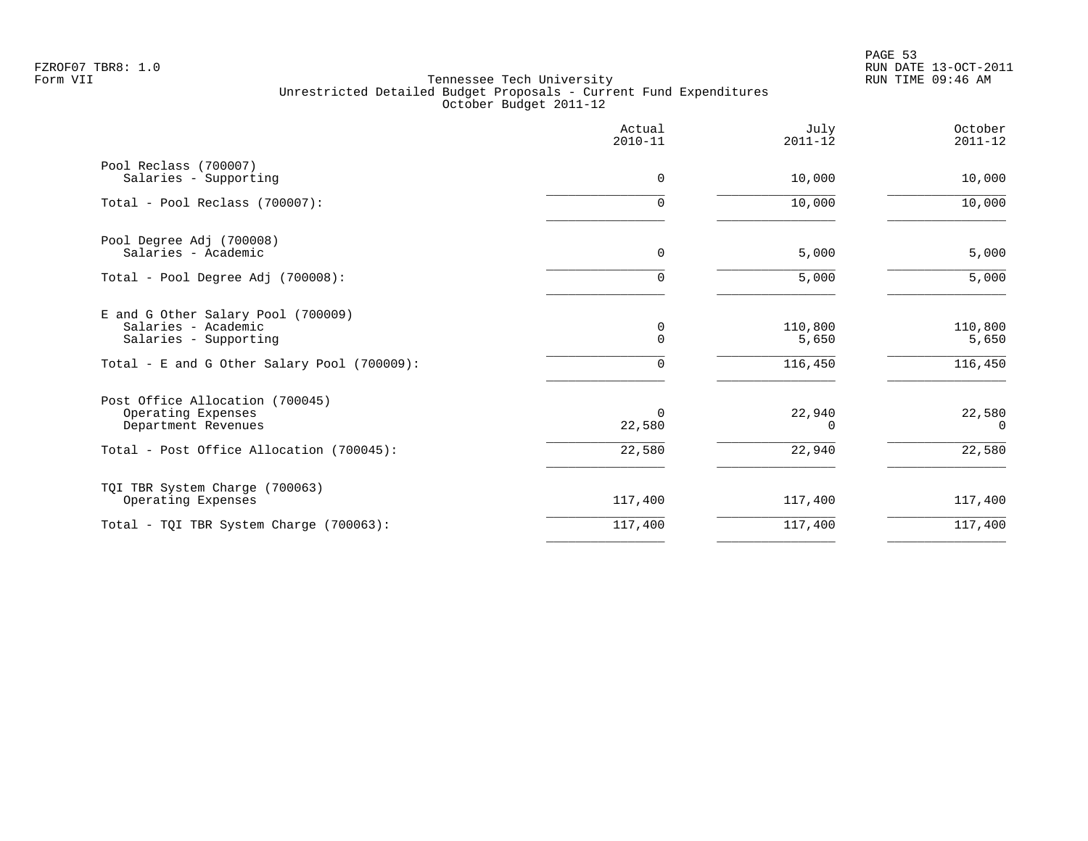PAGE 53 FZROF07 TBR8: 1.0 RUN DATE 13-OCT-2011

|                                                                                                                                   | Actual<br>$2010 - 11$ | July<br>$2011 - 12$         | October<br>$2011 - 12$      |
|-----------------------------------------------------------------------------------------------------------------------------------|-----------------------|-----------------------------|-----------------------------|
| Pool Reclass (700007)<br>Salaries - Supporting                                                                                    | 0                     | 10,000                      | 10,000                      |
| Total - Pool Reclass (700007):                                                                                                    | $\Omega$              | 10,000                      | 10,000                      |
| Pool Degree Adj (700008)<br>Salaries - Academic                                                                                   | 0                     | 5,000                       | 5,000                       |
| Total - Pool Degree Adj (700008):                                                                                                 | 0                     | 5,000                       | 5,000                       |
| E and G Other Salary Pool (700009)<br>Salaries - Academic<br>Salaries - Supporting<br>Total - E and G Other Salary Pool (700009): | 0<br>$\Omega$<br>0    | 110,800<br>5,650<br>116,450 | 110,800<br>5,650<br>116,450 |
| Post Office Allocation (700045)<br>Operating Expenses<br>Department Revenues                                                      | 0<br>22,580           | 22,940<br>$\Omega$          | 22,580<br>$\Omega$          |
| Total - Post Office Allocation (700045):                                                                                          | 22,580                | 22,940                      | 22,580                      |
| TQI TBR System Charge (700063)<br>Operating Expenses                                                                              | 117,400               | 117,400                     | 117,400                     |
| Total - TQI TBR System Charge (700063):                                                                                           | 117,400               | 117,400                     | 117,400                     |
|                                                                                                                                   |                       |                             |                             |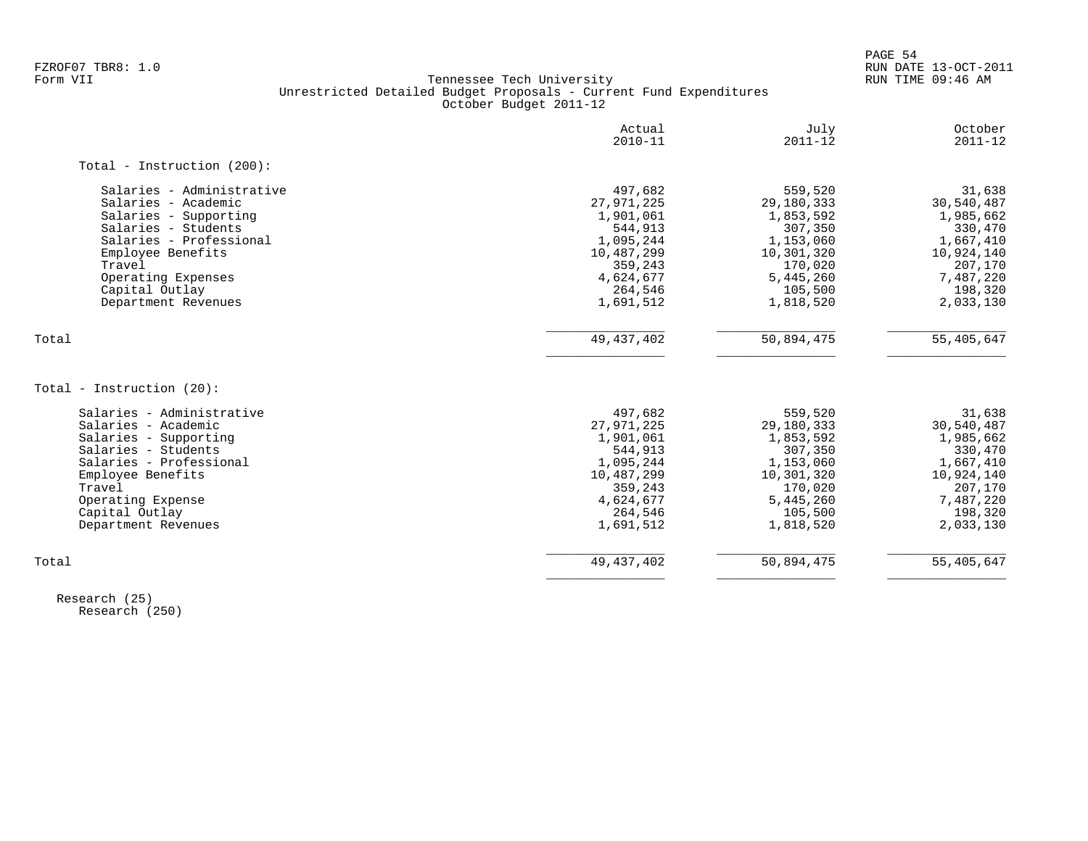PAGE 54

# FZROF07 TBR8: 1.0 RUN DATE 13-OCT-2011 Tennessee Tech University Unrestricted Detailed Budget Proposals - Current Fund Expenditures October Budget 2011-12

|                               | Actual<br>$2010 - 11$ | July<br>$2011 - 12$ | October<br>$2011 - 12$ |
|-------------------------------|-----------------------|---------------------|------------------------|
| Total - Instruction $(200)$ : |                       |                     |                        |
| Salaries - Administrative     | 497,682               | 559,520             | 31,638                 |
| Salaries - Academic           | 27,971,225            | 29,180,333          | 30,540,487             |
| Salaries - Supporting         | 1,901,061             | 1,853,592           | 1,985,662              |
| Salaries - Students           | 544,913               | 307,350             | 330,470                |
| Salaries - Professional       | 1,095,244             | 1,153,060           | 1,667,410              |
| Employee Benefits             | 10,487,299            | 10,301,320          | 10,924,140             |
| Travel                        | 359,243               | 170,020             | 207,170                |
| Operating Expenses            | 4,624,677             | 5,445,260           | 7,487,220              |
| Capital Outlay                | 264,546               | 105,500             | 198,320                |
| Department Revenues           | 1,691,512             | 1,818,520           | 2,033,130              |
| Total                         | 49, 437, 402          | 50,894,475          | 55,405,647             |
| Total - Instruction (20):     |                       |                     |                        |
|                               |                       |                     |                        |
| Salaries - Administrative     | 497,682               | 559,520             | 31,638                 |
| Salaries - Academic           | 27,971,225            | 29,180,333          | 30,540,487             |
| Salaries - Supporting         | 1,901,061             | 1,853,592           | 1,985,662              |
| Salaries - Students           | 544,913               | 307,350             | 330,470                |
| Salaries - Professional       | 1,095,244             | 1,153,060           | 1,667,410              |
| Employee Benefits             | 10,487,299            | 10,301,320          | 10,924,140             |
| Travel                        | 359,243               | 170,020             | 207,170                |
| Operating Expense             | 4,624,677             | 5,445,260           | 7,487,220              |
| Capital Outlay                | 264,546               | 105,500             | 198,320                |
| Department Revenues           | 1,691,512             | 1,818,520           | 2,033,130              |
| Total                         | 49, 437, 402          | 50,894,475          | 55,405,647             |
|                               |                       |                     |                        |

 Research (25) Research (250)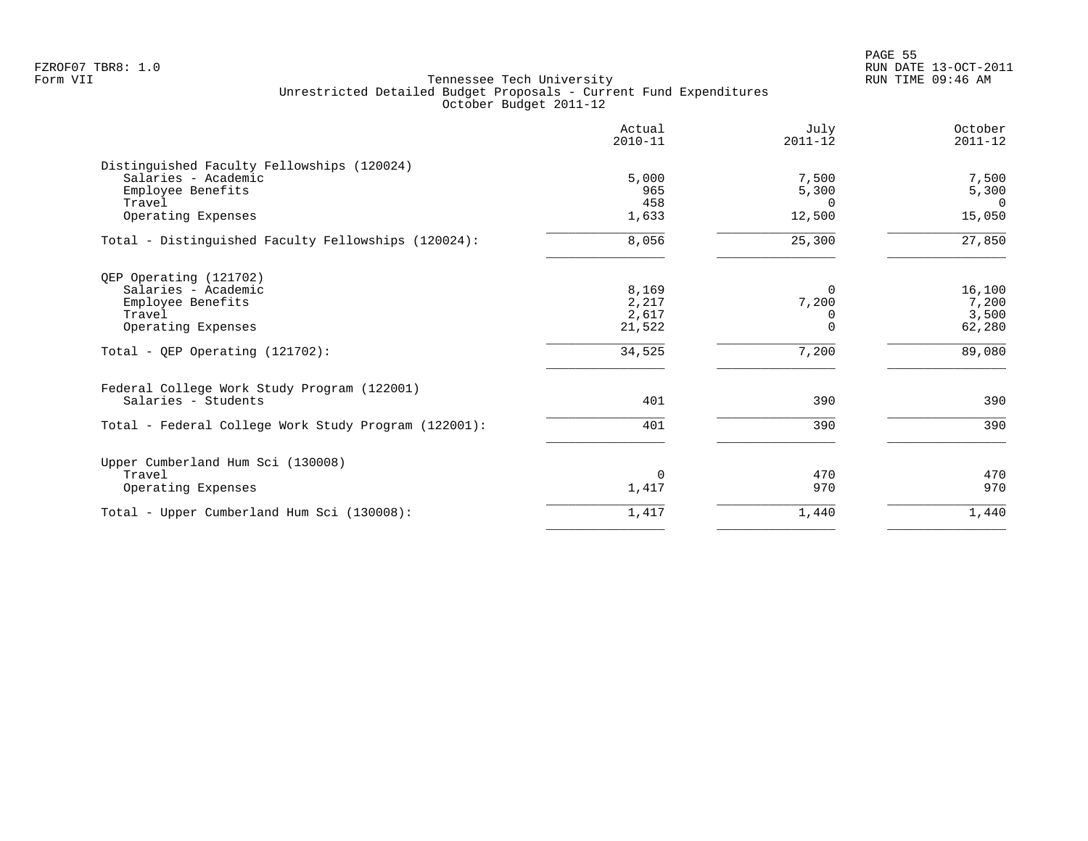en and the state of the state of the state of the state of the state of the state of the state of the state of the state of the state of the state of the state of the state of the state of the state of the state of the sta FZROF07 TBR8: 1.0 RUN DATE 13-OCT-2011

|                                                      | Actual<br>$2010 - 11$ | July<br>$2011 - 12$ | October<br>$2011 - 12$ |
|------------------------------------------------------|-----------------------|---------------------|------------------------|
| Distinguished Faculty Fellowships (120024)           |                       |                     |                        |
| Salaries - Academic                                  | 5,000                 | 7,500               | 7,500                  |
| Employee Benefits                                    | 965                   | 5,300               | 5,300                  |
| Travel                                               | 458                   | $\Omega$            | $\Omega$               |
| Operating Expenses                                   | 1,633                 | 12,500              | 15,050                 |
| Total - Distinguished Faculty Fellowships (120024):  | 8,056                 | 25,300              | 27,850                 |
| QEP Operating (121702)                               |                       |                     |                        |
| Salaries - Academic                                  | 8,169                 | $\Omega$            | 16,100                 |
| Employee Benefits                                    | 2,217                 | 7,200               | 7,200                  |
| Travel                                               | 2,617                 | $\Omega$            | 3,500                  |
| Operating Expenses                                   | 21,522                | $\overline{0}$      | 62,280                 |
| Total - OEP Operating (121702):                      | 34,525                | 7,200               | 89,080                 |
| Federal College Work Study Program (122001)          |                       |                     |                        |
| Salaries - Students                                  | 401                   | 390                 | 390                    |
| Total - Federal College Work Study Program (122001): | 401                   | 390                 | 390                    |
| Upper Cumberland Hum Sci (130008)                    |                       |                     |                        |
| Travel                                               | 0                     | 470                 | 470                    |
| Operating Expenses                                   | 1,417                 | 970                 | 970                    |
| Total - Upper Cumberland Hum Sci (130008):           | 1,417                 | 1,440               | 1,440                  |
|                                                      |                       |                     |                        |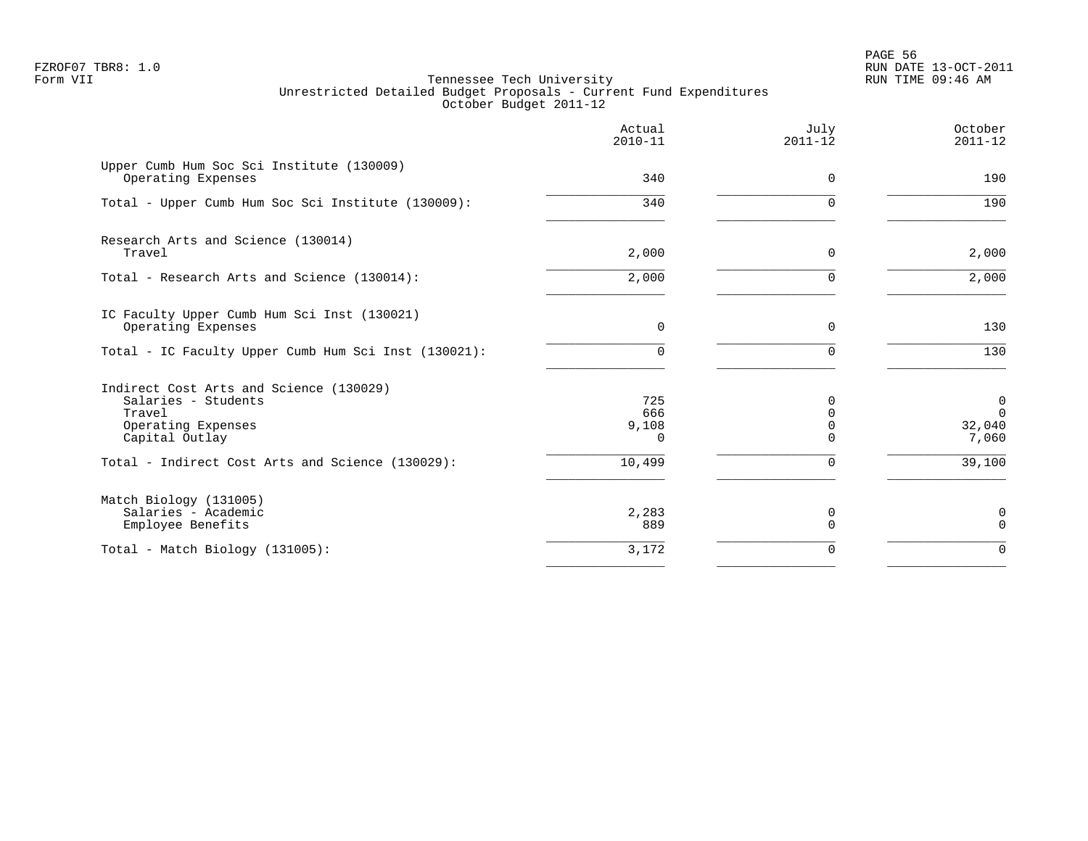|                                                                                                                  | Actual<br>$2010 - 11$           | July<br>$2011 - 12$       | October<br>$2011 - 12$                        |
|------------------------------------------------------------------------------------------------------------------|---------------------------------|---------------------------|-----------------------------------------------|
| Upper Cumb Hum Soc Sci Institute (130009)<br>Operating Expenses                                                  | 340                             | $\mathbf 0$               | 190                                           |
| Total - Upper Cumb Hum Soc Sci Institute (130009):                                                               | 340                             | $\Omega$                  | 190                                           |
| Research Arts and Science (130014)<br>Travel                                                                     | 2,000                           | 0                         | 2,000                                         |
| Total - Research Arts and Science (130014):                                                                      | 2,000                           | $\Omega$                  | 2,000                                         |
| IC Faculty Upper Cumb Hum Sci Inst (130021)<br>Operating Expenses                                                | $\Omega$                        | $\Omega$                  | 130                                           |
| Total - IC Faculty Upper Cumb Hum Sci Inst (130021):                                                             | 0                               | $\Omega$                  | 130                                           |
| Indirect Cost Arts and Science (130029)<br>Salaries - Students<br>Travel<br>Operating Expenses<br>Capital Outlay | 725<br>666<br>9,108<br>$\Omega$ | $\Omega$<br>0<br>$\Omega$ | $\mathbf 0$<br>$\mathbf 0$<br>32,040<br>7,060 |
| Total - Indirect Cost Arts and Science (130029):                                                                 | 10,499                          | $\Omega$                  | 39,100                                        |
| Match Biology (131005)<br>Salaries - Academic<br>Employee Benefits                                               | 2,283<br>889                    | 0<br>$\Omega$             | 0<br>$\mathbf 0$                              |
| Total - Match Biology (131005):                                                                                  | 3,172                           | $\Omega$                  | $\Omega$                                      |
|                                                                                                                  |                                 |                           |                                               |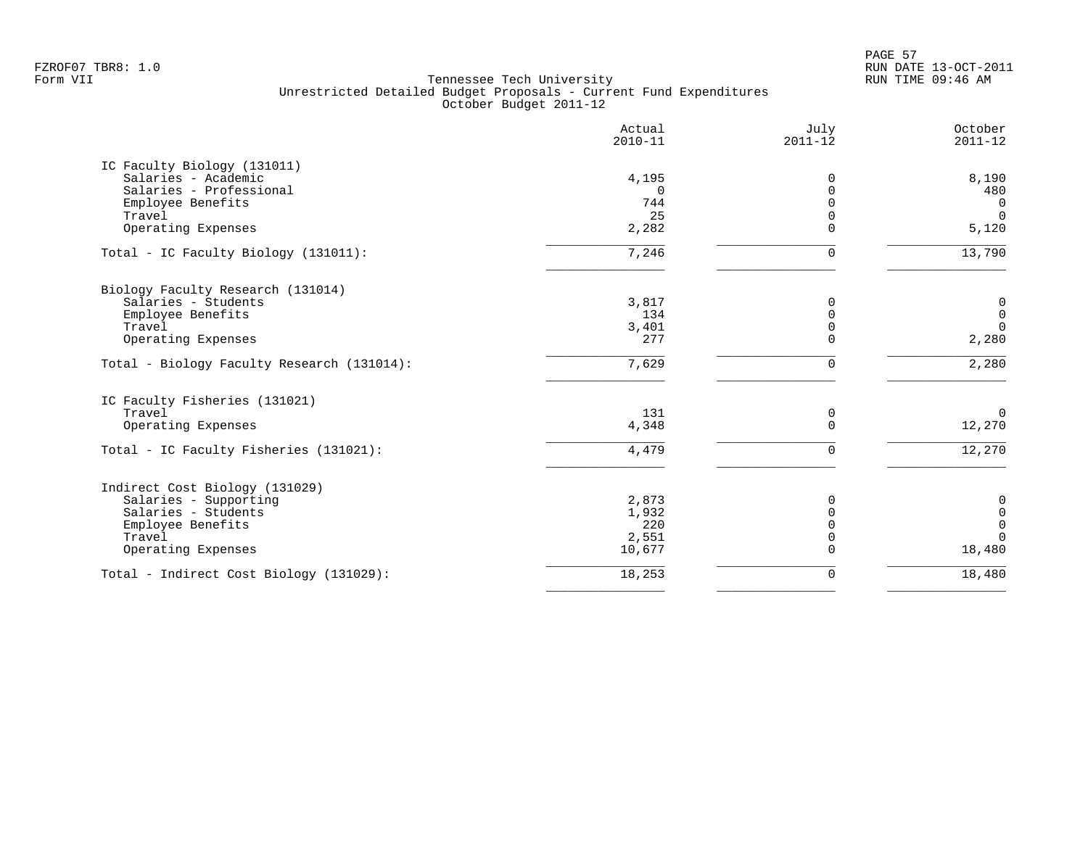PAGE 57 FZROF07 TBR8: 1.0 RUN DATE 13-OCT-2011

|                                            | Actual<br>$2010 - 11$ | July<br>$2011 - 12$ | October<br>$2011 - 12$ |
|--------------------------------------------|-----------------------|---------------------|------------------------|
| IC Faculty Biology (131011)                |                       |                     |                        |
| Salaries - Academic                        | 4,195                 | 0                   | 8,190                  |
| Salaries - Professional                    | $\cap$                | $\Omega$            | 480                    |
| Employee Benefits                          | 744                   | $\Omega$            | $\Omega$               |
| Travel                                     | 25                    | $\Omega$            | $\Omega$               |
| Operating Expenses                         | 2,282                 | $\Omega$            | 5,120                  |
| Total - IC Faculty Biology (131011):       | 7,246                 | $\Omega$            | 13,790                 |
| Biology Faculty Research (131014)          |                       |                     |                        |
| Salaries - Students                        | 3,817                 | 0                   | $\mathbb O$            |
| Employee Benefits                          | 134                   | $\mathbf 0$         | $\mathbf 0$            |
| Travel                                     | 3,401                 | $\mathbf 0$         | $\mathbf 0$            |
| Operating Expenses                         | 277                   | $\Omega$            | 2,280                  |
| Total - Biology Faculty Research (131014): | 7,629                 | $\Omega$            | 2,280                  |
| IC Faculty Fisheries (131021)              |                       |                     |                        |
| Travel                                     | 131                   | 0                   | $\overline{0}$         |
| Operating Expenses                         | 4,348                 | $\Omega$            | 12,270                 |
| Total - IC Faculty Fisheries (131021):     | 4,479                 | $\Omega$            | 12,270                 |
| Indirect Cost Biology (131029)             |                       |                     |                        |
| Salaries - Supporting                      | 2,873                 | $\Omega$            | $\boldsymbol{0}$       |
| Salaries - Students                        | 1,932                 | $\Omega$            | $\mathsf 0$            |
| Employee Benefits                          | 220                   | $\Omega$            | $\overline{0}$         |
| Travel                                     | 2,551                 | $\Omega$            | $\Omega$               |
| Operating Expenses                         | 10,677                | $\Omega$            | 18,480                 |
| Total - Indirect Cost Biology (131029):    | 18,253                | 0                   | 18,480                 |
|                                            |                       |                     |                        |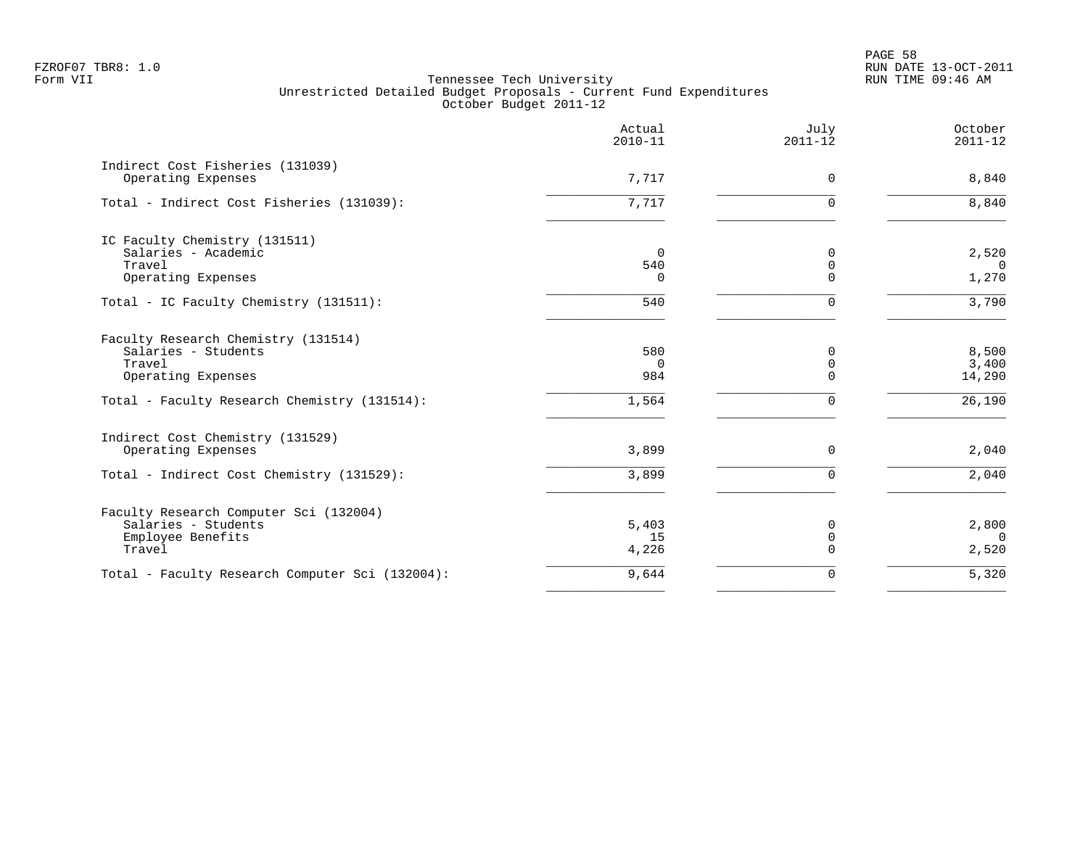PAGE 58 FZROF07 TBR8: 1.0 RUN DATE 13-OCT-2011

|                                                        | Actual<br>$2010 - 11$ | July<br>$2011 - 12$ | October<br>$2011 - 12$ |
|--------------------------------------------------------|-----------------------|---------------------|------------------------|
| Indirect Cost Fisheries (131039)<br>Operating Expenses | 7,717                 | $\Omega$            | 8,840                  |
| Total - Indirect Cost Fisheries (131039):              | 7,717                 | $\Omega$            | 8,840                  |
| IC Faculty Chemistry (131511)                          |                       |                     |                        |
| Salaries - Academic                                    | $\Omega$              | 0                   | 2,520                  |
| Travel                                                 | 540                   | $\mathbf 0$         | $\Omega$               |
| Operating Expenses                                     | $\Omega$              | $\Omega$            | 1,270                  |
| Total - IC Faculty Chemistry (131511):                 | 540                   | $\Omega$            | 3,790                  |
| Faculty Research Chemistry (131514)                    |                       |                     |                        |
| Salaries - Students                                    | 580                   | 0                   | 8,500                  |
| Travel                                                 | $\Omega$              | 0                   | 3,400                  |
| Operating Expenses                                     | 984                   | $\Omega$            | 14,290                 |
| Total - Faculty Research Chemistry (131514):           | 1,564                 | $\Omega$            | 26,190                 |
| Indirect Cost Chemistry (131529)                       |                       |                     |                        |
| Operating Expenses                                     | 3,899                 | $\Omega$            | 2,040                  |
| Total - Indirect Cost Chemistry (131529):              | 3,899                 | $\Omega$            | 2,040                  |
| Faculty Research Computer Sci (132004)                 |                       |                     |                        |
| Salaries - Students                                    | 5,403                 | 0                   | 2,800                  |
| Employee Benefits                                      | 15                    | $\mathbf 0$         | $\Omega$               |
| Travel                                                 | 4,226                 | $\Omega$            | 2,520                  |
| Total - Faculty Research Computer Sci (132004):        | 9,644                 | 0                   | 5,320                  |
|                                                        |                       |                     |                        |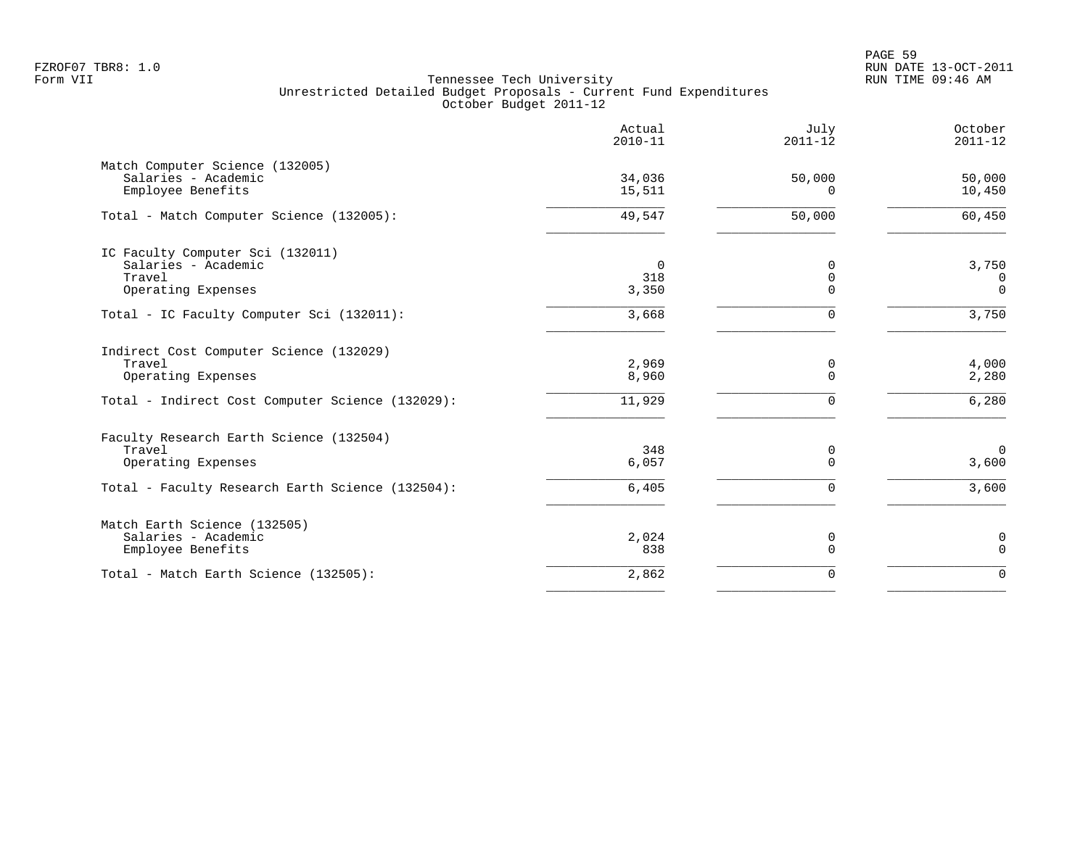|                                                                                                                             | Actual<br>$2010 - 11$       | July<br>$2011 - 12$          | October<br>$2011 - 12$           |
|-----------------------------------------------------------------------------------------------------------------------------|-----------------------------|------------------------------|----------------------------------|
| Match Computer Science (132005)<br>Salaries - Academic<br>Employee Benefits                                                 | 34,036<br>15,511            | 50,000<br>0                  | 50,000<br>10,450                 |
| Total - Match Computer Science (132005):                                                                                    | 49,547                      | 50,000                       | 60,450                           |
| IC Faculty Computer Sci (132011)<br>Salaries - Academic<br>Travel<br>Operating Expenses                                     | $\mathbf 0$<br>318<br>3,350 | 0<br>$\mathbf 0$<br>$\Omega$ | 3,750<br>0<br>$\Omega$           |
| Total - IC Faculty Computer Sci (132011):                                                                                   | 3,668                       | $\Omega$                     | 3,750                            |
| Indirect Cost Computer Science (132029)<br>Travel<br>Operating Expenses<br>Total - Indirect Cost Computer Science (132029): | 2,969<br>8,960<br>11,929    | 0<br>$\mathbf 0$<br>$\Omega$ | 4,000<br>2,280<br>6,280          |
| Faculty Research Earth Science (132504)<br>Travel<br>Operating Expenses<br>Total - Faculty Research Earth Science (132504): | 348<br>6,057<br>6,405       | 0<br>$\Omega$<br>$\Omega$    | $\overline{0}$<br>3,600<br>3,600 |
| Match Earth Science (132505)<br>Salaries - Academic<br>Employee Benefits                                                    | 2,024<br>838                | 0<br>$\Omega$                | 0<br>$\mathbf 0$                 |
| Total - Match Earth Science (132505):                                                                                       | 2,862                       | 0                            | $\Omega$                         |
|                                                                                                                             |                             |                              |                                  |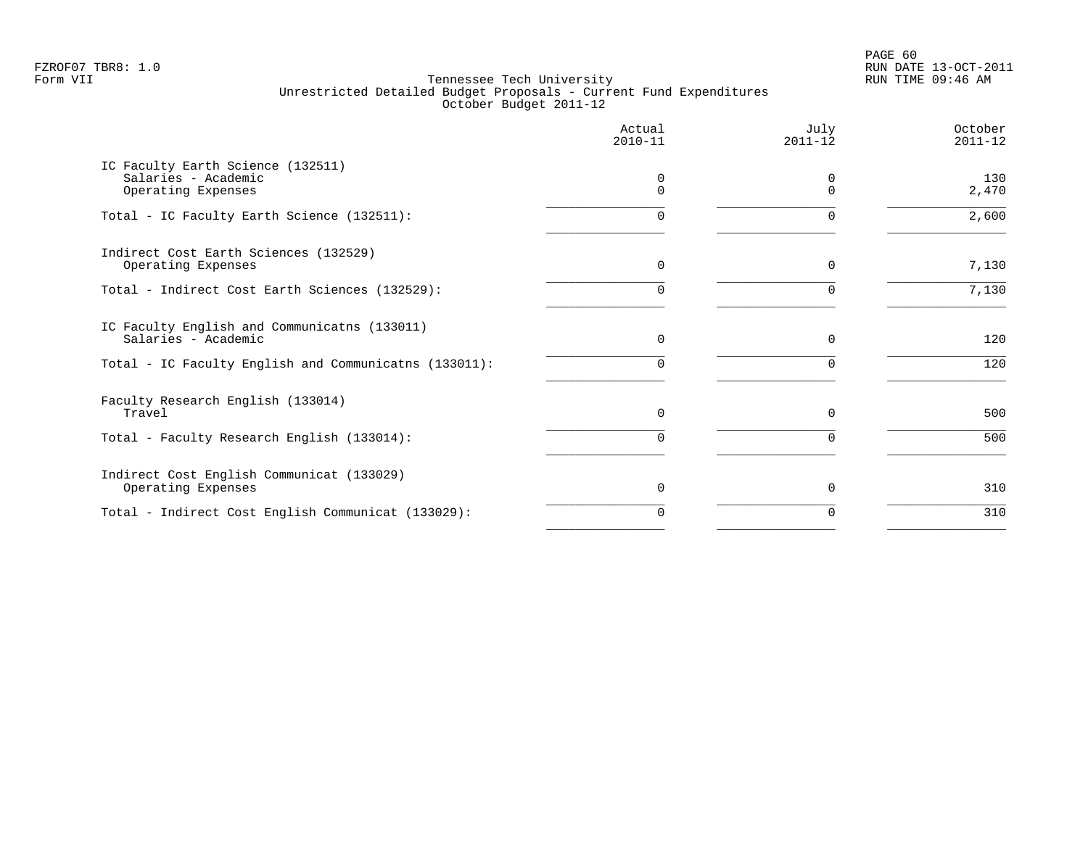PAGE 60 FZROF07 TBR8: 1.0 RUN DATE 13-OCT-2011

|                                                                                | Actual<br>$2010 - 11$ | July<br>$2011 - 12$ | October<br>$2011 - 12$ |
|--------------------------------------------------------------------------------|-----------------------|---------------------|------------------------|
| IC Faculty Earth Science (132511)<br>Salaries - Academic<br>Operating Expenses | $\cap$                |                     | 130<br>2,470           |
| Total - IC Faculty Earth Science (132511):                                     |                       |                     | 2,600                  |
| Indirect Cost Earth Sciences (132529)<br>Operating Expenses                    | $\Omega$              | $\Omega$            | 7,130                  |
| Total - Indirect Cost Earth Sciences (132529):                                 |                       |                     | 7,130                  |
| IC Faculty English and Communicatns (133011)<br>Salaries - Academic            | $\Omega$              | $\Omega$            | 120                    |
| Total - IC Faculty English and Communicatns (133011):                          |                       |                     | 120                    |
| Faculty Research English (133014)<br>Travel                                    | $\Omega$              | $\Omega$            | 500                    |
| Total - Faculty Research English (133014):                                     | 0                     | $\Omega$            | 500                    |
| Indirect Cost English Communicat (133029)<br>Operating Expenses                | 0                     |                     | 310                    |
| Total - Indirect Cost English Communicat (133029):                             | 0                     | O                   | 310                    |
|                                                                                |                       |                     |                        |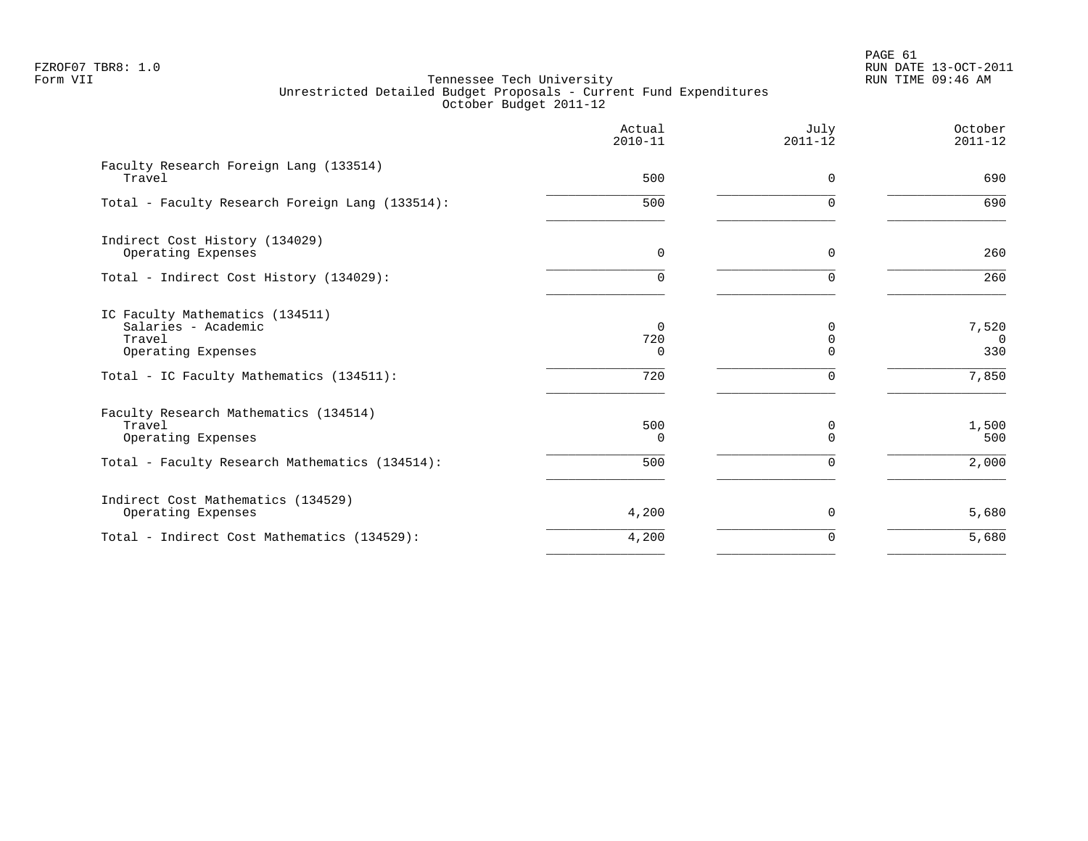PAGE 61 FZROF07 TBR8: 1.0 RUN DATE 13-OCT-2011

|                                                                                        | Actual<br>$2010 - 11$       | July<br>$2011 - 12$       | October<br>$2011 - 12$   |
|----------------------------------------------------------------------------------------|-----------------------------|---------------------------|--------------------------|
| Faculty Research Foreign Lang (133514)<br>Travel                                       | 500                         | 0                         | 690                      |
| Total - Faculty Research Foreign Lang (133514):                                        | 500                         | $\Omega$                  | 690                      |
| Indirect Cost History (134029)<br>Operating Expenses                                   | $\mathbf 0$                 | 0                         | 260                      |
| Total - Indirect Cost History (134029):                                                | $\Omega$                    | $\Omega$                  | 260                      |
| IC Faculty Mathematics (134511)<br>Salaries - Academic<br>Travel<br>Operating Expenses | $\Omega$<br>720<br>$\Omega$ | 0<br>$\Omega$<br>$\Omega$ | 7,520<br>$\Omega$<br>330 |
| Total - IC Faculty Mathematics (134511):                                               | 720                         | 0                         | 7,850                    |
| Faculty Research Mathematics (134514)<br>Travel<br>Operating Expenses                  | 500<br>$\Omega$             | 0<br>$\Omega$             | 1,500<br>500             |
| Total - Faculty Research Mathematics (134514):                                         | 500                         | $\Omega$                  | 2,000                    |
| Indirect Cost Mathematics (134529)<br>Operating Expenses                               | 4,200                       | 0                         | 5,680                    |
| Total - Indirect Cost Mathematics (134529):                                            | 4,200                       | 0                         | 5,680                    |
|                                                                                        |                             |                           |                          |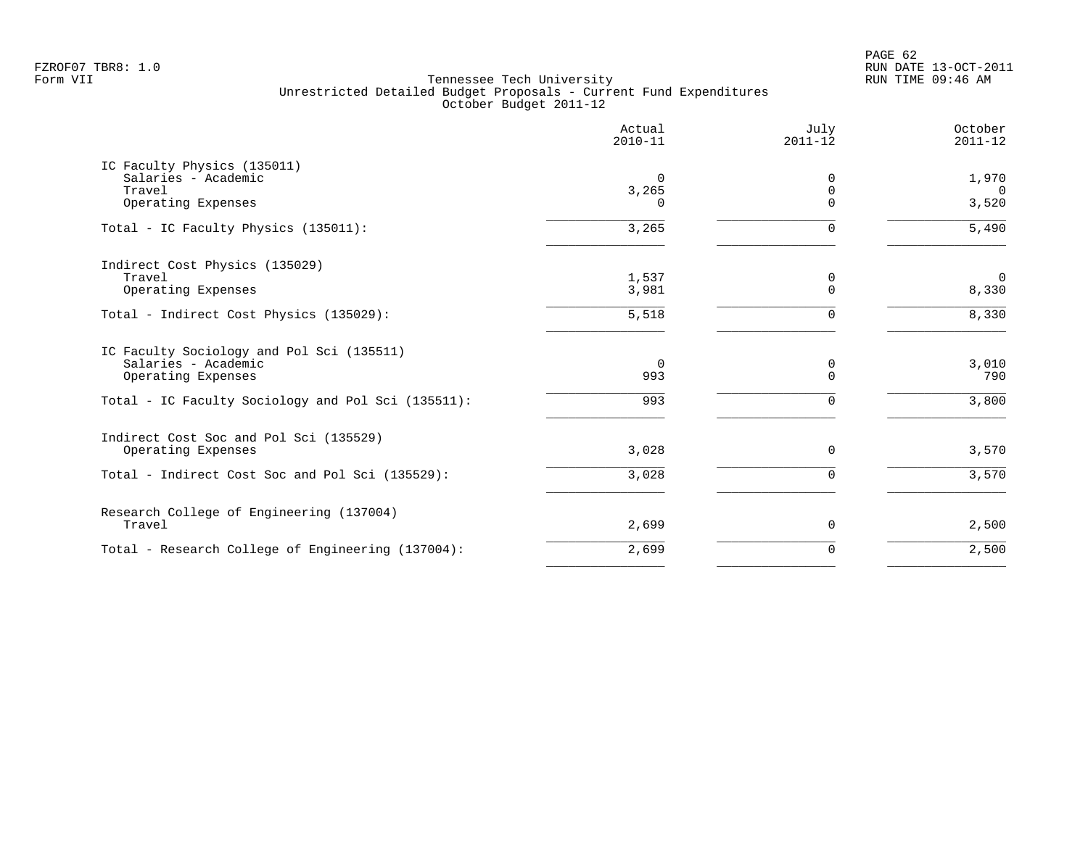PAGE 62 FZROF07 TBR8: 1.0 RUN DATE 13-OCT-2011

|                                                    | Actual<br>$2010 - 11$ | July<br>$2011 - 12$     | October<br>$2011 - 12$ |
|----------------------------------------------------|-----------------------|-------------------------|------------------------|
| IC Faculty Physics (135011)<br>Salaries - Academic | 0                     | 0                       | 1,970                  |
| Travel<br>Operating Expenses                       | 3,265<br>$\Omega$     | $\mathbf 0$<br>$\Omega$ | $\Omega$<br>3,520      |
| Total - IC Faculty Physics (135011):               | 3,265                 | $\Omega$                | 5,490                  |
| Indirect Cost Physics (135029)                     |                       |                         |                        |
| Travel<br>Operating Expenses                       | 1,537<br>3,981        | 0<br>$\mathbf 0$        | $\mathbf 0$<br>8,330   |
| Total - Indirect Cost Physics (135029):            | 5,518                 | $\Omega$                | 8,330                  |
| IC Faculty Sociology and Pol Sci (135511)          |                       |                         |                        |
| Salaries - Academic<br>Operating Expenses          | $\overline{0}$<br>993 | 0<br>$\Omega$           | 3,010<br>790           |
| Total - IC Faculty Sociology and Pol Sci (135511): | 993                   | $\Omega$                | 3,800                  |
| Indirect Cost Soc and Pol Sci (135529)             |                       |                         |                        |
| Operating Expenses                                 | 3,028                 | $\Omega$                | 3,570                  |
| Total - Indirect Cost Soc and Pol Sci (135529):    | 3,028                 | $\Omega$                | 3,570                  |
| Research College of Engineering (137004)<br>Travel | 2,699                 | 0                       | 2,500                  |
|                                                    |                       |                         | 2,500                  |
| Total - Research College of Engineering (137004):  | 2,699                 | 0                       |                        |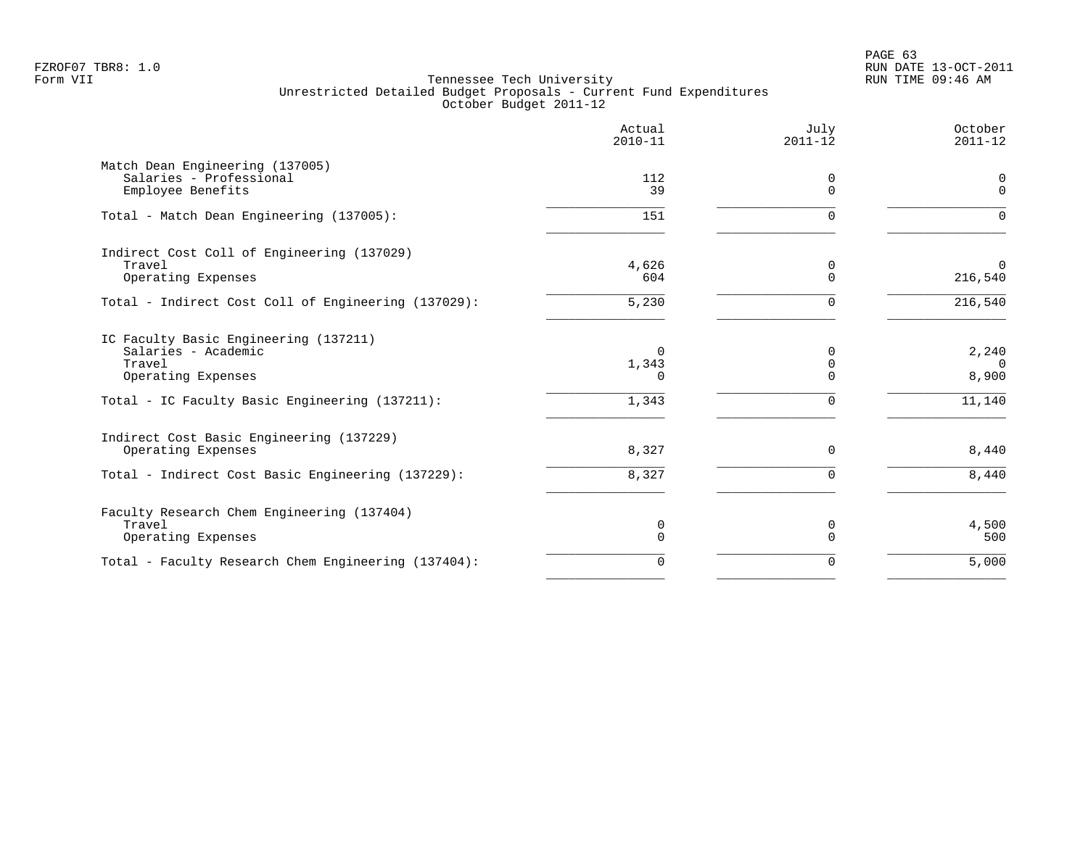|                                                                                                                                                | Actual<br>$2010 - 11$           | July<br>$2011 - 12$                      | October<br>$2011 - 12$               |
|------------------------------------------------------------------------------------------------------------------------------------------------|---------------------------------|------------------------------------------|--------------------------------------|
| Match Dean Engineering (137005)<br>Salaries - Professional<br>Employee Benefits                                                                | 112<br>39                       | 0<br>$\Omega$                            | 0<br>$\mathbf 0$                     |
| Total - Match Dean Engineering (137005):                                                                                                       | 151                             | $\Omega$                                 | $\Omega$                             |
| Indirect Cost Coll of Engineering (137029)<br>Travel<br>Operating Expenses                                                                     | 4,626<br>604                    | 0<br>$\Omega$                            | $\Omega$<br>216,540                  |
| Total - Indirect Cost Coll of Engineering (137029):                                                                                            | 5,230                           | 0                                        | 216,540                              |
| IC Faculty Basic Engineering (137211)<br>Salaries - Academic<br>Travel<br>Operating Expenses<br>Total - IC Faculty Basic Engineering (137211): | 0<br>1,343<br>$\Omega$<br>1,343 | $\Omega$<br>$\mathbf 0$<br>$\Omega$<br>0 | 2,240<br>$\Omega$<br>8,900<br>11,140 |
| Indirect Cost Basic Engineering (137229)<br>Operating Expenses<br>Total - Indirect Cost Basic Engineering (137229):                            | 8,327<br>8,327                  | 0<br>$\Omega$                            | 8,440<br>8,440                       |
| Faculty Research Chem Engineering (137404)<br>Travel<br>Operating Expenses                                                                     | 0<br>0                          | 0<br>$\Omega$                            | 4,500<br>500                         |
| Total - Faculty Research Chem Engineering (137404):                                                                                            | $\mathbf 0$                     | 0                                        | 5,000                                |
|                                                                                                                                                |                                 |                                          |                                      |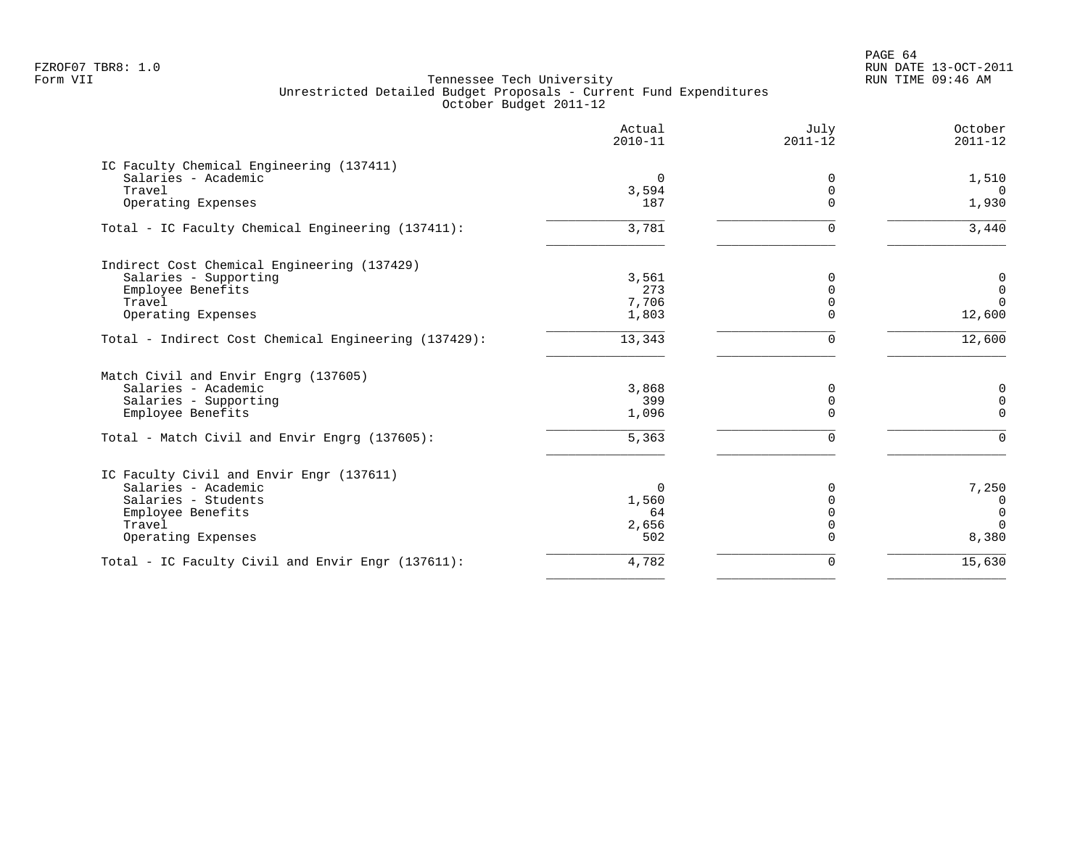PAGE 64 FZROF07 TBR8: 1.0 RUN DATE 13-OCT-2011

|                                                      | Actual<br>$2010 - 11$ | July<br>$2011 - 12$ | October<br>$2011 - 12$ |
|------------------------------------------------------|-----------------------|---------------------|------------------------|
| IC Faculty Chemical Engineering (137411)             |                       |                     |                        |
| Salaries - Academic                                  | $\Omega$              | $\Omega$            | 1,510                  |
| Travel                                               | 3,594                 | $\Omega$            | $\Omega$               |
| Operating Expenses                                   | 187                   | ∩                   | 1,930                  |
| Total - IC Faculty Chemical Engineering (137411):    | 3,781                 | $\Omega$            | 3,440                  |
| Indirect Cost Chemical Engineering (137429)          |                       |                     |                        |
| Salaries - Supporting                                | 3,561                 | 0                   | $\mathbf 0$            |
| Employee Benefits                                    | 273                   | $\Omega$            | $\mathbf 0$            |
| Travel                                               | 7,706                 | $\Omega$            | $\Omega$               |
| Operating Expenses                                   | 1,803                 | $\Omega$            | 12,600                 |
| Total - Indirect Cost Chemical Engineering (137429): | 13,343                | 0                   | 12,600                 |
| Match Civil and Envir Engrg (137605)                 |                       |                     |                        |
| Salaries - Academic                                  | 3,868                 | $\Omega$            | 0                      |
| Salaries - Supporting                                | 399                   | 0                   | $\mathsf{O}$           |
| Employee Benefits                                    | 1,096                 | $\Omega$            | $\mathbf 0$            |
| Total - Match Civil and Envir Engrg (137605):        | $\overline{5,363}$    | 0                   | $\mathbf 0$            |
| IC Faculty Civil and Envir Engr (137611)             |                       |                     |                        |
| Salaries - Academic                                  | $\Omega$              | 0                   | 7,250                  |
| Salaries - Students                                  | 1,560                 | $\Omega$            | $\overline{0}$         |
| Employee Benefits                                    | 64                    | $\Omega$            | $\mathbf{0}$           |
| Travel                                               | 2,656                 | $\Omega$            | $\Omega$               |
| Operating Expenses                                   | 502                   | 0                   | 8,380                  |
| Total - IC Faculty Civil and Envir Engr (137611):    | 4,782                 | 0                   | 15,630                 |
|                                                      |                       |                     |                        |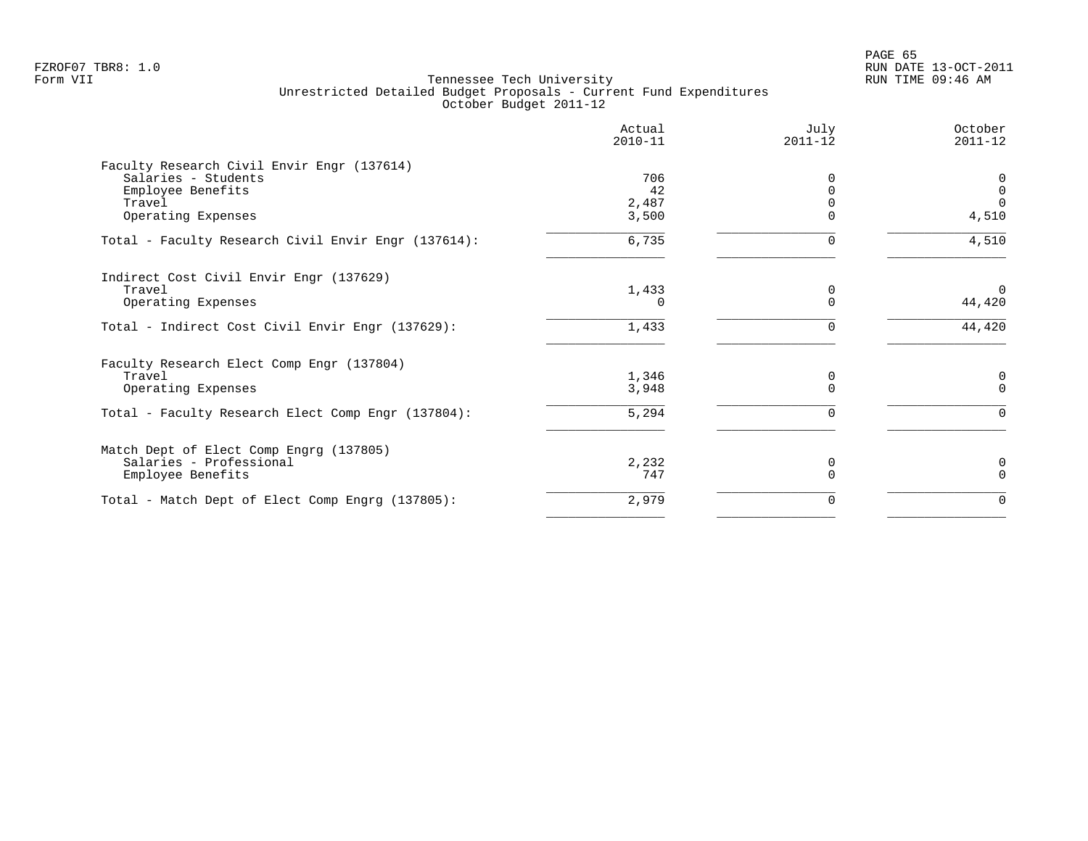| Actual<br>$2010 - 11$       | July<br>$2011 - 12$ | October<br>$2011 - 12$                   |
|-----------------------------|---------------------|------------------------------------------|
| 706<br>42<br>2,487<br>3,500 |                     | 0<br>$\overline{0}$<br>$\Omega$<br>4,510 |
| 6,735                       |                     | 4,510                                    |
| 1,433<br><sup>n</sup>       | 0                   | $\Omega$<br>44,420                       |
| 1,433                       |                     | 44,420                                   |
| 1,346<br>3,948<br>5,294     | 0                   | $\mathbf 0$<br>$\Omega$                  |
| 2,232<br>747                | 0                   | 0<br>$\Omega$                            |
| 2,979                       | 0                   | $\Omega$                                 |
|                             |                     |                                          |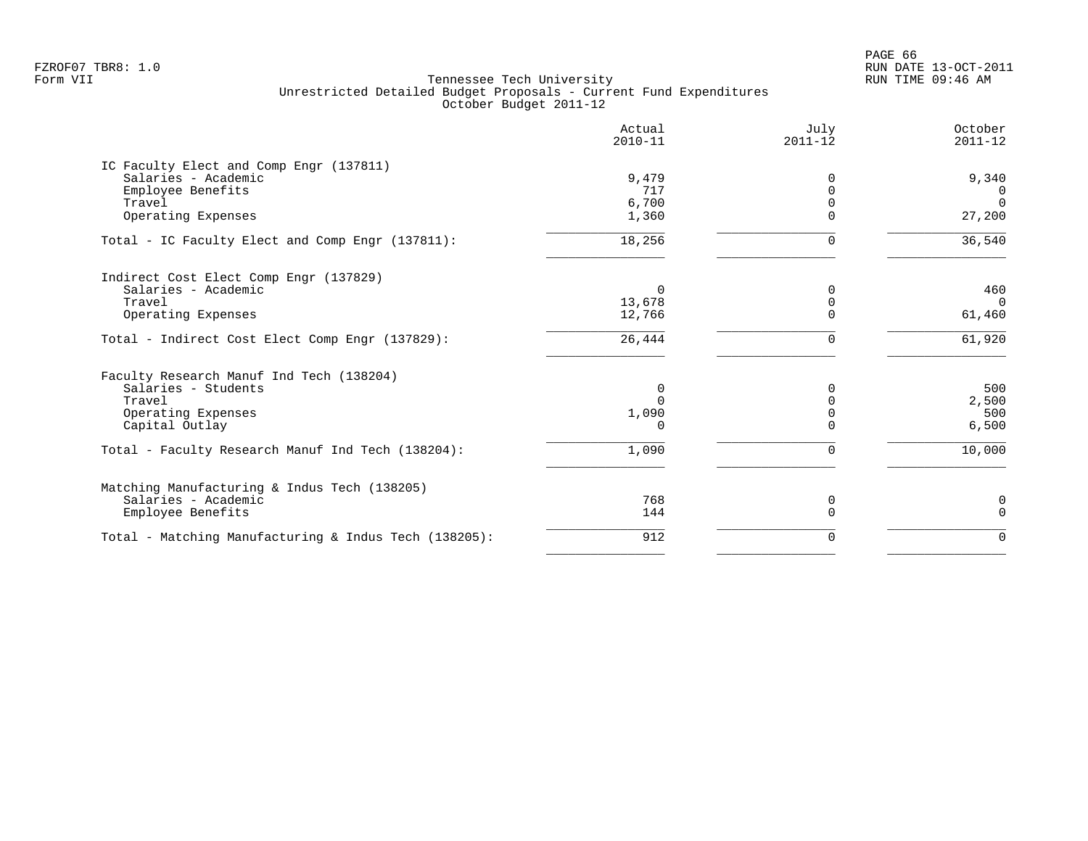PAGE 66 FZROF07 TBR8: 1.0 RUN DATE 13-OCT-2011

|                                                       | Actual<br>$2010 - 11$ | July<br>$2011 - 12$ | October<br>$2011 - 12$ |
|-------------------------------------------------------|-----------------------|---------------------|------------------------|
| IC Faculty Elect and Comp Engr (137811)               |                       |                     |                        |
| Salaries - Academic                                   | 9,479                 | 0                   | 9,340                  |
| Employee Benefits<br>Travel                           | 717<br>6,700          |                     | 0<br>$\Omega$          |
| Operating Expenses                                    | 1,360                 |                     | 27,200                 |
| Total - IC Faculty Elect and Comp Engr (137811):      | 18,256                | $\Omega$            | 36,540                 |
| Indirect Cost Elect Comp Engr (137829)                |                       |                     |                        |
| Salaries - Academic                                   | $\Omega$              |                     | 460                    |
| Travel                                                | 13,678                | $\Omega$            | $\Omega$               |
| Operating Expenses                                    | 12,766                |                     | 61,460                 |
| Total - Indirect Cost Elect Comp Engr (137829):       | 26,444                | 0                   | 61,920                 |
| Faculty Research Manuf Ind Tech (138204)              |                       |                     |                        |
| Salaries - Students                                   | 0                     |                     | 500                    |
| Travel                                                | $\Omega$              |                     | 2,500                  |
| Operating Expenses                                    | 1,090                 |                     | 500                    |
| Capital Outlay                                        |                       |                     | 6,500                  |
| Total - Faculty Research Manuf Ind Tech (138204):     | 1,090                 | $\Omega$            | 10,000                 |
| Matching Manufacturing & Indus Tech (138205)          |                       |                     |                        |
| Salaries - Academic                                   | 768                   | 0                   | 0                      |
| Employee Benefits                                     | 144                   | $\Omega$            | $\Omega$               |
| Total - Matching Manufacturing & Indus Tech (138205): | 912                   | $\Omega$            | $\Omega$               |
|                                                       |                       |                     |                        |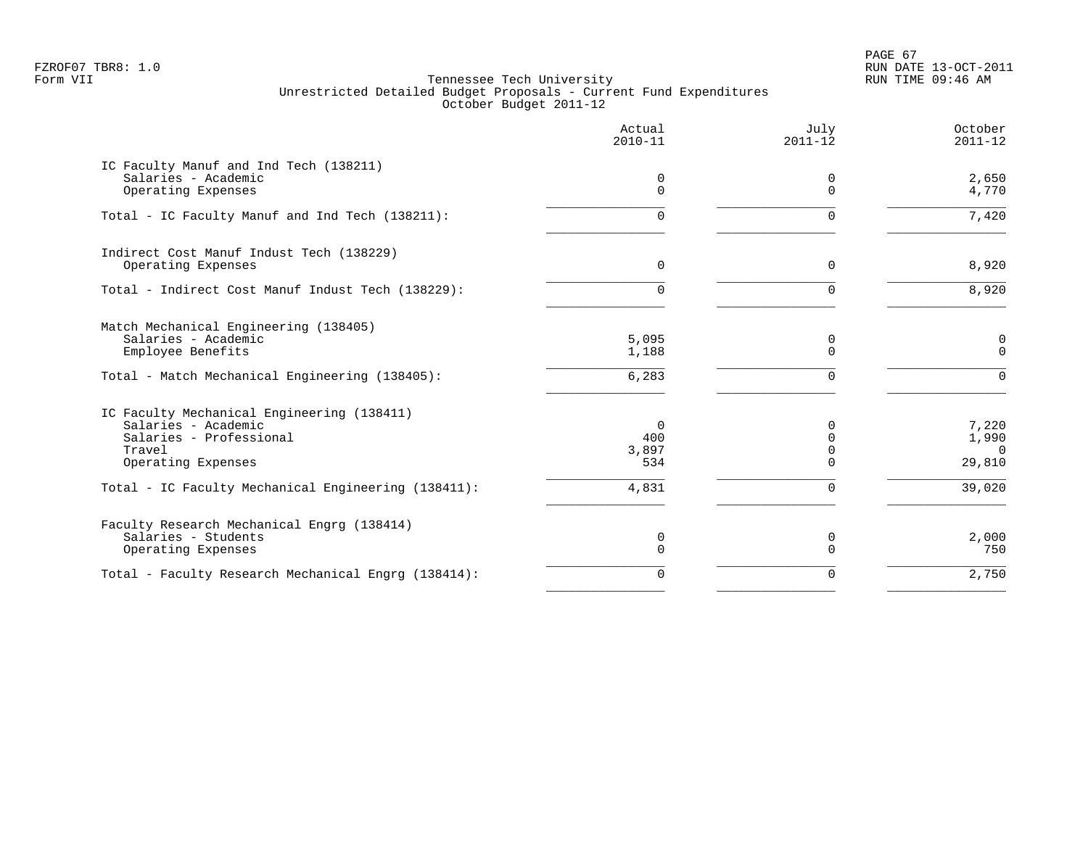PAGE 67 FZROF07 TBR8: 1.0 RUN DATE 13-OCT-2011

|                                                                                                                                     | Actual<br>$2010 - 11$           | July<br>$2011 - 12$                              | October<br>$2011 - 12$               |
|-------------------------------------------------------------------------------------------------------------------------------------|---------------------------------|--------------------------------------------------|--------------------------------------|
| IC Faculty Manuf and Ind Tech (138211)<br>Salaries - Academic<br>Operating Expenses                                                 | 0<br>$\Omega$                   | 0<br>$\Omega$                                    | 2,650<br>4,770                       |
| Total - IC Faculty Manuf and Ind Tech (138211):                                                                                     | 0                               | $\Omega$                                         | 7,420                                |
| Indirect Cost Manuf Indust Tech (138229)<br>Operating Expenses                                                                      | 0                               | $\mathbf 0$                                      | 8,920                                |
| Total - Indirect Cost Manuf Indust Tech (138229):                                                                                   | 0                               | $\Omega$                                         | 8,920                                |
| Match Mechanical Engineering (138405)<br>Salaries - Academic<br>Employee Benefits<br>Total - Match Mechanical Engineering (138405): | 5,095<br>1,188<br>6,283         | 0<br>$\Omega$<br>$\Omega$                        | 0<br>$\Omega$<br>$\Omega$            |
| IC Faculty Mechanical Engineering (138411)<br>Salaries - Academic<br>Salaries - Professional<br>Travel<br>Operating Expenses        | $\Omega$<br>400<br>3,897<br>534 | <sup>0</sup><br>$\Omega$<br>$\Omega$<br>$\Omega$ | 7,220<br>1,990<br>$\Omega$<br>29,810 |
| Total - IC Faculty Mechanical Engineering (138411):                                                                                 | 4,831                           | $\Omega$                                         | 39,020                               |
| Faculty Research Mechanical Engrg (138414)<br>Salaries - Students<br>Operating Expenses                                             | 0<br>$\Omega$                   | 0<br>$\Omega$                                    | 2,000<br>750                         |
| Total - Faculty Research Mechanical Engrg (138414):                                                                                 | $\Omega$                        | $\Omega$                                         | 2,750                                |
|                                                                                                                                     |                                 |                                                  |                                      |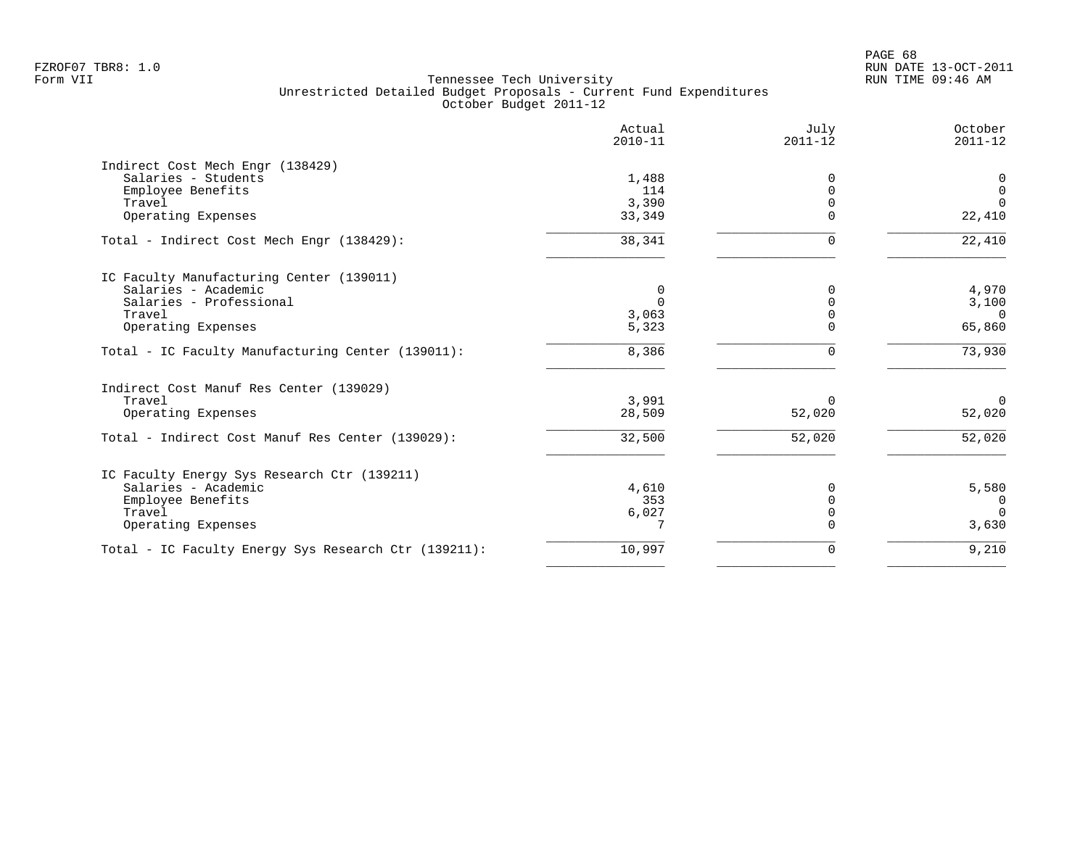|                                                      | Actual<br>$2010 - 11$ | July<br>$2011 - 12$ | October<br>$2011 - 12$ |
|------------------------------------------------------|-----------------------|---------------------|------------------------|
| Indirect Cost Mech Engr (138429)                     |                       |                     |                        |
| Salaries - Students                                  | 1,488                 | $\Omega$            | 0                      |
| Employee Benefits                                    | 114                   | $\Omega$            | $\Omega$               |
| Travel                                               | 3,390                 | $\Omega$            | $\Omega$               |
| Operating Expenses                                   | 33,349                | $\Omega$            | 22,410                 |
| Total - Indirect Cost Mech Engr (138429):            | 38,341                | $\Omega$            | 22,410                 |
| IC Faculty Manufacturing Center (139011)             |                       |                     |                        |
| Salaries - Academic                                  | 0                     | $\Omega$            | 4,970                  |
| Salaries - Professional                              | $\Omega$              |                     | 3,100                  |
| Travel                                               | 3,063                 | $\Omega$            | $\Omega$               |
| Operating Expenses                                   | 5,323                 | $\Omega$            | 65,860                 |
| Total - IC Faculty Manufacturing Center (139011):    | 8,386                 |                     | 73,930                 |
| Indirect Cost Manuf Res Center (139029)              |                       |                     |                        |
| Travel                                               | 3,991                 | $\Omega$            | $\overline{0}$         |
| Operating Expenses                                   | 28,509                | 52,020              | 52,020                 |
| Total - Indirect Cost Manuf Res Center (139029):     | 32,500                | 52,020              | 52,020                 |
| IC Faculty Energy Sys Research Ctr (139211)          |                       |                     |                        |
| Salaries - Academic                                  | 4,610                 | $\Omega$            | 5,580                  |
| Employee Benefits                                    | 353                   | $\Omega$            | $\overline{0}$         |
| Travel                                               | 6,027                 | $\Omega$            | $\Omega$               |
| Operating Expenses                                   | 7                     | $\Omega$            | 3,630                  |
| Total - IC Faculty Energy Sys Research Ctr (139211): | 10,997                | 0                   | 9,210                  |
|                                                      |                       |                     |                        |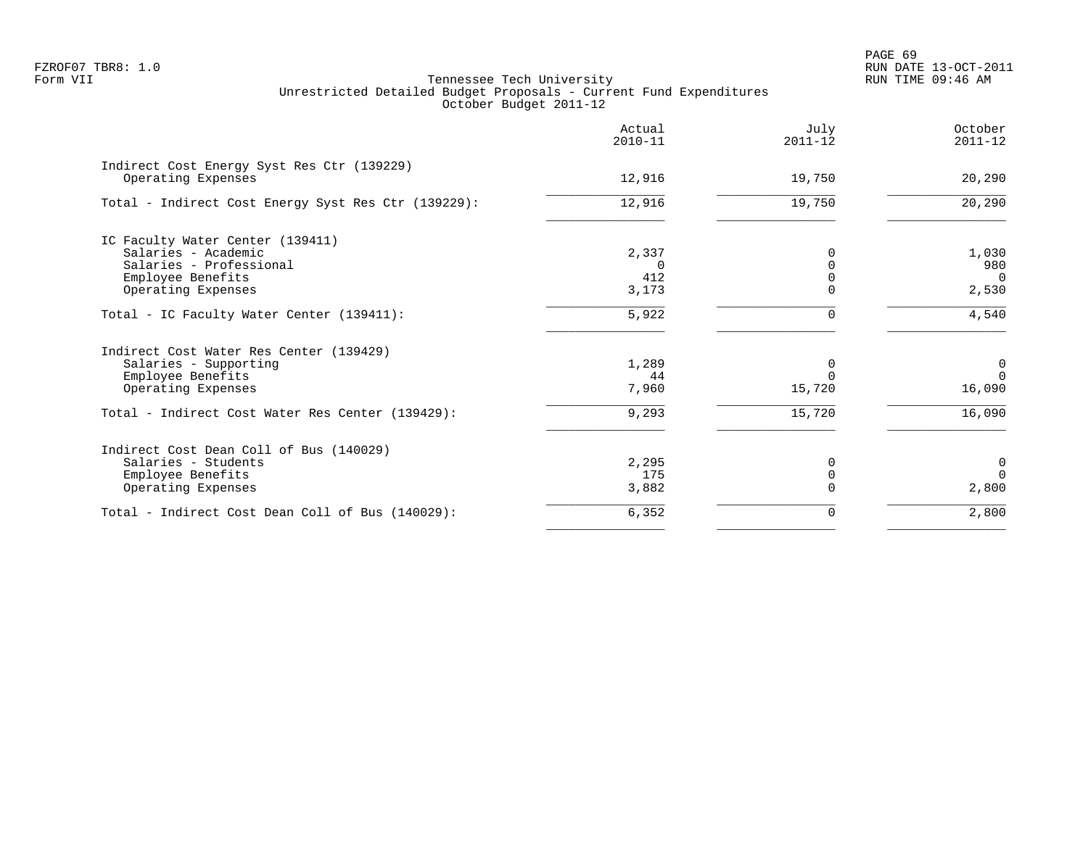|                                                                  | Actual<br>$2010 - 11$ | July<br>$2011 - 12$ | October<br>$2011 - 12$ |
|------------------------------------------------------------------|-----------------------|---------------------|------------------------|
| Indirect Cost Energy Syst Res Ctr (139229)<br>Operating Expenses | 12,916                | 19,750              | 20,290                 |
| Total - Indirect Cost Energy Syst Res Ctr (139229):              | 12,916                | 19,750              | 20,290                 |
|                                                                  |                       |                     |                        |
| IC Faculty Water Center (139411)                                 |                       |                     |                        |
| Salaries - Academic                                              | 2,337                 |                     | 1,030                  |
| Salaries - Professional                                          | $\Omega$              |                     | 980                    |
| Employee Benefits                                                | 412                   |                     | $\overline{0}$         |
| Operating Expenses                                               | 3,173                 |                     | 2,530                  |
| Total - IC Faculty Water Center (139411):                        | 5,922                 |                     | 4,540                  |
| Indirect Cost Water Res Center (139429)                          |                       |                     |                        |
| Salaries - Supporting                                            | 1,289                 | 0                   | $\overline{0}$         |
| Employee Benefits                                                | 44                    | $\Omega$            | $\Omega$               |
| Operating Expenses                                               | 7,960                 | 15,720              | 16,090                 |
| Total - Indirect Cost Water Res Center (139429):                 | 9,293                 | 15,720              | 16,090                 |
| Indirect Cost Dean Coll of Bus (140029)                          |                       |                     |                        |
| Salaries - Students                                              | 2,295                 | 0                   | $\overline{0}$         |
| Employee Benefits                                                | 175                   | 0                   | $\Omega$               |
| Operating Expenses                                               | 3,882                 |                     | 2,800                  |
| Total - Indirect Cost Dean Coll of Bus (140029):                 | 6,352                 | 0                   | 2,800                  |
|                                                                  |                       |                     |                        |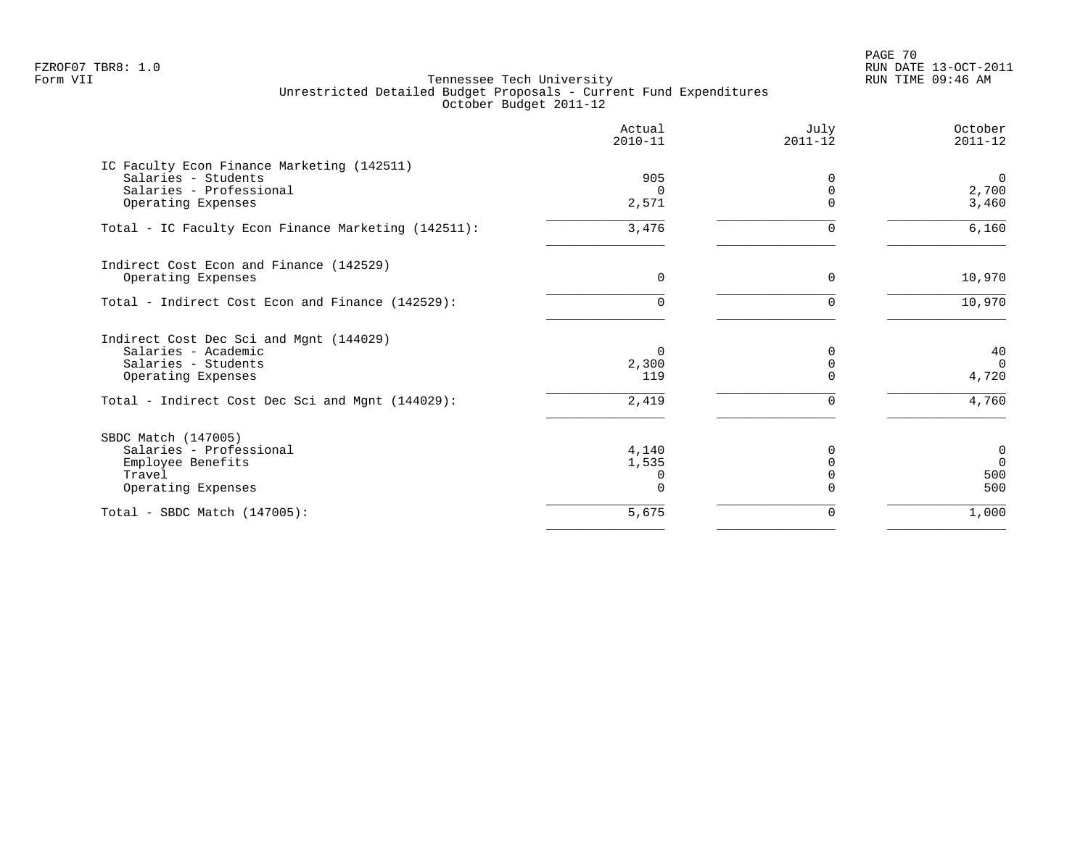PAGE 70 FZROF07 TBR8: 1.0 RUN DATE 13-OCT-2011

|                                                     | Actual<br>$2010 - 11$ | July<br>$2011 - 12$ | October<br>$2011 - 12$ |
|-----------------------------------------------------|-----------------------|---------------------|------------------------|
| IC Faculty Econ Finance Marketing (142511)          |                       |                     |                        |
| Salaries - Students                                 | 905                   |                     | $\overline{0}$         |
| Salaries - Professional                             |                       |                     | 2,700                  |
| Operating Expenses                                  | 2,571                 |                     | 3,460                  |
| Total - IC Faculty Econ Finance Marketing (142511): | 3,476                 | $\Omega$            | 6,160                  |
| Indirect Cost Econ and Finance (142529)             |                       |                     |                        |
| Operating Expenses                                  | $\Omega$              | $\Omega$            | 10,970                 |
| Total - Indirect Cost Econ and Finance (142529):    | $\Omega$              |                     | 10,970                 |
| Indirect Cost Dec Sci and Mgnt (144029)             |                       |                     |                        |
| Salaries - Academic                                 | $\Omega$              |                     | 40                     |
| Salaries - Students                                 | 2,300                 |                     | $\Omega$               |
| Operating Expenses                                  | 119                   |                     | 4,720                  |
| Total - Indirect Cost Dec Sci and Mgnt (144029):    | 2,419                 |                     | 4,760                  |
| SBDC Match (147005)                                 |                       |                     |                        |
| Salaries - Professional                             | 4,140                 |                     | $\mathbf 0$            |
| Employee Benefits                                   | 1,535                 |                     | $\Omega$               |
| Travel                                              |                       |                     | 500                    |
| Operating Expenses                                  |                       |                     | 500                    |
| Total - SBDC Match $(147005)$ :                     | 5,675                 | 0                   | 1,000                  |
|                                                     |                       |                     |                        |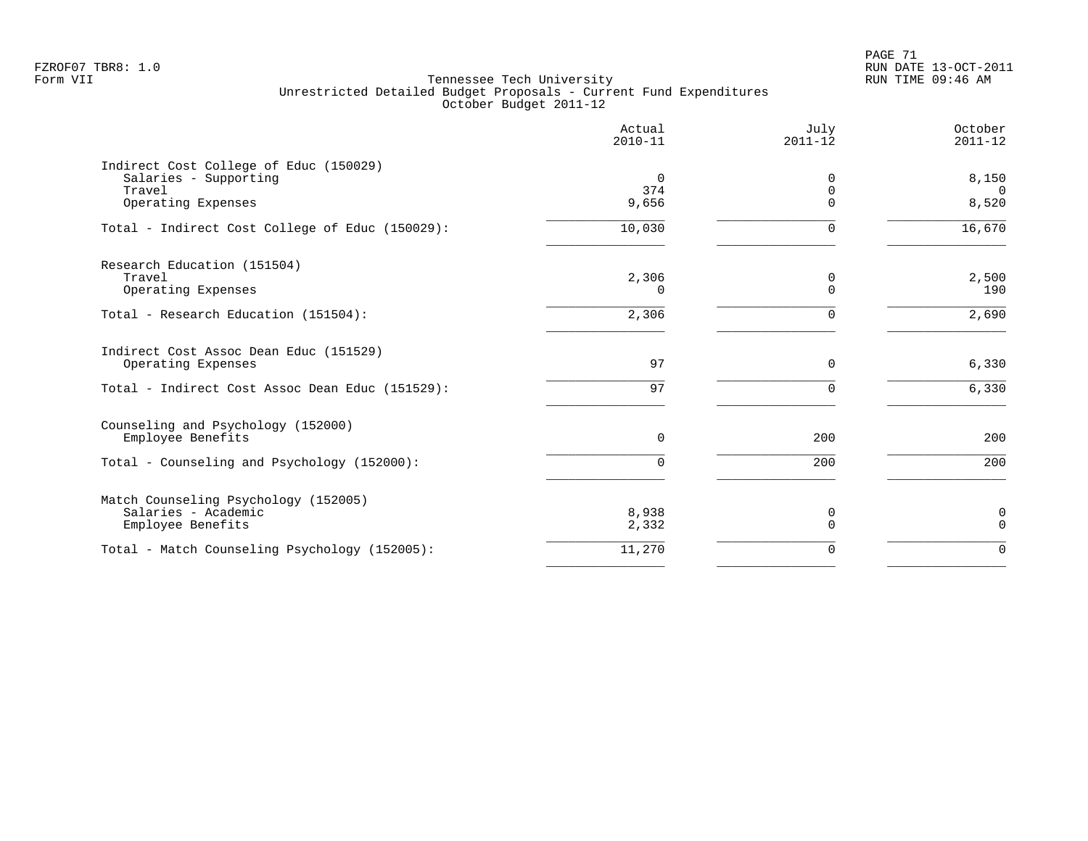PAGE 71 FZROF07 TBR8: 1.0 RUN DATE 13-OCT-2011

|                                                                 | Actual<br>$2010 - 11$ | July<br>$2011 - 12$  | October<br>$2011 - 12$ |
|-----------------------------------------------------------------|-----------------------|----------------------|------------------------|
| Indirect Cost College of Educ (150029)<br>Salaries - Supporting | 0                     | $\Omega$             | 8,150                  |
| Travel<br>Operating Expenses                                    | 374<br>9,656          | $\Omega$<br>$\Omega$ | $\Omega$<br>8,520      |
| Total - Indirect Cost College of Educ (150029):                 | 10,030                | $\Omega$             | 16,670                 |
| Research Education (151504)                                     |                       |                      |                        |
| Travel<br>Operating Expenses                                    | 2,306<br>0            | 0<br>$\Omega$        | 2,500<br>190           |
| Total - Research Education (151504):                            | 2,306                 | $\Omega$             | 2,690                  |
| Indirect Cost Assoc Dean Educ (151529)<br>Operating Expenses    | 97                    | $\Omega$             | 6,330                  |
| Total - Indirect Cost Assoc Dean Educ (151529):                 | 97                    | $\Omega$             | 6,330                  |
| Counseling and Psychology (152000)                              |                       |                      |                        |
| Employee Benefits                                               | $\Omega$              | 200                  | 200                    |
| Total - Counseling and Psychology (152000):                     | 0                     | 200                  | 200                    |
| Match Counseling Psychology (152005)                            |                       |                      |                        |
| Salaries - Academic<br>Employee Benefits                        | 8,938<br>2,332        | 0<br>$\mathbf 0$     | 0<br>$\mathbf 0$       |
| Total - Match Counseling Psychology (152005):                   | 11,270                | $\mathbf 0$          | $\Omega$               |
|                                                                 |                       |                      |                        |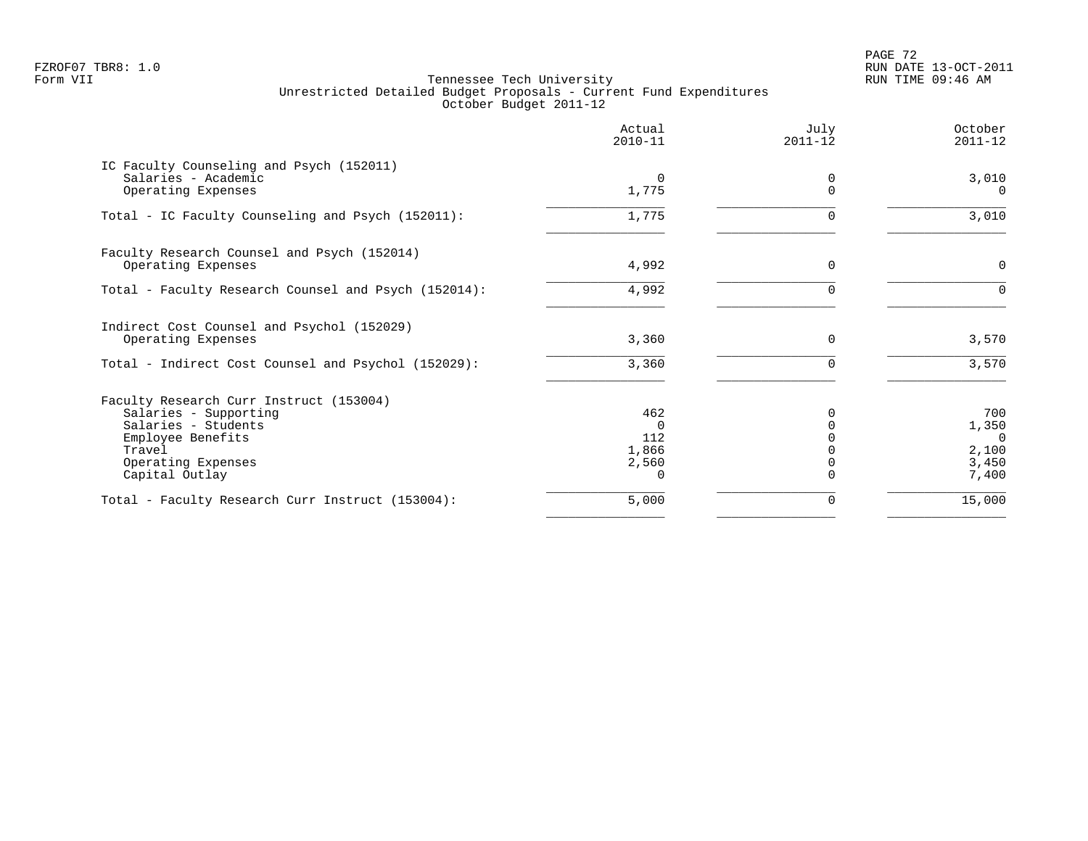PAGE 72 FZROF07 TBR8: 1.0 RUN DATE 13-OCT-2011

|                                                                                       | Actual<br>$2010 - 11$ | July<br>$2011 - 12$ | October<br>$2011 - 12$  |
|---------------------------------------------------------------------------------------|-----------------------|---------------------|-------------------------|
| IC Faculty Counseling and Psych (152011)<br>Salaries - Academic<br>Operating Expenses | $\Omega$<br>1,775     | 0                   | 3,010<br>$\Omega$       |
|                                                                                       |                       |                     |                         |
| Total - IC Faculty Counseling and Psych (152011):                                     | 1,775                 | U                   | 3,010                   |
| Faculty Research Counsel and Psych (152014)                                           |                       |                     |                         |
| Operating Expenses                                                                    | 4,992                 | $\Omega$            | 0                       |
| Total - Faculty Research Counsel and Psych (152014):                                  | 4,992                 | U                   | $\Omega$                |
| Indirect Cost Counsel and Psychol (152029)                                            |                       |                     |                         |
| Operating Expenses                                                                    | 3,360                 | $\Omega$            | 3,570                   |
| Total - Indirect Cost Counsel and Psychol (152029):                                   | 3,360                 | $\Omega$            | 3,570                   |
| Faculty Research Curr Instruct (153004)                                               |                       |                     |                         |
| Salaries - Supporting                                                                 | 462                   |                     | 700                     |
| Salaries - Students                                                                   | $\Omega$              |                     | 1,350                   |
| Employee Benefits<br>Travel                                                           | 112<br>1,866          |                     | $\overline{0}$<br>2,100 |
| Operating Expenses                                                                    | 2,560                 |                     | 3,450                   |
| Capital Outlay                                                                        |                       |                     | 7,400                   |
| Total - Faculty Research Curr Instruct (153004):                                      | 5,000                 | 0                   | 15,000                  |
|                                                                                       |                       |                     |                         |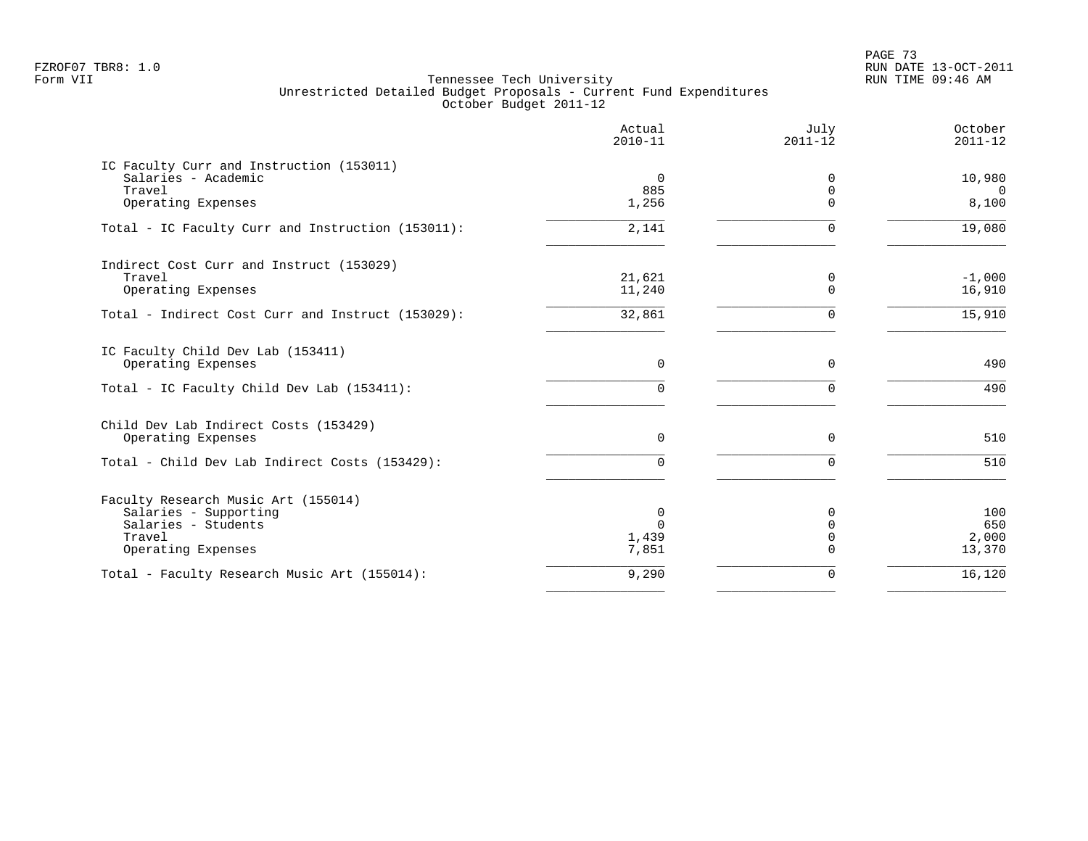PAGE 73 FZROF07 TBR8: 1.0 RUN DATE 13-OCT-2011

|                                                                 | Actual<br>$2010 - 11$ | July<br>$2011 - 12$     | October<br>$2011 - 12$ |
|-----------------------------------------------------------------|-----------------------|-------------------------|------------------------|
| IC Faculty Curr and Instruction (153011)<br>Salaries - Academic | $\overline{0}$        |                         |                        |
| Travel                                                          | 885                   | 0<br>$\Omega$           | 10,980<br>$\Omega$     |
| Operating Expenses                                              | 1,256                 | $\Omega$                | 8,100                  |
| Total - IC Faculty Curr and Instruction (153011):               | 2,141                 | $\Omega$                | 19,080                 |
| Indirect Cost Curr and Instruct (153029)                        |                       |                         |                        |
| Travel<br>Operating Expenses                                    | 21,621<br>11,240      | 0<br>$\Omega$           | $-1,000$<br>16,910     |
| Total - Indirect Cost Curr and Instruct (153029):               | 32,861                | $\Omega$                | 15,910                 |
| IC Faculty Child Dev Lab (153411)                               |                       |                         |                        |
| Operating Expenses                                              | $\Omega$              | 0                       | 490                    |
| Total - IC Faculty Child Dev Lab (153411):                      | 0                     | $\Omega$                | 490                    |
| Child Dev Lab Indirect Costs (153429)                           |                       |                         |                        |
| Operating Expenses                                              | $\Omega$              | $\Omega$                | 510                    |
| Total - Child Dev Lab Indirect Costs (153429):                  | <sup>n</sup>          | $\Omega$                | 510                    |
| Faculty Research Music Art (155014)                             |                       |                         |                        |
| Salaries - Supporting                                           | 0                     | <sup>0</sup>            | 100                    |
| Salaries - Students<br>Travel                                   | $\Omega$<br>1,439     | $\Omega$<br>$\mathbf 0$ | 650<br>2,000           |
| Operating Expenses                                              | 7,851                 | $\Omega$                | 13,370                 |
| Total - Faculty Research Music Art (155014):                    | 9,290                 | 0                       | 16,120                 |
|                                                                 |                       |                         |                        |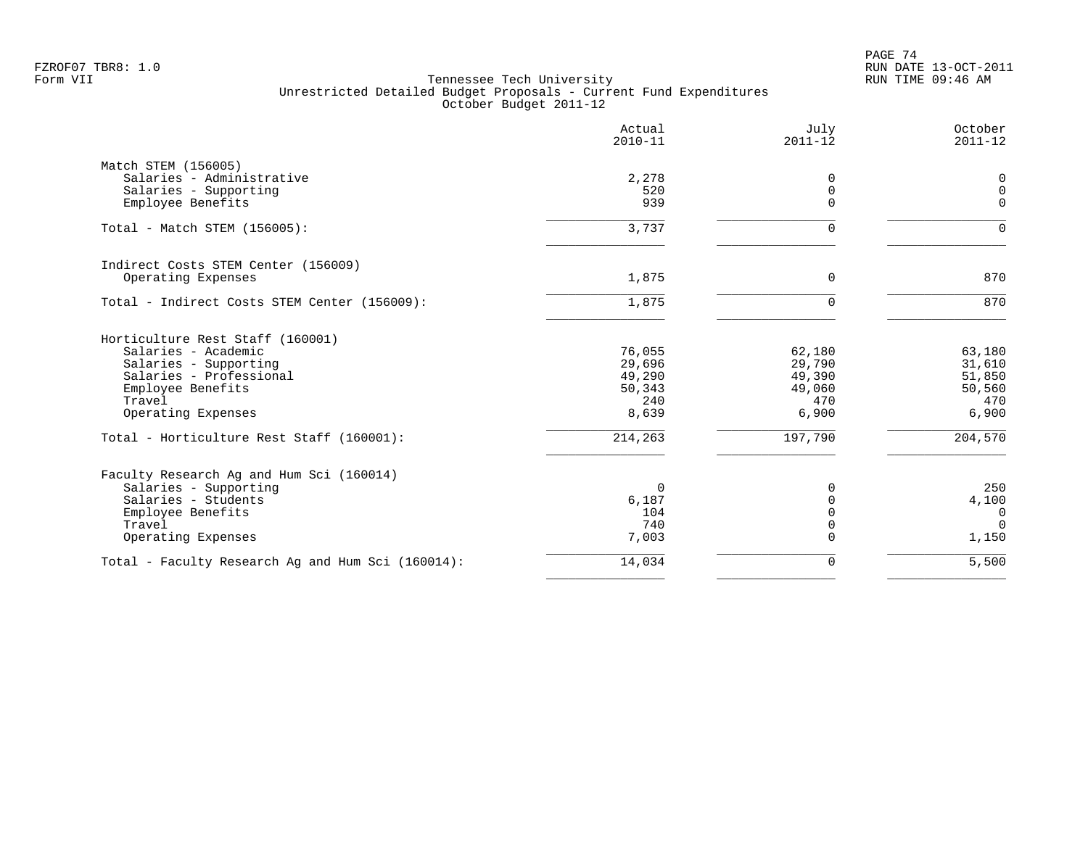|                                                    | Actual<br>$2010 - 11$ | July<br>$2011 - 12$     | October<br>$2011 - 12$ |
|----------------------------------------------------|-----------------------|-------------------------|------------------------|
| Match STEM (156005)                                |                       |                         |                        |
| Salaries - Administrative<br>Salaries - Supporting | 2,278<br>520          | 0<br>0                  | 0<br>$\mathbf 0$       |
| Employee Benefits                                  | 939                   | $\Omega$                | $\Omega$               |
| Total - Match STEM (156005):                       | 3,737                 | 0                       | $\mathbf 0$            |
| Indirect Costs STEM Center (156009)                |                       |                         |                        |
| Operating Expenses                                 | 1,875                 | 0                       | 870                    |
| Total - Indirect Costs STEM Center (156009):       | 1,875                 | 0                       | 870                    |
| Horticulture Rest Staff (160001)                   |                       |                         |                        |
| Salaries - Academic                                | 76,055                | 62,180                  | 63,180                 |
| Salaries - Supporting                              | 29,696                | 29,790                  | 31,610                 |
| Salaries - Professional                            | 49,290                | 49,390                  | 51,850                 |
| Employee Benefits<br>Travel                        | 50,343<br>240         | 49,060<br>470           | 50,560<br>470          |
| Operating Expenses                                 | 8,639                 | 6,900                   | 6,900                  |
| Total - Horticulture Rest Staff (160001):          | 214,263               | 197,790                 | 204,570                |
| Faculty Research Ag and Hum Sci (160014)           |                       |                         |                        |
| Salaries - Supporting                              | $\Omega$              | 0                       | 250                    |
| Salaries - Students                                | 6,187                 | $\mathbf 0$             | 4,100                  |
| Employee Benefits                                  | 104                   | $\Omega$                | $\overline{0}$         |
| Travel<br>Operating Expenses                       | 740<br>7,003          | $\mathbf 0$<br>$\Omega$ | $\Omega$<br>1,150      |
|                                                    |                       |                         |                        |
| Total - Faculty Research Ag and Hum Sci (160014):  | 14,034                | 0                       | 5,500                  |
|                                                    |                       |                         |                        |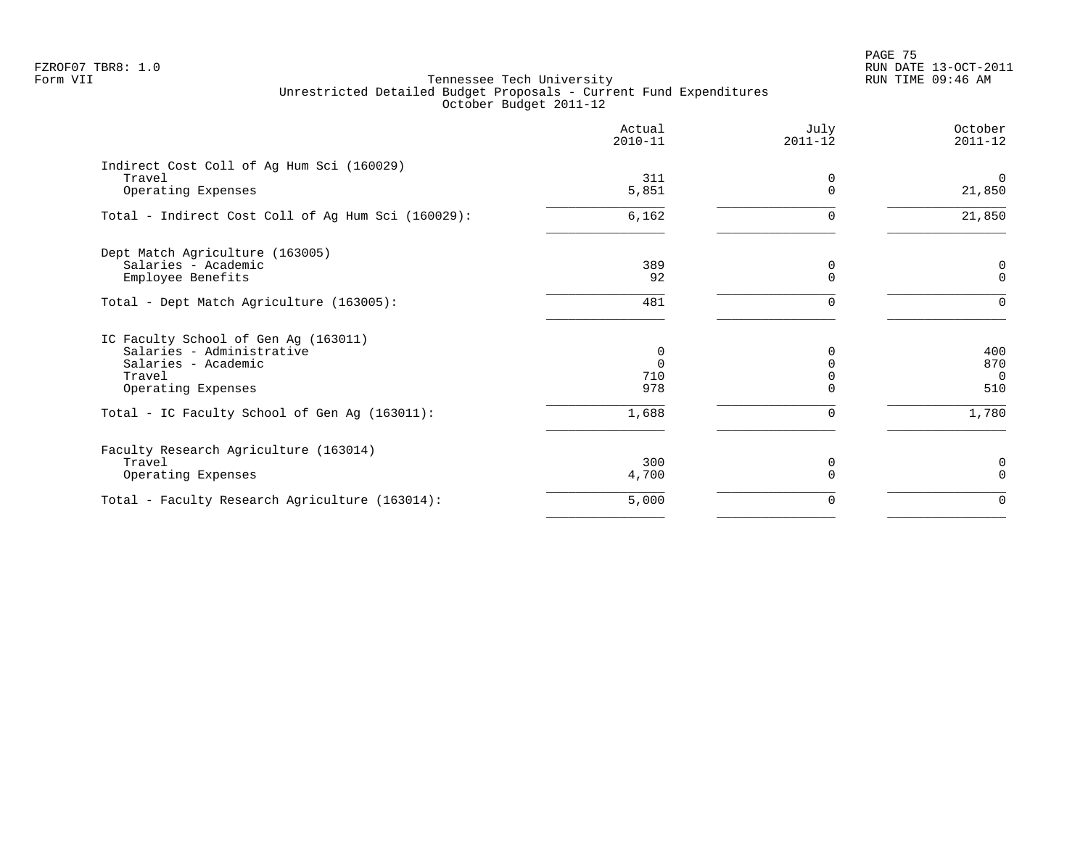en and the set of the set of the set of the set of the set of the set of the set of the set of the set of the set of the set of the set of the set of the set of the set of the set of the set of the set of the set of the se FZROF07 TBR8: 1.0 RUN DATE 13-OCT-2011

|                                                    | Actual<br>$2010 - 11$ | July<br>$2011 - 12$ | October<br>$2011 - 12$   |
|----------------------------------------------------|-----------------------|---------------------|--------------------------|
| Indirect Cost Coll of Ag Hum Sci (160029)          |                       |                     |                          |
| Travel<br>Operating Expenses                       | 311<br>5,851          | 0<br>$\mathbf 0$    | $\overline{0}$<br>21,850 |
| Total - Indirect Cost Coll of Ag Hum Sci (160029): | 6,162                 | $\Omega$            | 21,850                   |
| Dept Match Agriculture (163005)                    |                       |                     |                          |
| Salaries - Academic                                | 389                   | 0                   | $\mathbf 0$              |
| Employee Benefits                                  | 92                    | $\Omega$            | $\mathbf 0$              |
| Total - Dept Match Agriculture (163005):           | 481                   | $\Omega$            | $\Omega$                 |
| IC Faculty School of Gen Ag (163011)               |                       |                     |                          |
| Salaries - Administrative                          | 0                     | 0                   | 400                      |
| Salaries - Academic                                | $\Omega$              | $\Omega$            | 870                      |
| Travel                                             | 710                   |                     | $\Omega$                 |
| Operating Expenses                                 | 978                   | $\Omega$            | 510                      |
| Total - IC Faculty School of Gen Ag (163011):      | 1,688                 | $\Omega$            | 1,780                    |
| Faculty Research Agriculture (163014)              |                       |                     |                          |
| Travel                                             | 300                   | 0                   | 0                        |
| Operating Expenses                                 | 4,700                 | $\Omega$            | $\Omega$                 |
| Total - Faculty Research Agriculture (163014):     | 5,000                 | 0                   | $\Omega$                 |
|                                                    |                       |                     |                          |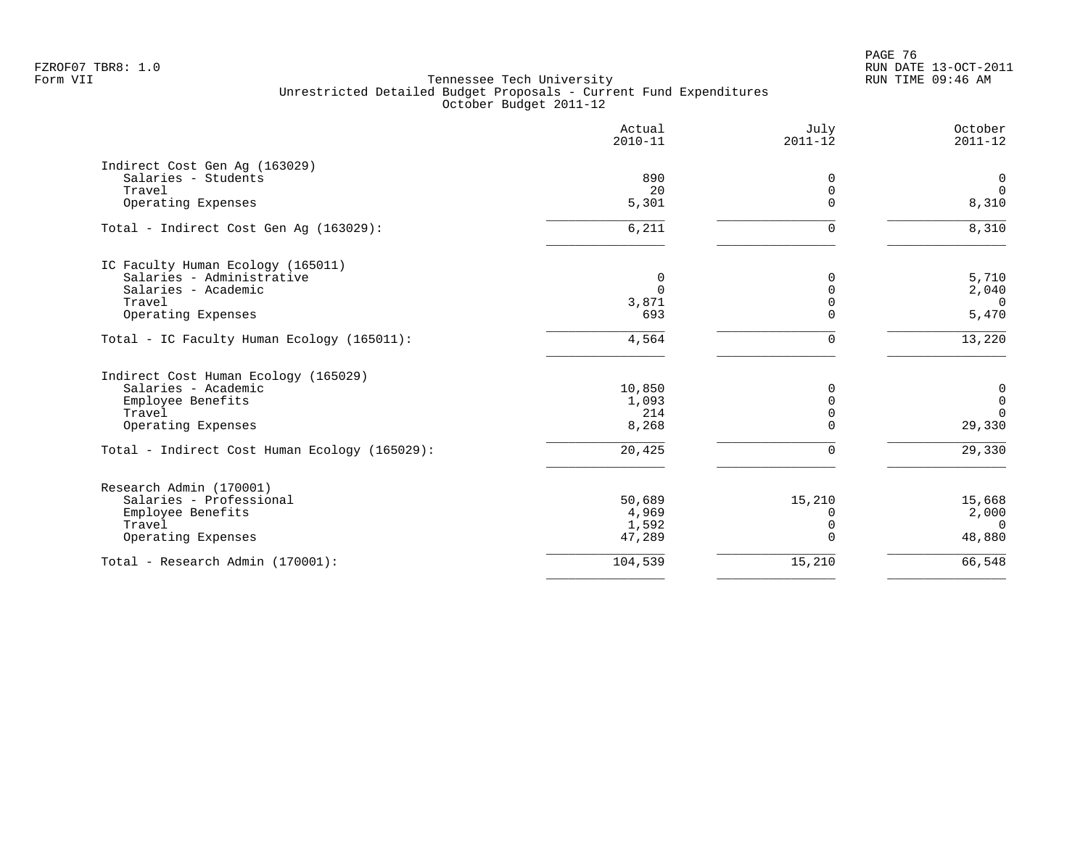en and the set of the set of the set of the set of the set of the set of the set of the set of the set of the set of the set of the set of the set of the set of the set of the set of the set of the set of the set of the se FZROF07 TBR8: 1.0 RUN DATE 13-OCT-2011

|                                               | Actual<br>$2010 - 11$ | July<br>$2011 - 12$ | October<br>$2011 - 12$ |
|-----------------------------------------------|-----------------------|---------------------|------------------------|
| Indirect Cost Gen Aq (163029)                 |                       |                     |                        |
| Salaries - Students                           | 890                   | 0                   | $\mathbf 0$            |
| Travel                                        | 20                    | 0                   | $\Omega$               |
| Operating Expenses                            | 5,301                 | $\Omega$            | 8,310                  |
| Total - Indirect Cost Gen Aq (163029):        | 6,211                 | 0                   | 8,310                  |
| IC Faculty Human Ecology (165011)             |                       |                     |                        |
| Salaries - Administrative                     | 0                     | $\Omega$            | 5,710                  |
| Salaries - Academic                           | $\Omega$              | $\Omega$            | 2,040                  |
| Travel                                        | 3,871                 | $\Omega$            | $\overline{0}$         |
| Operating Expenses                            | 693                   | $\Omega$            | 5,470                  |
| Total - IC Faculty Human Ecology (165011):    | 4,564                 | 0                   | 13,220                 |
| Indirect Cost Human Ecology (165029)          |                       |                     |                        |
| Salaries - Academic                           | 10,850                | $\Omega$            | $\mathbf 0$            |
| Employee Benefits                             | 1,093                 | $\Omega$            | $\mathbf 0$            |
| Travel                                        | 214                   | $\mathbf 0$         | $\Omega$               |
| Operating Expenses                            | 8,268                 | $\Omega$            | 29,330                 |
| Total - Indirect Cost Human Ecology (165029): | 20,425                | $\mathbf 0$         | $\overline{29,330}$    |
| Research Admin (170001)                       |                       |                     |                        |
| Salaries - Professional                       | 50,689                | 15,210              | 15,668                 |
| Employee Benefits                             | 4,969                 | $\Omega$            | 2,000                  |
| Travel                                        | 1,592                 | $\mathbf 0$         | $\Omega$               |
| Operating Expenses                            | 47,289                | $\Omega$            | 48,880                 |
| Total - Research Admin (170001):              | 104,539               | 15,210              | 66,548                 |
|                                               |                       |                     |                        |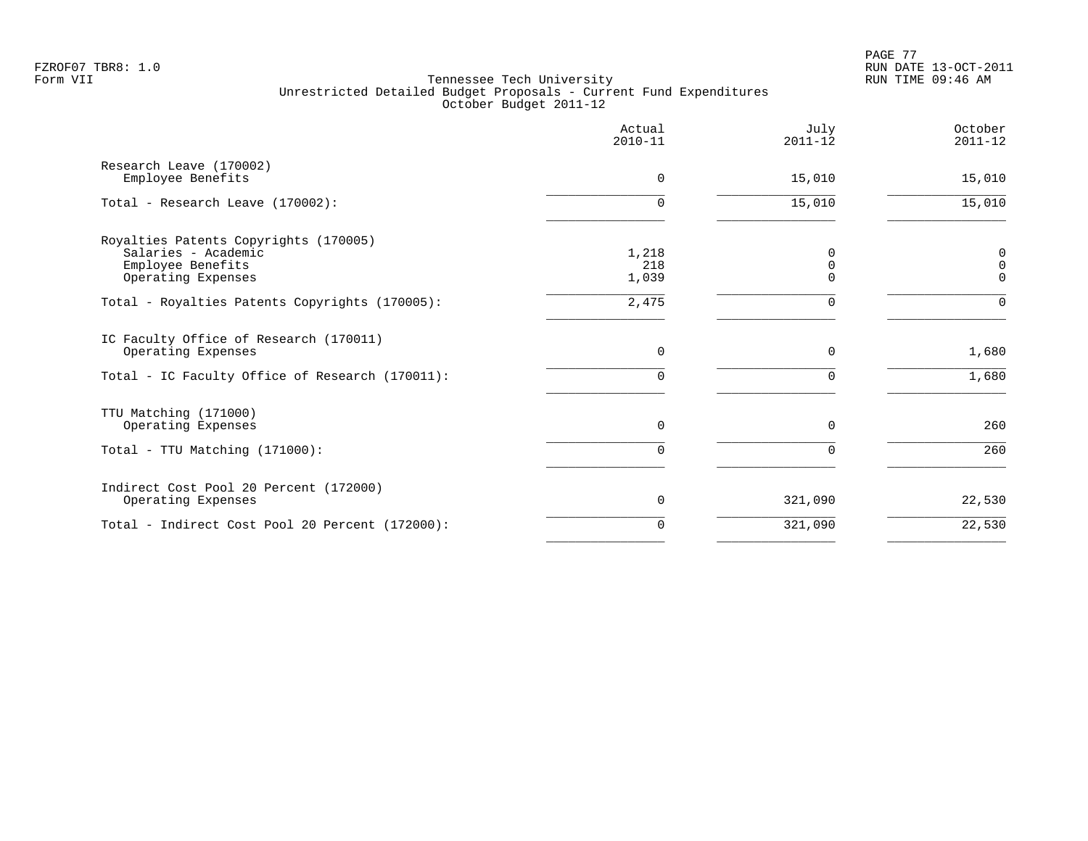|                                                                                                         | Actual<br>$2010 - 11$ | July<br>$2011 - 12$ | October<br>$2011 - 12$          |
|---------------------------------------------------------------------------------------------------------|-----------------------|---------------------|---------------------------------|
| Research Leave (170002)<br>Employee Benefits                                                            | $\Omega$              | 15,010              | 15,010                          |
| Total - Research Leave (170002):                                                                        | $\cap$                | 15,010              | 15,010                          |
| Royalties Patents Copyrights (170005)<br>Salaries - Academic<br>Employee Benefits<br>Operating Expenses | 1,218<br>218<br>1,039 | O<br>O<br>O         | 0<br>$\mathbf 0$<br>$\mathbf 0$ |
| Total - Royalties Patents Copyrights (170005):                                                          | 2,475                 | $\Omega$            | $\Omega$                        |
| IC Faculty Office of Research (170011)<br>Operating Expenses                                            | $\Omega$              | $\Omega$            | 1,680                           |
| Total - IC Faculty Office of Research (170011):                                                         | $\Omega$              |                     | 1,680                           |
| TTU Matching (171000)<br>Operating Expenses                                                             | $\Omega$              | $\Omega$            | 260                             |
| Total - TTU Matching (171000):                                                                          | $\cap$                | $\Omega$            | 260                             |
| Indirect Cost Pool 20 Percent (172000)<br>Operating Expenses                                            | $\Omega$              | 321,090             | 22,530                          |
| Total - Indirect Cost Pool 20 Percent (172000):                                                         | $\Omega$              | 321,090             | 22,530                          |
|                                                                                                         |                       |                     |                                 |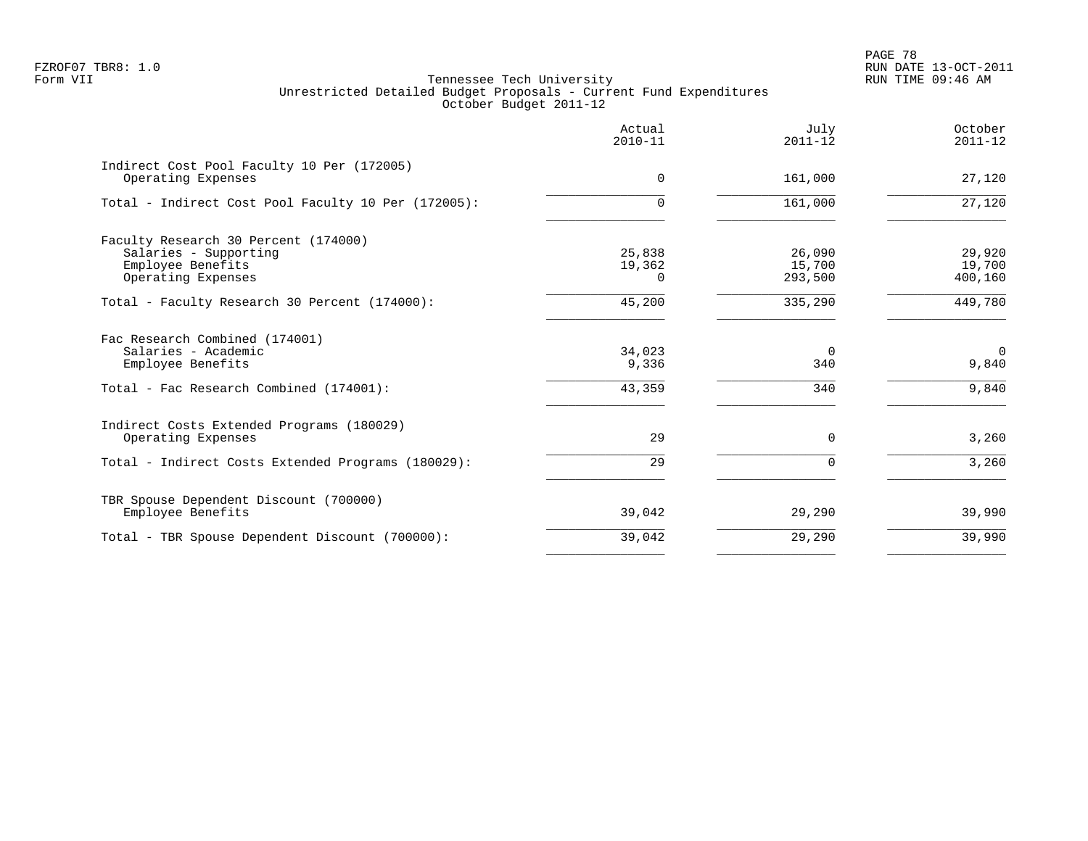PAGE 78 FZROF07 TBR8: 1.0 RUN DATE 13-OCT-2011

| Actual<br>$2010 - 11$        | July<br>$2011 - 12$         | October<br>$2011 - 12$      |
|------------------------------|-----------------------------|-----------------------------|
| $\Omega$                     | 161,000                     | 27,120                      |
| $\Omega$                     | 161,000                     | 27,120                      |
| 25,838<br>19,362<br>$\Omega$ | 26,090<br>15,700<br>293,500 | 29,920<br>19,700<br>400,160 |
| 45,200                       | 335,290                     | 449,780                     |
| 34,023<br>9,336<br>43,359    | $\Omega$<br>340<br>340      | $\Omega$<br>9,840<br>9,840  |
| 29                           | $\Omega$                    | 3,260                       |
|                              |                             | 3,260                       |
| 39,042                       | 29,290                      | 39,990                      |
| 39,042                       | 29,290                      | 39,990                      |
|                              | 29                          | $\Omega$                    |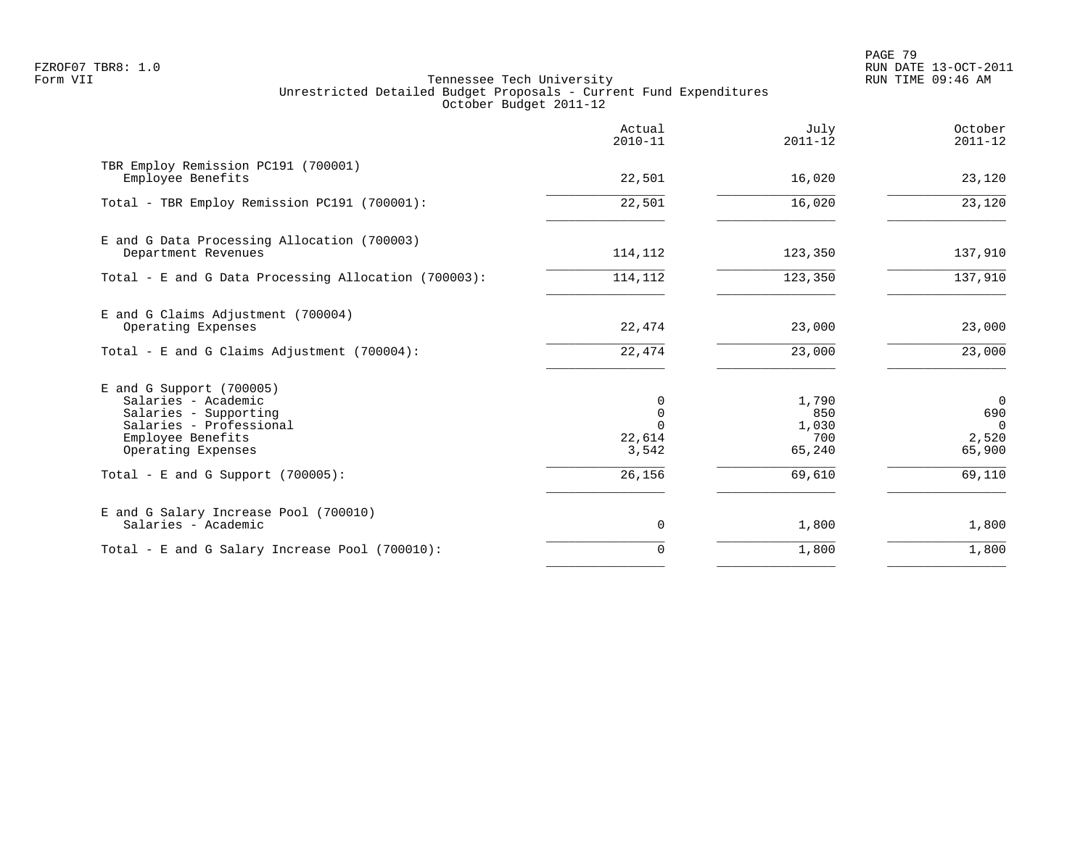PAGE 79 FZROF07 TBR8: 1.0 RUN DATE 13-OCT-2011

|                                                                                                                                                | Actual<br>$2010 - 11$                         | July<br>$2011 - 12$                    | October<br>$2011 - 12$                               |
|------------------------------------------------------------------------------------------------------------------------------------------------|-----------------------------------------------|----------------------------------------|------------------------------------------------------|
| TBR Employ Remission PC191 (700001)<br>Employee Benefits                                                                                       | 22,501                                        | 16,020                                 | 23,120                                               |
| Total - TBR Employ Remission PC191 (700001):                                                                                                   | 22,501                                        | 16,020                                 | 23,120                                               |
| E and G Data Processing Allocation (700003)<br>Department Revenues                                                                             | 114,112                                       | 123,350                                | 137,910                                              |
| Total - E and G Data Processing Allocation (700003):                                                                                           | 114,112                                       | 123,350                                | 137,910                                              |
| E and G Claims Adjustment (700004)<br>Operating Expenses                                                                                       | 22,474                                        | 23,000                                 | 23,000                                               |
| Total - E and G Claims Adjustment $(700004)$ :                                                                                                 | 22,474                                        | 23,000                                 | 23,000                                               |
| E and G Support (700005)<br>Salaries - Academic<br>Salaries - Supporting<br>Salaries - Professional<br>Employee Benefits<br>Operating Expenses | 0<br>$\mathbf 0$<br>$\cap$<br>22,614<br>3,542 | 1,790<br>850<br>1,030<br>700<br>65,240 | $\overline{0}$<br>690<br>$\Omega$<br>2,520<br>65,900 |
| Total - E and G Support $(700005)$ :                                                                                                           | 26,156                                        | 69,610                                 | 69,110                                               |
| E and G Salary Increase Pool (700010)<br>Salaries - Academic                                                                                   | 0                                             | 1,800                                  | 1,800                                                |
| Total - E and G Salary Increase Pool (700010):                                                                                                 | $\Omega$                                      | 1,800                                  | 1,800                                                |
|                                                                                                                                                |                                               |                                        |                                                      |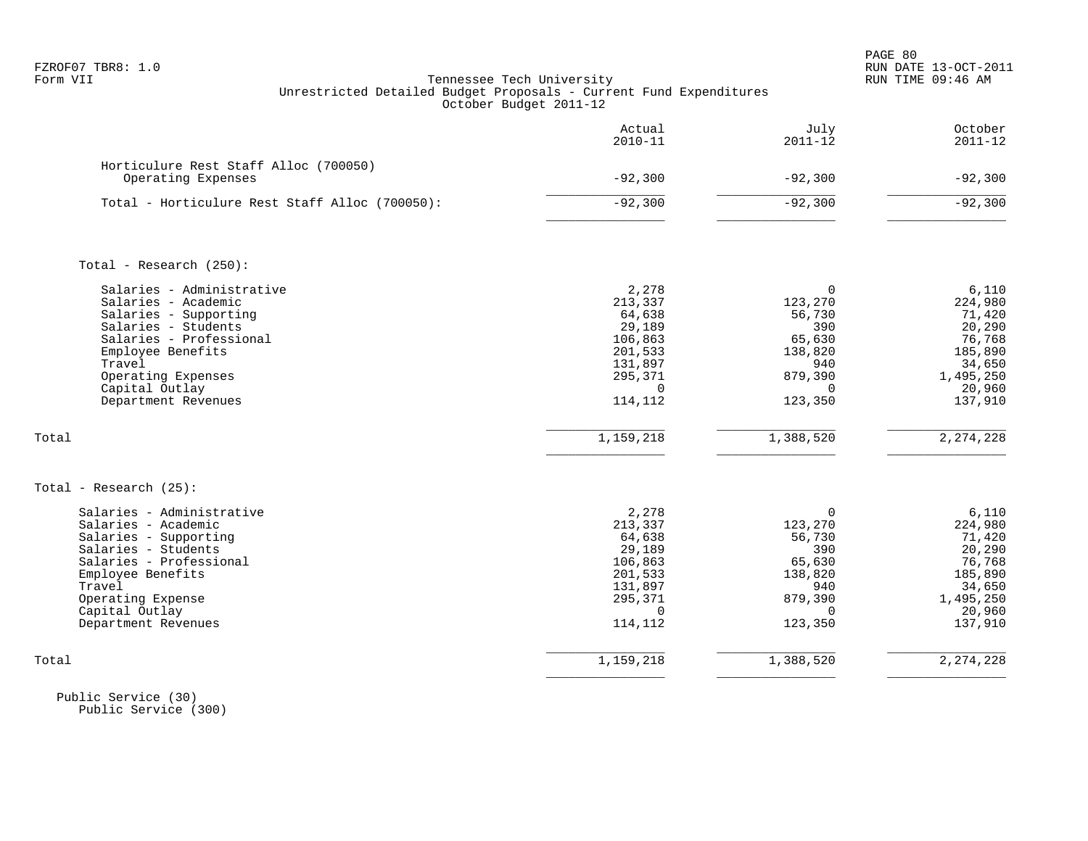PAGE 80 FZROF07 TBR8: 1.0 RUN DATE 13-OCT-2011

# Form VII Tennessee Tech University RUN TIME 09:46 AM Unrestricted Detailed Budget Proposals - Current Fund Expenditures October Budget 2011-12

|                                                                                                                                                                                                                           | Actual<br>$2010 - 11$                                                                                   | July<br>$2011 - 12$                                                                                   | October<br>$2011 - 12$                                                                                |
|---------------------------------------------------------------------------------------------------------------------------------------------------------------------------------------------------------------------------|---------------------------------------------------------------------------------------------------------|-------------------------------------------------------------------------------------------------------|-------------------------------------------------------------------------------------------------------|
| Horticulure Rest Staff Alloc (700050)<br>Operating Expenses                                                                                                                                                               | $-92,300$                                                                                               | $-92,300$                                                                                             | $-92,300$                                                                                             |
| Total - Horticulure Rest Staff Alloc (700050):                                                                                                                                                                            | $-92,300$                                                                                               | $-92,300$                                                                                             | $-92,300$                                                                                             |
| Total - Research $(250)$ :                                                                                                                                                                                                |                                                                                                         |                                                                                                       |                                                                                                       |
| Salaries - Administrative<br>Salaries - Academic<br>Salaries - Supporting<br>Salaries - Students<br>Salaries - Professional<br>Employee Benefits<br>Travel<br>Operating Expenses<br>Capital Outlay<br>Department Revenues | 2,278<br>213,337<br>64,638<br>29,189<br>106,863<br>201,533<br>131,897<br>295,371<br>$\Omega$<br>114,112 | $\Omega$<br>123,270<br>56,730<br>390<br>65,630<br>138,820<br>940<br>879,390<br>$\Omega$<br>123,350    | 6,110<br>224,980<br>71,420<br>20,290<br>76,768<br>185,890<br>34,650<br>1,495,250<br>20,960<br>137,910 |
| Total                                                                                                                                                                                                                     | 1,159,218                                                                                               | 1,388,520                                                                                             | 2, 274, 228                                                                                           |
| Total - Research $(25)$ :                                                                                                                                                                                                 |                                                                                                         |                                                                                                       |                                                                                                       |
| Salaries - Administrative<br>Salaries - Academic<br>Salaries - Supporting<br>Salaries - Students<br>Salaries - Professional<br>Employee Benefits<br>Travel<br>Operating Expense<br>Capital Outlay<br>Department Revenues  | 2,278<br>213,337<br>64,638<br>29,189<br>106,863<br>201,533<br>131,897<br>295,371<br>$\Omega$<br>114,112 | $\mathbf 0$<br>123,270<br>56,730<br>390<br>65,630<br>138,820<br>940<br>879,390<br>$\Omega$<br>123,350 | 6,110<br>224,980<br>71,420<br>20,290<br>76,768<br>185,890<br>34,650<br>1,495,250<br>20,960<br>137,910 |
| Total                                                                                                                                                                                                                     | 1,159,218                                                                                               | 1,388,520                                                                                             | 2, 274, 228                                                                                           |

 Public Service (30) Public Service (300)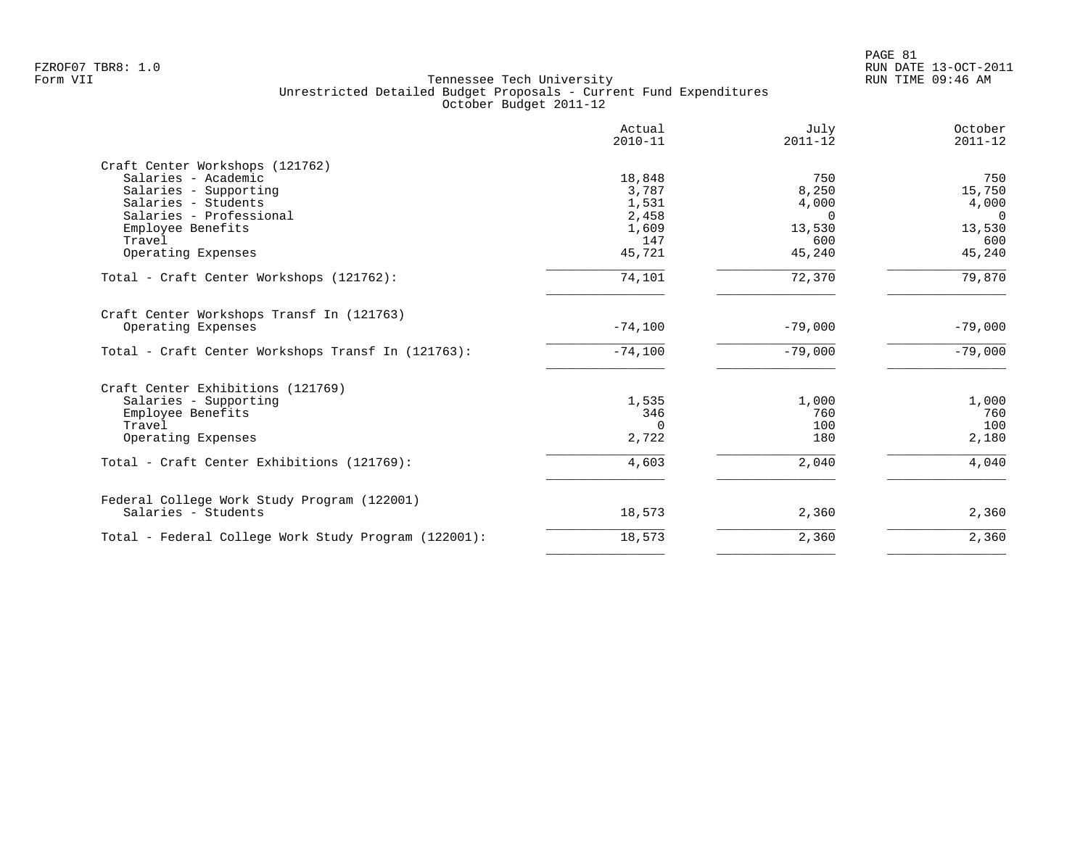|                                                      | Actual<br>$2010 - 11$ | July<br>$2011 - 12$ | October<br>$2011 - 12$ |
|------------------------------------------------------|-----------------------|---------------------|------------------------|
| Craft Center Workshops (121762)                      |                       |                     |                        |
| Salaries - Academic                                  | 18,848                | 750                 | 750                    |
| Salaries - Supporting                                | 3,787                 | 8,250               | 15,750                 |
| Salaries - Students                                  | 1,531                 | 4,000               | 4,000                  |
| Salaries - Professional                              | 2,458                 | $\Omega$            | $\Omega$               |
| Employee Benefits                                    | 1,609                 | 13,530              | 13,530                 |
| Travel                                               | 147                   | 600                 | 600                    |
| Operating Expenses                                   | 45,721                | 45,240              | 45,240                 |
| Total - Craft Center Workshops (121762):             | 74,101                | 72,370              | 79,870                 |
| Craft Center Workshops Transf In (121763)            |                       |                     |                        |
| Operating Expenses                                   | $-74,100$             | $-79,000$           | $-79,000$              |
| Total - Craft Center Workshops Transf In (121763):   | $-74,100$             | $-79,000$           | $-79,000$              |
| Craft Center Exhibitions (121769)                    |                       |                     |                        |
| Salaries - Supporting                                | 1,535                 | 1,000               | 1,000                  |
| Employee Benefits                                    | 346                   | 760                 | 760                    |
| Travel                                               | $\Omega$              | 100                 | 100                    |
| Operating Expenses                                   | 2,722                 | 180                 | 2,180                  |
| Total - Craft Center Exhibitions (121769):           | 4,603                 | 2,040               | 4,040                  |
| Federal College Work Study Program (122001)          |                       |                     |                        |
| Salaries - Students                                  | 18,573                | 2,360               | 2,360                  |
| Total - Federal College Work Study Program (122001): | 18,573                | 2,360               | 2,360                  |
|                                                      |                       |                     |                        |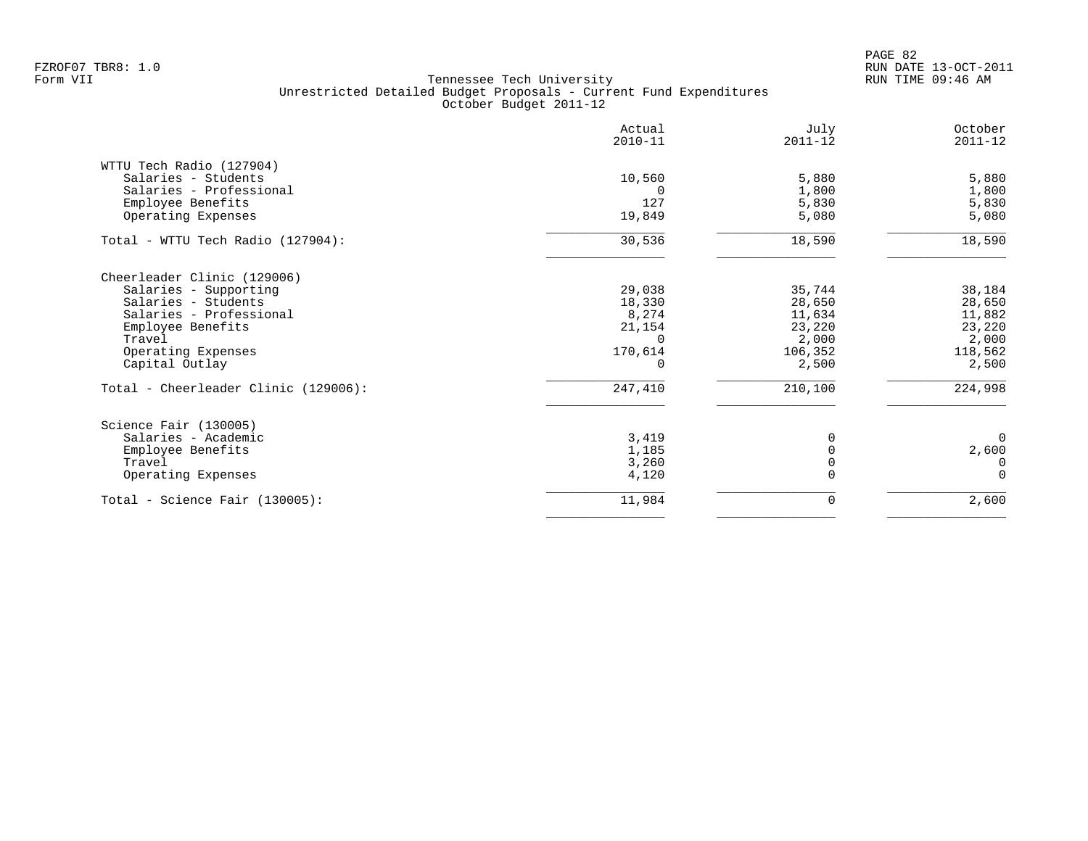|                                                 | Actual<br>$2010 - 11$ | July<br>$2011 - 12$ | October<br>$2011 - 12$ |
|-------------------------------------------------|-----------------------|---------------------|------------------------|
| WTTU Tech Radio (127904)<br>Salaries - Students | 10,560                | 5,880               | 5,880                  |
| Salaries - Professional                         |                       | 1,800               | 1,800                  |
| Employee Benefits                               | 127                   | 5,830               | 5,830                  |
| Operating Expenses                              | 19,849                | 5,080               | 5,080                  |
| Total - WTTU Tech Radio (127904):               | 30,536                | 18,590              | 18,590                 |
| Cheerleader Clinic (129006)                     |                       |                     |                        |
| Salaries - Supporting                           | 29,038                | 35,744              | 38,184                 |
| Salaries - Students                             | 18,330                | 28,650              | 28,650                 |
| Salaries - Professional                         | 8,274                 | 11,634              | 11,882                 |
| Employee Benefits                               | 21,154                | 23,220              | 23,220                 |
| Travel                                          |                       | 2,000               | 2,000                  |
| Operating Expenses                              | 170,614               | 106,352             | 118,562                |
| Capital Outlay                                  | $\Omega$              | 2,500               | 2,500                  |
| Total - Cheerleader Clinic (129006):            | 247,410               | 210,100             | 224,998                |
| Science Fair (130005)                           |                       |                     |                        |
| Salaries - Academic                             | 3,419                 | 0                   | $\Omega$               |
| Employee Benefits                               | 1,185                 |                     | 2,600                  |
| Travel                                          | 3,260                 |                     | $\Omega$               |
| Operating Expenses                              | 4,120                 |                     | $\Omega$               |
| Total - Science Fair (130005):                  | 11,984                | 0                   | 2,600                  |
|                                                 |                       |                     |                        |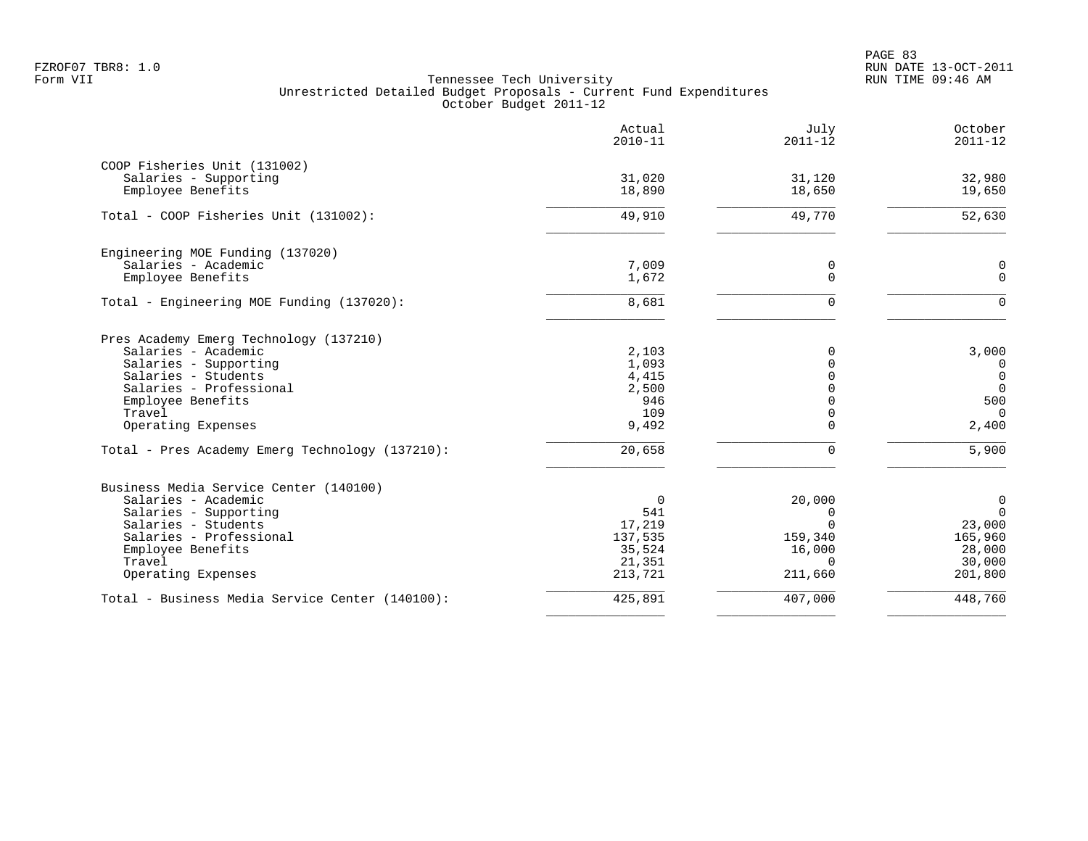| 31,020  |                                                                                                                  |                                                                                                             |
|---------|------------------------------------------------------------------------------------------------------------------|-------------------------------------------------------------------------------------------------------------|
|         |                                                                                                                  |                                                                                                             |
|         | 31,120                                                                                                           | 32,980                                                                                                      |
|         | 18,650                                                                                                           | 19,650                                                                                                      |
| 49,910  | 49,770                                                                                                           | 52,630                                                                                                      |
|         |                                                                                                                  |                                                                                                             |
| 7,009   | 0                                                                                                                | 0                                                                                                           |
|         |                                                                                                                  | $\Omega$                                                                                                    |
| 8,681   | $\Omega$                                                                                                         | $\Omega$                                                                                                    |
|         |                                                                                                                  |                                                                                                             |
| 2,103   | $\mathbf 0$                                                                                                      | 3,000                                                                                                       |
|         | $\Omega$                                                                                                         | $\overline{0}$                                                                                              |
|         |                                                                                                                  | $\overline{0}$                                                                                              |
|         |                                                                                                                  | $\mathbf 0$                                                                                                 |
|         |                                                                                                                  | 500                                                                                                         |
| 9,492   | $\mathbf 0$                                                                                                      | $\Omega$<br>2,400                                                                                           |
| 20,658  | $\mathbf 0$                                                                                                      | 5,900                                                                                                       |
|         |                                                                                                                  |                                                                                                             |
|         |                                                                                                                  | $\mathbf 0$                                                                                                 |
|         |                                                                                                                  | $\Omega$                                                                                                    |
|         |                                                                                                                  | 23,000                                                                                                      |
|         |                                                                                                                  | 165,960                                                                                                     |
|         |                                                                                                                  | 28,000                                                                                                      |
| 21,351  | $\Omega$                                                                                                         | 30,000                                                                                                      |
| 213,721 | 211,660                                                                                                          | 201,800                                                                                                     |
| 425,891 | 407,000                                                                                                          | 448,760                                                                                                     |
|         | 18,890<br>1,672<br>1,093<br>4,415<br>2,500<br>946<br>109<br>$\overline{0}$<br>541<br>17,219<br>137,535<br>35,524 | $\mathbf 0$<br>$\Omega$<br>$\Omega$<br>$\Omega$<br>$\Omega$<br>20,000<br>0<br>$\Omega$<br>159,340<br>16,000 |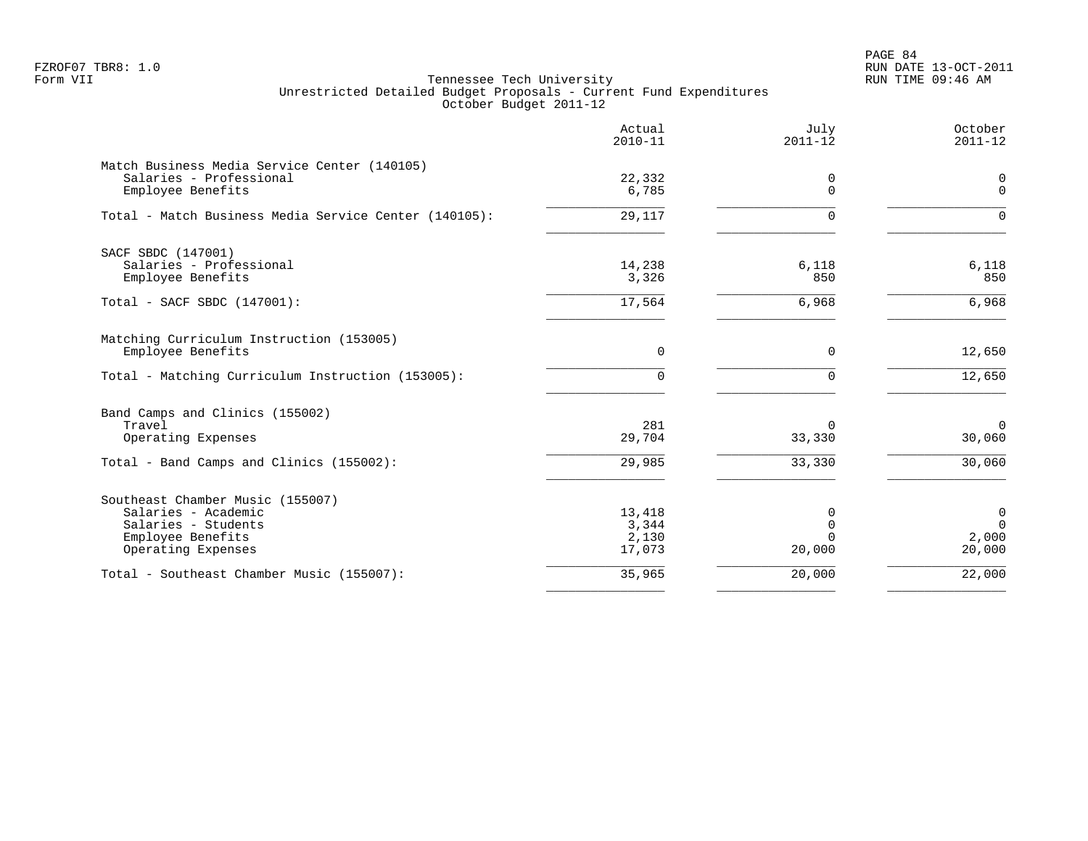PAGE 84 FZROF07 TBR8: 1.0 RUN DATE 13-OCT-2011

|                                                                                                                           | Actual<br>$2010 - 11$              | July<br>$2011 - 12$                           | October<br>$2011 - 12$                        |
|---------------------------------------------------------------------------------------------------------------------------|------------------------------------|-----------------------------------------------|-----------------------------------------------|
| Match Business Media Service Center (140105)<br>Salaries - Professional<br>Employee Benefits                              | 22,332<br>6,785                    | 0<br>$\Omega$                                 | 0<br>$\Omega$                                 |
| Total - Match Business Media Service Center (140105):                                                                     | 29,117                             | $\Omega$                                      | $\Omega$                                      |
| SACF SBDC (147001)<br>Salaries - Professional<br>Employee Benefits                                                        | 14,238<br>3,326                    | 6,118<br>850                                  | 6,118<br>850                                  |
| Total - SACF SBDC (147001):                                                                                               | 17,564                             | 6,968                                         | 6,968                                         |
| Matching Curriculum Instruction (153005)<br>Employee Benefits<br>Total - Matching Curriculum Instruction (153005):        | 0<br>0                             | $\mathbf 0$<br>$\Omega$                       | 12,650<br>12,650                              |
| Band Camps and Clinics (155002)<br>Travel<br>Operating Expenses                                                           | 281<br>29,704                      | $\Omega$<br>33,330                            | $\overline{0}$<br>30,060                      |
| Total - Band Camps and Clinics (155002):                                                                                  | 29,985                             | 33,330                                        | 30,060                                        |
| Southeast Chamber Music (155007)<br>Salaries - Academic<br>Salaries - Students<br>Employee Benefits<br>Operating Expenses | 13,418<br>3,344<br>2,130<br>17,073 | $\Omega$<br>$\mathbf 0$<br>$\Omega$<br>20,000 | $\mathbf 0$<br>$\mathbf 0$<br>2,000<br>20,000 |
| Total - Southeast Chamber Music (155007):                                                                                 | 35,965                             | 20,000                                        | 22,000                                        |
|                                                                                                                           |                                    |                                               |                                               |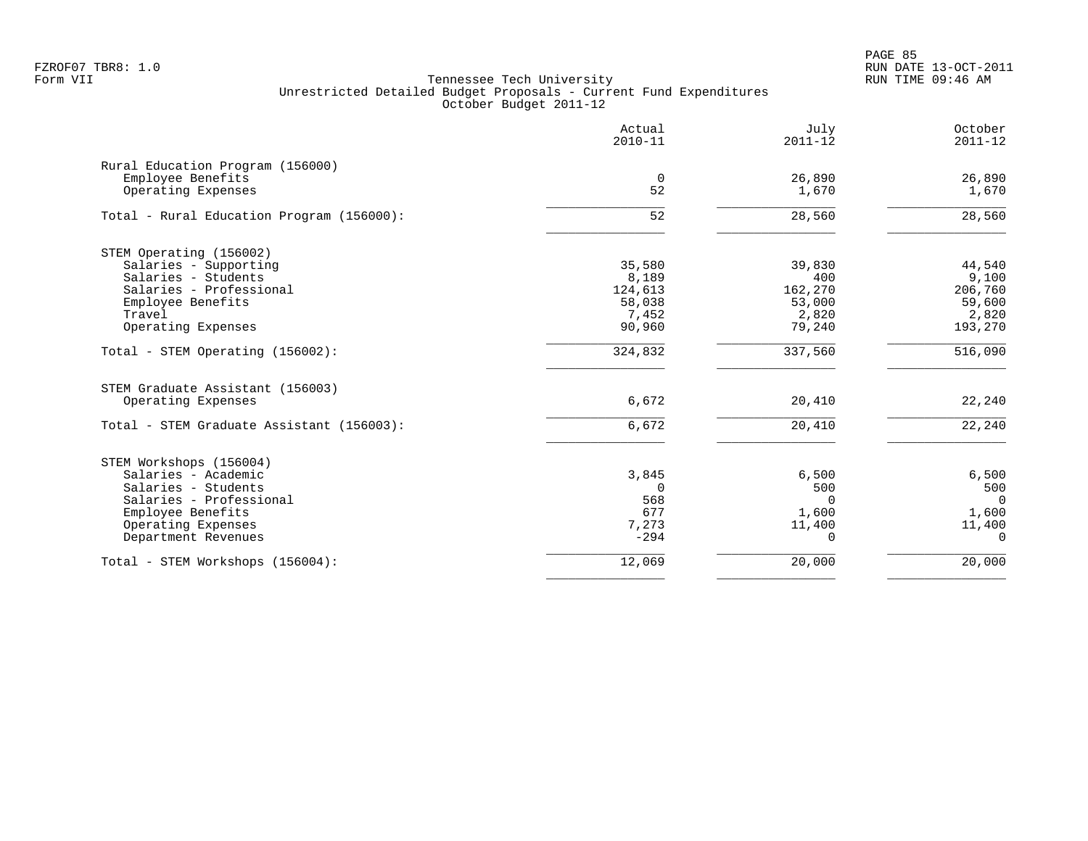|                                           | Actual<br>$2010 - 11$ | July<br>$2011 - 12$ | October<br>$2011 - 12$ |
|-------------------------------------------|-----------------------|---------------------|------------------------|
| Rural Education Program (156000)          |                       |                     |                        |
| Employee Benefits                         | $\mathbf 0$           | 26,890              | 26,890                 |
| Operating Expenses                        | 52                    | 1,670               | 1,670                  |
| Total - Rural Education Program (156000): | $\overline{52}$       | 28,560              | 28,560                 |
| STEM Operating (156002)                   |                       |                     |                        |
| Salaries - Supporting                     | 35,580                | 39,830              | 44,540                 |
| Salaries - Students                       | 8,189                 | 400                 | 9,100                  |
| Salaries - Professional                   | 124,613               | 162,270             | 206,760                |
| Employee Benefits                         | 58,038                | 53,000              | 59,600                 |
| Travel                                    | 7,452                 | 2,820               | 2,820                  |
| Operating Expenses                        | 90,960                | 79,240              | 193,270                |
| Total - STEM Operating (156002):          | 324,832               | 337,560             | $\overline{516,090}$   |
| STEM Graduate Assistant (156003)          |                       |                     |                        |
| Operating Expenses                        | 6,672                 | 20,410              | 22,240                 |
| Total - STEM Graduate Assistant (156003): | 6,672                 | 20,410              | 22,240                 |
| STEM Workshops (156004)                   |                       |                     |                        |
| Salaries - Academic                       | 3,845                 | 6,500               | 6,500                  |
| Salaries - Students                       | $\mathbf 0$           | 500                 | 500                    |
| Salaries - Professional                   | 568                   | 0                   | $\Omega$               |
| Employee Benefits                         | 677                   | 1,600               | 1,600                  |
| Operating Expenses                        | 7,273                 | 11,400              | 11,400                 |
| Department Revenues                       | $-294$                | 0                   | $\Omega$               |
| Total - STEM Workshops (156004):          | 12,069                | 20,000              | 20,000                 |
|                                           |                       |                     |                        |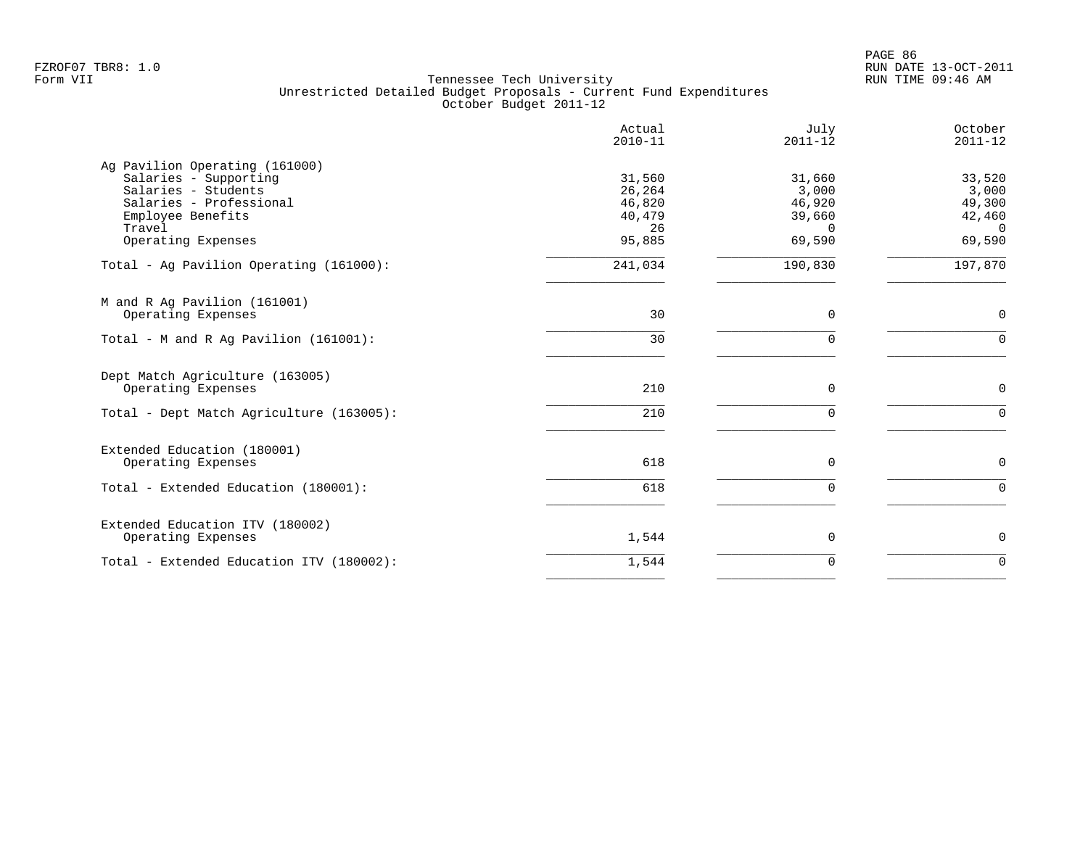|                                                         | Actual<br>$2010 - 11$ | July<br>$2011 - 12$ | October<br>$2011 - 12$ |
|---------------------------------------------------------|-----------------------|---------------------|------------------------|
| Ag Pavilion Operating (161000)<br>Salaries - Supporting | 31,560                | 31,660              | 33,520                 |
| Salaries - Students                                     | 26,264                | 3,000               | 3,000                  |
| Salaries - Professional                                 | 46,820                | 46,920              | 49,300                 |
| Employee Benefits                                       | 40,479                | 39,660              | 42,460                 |
| Travel                                                  | 26                    | $\Omega$            | $\Omega$               |
| Operating Expenses                                      | 95,885                | 69,590              | 69,590                 |
| Total - Ag Pavilion Operating (161000):                 | 241,034               | 190,830             | 197,870                |
| M and R Ag Pavilion (161001)                            |                       |                     |                        |
| Operating Expenses                                      | 30                    | $\mathbf 0$         | $\mathbf 0$            |
| Total - M and R Aq Pavilion $(161001)$ :                | 30                    | $\mathbf 0$         | $\Omega$               |
| Dept Match Agriculture (163005)                         |                       |                     |                        |
| Operating Expenses                                      | 210                   | 0                   | $\mathbf 0$            |
| Total - Dept Match Agriculture (163005):                | 210                   | $\mathbf 0$         | $\Omega$               |
| Extended Education (180001)                             |                       |                     |                        |
| Operating Expenses                                      | 618                   | 0                   | $\mathbf 0$            |
| Total - Extended Education (180001):                    | 618                   | $\mathbf 0$         | $\Omega$               |
| Extended Education ITV (180002)                         |                       |                     |                        |
| Operating Expenses                                      | 1,544                 | 0                   | $\mathbf 0$            |
| Total - Extended Education ITV (180002):                | 1,544                 | $\mathbf 0$         | $\Omega$               |
|                                                         |                       |                     |                        |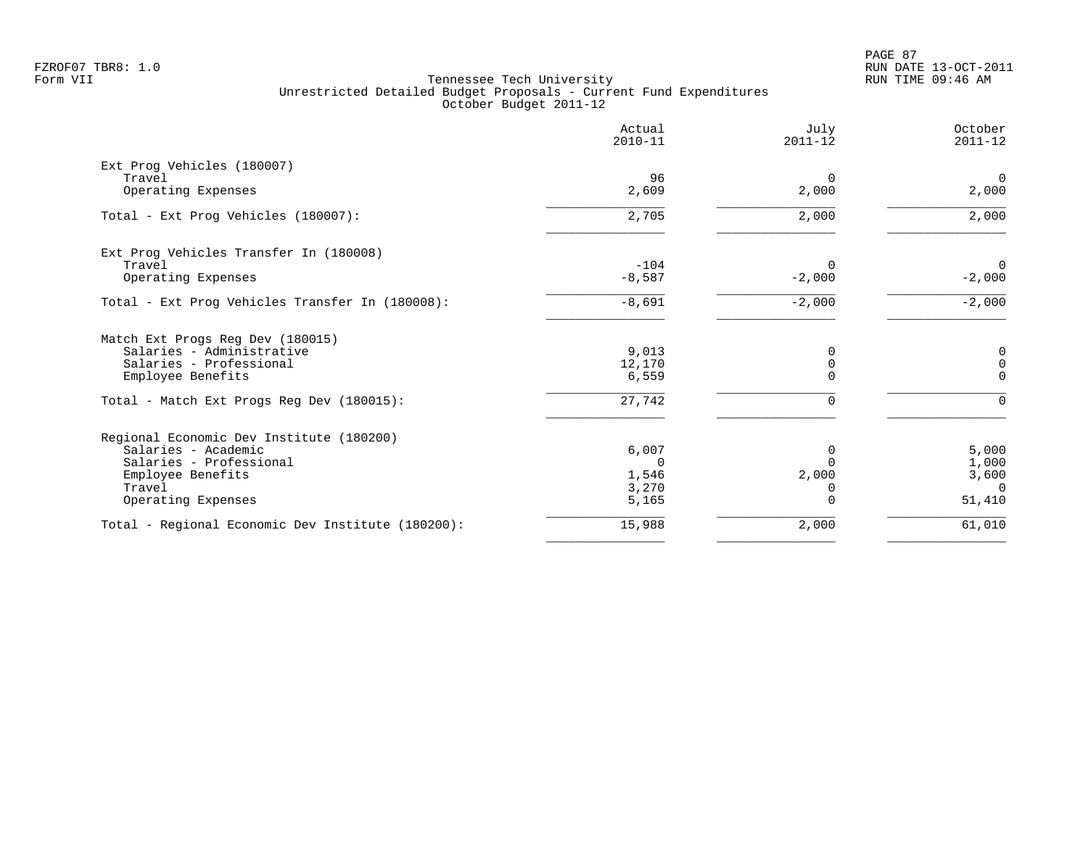|                                                   | Actual<br>$2010 - 11$ | July<br>$2011 - 12$     | October<br>$2011 - 12$     |
|---------------------------------------------------|-----------------------|-------------------------|----------------------------|
| Ext Prog Vehicles (180007)                        |                       |                         |                            |
| Travel<br>Operating Expenses                      | 96<br>2,609           | $\Omega$<br>2,000       | $\overline{0}$<br>2,000    |
| Total - Ext Prog Vehicles (180007):               | 2,705                 | 2,000                   | 2,000                      |
| Ext Prog Vehicles Transfer In (180008)            |                       |                         |                            |
| Travel<br>Operating Expenses                      | $-104$<br>$-8,587$    | $\Omega$<br>$-2,000$    | $\overline{0}$<br>$-2,000$ |
| Total - Ext Prog Vehicles Transfer In (180008):   | $-8,691$              | $-2,000$                | $-2,000$                   |
| Match Ext Progs Reg Dev (180015)                  |                       |                         |                            |
| Salaries - Administrative                         | 9,013                 |                         | 0                          |
| Salaries - Professional<br>Employee Benefits      | 12,170<br>6,559       | $\mathbf 0$<br>$\Omega$ | 0<br>$\Omega$              |
| Total - Match Ext Progs Reg Dev (180015):         | 27,742                | 0                       | $\Omega$                   |
| Regional Economic Dev Institute (180200)          |                       |                         |                            |
| Salaries - Academic                               | 6,007                 | $\Omega$                | 5,000                      |
| Salaries - Professional                           | $\Omega$              | $\Omega$                | 1,000                      |
| Employee Benefits                                 | 1,546                 | 2,000                   | 3,600<br>$\Omega$          |
| Travel<br>Operating Expenses                      | 3,270<br>5,165        | 0<br>$\Omega$           | 51,410                     |
| Total - Regional Economic Dev Institute (180200): | 15,988                | 2,000                   | 61,010                     |
|                                                   |                       |                         |                            |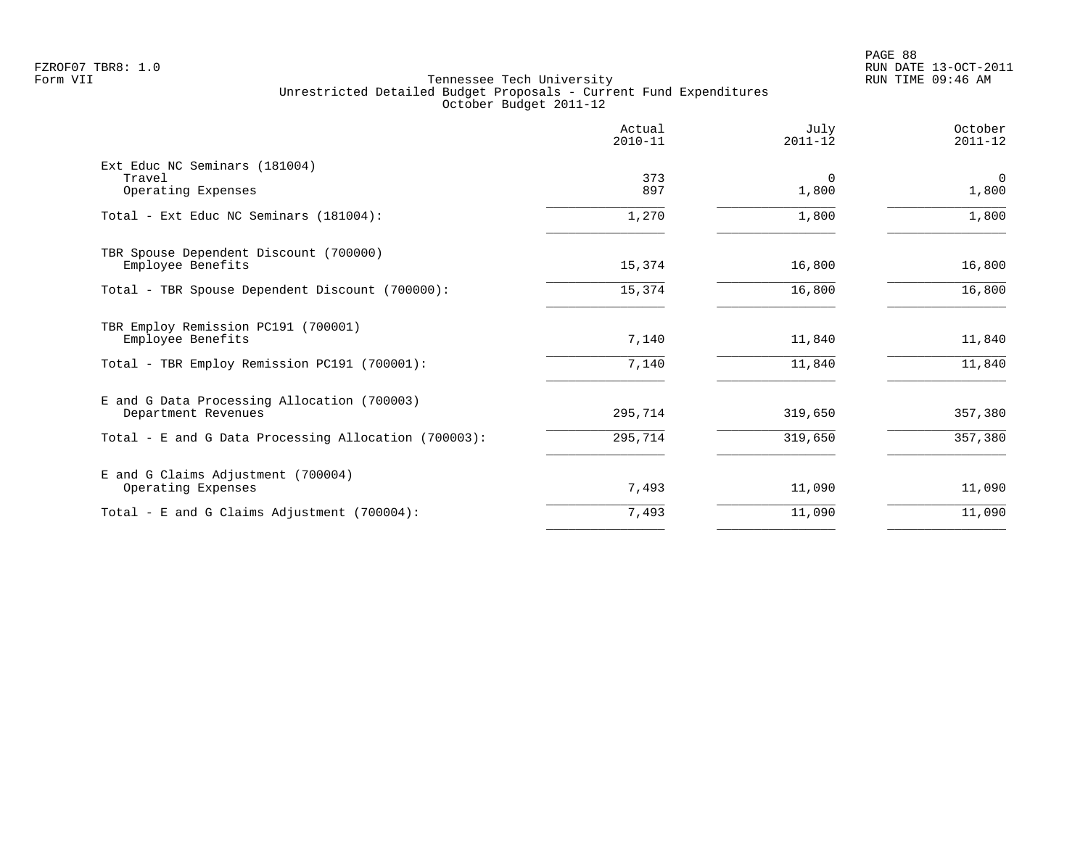|                                                                    | Actual<br>$2010 - 11$ | Julv<br>$2011 - 12$  | October<br>$2011 - 12$  |
|--------------------------------------------------------------------|-----------------------|----------------------|-------------------------|
| Ext Educ NC Seminars (181004)<br>Travel<br>Operating Expenses      | 373<br>897            | $\mathbf 0$<br>1,800 | $\overline{0}$<br>1,800 |
| Total - Ext Educ NC Seminars (181004):                             | 1,270                 | 1,800                | 1,800                   |
|                                                                    |                       |                      |                         |
| TBR Spouse Dependent Discount (700000)<br>Employee Benefits        | 15,374                | 16,800               | 16,800                  |
| Total - TBR Spouse Dependent Discount (700000):                    | 15,374                | 16,800               | 16,800                  |
| TBR Employ Remission PC191 (700001)<br>Employee Benefits           | 7,140                 | 11,840               | 11,840                  |
| Total - TBR Employ Remission PC191 (700001):                       | 7,140                 | 11,840               | 11,840                  |
| E and G Data Processing Allocation (700003)<br>Department Revenues | 295,714               | 319,650              | 357,380                 |
| Total - E and G Data Processing Allocation (700003):               | 295,714               | 319,650              | 357,380                 |
| E and G Claims Adjustment (700004)<br>Operating Expenses           | 7,493                 | 11,090               | 11,090                  |
| Total - E and G Claims Adjustment $(700004)$ :                     | 7,493                 | 11,090               | 11,090                  |
|                                                                    |                       |                      |                         |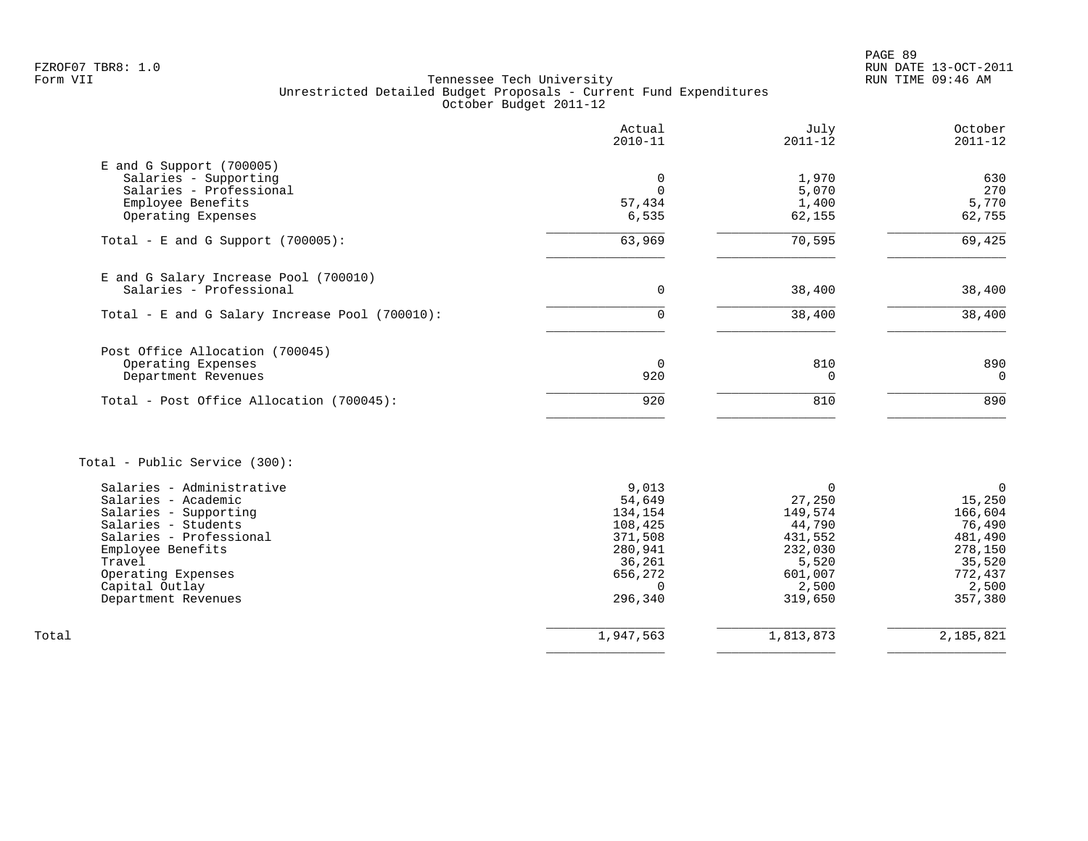PAGE 89 FZROF07 TBR8: 1.0 RUN DATE 13-OCT-2011

# Form VII Tennessee Tech University RUN TIME 09:46 AM Unrestricted Detailed Budget Proposals - Current Fund Expenditures October Budget 2011-12

|                                                     | Actual<br>$2010 - 11$ | July<br>$2011 - 12$ | October<br>$2011 - 12$ |
|-----------------------------------------------------|-----------------------|---------------------|------------------------|
| $E$ and G Support (700005)<br>Salaries - Supporting | $\mathbf 0$           | 1,970               | 630                    |
| Salaries - Professional                             | $\Omega$              | 5,070               | 270                    |
| Employee Benefits                                   | 57,434                | 1,400               | 5,770                  |
| Operating Expenses                                  | 6,535                 | 62,155              | 62,755                 |
| Total - E and G Support $(700005)$ :                | 63,969                | 70,595              | 69,425                 |
| E and G Salary Increase Pool (700010)               |                       |                     |                        |
| Salaries - Professional                             | 0                     | 38,400              | 38,400                 |
| Total - E and G Salary Increase Pool (700010):      | $\mathbf 0$           | 38,400              | 38,400                 |
| Post Office Allocation (700045)                     |                       |                     |                        |
| Operating Expenses                                  | $\overline{0}$        | 810                 | 890                    |
| Department Revenues                                 | 920                   | 0                   | $\mathbf 0$            |
| Total - Post Office Allocation (700045):            | 920                   | 810                 | 890                    |
| Total - Public Service (300):                       |                       |                     |                        |
| Salaries - Administrative                           | 9,013                 | $\mathbf 0$         | $\mathbf 0$            |
| Salaries - Academic                                 | 54,649                | 27,250              | 15,250                 |
| Salaries - Supporting                               | 134,154               | 149,574             | 166,604                |
| Salaries - Students                                 | 108,425               | 44,790              | 76,490                 |
| Salaries - Professional                             | 371,508               | 431,552             | 481,490                |
| Employee Benefits                                   | 280,941               | 232,030             | 278,150                |
| Travel<br>Operating Expenses                        | 36,261<br>656,272     | 5,520               | 35,520                 |
| Capital Outlay                                      | $\Omega$              | 601,007<br>2,500    | 772,437<br>2,500       |
| Department Revenues                                 | 296,340               | 319,650             | 357,380                |
| Total                                               | 1,947,563             | 1,813,873           | 2,185,821              |

 $\overline{\phantom{a}}$  , and the contract of the contract of the contract of the contract of the contract of the contract of the contract of the contract of the contract of the contract of the contract of the contract of the contrac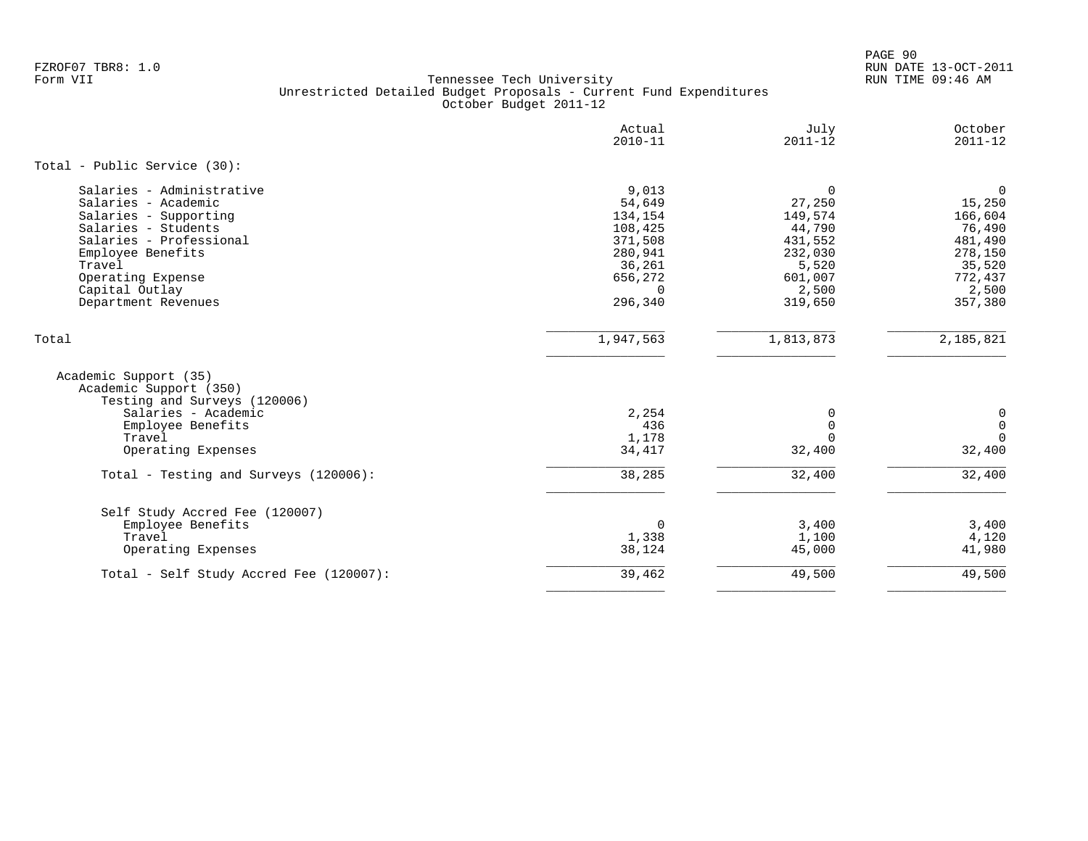PAGE 90 FZROF07 TBR8: 1.0 RUN DATE 13-OCT-2011

|                                                                                                                                                                                                                          | Actual<br>$2010 - 11$                                                                                   | July<br>$2011 - 12$                                                                                      | October<br>$2011 - 12$                                                                                    |
|--------------------------------------------------------------------------------------------------------------------------------------------------------------------------------------------------------------------------|---------------------------------------------------------------------------------------------------------|----------------------------------------------------------------------------------------------------------|-----------------------------------------------------------------------------------------------------------|
| Total - Public Service (30):                                                                                                                                                                                             |                                                                                                         |                                                                                                          |                                                                                                           |
| Salaries - Administrative<br>Salaries - Academic<br>Salaries - Supporting<br>Salaries - Students<br>Salaries - Professional<br>Employee Benefits<br>Travel<br>Operating Expense<br>Capital Outlay<br>Department Revenues | 9,013<br>54,649<br>134,154<br>108,425<br>371,508<br>280,941<br>36,261<br>656,272<br>$\Omega$<br>296,340 | $\mathbf 0$<br>27,250<br>149,574<br>44,790<br>431,552<br>232,030<br>5,520<br>601,007<br>2,500<br>319,650 | $\mathbf 0$<br>15,250<br>166,604<br>76,490<br>481,490<br>278,150<br>35,520<br>772,437<br>2,500<br>357,380 |
| Total                                                                                                                                                                                                                    | 1,947,563                                                                                               | 1,813,873                                                                                                | 2,185,821                                                                                                 |
| Academic Support (35)<br>Academic Support (350)<br>Testing and Surveys (120006)<br>Salaries - Academic<br>Employee Benefits<br>Travel<br>Operating Expenses                                                              | 2,254<br>436<br>1,178<br>34,417                                                                         | $\Omega$<br>$\Omega$<br>$\Omega$<br>32,400                                                               | 0<br>$\mathbf 0$<br>$\Omega$<br>32,400                                                                    |
| Total - Testing and Surveys (120006):                                                                                                                                                                                    | 38,285                                                                                                  | 32,400                                                                                                   | 32,400                                                                                                    |
| Self Study Accred Fee (120007)<br>Employee Benefits<br>Travel<br>Operating Expenses                                                                                                                                      | $\mathbf 0$<br>1,338<br>38,124                                                                          | 3,400<br>1,100<br>45,000                                                                                 | 3,400<br>4,120<br>41,980                                                                                  |
| Total - Self Study Accred Fee (120007):                                                                                                                                                                                  | 39,462                                                                                                  | 49,500                                                                                                   | 49,500                                                                                                    |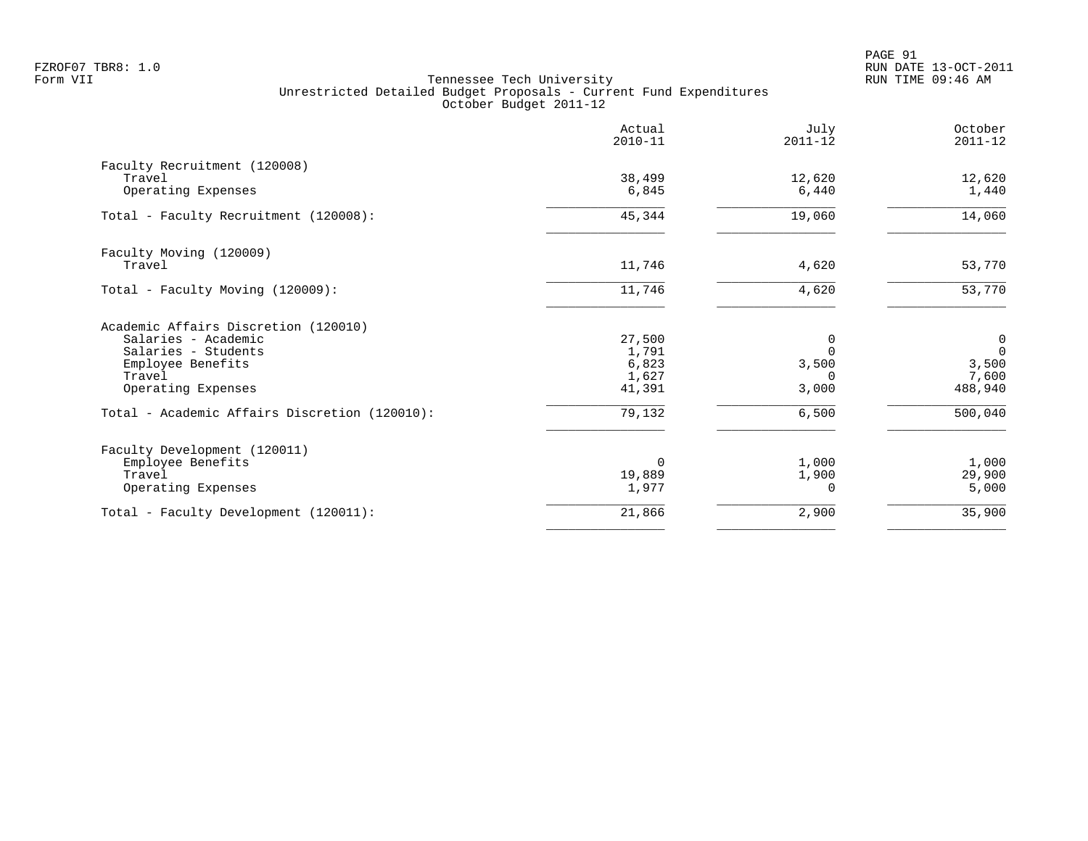|                                                                                                                                         | Actual<br>$2010 - 11$                       | July<br>$2011 - 12$                         | October<br>$2011 - 12$                     |
|-----------------------------------------------------------------------------------------------------------------------------------------|---------------------------------------------|---------------------------------------------|--------------------------------------------|
| Faculty Recruitment (120008)<br>Travel<br>Operating Expenses                                                                            | 38,499<br>6,845                             | 12,620<br>6,440                             | 12,620<br>1,440                            |
| Total - Faculty Recruitment (120008):                                                                                                   | 45,344                                      | 19,060                                      | 14,060                                     |
| Faculty Moving (120009)<br>Travel                                                                                                       | 11,746                                      | 4,620                                       | 53,770                                     |
| Total - Faculty Moving (120009):                                                                                                        | 11,746                                      | 4,620                                       | 53,770                                     |
| Academic Affairs Discretion (120010)<br>Salaries - Academic<br>Salaries - Students<br>Employee Benefits<br>Travel<br>Operating Expenses | 27,500<br>1,791<br>6,823<br>1,627<br>41,391 | 0<br>$\Omega$<br>3,500<br>$\Omega$<br>3,000 | 0<br>$\Omega$<br>3,500<br>7,600<br>488,940 |
| Total - Academic Affairs Discretion (120010):                                                                                           | 79,132                                      | 6,500                                       | 500,040                                    |
| Faculty Development (120011)<br>Employee Benefits<br>Travel<br>Operating Expenses                                                       | $\Omega$<br>19,889<br>1,977                 | 1,000<br>1,900<br>$\Omega$                  | 1,000<br>29,900<br>5,000                   |
| Total - Faculty Development (120011):                                                                                                   | 21,866                                      | 2,900                                       | 35,900                                     |
|                                                                                                                                         |                                             |                                             |                                            |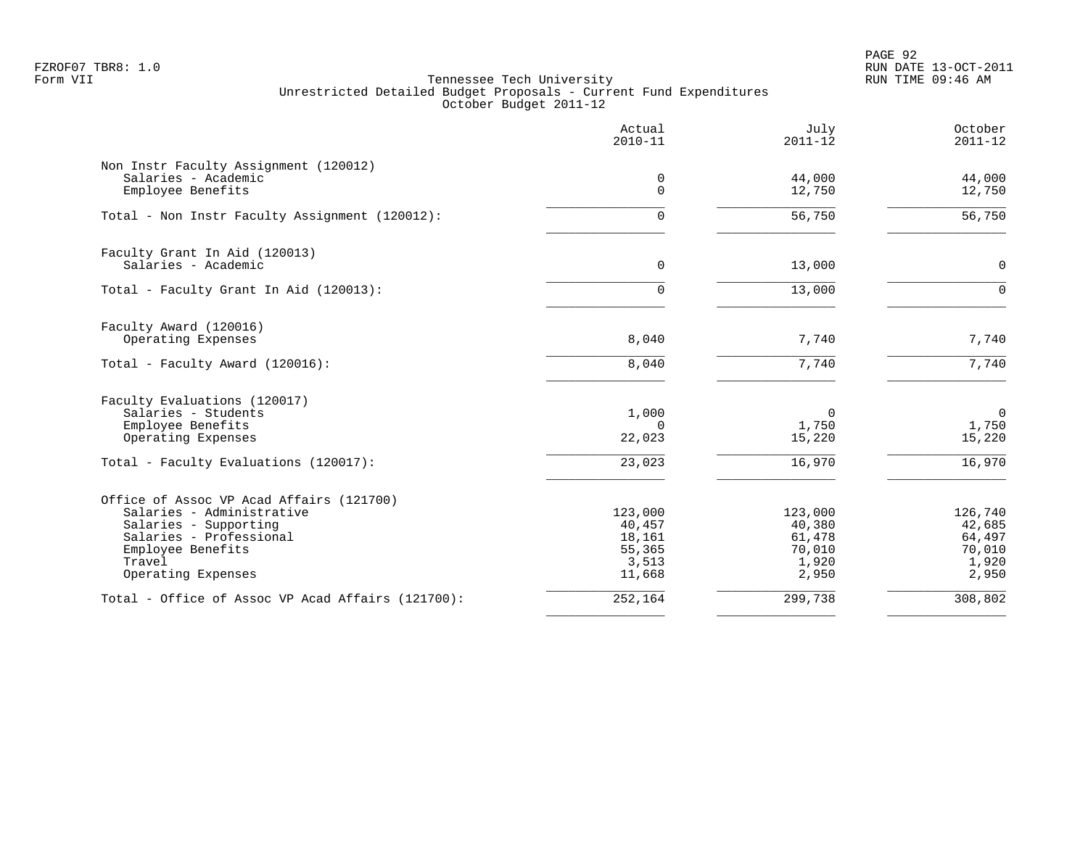PAGE 92 FZROF07 TBR8: 1.0 RUN DATE 13-OCT-2011

|                                                   | Actual<br>$2010 - 11$ | July<br>$2011 - 12$ | October<br>$2011 - 12$ |
|---------------------------------------------------|-----------------------|---------------------|------------------------|
| Non Instr Faculty Assignment (120012)             |                       |                     |                        |
| Salaries - Academic<br>Employee Benefits          | 0<br>$\Omega$         | 44,000<br>12,750    | 44,000<br>12,750       |
| Total - Non Instr Faculty Assignment (120012):    | $\Omega$              | 56,750              | 56,750                 |
| Faculty Grant In Aid (120013)                     |                       |                     |                        |
| Salaries - Academic                               | 0                     | 13,000              | $\mathsf{O}$           |
| Total - Faculty Grant In Aid (120013):            | $\Omega$              | 13,000              | $\Omega$               |
| Faculty Award (120016)                            |                       |                     |                        |
| Operating Expenses                                | 8,040                 | 7,740               | 7,740                  |
| Total - Faculty Award (120016):                   | 8,040                 | 7,740               | 7,740                  |
| Faculty Evaluations (120017)                      |                       |                     |                        |
| Salaries - Students<br>Employee Benefits          | 1,000<br>$\mathbf 0$  | $\Omega$<br>1,750   | $\mathsf{O}$<br>1,750  |
| Operating Expenses                                | 22,023                | 15,220              | 15,220                 |
| Total - Faculty Evaluations (120017):             | 23,023                | 16,970              | 16,970                 |
| Office of Assoc VP Acad Affairs (121700)          |                       |                     |                        |
| Salaries - Administrative                         | 123,000               | 123,000             | 126,740                |
| Salaries - Supporting                             | 40,457                | 40,380              | 42,685                 |
| Salaries - Professional                           | 18,161                | 61,478              | 64,497                 |
| Employee Benefits<br>Travel                       | 55,365<br>3,513       | 70,010<br>1,920     | 70,010<br>1,920        |
| Operating Expenses                                | 11,668                | 2,950               | 2,950                  |
| Total - Office of Assoc VP Acad Affairs (121700): | 252,164               | 299,738             | 308,802                |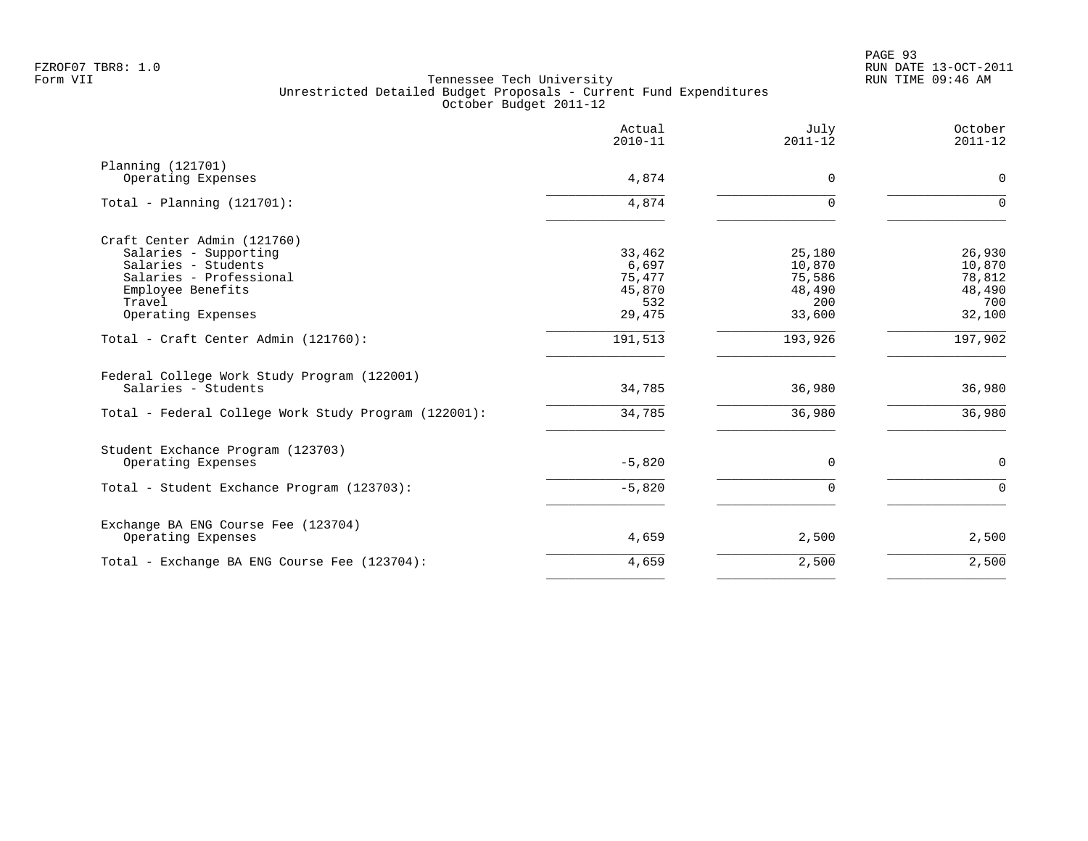|                                                                    | Actual<br>$2010 - 11$ | July<br>$2011 - 12$ | October<br>$2011 - 12$ |
|--------------------------------------------------------------------|-----------------------|---------------------|------------------------|
| Planning (121701)                                                  |                       |                     |                        |
| Operating Expenses                                                 | 4,874                 | $\Omega$            | $\mathbf 0$            |
| Total - Planning $(121701)$ :                                      | 4,874                 |                     | $\Omega$               |
| Craft Center Admin (121760)                                        |                       |                     |                        |
| Salaries - Supporting                                              | 33,462                | 25,180              | 26,930                 |
| Salaries - Students                                                | 6,697                 | 10,870              | 10,870                 |
| Salaries - Professional                                            | 75,477                | 75,586              | 78,812                 |
| Employee Benefits                                                  | 45,870                | 48,490              | 48,490                 |
| Travel                                                             | 532                   | 200                 | 700                    |
| Operating Expenses                                                 | 29,475                | 33,600              | 32,100                 |
| Total - Craft Center Admin (121760):                               | 191,513               | 193,926             | 197,902                |
| Federal College Work Study Program (122001)<br>Salaries - Students | 34,785                | 36,980              | 36,980                 |
|                                                                    |                       |                     |                        |
| Total - Federal College Work Study Program (122001):               | 34,785                | 36,980              | 36,980                 |
| Student Exchance Program (123703)                                  |                       |                     |                        |
| Operating Expenses                                                 | $-5,820$              | $\mathbf 0$         | $\mathbf 0$            |
| Total - Student Exchance Program (123703):                         | $-5,820$              | $\Omega$            | $\Omega$               |
| Exchange BA ENG Course Fee (123704)                                |                       |                     |                        |
| Operating Expenses                                                 | 4,659                 | 2,500               | 2,500                  |
| Total - Exchange BA ENG Course Fee (123704):                       | 4,659                 | 2,500               | 2,500                  |
|                                                                    |                       |                     |                        |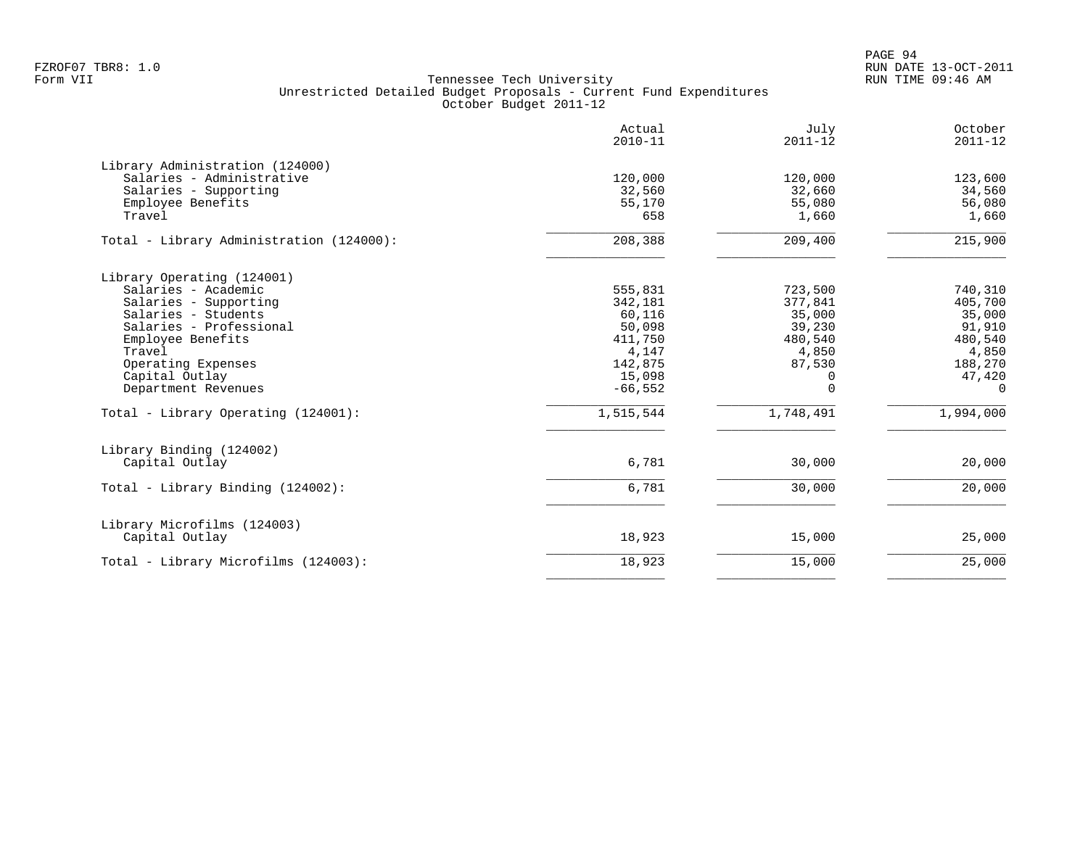|                                                                                                                                                                                                                                                                   | Actual<br>$2010 - 11$                                                                                      | July<br>$2011 - 12$                                                                                       | October<br>$2011 - 12$                                                                            |
|-------------------------------------------------------------------------------------------------------------------------------------------------------------------------------------------------------------------------------------------------------------------|------------------------------------------------------------------------------------------------------------|-----------------------------------------------------------------------------------------------------------|---------------------------------------------------------------------------------------------------|
| Library Administration (124000)<br>Salaries - Administrative<br>Salaries - Supporting<br>Employee Benefits<br>Travel                                                                                                                                              | 120,000<br>32,560<br>55,170<br>658                                                                         | 120,000<br>32,660<br>55,080<br>1,660                                                                      | 123,600<br>34,560<br>56,080<br>1,660                                                              |
| Total - Library Administration (124000):                                                                                                                                                                                                                          | 208,388                                                                                                    | 209,400                                                                                                   | 215,900                                                                                           |
| Library Operating (124001)<br>Salaries - Academic<br>Salaries - Supporting<br>Salaries - Students<br>Salaries - Professional<br>Employee Benefits<br>Travel<br>Operating Expenses<br>Capital Outlay<br>Department Revenues<br>Total - Library Operating (124001): | 555,831<br>342,181<br>60,116<br>50,098<br>411,750<br>4,147<br>142,875<br>15,098<br>$-66, 552$<br>1,515,544 | 723,500<br>377,841<br>35,000<br>39,230<br>480,540<br>4,850<br>87,530<br>$\Omega$<br>$\Omega$<br>1,748,491 | 740,310<br>405,700<br>35,000<br>91,910<br>480,540<br>4,850<br>188,270<br>47,420<br>0<br>1,994,000 |
| Library Binding (124002)<br>Capital Outlay                                                                                                                                                                                                                        | 6,781                                                                                                      | 30,000                                                                                                    | 20,000                                                                                            |
| Total - Library Binding (124002):                                                                                                                                                                                                                                 | 6,781                                                                                                      | 30,000                                                                                                    | 20,000                                                                                            |
| Library Microfilms (124003)<br>Capital Outlay                                                                                                                                                                                                                     | 18,923                                                                                                     | 15,000                                                                                                    | 25,000                                                                                            |
| Total - Library Microfilms (124003):                                                                                                                                                                                                                              | 18,923                                                                                                     | 15,000                                                                                                    | 25,000                                                                                            |
|                                                                                                                                                                                                                                                                   |                                                                                                            |                                                                                                           |                                                                                                   |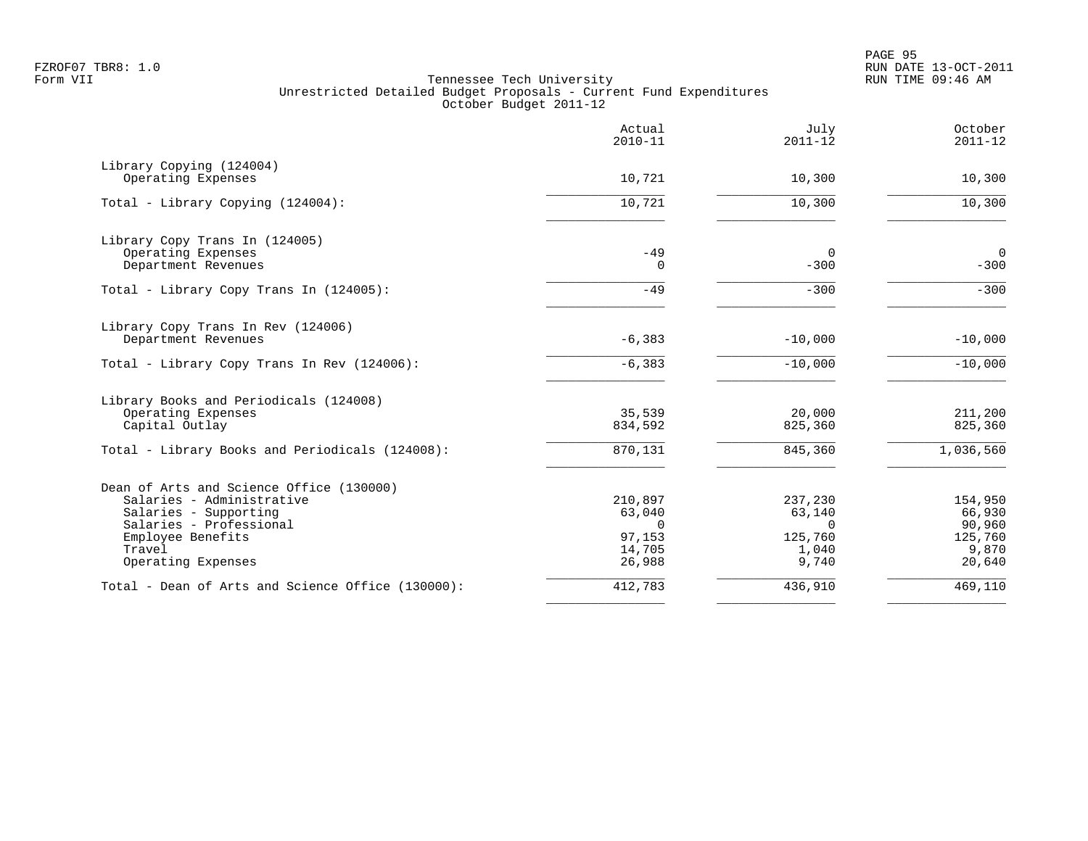| 10,721<br>10,721 | 10,300<br>10,300                                               | 10,300                                              |
|------------------|----------------------------------------------------------------|-----------------------------------------------------|
|                  |                                                                |                                                     |
|                  |                                                                |                                                     |
|                  |                                                                | 10,300                                              |
|                  |                                                                |                                                     |
|                  | 0                                                              | $\mathbf 0$                                         |
|                  |                                                                | $-300$                                              |
| $-49$            | $-300$                                                         | $-300$                                              |
|                  |                                                                |                                                     |
|                  |                                                                | $-10,000$                                           |
| $-6, 383$        | $-10,000$                                                      | $-10,000$                                           |
|                  |                                                                |                                                     |
| 35,539           | 20,000                                                         | 211,200                                             |
| 834,592          | 825,360                                                        | 825,360                                             |
| 870,131          | 845,360                                                        | 1,036,560                                           |
|                  |                                                                |                                                     |
| 210,897          | 237,230                                                        | 154,950                                             |
| 63,040           | 63,140                                                         | 66,930                                              |
|                  |                                                                | 90,960                                              |
|                  |                                                                | 125,760<br>9,870                                    |
| 26,988           | 9,740                                                          | 20,640                                              |
| 412,783          | 436,910                                                        | 469,110                                             |
|                  | $-49$<br>$\Omega$<br>$-6, 383$<br>$\Omega$<br>97,153<br>14,705 | $-300$<br>$-10,000$<br>$\Omega$<br>125,760<br>1,040 |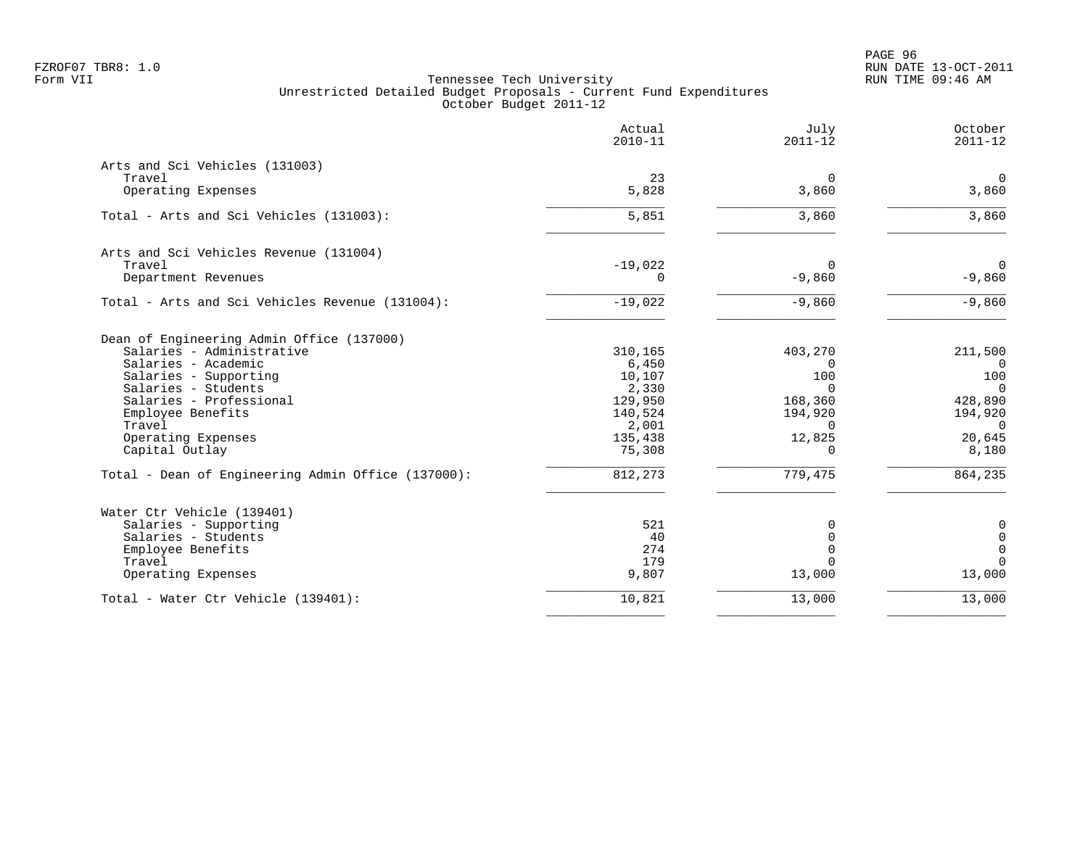PAGE 96 FZROF07 TBR8: 1.0 RUN DATE 13-OCT-2011

|                                                    | Actual<br>$2010 - 11$ | July<br>$2011 - 12$ | October<br>$2011 - 12$ |
|----------------------------------------------------|-----------------------|---------------------|------------------------|
| Arts and Sci Vehicles (131003)                     |                       |                     |                        |
| Travel                                             | 23                    | $\mathbf 0$         | $\overline{0}$         |
| Operating Expenses                                 | 5,828                 | 3,860               | 3,860                  |
| Total - Arts and Sci Vehicles (131003):            | 5,851                 | 3,860               | 3,860                  |
| Arts and Sci Vehicles Revenue (131004)             |                       |                     |                        |
| Travel                                             | $-19,022$             | $\mathbf 0$         | $\mathbf 0$            |
| Department Revenues                                | 0                     | $-9,860$            | $-9,860$               |
| Total - Arts and Sci Vehicles Revenue (131004):    | $-19,022$             | $-9,860$            | $-9,860$               |
| Dean of Engineering Admin Office (137000)          |                       |                     |                        |
| Salaries - Administrative                          | 310,165               | 403,270             | 211,500                |
| Salaries - Academic                                | 6,450                 | $\Omega$<br>100     | $\Omega$<br>100        |
| Salaries - Supporting<br>Salaries - Students       | 10,107<br>2,330       | $\Omega$            | $\overline{0}$         |
| Salaries - Professional                            | 129,950               | 168,360             | 428,890                |
| Employee Benefits                                  | 140,524               | 194,920             | 194,920                |
| Travel                                             | 2,001                 | 0                   | $\overline{0}$         |
| Operating Expenses                                 | 135,438               | 12,825              | 20,645                 |
| Capital Outlay                                     | 75,308                | 0                   | 8,180                  |
| Total - Dean of Engineering Admin Office (137000): | 812,273               | 779,475             | 864,235                |
| Water Ctr Vehicle (139401)                         |                       |                     |                        |
| Salaries - Supporting                              | 521                   | 0                   | $\mathbf 0$            |
| Salaries - Students                                | 40                    | $\mathbf 0$         | $\mathbf 0$            |
| Employee Benefits                                  | 274                   | $\Omega$            | $\mathsf{O}$           |
| Travel                                             | 179                   | $\Omega$            | $\mathbf 0$            |
| Operating Expenses                                 | 9,807                 | 13,000              | 13,000                 |
| Total - Water Ctr Vehicle (139401):                | 10,821                | 13,000              | 13,000                 |
|                                                    |                       |                     |                        |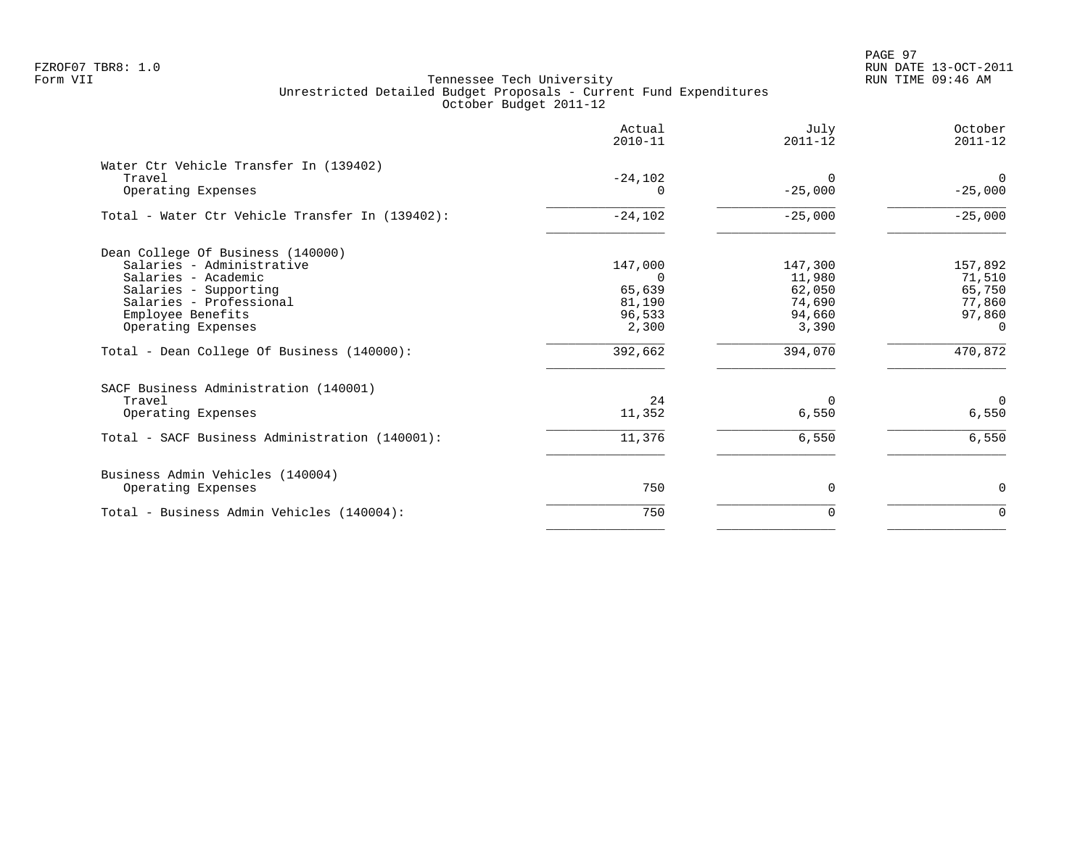PAGE 97 FZROF07 TBR8: 1.0 RUN DATE 13-OCT-2011

|                                                                                                                                                                                                                                    | Actual<br>$2010 - 11$                                          | July<br>$2011 - 12$                                                 | October<br>$2011 - 12$                                                       |
|------------------------------------------------------------------------------------------------------------------------------------------------------------------------------------------------------------------------------------|----------------------------------------------------------------|---------------------------------------------------------------------|------------------------------------------------------------------------------|
| Water Ctr Vehicle Transfer In (139402)<br>Travel<br>Operating Expenses                                                                                                                                                             | $-24,102$                                                      | $\Omega$<br>$-25,000$                                               | $\overline{0}$<br>$-25,000$                                                  |
| Total - Water Ctr Vehicle Transfer In (139402):                                                                                                                                                                                    | $-24,102$                                                      | $-25,000$                                                           | $-25,000$                                                                    |
| Dean College Of Business (140000)<br>Salaries - Administrative<br>Salaries - Academic<br>Salaries - Supporting<br>Salaries - Professional<br>Employee Benefits<br>Operating Expenses<br>Total - Dean College Of Business (140000): | 147,000<br>0<br>65,639<br>81,190<br>96,533<br>2,300<br>392,662 | 147,300<br>11,980<br>62,050<br>74,690<br>94,660<br>3,390<br>394,070 | 157,892<br>71,510<br>65,750<br>77,860<br>97,860<br>$\overline{0}$<br>470,872 |
| SACF Business Administration (140001)<br>Travel<br>Operating Expenses                                                                                                                                                              | 24<br>11,352                                                   | $\Omega$<br>6,550                                                   | $\overline{0}$<br>6,550                                                      |
| Total - SACF Business Administration (140001):                                                                                                                                                                                     | 11,376                                                         | 6,550                                                               | 6,550                                                                        |
| Business Admin Vehicles (140004)<br>Operating Expenses                                                                                                                                                                             | 750                                                            | $\mathbf 0$                                                         | 0                                                                            |
| Total - Business Admin Vehicles (140004):                                                                                                                                                                                          | 750                                                            | $\Omega$                                                            | $\mathbf 0$                                                                  |
|                                                                                                                                                                                                                                    |                                                                |                                                                     |                                                                              |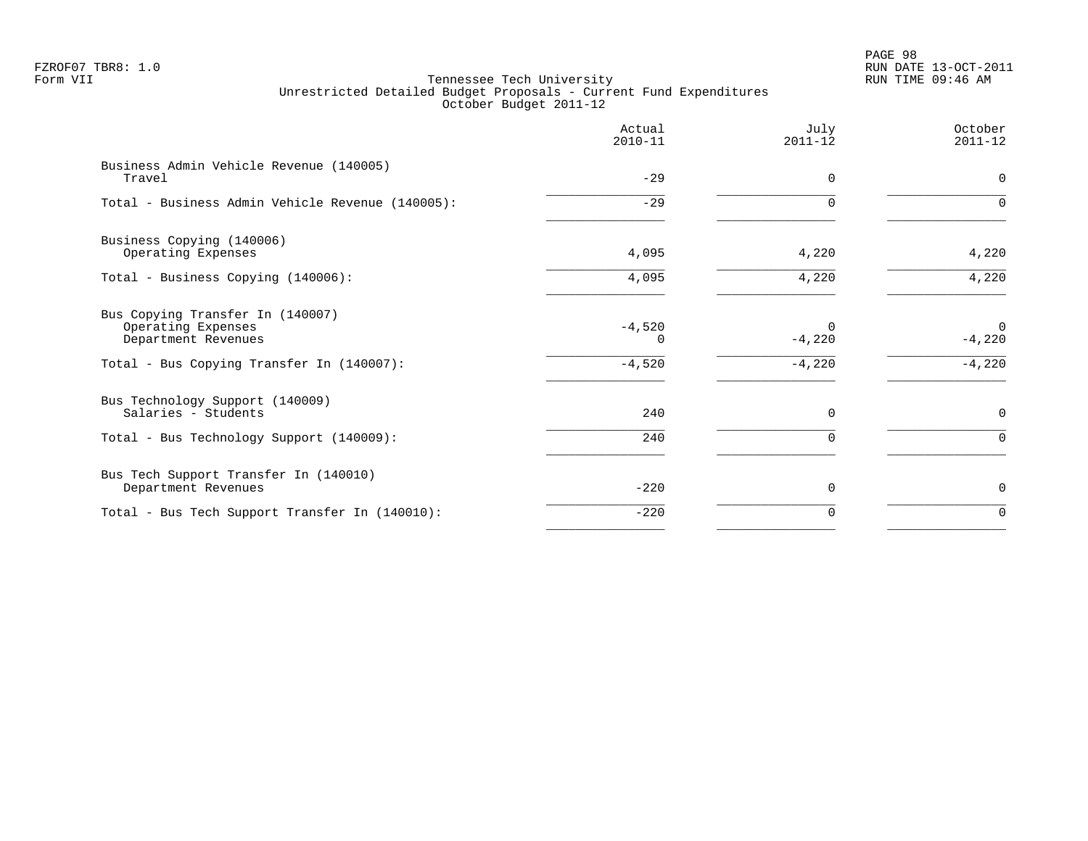# PAGE 98 FZROF07 TBR8: 1.0 RUN DATE 13-OCT-2011

|                                                                               | Actual<br>$2010 - 11$ | July<br>$2011 - 12$  | October<br>$2011 - 12$  |
|-------------------------------------------------------------------------------|-----------------------|----------------------|-------------------------|
| Business Admin Vehicle Revenue (140005)<br>Travel                             | $-29$                 | $\Omega$             | $\Omega$                |
| Total - Business Admin Vehicle Revenue (140005):                              | $-29$                 | $\Omega$             | $\Omega$                |
| Business Copying (140006)<br>Operating Expenses                               | 4,095                 | 4,220                | 4,220                   |
| Total - Business Copying (140006):                                            | 4,095                 | 4,220                | 4,220                   |
| Bus Copying Transfer In (140007)<br>Operating Expenses<br>Department Revenues | $-4,520$<br>0         | $\Omega$<br>$-4,220$ | $\mathbf 0$<br>$-4,220$ |
| Total - Bus Copying Transfer In (140007):                                     | $-4,520$              | $-4,220$             | $-4,220$                |
| Bus Technology Support (140009)<br>Salaries - Students                        | 240                   | $\mathbf 0$          | 0                       |
| Total - Bus Technology Support (140009):                                      | 240                   | $\Omega$             | $\Omega$                |
| Bus Tech Support Transfer In (140010)<br>Department Revenues                  | $-220$                | 0                    | 0                       |
| Total - Bus Tech Support Transfer In (140010):                                | $-220$                | 0                    | $\mathbf 0$             |
|                                                                               |                       |                      |                         |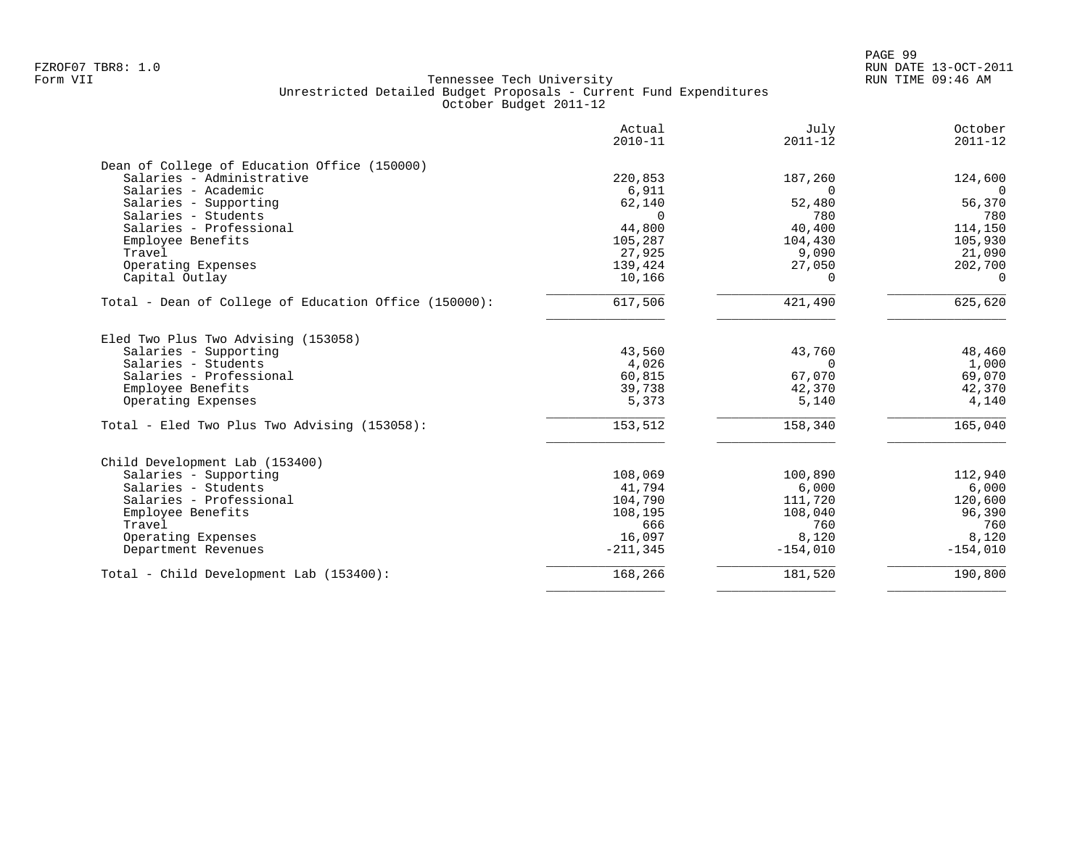|                                                       | Actual<br>$2010 - 11$ | July<br>$2011 - 12$ | October<br>$2011 - 12$ |
|-------------------------------------------------------|-----------------------|---------------------|------------------------|
| Dean of College of Education Office (150000)          |                       |                     |                        |
| Salaries - Administrative                             | 220,853               | 187,260             | 124,600                |
| Salaries - Academic                                   | 6,911                 | $\Omega$            | $\Omega$               |
| Salaries - Supporting                                 | 62,140                | 52,480              | 56,370                 |
| Salaries - Students                                   | $\Omega$              | 780                 | 780                    |
| Salaries - Professional                               | 44,800                | 40,400              | 114,150                |
| Employee Benefits                                     | 105,287               | 104,430             | 105,930                |
| Travel                                                | 27,925                | 9,090               | 21,090                 |
| Operating Expenses                                    | 139,424               | 27,050              | 202,700                |
| Capital Outlay                                        | 10,166                | $\Omega$            | $\Omega$               |
| Total - Dean of College of Education Office (150000): | 617,506               | 421,490             | 625,620                |
| Eled Two Plus Two Advising (153058)                   |                       |                     |                        |
| Salaries - Supporting                                 | 43,560                | 43,760              | 48,460                 |
| Salaries - Students                                   | 4,026                 | $\Omega$            | 1,000                  |
| Salaries - Professional                               | 60,815                | 67,070              | 69,070                 |
| Employee Benefits                                     | 39,738                | 42,370              | 42,370                 |
| Operating Expenses                                    | 5,373                 | 5,140               | 4,140                  |
| Total - Eled Two Plus Two Advising (153058):          | 153,512               | 158,340             | 165,040                |
| Child Development Lab (153400)                        |                       |                     |                        |
| Salaries - Supporting                                 | 108,069               | 100,890             | 112,940                |
| Salaries - Students                                   | 41,794                | 6,000               | 6,000                  |
| Salaries - Professional                               | 104,790               | 111,720             | 120,600                |
| Employee Benefits                                     | 108,195               | 108,040             | 96,390                 |
| Travel                                                | 666                   | 760                 | 760                    |
| Operating Expenses                                    | 16,097                | 8,120               | 8,120                  |
| Department Revenues                                   | $-211,345$            | $-154,010$          | $-154,010$             |
| Total - Child Development Lab (153400):               | 168,266               | 181,520             | 190,800                |
|                                                       |                       |                     |                        |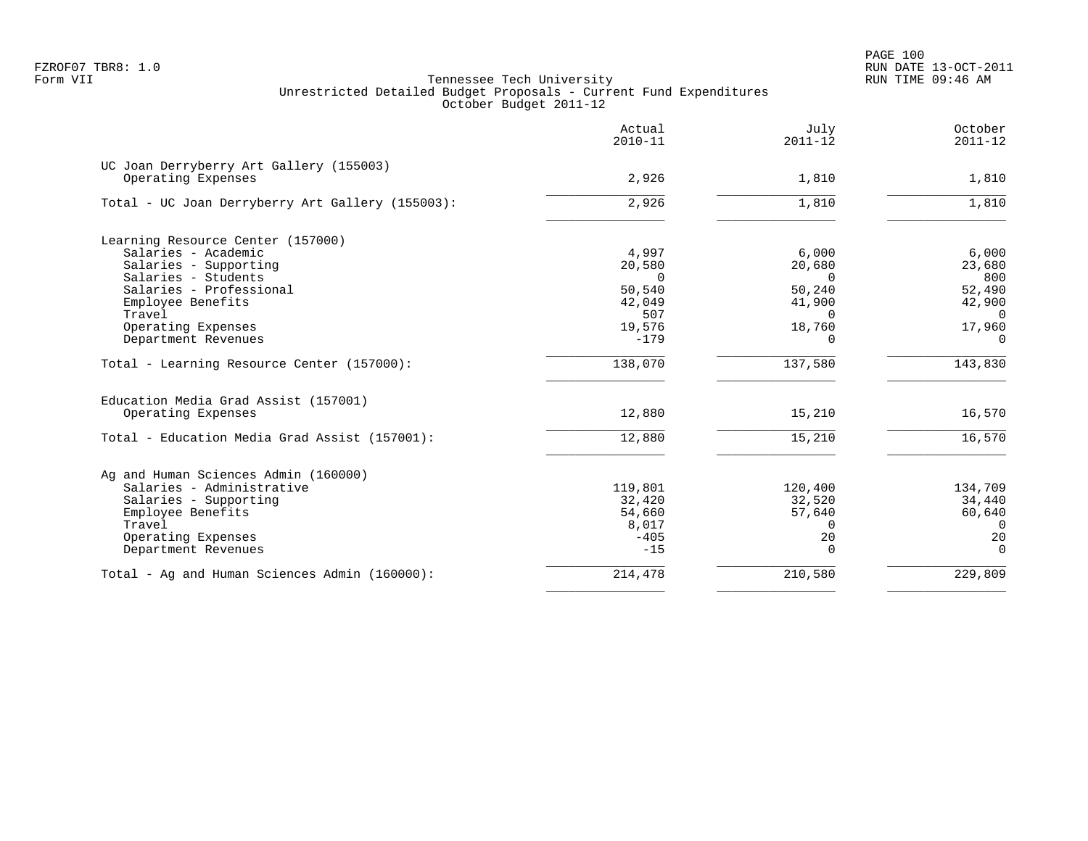PAGE 100 FZROF07 TBR8: 1.0 RUN DATE 13-OCT-2011

|                                                                                                                                                                                                                 | Actual<br>$2010 - 11$                                                      | July<br>$2011 - 12$                                                               | October<br>$2011 - 12$                                                       |
|-----------------------------------------------------------------------------------------------------------------------------------------------------------------------------------------------------------------|----------------------------------------------------------------------------|-----------------------------------------------------------------------------------|------------------------------------------------------------------------------|
| UC Joan Derryberry Art Gallery (155003)<br>Operating Expenses                                                                                                                                                   | 2,926                                                                      | 1,810                                                                             | 1,810                                                                        |
| Total - UC Joan Derryberry Art Gallery (155003):                                                                                                                                                                | 2,926                                                                      | 1,810                                                                             | 1,810                                                                        |
| Learning Resource Center (157000)<br>Salaries - Academic<br>Salaries - Supporting<br>Salaries - Students<br>Salaries - Professional<br>Employee Benefits<br>Travel<br>Operating Expenses<br>Department Revenues | 4,997<br>20,580<br>$\Omega$<br>50,540<br>42,049<br>507<br>19,576<br>$-179$ | 6,000<br>20,680<br>$\Omega$<br>50,240<br>41,900<br>$\Omega$<br>18,760<br>$\Omega$ | 6,000<br>23,680<br>800<br>52,490<br>42,900<br>$\Omega$<br>17,960<br>$\Omega$ |
| Total - Learning Resource Center (157000):                                                                                                                                                                      | 138,070                                                                    | 137,580                                                                           | 143,830                                                                      |
| Education Media Grad Assist (157001)<br>Operating Expenses                                                                                                                                                      | 12,880                                                                     | 15,210                                                                            | 16,570                                                                       |
| Total - Education Media Grad Assist (157001):                                                                                                                                                                   | 12,880                                                                     | 15,210                                                                            | 16,570                                                                       |
| Ag and Human Sciences Admin (160000)<br>Salaries - Administrative<br>Salaries - Supporting<br>Employee Benefits<br>Travel<br>Operating Expenses<br>Department Revenues                                          | 119,801<br>32,420<br>54,660<br>8,017<br>$-405$<br>$-15$                    | 120,400<br>32,520<br>57,640<br>$\Omega$<br>20<br>$\Omega$                         | 134,709<br>34,440<br>60,640<br>$\Omega$<br>20<br>$\Omega$                    |
| Total - Ag and Human Sciences Admin (160000):                                                                                                                                                                   | 214,478                                                                    | 210,580                                                                           | 229,809                                                                      |
|                                                                                                                                                                                                                 |                                                                            |                                                                                   |                                                                              |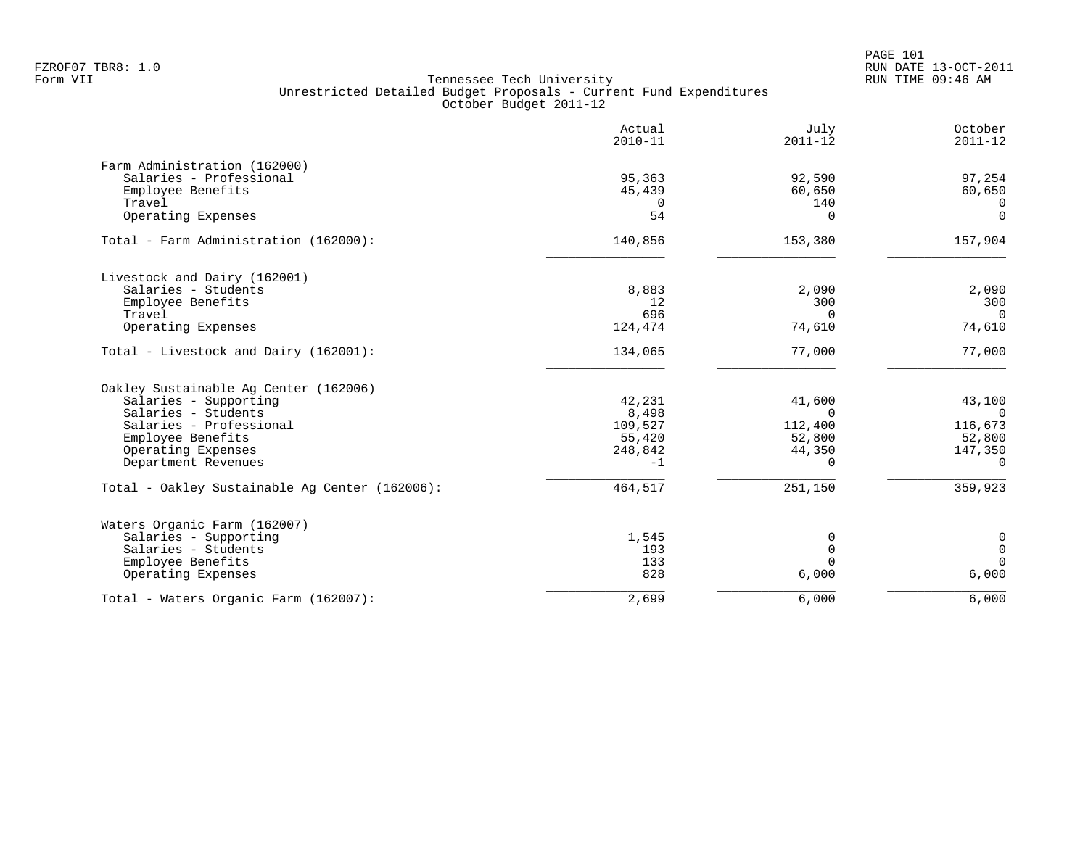|                                                | Actual<br>$2010 - 11$ | July<br>$2011 - 12$ | October<br>$2011 - 12$ |
|------------------------------------------------|-----------------------|---------------------|------------------------|
| Farm Administration (162000)                   |                       |                     |                        |
| Salaries - Professional                        | 95,363                | 92,590              | 97,254                 |
| Employee Benefits                              | 45,439                | 60,650              | 60,650                 |
| Travel                                         | $\Omega$              | 140                 | $\Omega$               |
| Operating Expenses                             | 54                    | $\Omega$            | $\mathbf 0$            |
| Total - Farm Administration (162000):          | 140,856               | 153,380             | 157,904                |
| Livestock and Dairy (162001)                   |                       |                     |                        |
| Salaries - Students                            | 8,883                 | 2,090               | 2,090                  |
| Employee Benefits                              | 12                    | 300                 | 300                    |
| Travel                                         | 696                   | $\Omega$            | $\Omega$               |
| Operating Expenses                             | 124,474               | 74,610              | 74,610                 |
| Total - Livestock and Dairy (162001):          | 134,065               | 77,000              | 77,000                 |
| Oakley Sustainable Aq Center (162006)          |                       |                     |                        |
| Salaries - Supporting                          | 42,231                | 41,600              | 43,100                 |
| Salaries - Students                            | 8,498                 | $\Omega$            | $\mathbf 0$            |
| Salaries - Professional                        | 109,527               | 112,400             | 116,673                |
| Employee Benefits                              | 55,420                | 52,800              | 52,800                 |
| Operating Expenses                             | 248,842               | 44,350              | 147,350                |
| Department Revenues                            | $-1$                  | $\Omega$            | $\Omega$               |
| Total - Oakley Sustainable Aq Center (162006): | 464,517               | 251,150             | 359,923                |
| Waters Organic Farm (162007)                   |                       |                     |                        |
| Salaries - Supporting                          | 1,545                 | 0                   | $\mathbf 0$            |
| Salaries - Students                            | 193                   | $\mathbf 0$         | $\mathbf 0$            |
| Employee Benefits                              | 133                   | $\Omega$            | $\Omega$               |
| Operating Expenses                             | 828                   | 6,000               | 6,000                  |
| Total - Waters Organic Farm (162007):          | 2,699                 | 6,000               | 6,000                  |
|                                                |                       |                     |                        |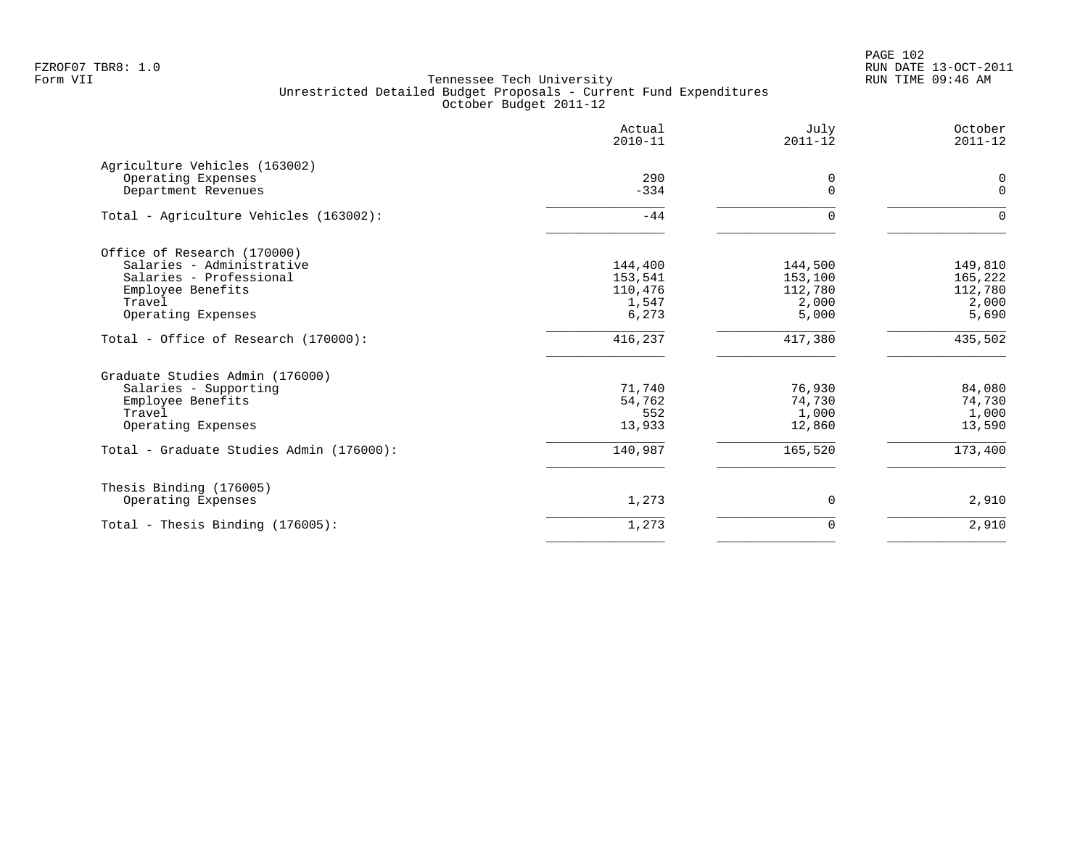PAGE 102 FZROF07 TBR8: 1.0 RUN DATE 13-OCT-2011

|                                           | Actual<br>$2010 - 11$ | July<br>$2011 - 12$ | October<br>$2011 - 12$ |
|-------------------------------------------|-----------------------|---------------------|------------------------|
| Agriculture Vehicles (163002)             |                       |                     |                        |
| Operating Expenses<br>Department Revenues | 290<br>$-334$         | 0<br>$\Omega$       | 0<br>$\mathbf{0}$      |
| Total - Agriculture Vehicles (163002):    | $-44$                 | $\Omega$            | 0                      |
| Office of Research (170000)               |                       |                     |                        |
| Salaries - Administrative                 | 144,400               | 144,500             | 149,810                |
| Salaries - Professional                   | 153,541               | 153,100             | 165,222                |
| Employee Benefits                         | 110,476               | 112,780             | 112,780                |
| Travel                                    | 1,547                 | 2,000               | 2,000                  |
| Operating Expenses                        | 6,273                 | 5,000               | 5,690                  |
| Total - Office of Research (170000):      | 416,237               | 417,380             | 435,502                |
| Graduate Studies Admin (176000)           |                       |                     |                        |
| Salaries - Supporting                     | 71,740                | 76,930              | 84,080                 |
| Employee Benefits                         | 54,762                | 74,730              | 74,730                 |
| Travel                                    | 552                   | 1,000               | 1,000                  |
| Operating Expenses                        | 13,933                | 12,860              | 13,590                 |
| Total - Graduate Studies Admin (176000):  | 140,987               | 165,520             | 173,400                |
| Thesis Binding (176005)                   |                       |                     |                        |
| Operating Expenses                        | 1,273                 | 0                   | 2,910                  |
| Total - Thesis Binding $(176005)$ :       | 1,273                 | $\mathbf 0$         | 2,910                  |
|                                           |                       |                     |                        |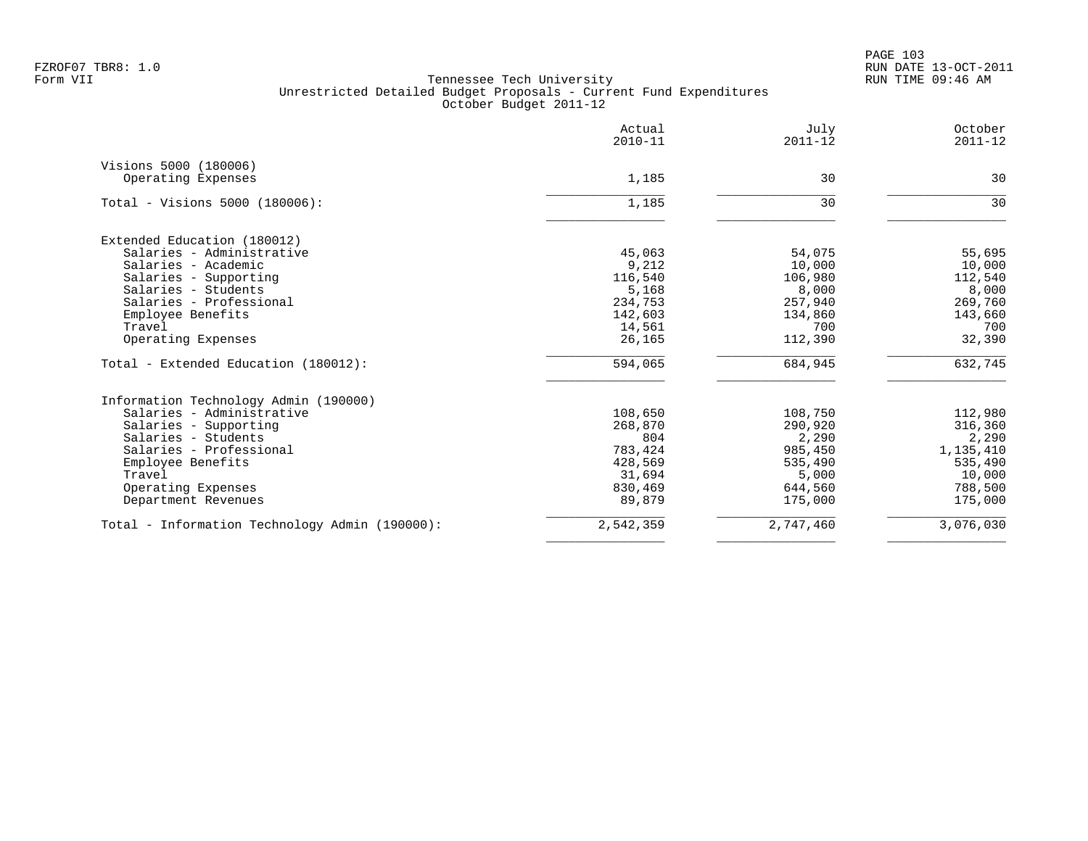|                                                | Actual<br>$2010 - 11$ | July<br>$2011 - 12$ | October<br>$2011 - 12$ |
|------------------------------------------------|-----------------------|---------------------|------------------------|
| Visions 5000 (180006)                          |                       |                     |                        |
| Operating Expenses                             | 1,185                 | 30                  | 30                     |
| Total - Visions 5000 (180006):                 | 1,185                 | 30                  | 30                     |
| Extended Education (180012)                    |                       |                     |                        |
| Salaries - Administrative                      | 45,063                | 54,075              | 55,695                 |
| Salaries - Academic                            | 9,212                 | 10,000              | 10,000                 |
| Salaries - Supporting                          | 116,540               | 106,980             | 112,540                |
| Salaries - Students                            | 5,168                 | 8,000               | 8,000                  |
| Salaries - Professional                        | 234,753               | 257,940             | 269,760                |
| Employee Benefits                              | 142,603               | 134,860             | 143,660                |
| Travel                                         | 14,561                | 700                 | 700                    |
| Operating Expenses                             | 26,165                | 112,390             | 32,390                 |
| Total - Extended Education (180012):           | 594,065               | 684,945             | 632,745                |
| Information Technology Admin (190000)          |                       |                     |                        |
| Salaries - Administrative                      | 108,650               | 108,750             | 112,980                |
| Salaries - Supporting                          | 268,870               | 290,920             | 316,360                |
| Salaries - Students                            | 804                   | 2,290               | 2,290                  |
| Salaries - Professional                        | 783,424               | 985,450             | 1,135,410              |
| Employee Benefits                              | 428,569               | 535,490             | 535,490                |
| Travel                                         | 31,694                | 5,000               | 10,000                 |
| Operating Expenses                             | 830,469               | 644,560             | 788,500                |
| Department Revenues                            | 89,879                | 175,000             | 175,000                |
| Total - Information Technology Admin (190000): | 2,542,359             | 2,747,460           | 3,076,030              |
|                                                |                       |                     |                        |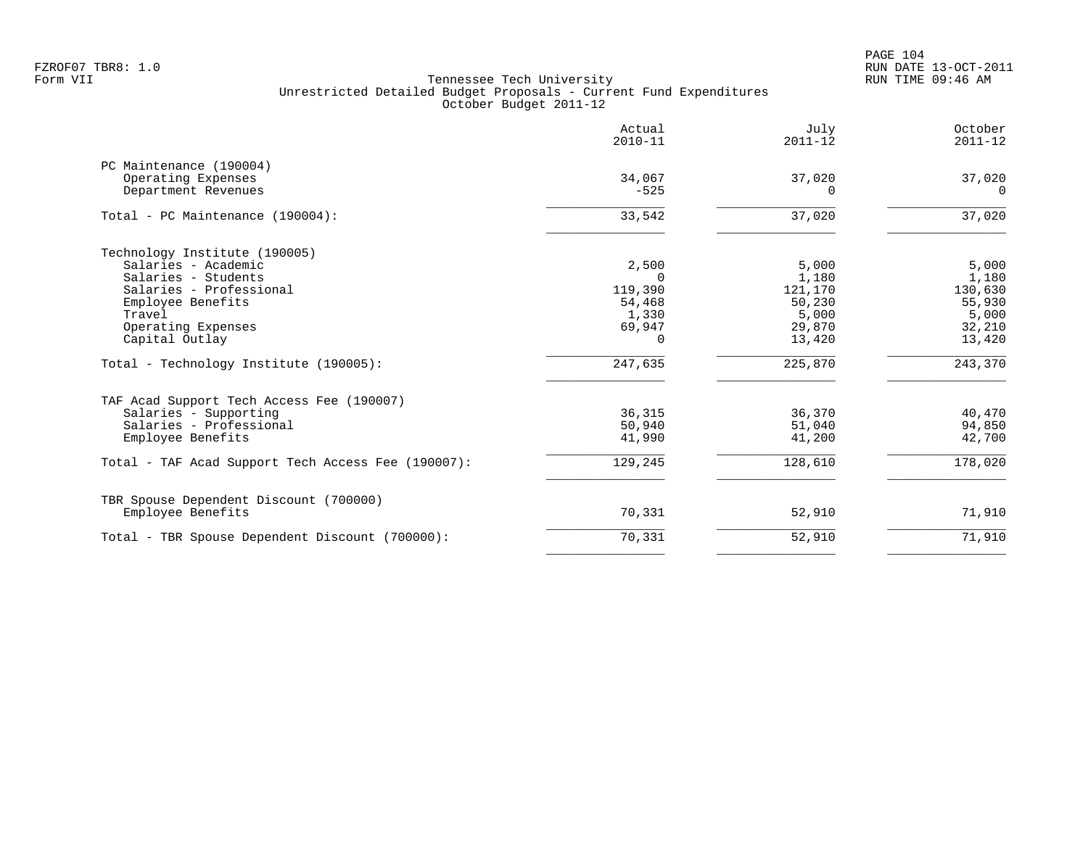PAGE 104 FZROF07 TBR8: 1.0 RUN DATE 13-OCT-2011

|                                                                                                                                                                               | Actual<br>$2010 - 11$                                                 | July<br>$2011 - 12$                                              | October<br>$2011 - 12$                                           |
|-------------------------------------------------------------------------------------------------------------------------------------------------------------------------------|-----------------------------------------------------------------------|------------------------------------------------------------------|------------------------------------------------------------------|
| PC Maintenance (190004)<br>Operating Expenses<br>Department Revenues                                                                                                          | 34,067<br>$-525$                                                      | 37,020<br>$\Omega$                                               | 37,020<br>$\Omega$                                               |
| Total - PC Maintenance (190004):                                                                                                                                              | 33,542                                                                | 37,020                                                           | 37,020                                                           |
| Technology Institute (190005)<br>Salaries - Academic<br>Salaries - Students<br>Salaries - Professional<br>Employee Benefits<br>Travel<br>Operating Expenses<br>Capital Outlay | 2,500<br>$\Omega$<br>119,390<br>54,468<br>1,330<br>69,947<br>$\Omega$ | 5,000<br>1,180<br>121,170<br>50,230<br>5,000<br>29,870<br>13,420 | 5,000<br>1,180<br>130,630<br>55,930<br>5,000<br>32,210<br>13,420 |
| Total - Technology Institute (190005):                                                                                                                                        | 247,635                                                               | 225,870                                                          | 243,370                                                          |
| TAF Acad Support Tech Access Fee (190007)<br>Salaries - Supporting<br>Salaries - Professional<br>Employee Benefits                                                            | 36,315<br>50,940<br>41,990                                            | 36,370<br>51,040<br>41,200                                       | 40,470<br>94,850<br>42,700                                       |
| Total - TAF Acad Support Tech Access Fee (190007):                                                                                                                            | 129,245                                                               | 128,610                                                          | 178,020                                                          |
| TBR Spouse Dependent Discount (700000)<br>Employee Benefits                                                                                                                   | 70,331                                                                | 52,910                                                           | 71,910                                                           |
| Total - TBR Spouse Dependent Discount (700000):                                                                                                                               | 70,331                                                                | 52,910                                                           | 71,910                                                           |
|                                                                                                                                                                               |                                                                       |                                                                  |                                                                  |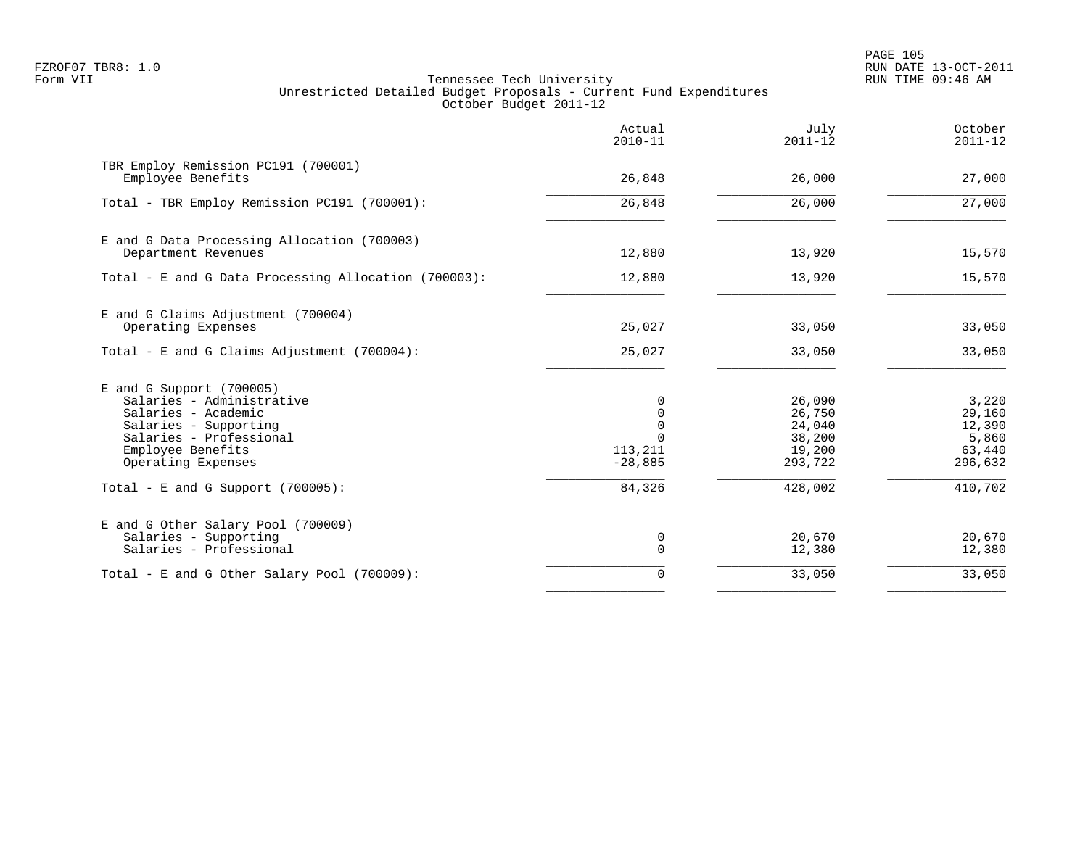PAGE 105 FZROF07 TBR8: 1.0 RUN DATE 13-OCT-2011

|                                                                                                                                                                               | Actual<br>$2010 - 11$                                         | July<br>$2011 - 12$                                       | October<br>$2011 - 12$                                  |
|-------------------------------------------------------------------------------------------------------------------------------------------------------------------------------|---------------------------------------------------------------|-----------------------------------------------------------|---------------------------------------------------------|
| TBR Employ Remission PC191 (700001)<br>Employee Benefits                                                                                                                      | 26,848                                                        | 26,000                                                    | 27,000                                                  |
| Total - TBR Employ Remission PC191 (700001):                                                                                                                                  | 26,848                                                        | 26,000                                                    | 27,000                                                  |
| E and G Data Processing Allocation (700003)<br>Department Revenues                                                                                                            | 12,880                                                        | 13,920                                                    | 15,570                                                  |
| Total - E and G Data Processing Allocation (700003):                                                                                                                          | 12,880                                                        | 13,920                                                    | 15,570                                                  |
| E and G Claims Adjustment (700004)<br>Operating Expenses                                                                                                                      | 25,027                                                        | 33,050                                                    | 33,050                                                  |
| Total - E and G Claims Adjustment $(700004)$ :                                                                                                                                | 25,027                                                        | 33,050                                                    | 33,050                                                  |
| $E$ and G Support (700005)<br>Salaries - Administrative<br>Salaries - Academic<br>Salaries - Supporting<br>Salaries - Professional<br>Employee Benefits<br>Operating Expenses | 0<br>$\Omega$<br>$\Omega$<br>$\Omega$<br>113,211<br>$-28,885$ | 26,090<br>26,750<br>24,040<br>38,200<br>19,200<br>293,722 | 3,220<br>29,160<br>12,390<br>5,860<br>63,440<br>296,632 |
| Total - E and G Support $(700005)$ :                                                                                                                                          | 84,326                                                        | 428,002                                                   | 410,702                                                 |
| E and G Other Salary Pool (700009)<br>Salaries - Supporting<br>Salaries - Professional                                                                                        | 0<br>0                                                        | 20,670<br>12,380                                          | 20,670<br>12,380                                        |
| Total - E and G Other Salary Pool (700009):                                                                                                                                   | $\Omega$                                                      | 33,050                                                    | 33,050                                                  |
|                                                                                                                                                                               |                                                               |                                                           |                                                         |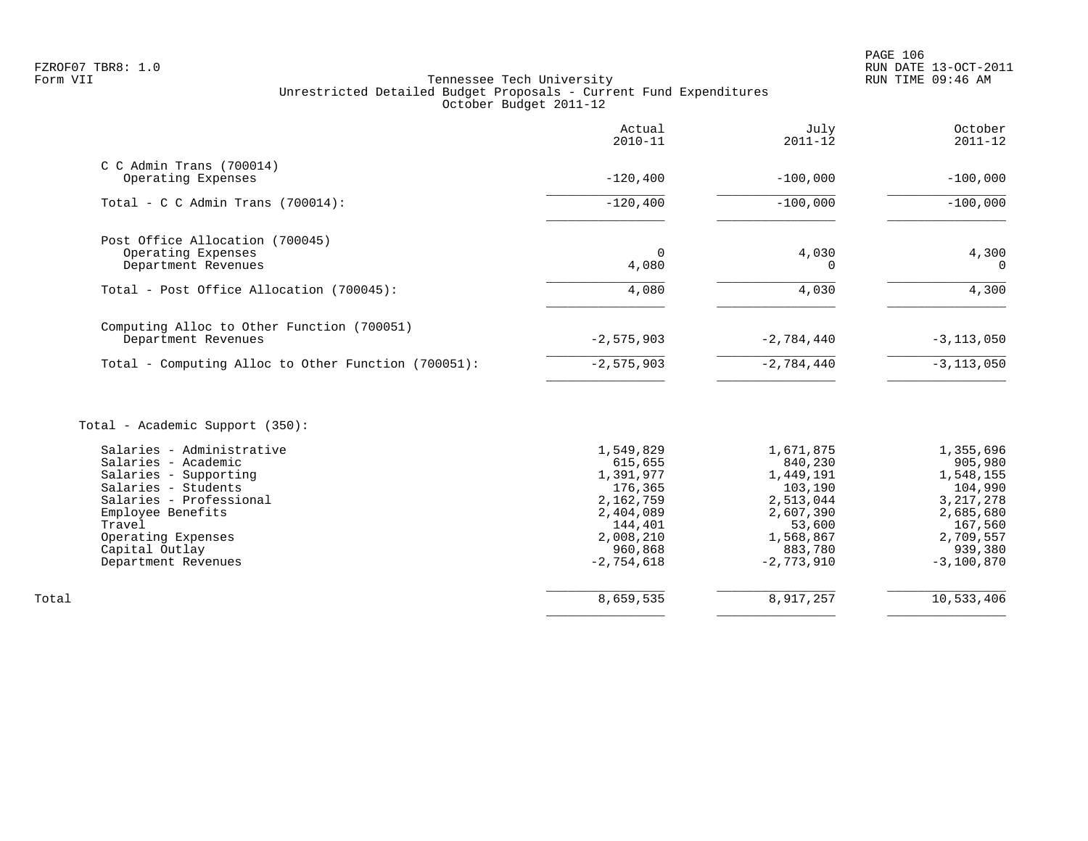| $C$ C Admin Trans (700014)<br>Operating Expenses<br>$-120, 400$<br>$-100,000$<br>$-120,400$<br>$-100,000$<br>Total - C C Admin Trans $(700014)$ :<br>Post Office Allocation (700045)<br>4,030<br>Operating Expenses<br>0<br>4,080<br>Department Revenues<br>0<br>4,080<br>Total - Post Office Allocation (700045):<br>4,030<br>Computing Alloc to Other Function (700051)<br>Department Revenues<br>$-2,575,903$<br>$-2,784,440$<br>$-2,575,903$<br>$-2,784,440$<br>Total - Computing Alloc to Other Function (700051):<br>Total - Academic Support (350):<br>Salaries - Administrative<br>1,549,829<br>1,671,875<br>Salaries - Academic<br>615,655<br>840,230<br>Salaries - Supporting<br>1,391,977<br>1,449,191<br>Salaries - Students<br>176,365<br>103,190<br>Salaries - Professional<br>2,162,759<br>2,513,044<br>Employee Benefits<br>2,404,089<br>2,607,390<br>Travel<br>144,401<br>53,600<br>2,008,210<br>1,568,867<br>Operating Expenses<br>960,868<br>Capital Outlay<br>883,780<br>$-2,754,618$<br>$-2,773,910$<br>Department Revenues | October<br>$2011 - 12$                                                                                                      | July<br>$2011 - 12$ | Actual<br>$2010 - 11$ |  |
|--------------------------------------------------------------------------------------------------------------------------------------------------------------------------------------------------------------------------------------------------------------------------------------------------------------------------------------------------------------------------------------------------------------------------------------------------------------------------------------------------------------------------------------------------------------------------------------------------------------------------------------------------------------------------------------------------------------------------------------------------------------------------------------------------------------------------------------------------------------------------------------------------------------------------------------------------------------------------------------------------------------------------------------------------|-----------------------------------------------------------------------------------------------------------------------------|---------------------|-----------------------|--|
|                                                                                                                                                                                                                                                                                                                                                                                                                                                                                                                                                                                                                                                                                                                                                                                                                                                                                                                                                                                                                                                  | $-100,000$                                                                                                                  |                     |                       |  |
|                                                                                                                                                                                                                                                                                                                                                                                                                                                                                                                                                                                                                                                                                                                                                                                                                                                                                                                                                                                                                                                  | $-100,000$                                                                                                                  |                     |                       |  |
|                                                                                                                                                                                                                                                                                                                                                                                                                                                                                                                                                                                                                                                                                                                                                                                                                                                                                                                                                                                                                                                  | 4,300<br>$\Omega$                                                                                                           |                     |                       |  |
|                                                                                                                                                                                                                                                                                                                                                                                                                                                                                                                                                                                                                                                                                                                                                                                                                                                                                                                                                                                                                                                  | 4,300                                                                                                                       |                     |                       |  |
|                                                                                                                                                                                                                                                                                                                                                                                                                                                                                                                                                                                                                                                                                                                                                                                                                                                                                                                                                                                                                                                  | $-3, 113, 050$                                                                                                              |                     |                       |  |
|                                                                                                                                                                                                                                                                                                                                                                                                                                                                                                                                                                                                                                                                                                                                                                                                                                                                                                                                                                                                                                                  | $-3, 113, 050$                                                                                                              |                     |                       |  |
|                                                                                                                                                                                                                                                                                                                                                                                                                                                                                                                                                                                                                                                                                                                                                                                                                                                                                                                                                                                                                                                  |                                                                                                                             |                     |                       |  |
|                                                                                                                                                                                                                                                                                                                                                                                                                                                                                                                                                                                                                                                                                                                                                                                                                                                                                                                                                                                                                                                  | 1,355,696<br>905,980<br>1,548,155<br>104,990<br>3, 217, 278<br>2,685,680<br>167,560<br>2,709,557<br>939,380<br>$-3,100,870$ |                     |                       |  |
| 8,917,257<br>8,659,535<br>Total                                                                                                                                                                                                                                                                                                                                                                                                                                                                                                                                                                                                                                                                                                                                                                                                                                                                                                                                                                                                                  | 10,533,406                                                                                                                  |                     |                       |  |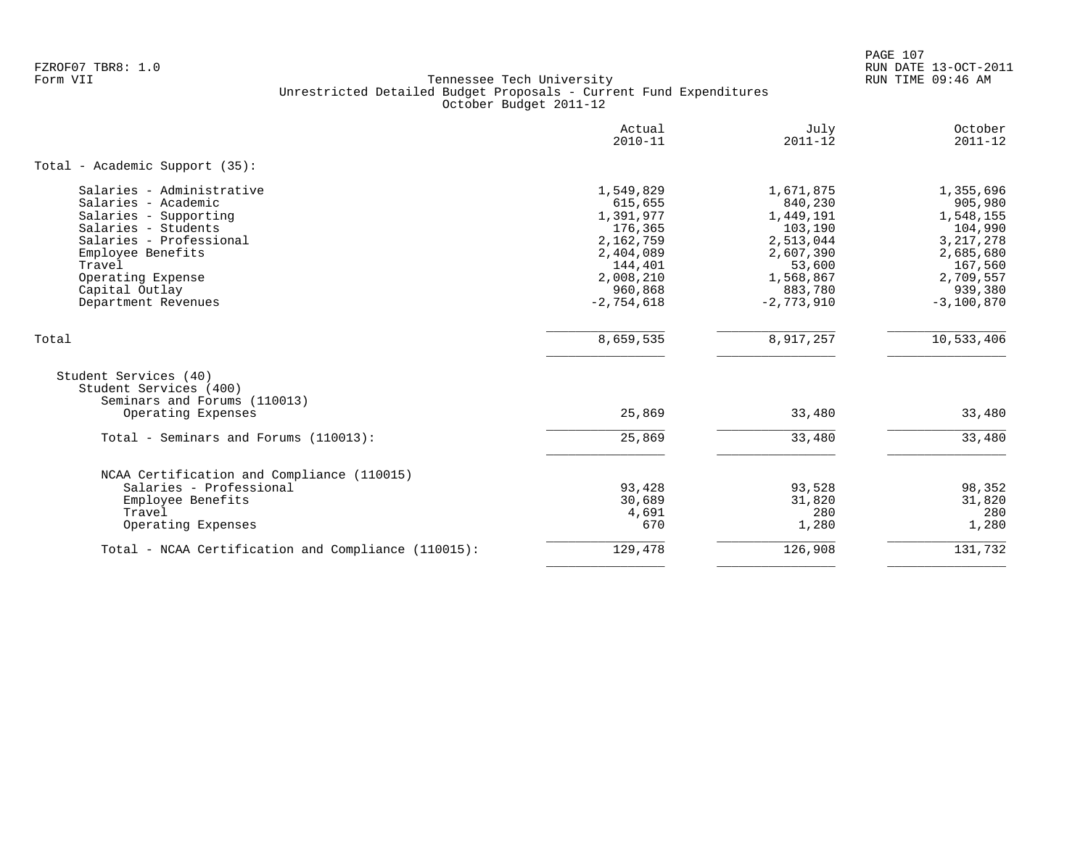PAGE 107 FZROF07 TBR8: 1.0 RUN DATE 13-OCT-2011

|                                                                                 | Actual<br>$2010 - 11$ | July<br>$2011 - 12$ | October<br>$2011 - 12$ |
|---------------------------------------------------------------------------------|-----------------------|---------------------|------------------------|
| Total - Academic Support (35):                                                  |                       |                     |                        |
| Salaries - Administrative                                                       | 1,549,829             | 1,671,875           | 1,355,696              |
| Salaries - Academic                                                             | 615,655               | 840,230             | 905,980                |
| Salaries - Supporting                                                           | 1,391,977             | 1,449,191           | 1,548,155              |
| Salaries - Students                                                             | 176,365               | 103,190             | 104,990                |
| Salaries - Professional                                                         | 2,162,759             | 2,513,044           | 3, 217, 278            |
| Employee Benefits                                                               | 2,404,089             | 2,607,390           | 2,685,680              |
| Travel                                                                          | 144,401               | 53,600              | 167,560                |
| Operating Expense                                                               | 2,008,210             | 1,568,867           | 2,709,557              |
| Capital Outlay                                                                  | 960,868               | 883,780             | 939,380                |
| Department Revenues                                                             | $-2,754,618$          | $-2,773,910$        | $-3,100,870$           |
| Total                                                                           | 8,659,535             | 8,917,257           | 10,533,406             |
| Student Services (40)<br>Student Services (400)<br>Seminars and Forums (110013) |                       |                     |                        |
| Operating Expenses                                                              | 25,869                | 33,480              | 33,480                 |
| Total - Seminars and Forums (110013):                                           | 25,869                | 33,480              | 33,480                 |
| NCAA Certification and Compliance (110015)                                      |                       |                     |                        |
| Salaries - Professional                                                         | 93,428                | 93,528              | 98,352                 |
| Employee Benefits                                                               | 30,689                | 31,820              | 31,820                 |
| Travel                                                                          | 4,691                 | 280                 | 280                    |
| Operating Expenses                                                              | 670                   | 1,280               | 1,280                  |
| Total - NCAA Certification and Compliance (110015):                             | 129,478               | 126,908             | 131,732                |
|                                                                                 |                       |                     |                        |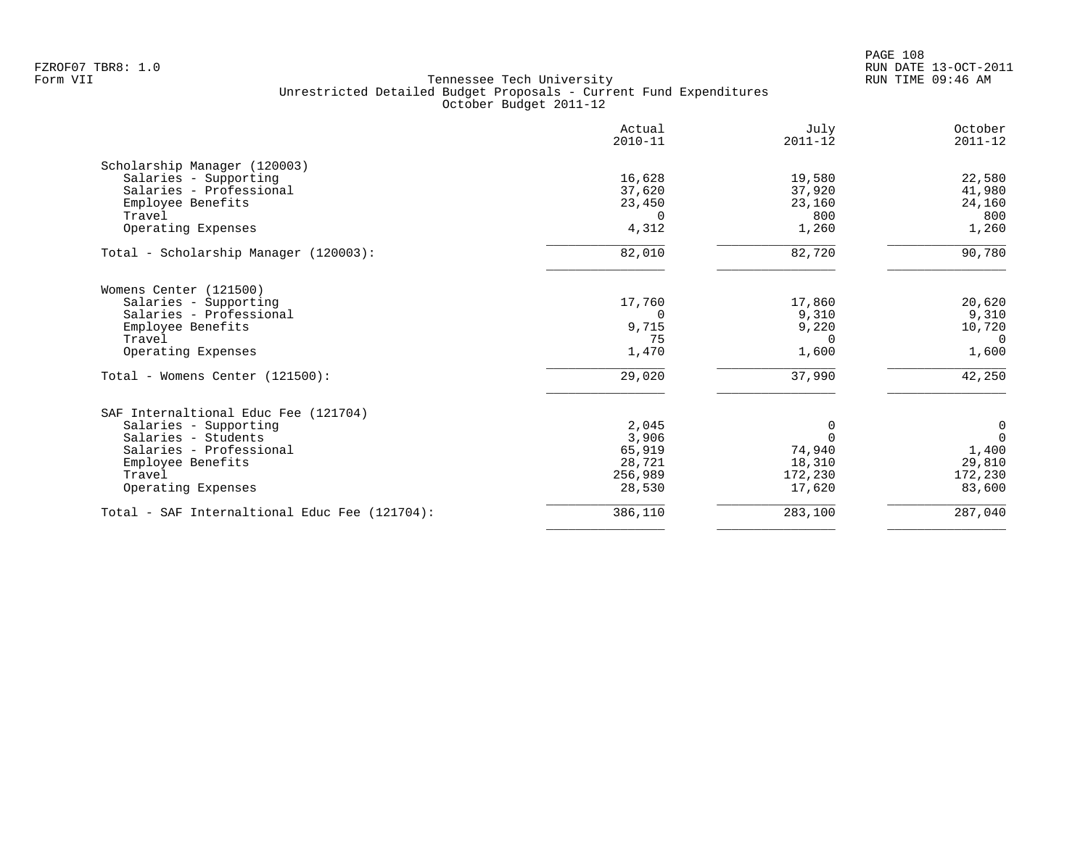|                                               | Actual<br>$2010 - 11$ | July<br>$2011 - 12$ | October<br>$2011 - 12$ |
|-----------------------------------------------|-----------------------|---------------------|------------------------|
| Scholarship Manager (120003)                  |                       |                     |                        |
| Salaries - Supporting                         | 16,628                | 19,580              | 22,580                 |
| Salaries - Professional                       | 37,620                | 37,920              | 41,980                 |
| Employee Benefits                             | 23,450                | 23,160              | 24,160                 |
| Travel                                        | $\Omega$              | 800                 | 800                    |
| Operating Expenses                            | 4,312                 | 1,260               | 1,260                  |
| Total - Scholarship Manager (120003):         | 82,010                | 82,720              | 90,780                 |
| Womens Center (121500)                        |                       |                     |                        |
| Salaries - Supporting                         | 17,760                | 17,860              | 20,620                 |
| Salaries - Professional                       |                       | 9,310               | 9,310                  |
| Employee Benefits                             | 9,715                 | 9,220               | 10,720                 |
| Travel                                        | 75                    | 0                   | 0                      |
| Operating Expenses                            | 1,470                 | 1,600               | 1,600                  |
| Total - Womens Center (121500):               | 29,020                | 37,990              | 42,250                 |
| SAF Internaltional Educ Fee (121704)          |                       |                     |                        |
| Salaries - Supporting                         | 2,045                 | 0                   | $\mathbf 0$            |
| Salaries - Students                           | 3,906                 |                     | $\mathbf 0$            |
| Salaries - Professional                       | 65,919                | 74,940              | 1,400                  |
| Employee Benefits                             | 28,721                | 18,310              | 29,810                 |
| Travel                                        | 256,989               | 172,230             | 172,230                |
| Operating Expenses                            | 28,530                | 17,620              | 83,600                 |
| Total - SAF Internaltional Educ Fee (121704): | 386,110               | 283,100             | 287,040                |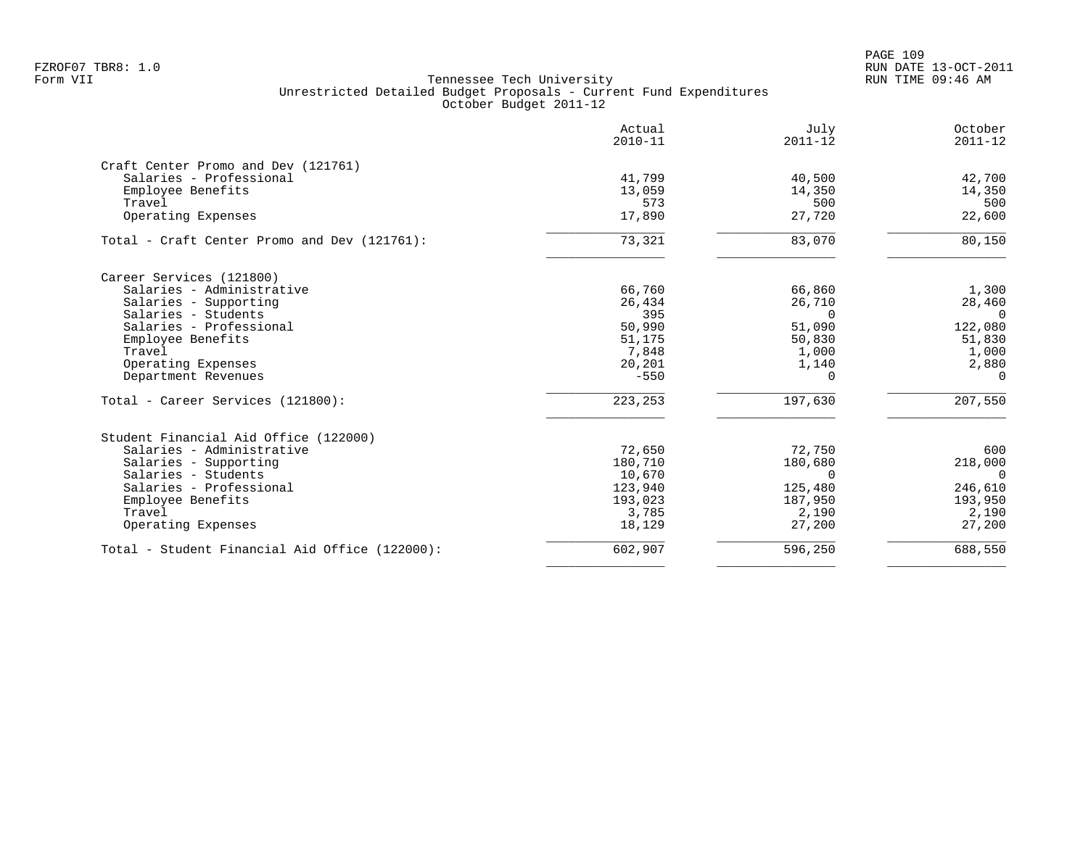|                                                | Actual<br>$2010 - 11$ | July<br>$2011 - 12$ | October<br>$2011 - 12$ |
|------------------------------------------------|-----------------------|---------------------|------------------------|
| Craft Center Promo and Dev (121761)            |                       |                     |                        |
| Salaries - Professional                        | 41,799                | 40,500              | 42,700                 |
| Employee Benefits                              | 13,059                | 14,350              | 14,350                 |
| Travel                                         | 573                   | 500                 | 500                    |
| Operating Expenses                             | 17,890                | 27,720              | 22,600                 |
| Total - Craft Center Promo and Dev (121761):   | 73,321                | 83,070              | 80,150                 |
| Career Services (121800)                       |                       |                     |                        |
| Salaries - Administrative                      | 66,760                | 66,860              | 1,300                  |
| Salaries - Supporting                          | 26,434                | 26,710              | 28,460                 |
| Salaries - Students                            | 395                   | $\Omega$            | $\Omega$               |
| Salaries - Professional                        | 50,990                | 51,090              | 122,080                |
| Employee Benefits                              | 51,175                | 50,830              | 51,830                 |
| Travel                                         | 7,848                 | 1,000               | 1,000                  |
| Operating Expenses                             | 20,201                | 1,140               | 2,880                  |
| Department Revenues                            | $-550$                | $\Omega$            | $\Omega$               |
| Total - Career Services (121800):              | 223,253               | 197,630             | 207,550                |
| Student Financial Aid Office (122000)          |                       |                     |                        |
| Salaries - Administrative                      | 72,650                | 72,750              | 600                    |
| Salaries - Supporting                          | 180,710               | 180,680             | 218,000                |
| Salaries - Students                            | 10,670                | $\Omega$            | $\Omega$               |
| Salaries - Professional                        | 123,940               | 125,480             | 246,610                |
| Employee Benefits                              | 193,023               | 187,950             | 193,950                |
| Travel                                         | 3,785                 | 2,190               | 2,190                  |
| Operating Expenses                             | 18,129                | 27,200              | 27,200                 |
| Total - Student Financial Aid Office (122000): | 602,907               | 596,250             | 688,550                |
|                                                |                       |                     |                        |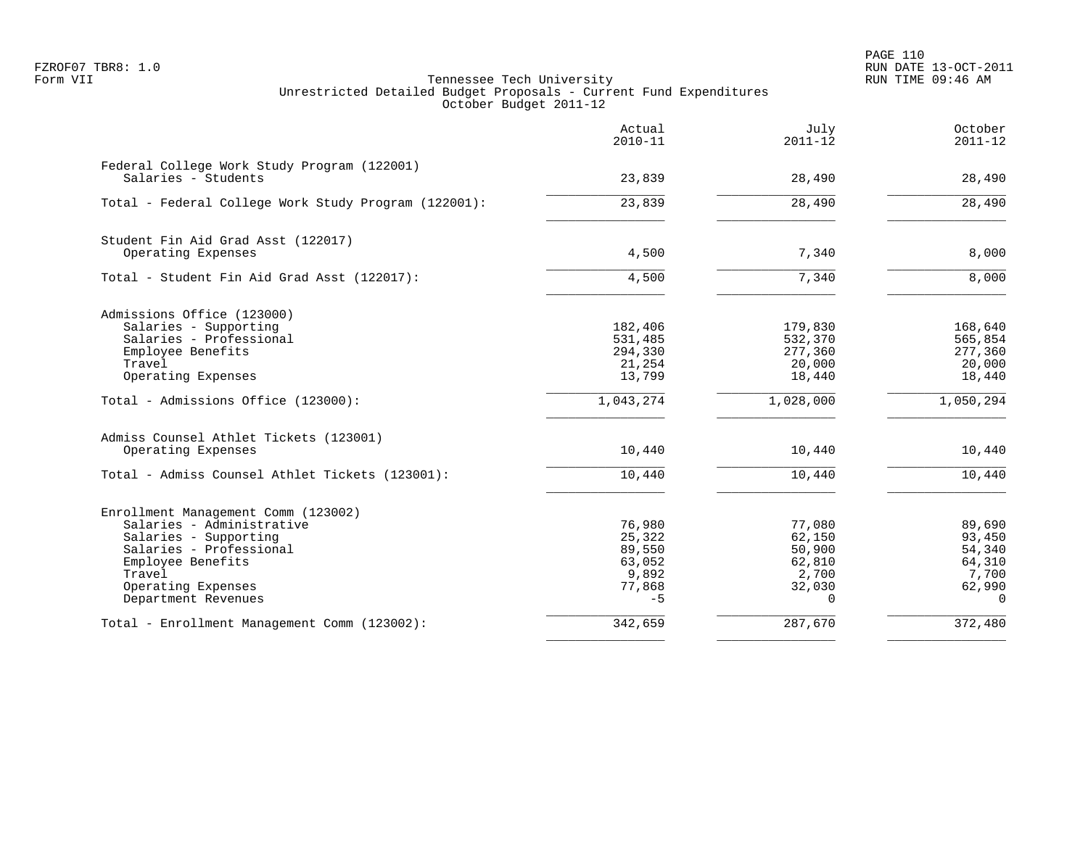PAGE 110 FZROF07 TBR8: 1.0 RUN DATE 13-OCT-2011

|                                                                    | Actual<br>$2010 - 11$ | July<br>$2011 - 12$ | October<br>$2011 - 12$ |
|--------------------------------------------------------------------|-----------------------|---------------------|------------------------|
| Federal College Work Study Program (122001)<br>Salaries - Students | 23,839                | 28,490              | 28,490                 |
| Total - Federal College Work Study Program (122001):               | 23,839                | 28,490              | 28,490                 |
| Student Fin Aid Grad Asst (122017)                                 |                       |                     |                        |
| Operating Expenses                                                 | 4,500                 | 7,340               | 8,000                  |
| Total - Student Fin Aid Grad Asst (122017):                        | 4,500                 | 7,340               | 8,000                  |
| Admissions Office (123000)                                         |                       |                     |                        |
| Salaries - Supporting                                              | 182,406               | 179,830             | 168,640                |
| Salaries - Professional                                            | 531,485               | 532,370             | 565,854                |
| Employee Benefits<br>Travel                                        | 294,330<br>21,254     | 277,360<br>20,000   | 277,360<br>20,000      |
| Operating Expenses                                                 | 13,799                | 18,440              | 18,440                 |
| Total - Admissions Office (123000):                                | 1,043,274             | 1,028,000           | 1,050,294              |
| Admiss Counsel Athlet Tickets (123001)                             |                       |                     |                        |
| Operating Expenses                                                 | 10,440                | 10,440              | 10,440                 |
| Total - Admiss Counsel Athlet Tickets (123001):                    | 10,440                | 10,440              | 10,440                 |
| Enrollment Management Comm (123002)                                |                       |                     |                        |
| Salaries - Administrative                                          | 76,980                | 77,080              | 89,690                 |
| Salaries - Supporting                                              | 25,322                | 62,150              | 93,450                 |
| Salaries - Professional                                            | 89,550                | 50,900              | 54,340                 |
| Employee Benefits                                                  | 63,052                | 62,810              | 64,310                 |
| Travel<br>Operating Expenses                                       | 9,892<br>77,868       | 2,700<br>32,030     | 7,700<br>62,990        |
| Department Revenues                                                | $-5$                  | $\Omega$            | $\Omega$               |
| Total - Enrollment Management Comm (123002):                       | 342,659               | 287,670             | 372,480                |
|                                                                    |                       |                     |                        |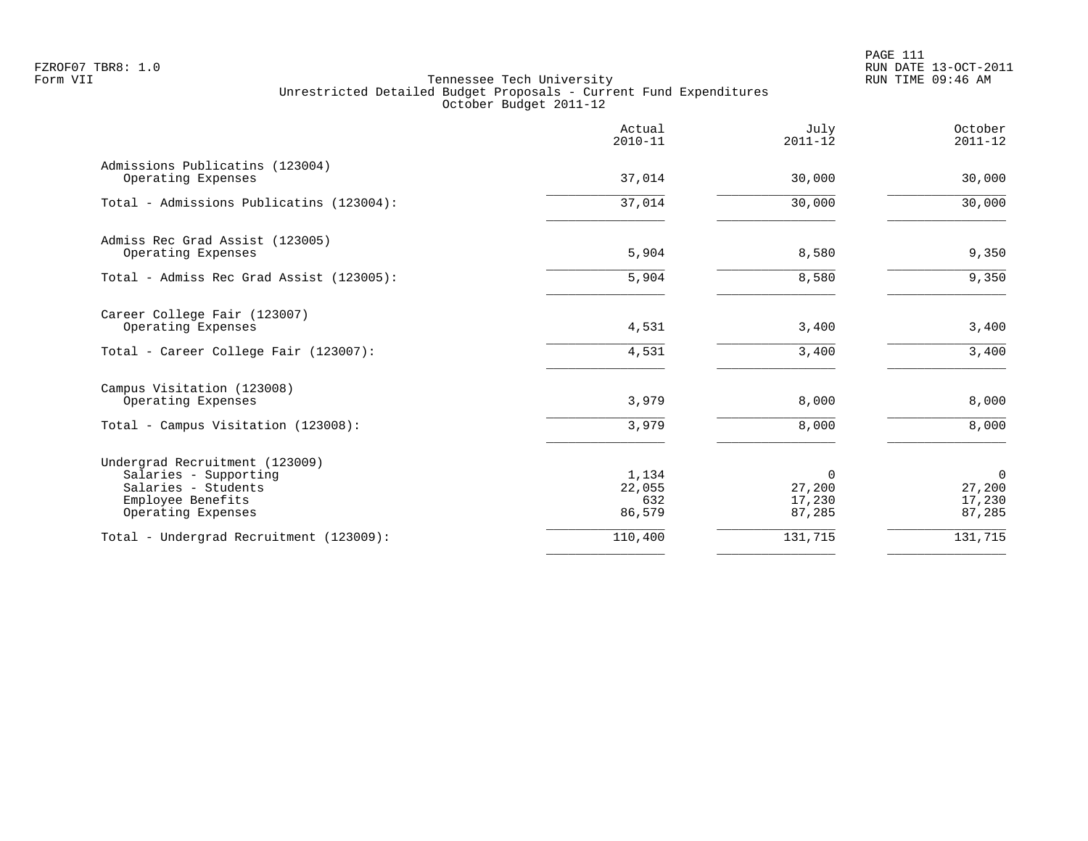| 37,014<br>37,014<br>5,904<br>5,904 | 30,000<br>30,000<br>8,580       | 30,000                                    |
|------------------------------------|---------------------------------|-------------------------------------------|
|                                    |                                 | 30,000                                    |
|                                    |                                 | 9,350                                     |
|                                    |                                 |                                           |
|                                    | 8,580                           | 9,350                                     |
| 4,531                              | 3,400                           | 3,400                                     |
|                                    |                                 | 3,400                                     |
| 3,979                              | 8,000                           | 8,000                                     |
| 3,979                              | 8,000                           | 8,000                                     |
| 1,134<br>22,055<br>632<br>86,579   | 0<br>27,200<br>17,230<br>87,285 | $\mathbf 0$<br>27,200<br>17,230<br>87,285 |
| 110,400                            | 131,715                         | 131,715                                   |
|                                    | 4,531                           | 3,400                                     |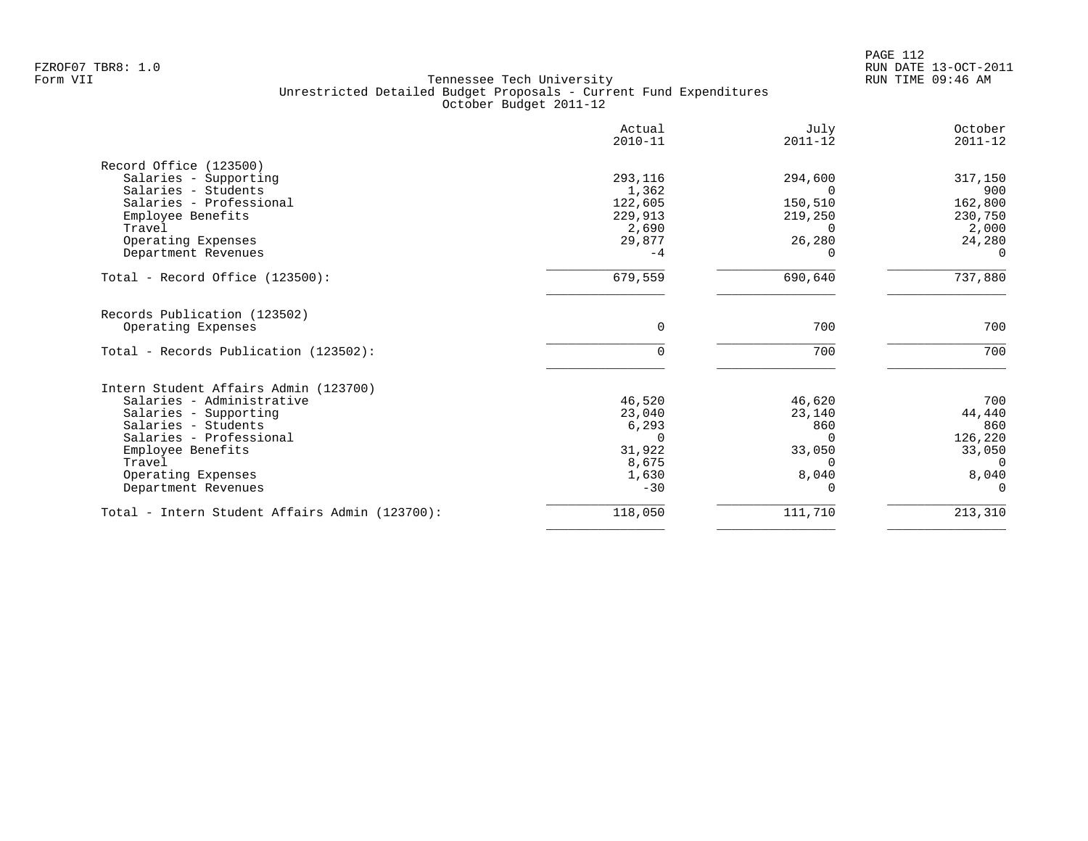|                                                | Actual<br>$2010 - 11$ | July<br>$2011 - 12$ | October<br>$2011 - 12$ |
|------------------------------------------------|-----------------------|---------------------|------------------------|
| Record Office (123500)                         |                       |                     |                        |
| Salaries - Supporting                          | 293,116               | 294,600             | 317,150                |
| Salaries - Students                            | 1,362                 | 0                   | 900                    |
| Salaries - Professional                        | 122,605               | 150,510             | 162,800                |
| Employee Benefits                              | 229,913               | 219,250             | 230,750                |
| Travel                                         | 2,690                 |                     | 2,000                  |
| Operating Expenses                             | 29,877                | 26,280              | 24,280                 |
| Department Revenues                            | $-4$                  | 0                   | $\Omega$               |
| Total - Record Office $(123500)$ :             | 679,559               | 690,640             | 737,880                |
| Records Publication (123502)                   |                       |                     |                        |
| Operating Expenses                             | $\Omega$              | 700                 | 700                    |
| Total - Records Publication (123502):          | $\Omega$              | 700                 | 700                    |
| Intern Student Affairs Admin (123700)          |                       |                     |                        |
| Salaries - Administrative                      | 46,520                | 46,620              | 700                    |
| Salaries - Supporting                          | 23,040                | 23,140              | 44,440                 |
| Salaries - Students                            | 6,293                 | 860                 | 860                    |
| Salaries - Professional                        | $\Omega$              | 0                   | 126,220                |
| Employee Benefits                              | 31,922                | 33,050              | 33,050                 |
| Travel                                         | 8,675                 | $\Omega$            | $\Omega$               |
| Operating Expenses                             | 1,630                 | 8,040               | 8,040<br>$\cap$        |
| Department Revenues                            | $-30$                 |                     |                        |
| Total - Intern Student Affairs Admin (123700): | 118,050               | 111,710             | 213,310                |
|                                                |                       |                     |                        |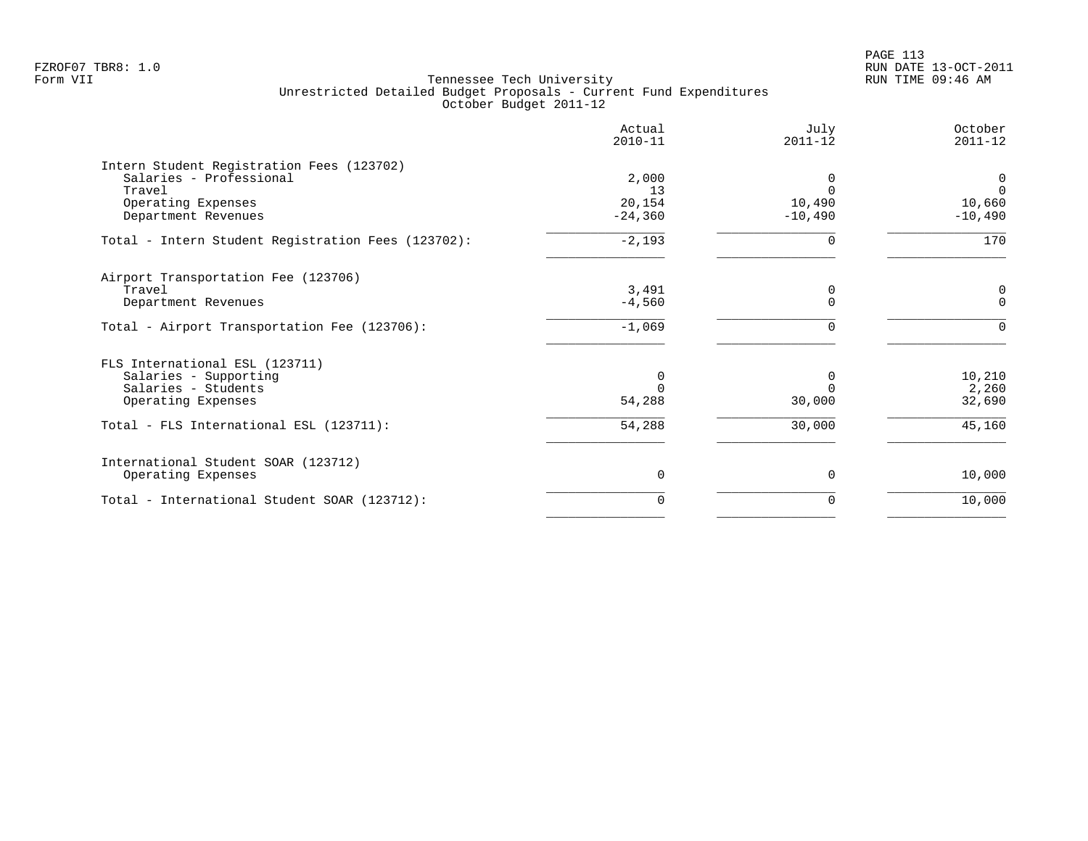PAGE 113 FZROF07 TBR8: 1.0 RUN DATE 13-OCT-2011

|                                                    | Actual<br>$2010 - 11$ | July<br>$2011 - 12$ | October<br>$2011 - 12$ |
|----------------------------------------------------|-----------------------|---------------------|------------------------|
| Intern Student Registration Fees (123702)          |                       |                     |                        |
| Salaries - Professional                            | 2,000                 |                     | 0                      |
| Travel                                             | 13                    | $\Omega$            | $\Omega$               |
| Operating Expenses<br>Department Revenues          | 20,154<br>$-24,360$   | 10,490<br>$-10,490$ | 10,660<br>$-10,490$    |
|                                                    |                       |                     |                        |
| Total - Intern Student Registration Fees (123702): | $-2,193$              | ∩                   | 170                    |
| Airport Transportation Fee (123706)                |                       |                     |                        |
| Travel                                             | 3,491                 | 0                   | 0                      |
| Department Revenues                                | $-4,560$              | $\Omega$            | $\Omega$               |
| Total - Airport Transportation Fee (123706):       | $-1,069$              | $\Omega$            | $\Omega$               |
| FLS International ESL (123711)                     |                       |                     |                        |
| Salaries - Supporting                              | 0                     | $\Omega$            | 10,210                 |
| Salaries - Students                                |                       |                     | 2,260                  |
| Operating Expenses                                 | 54,288                | 30,000              | 32,690                 |
| Total - FLS International ESL (123711):            | 54,288                | 30,000              | 45,160                 |
| International Student SOAR (123712)                |                       |                     |                        |
| Operating Expenses                                 | $\Omega$              | $\Omega$            | 10,000                 |
| Total - International Student SOAR (123712):       | 0                     | 0                   | 10,000                 |
|                                                    |                       |                     |                        |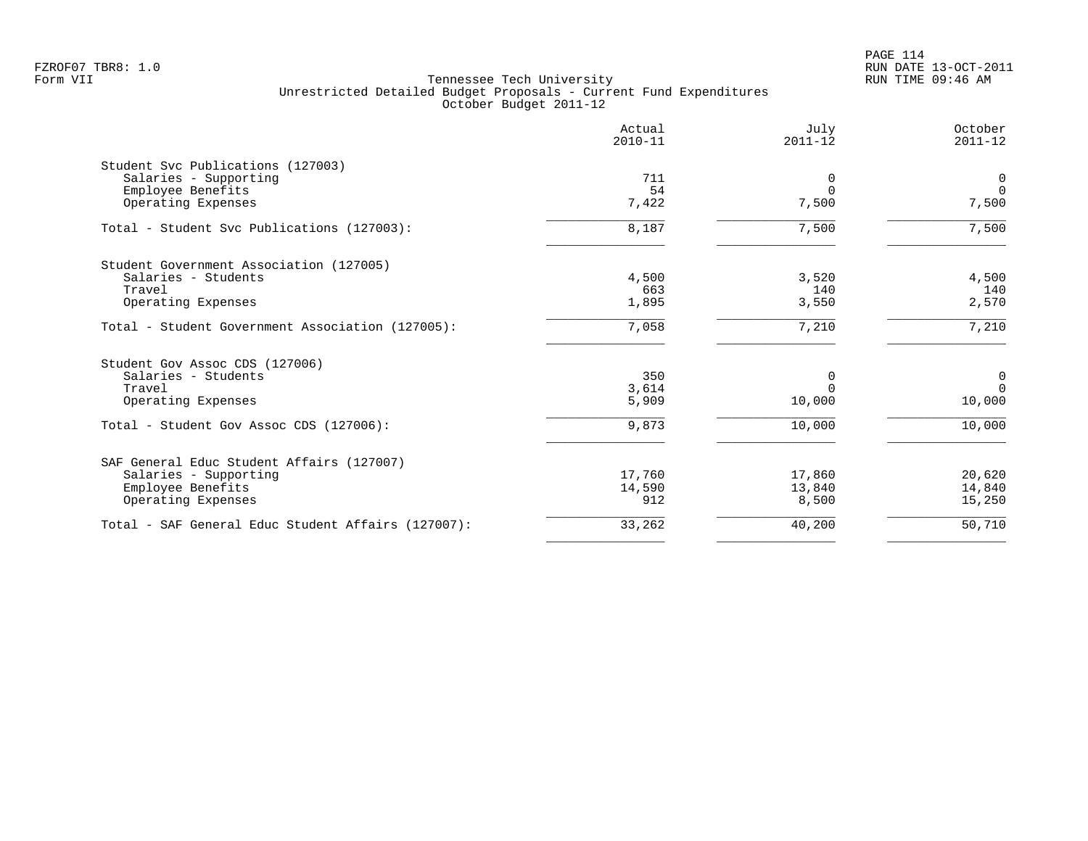|                                                    | Actual<br>$2010 - 11$ | July<br>$2011 - 12$ | October<br>$2011 - 12$ |
|----------------------------------------------------|-----------------------|---------------------|------------------------|
| Student Svc Publications (127003)                  |                       |                     |                        |
| Salaries - Supporting                              | 711                   | 0                   | $\mathbf 0$            |
| Employee Benefits                                  | 54                    | $\Omega$            | $\Omega$               |
| Operating Expenses                                 | 7,422                 | 7,500               | 7,500                  |
| Total - Student Svc Publications (127003):         | 8,187                 | 7,500               | 7,500                  |
| Student Government Association (127005)            |                       |                     |                        |
| Salaries - Students                                | 4,500                 | 3,520               | 4,500                  |
| Travel                                             | 663                   | 140                 | 140                    |
| Operating Expenses                                 | 1,895                 | 3,550               | 2,570                  |
| Total - Student Government Association (127005):   | 7,058                 | 7,210               | 7,210                  |
| Student Gov Assoc CDS (127006)                     |                       |                     |                        |
| Salaries - Students                                | 350                   | 0                   | 0                      |
| Travel                                             | 3,614                 | $\Omega$            | $\Omega$               |
| Operating Expenses                                 | 5,909                 | 10,000              | 10,000                 |
| Total - Student Gov Assoc CDS (127006):            | 9,873                 | 10,000              | 10,000                 |
| SAF General Educ Student Affairs (127007)          |                       |                     |                        |
| Salaries - Supporting                              | 17,760                | 17,860              | 20,620                 |
| Employee Benefits                                  | 14,590                | 13,840              | 14,840                 |
| Operating Expenses                                 | 912                   | 8,500               | 15,250                 |
| Total - SAF General Educ Student Affairs (127007): | 33,262                | 40,200              | 50,710                 |
|                                                    |                       |                     |                        |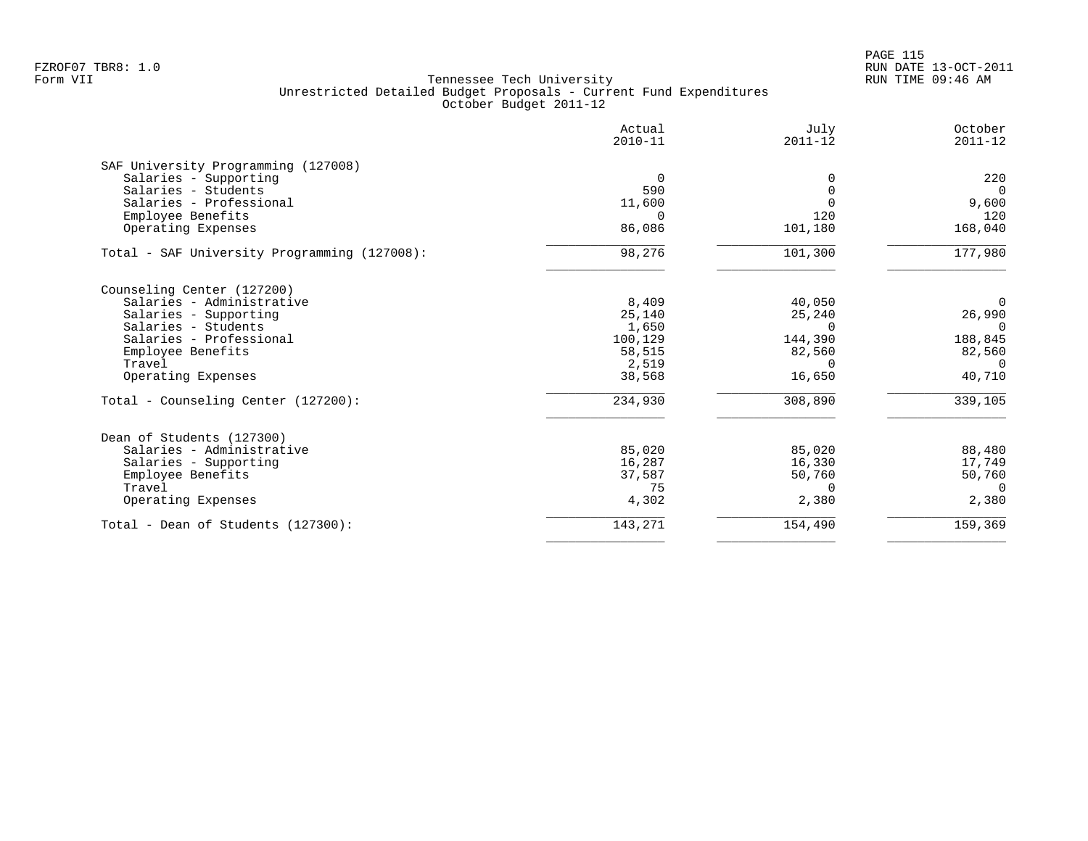PAGE 115 FZROF07 TBR8: 1.0 RUN DATE 13-OCT-2011

|                                              | Actual<br>$2010 - 11$ | July<br>$2011 - 12$ | October<br>$2011 - 12$ |
|----------------------------------------------|-----------------------|---------------------|------------------------|
| SAF University Programming (127008)          |                       |                     |                        |
| Salaries - Supporting                        | $\overline{0}$        | 0                   | 220                    |
| Salaries - Students                          | 590                   | O                   | $\Omega$               |
| Salaries - Professional<br>Employee Benefits | 11,600<br>$\Omega$    | 120                 | 9,600<br>120           |
| Operating Expenses                           | 86,086                | 101,180             | 168,040                |
| Total - SAF University Programming (127008): | 98,276                | 101,300             | 177,980                |
| Counseling Center (127200)                   |                       |                     |                        |
| Salaries - Administrative                    | 8,409                 | 40,050              | 0                      |
| Salaries - Supporting                        | 25,140                | 25,240              | 26,990                 |
| Salaries - Students                          | 1,650                 | $\Omega$            | $\Omega$               |
| Salaries - Professional                      | 100,129               | 144,390             | 188,845                |
| Employee Benefits                            | 58,515                | 82,560              | 82,560                 |
| Travel                                       | 2,519                 | $\Omega$            | $\Omega$               |
| Operating Expenses                           | 38,568                | 16,650              | 40,710                 |
| Total - Counseling Center (127200):          | 234,930               | 308,890             | 339,105                |
| Dean of Students (127300)                    |                       |                     |                        |
| Salaries - Administrative                    | 85,020                | 85,020              | 88,480                 |
| Salaries - Supporting                        | 16,287                | 16,330              | 17,749                 |
| Employee Benefits                            | 37,587                | 50,760              | 50,760                 |
| Travel                                       | 75                    | 0                   | $\Omega$               |
| Operating Expenses                           | 4,302                 | 2,380               | 2,380                  |
| Total - Dean of Students (127300):           | 143,271               | 154,490             | 159,369                |
|                                              |                       |                     |                        |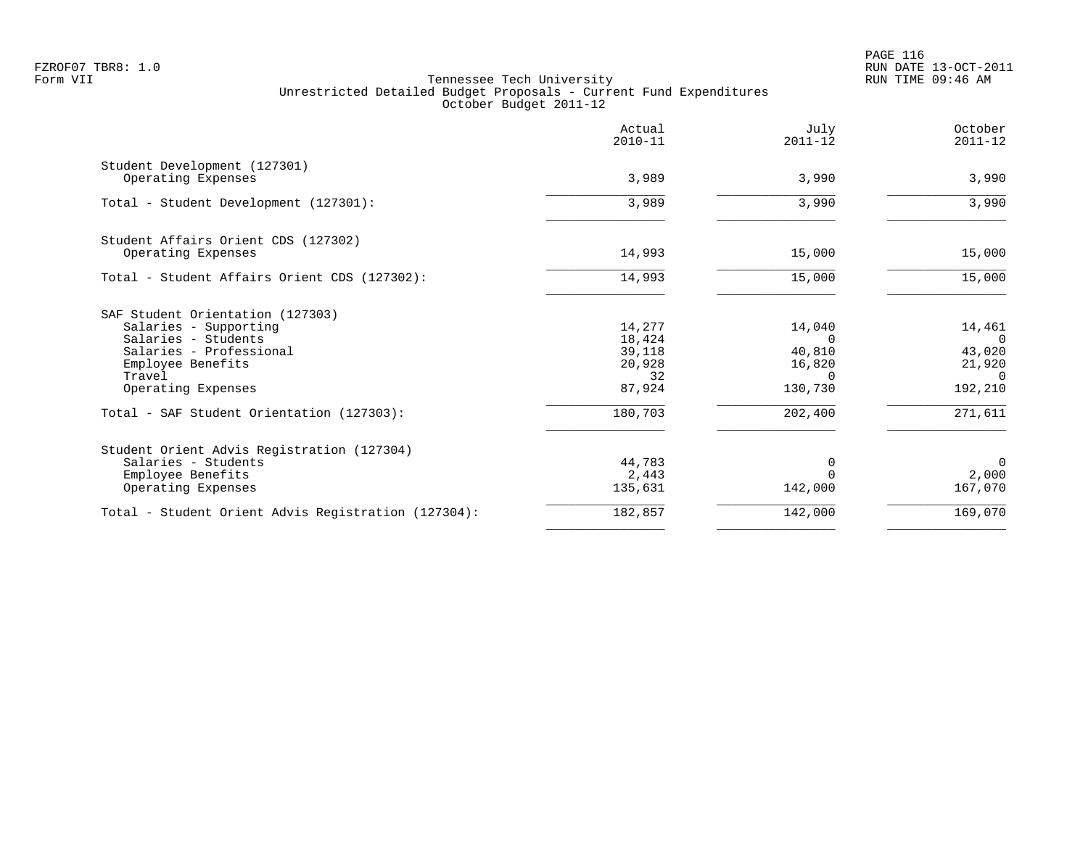PAGE 116 FZROF07 TBR8: 1.0 RUN DATE 13-OCT-2011

|                                                     | Actual<br>$2010 - 11$ | July<br>$2011 - 12$ | October<br>$2011 - 12$ |
|-----------------------------------------------------|-----------------------|---------------------|------------------------|
| Student Development (127301)<br>Operating Expenses  | 3,989                 | 3,990               | 3,990                  |
|                                                     |                       |                     |                        |
| Total - Student Development (127301):               | 3,989                 | 3,990               | 3,990                  |
| Student Affairs Orient CDS (127302)                 |                       |                     |                        |
| Operating Expenses                                  | 14,993                | 15,000              | 15,000                 |
| Total - Student Affairs Orient CDS (127302):        | 14,993                | 15,000              | 15,000                 |
| SAF Student Orientation (127303)                    |                       |                     |                        |
| Salaries - Supporting                               | 14,277                | 14,040              | 14,461                 |
| Salaries - Students<br>Salaries - Professional      | 18,424                | $\Omega$<br>40,810  | $\Omega$               |
| Employee Benefits                                   | 39,118<br>20,928      | 16,820              | 43,020<br>21,920       |
| Travel                                              | 32                    | $\Omega$            | $\Omega$               |
| Operating Expenses                                  | 87,924                | 130,730             | 192,210                |
| Total - SAF Student Orientation (127303):           | 180,703               | 202,400             | 271,611                |
| Student Orient Advis Registration (127304)          |                       |                     |                        |
| Salaries - Students                                 | 44,783                | 0                   | $\Omega$               |
| Employee Benefits                                   | 2,443                 |                     | 2,000                  |
| Operating Expenses                                  | 135,631               | 142,000             | 167,070                |
| Total - Student Orient Advis Registration (127304): | 182,857               | 142,000             | 169,070                |
|                                                     |                       |                     |                        |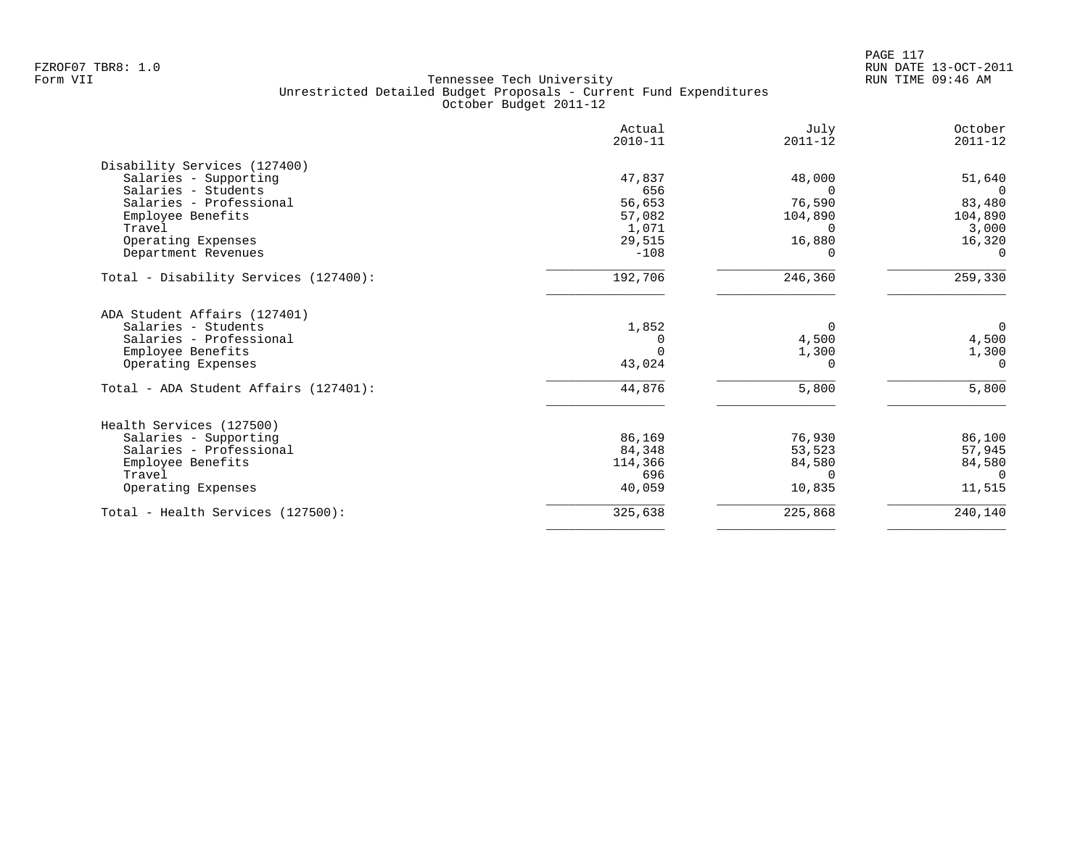|                                       | Actual<br>$2010 - 11$ | July<br>$2011 - 12$ | October<br>$2011 - 12$ |
|---------------------------------------|-----------------------|---------------------|------------------------|
| Disability Services (127400)          |                       |                     |                        |
| Salaries - Supporting                 | 47,837                | 48,000              | 51,640                 |
| Salaries - Students                   | 656                   | $\Omega$            | $\Omega$               |
| Salaries - Professional               | 56,653                | 76,590              | 83,480                 |
| Employee Benefits                     | 57,082                | 104,890             | 104,890                |
| Travel                                | 1,071                 | <sup>n</sup>        | 3,000                  |
| Operating Expenses                    | 29,515                | 16,880              | 16,320                 |
| Department Revenues                   | $-108$                | $\Omega$            | $\Omega$               |
| Total - Disability Services (127400): | 192,706               | 246,360             | 259,330                |
| ADA Student Affairs (127401)          |                       |                     |                        |
| Salaries - Students                   | 1,852                 | $\Omega$            | $\overline{0}$         |
| Salaries - Professional               | 0                     | 4,500               | 4,500                  |
| Employee Benefits                     |                       | 1,300               | 1,300                  |
| Operating Expenses                    | 43,024                | $\Omega$            | $\Omega$               |
| Total - ADA Student Affairs (127401): | 44,876                | 5,800               | 5,800                  |
| Health Services (127500)              |                       |                     |                        |
| Salaries - Supporting                 | 86,169                | 76,930              | 86,100                 |
| Salaries - Professional               | 84,348                | 53,523              | 57,945                 |
| Employee Benefits                     | 114,366               | 84,580              | 84,580                 |
| Travel                                | 696                   | ∩                   | $\cap$                 |
| Operating Expenses                    | 40,059                | 10,835              | 11,515                 |
| Total - Health Services (127500):     | 325,638               | 225,868             | 240,140                |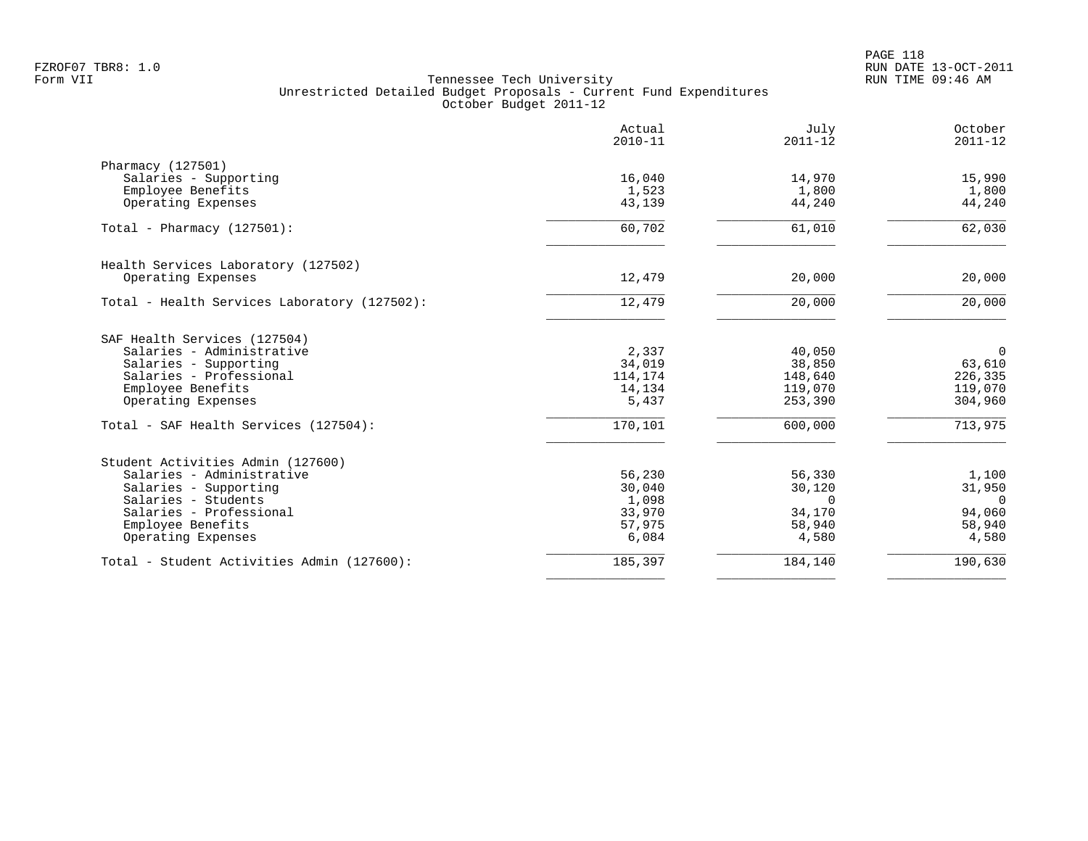PAGE 118 FZROF07 TBR8: 1.0 RUN DATE 13-OCT-2011

|                                              | Actual<br>$2010 - 11$ | July<br>$2011 - 12$ | October<br>$2011 - 12$ |
|----------------------------------------------|-----------------------|---------------------|------------------------|
| Pharmacy (127501)                            |                       |                     |                        |
| Salaries - Supporting                        | 16,040                | 14,970              | 15,990                 |
| Employee Benefits                            | 1,523                 | 1,800               | 1,800                  |
| Operating Expenses                           | 43,139                | 44,240              | 44,240                 |
| Total - Pharmacy (127501):                   | 60,702                | 61,010              | 62,030                 |
| Health Services Laboratory (127502)          |                       |                     |                        |
| Operating Expenses                           | 12,479                | 20,000              | 20,000                 |
| Total - Health Services Laboratory (127502): | 12,479                | 20,000              | 20,000                 |
| SAF Health Services (127504)                 |                       |                     |                        |
| Salaries - Administrative                    | 2,337                 | 40,050              | $\overline{0}$         |
| Salaries - Supporting                        | 34,019                | 38,850              | 63,610                 |
| Salaries - Professional                      | 114,174               | 148,640             | 226,335                |
| Employee Benefits                            | 14,134                | 119,070             | 119,070                |
| Operating Expenses                           | 5,437                 | 253,390             | 304,960                |
| Total - SAF Health Services (127504):        | 170,101               | 600,000             | 713,975                |
| Student Activities Admin (127600)            |                       |                     |                        |
| Salaries - Administrative                    | 56,230                | 56,330              | 1,100                  |
| Salaries - Supporting                        | 30,040                | 30,120              | 31,950                 |
| Salaries - Students                          | 1,098                 | $\Omega$            | $\overline{0}$         |
| Salaries - Professional                      | 33,970                | 34,170              | 94,060                 |
| Employee Benefits                            | 57,975                | 58,940              | 58,940                 |
| Operating Expenses                           | 6,084                 | 4,580               | 4,580                  |
| Total - Student Activities Admin (127600):   | 185,397               | 184,140             | 190,630                |
|                                              |                       |                     |                        |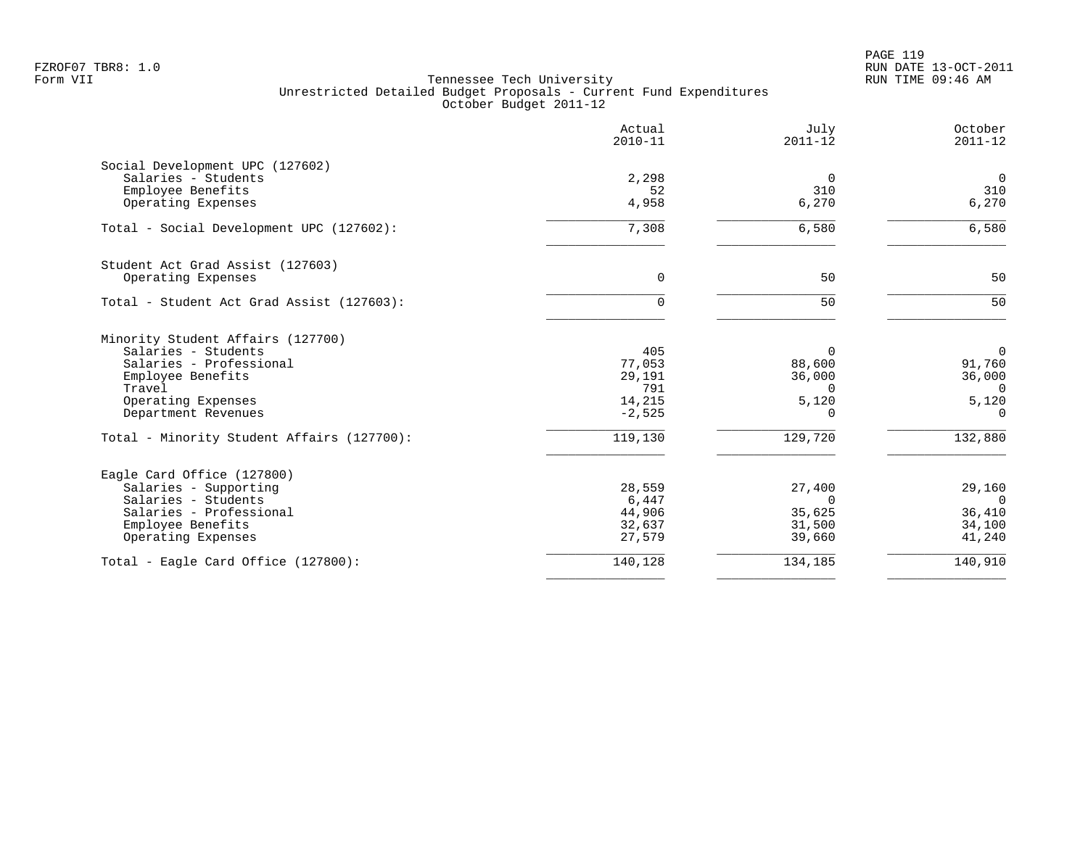|                                            | Actual<br>$2010 - 11$ | July<br>$2011 - 12$ | October<br>$2011 - 12$ |
|--------------------------------------------|-----------------------|---------------------|------------------------|
| Social Development UPC (127602)            |                       |                     |                        |
| Salaries - Students                        | 2,298                 | $\overline{0}$      | $\mathbf 0$            |
| Employee Benefits                          | 52                    | 310                 | 310                    |
| Operating Expenses                         | 4,958                 | 6,270               | 6,270                  |
| Total - Social Development UPC (127602):   | 7,308                 | 6,580               | 6,580                  |
| Student Act Grad Assist (127603)           |                       |                     |                        |
| Operating Expenses                         | $\mathbf 0$           | 50                  | 50                     |
| Total - Student Act Grad Assist (127603):  | 0                     | 50                  | 50                     |
| Minority Student Affairs (127700)          |                       |                     |                        |
| Salaries - Students                        | 405                   | $\Omega$            | $\overline{0}$         |
| Salaries - Professional                    | 77,053                | 88,600              | 91,760                 |
| Employee Benefits                          | 29,191                | 36,000              | 36,000                 |
| Travel                                     | 791                   | $\Omega$            | $\Omega$               |
| Operating Expenses                         | 14,215                | 5,120               | 5,120                  |
| Department Revenues                        | $-2,525$              | 0                   | $\Omega$               |
| Total - Minority Student Affairs (127700): | 119,130               | 129,720             | 132,880                |
| Eagle Card Office (127800)                 |                       |                     |                        |
| Salaries - Supporting                      | 28,559                | 27,400              | 29,160                 |
| Salaries - Students                        | 6,447                 | $\Omega$            | $\Omega$               |
| Salaries - Professional                    | 44,906                | 35,625              | 36,410                 |
| Employee Benefits                          | 32,637                | 31,500              | 34,100                 |
| Operating Expenses                         | 27,579                | 39,660              | 41,240                 |
| Total - Eagle Card Office $(127800)$ :     | 140,128               | 134,185             | 140,910                |
|                                            |                       |                     |                        |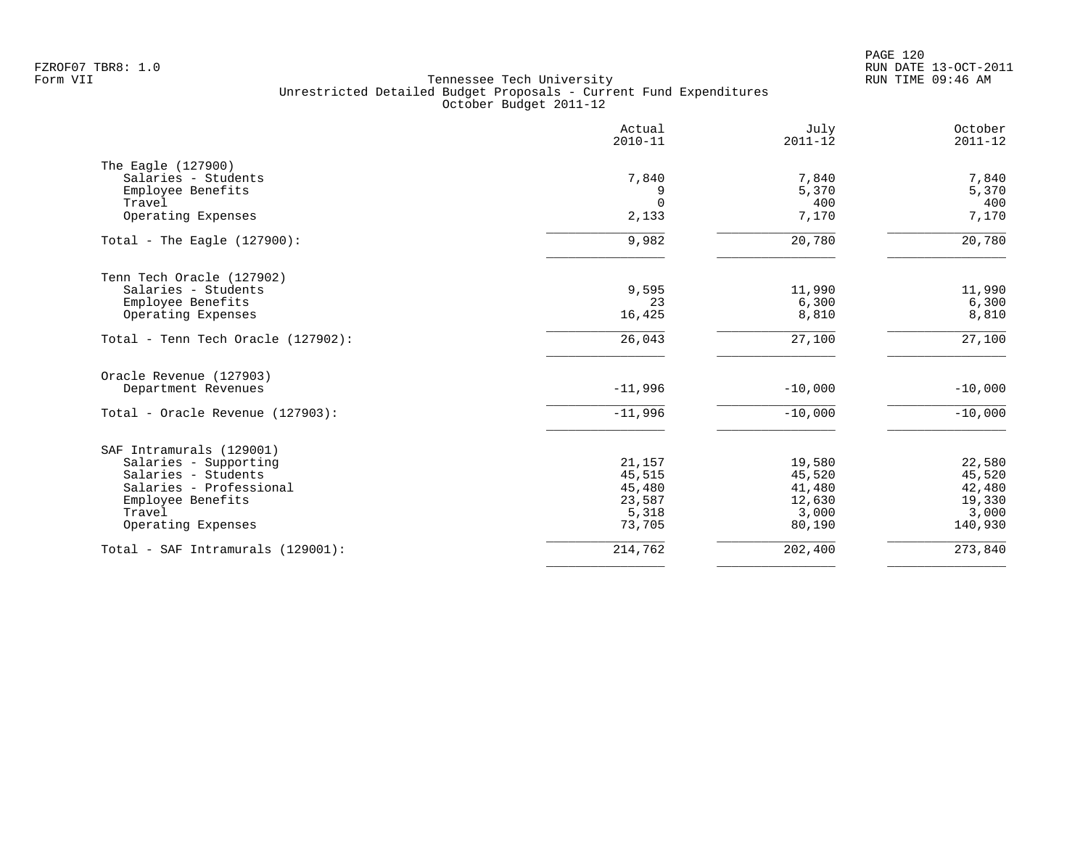|                                    | Actual<br>$2010 - 11$ | July<br>$2011 - 12$ | October<br>$2011 - 12$ |
|------------------------------------|-----------------------|---------------------|------------------------|
| The Eagle (127900)                 |                       |                     |                        |
| Salaries - Students                | 7,840                 | 7,840               | 7,840                  |
| Employee Benefits                  | 9                     | 5,370               | 5,370                  |
| Travel                             | $\Omega$              | 400                 | 400                    |
| Operating Expenses                 | 2,133                 | 7,170               | 7,170                  |
| Total - The Eagle $(127900)$ :     | 9,982                 | 20,780              | 20,780                 |
| Tenn Tech Oracle (127902)          |                       |                     |                        |
| Salaries - Students                | 9,595                 | 11,990              | 11,990                 |
| Employee Benefits                  | 23                    | 6,300               | 6,300                  |
| Operating Expenses                 | 16,425                | 8,810               | 8,810                  |
| Total - Tenn Tech Oracle (127902): | 26,043                | 27,100              | $\overline{27,100}$    |
| Oracle Revenue (127903)            |                       |                     |                        |
| Department Revenues                | $-11,996$             | $-10,000$           | $-10,000$              |
| Total - Oracle Revenue (127903):   | $-11,996$             | $-10,000$           | $-10,000$              |
| SAF Intramurals (129001)           |                       |                     |                        |
| Salaries - Supporting              | 21,157                | 19,580              | 22,580                 |
| Salaries - Students                | 45,515                | 45,520              | 45,520                 |
| Salaries - Professional            | 45,480                | 41,480              | 42,480                 |
| Employee Benefits                  | 23,587                | 12,630              | 19,330                 |
| Travel                             | 5,318                 | 3,000               | 3,000                  |
| Operating Expenses                 | 73,705                | 80,190              | 140,930                |
| Total - SAF Intramurals (129001):  | 214,762               | 202,400             | 273,840                |
|                                    |                       |                     |                        |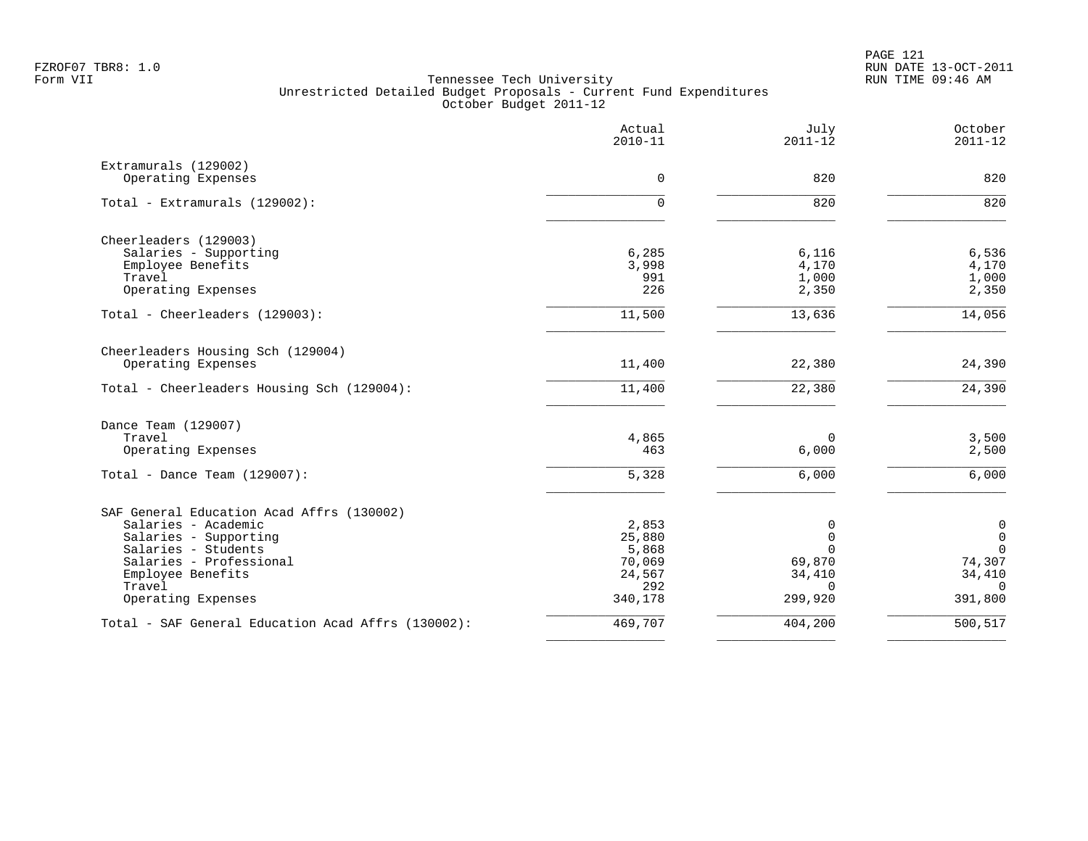|                                                    | Actual<br>$2010 - 11$ | July<br>$2011 - 12$ | October<br>$2011 - 12$  |
|----------------------------------------------------|-----------------------|---------------------|-------------------------|
| Extramurals (129002)                               |                       |                     |                         |
| Operating Expenses                                 | $\Omega$              | 820                 | 820                     |
| Total - Extramurals (129002):                      | $\Omega$              | 820                 | 820                     |
| Cheerleaders (129003)                              |                       |                     |                         |
| Salaries - Supporting                              | 6,285                 | 6,116               | 6,536                   |
| Employee Benefits<br>Travel                        | 3,998<br>991          | 4,170<br>1,000      | 4,170<br>1,000          |
| Operating Expenses                                 | 226                   | 2,350               | 2,350                   |
| Total - Cheerleaders (129003):                     | 11,500                | 13,636              | 14,056                  |
| Cheerleaders Housing Sch (129004)                  |                       |                     |                         |
| Operating Expenses                                 | 11,400                | 22,380              | 24,390                  |
| Total - Cheerleaders Housing Sch (129004):         | 11,400                | 22,380              | 24,390                  |
| Dance Team (129007)                                |                       |                     |                         |
| Travel                                             | 4,865                 | $\Omega$            | 3,500                   |
| Operating Expenses                                 | 463                   | 6,000               | 2,500                   |
| Total - Dance Team $(129007)$ :                    | 5,328                 | 6,000               | 6,000                   |
| SAF General Education Acad Affrs (130002)          |                       |                     |                         |
| Salaries - Academic                                | 2,853                 | 0                   | $\mathbf 0$             |
| Salaries - Supporting<br>Salaries - Students       | 25,880                | 0<br>$\Omega$       | $\mathbf 0$<br>$\Omega$ |
| Salaries - Professional                            | 5,868<br>70,069       | 69,870              | 74,307                  |
| Employee Benefits                                  | 24,567                | 34,410              | 34,410                  |
| Travel                                             | 292                   | $\Omega$            | $\cap$                  |
| Operating Expenses                                 | 340,178               | 299,920             | 391,800                 |
| Total - SAF General Education Acad Affrs (130002): | 469,707               | 404,200             | 500,517                 |
|                                                    |                       |                     |                         |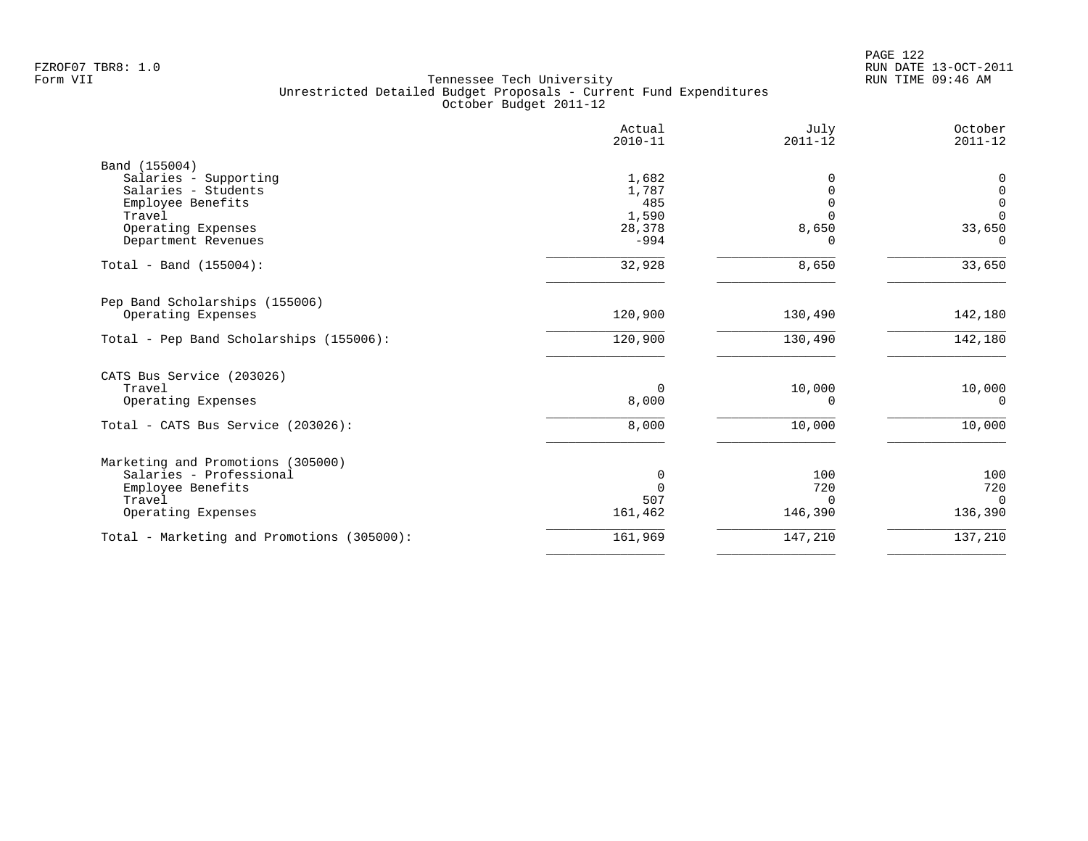| Actual<br>$2010 - 11$ | July<br>$2011 - 12$                           | October<br>$2011 - 12$          |
|-----------------------|-----------------------------------------------|---------------------------------|
|                       |                                               |                                 |
|                       | <sup>0</sup>                                  | 0                               |
|                       |                                               | 0                               |
|                       |                                               | $\mathbf 0$<br>$\Omega$         |
|                       |                                               | 33,650                          |
| $-994$                | ∩                                             | $\Omega$                        |
| 32,928                | 8,650                                         | 33,650                          |
|                       |                                               |                                 |
| 120,900               | 130,490                                       | 142,180                         |
| 120,900               | 130,490                                       | 142,180                         |
|                       |                                               |                                 |
| 0                     | 10,000                                        | 10,000                          |
| 8,000                 | $\Omega$                                      | $\Omega$                        |
| 8,000                 | 10,000                                        | 10,000                          |
|                       |                                               |                                 |
|                       |                                               | 100                             |
| $\Omega$              |                                               | 720                             |
| 507                   | $\Omega$                                      | $\Omega$                        |
| 161,462               | 146,390                                       | 136,390                         |
| 161,969               | 147,210                                       | 137,210                         |
|                       | 1,682<br>1,787<br>485<br>1,590<br>28,378<br>0 | $\Omega$<br>8,650<br>100<br>720 |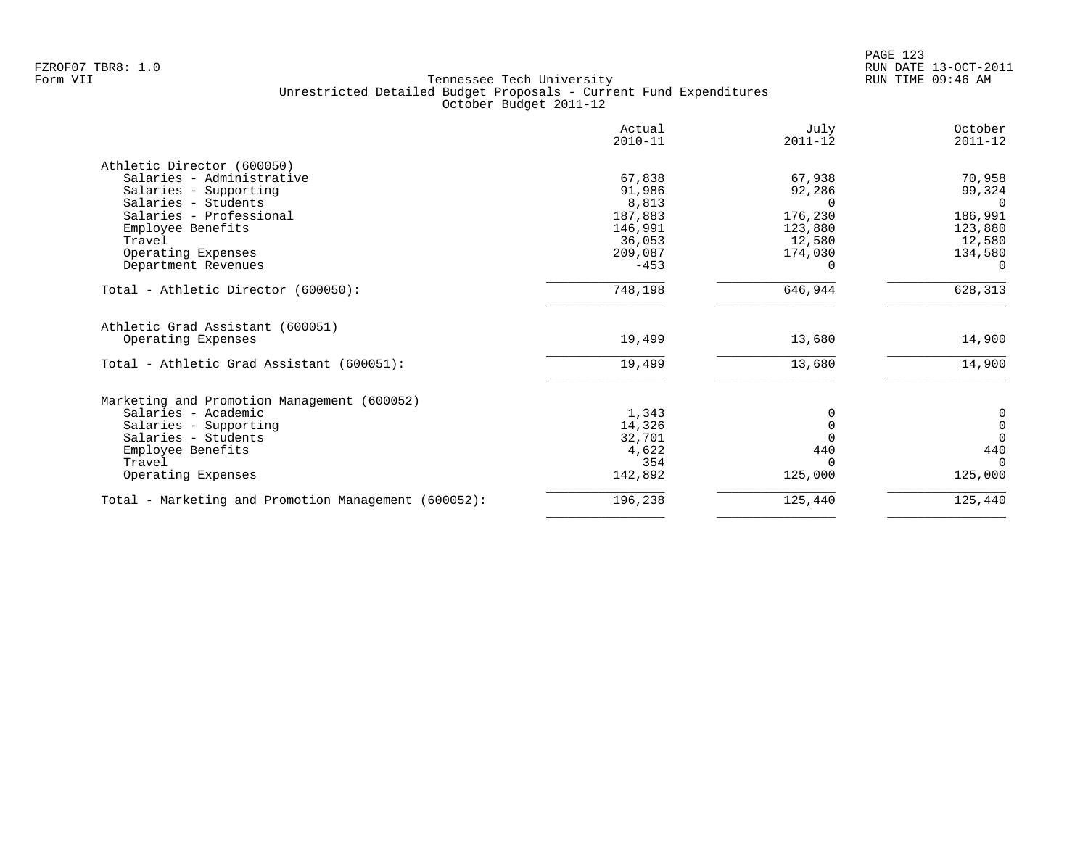|                                                        | Actual<br>$2010 - 11$ | July<br>$2011 - 12$ | October<br>$2011 - 12$ |
|--------------------------------------------------------|-----------------------|---------------------|------------------------|
| Athletic Director (600050)                             |                       |                     |                        |
| Salaries - Administrative                              | 67,838                | 67,938              | 70,958                 |
| Salaries - Supporting                                  | 91,986                | 92,286              | 99,324                 |
| Salaries - Students                                    | 8,813                 |                     |                        |
| Salaries - Professional                                | 187,883               | 176,230             | 186,991                |
| Employee Benefits                                      | 146,991               | 123,880             | 123,880                |
| Travel                                                 | 36,053                | 12,580              | 12,580                 |
| Operating Expenses                                     | 209,087               | 174,030             | 134,580                |
| Department Revenues                                    | $-453$                |                     |                        |
| Total - Athletic Director (600050):                    | 748,198               | 646,944             | 628,313                |
| Athletic Grad Assistant (600051)<br>Operating Expenses | 19,499                | 13,680              | 14,900                 |
| Total - Athletic Grad Assistant (600051):              | 19,499                | 13,680              | 14,900                 |
| Marketing and Promotion Management (600052)            |                       |                     |                        |
| Salaries - Academic                                    | 1,343                 |                     | 0                      |
| Salaries - Supporting                                  | 14,326                |                     | $\mathbf 0$            |
| Salaries - Students                                    | 32,701                |                     | $\Omega$               |
| Employee Benefits                                      | 4,622                 | 440                 | 440                    |
| Travel                                                 | 354                   |                     | $\Omega$               |
| Operating Expenses                                     | 142,892               | 125,000             | 125,000                |
| Total - Marketing and Promotion Management (600052):   | 196,238               | 125,440             | 125,440                |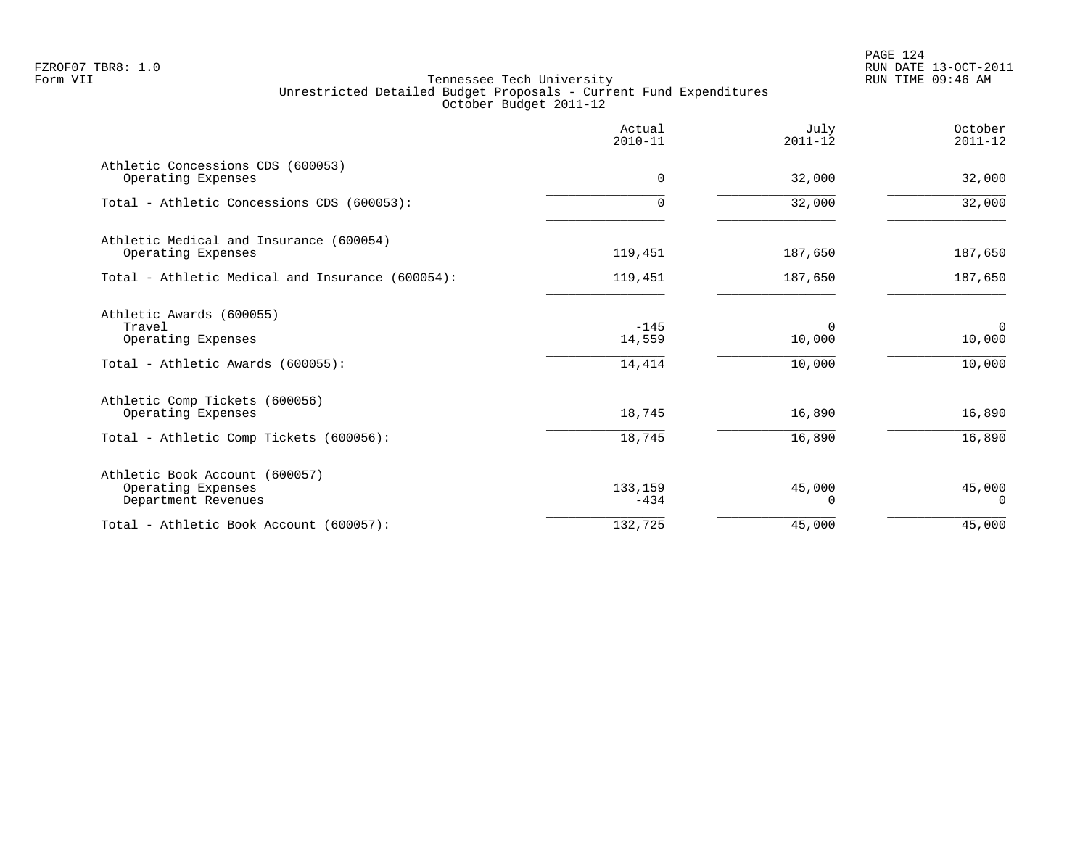PAGE 124 FZROF07 TBR8: 1.0 RUN DATE 13-OCT-2011

|                                                                                               | Actual<br>$2010 - 11$      | July<br>$2011 - 12$          | October<br>$2011 - 12$             |
|-----------------------------------------------------------------------------------------------|----------------------------|------------------------------|------------------------------------|
| Athletic Concessions CDS (600053)<br>Operating Expenses                                       | 0                          | 32,000                       | 32,000                             |
| Total - Athletic Concessions CDS (600053):                                                    | $\Omega$                   | 32,000                       | 32,000                             |
| Athletic Medical and Insurance (600054)<br>Operating Expenses                                 | 119,451                    | 187,650                      | 187,650                            |
| Total - Athletic Medical and Insurance (600054):                                              | 119,451                    | 187,650                      | 187,650                            |
| Athletic Awards (600055)<br>Travel<br>Operating Expenses<br>Total - Athletic Awards (600055): | $-145$<br>14,559<br>14,414 | $\Omega$<br>10,000<br>10,000 | $\overline{0}$<br>10,000<br>10,000 |
| Athletic Comp Tickets (600056)<br>Operating Expenses                                          | 18,745                     | 16,890                       | 16,890                             |
| Total - Athletic Comp Tickets (600056):                                                       | 18,745                     | 16,890                       | 16,890                             |
| Athletic Book Account (600057)<br>Operating Expenses<br>Department Revenues                   | 133,159<br>$-434$          | 45,000<br>0                  | 45,000<br>0                        |
| Total - Athletic Book Account (600057):                                                       | 132,725                    | 45,000                       | 45,000                             |
|                                                                                               |                            |                              |                                    |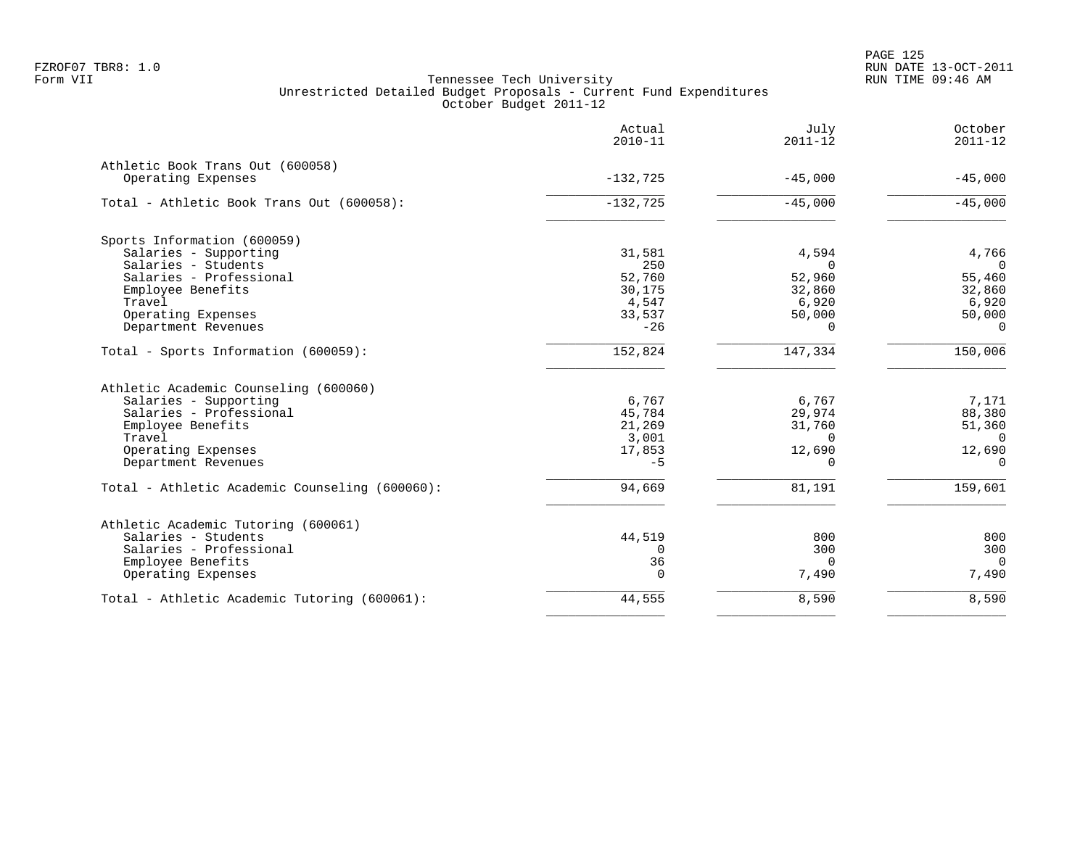PAGE 125 FZROF07 TBR8: 1.0 RUN DATE 13-OCT-2011

|                                                                             | Actual<br>$2010 - 11$ | July<br>$2011 - 12$  | October<br>$2011 - 12$  |
|-----------------------------------------------------------------------------|-----------------------|----------------------|-------------------------|
| Athletic Book Trans Out (600058)<br>Operating Expenses                      | $-132,725$            | $-45,000$            | $-45,000$               |
| Total - Athletic Book Trans Out (600058):                                   | $-132,725$            | $-45,000$            | $-45,000$               |
|                                                                             |                       |                      |                         |
| Sports Information (600059)<br>Salaries - Supporting<br>Salaries - Students | 31,581<br>250         | 4,594<br>$\mathbf 0$ | 4,766<br>$\overline{0}$ |
| Salaries - Professional                                                     | 52,760                | 52,960               | 55,460                  |
| Employee Benefits                                                           | 30,175                | 32,860               | 32,860                  |
| Travel                                                                      | 4,547                 | 6,920                | 6,920                   |
| Operating Expenses                                                          | 33,537                | 50,000               | 50,000                  |
| Department Revenues                                                         | $-26$                 | $\Omega$             | $\Omega$                |
| Total - Sports Information (600059):                                        | 152,824               | 147,334              | 150,006                 |
| Athletic Academic Counseling (600060)                                       |                       |                      |                         |
| Salaries - Supporting                                                       | 6,767                 | 6,767                | 7,171                   |
| Salaries - Professional                                                     | 45,784                | 29,974               | 88,380                  |
| Employee Benefits                                                           | 21,269                | 31,760               | 51,360                  |
| Travel                                                                      | 3,001                 | $\Omega$             | $\Omega$                |
| Operating Expenses                                                          | 17,853                | 12,690               | 12,690                  |
| Department Revenues                                                         | $-5$                  | $\Omega$             | $\mathbf 0$             |
| Total - Athletic Academic Counseling (600060):                              | 94,669                | 81,191               | 159,601                 |
| Athletic Academic Tutoring (600061)                                         |                       |                      |                         |
| Salaries - Students                                                         | 44,519                | 800                  | 800                     |
| Salaries - Professional                                                     | $\Omega$              | 300                  | 300                     |
| Employee Benefits                                                           | 36                    | $\Omega$             | $\overline{0}$          |
| Operating Expenses                                                          | $\Omega$              | 7,490                | 7,490                   |
| Total - Athletic Academic Tutoring (600061):                                | 44,555                | 8,590                | 8,590                   |
|                                                                             |                       |                      |                         |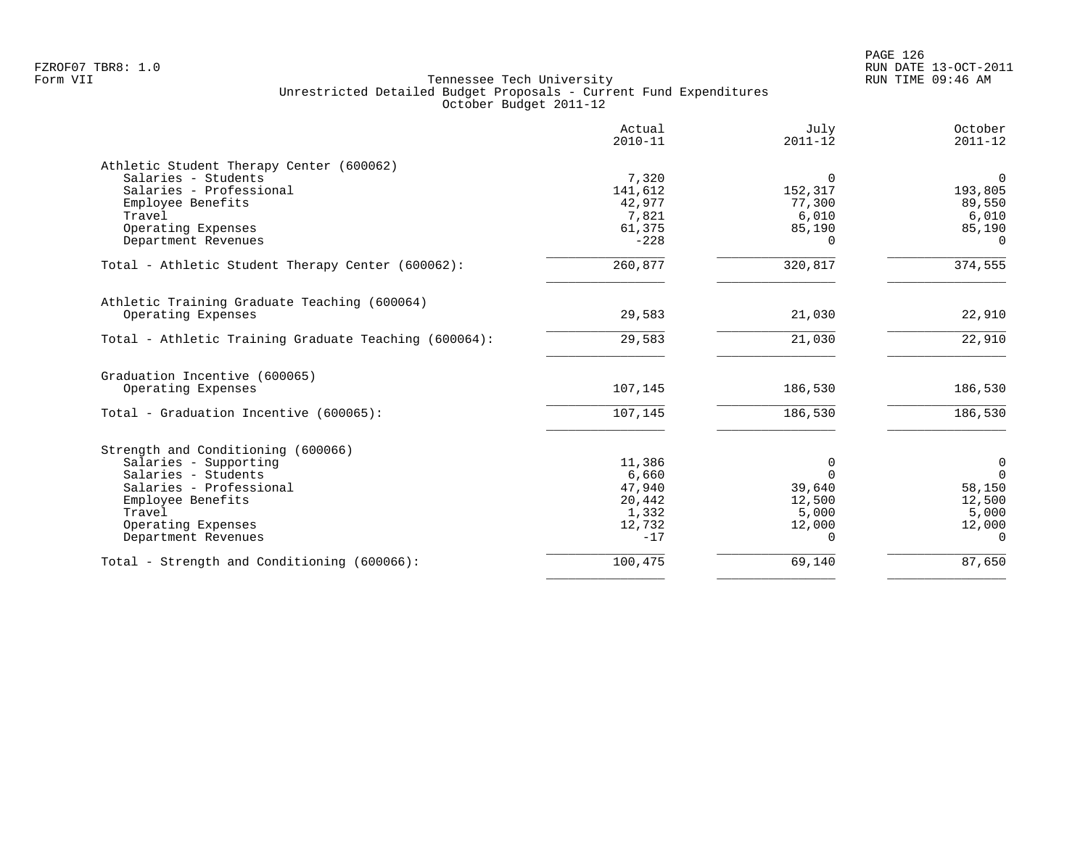|                                                       | Actual<br>$2010 - 11$ | July<br>$2011 - 12$ | October<br>$2011 - 12$ |
|-------------------------------------------------------|-----------------------|---------------------|------------------------|
| Athletic Student Therapy Center (600062)              |                       |                     |                        |
| Salaries - Students                                   | 7,320                 | $\Omega$            | $\overline{0}$         |
| Salaries - Professional                               | 141,612               | 152,317             | 193,805                |
| Employee Benefits                                     | 42,977                | 77,300              | 89,550                 |
| Travel                                                | 7,821                 | 6,010               | 6,010                  |
| Operating Expenses                                    | 61,375                | 85,190              | 85,190                 |
| Department Revenues                                   | $-228$                | $\Omega$            | $\Omega$               |
| Total - Athletic Student Therapy Center (600062):     | 260,877               | 320,817             | 374,555                |
| Athletic Training Graduate Teaching (600064)          |                       |                     |                        |
| Operating Expenses                                    | 29,583                | 21,030              | 22,910                 |
| Total - Athletic Training Graduate Teaching (600064): | 29,583                | 21,030              | 22,910                 |
| Graduation Incentive (600065)                         |                       |                     |                        |
| Operating Expenses                                    | 107,145               | 186,530             | 186,530                |
| Total - Graduation Incentive (600065):                | 107,145               | 186,530             | 186,530                |
| Strength and Conditioning (600066)                    |                       |                     |                        |
| Salaries - Supporting                                 | 11,386                | 0                   | $\mathbf 0$            |
| Salaries - Students                                   | 6,660                 | $\Omega$            | $\mathbf 0$            |
| Salaries - Professional                               | 47,940                | 39,640              | 58,150                 |
| Employee Benefits                                     | 20,442                | 12,500              | 12,500                 |
| Travel                                                | 1,332                 | 5,000               | 5,000                  |
| Operating Expenses                                    | 12,732                | 12,000              | 12,000                 |
| Department Revenues                                   | $-17$                 | $\Omega$            | $\Omega$               |
| Total - Strength and Conditioning (600066):           | 100,475               | 69,140              | 87,650                 |
|                                                       |                       |                     |                        |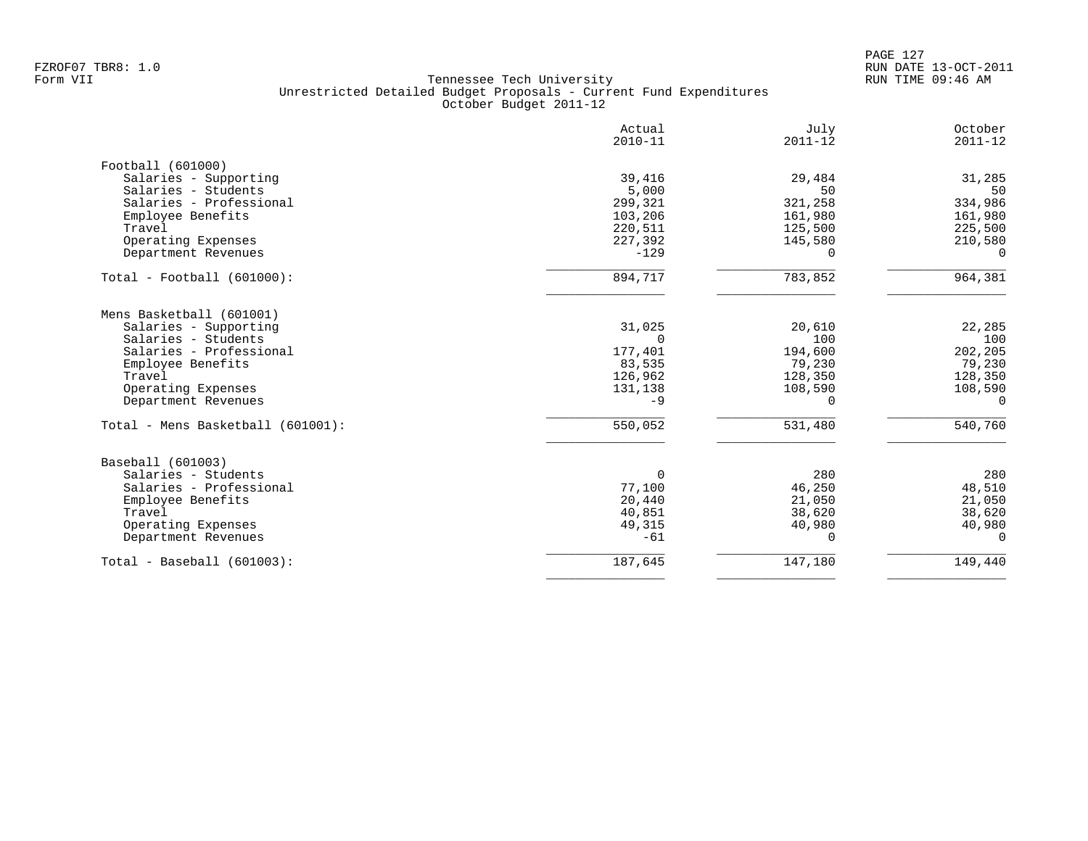|                                   | Actual<br>$2010 - 11$ | July<br>$2011 - 12$ | October<br>$2011 - 12$ |
|-----------------------------------|-----------------------|---------------------|------------------------|
| Football (601000)                 |                       |                     |                        |
| Salaries - Supporting             | 39,416                | 29,484              | 31,285                 |
| Salaries - Students               | 5,000                 | 50                  | 50                     |
| Salaries - Professional           | 299,321               | 321,258             | 334,986                |
| Employee Benefits                 | 103,206               | 161,980             | 161,980                |
| Travel                            | 220,511               | 125,500             | 225,500                |
| Operating Expenses                | 227,392               | 145,580             | 210,580                |
| Department Revenues               | $-129$                | $\Omega$            | $\Omega$               |
| $Total - Football (601000):$      | 894,717               | 783,852             | 964,381                |
| Mens Basketball (601001)          |                       |                     |                        |
| Salaries - Supporting             | 31,025                | 20,610              | 22,285                 |
| Salaries - Students               | $\Omega$              | 100                 | 100                    |
| Salaries - Professional           | 177,401               | 194,600             | 202,205                |
| Employee Benefits                 | 83,535                | 79,230              | 79,230                 |
| Travel                            | 126,962               | 128,350             | 128,350                |
| Operating Expenses                | 131,138               | 108,590             | 108,590                |
| Department Revenues               | $-9$                  | 0                   | 0                      |
| Total - Mens Basketball (601001): | 550,052               | 531,480             | 540,760                |
| Baseball (601003)                 |                       |                     |                        |
| Salaries - Students               | $\Omega$              | 280                 | 280                    |
| Salaries - Professional           | 77,100                | 46,250              | 48,510                 |
| Employee Benefits                 | 20,440                | 21,050              | 21,050                 |
| Travel                            | 40,851                | 38,620              | 38,620                 |
| Operating Expenses                | 49,315                | 40,980              | 40,980                 |
| Department Revenues               | $-61$                 | $\Omega$            | $\Omega$               |
| $Total - Baseball (601003):$      | 187,645               | 147,180             | 149,440                |
|                                   |                       |                     |                        |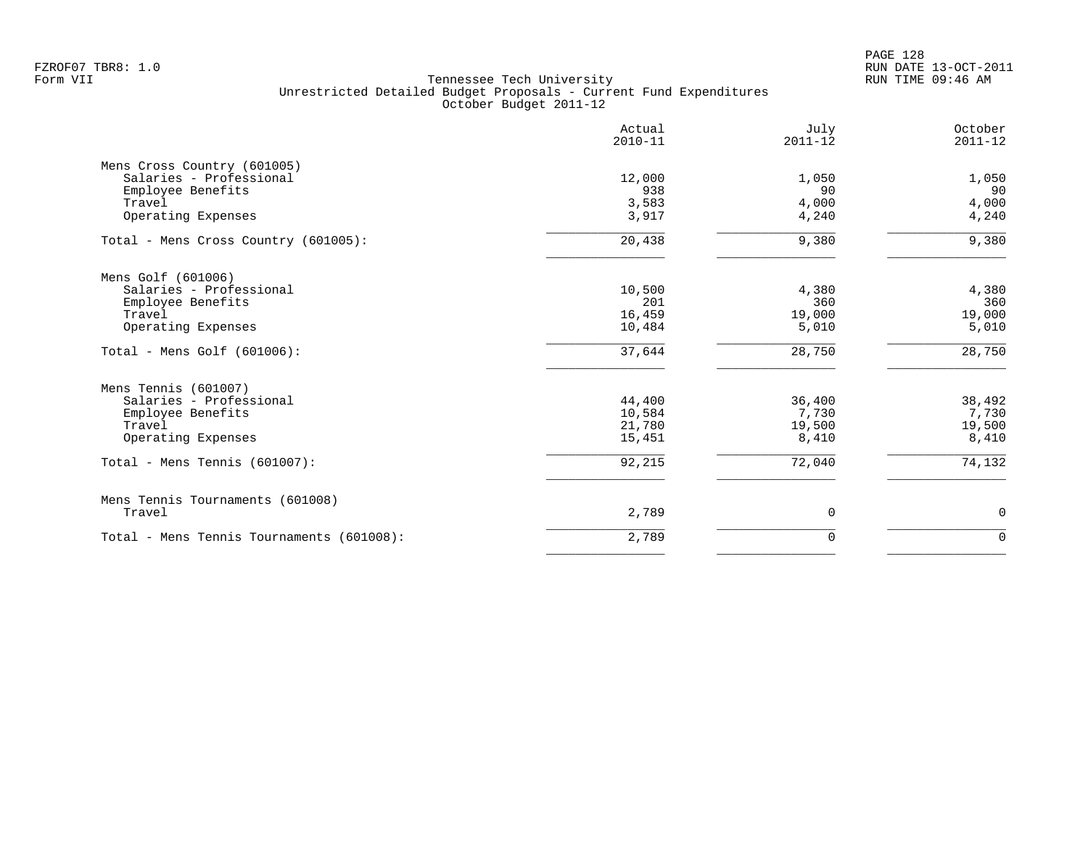|                                           | Actual<br>$2010 - 11$ | July<br>$2011 - 12$ | October<br>$2011 - 12$ |
|-------------------------------------------|-----------------------|---------------------|------------------------|
| Mens Cross Country (601005)               |                       |                     |                        |
| Salaries - Professional                   | 12,000                | 1,050               | 1,050                  |
| Employee Benefits<br>Travel               | 938                   | 90                  | 90                     |
| Operating Expenses                        | 3,583<br>3,917        | 4,000<br>4,240      | 4,000<br>4,240         |
|                                           |                       |                     |                        |
| Total - Mens Cross Country (601005):      | 20,438                | 9,380               | 9,380                  |
| Mens Golf (601006)                        |                       |                     |                        |
| Salaries - Professional                   | 10,500                | 4,380               | 4,380                  |
| Employee Benefits                         | 201                   | 360                 | 360                    |
| Travel                                    | 16,459                | 19,000              | 19,000                 |
| Operating Expenses                        | 10,484                | 5,010               | 5,010                  |
| Total - Mens Golf $(601006)$ :            | 37,644                | 28,750              | 28,750                 |
| Mens Tennis (601007)                      |                       |                     |                        |
| Salaries - Professional                   | 44,400                | 36,400              | 38,492                 |
| Employee Benefits                         | 10,584                | 7,730               | 7,730                  |
| Travel                                    | 21,780                | 19,500              | 19,500                 |
| Operating Expenses                        | 15,451                | 8,410               | 8,410                  |
| Total - Mens Tennis (601007):             | 92,215                | 72,040              | 74,132                 |
| Mens Tennis Tournaments (601008)          |                       |                     |                        |
| Travel                                    | 2,789                 | 0                   | 0                      |
| Total - Mens Tennis Tournaments (601008): | 2,789                 | $\mathbf 0$         | $\mathbf 0$            |
|                                           |                       |                     |                        |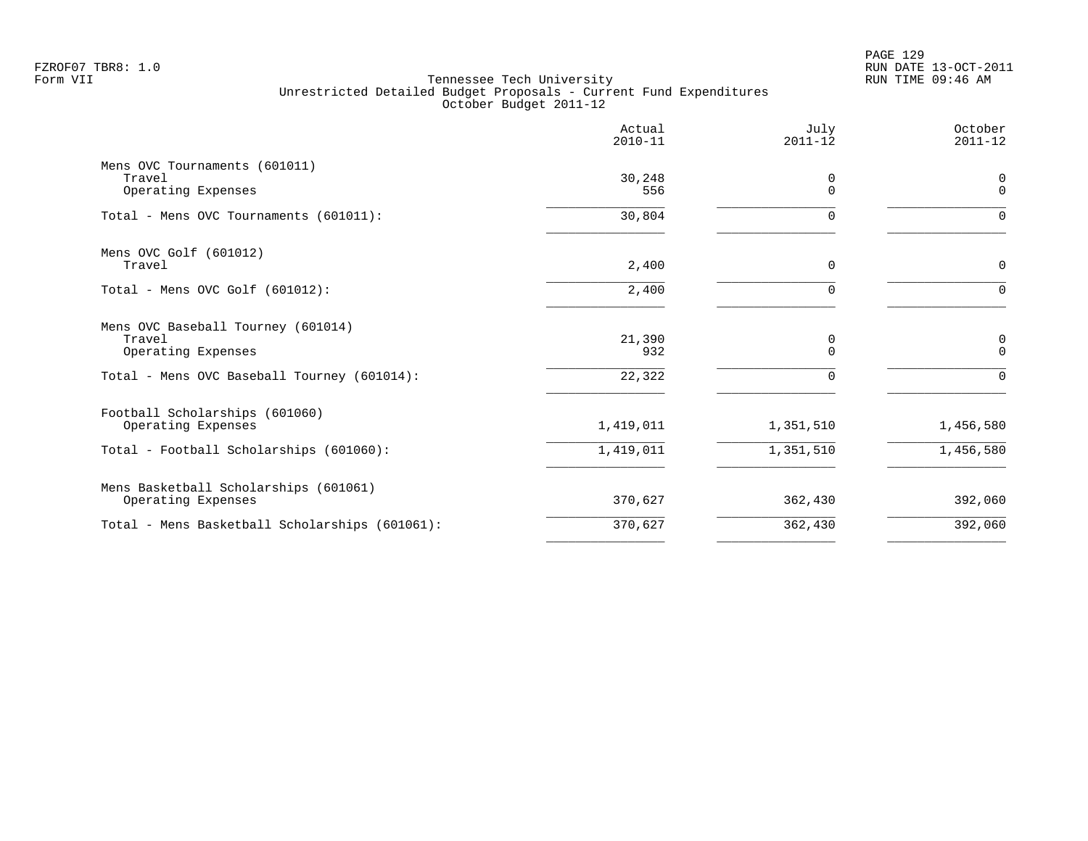|                                                                                                                   | Actual<br>$2010 - 11$   | July<br>$2011 - 12$ | October<br>$2011 - 12$      |
|-------------------------------------------------------------------------------------------------------------------|-------------------------|---------------------|-----------------------------|
| Mens OVC Tournaments (601011)<br>Travel<br>Operating Expenses                                                     | 30,248<br>556           | 0<br>$\Omega$       | $\mathbf 0$<br>$\mathbf{0}$ |
| Total - Mens OVC Tournaments (601011):                                                                            | 30,804                  | $\Omega$            | $\Omega$                    |
| Mens OVC Golf (601012)<br>Travel                                                                                  | 2,400                   | $\mathbf 0$         | 0                           |
| Total - Mens OVC Golf (601012):                                                                                   | 2,400                   | $\Omega$            | $\Omega$                    |
| Mens OVC Baseball Tourney (601014)<br>Travel<br>Operating Expenses<br>Total - Mens OVC Baseball Tourney (601014): | 21,390<br>932<br>22,322 | 0<br>$\Omega$       | 0<br>$\Omega$<br>$\Omega$   |
| Football Scholarships (601060)<br>Operating Expenses                                                              | 1,419,011               | 1,351,510           | 1,456,580                   |
| Total - Football Scholarships (601060):                                                                           | 1,419,011               | 1,351,510           | 1,456,580                   |
| Mens Basketball Scholarships (601061)<br>Operating Expenses                                                       | 370,627                 | 362,430             | 392,060                     |
| Total - Mens Basketball Scholarships (601061):                                                                    | 370,627                 | 362,430             | 392,060                     |
|                                                                                                                   |                         |                     |                             |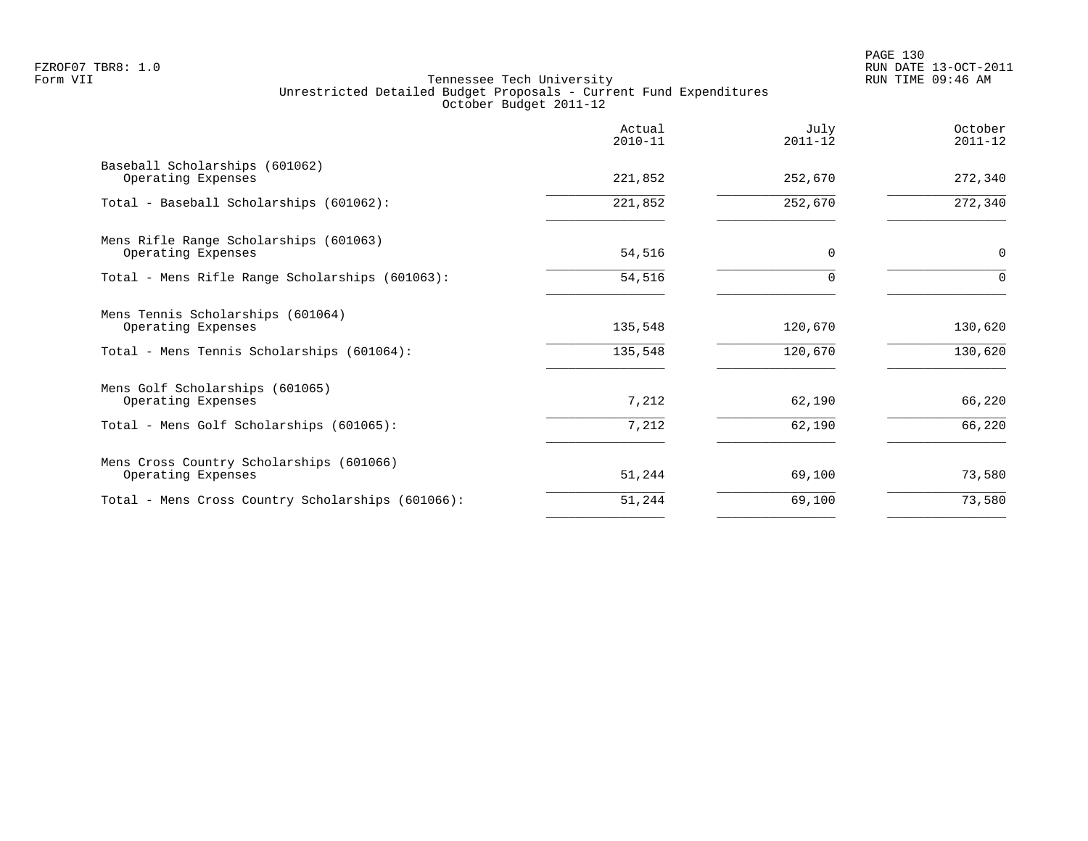|                                                                | Actual<br>$2010 - 11$ | July<br>$2011 - 12$ | October<br>$2011 - 12$ |
|----------------------------------------------------------------|-----------------------|---------------------|------------------------|
| Baseball Scholarships (601062)<br>Operating Expenses           | 221,852               | 252,670             | 272,340                |
| Total - Baseball Scholarships (601062):                        | 221,852               | 252,670             | 272,340                |
| Mens Rifle Range Scholarships (601063)<br>Operating Expenses   | 54,516                | $\Omega$            | $\mathbf 0$            |
| Total - Mens Rifle Range Scholarships (601063):                | 54,516                | 0                   | $\Omega$               |
| Mens Tennis Scholarships (601064)<br>Operating Expenses        | 135,548               | 120,670             | 130,620                |
| Total - Mens Tennis Scholarships (601064):                     | 135,548               | 120,670             | 130,620                |
| Mens Golf Scholarships (601065)<br>Operating Expenses          | 7,212                 | 62,190              | 66,220                 |
| Total - Mens Golf Scholarships (601065):                       | 7,212                 | 62,190              | 66,220                 |
| Mens Cross Country Scholarships (601066)<br>Operating Expenses | 51,244                | 69,100              | 73,580                 |
| Total - Mens Cross Country Scholarships (601066):              | 51,244                | 69,100              | 73,580                 |
|                                                                |                       |                     |                        |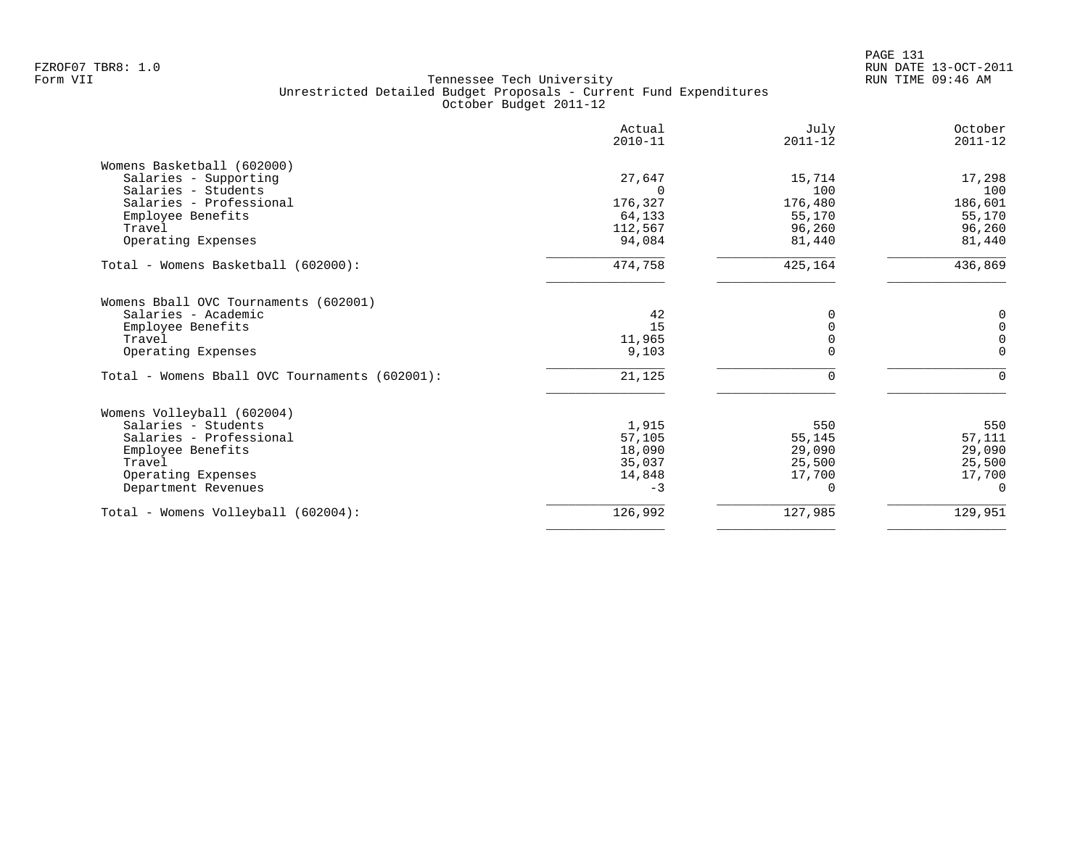|                                                | Actual<br>$2010 - 11$ | July<br>$2011 - 12$ | October<br>$2011 - 12$ |
|------------------------------------------------|-----------------------|---------------------|------------------------|
| Womens Basketball (602000)                     |                       |                     |                        |
| Salaries - Supporting                          | 27,647                | 15,714              | 17,298                 |
| Salaries - Students                            | $\cap$                | 100                 | 100                    |
| Salaries - Professional                        | 176,327               | 176,480             | 186,601                |
| Employee Benefits                              | 64,133                | 55,170              | 55,170                 |
| Travel                                         | 112,567               | 96,260              | 96,260                 |
| Operating Expenses                             | 94,084                | 81,440              | 81,440                 |
| Total - Womens Basketball (602000):            | 474,758               | 425,164             | 436,869                |
| Womens Bball OVC Tournaments (602001)          |                       |                     |                        |
| Salaries - Academic                            | 42                    |                     | 0                      |
| Employee Benefits                              | 15                    |                     | 0                      |
| Travel                                         | 11,965                |                     | $\mathbf 0$            |
| Operating Expenses                             | 9,103                 | $\Omega$            | $\Omega$               |
| Total - Womens Bball OVC Tournaments (602001): | 21,125                | $\Omega$            | $\Omega$               |
| Womens Volleyball (602004)                     |                       |                     |                        |
| Salaries - Students                            | 1,915                 | 550                 | 550                    |
| Salaries - Professional                        | 57,105                | 55,145              | 57,111                 |
| Employee Benefits                              | 18,090                | 29,090              | 29,090                 |
| Travel                                         | 35,037                | 25,500              | 25,500                 |
| Operating Expenses                             | 14,848                | 17,700              | 17,700                 |
| Department Revenues                            | $-3$                  | $\Omega$            | $\Omega$               |
| Total - Womens Volleyball (602004):            | 126,992               | 127,985             | 129,951                |
|                                                |                       |                     |                        |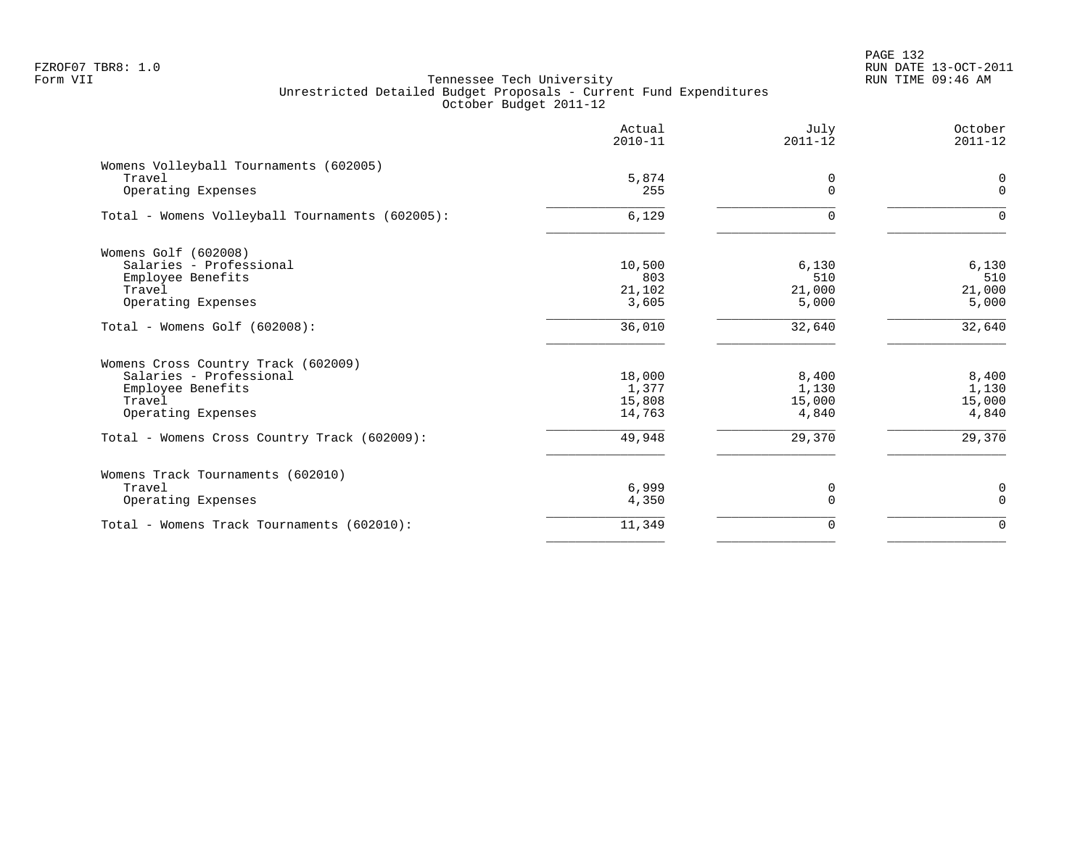|                                                 | Actual<br>$2010 - 11$ | July<br>$2011 - 12$ | October<br>$2011 - 12$ |
|-------------------------------------------------|-----------------------|---------------------|------------------------|
| Womens Volleyball Tournaments (602005)          |                       |                     |                        |
| Travel                                          | 5,874                 | 0                   | $\mathbf 0$            |
| Operating Expenses                              | 255                   | $\Omega$            | $\mathbf 0$            |
| Total - Womens Volleyball Tournaments (602005): | 6,129                 | ∩                   | $\Omega$               |
| Womens Golf (602008)                            |                       |                     |                        |
| Salaries - Professional                         | 10,500                | 6,130               | 6,130                  |
| Employee Benefits                               | 803                   | 510                 | 510                    |
| Travel                                          | 21,102                | 21,000              | 21,000                 |
| Operating Expenses                              | 3,605                 | 5,000               | 5,000                  |
| Total - Womens Golf (602008):                   | 36,010                | 32,640              | 32,640                 |
| Womens Cross Country Track (602009)             |                       |                     |                        |
| Salaries - Professional                         | 18,000                | 8,400               | 8,400                  |
| Employee Benefits                               | 1,377                 | 1,130               | 1,130                  |
| Travel                                          | 15,808                | 15,000              | 15,000                 |
| Operating Expenses                              | 14,763                | 4,840               | 4,840                  |
| Total - Womens Cross Country Track (602009):    | 49,948                | 29,370              | 29,370                 |
| Womens Track Tournaments (602010)               |                       |                     |                        |
| Travel                                          | 6,999                 | 0                   | 0                      |
| Operating Expenses                              | 4,350                 | $\Omega$            | $\Omega$               |
| Total - Womens Track Tournaments (602010):      | 11,349                | 0                   | $\mathbf 0$            |
|                                                 |                       |                     |                        |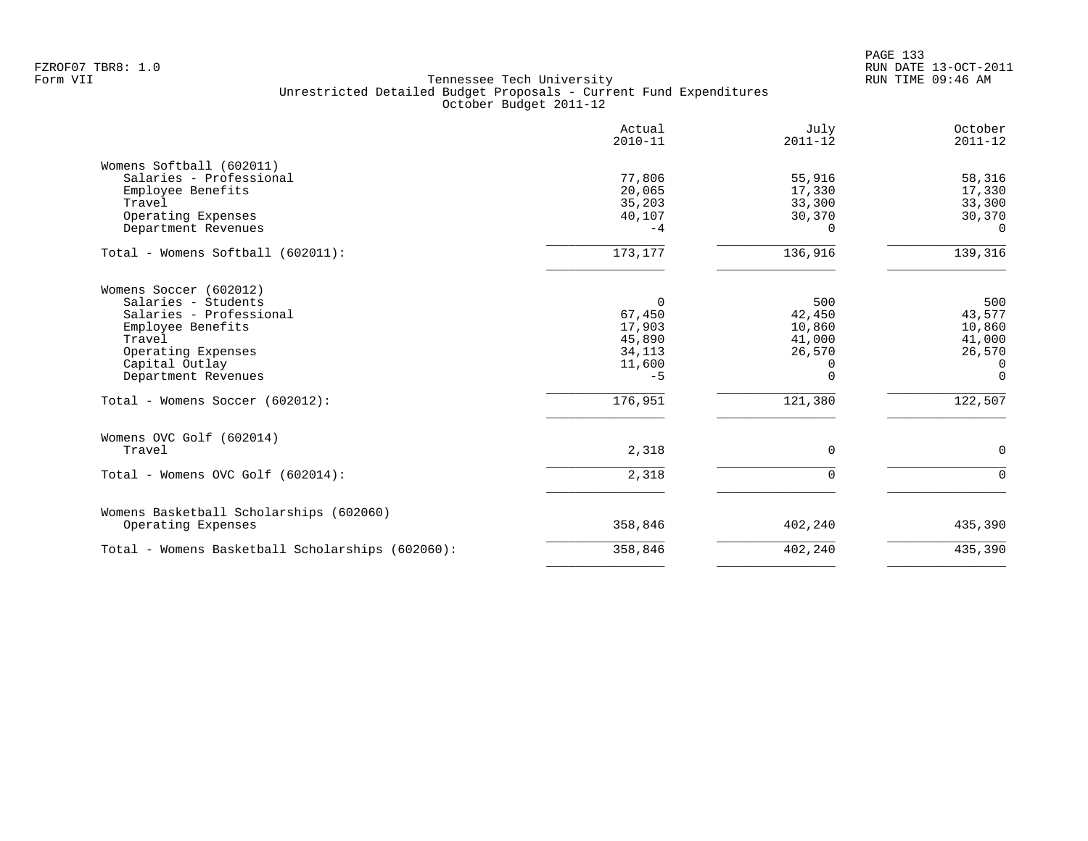|                                                                                                                                                                        | Actual<br>$2010 - 11$                                       | July<br>$2011 - 12$                                          | October<br>$2011 - 12$                                              |
|------------------------------------------------------------------------------------------------------------------------------------------------------------------------|-------------------------------------------------------------|--------------------------------------------------------------|---------------------------------------------------------------------|
| Womens Softball (602011)<br>Salaries - Professional<br>Employee Benefits<br>Travel<br>Operating Expenses<br>Department Revenues                                        | 77,806<br>20,065<br>35,203<br>40,107<br>$-4$                | 55,916<br>17,330<br>33,300<br>30,370<br>0                    | 58,316<br>17,330<br>33,300<br>30,370<br>$\Omega$                    |
| Total - Womens Softball (602011):                                                                                                                                      | 173,177                                                     | 136,916                                                      | 139,316                                                             |
| Womens Soccer (602012)<br>Salaries - Students<br>Salaries - Professional<br>Employee Benefits<br>Travel<br>Operating Expenses<br>Capital Outlay<br>Department Revenues | 0<br>67,450<br>17,903<br>45,890<br>34,113<br>11,600<br>$-5$ | 500<br>42,450<br>10,860<br>41,000<br>26,570<br>0<br>$\Omega$ | 500<br>43,577<br>10,860<br>41,000<br>26,570<br>$\Omega$<br>$\Omega$ |
| Total - Womens Soccer (602012):                                                                                                                                        | 176,951                                                     | 121,380                                                      | 122,507                                                             |
| Womens OVC Golf (602014)<br>Travel                                                                                                                                     | 2,318                                                       | $\Omega$                                                     | $\mathbf 0$                                                         |
| Total - Womens OVC Golf (602014):                                                                                                                                      | 2,318                                                       | $\Omega$                                                     | $\Omega$                                                            |
| Womens Basketball Scholarships (602060)<br>Operating Expenses                                                                                                          | 358,846                                                     | 402,240                                                      | 435,390                                                             |
| Total - Womens Basketball Scholarships (602060):                                                                                                                       | 358,846                                                     | 402,240                                                      | 435,390                                                             |
|                                                                                                                                                                        |                                                             |                                                              |                                                                     |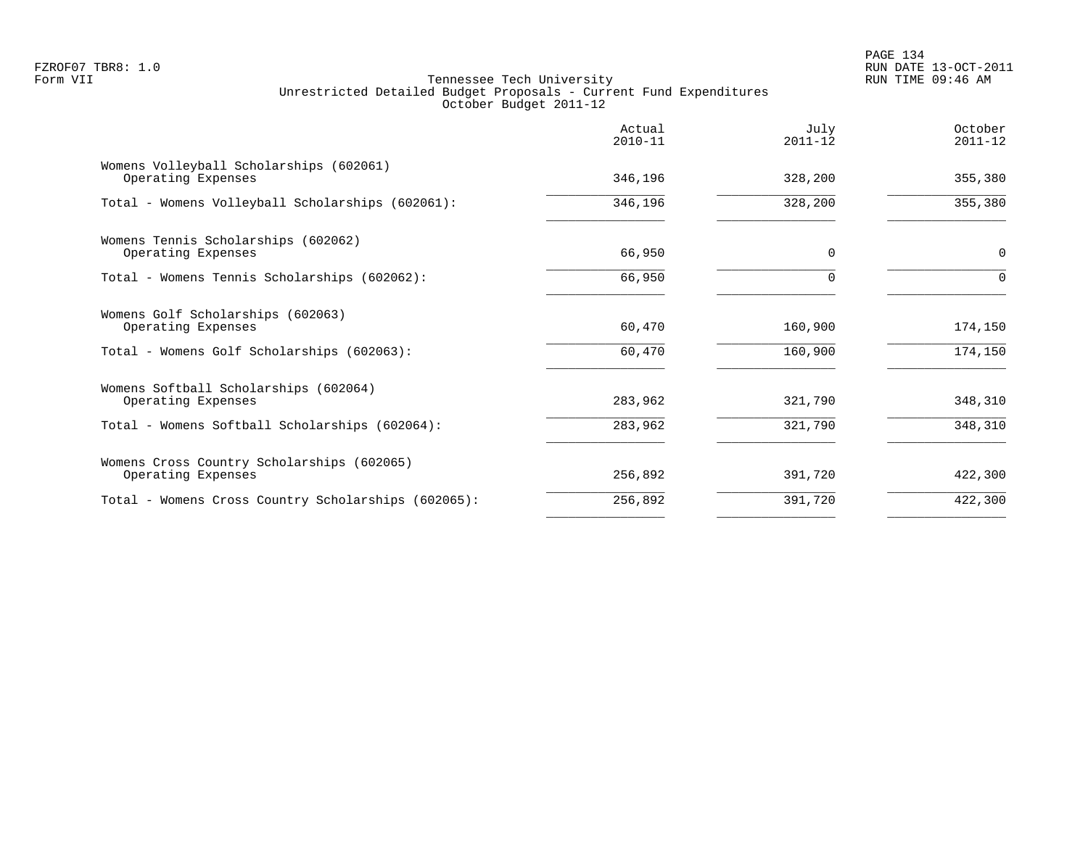|                                                                  | Actual<br>$2010 - 11$ | July<br>$2011 - 12$ | October<br>$2011 - 12$ |
|------------------------------------------------------------------|-----------------------|---------------------|------------------------|
| Womens Volleyball Scholarships (602061)<br>Operating Expenses    | 346,196               | 328,200             | 355,380                |
| Total - Womens Volleyball Scholarships (602061):                 | 346,196               | 328,200             | 355,380                |
| Womens Tennis Scholarships (602062)<br>Operating Expenses        | 66,950                | $\Omega$            | 0                      |
| Total - Womens Tennis Scholarships (602062):                     | 66,950                | $\Omega$            | $\Omega$               |
| Womens Golf Scholarships (602063)<br>Operating Expenses          | 60,470                | 160,900             | 174,150                |
| Total - Womens Golf Scholarships (602063):                       | 60,470                | 160,900             | 174,150                |
| Womens Softball Scholarships (602064)<br>Operating Expenses      | 283,962               | 321,790             | 348,310                |
| Total - Womens Softball Scholarships (602064):                   | 283,962               | 321,790             | 348,310                |
| Womens Cross Country Scholarships (602065)<br>Operating Expenses | 256,892               | 391,720             | 422,300                |
| Total - Womens Cross Country Scholarships (602065):              | 256,892               | 391,720             | 422,300                |
|                                                                  |                       |                     |                        |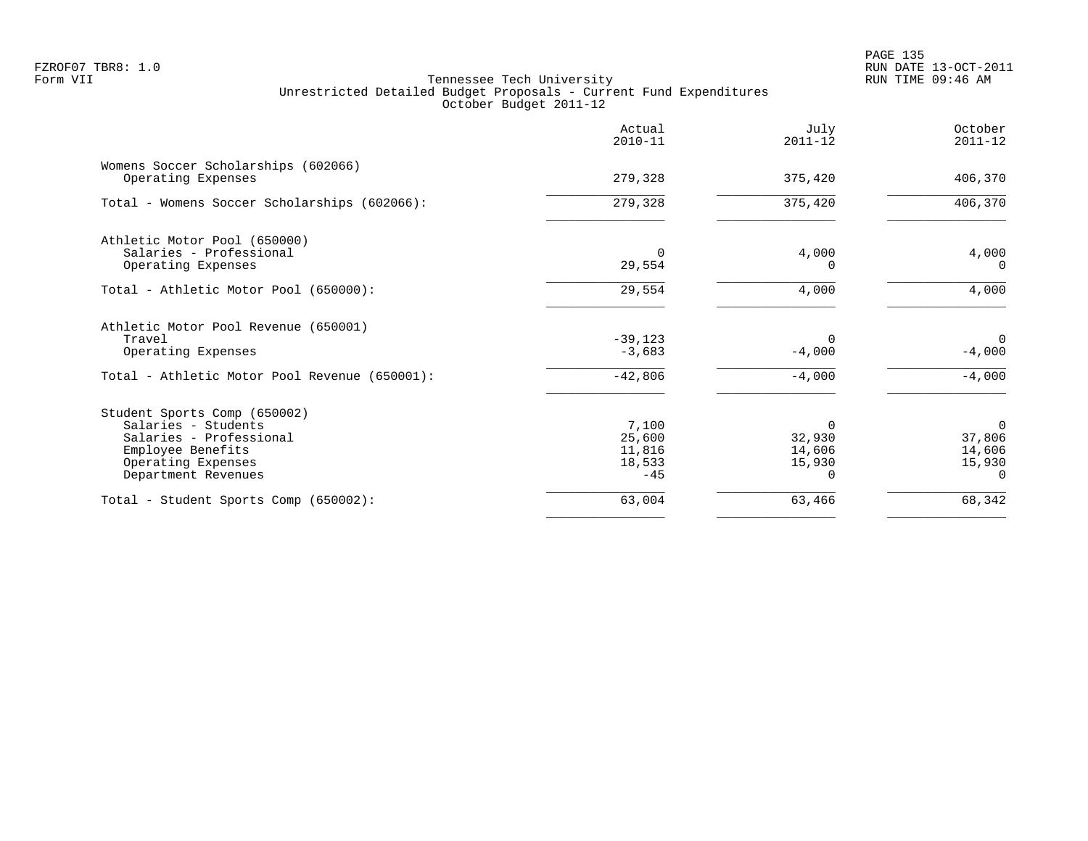PAGE 135 FZROF07 TBR8: 1.0 RUN DATE 13-OCT-2011

|                                                                                                                                                  | Actual<br>$2010 - 11$                        | July<br>$2011 - 12$                    | October<br>$2011 - 12$                             |
|--------------------------------------------------------------------------------------------------------------------------------------------------|----------------------------------------------|----------------------------------------|----------------------------------------------------|
| Womens Soccer Scholarships (602066)<br>Operating Expenses                                                                                        | 279,328                                      | 375,420                                | 406,370                                            |
| Total - Womens Soccer Scholarships (602066):                                                                                                     | 279,328                                      | 375,420                                | 406,370                                            |
| Athletic Motor Pool (650000)<br>Salaries - Professional<br>Operating Expenses                                                                    | 29,554                                       | 4,000<br>O                             | 4,000<br>$\Omega$                                  |
| Total - Athletic Motor Pool (650000):                                                                                                            | 29,554                                       | 4,000                                  | 4,000                                              |
| Athletic Motor Pool Revenue (650001)<br>Travel<br>Operating Expenses                                                                             | $-39,123$<br>$-3,683$                        | $\Omega$<br>$-4,000$                   | $\Omega$<br>$-4,000$                               |
| Total - Athletic Motor Pool Revenue (650001):                                                                                                    | $-42,806$                                    | $-4,000$                               | $-4,000$                                           |
| Student Sports Comp (650002)<br>Salaries - Students<br>Salaries - Professional<br>Employee Benefits<br>Operating Expenses<br>Department Revenues | 7,100<br>25,600<br>11,816<br>18,533<br>$-45$ | $\Omega$<br>32,930<br>14,606<br>15,930 | $\Omega$<br>37,806<br>14,606<br>15,930<br>$\Omega$ |
| Total - Student Sports Comp (650002):                                                                                                            | 63,004                                       | 63,466                                 | 68,342                                             |
|                                                                                                                                                  |                                              |                                        |                                                    |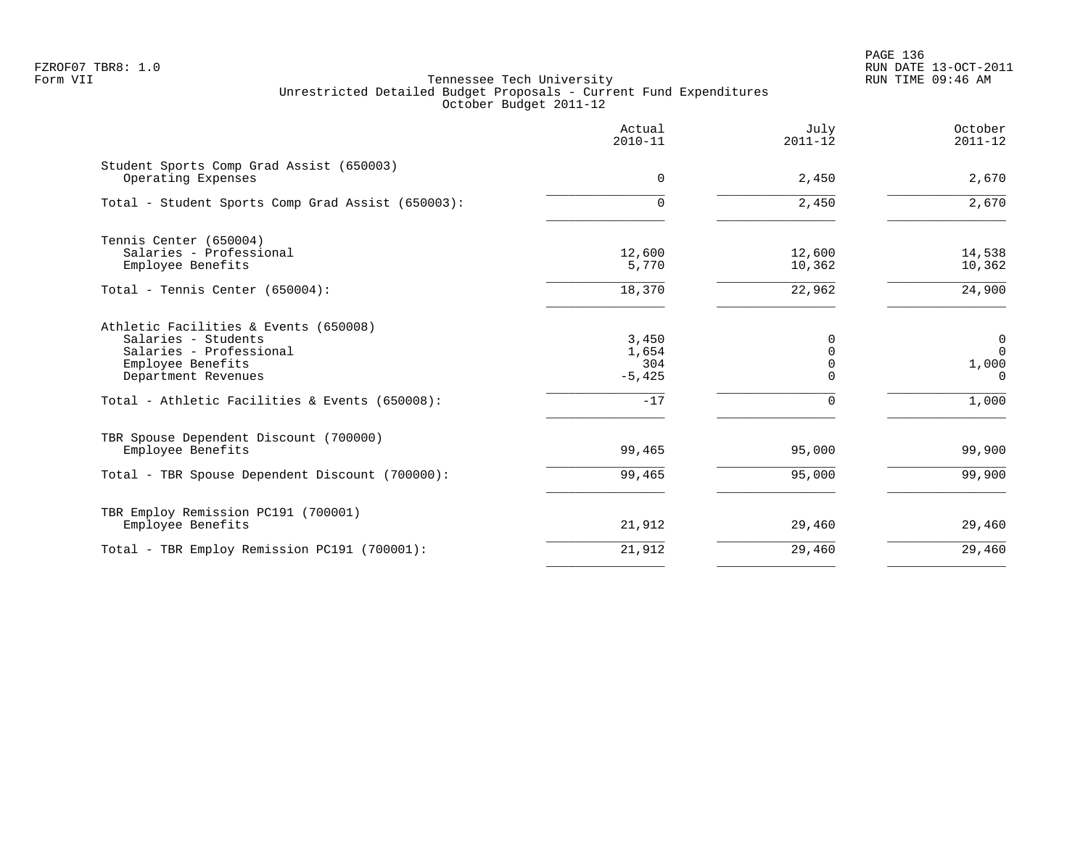PAGE 136 FZROF07 TBR8: 1.0 RUN DATE 13-OCT-2011

|                                                                                                                                                                                       | Actual<br>$2010 - 11$                      | July<br>$2011 - 12$                                         | October<br>$2011 - 12$                                      |
|---------------------------------------------------------------------------------------------------------------------------------------------------------------------------------------|--------------------------------------------|-------------------------------------------------------------|-------------------------------------------------------------|
| Student Sports Comp Grad Assist (650003)<br>Operating Expenses                                                                                                                        | $\Omega$                                   | 2,450                                                       | 2,670                                                       |
| Total - Student Sports Comp Grad Assist (650003):                                                                                                                                     | $\Omega$                                   | 2,450                                                       | 2,670                                                       |
| Tennis Center (650004)<br>Salaries - Professional<br>Employee Benefits                                                                                                                | 12,600<br>5,770                            | 12,600<br>10,362                                            | 14,538<br>10,362                                            |
| Total - Tennis Center (650004):                                                                                                                                                       | 18,370                                     | 22,962                                                      | 24,900                                                      |
| Athletic Facilities & Events (650008)<br>Salaries - Students<br>Salaries - Professional<br>Employee Benefits<br>Department Revenues<br>Total - Athletic Facilities & Events (650008): | 3,450<br>1,654<br>304<br>$-5,425$<br>$-17$ | $\Omega$<br>$\Omega$<br>$\mathbf 0$<br>$\Omega$<br>$\Omega$ | $\mathbf 0$<br>$\overline{0}$<br>1,000<br>$\Omega$<br>1,000 |
| TBR Spouse Dependent Discount (700000)<br>Employee Benefits<br>Total - TBR Spouse Dependent Discount (700000):                                                                        | 99,465<br>99,465                           | 95,000<br>95,000                                            | 99,900<br>99,900                                            |
| TBR Employ Remission PC191 (700001)<br>Employee Benefits                                                                                                                              | 21,912                                     | 29,460                                                      | 29,460                                                      |
| Total - TBR Employ Remission PC191 (700001):                                                                                                                                          | 21,912                                     | 29,460                                                      | 29,460                                                      |
|                                                                                                                                                                                       |                                            |                                                             |                                                             |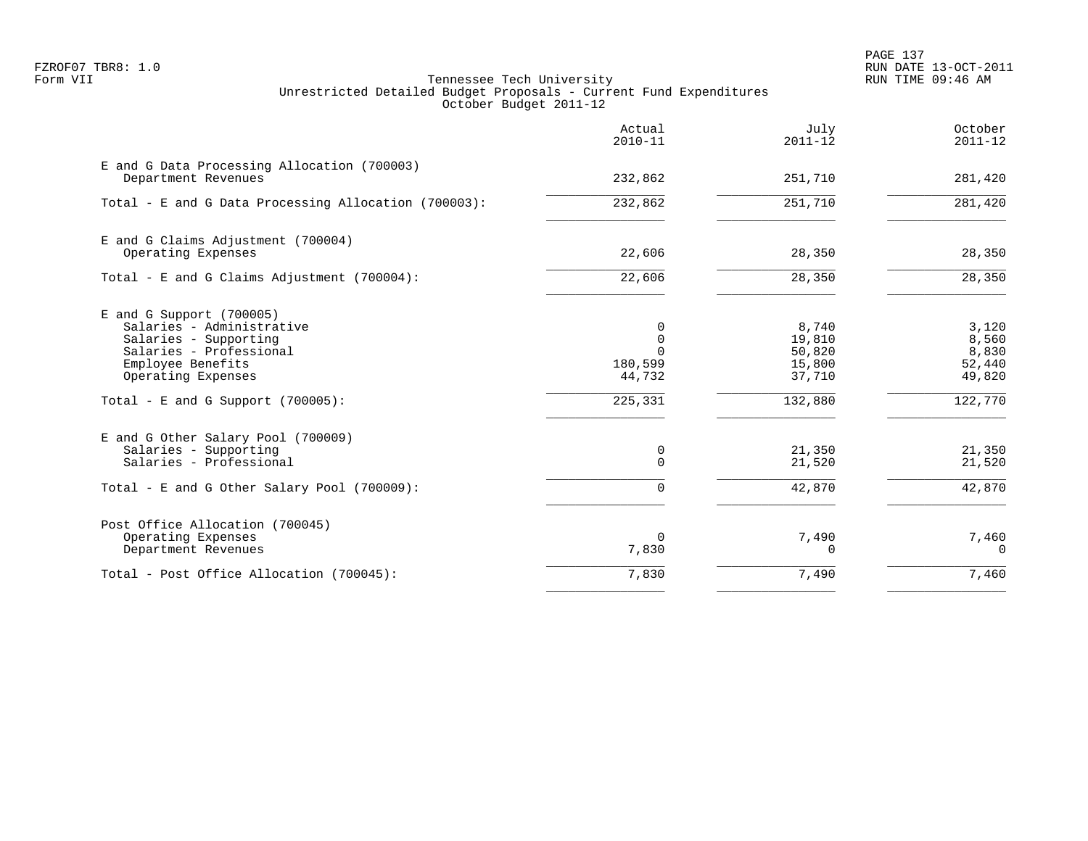PAGE 137 FZROF07 TBR8: 1.0 RUN DATE 13-OCT-2011

|                                                                                                                                                        | Actual<br>$2010 - 11$                          | July<br>$2011 - 12$                           | October<br>$2011 - 12$                      |
|--------------------------------------------------------------------------------------------------------------------------------------------------------|------------------------------------------------|-----------------------------------------------|---------------------------------------------|
| E and G Data Processing Allocation (700003)<br>Department Revenues                                                                                     | 232,862                                        | 251,710                                       | 281,420                                     |
| Total - E and G Data Processing Allocation (700003):                                                                                                   | 232,862                                        | 251,710                                       | 281,420                                     |
| E and G Claims Adjustment (700004)<br>Operating Expenses                                                                                               | 22,606                                         | 28,350                                        | 28,350                                      |
| Total - E and G Claims Adjustment $(700004)$ :                                                                                                         | 22,606                                         | 28,350                                        | 28,350                                      |
| $E$ and G Support (700005)<br>Salaries - Administrative<br>Salaries - Supporting<br>Salaries - Professional<br>Employee Benefits<br>Operating Expenses | 0<br>$\Omega$<br>$\Omega$<br>180,599<br>44,732 | 8,740<br>19,810<br>50,820<br>15,800<br>37,710 | 3,120<br>8,560<br>8,830<br>52,440<br>49,820 |
| Total - E and G Support $(700005)$ :                                                                                                                   | 225,331                                        | 132,880                                       | 122,770                                     |
| E and G Other Salary Pool (700009)<br>Salaries - Supporting<br>Salaries - Professional                                                                 | 0<br>$\Omega$                                  | 21,350<br>21,520                              | 21,350<br>21,520                            |
| Total - E and G Other Salary Pool (700009):                                                                                                            | 0                                              | 42,870                                        | 42,870                                      |
| Post Office Allocation (700045)<br>Operating Expenses<br>Department Revenues                                                                           | 0<br>7,830                                     | 7,490<br>0                                    | 7,460<br>$\Omega$                           |
| Total - Post Office Allocation (700045):                                                                                                               | 7,830                                          | 7,490                                         | 7,460                                       |
|                                                                                                                                                        |                                                |                                               |                                             |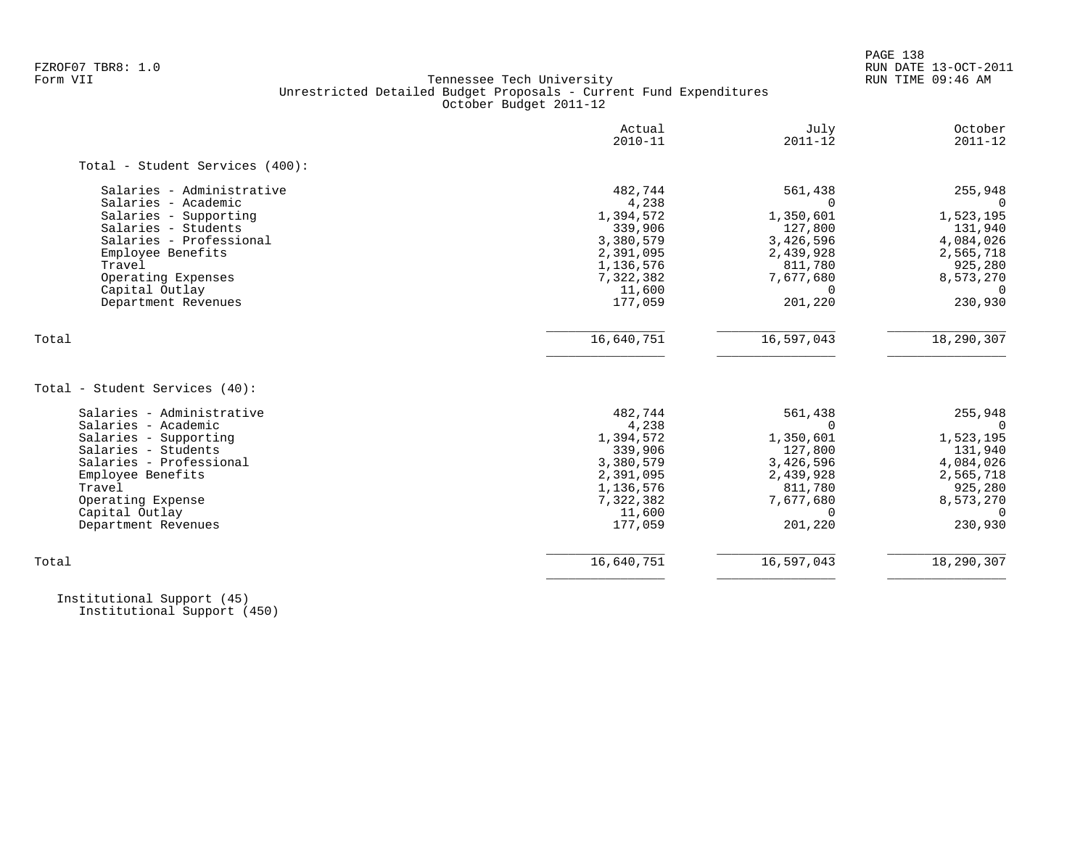PAGE 138

# FZROF07 TBR8: 1.0 RUN DATE 13-OCT-2011 Tennessee Tech University Unrestricted Detailed Budget Proposals - Current Fund Expenditures October Budget 2011-12

|                                       | Actual<br>$2010 - 11$ | July<br>$2011 - 12$ | October<br>$2011 - 12$ |
|---------------------------------------|-----------------------|---------------------|------------------------|
| Total - Student Services (400):       |                       |                     |                        |
| Salaries - Administrative             | 482,744               | 561,438             | 255,948                |
| Salaries - Academic                   | 4,238                 |                     | $\Omega$               |
| Salaries - Supporting                 | 1,394,572             | 1,350,601           | 1,523,195              |
| Salaries - Students                   | 339,906               | 127,800             | 131,940                |
| Salaries - Professional               | 3,380,579             | 3,426,596           | 4,084,026              |
| Employee Benefits                     | 2,391,095             | 2,439,928           | 2,565,718              |
| Travel                                | 1,136,576             | 811,780             | 925,280                |
| Operating Expenses                    | 7,322,382             | 7,677,680           | 8,573,270              |
| Capital Outlay                        | 11,600                |                     | $\Omega$               |
| Department Revenues                   | 177,059               | 201,220             | 230,930                |
| Total                                 | 16,640,751            | 16,597,043          | 18,290,307             |
| Total - Student Services (40):        |                       |                     |                        |
| Salaries - Administrative             | 482,744               | 561,438             | 255,948                |
| Salaries - Academic                   | 4,238                 | $\Omega$            | $\overline{0}$         |
| Salaries - Supporting                 | 1,394,572             | 1,350,601           | 1,523,195              |
| Salaries - Students                   | 339,906               | 127,800             | 131,940                |
| Salaries - Professional               | 3,380,579             | 3,426,596           | 4,084,026              |
| Employee Benefits                     | 2,391,095             | 2,439,928           | 2,565,718              |
| Travel                                | 1,136,576             | 811,780             | 925,280                |
| Operating Expense                     | 7,322,382             | 7,677,680           | 8,573,270              |
|                                       |                       | $\Omega$            |                        |
|                                       | 11,600                |                     | $\Omega$               |
| Capital Outlay<br>Department Revenues | 177,059               | 201,220             | 230,930                |

 Institutional Support (45) Institutional Support (450)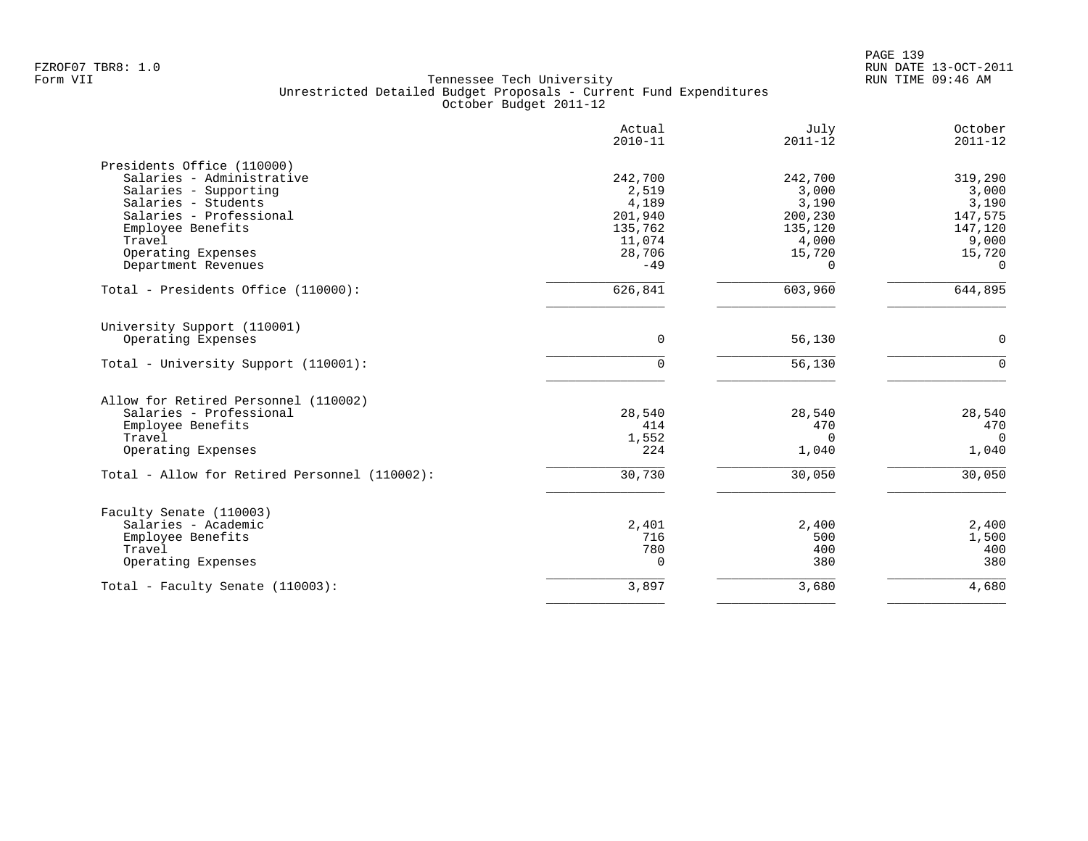|                                               | Actual<br>$2010 - 11$ | July<br>$2011 - 12$ | October<br>$2011 - 12$ |
|-----------------------------------------------|-----------------------|---------------------|------------------------|
| Presidents Office (110000)                    |                       |                     |                        |
| Salaries - Administrative                     | 242,700               | 242,700             | 319,290                |
| Salaries - Supporting                         | 2,519                 | 3,000               | 3,000                  |
| Salaries - Students                           | 4,189                 | 3,190               | 3,190                  |
| Salaries - Professional                       | 201,940               | 200,230             | 147,575                |
| Employee Benefits                             | 135,762               | 135,120             | 147,120                |
| Travel                                        | 11,074                | 4,000               | 9,000                  |
| Operating Expenses                            | 28,706                | 15,720              | 15,720                 |
| Department Revenues                           | $-49$                 | $\Omega$            | $\Omega$               |
| Total - Presidents Office (110000):           | 626,841               | 603,960             | 644,895                |
| University Support (110001)                   |                       |                     |                        |
| Operating Expenses                            | $\overline{0}$        | 56,130              | $\mathbf 0$            |
| Total - University Support (110001):          | $\Omega$              | 56,130              | $\mathbf 0$            |
| Allow for Retired Personnel (110002)          |                       |                     |                        |
| Salaries - Professional                       | 28,540                | 28,540              | 28,540                 |
| Employee Benefits                             | 414                   | 470                 | 470                    |
| Travel                                        | 1,552                 | $\Omega$            | $\overline{0}$         |
| Operating Expenses                            | 224                   | 1,040               | 1,040                  |
| Total - Allow for Retired Personnel (110002): | 30,730                | 30,050              | 30,050                 |
| Faculty Senate (110003)                       |                       |                     |                        |
| Salaries - Academic                           | 2,401                 | 2,400               | 2,400                  |
| Employee Benefits                             | 716                   | 500                 | 1,500                  |
| Travel                                        | 780                   | 400                 | 400                    |
| Operating Expenses                            | $\Omega$              | 380                 | 380                    |
| Total - Faculty Senate (110003):              | 3,897                 | 3,680               | 4,680                  |
|                                               |                       |                     |                        |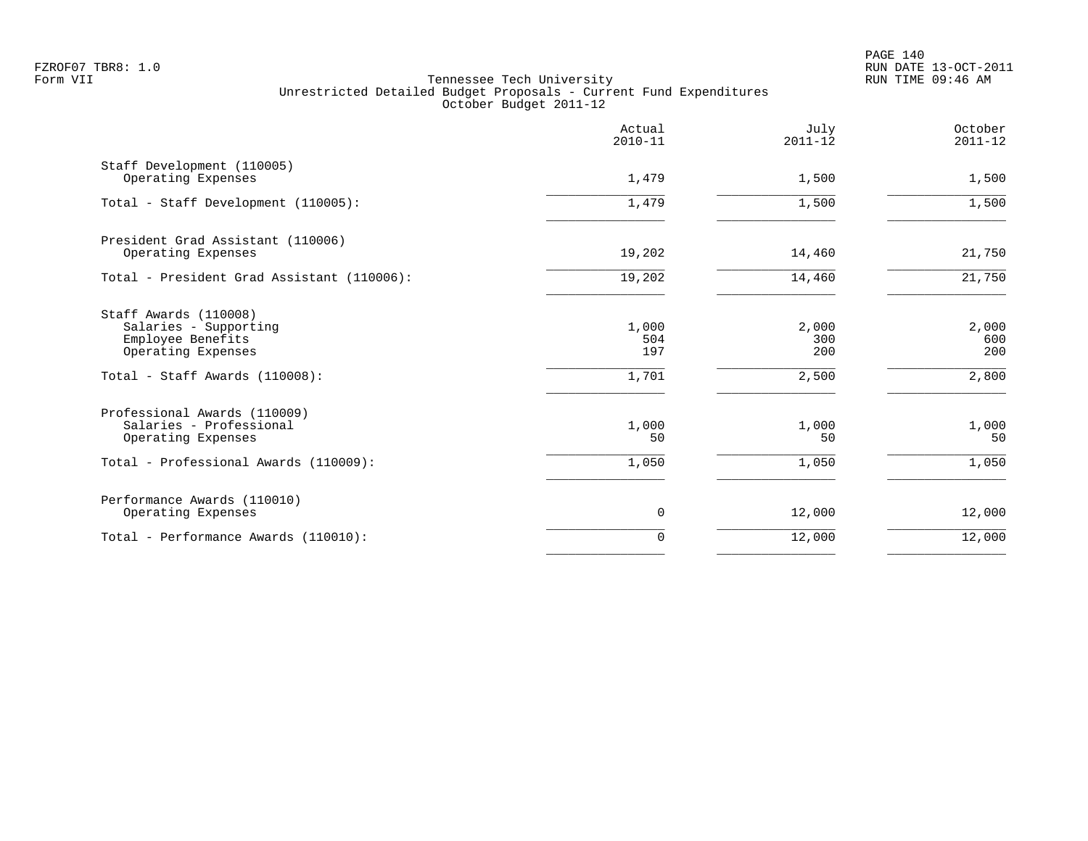PAGE 140 FZROF07 TBR8: 1.0 RUN DATE 13-OCT-2011

|                                                                                                                             | Actual<br>$2010 - 11$        | July<br>$2011 - 12$          | October<br>$2011 - 12$       |
|-----------------------------------------------------------------------------------------------------------------------------|------------------------------|------------------------------|------------------------------|
| Staff Development (110005)<br>Operating Expenses                                                                            | 1,479                        | 1,500                        | 1,500                        |
| Total - Staff Development (110005):                                                                                         | 1,479                        | 1,500                        | 1,500                        |
| President Grad Assistant (110006)<br>Operating Expenses                                                                     | 19,202                       | 14,460                       | 21,750                       |
| Total - President Grad Assistant (110006):                                                                                  | 19,202                       | 14,460                       | 21,750                       |
| Staff Awards (110008)<br>Salaries - Supporting<br>Employee Benefits<br>Operating Expenses<br>Total - Staff Awards (110008): | 1,000<br>504<br>197<br>1,701 | 2,000<br>300<br>200<br>2,500 | 2,000<br>600<br>200<br>2,800 |
| Professional Awards (110009)<br>Salaries - Professional<br>Operating Expenses<br>Total - Professional Awards (110009):      | 1,000<br>50<br>1,050         | 1,000<br>50<br>1,050         | 1,000<br>50<br>1,050         |
| Performance Awards (110010)<br>Operating Expenses                                                                           | 0                            | 12,000                       | 12,000                       |
| Total - Performance Awards (110010):                                                                                        | $\Omega$                     | 12,000                       | 12,000                       |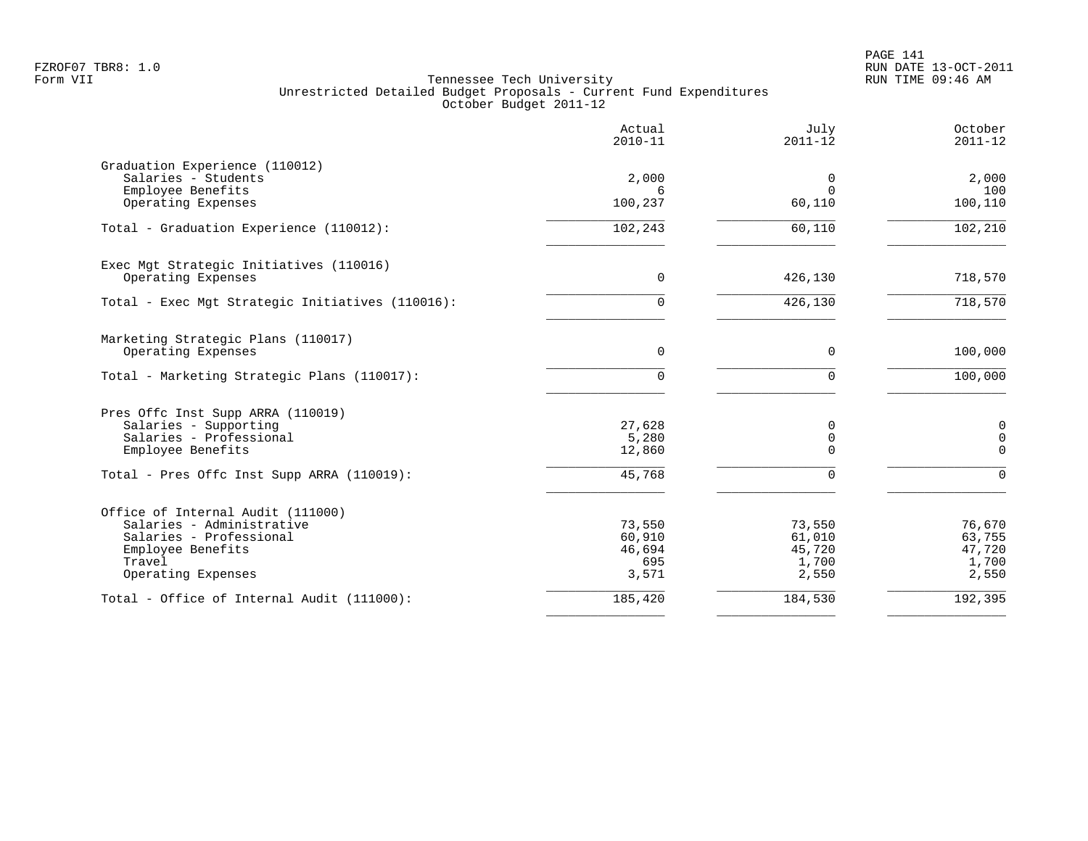|                                                                                                                                                          | Actual<br>$2010 - 11$                      | July<br>$2011 - 12$                          | October<br>$2011 - 12$                                        |
|----------------------------------------------------------------------------------------------------------------------------------------------------------|--------------------------------------------|----------------------------------------------|---------------------------------------------------------------|
| Graduation Experience (110012)<br>Salaries - Students<br>Employee Benefits<br>Operating Expenses                                                         | 2,000<br>б.<br>100,237                     | 0<br>$\Omega$<br>60,110                      | 2,000<br>100<br>100,110                                       |
| Total - Graduation Experience (110012):                                                                                                                  | 102,243                                    | 60,110                                       | 102,210                                                       |
| Exec Mgt Strategic Initiatives (110016)<br>Operating Expenses                                                                                            | $\overline{0}$                             | 426,130                                      | 718,570                                                       |
| Total - Exec Mgt Strategic Initiatives (110016):                                                                                                         | $\Omega$                                   | 426,130                                      | 718,570                                                       |
| Marketing Strategic Plans (110017)<br>Operating Expenses                                                                                                 | $\mathbf 0$                                | $\mathbf 0$                                  | 100,000                                                       |
| Total - Marketing Strategic Plans (110017):                                                                                                              | $\Omega$                                   | $\Omega$                                     | 100,000                                                       |
| Pres Offc Inst Supp ARRA (110019)<br>Salaries - Supporting<br>Salaries - Professional<br>Employee Benefits<br>Total - Pres Offc Inst Supp ARRA (110019): | 27,628<br>5,280<br>12,860<br>45,768        | 0<br>$\mathbf 0$<br>$\Omega$<br>$\Omega$     | $\mathsf{O}\xspace$<br>$\mathsf 0$<br>$\mathbf 0$<br>$\Omega$ |
| Office of Internal Audit (111000)<br>Salaries - Administrative<br>Salaries - Professional<br>Employee Benefits<br>Travel<br>Operating Expenses           | 73,550<br>60,910<br>46,694<br>695<br>3,571 | 73,550<br>61,010<br>45,720<br>1,700<br>2,550 | 76,670<br>63,755<br>47,720<br>1,700<br>2,550                  |
| Total - Office of Internal Audit (111000):                                                                                                               | 185,420                                    | 184,530                                      | 192,395                                                       |
|                                                                                                                                                          |                                            |                                              |                                                               |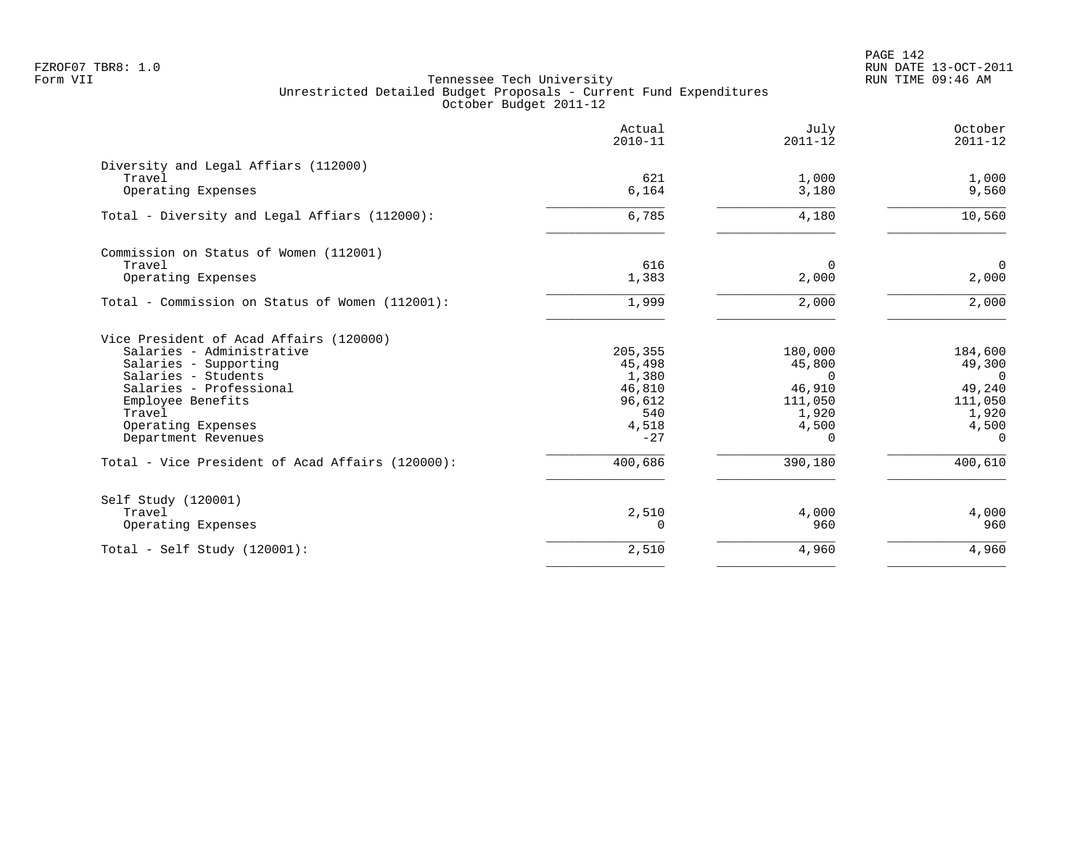PAGE 142 FZROF07 TBR8: 1.0 RUN DATE 13-OCT-2011

|                                                  | Actual<br>$2010 - 11$ | July<br>$2011 - 12$ | October<br>$2011 - 12$ |
|--------------------------------------------------|-----------------------|---------------------|------------------------|
| Diversity and Legal Affiars (112000)             |                       |                     |                        |
| Travel                                           | 621                   | 1,000               | 1,000                  |
| Operating Expenses                               | 6,164                 | 3,180               | 9,560                  |
| Total - Diversity and Legal Affiars (112000):    | 6,785                 | 4,180               | 10,560                 |
| Commission on Status of Women (112001)           |                       |                     |                        |
| Travel                                           | 616                   | $\Omega$            | $\mathbf 0$            |
| Operating Expenses                               | 1,383                 | 2,000               | 2,000                  |
| Total - Commission on Status of Women (112001):  | 1,999                 | 2,000               | 2,000                  |
| Vice President of Acad Affairs (120000)          |                       |                     |                        |
| Salaries - Administrative                        | 205,355               | 180,000             | 184,600                |
| Salaries - Supporting                            | 45,498                | 45,800              | 49,300                 |
| Salaries - Students                              | 1,380                 | $\Omega$            | $\Omega$               |
| Salaries - Professional                          | 46,810                | 46,910              | 49,240                 |
| Employee Benefits                                | 96,612                | 111,050             | 111,050                |
| Travel                                           | 540                   | 1,920               | 1,920                  |
| Operating Expenses                               | 4,518                 | 4,500               | 4,500                  |
| Department Revenues                              | $-27$                 | $\Omega$            | $\Omega$               |
| Total - Vice President of Acad Affairs (120000): | 400,686               | 390,180             | 400,610                |
| Self Study (120001)                              |                       |                     |                        |
| Travel                                           | 2,510                 | 4,000               | 4,000                  |
| Operating Expenses                               | 0                     | 960                 | 960                    |
| Total - Self Study $(120001)$ :                  | 2,510                 | 4,960               | 4,960                  |
|                                                  |                       |                     |                        |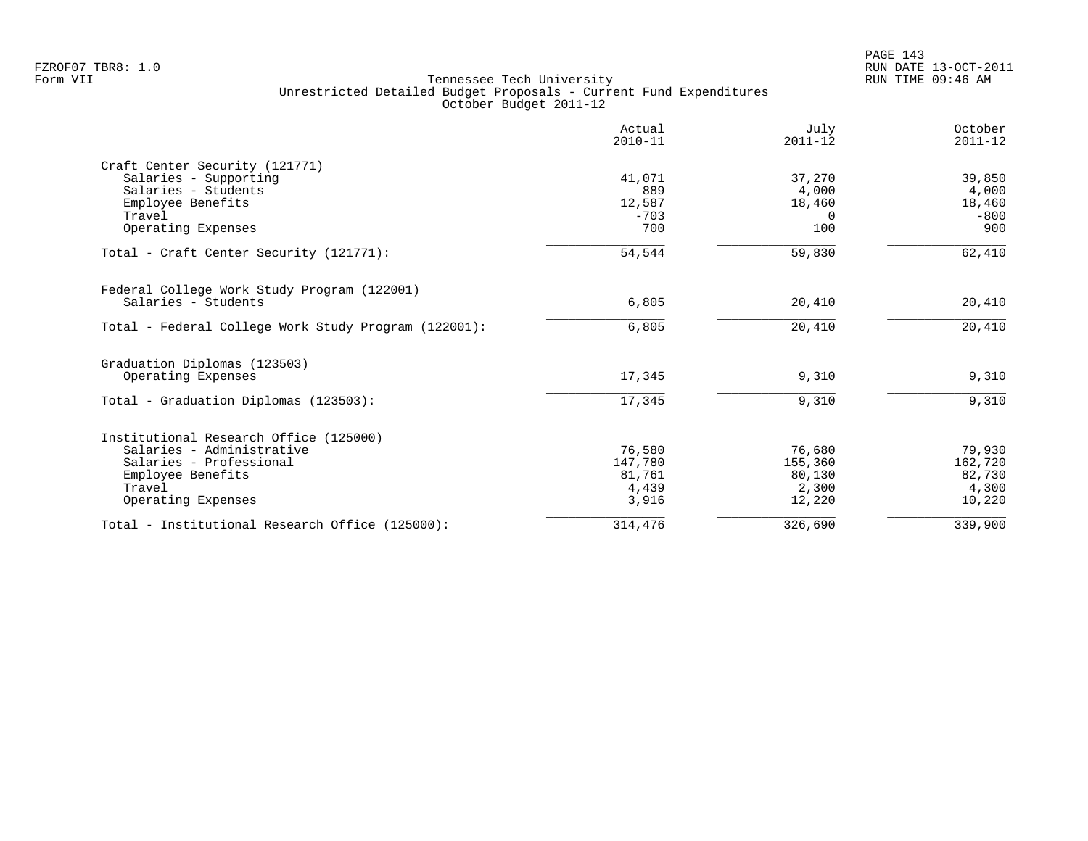PAGE 143 FZROF07 TBR8: 1.0 RUN DATE 13-OCT-2011

|                                                      | Actual<br>$2010 - 11$ | July<br>$2011 - 12$ | October<br>$2011 - 12$ |
|------------------------------------------------------|-----------------------|---------------------|------------------------|
| Craft Center Security (121771)                       |                       |                     |                        |
| Salaries - Supporting                                | 41,071                | 37,270              | 39,850                 |
| Salaries - Students                                  | 889                   | 4,000               | 4,000                  |
| Employee Benefits                                    | 12,587                | 18,460              | 18,460                 |
| Travel                                               | $-703$                | $\Omega$            | $-800$                 |
| Operating Expenses                                   | 700                   | 100                 | 900                    |
| Total - Craft Center Security (121771):              | 54,544                | 59,830              | 62,410                 |
| Federal College Work Study Program (122001)          |                       |                     |                        |
| Salaries - Students                                  | 6,805                 | 20,410              | 20,410                 |
| Total - Federal College Work Study Program (122001): | 6,805                 | 20,410              | 20,410                 |
| Graduation Diplomas (123503)                         |                       |                     |                        |
| Operating Expenses                                   | 17,345                | 9,310               | 9,310                  |
| Total - Graduation Diplomas (123503):                | 17,345                | 9,310               | 9,310                  |
| Institutional Research Office (125000)               |                       |                     |                        |
| Salaries - Administrative                            | 76,580                | 76,680              | 79,930                 |
| Salaries - Professional                              | 147,780               | 155,360             | 162,720                |
| Employee Benefits                                    | 81,761                | 80,130              | 82,730                 |
| Travel                                               | 4,439                 | 2,300               | 4,300                  |
| Operating Expenses                                   | 3,916                 | 12,220              | 10,220                 |
| Total - Institutional Research Office (125000):      | 314,476               | 326,690             | 339,900                |
|                                                      |                       |                     |                        |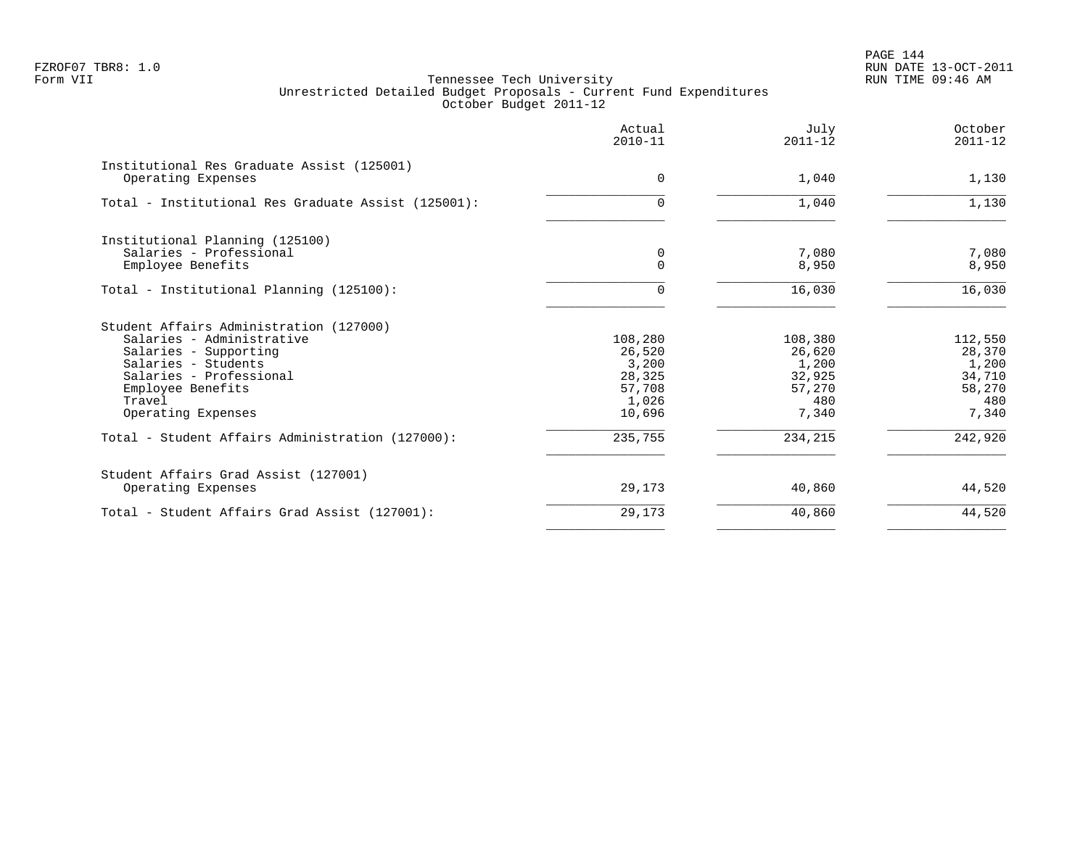PAGE 144 FZROF07 TBR8: 1.0 RUN DATE 13-OCT-2011

|                                                                  | Actual<br>$2010 - 11$ | July<br>$2011 - 12$ | October<br>$2011 - 12$ |
|------------------------------------------------------------------|-----------------------|---------------------|------------------------|
| Institutional Res Graduate Assist (125001)<br>Operating Expenses | $\Omega$              | 1,040               | 1,130                  |
| Total - Institutional Res Graduate Assist (125001):              | $\Omega$              | 1,040               | 1,130                  |
| Institutional Planning (125100)                                  |                       |                     |                        |
| Salaries - Professional<br>Employee Benefits                     | 0<br>$\Omega$         | 7,080<br>8,950      | 7,080<br>8,950         |
| Total - Institutional Planning (125100):                         | $\cap$                | 16,030              | 16,030                 |
| Student Affairs Administration (127000)                          |                       |                     |                        |
| Salaries - Administrative                                        | 108,280               | 108,380             | 112,550                |
| Salaries - Supporting                                            | 26,520                | 26,620              | 28,370                 |
| Salaries - Students<br>Salaries - Professional                   | 3,200                 | 1,200               | 1,200                  |
| Employee Benefits                                                | 28,325<br>57,708      | 32,925<br>57,270    | 34,710<br>58,270       |
| Travel                                                           | 1,026                 | 480                 | 480                    |
| Operating Expenses                                               | 10,696                | 7,340               | 7,340                  |
| Total - Student Affairs Administration (127000):                 | 235,755               | 234,215             | 242,920                |
| Student Affairs Grad Assist (127001)                             |                       |                     |                        |
| Operating Expenses                                               | 29,173                | 40,860              | 44,520                 |
| Total - Student Affairs Grad Assist (127001):                    | 29,173                | 40,860              | 44,520                 |
|                                                                  |                       |                     |                        |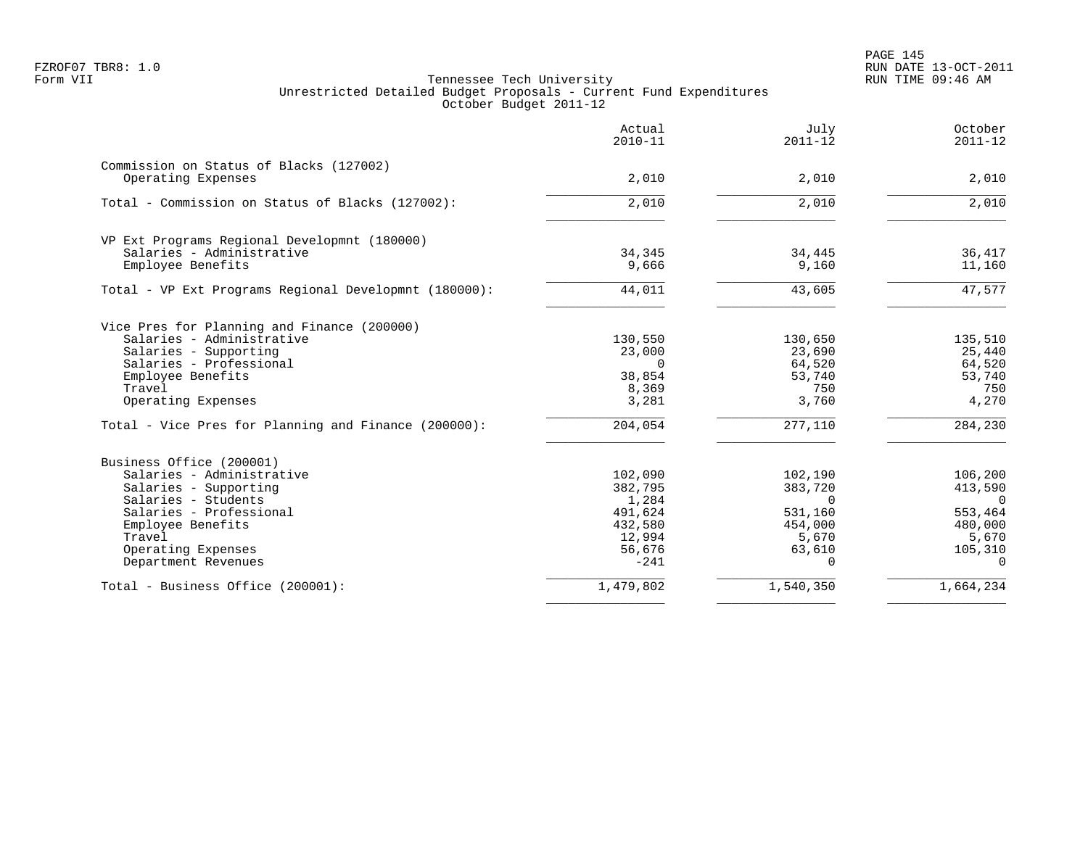|                                                               | Actual<br>$2010 - 11$ | July<br>$2011 - 12$ | October<br>$2011 - 12$ |
|---------------------------------------------------------------|-----------------------|---------------------|------------------------|
| Commission on Status of Blacks (127002)<br>Operating Expenses | 2,010                 | 2,010               | 2,010                  |
|                                                               |                       |                     |                        |
| Total - Commission on Status of Blacks (127002):              | 2,010                 | 2,010               | 2,010                  |
| VP Ext Programs Regional Developmnt (180000)                  |                       |                     |                        |
| Salaries - Administrative                                     | 34,345                | 34,445              | 36,417                 |
| Employee Benefits                                             | 9,666                 | 9,160               | 11,160                 |
| Total - VP Ext Programs Regional Developmnt (180000):         | 44,011                | 43,605              | 47,577                 |
| Vice Pres for Planning and Finance (200000)                   |                       |                     |                        |
| Salaries - Administrative                                     | 130,550               | 130,650             | 135,510                |
| Salaries - Supporting                                         | 23,000                | 23,690              | 25,440                 |
| Salaries - Professional                                       | $\Omega$              | 64,520              | 64,520                 |
| Employee Benefits                                             | 38,854                | 53,740              | 53,740                 |
| Travel<br>Operating Expenses                                  | 8,369<br>3,281        | 750<br>3,760        | 750<br>4,270           |
| Total - Vice Pres for Planning and Finance (200000):          | 204,054               | 277,110             | 284,230                |
|                                                               |                       |                     |                        |
| Business Office (200001)<br>Salaries - Administrative         | 102,090               | 102,190             | 106,200                |
| Salaries - Supporting                                         | 382,795               | 383,720             | 413,590                |
| Salaries - Students                                           | 1,284                 | $\Omega$            | $\bigcap$              |
| Salaries - Professional                                       | 491,624               | 531,160             | 553,464                |
| Employee Benefits                                             | 432,580               | 454,000             | 480,000                |
| Travel                                                        | 12,994                | 5,670               | 5,670                  |
| Operating Expenses                                            | 56,676                | 63,610              | 105,310                |
| Department Revenues                                           | $-241$                | $\Omega$            | $\Omega$               |
| Total - Business Office (200001):                             | 1,479,802             | 1,540,350           | 1,664,234              |
|                                                               |                       |                     |                        |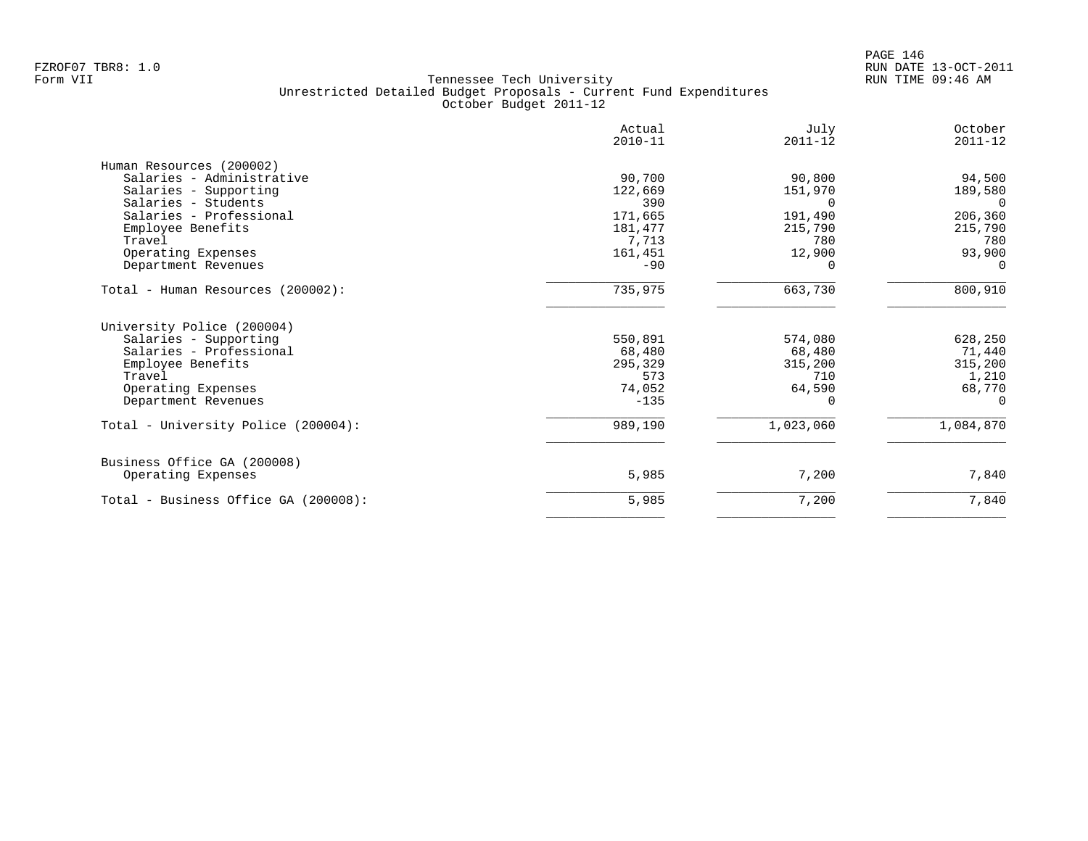|                                      | Actual<br>$2010 - 11$ | July<br>$2011 - 12$ | October<br>$2011 - 12$ |
|--------------------------------------|-----------------------|---------------------|------------------------|
| Human Resources (200002)             |                       |                     |                        |
| Salaries - Administrative            | 90,700                | 90,800              | 94,500                 |
| Salaries - Supporting                | 122,669               | 151,970             | 189,580                |
| Salaries - Students                  | 390                   | ∩                   | $\Omega$               |
| Salaries - Professional              | 171,665               | 191,490             | 206,360                |
| Employee Benefits                    | 181,477               | 215,790             | 215,790                |
| Travel                               | 7,713                 | 780                 | 780                    |
| Operating Expenses                   | 161,451               | 12,900              | 93,900                 |
| Department Revenues                  | $-90$                 |                     | $\Omega$               |
| Total - Human Resources (200002):    | 735,975               | 663,730             | 800,910                |
| University Police (200004)           |                       |                     |                        |
| Salaries - Supporting                | 550,891               | 574,080             | 628,250                |
| Salaries - Professional              | 68,480                | 68,480              | 71,440                 |
| Employee Benefits                    | 295,329               | 315,200             | 315,200                |
| Travel                               | 573                   | 710                 | 1,210                  |
| Operating Expenses                   | 74,052                | 64,590              | 68,770                 |
| Department Revenues                  | $-135$                |                     | $\Omega$               |
| Total - University Police (200004):  | 989,190               | 1,023,060           | 1,084,870              |
| Business Office GA (200008)          |                       |                     |                        |
| Operating Expenses                   | 5,985                 | 7,200               | 7,840                  |
| Total - Business Office GA (200008): | 5,985                 | 7,200               | 7,840                  |
|                                      |                       |                     |                        |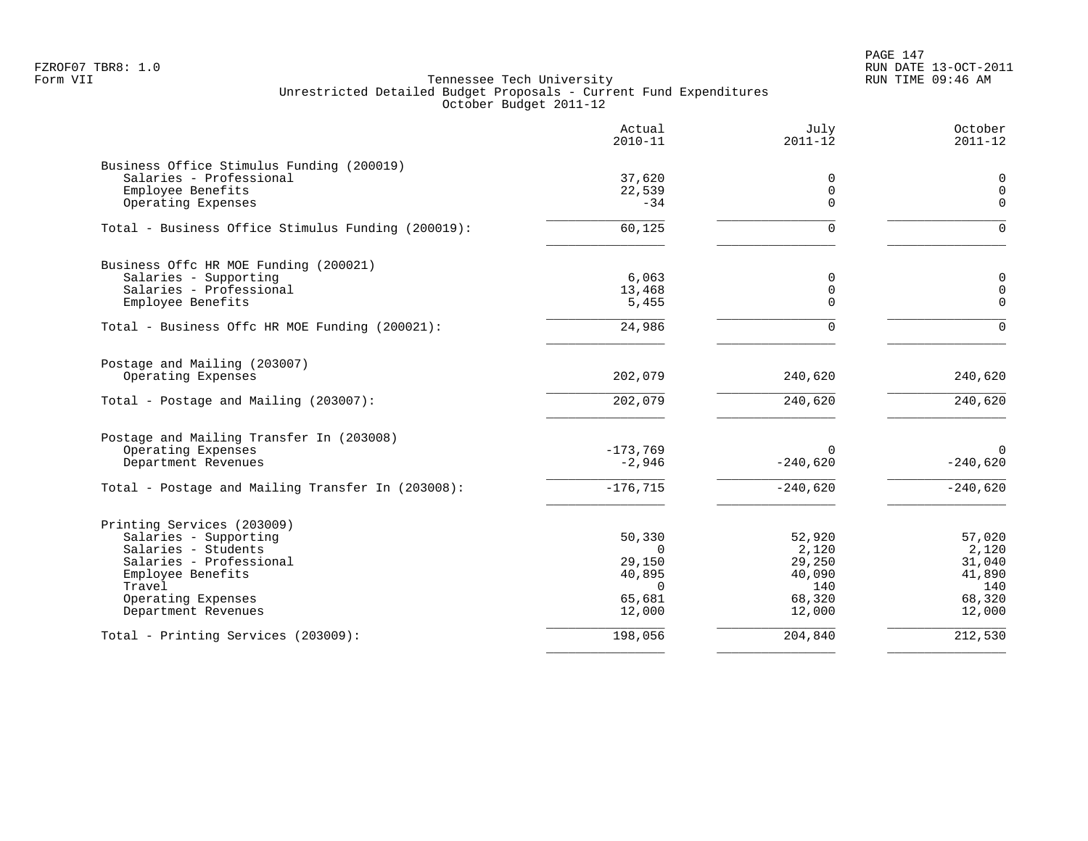PAGE 147 FZROF07 TBR8: 1.0 RUN DATE 13-OCT-2011

|                                                                                                                                                                                   | Actual<br>$2010 - 11$                                                  | July<br>$2011 - 12$                                            | October<br>$2011 - 12$                                         |
|-----------------------------------------------------------------------------------------------------------------------------------------------------------------------------------|------------------------------------------------------------------------|----------------------------------------------------------------|----------------------------------------------------------------|
| Business Office Stimulus Funding (200019)<br>Salaries - Professional<br>Employee Benefits<br>Operating Expenses                                                                   | 37,620<br>22,539<br>$-34$                                              | 0<br>$\mathbf 0$<br>$\Omega$                                   | 0<br>$\mathbf 0$<br>$\Omega$                                   |
| Total - Business Office Stimulus Funding (200019):                                                                                                                                | 60,125                                                                 | $\Omega$                                                       | $\Omega$                                                       |
| Business Offc HR MOE Funding (200021)<br>Salaries - Supporting<br>Salaries - Professional                                                                                         | 6,063<br>13,468                                                        | 0<br>$\mathbf 0$                                               | $\mathbf 0$<br>$\mathsf{O}\xspace$<br>$\mathbf 0$              |
| Employee Benefits<br>Total - Business Offc HR MOE Funding (200021):                                                                                                               | 5,455<br>24,986                                                        | 0<br>$\Omega$                                                  | $\Omega$                                                       |
| Postage and Mailing (203007)<br>Operating Expenses<br>Total - Postage and Mailing (203007):                                                                                       | 202,079<br>202,079                                                     | 240,620<br>240,620                                             | 240,620<br>240,620                                             |
| Postage and Mailing Transfer In (203008)<br>Operating Expenses<br>Department Revenues                                                                                             | $-173,769$<br>$-2,946$                                                 | 0<br>$-240,620$                                                | $\mathbf 0$<br>$-240,620$                                      |
| Total - Postage and Mailing Transfer In (203008):                                                                                                                                 | $-176, 715$                                                            | $-240,620$                                                     | $-240,620$                                                     |
| Printing Services (203009)<br>Salaries - Supporting<br>Salaries - Students<br>Salaries - Professional<br>Employee Benefits<br>Travel<br>Operating Expenses<br>Department Revenues | 50,330<br>$\Omega$<br>29,150<br>40,895<br>$\Omega$<br>65,681<br>12,000 | 52,920<br>2,120<br>29,250<br>40,090<br>140<br>68,320<br>12,000 | 57,020<br>2,120<br>31,040<br>41,890<br>140<br>68,320<br>12,000 |
| Total - Printing Services (203009):                                                                                                                                               | 198,056                                                                | 204,840                                                        | 212,530                                                        |
|                                                                                                                                                                                   |                                                                        |                                                                |                                                                |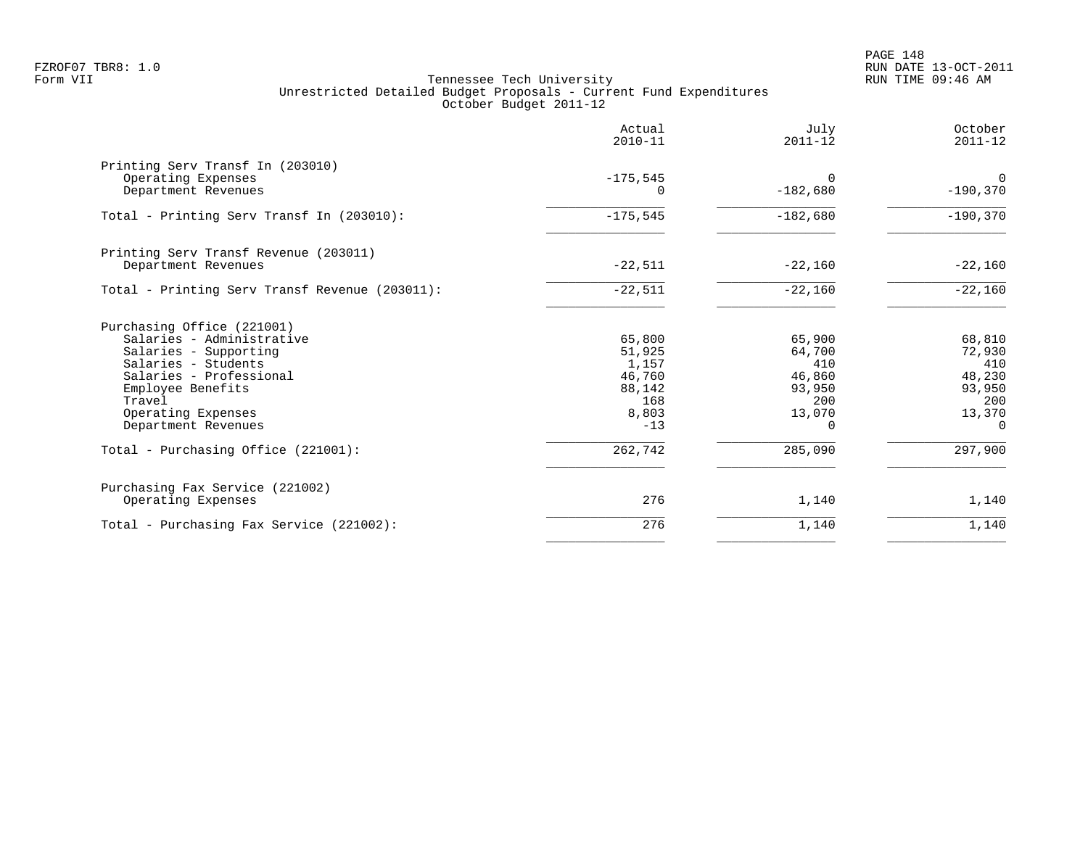|                                                | Actual<br>$2010 - 11$ | July<br>$2011 - 12$ | October<br>$2011 - 12$ |
|------------------------------------------------|-----------------------|---------------------|------------------------|
| Printing Serv Transf In (203010)               | $-175,545$            | $\Omega$            | $\overline{0}$         |
| Operating Expenses<br>Department Revenues      | $\Omega$              | $-182,680$          | $-190,370$             |
| Total - Printing Serv Transf In (203010):      | $-175,545$            | $-182,680$          | $-190,370$             |
| Printing Serv Transf Revenue (203011)          |                       |                     |                        |
| Department Revenues                            | $-22,511$             | $-22,160$           | $-22,160$              |
| Total - Printing Serv Transf Revenue (203011): | $-22,511$             | $-22,160$           | $-22,160$              |
| Purchasing Office (221001)                     |                       |                     |                        |
| Salaries - Administrative                      | 65,800                | 65,900              | 68,810                 |
| Salaries - Supporting                          | 51,925                | 64,700              | 72,930                 |
| Salaries - Students<br>Salaries - Professional | 1,157<br>46,760       | 410<br>46,860       | 410<br>48,230          |
| Employee Benefits                              | 88,142                | 93,950              | 93,950                 |
| Travel                                         | 168                   | 200                 | 200                    |
| Operating Expenses                             | 8,803                 | 13,070              | 13,370                 |
| Department Revenues                            | $-13$                 | $\Omega$            | $\Omega$               |
| Total - Purchasing Office (221001):            | 262,742               | 285,090             | 297,900                |
| Purchasing Fax Service (221002)                |                       |                     |                        |
| Operating Expenses                             | 276                   | 1,140               | 1,140                  |
| Total - Purchasing Fax Service (221002):       | 276                   | 1,140               | 1,140                  |
|                                                |                       |                     |                        |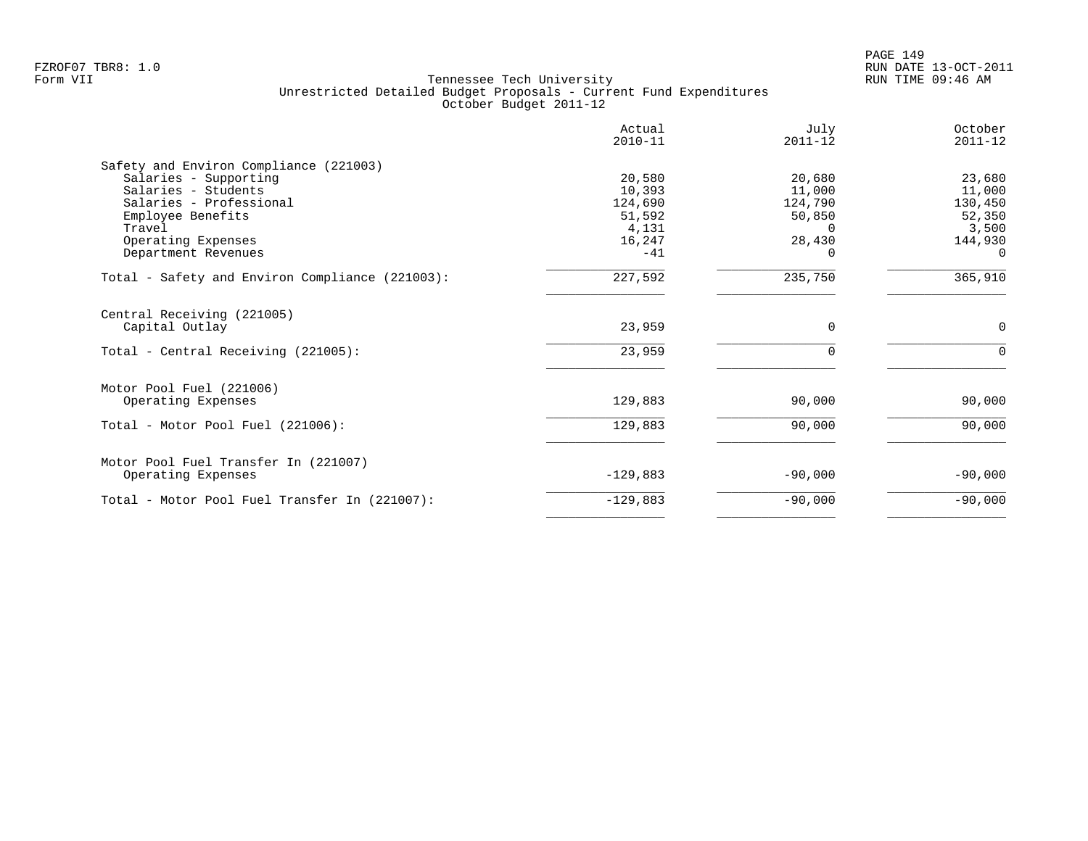|                                                 | Actual<br>$2010 - 11$ | July<br>$2011 - 12$ | October<br>$2011 - 12$ |
|-------------------------------------------------|-----------------------|---------------------|------------------------|
| Safety and Environ Compliance (221003)          |                       |                     |                        |
| Salaries - Supporting                           | 20,580                | 20,680              | 23,680                 |
| Salaries - Students                             | 10,393                | 11,000              | 11,000                 |
| Salaries - Professional                         | 124,690               | 124,790             | 130,450                |
| Employee Benefits                               | 51,592                | 50,850              | 52,350                 |
| Travel                                          | 4,131                 | $\Omega$            | 3,500                  |
| Operating Expenses                              | 16,247                | 28,430              | 144,930                |
| Department Revenues                             | $-41$                 |                     | $\Omega$               |
| Total - Safety and Environ Compliance (221003): | 227,592               | 235,750             | 365,910                |
| Central Receiving (221005)                      |                       |                     |                        |
| Capital Outlay                                  | 23,959                | $\Omega$            | $\mathbf 0$            |
| Total - Central Receiving (221005):             | 23,959                | $\Omega$            | $\Omega$               |
| Motor Pool Fuel (221006)                        |                       |                     |                        |
| Operating Expenses                              | 129,883               | 90,000              | 90,000                 |
| Total - Motor Pool Fuel (221006):               | 129,883               | 90,000              | 90,000                 |
|                                                 |                       |                     |                        |
| Motor Pool Fuel Transfer In (221007)            |                       |                     |                        |
| Operating Expenses                              | $-129,883$            | $-90,000$           | $-90,000$              |
| Total - Motor Pool Fuel Transfer In (221007):   | $-129,883$            | $-90,000$           | $-90,000$              |
|                                                 |                       |                     |                        |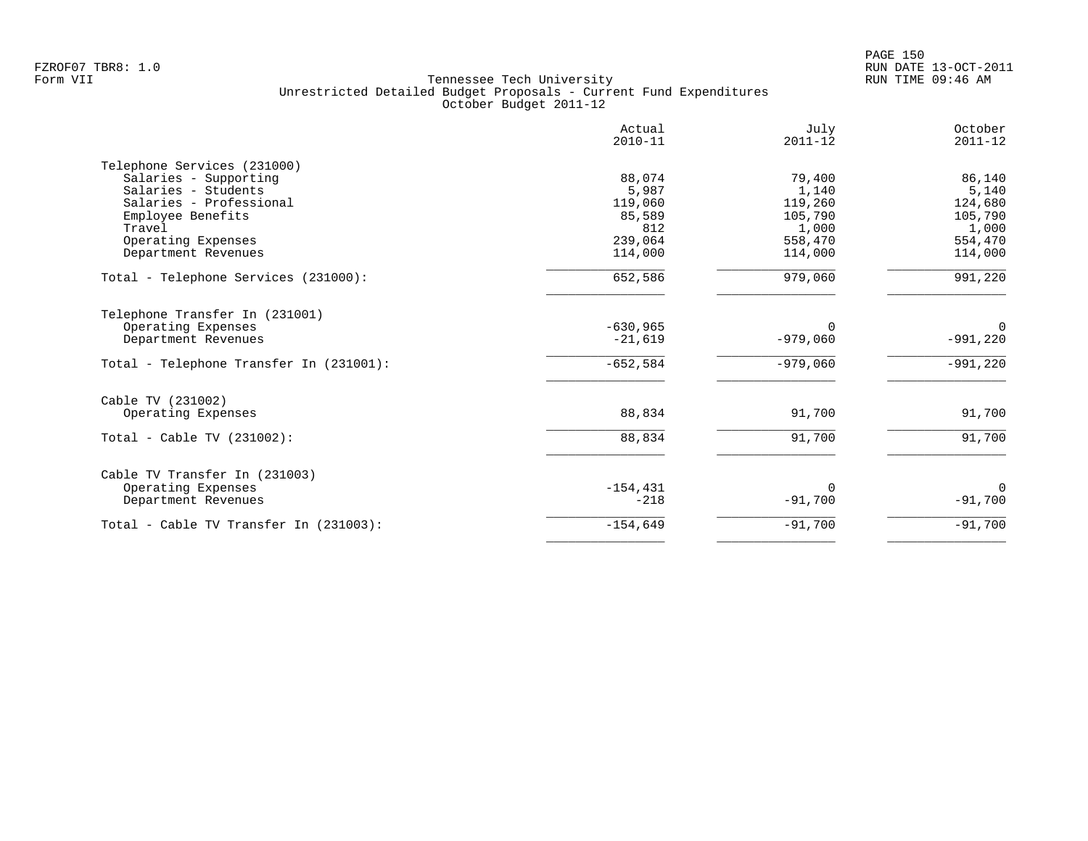|                                         | Actual<br>$2010 - 11$ | July<br>$2011 - 12$ | October<br>$2011 - 12$ |
|-----------------------------------------|-----------------------|---------------------|------------------------|
| Telephone Services (231000)             |                       |                     |                        |
| Salaries - Supporting                   | 88,074                | 79,400              | 86,140                 |
| Salaries - Students                     | 5,987                 | 1,140               | 5,140                  |
| Salaries - Professional                 | 119,060               | 119,260             | 124,680                |
| Employee Benefits                       | 85,589                | 105,790             | 105,790                |
| Travel                                  | 812                   | 1,000               | 1,000                  |
| Operating Expenses                      | 239,064               | 558,470             | 554,470                |
| Department Revenues                     | 114,000               | 114,000             | 114,000                |
| Total - Telephone Services (231000):    | 652,586               | 979,060             | 991,220                |
| Telephone Transfer In (231001)          |                       |                     |                        |
| Operating Expenses                      | $-630,965$            | $\Omega$            | 0                      |
| Department Revenues                     | $-21,619$             | $-979,060$          | $-991,220$             |
| Total - Telephone Transfer In (231001): | $-652,584$            | $-979,060$          | $-991,220$             |
| Cable TV (231002)                       |                       |                     |                        |
| Operating Expenses                      | 88,834                | 91,700              | 91,700                 |
| Total - Cable TV $(231002)$ :           | 88,834                | 91,700              | 91,700                 |
| Cable TV Transfer In (231003)           |                       |                     |                        |
| Operating Expenses                      | $-154, 431$           | <sup>0</sup>        | $\Omega$               |
| Department Revenues                     | $-218$                | $-91,700$           | $-91,700$              |
| Total - Cable TV Transfer In (231003):  | $-154,649$            | $-91,700$           | $-91,700$              |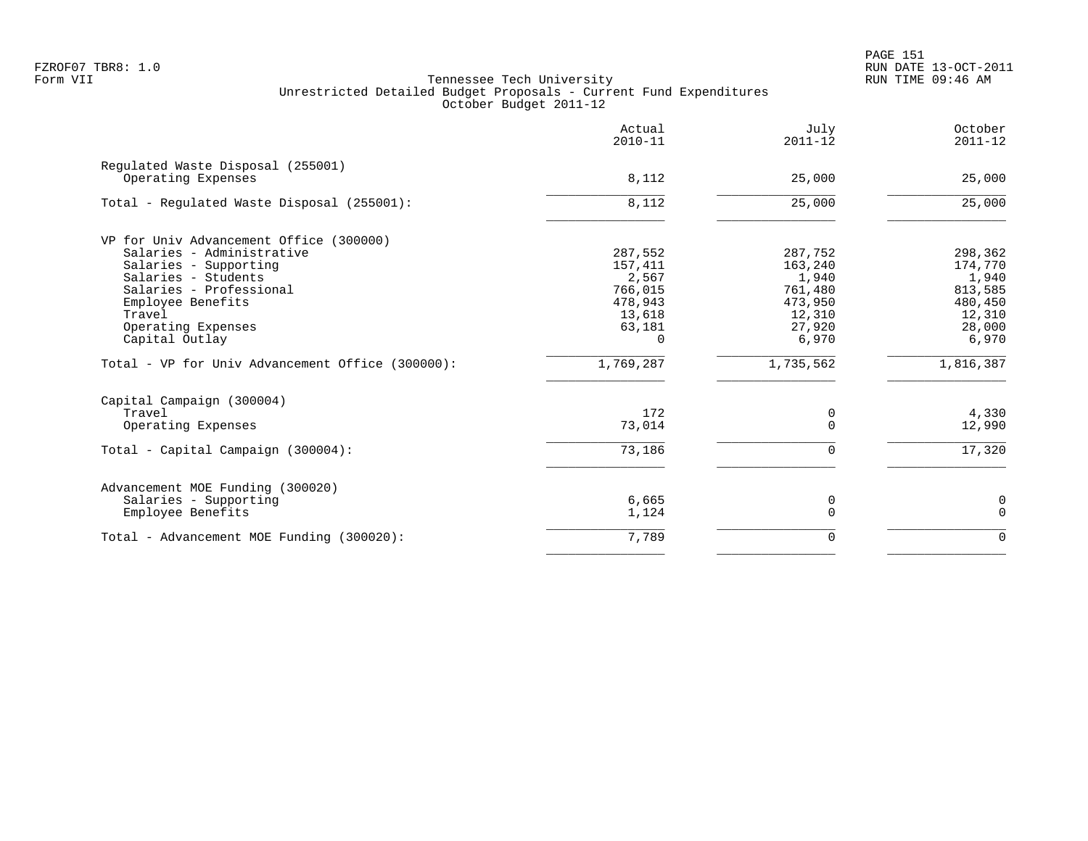PAGE 151 FZROF07 TBR8: 1.0 RUN DATE 13-OCT-2011

|                                                         | Actual<br>$2010 - 11$ | July<br>$2011 - 12$ | October<br>$2011 - 12$ |
|---------------------------------------------------------|-----------------------|---------------------|------------------------|
| Regulated Waste Disposal (255001)<br>Operating Expenses | 8,112                 | 25,000              | 25,000                 |
| Total - Regulated Waste Disposal (255001):              | 8,112                 | 25,000              | 25,000                 |
| VP for Univ Advancement Office (300000)                 |                       |                     |                        |
| Salaries - Administrative                               | 287,552               | 287,752             | 298,362                |
| Salaries - Supporting                                   | 157,411               | 163,240             | 174,770                |
| Salaries - Students<br>Salaries - Professional          | 2,567<br>766,015      | 1,940<br>761,480    | 1,940<br>813,585       |
| Employee Benefits                                       | 478,943               | 473,950             | 480,450                |
| Travel                                                  | 13,618                | 12,310              | 12,310                 |
| Operating Expenses                                      | 63,181                | 27,920              | 28,000                 |
| Capital Outlay                                          | $\Omega$              | 6,970               | 6,970                  |
| Total - VP for Univ Advancement Office (300000):        | 1,769,287             | 1,735,562           | 1,816,387              |
| Capital Campaign (300004)                               |                       |                     |                        |
| Travel                                                  | 172                   | 0                   | 4,330                  |
| Operating Expenses                                      | 73,014                | 0                   | 12,990                 |
| Total - Capital Campaign (300004):                      | 73,186                | $\Omega$            | 17,320                 |
| Advancement MOE Funding (300020)                        |                       |                     |                        |
| Salaries - Supporting                                   | 6,665                 | 0                   | 0                      |
| Employee Benefits                                       | 1,124                 | $\Omega$            | $\mathbf 0$            |
| Total - Advancement MOE Funding (300020):               | 7,789                 | $\Omega$            | $\Omega$               |
|                                                         |                       |                     |                        |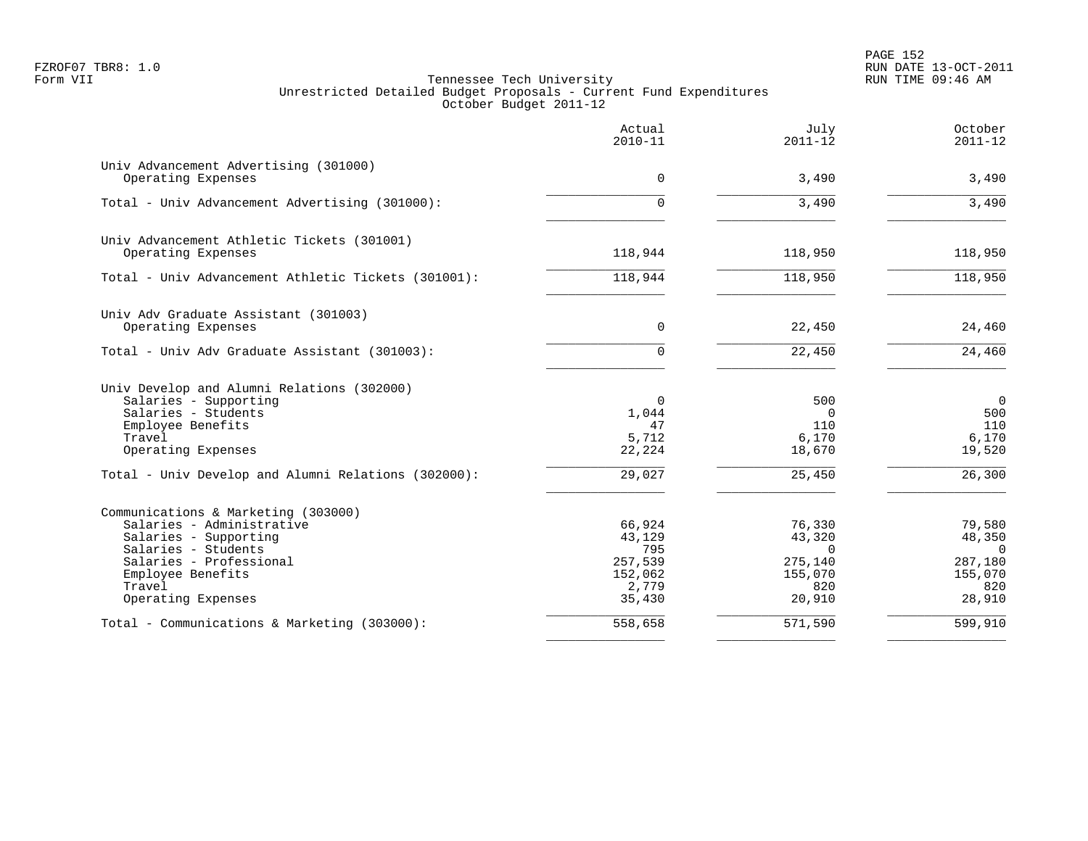PAGE 152 FZROF07 TBR8: 1.0 RUN DATE 13-OCT-2011

|                                                                                                                                                                                                  | Actual<br>$2010 - 11$                                            | July<br>$2011 - 12$                                                 | October<br>$2011 - 12$                                                    |
|--------------------------------------------------------------------------------------------------------------------------------------------------------------------------------------------------|------------------------------------------------------------------|---------------------------------------------------------------------|---------------------------------------------------------------------------|
| Univ Advancement Advertising (301000)<br>Operating Expenses                                                                                                                                      | $\Omega$                                                         | 3,490                                                               | 3,490                                                                     |
| Total - Univ Advancement Advertising (301000):                                                                                                                                                   | 0                                                                | 3,490                                                               | 3,490                                                                     |
| Univ Advancement Athletic Tickets (301001)<br>Operating Expenses                                                                                                                                 | 118,944                                                          | 118,950                                                             | 118,950                                                                   |
| Total - Univ Advancement Athletic Tickets (301001):                                                                                                                                              | 118,944                                                          | 118,950                                                             | 118,950                                                                   |
| Univ Adv Graduate Assistant (301003)<br>Operating Expenses                                                                                                                                       | $\mathbf 0$                                                      | 22,450                                                              | 24,460                                                                    |
| Total - Univ Adv Graduate Assistant (301003):                                                                                                                                                    | 0                                                                | 22,450                                                              | 24,460                                                                    |
| Univ Develop and Alumni Relations (302000)<br>Salaries - Supporting<br>Salaries - Students<br>Employee Benefits<br>Travel<br>Operating Expenses                                                  | 0<br>1,044<br>47<br>5,712<br>22,224                              | 500<br>$\mathbf 0$<br>110<br>6,170<br>18,670                        | $\mathbf 0$<br>500<br>110<br>6,170<br>19,520                              |
| Total - Univ Develop and Alumni Relations (302000):                                                                                                                                              | 29,027                                                           | 25,450                                                              | 26,300                                                                    |
| Communications & Marketing (303000)<br>Salaries - Administrative<br>Salaries - Supporting<br>Salaries - Students<br>Salaries - Professional<br>Employee Benefits<br>Travel<br>Operating Expenses | 66,924<br>43,129<br>795<br>257,539<br>152,062<br>2,779<br>35,430 | 76,330<br>43,320<br>$\Omega$<br>275,140<br>155,070<br>820<br>20,910 | 79,580<br>48,350<br>$\overline{0}$<br>287,180<br>155,070<br>820<br>28,910 |
| Total - Communications & Marketing (303000):                                                                                                                                                     | 558,658                                                          | 571,590                                                             | 599,910                                                                   |
|                                                                                                                                                                                                  |                                                                  |                                                                     |                                                                           |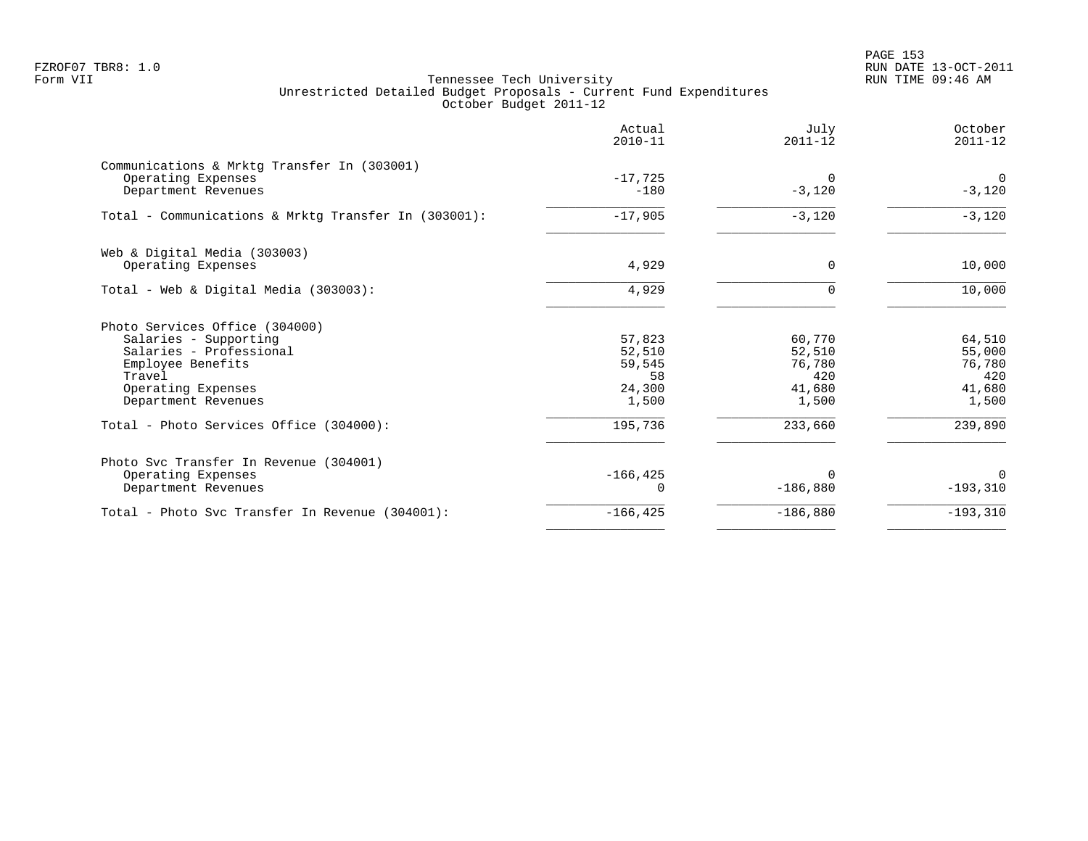PAGE 153 FZROF07 TBR8: 1.0 RUN DATE 13-OCT-2011

|                                                                                                                                                                | Actual<br>$2010 - 11$                               | July<br>$2011 - 12$                                  | October<br>$2011 - 12$                               |
|----------------------------------------------------------------------------------------------------------------------------------------------------------------|-----------------------------------------------------|------------------------------------------------------|------------------------------------------------------|
| Communications & Mrktg Transfer In (303001)<br>Operating Expenses<br>Department Revenues                                                                       | $-17,725$<br>$-180$                                 | $\Omega$<br>$-3,120$                                 | $\Omega$<br>$-3,120$                                 |
| Total - Communications & Mrktg Transfer In (303001):                                                                                                           | $-17,905$                                           | $-3,120$                                             | $-3,120$                                             |
| Web & Digital Media (303003)<br>Operating Expenses                                                                                                             | 4,929                                               | $\Omega$                                             | 10,000                                               |
| Total - Web & Digital Media (303003):                                                                                                                          | 4,929                                               |                                                      | 10,000                                               |
| Photo Services Office (304000)<br>Salaries - Supporting<br>Salaries - Professional<br>Employee Benefits<br>Travel<br>Operating Expenses<br>Department Revenues | 57,823<br>52,510<br>59,545<br>58<br>24,300<br>1,500 | 60,770<br>52,510<br>76,780<br>420<br>41,680<br>1,500 | 64,510<br>55,000<br>76,780<br>420<br>41,680<br>1,500 |
| Total - Photo Services Office (304000):                                                                                                                        | 195,736                                             | 233,660                                              | 239,890                                              |
| Photo Svc Transfer In Revenue (304001)<br>Operating Expenses<br>Department Revenues                                                                            | $-166, 425$                                         | $\Omega$<br>$-186,880$                               | $\Omega$<br>$-193,310$                               |
| Total - Photo Svc Transfer In Revenue (304001):                                                                                                                | $-166, 425$                                         | $-186,880$                                           | $-193,310$                                           |
|                                                                                                                                                                |                                                     |                                                      |                                                      |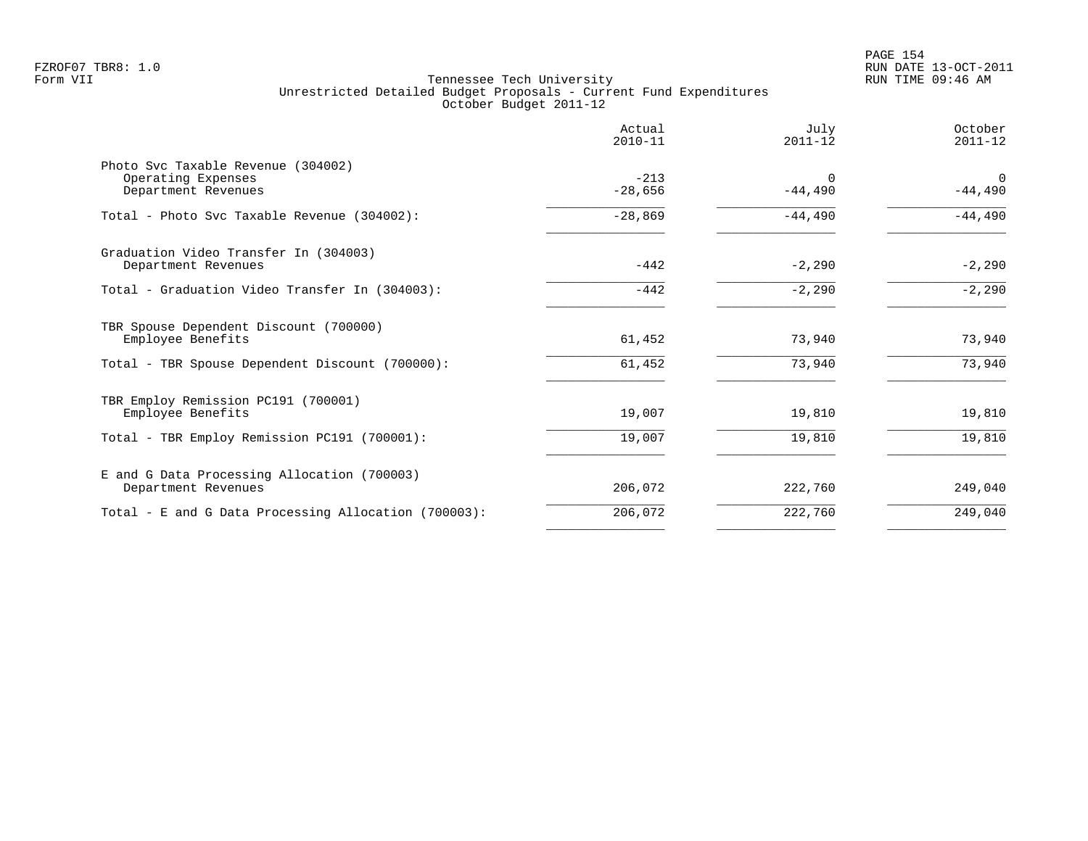|                                                                                 | Actual<br>$2010 - 11$ | July<br>$2011 - 12$   | October<br>$2011 - 12$ |
|---------------------------------------------------------------------------------|-----------------------|-----------------------|------------------------|
| Photo Svc Taxable Revenue (304002)<br>Operating Expenses<br>Department Revenues | $-213$<br>$-28,656$   | $\Omega$<br>$-44,490$ | $\Omega$<br>$-44,490$  |
| Total - Photo Svc Taxable Revenue (304002):                                     | $-28,869$             | $-44,490$             | $-44,490$              |
| Graduation Video Transfer In (304003)<br>Department Revenues                    | $-442$                | $-2,290$              | $-2,290$               |
| Total - Graduation Video Transfer In (304003):                                  | $-442$                | $-2,290$              | $-2,290$               |
| TBR Spouse Dependent Discount (700000)<br>Employee Benefits                     | 61,452                | 73,940                | 73,940                 |
| Total - TBR Spouse Dependent Discount (700000):                                 | 61,452                | 73,940                | 73,940                 |
| TBR Employ Remission PC191 (700001)<br>Employee Benefits                        | 19,007                | 19,810                | 19,810                 |
| Total - TBR Employ Remission PC191 (700001):                                    | 19,007                | 19,810                | 19,810                 |
| E and G Data Processing Allocation (700003)<br>Department Revenues              | 206,072               | 222,760               | 249,040                |
| Total - E and G Data Processing Allocation (700003):                            | 206,072               | 222,760               | 249,040                |
|                                                                                 |                       |                       |                        |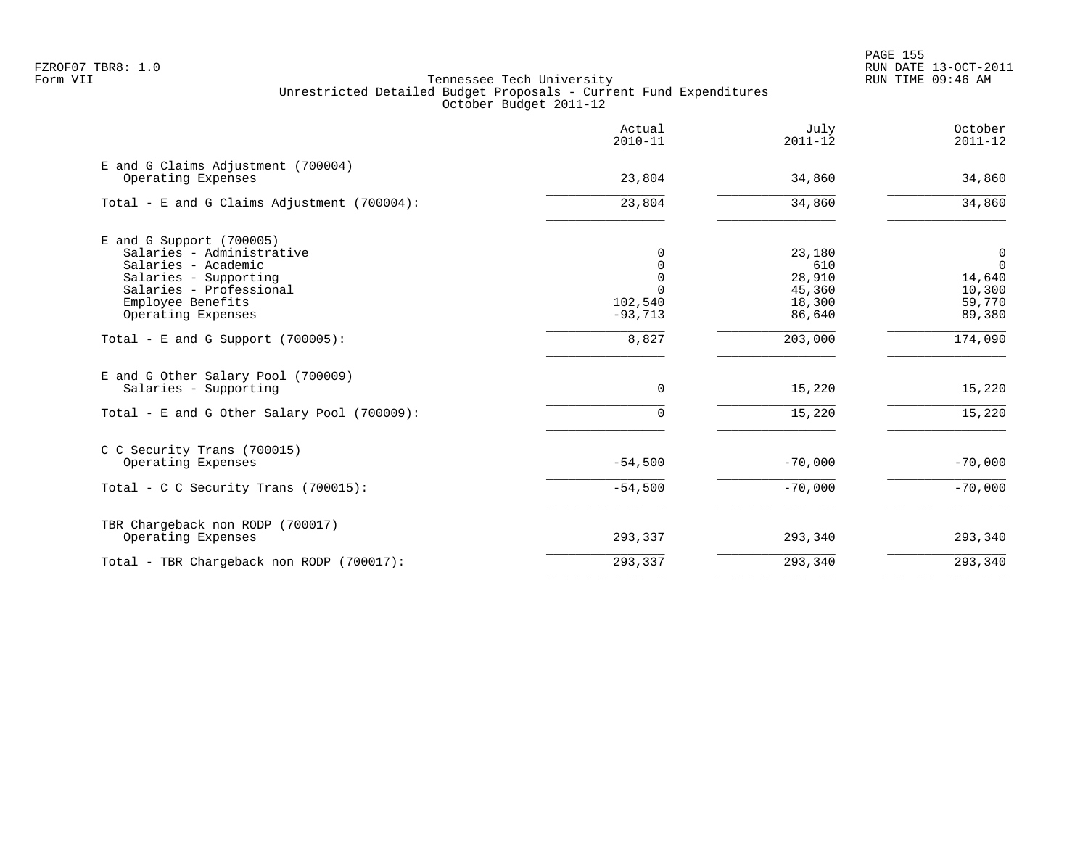|                                                             | Actual<br>$2010 - 11$ | July<br>$2011 - 12$ | October<br>$2011 - 12$ |
|-------------------------------------------------------------|-----------------------|---------------------|------------------------|
| E and G Claims Adjustment (700004)<br>Operating Expenses    | 23,804                | 34,860              | 34,860                 |
| Total - E and G Claims Adjustment (700004):                 | 23,804                | 34,860              | 34,860                 |
| $E$ and G Support (700005)<br>Salaries - Administrative     | 0                     | 23,180              | 0                      |
| Salaries - Academic                                         | 0                     | 610                 | $\mathbf 0$            |
| Salaries - Supporting                                       | $\Omega$              | 28,910              | 14,640                 |
| Salaries - Professional                                     |                       | 45,360              | 10,300                 |
| Employee Benefits                                           | 102,540               | 18,300              | 59,770                 |
| Operating Expenses                                          | $-93,713$             | 86,640              | 89,380                 |
| Total - E and G Support $(700005)$ :                        | 8,827                 | 203,000             | 174,090                |
| E and G Other Salary Pool (700009)<br>Salaries - Supporting | $\mathbf 0$           | 15,220              | 15,220                 |
|                                                             |                       |                     |                        |
| Total - E and G Other Salary Pool (700009):                 | $\Omega$              | 15,220              | 15,220                 |
| C C Security Trans (700015)                                 |                       |                     |                        |
| Operating Expenses                                          | $-54,500$             | $-70,000$           | $-70,000$              |
| Total - C C Security Trans (700015):                        | $-54,500$             | $-70,000$           | $-70,000$              |
| TBR Chargeback non RODP (700017)                            |                       |                     |                        |
| Operating Expenses                                          | 293,337               | 293,340             | 293,340                |
| Total - TBR Chargeback non RODP (700017):                   | 293,337               | 293,340             | 293,340                |
|                                                             |                       |                     |                        |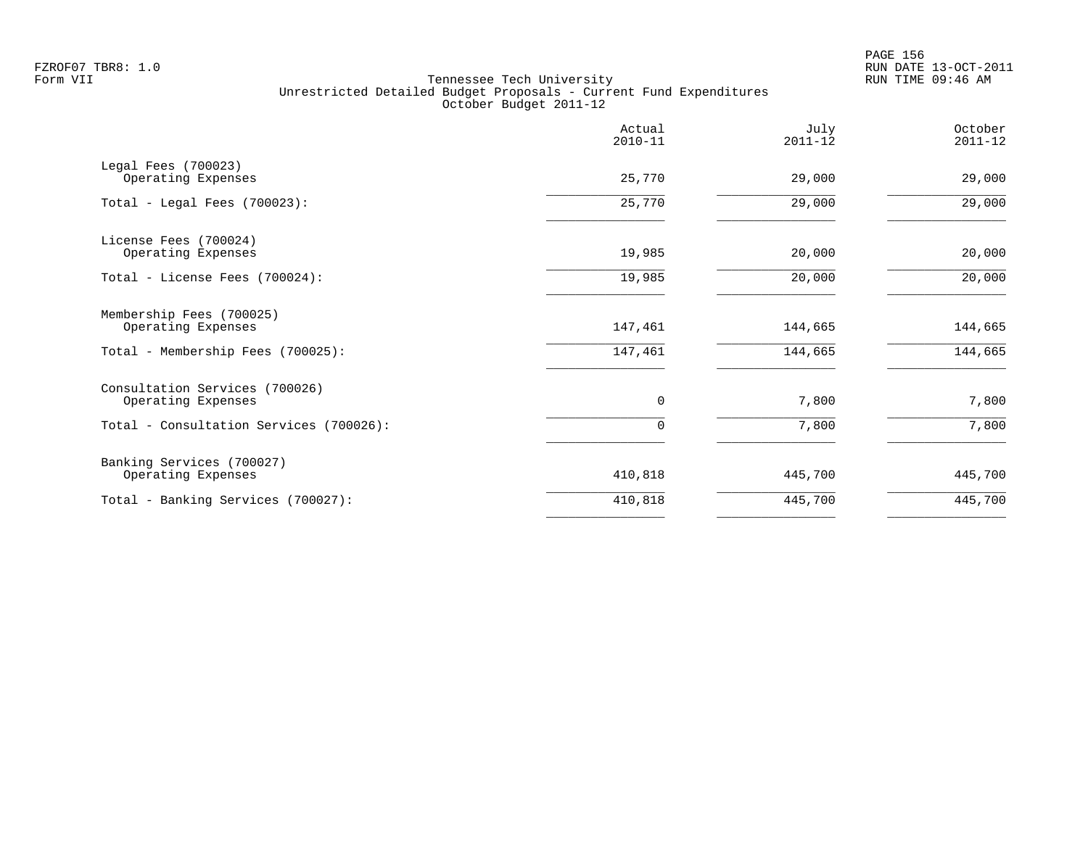en and the set of the set of the set of the set of the set of the set of the set of the set of the set of the set of the set of the set of the set of the set of the set of the set of the set of the set of the set of the se FZROF07 TBR8: 1.0 RUN DATE 13-OCT-2011

| Actual<br>$2010 - 11$ | July<br>$2011 - 12$ | October<br>$2011 - 12$ |
|-----------------------|---------------------|------------------------|
| 25,770                | 29,000              | 29,000                 |
| 25,770                | 29,000              | 29,000                 |
| 19,985                | 20,000              | 20,000                 |
| 19,985                | 20,000              | 20,000                 |
| 147,461               | 144,665             | 144,665                |
| 147,461               | 144,665             | 144,665                |
| 0                     | 7,800               | 7,800                  |
| 0                     | 7,800               | 7,800                  |
| 410,818               | 445,700             | 445,700                |
| 410,818               | 445,700             | 445,700                |
|                       |                     |                        |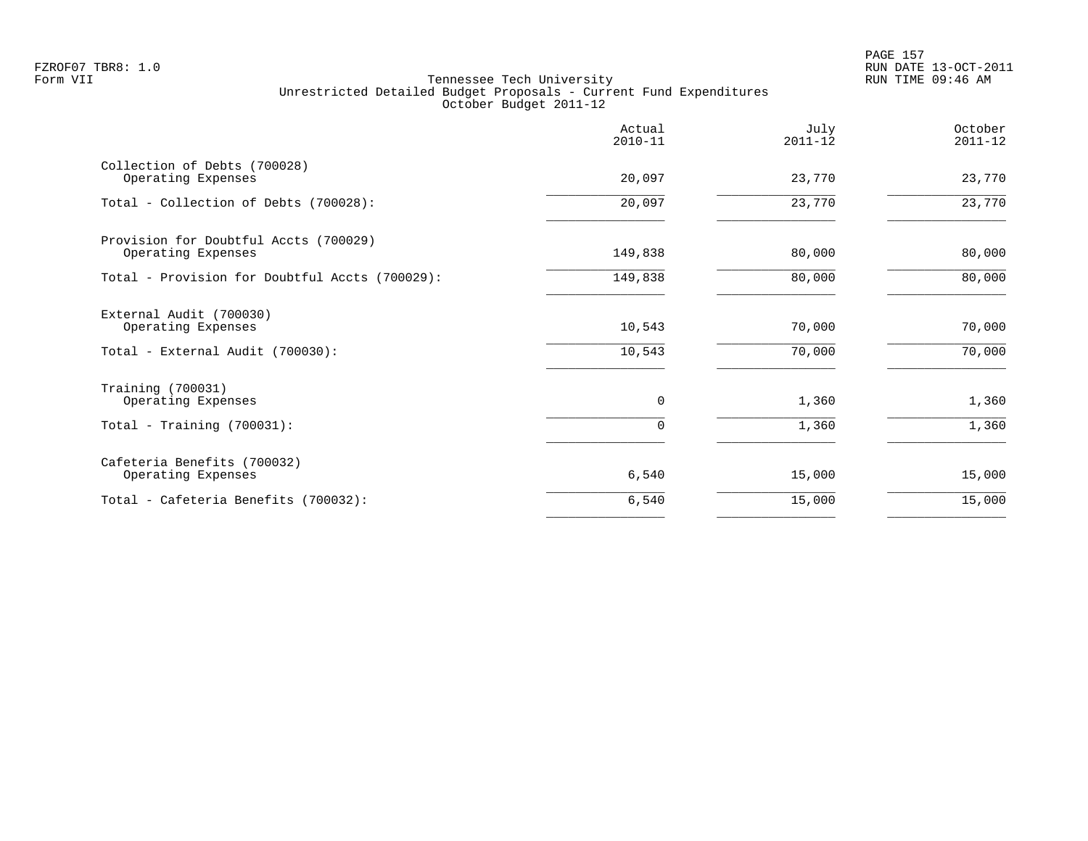|                                                                                   | Actual<br>$2010 - 11$ | July<br>$2011 - 12$ | October<br>$2011 - 12$ |
|-----------------------------------------------------------------------------------|-----------------------|---------------------|------------------------|
| Collection of Debts (700028)<br>Operating Expenses                                | 20,097                | 23,770              | 23,770                 |
| Total - Collection of Debts (700028):                                             | 20,097                | 23,770              | 23,770                 |
| Provision for Doubtful Accts (700029)<br>Operating Expenses                       | 149,838               | 80,000              | 80,000                 |
| Total - Provision for Doubtful Accts (700029):                                    | 149,838               | 80,000              | 80,000                 |
| External Audit (700030)<br>Operating Expenses<br>Total - External Audit (700030): | 10,543<br>10,543      | 70,000<br>70,000    | 70,000<br>70,000       |
| Training (700031)                                                                 |                       |                     |                        |
| Operating Expenses                                                                | 0                     | 1,360               | 1,360                  |
| Total - Training $(700031)$ :                                                     | 0                     | 1,360               | 1,360                  |
| Cafeteria Benefits (700032)<br>Operating Expenses                                 | 6,540                 | 15,000              | 15,000                 |
| Total - Cafeteria Benefits (700032):                                              | 6,540                 | 15,000              | 15,000                 |
|                                                                                   |                       |                     |                        |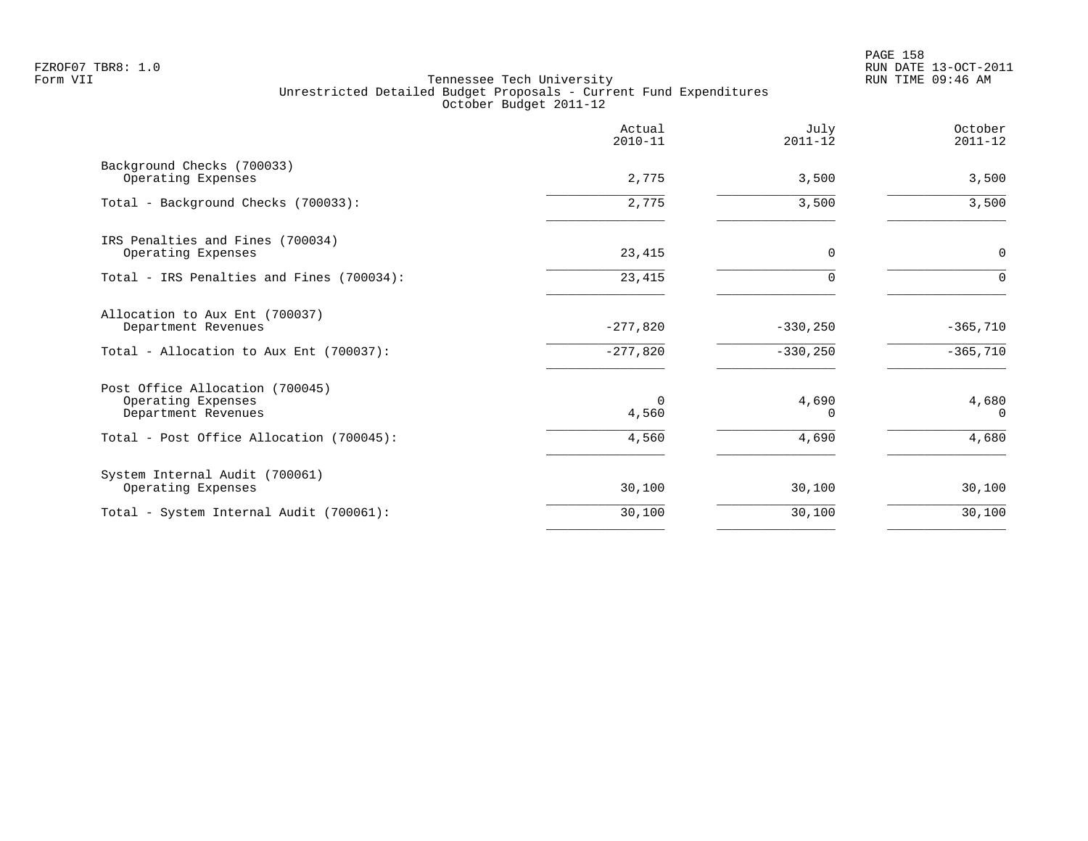|                                                                              | Actual<br>$2010 - 11$ | July<br>$2011 - 12$ | October<br>$2011 - 12$ |
|------------------------------------------------------------------------------|-----------------------|---------------------|------------------------|
| Background Checks (700033)<br>Operating Expenses                             | 2,775                 | 3,500               | 3,500                  |
| Total - Background Checks (700033):                                          | 2,775                 | 3,500               | 3,500                  |
| IRS Penalties and Fines (700034)<br>Operating Expenses                       | 23,415                | $\Omega$            | 0                      |
| Total - IRS Penalties and Fines (700034):                                    | 23,415                | $\Omega$            | $\Omega$               |
| Allocation to Aux Ent (700037)<br>Department Revenues                        | $-277,820$            | $-330,250$          | $-365,710$             |
| Total - Allocation to Aux Ent (700037):                                      | $-277,820$            | $-330, 250$         | $-365,710$             |
| Post Office Allocation (700045)<br>Operating Expenses<br>Department Revenues | $\Omega$<br>4,560     | 4,690<br>0          | 4,680<br>0             |
| Total - Post Office Allocation (700045):                                     | 4,560                 | 4,690               | 4,680                  |
| System Internal Audit (700061)<br>Operating Expenses                         | 30,100                | 30,100              | 30,100                 |
| Total - System Internal Audit (700061):                                      | 30,100                | 30,100              | 30,100                 |
|                                                                              |                       |                     |                        |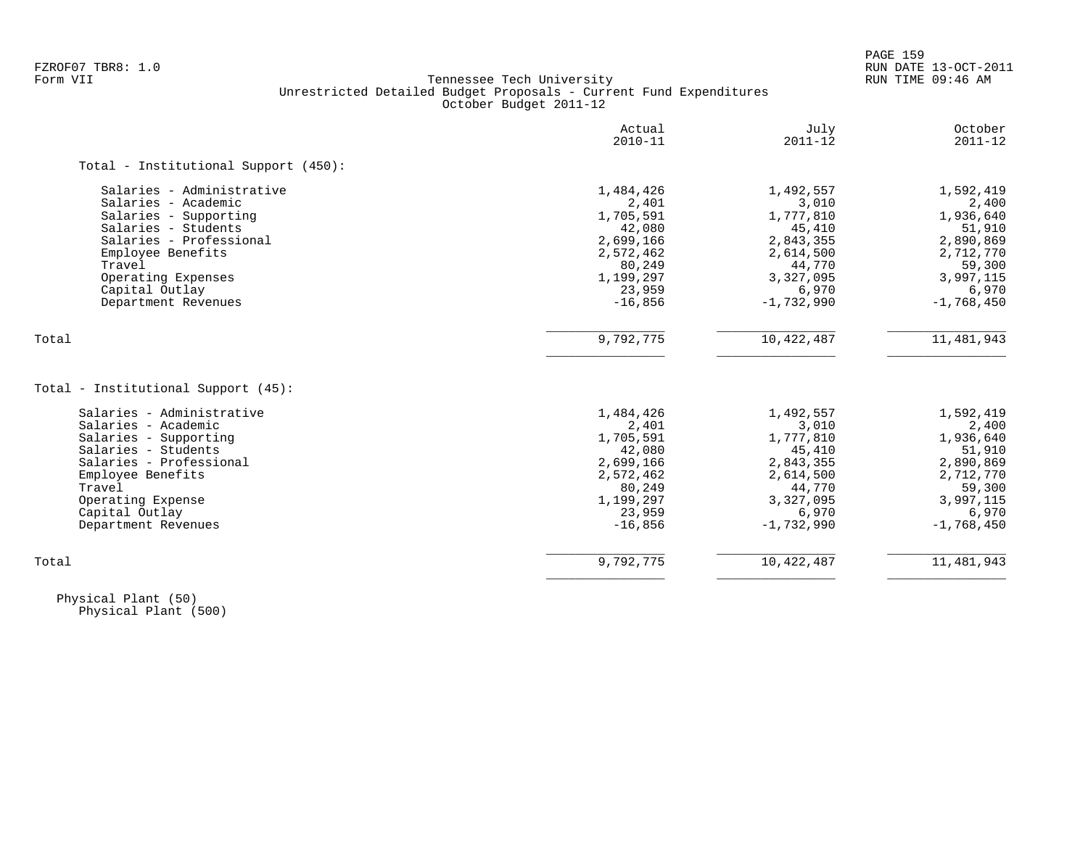# FZROF07 TBR8: 1.0 RUN DATE 13-OCT-2011 Tennessee Tech University Unrestricted Detailed Budget Proposals - Current Fund Expenditures October Budget 2011-12

|                                                                  | Actual<br>$2010 - 11$ | July<br>$2011 - 12$ | October<br>$2011 - 12$ |
|------------------------------------------------------------------|-----------------------|---------------------|------------------------|
| Total - Institutional Support (450):                             |                       |                     |                        |
| Salaries - Administrative                                        | 1,484,426             | 1,492,557           | 1,592,419              |
| Salaries - Academic                                              | 2,401                 | 3,010               | 2,400                  |
| Salaries - Supporting                                            | 1,705,591             | 1,777,810           | 1,936,640              |
| Salaries - Students                                              | 42,080                | 45,410              | 51,910                 |
| Salaries - Professional                                          | 2,699,166             | 2,843,355           | 2,890,869              |
| Employee Benefits                                                | 2,572,462             | 2,614,500           | 2,712,770              |
| Travel                                                           | 80,249                | 44,770              | 59,300                 |
| Operating Expenses                                               | 1,199,297             | 3,327,095           | 3,997,115              |
| Capital Outlay                                                   | 23,959                | 6,970               | 6,970                  |
| Department Revenues                                              | $-16,856$             | $-1,732,990$        | $-1,768,450$           |
| Total                                                            | 9,792,775             | 10,422,487          | 11,481,943             |
|                                                                  |                       |                     |                        |
|                                                                  |                       |                     |                        |
| Total - Institutional Support (45):<br>Salaries - Administrative | 1,484,426             | 1,492,557           | 1,592,419              |
| Salaries - Academic                                              | 2,401                 | 3,010               | 2,400                  |
| Salaries - Supporting                                            | 1,705,591             | 1,777,810           | 1,936,640              |
| Salaries - Students                                              | 42,080                | 45,410              | 51,910                 |
| Salaries - Professional                                          | 2,699,166             | 2,843,355           | 2,890,869              |
| Employee Benefits                                                | 2,572,462             | 2,614,500           | 2,712,770              |
| Travel                                                           | 80,249                | 44,770              | 59,300                 |
| Operating Expense                                                | 1,199,297             | 3,327,095           | 3,997,115              |
| Capital Outlay                                                   | 23,959                | 6,970               | 6,970                  |
| Department Revenues                                              | $-16,856$             | $-1,732,990$        | $-1,768,450$           |

 Physical Plant (50) Physical Plant (500)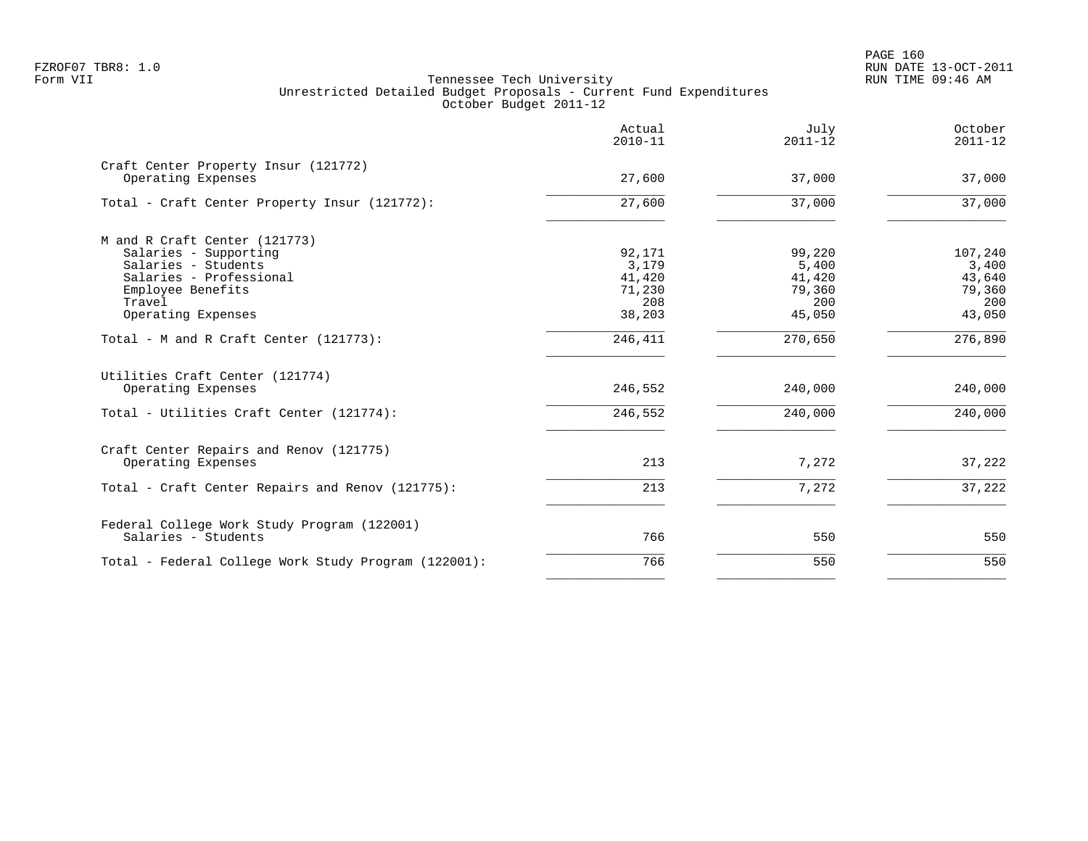|                                                            | Actual<br>$2010 - 11$ | July<br>$2011 - 12$ | October<br>$2011 - 12$ |
|------------------------------------------------------------|-----------------------|---------------------|------------------------|
| Craft Center Property Insur (121772)<br>Operating Expenses | 27,600                | 37,000              | 37,000                 |
| Total - Craft Center Property Insur (121772):              | 27,600                | 37,000              | 37,000                 |
| M and R Craft Center (121773)                              |                       |                     |                        |
| Salaries - Supporting                                      | 92,171                | 99,220              | 107,240                |
| Salaries - Students                                        | 3,179                 | 5,400               | 3,400                  |
| Salaries - Professional                                    | 41,420                | 41,420              | 43,640                 |
| Employee Benefits                                          | 71,230                | 79,360              | 79,360                 |
| Travel                                                     | 208                   | 200                 | 200                    |
| Operating Expenses                                         | 38,203                | 45,050              | 43,050                 |
| Total - M and R Craft Center (121773):                     | 246,411               | 270,650             | 276,890                |
| Utilities Craft Center (121774)                            |                       |                     |                        |
| Operating Expenses                                         | 246,552               | 240,000             | 240,000                |
| Total - Utilities Craft Center (121774):                   | 246,552               | 240,000             | 240,000                |
| Craft Center Repairs and Renov (121775)                    |                       |                     |                        |
| Operating Expenses                                         | 213                   | 7,272               | 37,222                 |
| Total - Craft Center Repairs and Renov (121775):           | 213                   | 7,272               | 37,222                 |
| Federal College Work Study Program (122001)                |                       |                     |                        |
| Salaries - Students                                        | 766                   | 550                 | 550                    |
| Total - Federal College Work Study Program (122001):       | 766                   | 550                 | 550                    |
|                                                            |                       |                     |                        |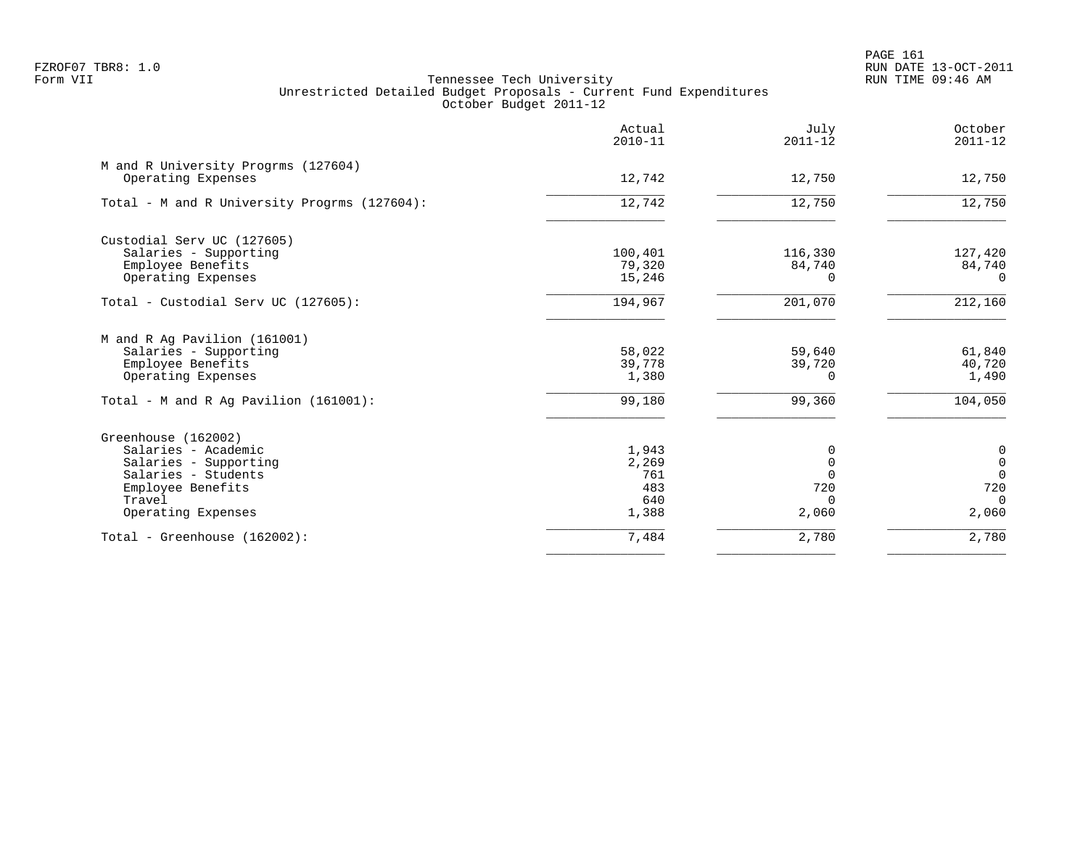PAGE 161 FZROF07 TBR8: 1.0 RUN DATE 13-OCT-2011

|                                                           | Actual<br>$2010 - 11$ | July<br>$2011 - 12$ | October<br>$2011 - 12$ |
|-----------------------------------------------------------|-----------------------|---------------------|------------------------|
| M and R University Progrms (127604)<br>Operating Expenses | 12,742                | 12,750              | 12,750                 |
| Total - M and R University Progrms (127604):              | 12,742                | 12,750              | 12,750                 |
| Custodial Serv UC (127605)                                |                       |                     |                        |
| Salaries - Supporting                                     | 100,401               | 116,330             | 127,420                |
| Employee Benefits                                         | 79,320                | 84,740              | 84,740                 |
| Operating Expenses                                        | 15,246                | 0                   | $\Omega$               |
| Total - Custodial Serv UC (127605):                       | 194,967               | 201,070             | 212,160                |
| M and R Ag Pavilion (161001)                              |                       |                     |                        |
| Salaries - Supporting                                     | 58,022                | 59,640              | 61,840                 |
| Employee Benefits                                         | 39,778                | 39,720              | 40,720                 |
| Operating Expenses                                        | 1,380                 | 0                   | 1,490                  |
| Total - M and R Ag Pavilion (161001):                     | 99,180                | 99,360              | 104,050                |
| Greenhouse (162002)                                       |                       |                     |                        |
| Salaries - Academic                                       | 1,943                 | 0                   | $\mathbf 0$            |
| Salaries - Supporting                                     | 2,269                 | 0                   | $\overline{0}$         |
| Salaries - Students                                       | 761                   | $\Omega$            | $\Omega$               |
| Employee Benefits                                         | 483                   | 720                 | 720                    |
| Travel<br>Operating Expenses                              | 640<br>1,388          | $\Omega$<br>2,060   | $\Omega$<br>2,060      |
|                                                           |                       |                     |                        |
| Total - Greenhouse (162002):                              | 7,484                 | 2,780               | 2,780                  |
|                                                           |                       |                     |                        |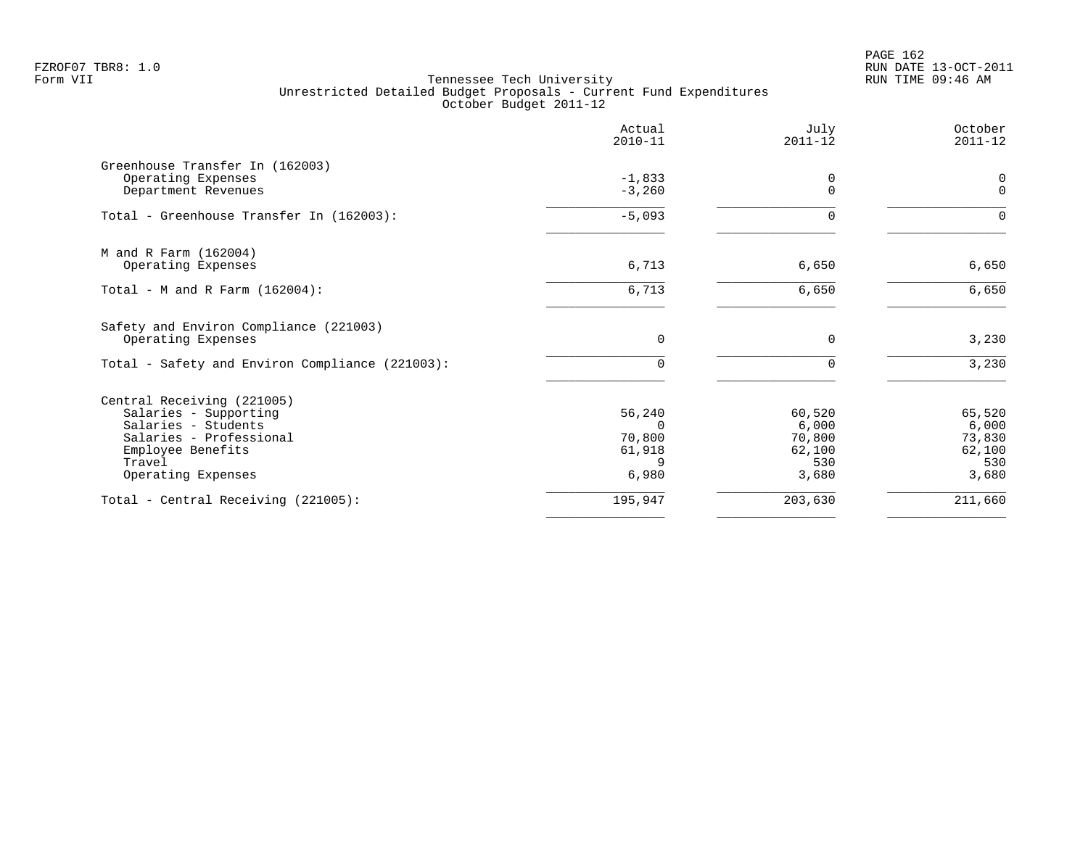|                                                       | Actual<br>$2010 - 11$ | July<br>$2011 - 12$ | October<br>$2011 - 12$ |
|-------------------------------------------------------|-----------------------|---------------------|------------------------|
| Greenhouse Transfer In (162003)<br>Operating Expenses | $-1,833$              | 0                   | 0                      |
| Department Revenues                                   | $-3,260$              | $\mathbf 0$         | $\mathbf{0}$           |
| Total - Greenhouse Transfer In (162003):              | $-5,093$              | $\Omega$            | $\Omega$               |
| M and R Farm (162004)                                 |                       |                     |                        |
| Operating Expenses                                    | 6,713                 | 6,650               | 6,650                  |
| Total - M and R Farm $(162004)$ :                     | 6,713                 | 6,650               | 6,650                  |
| Safety and Environ Compliance (221003)                |                       |                     |                        |
| Operating Expenses                                    | $\mathbf 0$           | $\mathbf 0$         | 3,230                  |
| Total - Safety and Environ Compliance (221003):       | $\Omega$              | 0                   | 3,230                  |
| Central Receiving (221005)                            |                       |                     |                        |
| Salaries - Supporting                                 | 56,240                | 60,520              | 65,520                 |
| Salaries - Students                                   | $\Omega$              | 6,000               | 6,000                  |
| Salaries - Professional                               | 70,800                | 70,800<br>62,100    | 73,830                 |
| Employee Benefits<br>Travel                           | 61,918<br>9           | 530                 | 62,100<br>530          |
| Operating Expenses                                    | 6,980                 | 3,680               | 3,680                  |
| Total - Central Receiving (221005):                   | 195,947               | 203,630             | 211,660                |
|                                                       |                       |                     |                        |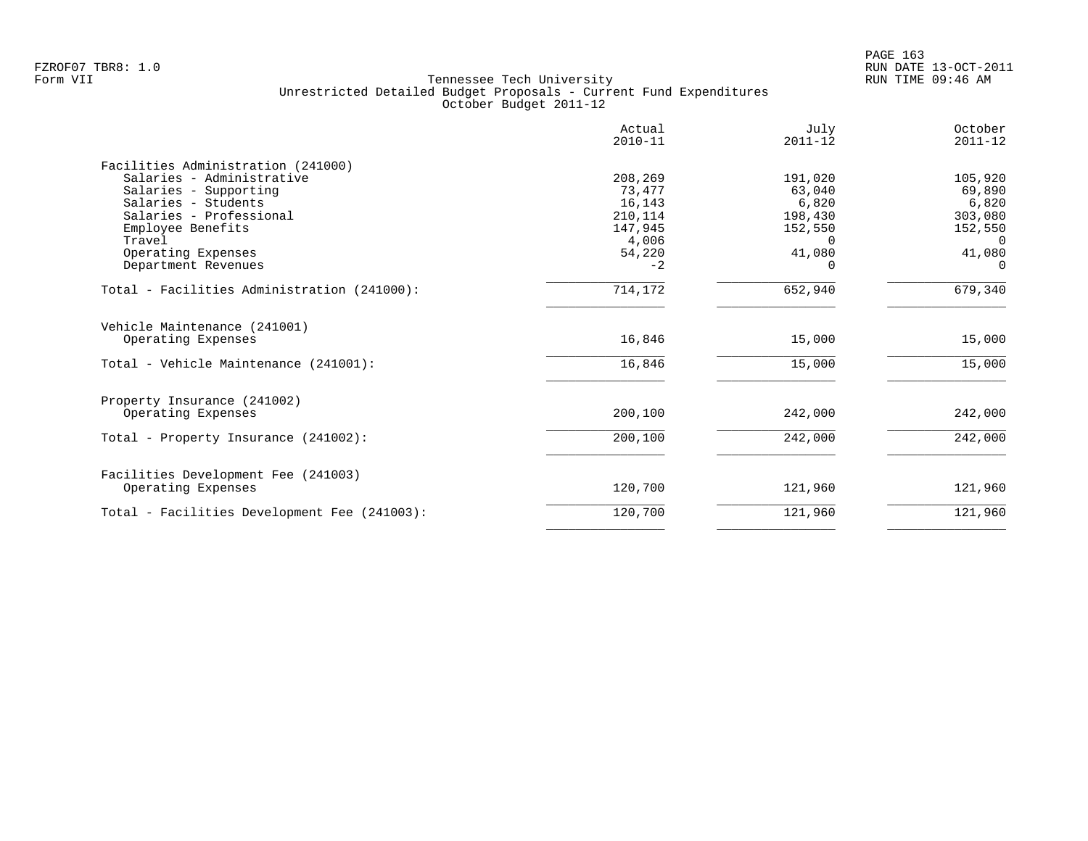|                                              | Actual<br>$2010 - 11$ | July<br>$2011 - 12$ | October<br>$2011 - 12$ |
|----------------------------------------------|-----------------------|---------------------|------------------------|
| Facilities Administration (241000)           |                       |                     |                        |
| Salaries - Administrative                    | 208,269               | 191,020             | 105,920                |
| Salaries - Supporting                        | 73,477                | 63,040              | 69,890                 |
| Salaries - Students                          | 16,143                | 6,820               | 6,820                  |
| Salaries - Professional                      | 210,114               | 198,430             | 303,080                |
| Employee Benefits                            | 147,945               | 152,550             | 152,550                |
| Travel                                       | 4,006                 | $\Omega$            | $\Omega$               |
| Operating Expenses                           | 54,220                | 41,080              | 41,080                 |
| Department Revenues                          | $-2$                  | 0                   | $\Omega$               |
| Total - Facilities Administration (241000):  | 714,172               | 652,940             | 679,340                |
| Vehicle Maintenance (241001)                 |                       |                     |                        |
| Operating Expenses                           | 16,846                | 15,000              | 15,000                 |
| Total - Vehicle Maintenance (241001):        | 16,846                | 15,000              | 15,000                 |
| Property Insurance (241002)                  |                       |                     |                        |
| Operating Expenses                           | 200,100               | 242,000             | 242,000                |
| Total - Property Insurance (241002):         | 200,100               | 242,000             | 242,000                |
| Facilities Development Fee (241003)          |                       |                     |                        |
| Operating Expenses                           | 120,700               | 121,960             | 121,960                |
| Total - Facilities Development Fee (241003): | 120,700               | 121,960             | 121,960                |
|                                              |                       |                     |                        |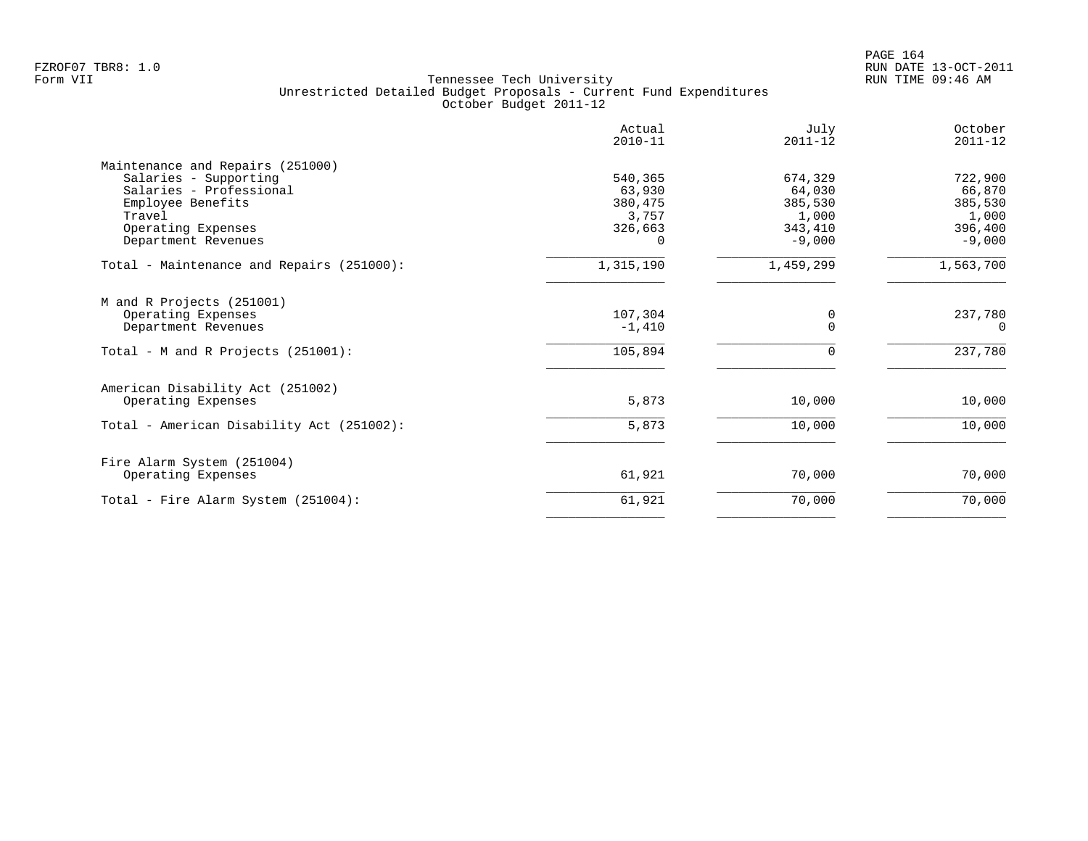|                                                                                                                     | Actual<br>$2010 - 11$                 | July<br>$2011 - 12$                   | October<br>$2011 - 12$                |
|---------------------------------------------------------------------------------------------------------------------|---------------------------------------|---------------------------------------|---------------------------------------|
| Maintenance and Repairs (251000)<br>Salaries - Supporting<br>Salaries - Professional<br>Employee Benefits<br>Travel | 540,365<br>63,930<br>380,475<br>3,757 | 674,329<br>64,030<br>385,530<br>1,000 | 722,900<br>66,870<br>385,530<br>1,000 |
| Operating Expenses<br>Department Revenues                                                                           | 326,663<br>$\Omega$                   | 343,410<br>$-9,000$                   | 396,400<br>$-9,000$                   |
| Total - Maintenance and Repairs (251000):                                                                           | 1,315,190                             | 1,459,299                             | 1,563,700                             |
| M and R Projects (251001)<br>Operating Expenses<br>Department Revenues                                              | 107,304<br>$-1,410$                   | 0<br>$\Omega$                         | 237,780<br>$\Omega$                   |
| Total - M and R Projects (251001):                                                                                  | 105,894                               | 0                                     | 237,780                               |
| American Disability Act (251002)<br>Operating Expenses                                                              | 5,873                                 | 10,000                                | 10,000                                |
| Total - American Disability Act (251002):                                                                           | 5,873                                 | 10,000                                | 10,000                                |
| Fire Alarm System (251004)<br>Operating Expenses                                                                    | 61,921                                | 70,000                                | 70,000                                |
| Total - Fire Alarm System (251004):                                                                                 | 61,921                                | 70,000                                | 70,000                                |
|                                                                                                                     |                                       |                                       |                                       |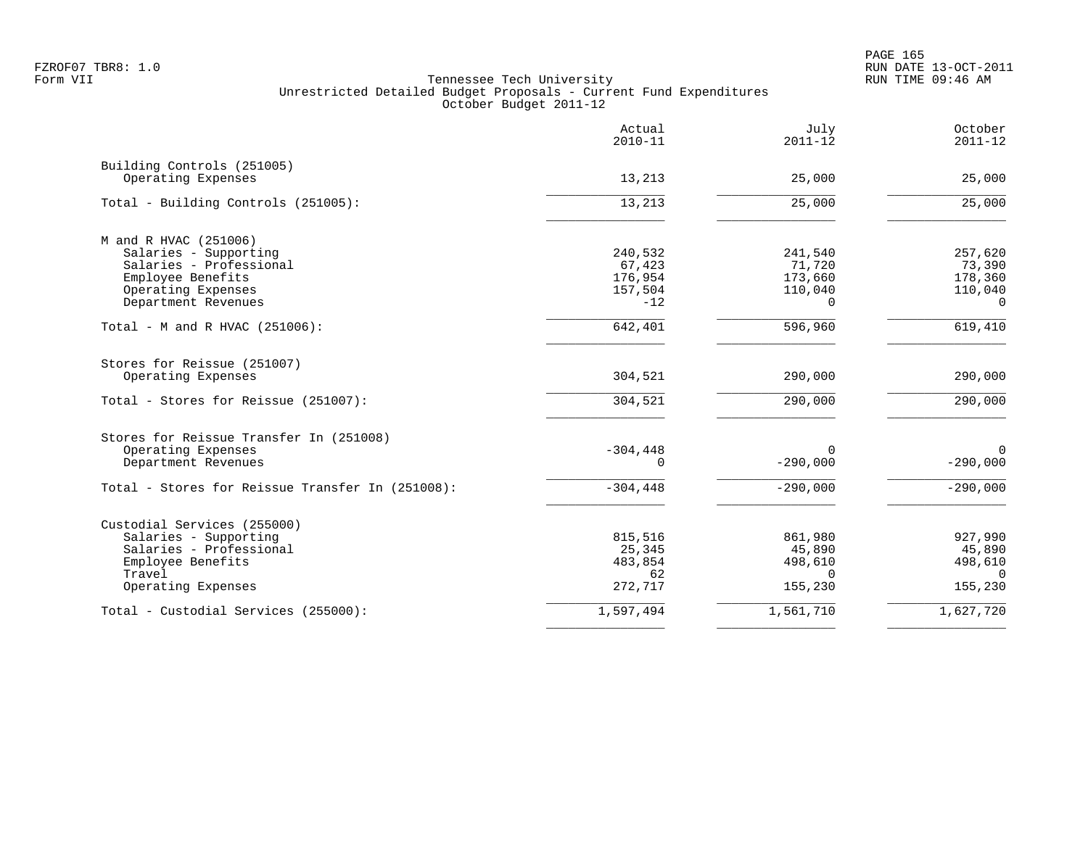PAGE 165 FZROF07 TBR8: 1.0 RUN DATE 13-OCT-2011

|                                                  | Actual<br>$2010 - 11$ | July<br>$2011 - 12$ | October<br>$2011 - 12$ |
|--------------------------------------------------|-----------------------|---------------------|------------------------|
| Building Controls (251005)<br>Operating Expenses | 13,213                | 25,000              | 25,000                 |
|                                                  |                       |                     |                        |
| Total - Building Controls (251005):              | 13,213                | 25,000              | 25,000                 |
| M and R HVAC (251006)                            |                       |                     |                        |
| Salaries - Supporting                            | 240,532               | 241,540             | 257,620                |
| Salaries - Professional                          | 67,423                | 71,720              | 73,390                 |
| Employee Benefits                                | 176,954               | 173,660             | 178,360                |
| Operating Expenses                               | 157,504               | 110,040             | 110,040                |
| Department Revenues                              | $-12$                 | $\Omega$            | $\Omega$               |
| Total - M and R HVAC (251006):                   | 642,401               | 596,960             | 619,410                |
| Stores for Reissue (251007)                      |                       |                     |                        |
| Operating Expenses                               | 304,521               | 290,000             | 290,000                |
| Total - Stores for Reissue (251007):             | 304,521               | 290,000             | 290,000                |
| Stores for Reissue Transfer In (251008)          |                       |                     |                        |
| Operating Expenses                               | $-304, 448$           | $\Omega$            | $\Omega$               |
| Department Revenues                              | $\Omega$              | $-290,000$          | $-290,000$             |
| Total - Stores for Reissue Transfer In (251008): | $-304, 448$           | $-290,000$          | $-290,000$             |
| Custodial Services (255000)                      |                       |                     |                        |
| Salaries - Supporting                            | 815,516               | 861,980             | 927,990                |
| Salaries - Professional                          | 25,345                | 45,890              | 45,890                 |
| Employee Benefits                                | 483,854               | 498,610             | 498,610                |
| Travel                                           | 62                    | $\Omega$            | $\Omega$               |
| Operating Expenses                               | 272,717               | 155,230             | 155,230                |
| Total - Custodial Services (255000):             | 1,597,494             | 1,561,710           | 1,627,720              |
|                                                  |                       |                     |                        |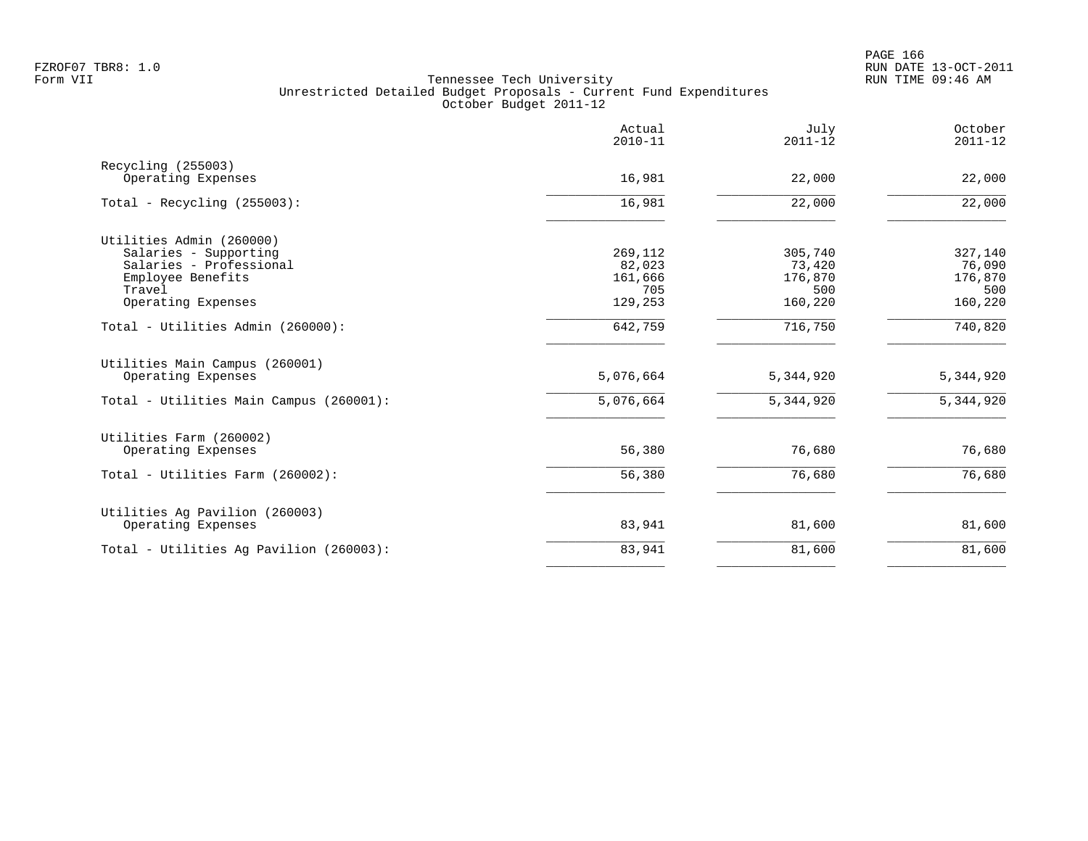|                                          | Actual<br>$2010 - 11$ | July<br>$2011 - 12$ | October<br>$2011 - 12$ |
|------------------------------------------|-----------------------|---------------------|------------------------|
| Recycling (255003)<br>Operating Expenses | 16,981                | 22,000              | 22,000                 |
|                                          |                       |                     |                        |
| Total - Recycling $(255003)$ :           | 16,981                | 22,000              | 22,000                 |
| Utilities Admin (260000)                 |                       |                     |                        |
| Salaries - Supporting                    | 269,112               | 305,740             | 327,140                |
| Salaries - Professional                  | 82,023                | 73,420              | 76,090                 |
| Employee Benefits                        | 161,666               | 176,870             | 176,870                |
| Travel                                   | 705                   | 500                 | 500                    |
| Operating Expenses                       | 129,253               | 160,220             | 160,220                |
| Total - Utilities Admin (260000):        | 642,759               | 716,750             | 740,820                |
| Utilities Main Campus (260001)           |                       |                     |                        |
| Operating Expenses                       | 5,076,664             | 5,344,920           | 5,344,920              |
| Total - Utilities Main Campus (260001):  | 5,076,664             | 5,344,920           | 5,344,920              |
| Utilities Farm (260002)                  |                       |                     |                        |
| Operating Expenses                       | 56,380                | 76,680              | 76,680                 |
| Total - Utilities Farm (260002):         | 56,380                | 76,680              | 76,680                 |
| Utilities Ag Pavilion (260003)           |                       |                     |                        |
| Operating Expenses                       | 83,941                | 81,600              | 81,600                 |
| Total - Utilities Ag Pavilion (260003):  | 83,941                | 81,600              | 81,600                 |
|                                          |                       |                     |                        |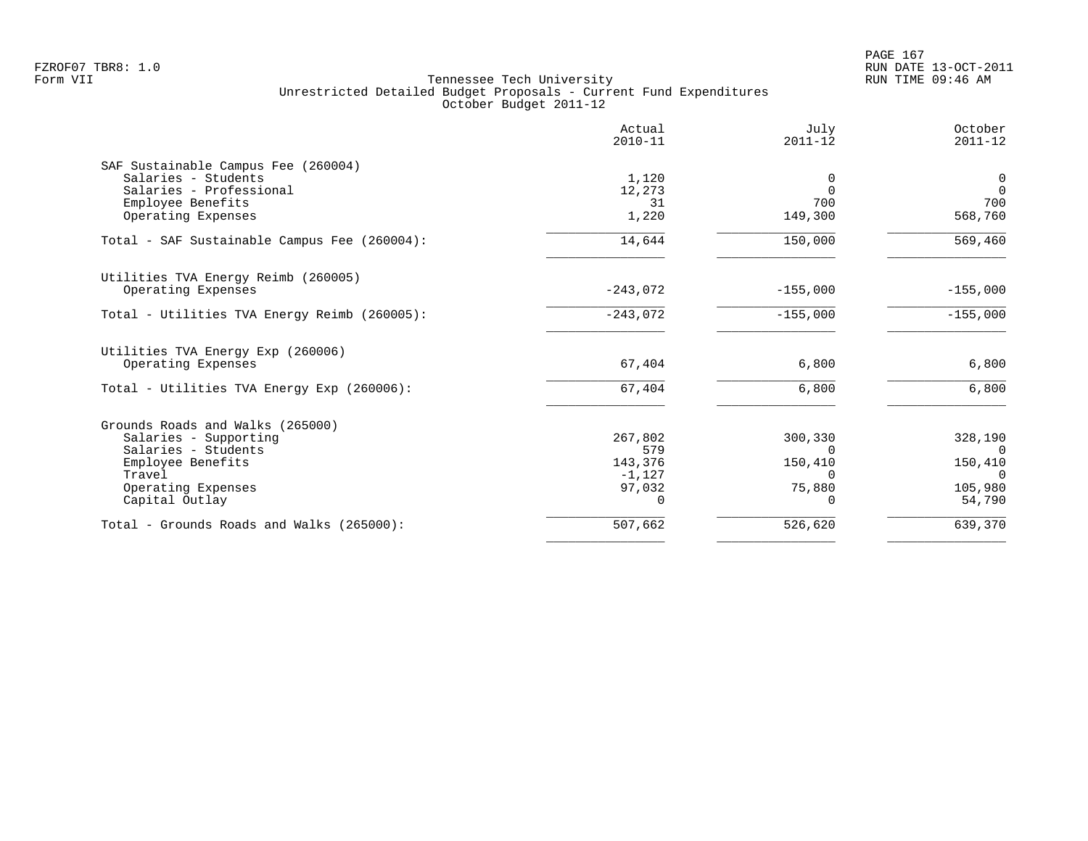|                                              | Actual<br>$2010 - 11$ | July<br>$2011 - 12$ | October<br>$2011 - 12$ |
|----------------------------------------------|-----------------------|---------------------|------------------------|
| SAF Sustainable Campus Fee (260004)          |                       |                     |                        |
| Salaries - Students                          | 1,120                 | 0                   | $\mathbf 0$            |
| Salaries - Professional                      | 12,273                | $\Omega$            | $\Omega$               |
| Employee Benefits                            | 31                    | 700                 | 700                    |
| Operating Expenses                           | 1,220                 | 149,300             | 568,760                |
| Total - SAF Sustainable Campus Fee (260004): | 14,644                | 150,000             | 569,460                |
| Utilities TVA Energy Reimb (260005)          |                       |                     |                        |
| Operating Expenses                           | $-243,072$            | $-155,000$          | $-155,000$             |
| Total - Utilities TVA Energy Reimb (260005): | $-243,072$            | $-155,000$          | $-155,000$             |
| Utilities TVA Energy Exp (260006)            |                       |                     |                        |
| Operating Expenses                           | 67,404                | 6,800               | 6,800                  |
| Total - Utilities TVA Energy Exp (260006):   | 67,404                | 6,800               | 6,800                  |
| Grounds Roads and Walks (265000)             |                       |                     |                        |
| Salaries - Supporting                        | 267,802               | 300,330             | 328,190                |
| Salaries - Students                          | 579                   | $\Omega$            | $\Omega$               |
| Employee Benefits                            | 143,376               | 150,410             | 150,410                |
| Travel                                       | $-1,127$              | $\Omega$            | $\Omega$               |
| Operating Expenses                           | 97,032                | 75,880              | 105,980                |
| Capital Outlay                               | $\Omega$              | $\Omega$            | 54,790                 |
| Total - Grounds Roads and Walks (265000):    | 507,662               | 526,620             | 639,370                |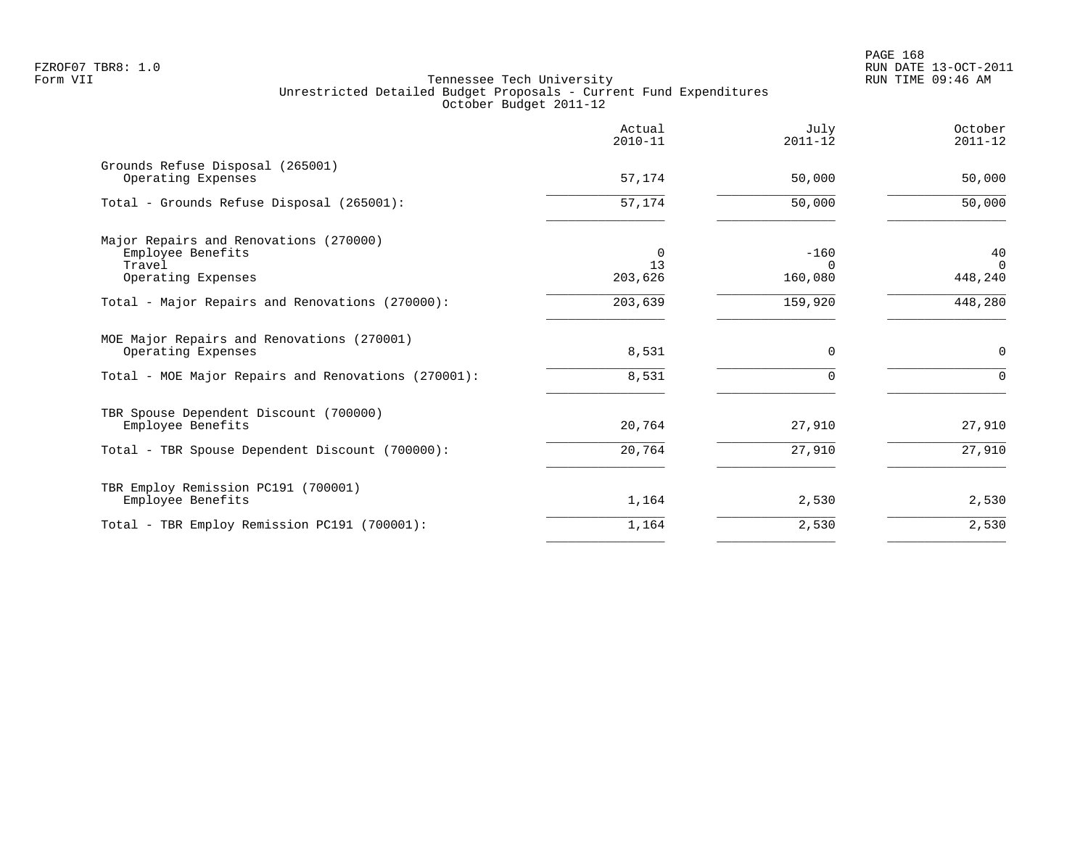| Actual<br>$2010 - 11$ | July<br>$2011 - 12$    | October<br>$2011 - 12$    |
|-----------------------|------------------------|---------------------------|
| 57,174                | 50,000                 | 50,000                    |
| $\overline{57,174}$   | 50,000                 | 50,000                    |
| 0<br>13<br>203,626    | $-160$<br>0<br>160,080 | 40<br>$\Omega$<br>448,240 |
| 203,639               | 159,920                | 448,280                   |
| 8,531                 | $\Omega$               | $\mathbf 0$<br>$\Omega$   |
|                       |                        |                           |
| 20,764                | 27,910                 | 27,910                    |
| 20,764                | 27,910                 | 27,910                    |
| 1,164                 | 2,530                  | 2,530                     |
| 1,164                 | 2,530                  | 2,530                     |
|                       | 8,531                  |                           |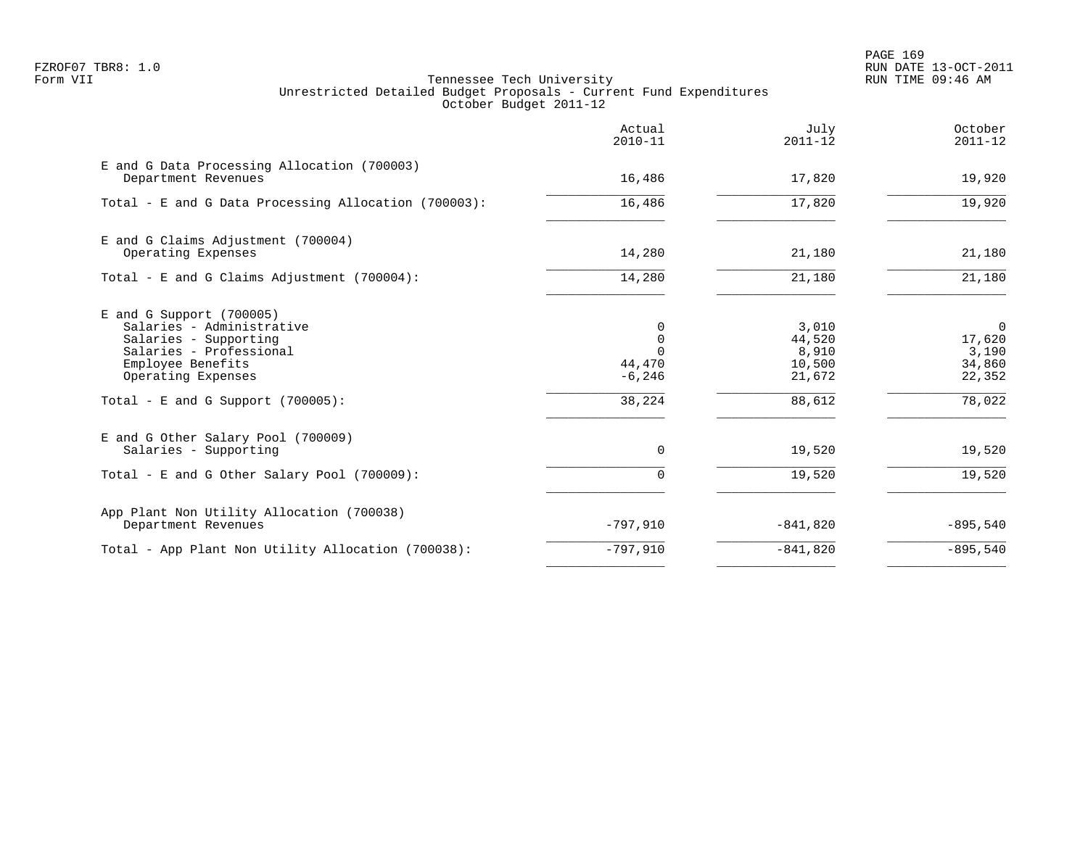PAGE 169 FZROF07 TBR8: 1.0 RUN DATE 13-OCT-2011

|                                                                                                                                                                                                | Actual<br>$2010 - 11$                                      | July<br>$2011 - 12$                                    | October<br>$2011 - 12$                                          |
|------------------------------------------------------------------------------------------------------------------------------------------------------------------------------------------------|------------------------------------------------------------|--------------------------------------------------------|-----------------------------------------------------------------|
| E and G Data Processing Allocation (700003)<br>Department Revenues                                                                                                                             | 16,486                                                     | 17,820                                                 | 19,920                                                          |
| Total - E and G Data Processing Allocation (700003):                                                                                                                                           | 16,486                                                     | 17,820                                                 | 19,920                                                          |
| E and G Claims Adjustment (700004)<br>Operating Expenses                                                                                                                                       | 14,280                                                     | 21,180                                                 | 21,180                                                          |
| Total - E and G Claims Adjustment $(700004)$ :                                                                                                                                                 | 14,280                                                     | 21,180                                                 | 21,180                                                          |
| $E$ and G Support (700005)<br>Salaries - Administrative<br>Salaries - Supporting<br>Salaries - Professional<br>Employee Benefits<br>Operating Expenses<br>Total - E and G Support $(700005)$ : | $\Omega$<br>0<br>$\Omega$<br>44,470<br>$-6, 246$<br>38,224 | 3,010<br>44,520<br>8,910<br>10,500<br>21,672<br>88,612 | $\overline{0}$<br>17,620<br>3,190<br>34,860<br>22,352<br>78,022 |
| E and G Other Salary Pool (700009)<br>Salaries - Supporting                                                                                                                                    | $\Omega$                                                   | 19,520                                                 | 19,520                                                          |
| Total - E and G Other Salary Pool (700009):                                                                                                                                                    | $\Omega$                                                   | 19,520                                                 | 19,520                                                          |
| App Plant Non Utility Allocation (700038)<br>Department Revenues                                                                                                                               | $-797,910$                                                 | $-841,820$                                             | $-895,540$                                                      |
| Total - App Plant Non Utility Allocation (700038):                                                                                                                                             | $-797,910$                                                 | $-841,820$                                             | $-895,540$                                                      |
|                                                                                                                                                                                                |                                                            |                                                        |                                                                 |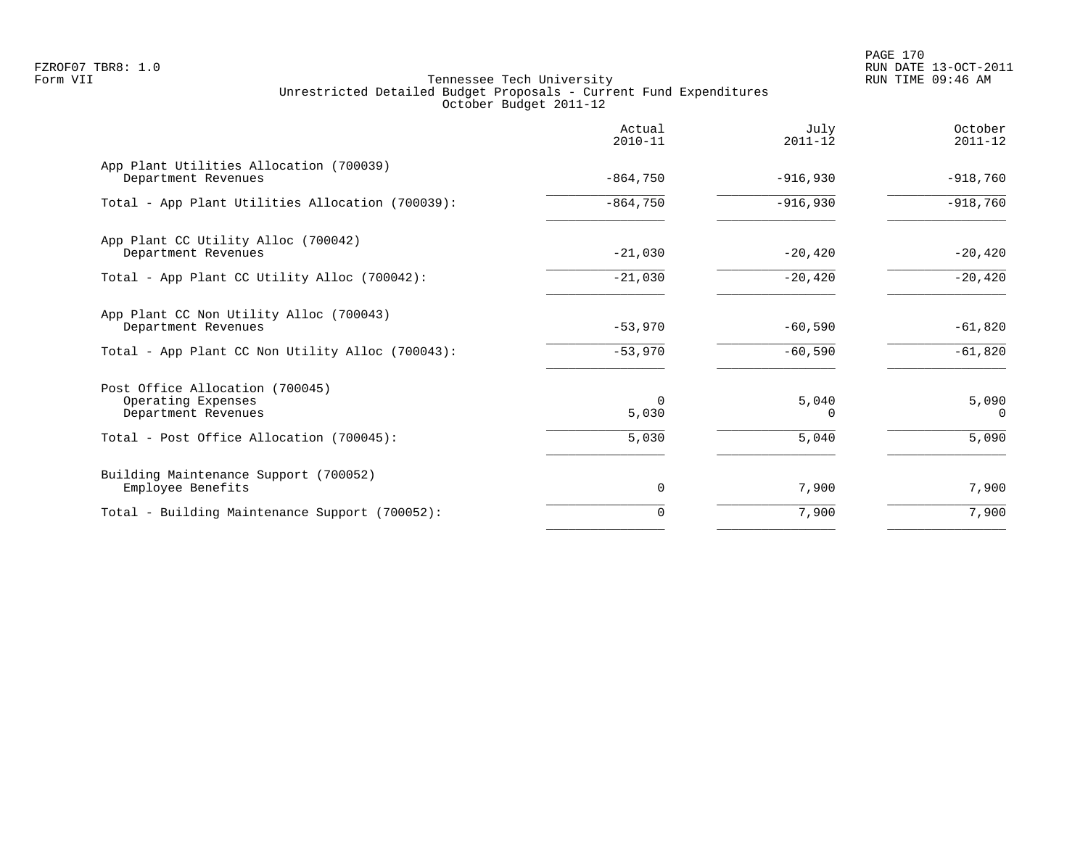PAGE 170 FZROF07 TBR8: 1.0 RUN DATE 13-OCT-2011

|                                                                              | Actual<br>$2010 - 11$ | July<br>$2011 - 12$ | October<br>$2011 - 12$ |
|------------------------------------------------------------------------------|-----------------------|---------------------|------------------------|
| App Plant Utilities Allocation (700039)<br>Department Revenues               | $-864,750$            | $-916,930$          | $-918,760$             |
| Total - App Plant Utilities Allocation (700039):                             | $-864,750$            | $-916,930$          | $-918,760$             |
| App Plant CC Utility Alloc (700042)<br>Department Revenues                   | $-21,030$             | $-20,420$           | $-20,420$              |
| Total - App Plant CC Utility Alloc (700042):                                 | $-21,030$             | $-20,420$           | $-20,420$              |
| App Plant CC Non Utility Alloc (700043)<br>Department Revenues               | $-53,970$             | $-60,590$           | $-61,820$              |
| Total - App Plant CC Non Utility Alloc (700043):                             | $-53,970$             | $-60,590$           | $-61,820$              |
| Post Office Allocation (700045)<br>Operating Expenses<br>Department Revenues | $\Omega$<br>5,030     | 5,040<br>0          | 5,090<br>0             |
| Total - Post Office Allocation (700045):                                     | 5,030                 | 5,040               | 5,090                  |
| Building Maintenance Support (700052)<br>Employee Benefits                   | 0                     | 7,900               | 7,900                  |
| Total - Building Maintenance Support (700052):                               | 0                     | 7,900               | 7,900                  |
|                                                                              |                       |                     |                        |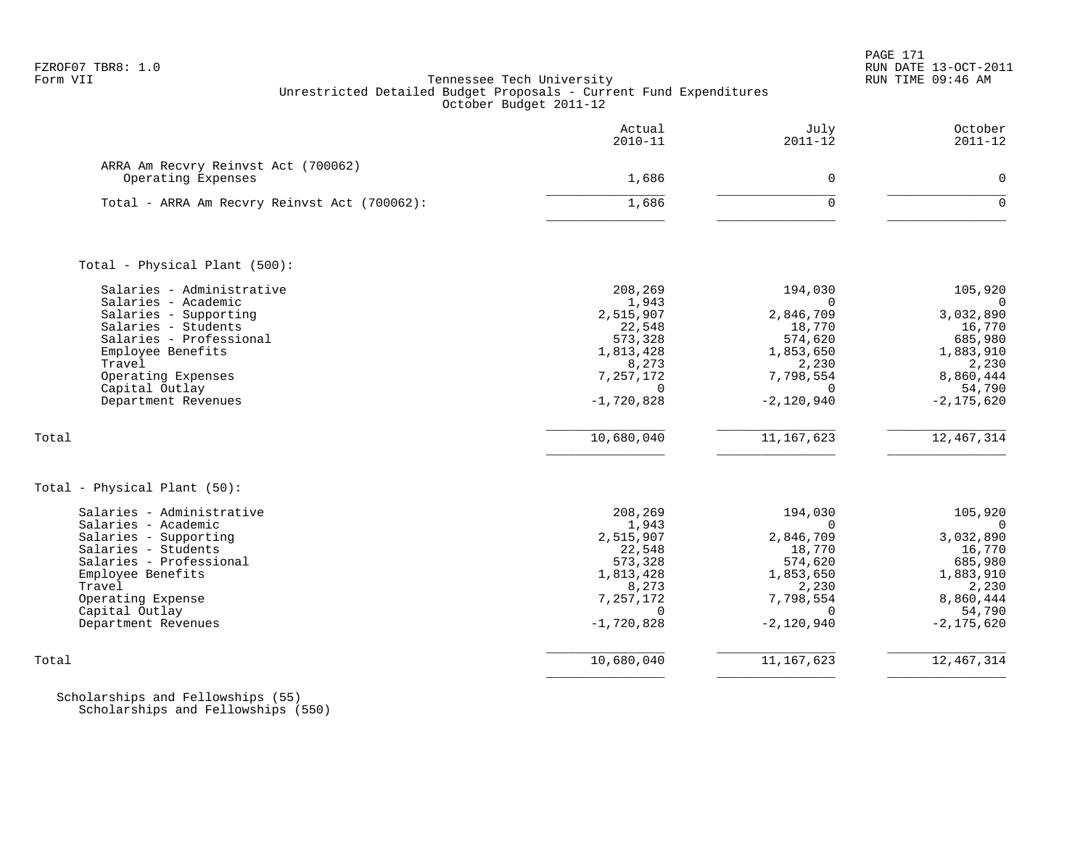|                                                                                                                                                                                                                                    | Actual<br>$2010 - 11$                                                                                                           | July<br>$2011 - 12$                                                                                                                  | October<br>$2011 - 12$                                                                                                               |
|------------------------------------------------------------------------------------------------------------------------------------------------------------------------------------------------------------------------------------|---------------------------------------------------------------------------------------------------------------------------------|--------------------------------------------------------------------------------------------------------------------------------------|--------------------------------------------------------------------------------------------------------------------------------------|
| ARRA Am Recvry Reinvst Act (700062)<br>Operating Expenses                                                                                                                                                                          | 1,686                                                                                                                           | $\mathbf 0$                                                                                                                          | $\mathbf 0$                                                                                                                          |
| Total - ARRA Am Recvry Reinvst Act (700062):                                                                                                                                                                                       | 1,686                                                                                                                           | $\Omega$                                                                                                                             | $\Omega$                                                                                                                             |
| Total - Physical Plant (500):                                                                                                                                                                                                      |                                                                                                                                 |                                                                                                                                      |                                                                                                                                      |
| Salaries - Administrative<br>Salaries - Academic<br>Salaries - Supporting<br>Salaries - Students<br>Salaries - Professional<br>Employee Benefits<br>Travel<br>Operating Expenses<br>Capital Outlay<br>Department Revenues<br>Total | 208,269<br>1,943<br>2,515,907<br>22,548<br>573,328<br>1,813,428<br>8,273<br>7,257,172<br>$\Omega$<br>$-1,720,828$<br>10,680,040 | 194,030<br>$\Omega$<br>2,846,709<br>18,770<br>574,620<br>1,853,650<br>2,230<br>7,798,554<br>$\Omega$<br>$-2,120,940$<br>11, 167, 623 | 105,920<br>$\Omega$<br>3,032,890<br>16,770<br>685,980<br>1,883,910<br>2,230<br>8,860,444<br>54,790<br>$-2, 175, 620$<br>12, 467, 314 |
| Total - Physical Plant (50):                                                                                                                                                                                                       |                                                                                                                                 |                                                                                                                                      |                                                                                                                                      |
| Salaries - Administrative<br>Salaries - Academic<br>Salaries - Supporting<br>Salaries - Students<br>Salaries - Professional<br>Employee Benefits<br>Travel<br>Operating Expense<br>Capital Outlay<br>Department Revenues           | 208,269<br>1,943<br>2,515,907<br>22,548<br>573,328<br>1,813,428<br>8,273<br>7,257,172<br>$\Omega$<br>$-1,720,828$               | 194,030<br>$\Omega$<br>2,846,709<br>18,770<br>574,620<br>1,853,650<br>2,230<br>7,798,554<br>$\Omega$<br>$-2,120,940$                 | 105,920<br>$\mathbf 0$<br>3,032,890<br>16,770<br>685,980<br>1,883,910<br>2,230<br>8,860,444<br>54,790<br>$-2, 175, 620$              |
| Total                                                                                                                                                                                                                              | 10,680,040                                                                                                                      | 11, 167, 623                                                                                                                         | 12, 467, 314                                                                                                                         |

 Scholarships and Fellowships (55) Scholarships and Fellowships (550)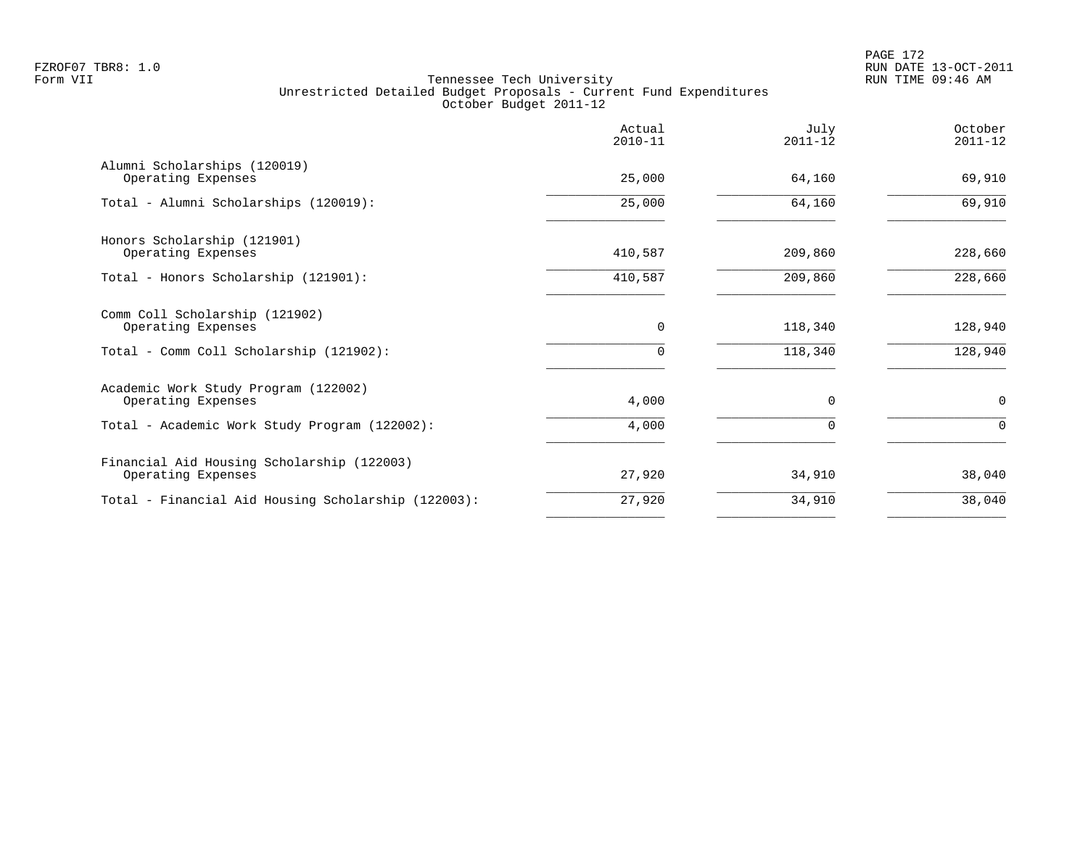|                                                                  | Actual<br>$2010 - 11$ | July<br>$2011 - 12$ | October<br>$2011 - 12$ |
|------------------------------------------------------------------|-----------------------|---------------------|------------------------|
| Alumni Scholarships (120019)<br>Operating Expenses               | 25,000                | 64,160              | 69,910                 |
| Total - Alumni Scholarships (120019):                            | 25,000                | 64,160              | 69,910                 |
| Honors Scholarship (121901)<br>Operating Expenses                | 410,587               | 209,860             | 228,660                |
| Total - Honors Scholarship (121901):                             | 410,587               | 209,860             | 228,660                |
| Comm Coll Scholarship (121902)<br>Operating Expenses             | 0                     | 118,340             | 128,940                |
| Total - Comm Coll Scholarship (121902):                          | 0                     | 118,340             | 128,940                |
| Academic Work Study Program (122002)<br>Operating Expenses       | 4,000                 | $\Omega$            | $\mathbf 0$            |
| Total - Academic Work Study Program (122002):                    | 4,000                 | $\Omega$            | 0                      |
| Financial Aid Housing Scholarship (122003)<br>Operating Expenses | 27,920                | 34,910              | 38,040                 |
| Total - Financial Aid Housing Scholarship (122003):              | 27,920                | 34,910              | 38,040                 |
|                                                                  |                       |                     |                        |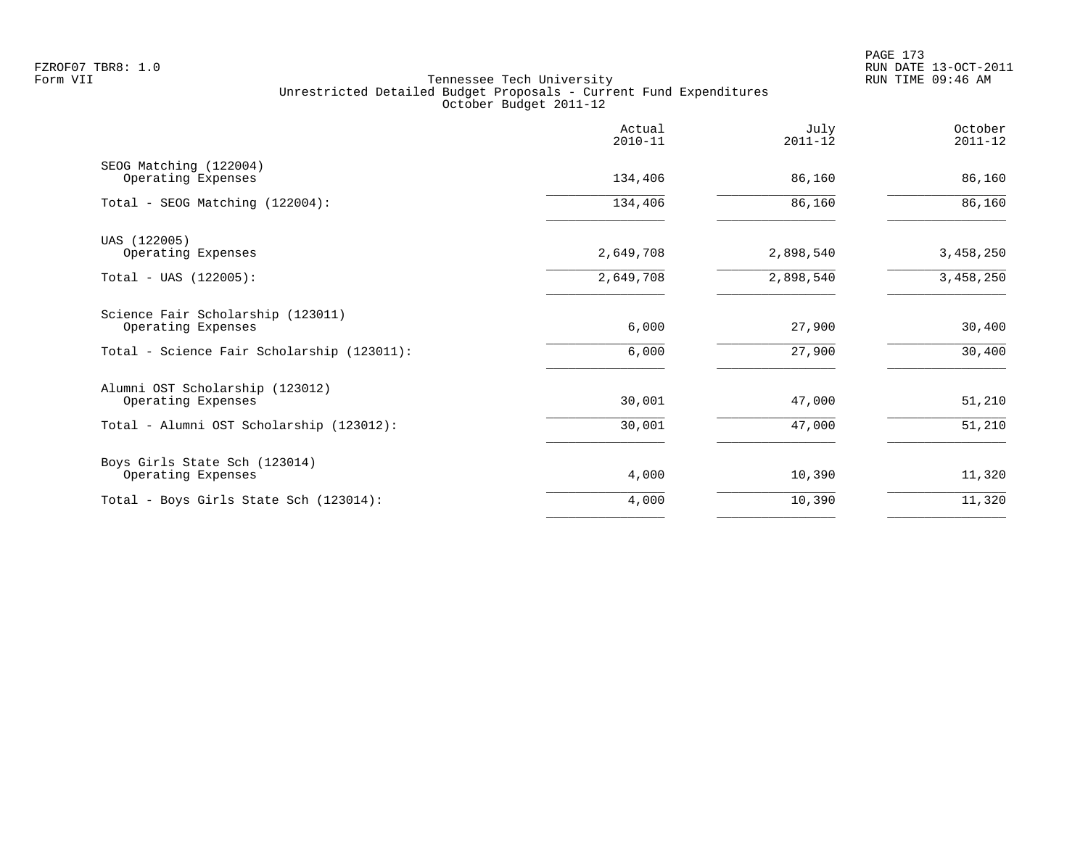|                                                         | Actual<br>$2010 - 11$ | July<br>$2011 - 12$ | October<br>$2011 - 12$ |
|---------------------------------------------------------|-----------------------|---------------------|------------------------|
| SEOG Matching (122004)<br>Operating Expenses            | 134,406               | 86,160              | 86,160                 |
| Total - SEOG Matching (122004):                         | 134,406               | 86,160              | 86,160                 |
| UAS (122005)<br>Operating Expenses                      | 2,649,708             | 2,898,540           | 3,458,250              |
| $Total - UAS (122005):$                                 | 2,649,708             | 2,898,540           | 3,458,250              |
| Science Fair Scholarship (123011)<br>Operating Expenses | 6,000                 | 27,900              | 30,400                 |
| Total - Science Fair Scholarship (123011):              | 6,000                 | 27,900              | 30,400                 |
| Alumni OST Scholarship (123012)<br>Operating Expenses   | 30,001                | 47,000              | 51,210                 |
| Total - Alumni OST Scholarship (123012):                | 30,001                | 47,000              | 51,210                 |
| Boys Girls State Sch (123014)<br>Operating Expenses     | 4,000                 | 10,390              | 11,320                 |
| Total - Boys Girls State Sch (123014):                  | 4,000                 | 10,390              | 11,320                 |
|                                                         |                       |                     |                        |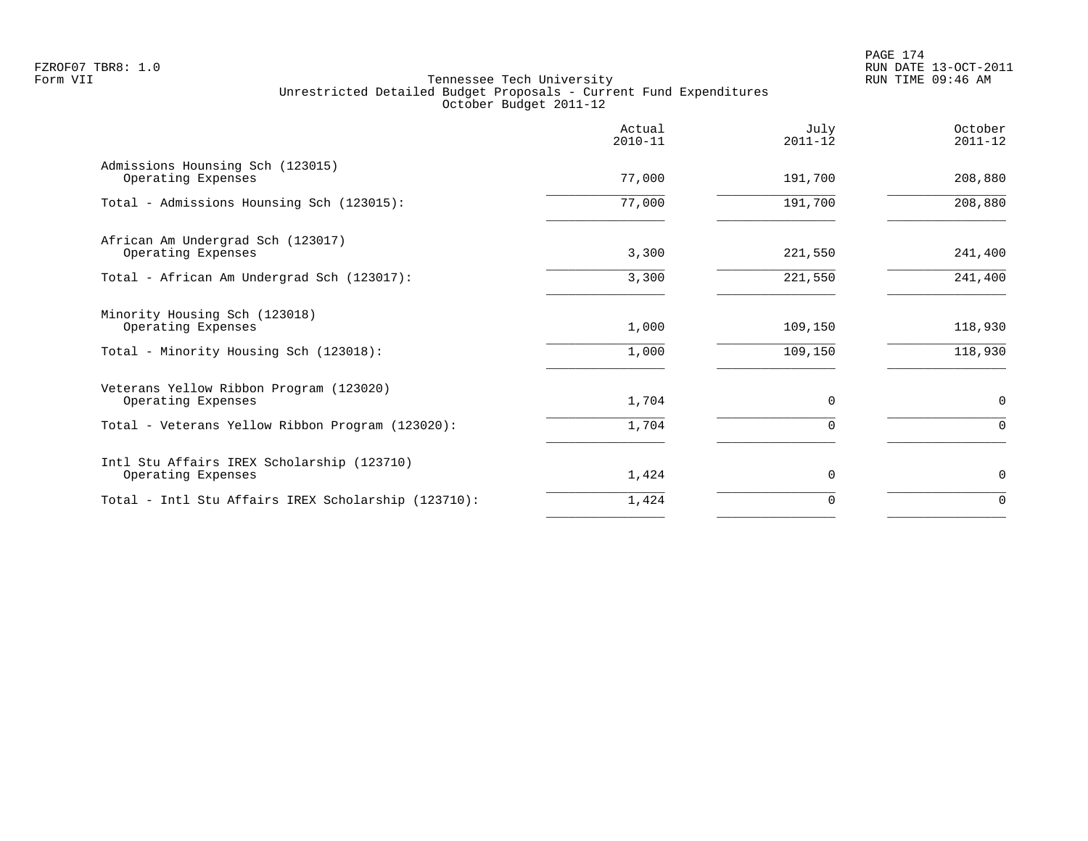|                                                                  | Actual<br>$2010 - 11$ | July<br>$2011 - 12$ | October<br>$2011 - 12$ |
|------------------------------------------------------------------|-----------------------|---------------------|------------------------|
| Admissions Hounsing Sch (123015)<br>Operating Expenses           | 77,000                | 191,700             | 208,880                |
| Total - Admissions Hounsing Sch (123015):                        | 77,000                | 191,700             | 208,880                |
| African Am Undergrad Sch (123017)<br>Operating Expenses          | 3,300                 | 221,550             | 241,400                |
| Total - African Am Undergrad Sch (123017):                       | 3,300                 | 221,550             | 241,400                |
| Minority Housing Sch (123018)<br>Operating Expenses              | 1,000                 | 109,150             | 118,930                |
| Total - Minority Housing Sch (123018):                           | 1,000                 | 109,150             | 118,930                |
| Veterans Yellow Ribbon Program (123020)<br>Operating Expenses    | 1,704                 | 0                   | $\mathbf 0$            |
| Total - Veterans Yellow Ribbon Program (123020):                 | 1,704                 | $\Omega$            | $\mathbf 0$            |
| Intl Stu Affairs IREX Scholarship (123710)<br>Operating Expenses | 1,424                 | 0                   | $\mathbf 0$            |
| Total - Intl Stu Affairs IREX Scholarship (123710):              | 1,424                 | $\Omega$            | $\Omega$               |
|                                                                  |                       |                     |                        |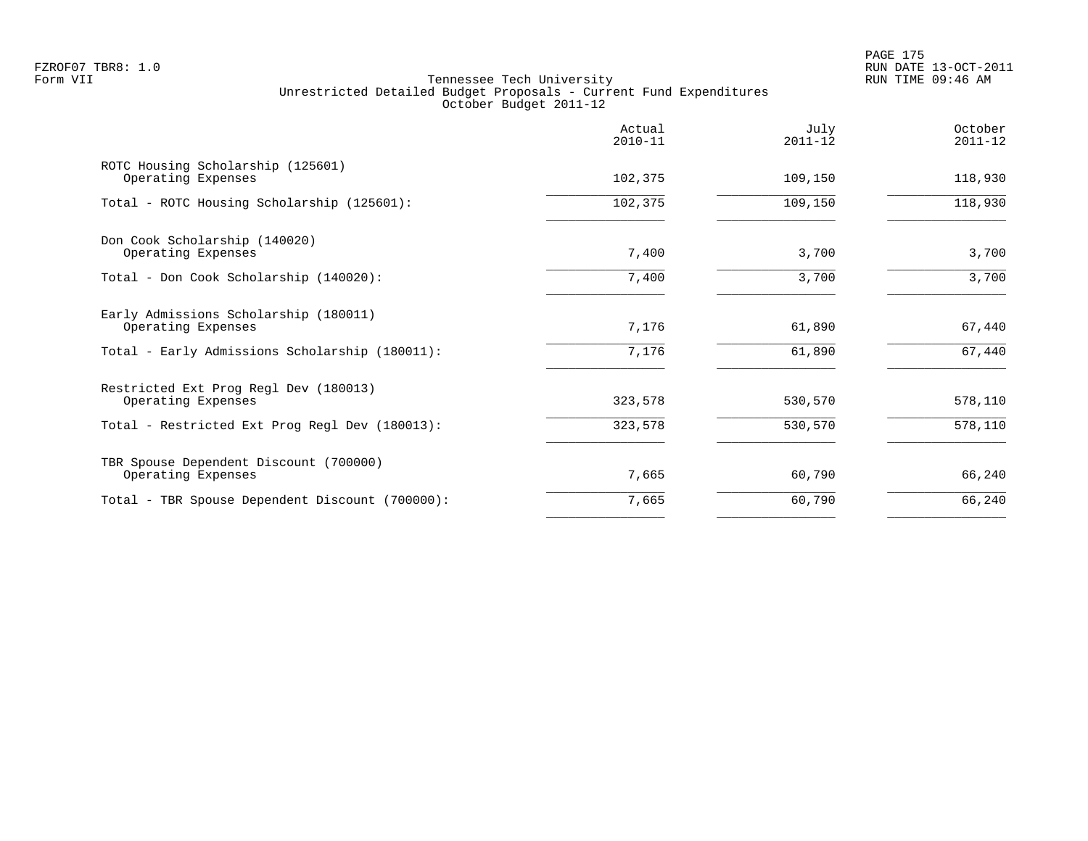|                                                              | Actual<br>$2010 - 11$ | July<br>$2011 - 12$ | October<br>$2011 - 12$ |
|--------------------------------------------------------------|-----------------------|---------------------|------------------------|
| ROTC Housing Scholarship (125601)<br>Operating Expenses      | 102,375               | 109,150             | 118,930                |
| Total - ROTC Housing Scholarship (125601):                   | 102,375               | 109,150             | 118,930                |
| Don Cook Scholarship (140020)<br>Operating Expenses          | 7,400                 | 3,700               | 3,700                  |
| Total - Don Cook Scholarship (140020):                       | 7,400                 | 3,700               | 3,700                  |
| Early Admissions Scholarship (180011)<br>Operating Expenses  | 7,176                 | 61,890              | 67,440                 |
| Total - Early Admissions Scholarship (180011):               | 7,176                 | 61,890              | 67,440                 |
| Restricted Ext Prog Regl Dev (180013)<br>Operating Expenses  | 323,578               | 530,570             | 578,110                |
| Total - Restricted Ext Prog Regl Dev (180013):               | 323,578               | 530,570             | 578,110                |
| TBR Spouse Dependent Discount (700000)<br>Operating Expenses | 7,665                 | 60,790              | 66,240                 |
| Total - TBR Spouse Dependent Discount (700000):              | 7,665                 | 60,790              | 66,240                 |
|                                                              |                       |                     |                        |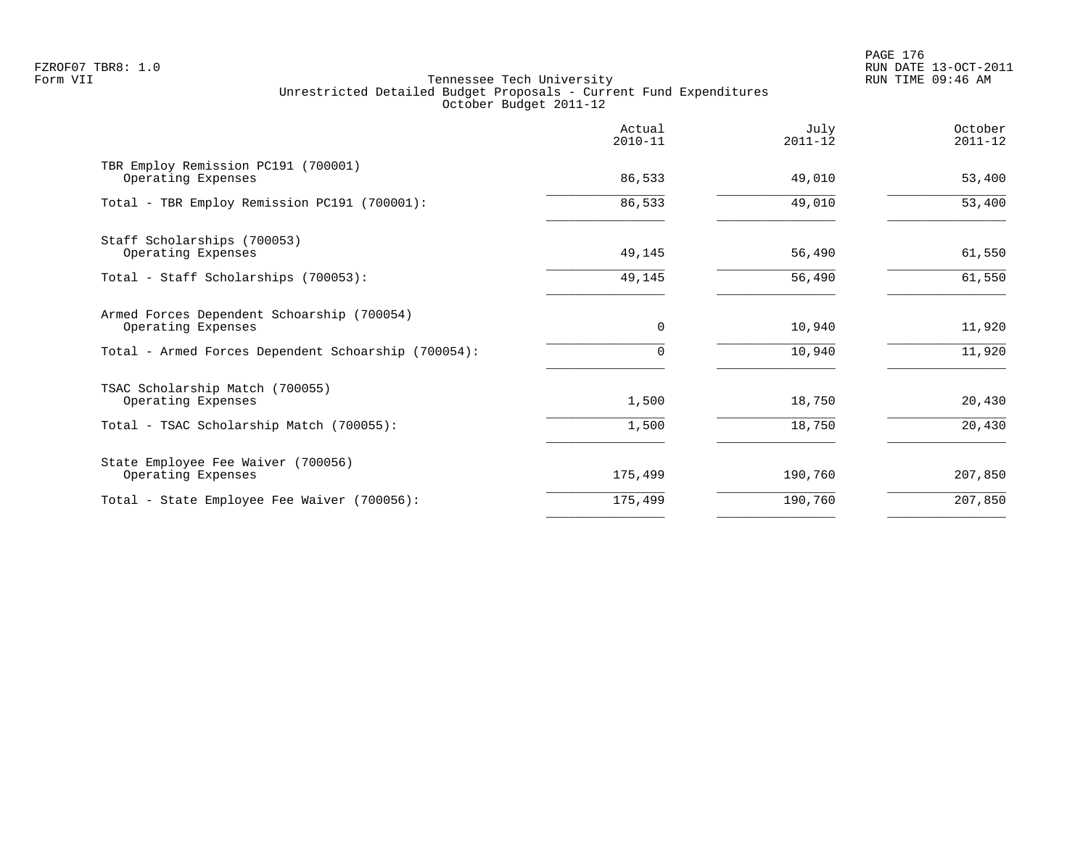PAGE 176 FZROF07 TBR8: 1.0 RUN DATE 13-OCT-2011

|                                                                  | Actual<br>$2010 - 11$ | July<br>$2011 - 12$ | October<br>$2011 - 12$ |
|------------------------------------------------------------------|-----------------------|---------------------|------------------------|
| TBR Employ Remission PC191 (700001)<br>Operating Expenses        | 86,533                | 49,010              | 53,400                 |
| Total - TBR Employ Remission PC191 (700001):                     | 86,533                | 49,010              | 53,400                 |
| Staff Scholarships (700053)<br>Operating Expenses                | 49,145                | 56,490              | 61,550                 |
| Total - Staff Scholarships (700053):                             | 49,145                | 56,490              | 61,550                 |
| Armed Forces Dependent Schoarship (700054)<br>Operating Expenses | $\mathbf 0$           | 10,940              | 11,920                 |
| Total - Armed Forces Dependent Schoarship (700054):              | 0                     | 10,940              | 11,920                 |
| TSAC Scholarship Match (700055)<br>Operating Expenses            | 1,500                 | 18,750              | 20,430                 |
| Total - TSAC Scholarship Match (700055):                         | 1,500                 | 18,750              | 20,430                 |
| State Employee Fee Waiver (700056)<br>Operating Expenses         | 175,499               | 190,760             | 207,850                |
| Total - State Employee Fee Waiver (700056):                      | 175,499               | 190,760             | 207,850                |
|                                                                  |                       |                     |                        |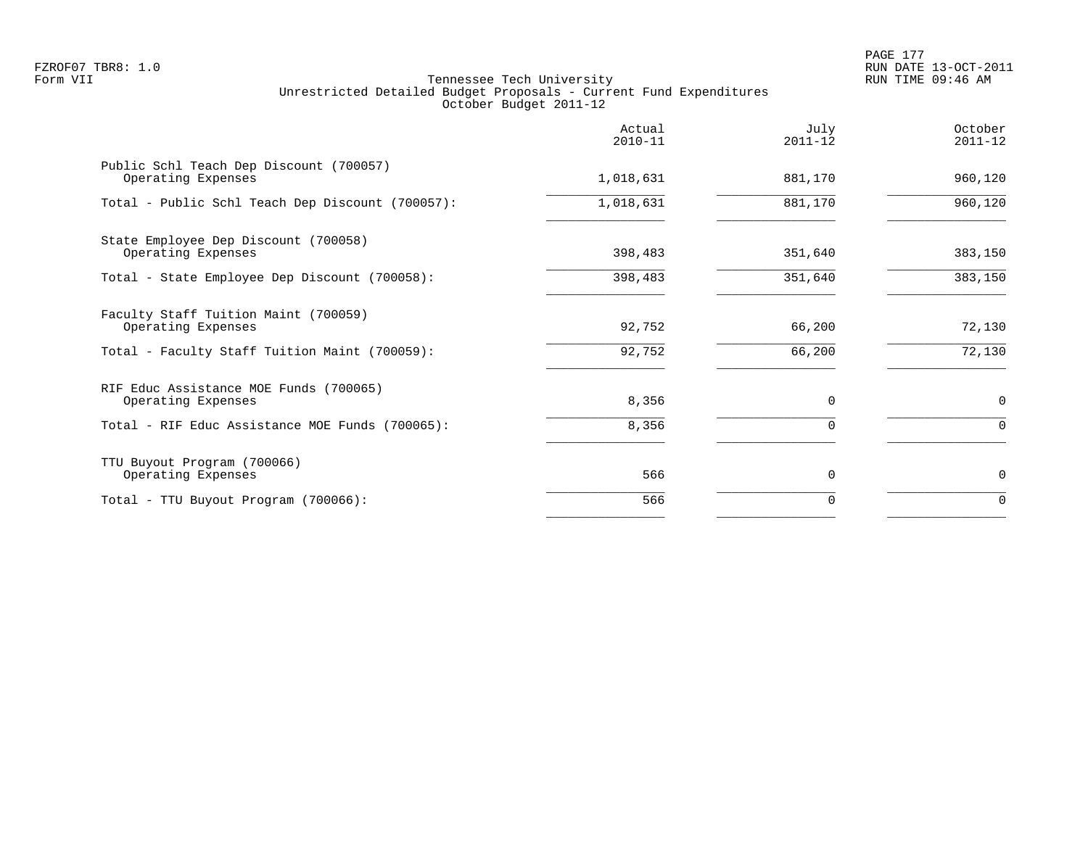PAGE 177 FZROF07 TBR8: 1.0 RUN DATE 13-OCT-2011

|                                                               | Actual<br>$2010 - 11$ | July<br>$2011 - 12$ | October<br>$2011 - 12$ |
|---------------------------------------------------------------|-----------------------|---------------------|------------------------|
| Public Schl Teach Dep Discount (700057)<br>Operating Expenses | 1,018,631             | 881,170             | 960,120                |
| Total - Public Schl Teach Dep Discount (700057):              | 1,018,631             | 881,170             | 960,120                |
| State Employee Dep Discount (700058)<br>Operating Expenses    | 398,483               | 351,640             | 383,150                |
| Total - State Employee Dep Discount (700058):                 | 398,483               | 351,640             | 383,150                |
| Faculty Staff Tuition Maint (700059)<br>Operating Expenses    | 92,752                | 66,200              | 72,130                 |
| Total - Faculty Staff Tuition Maint (700059):                 | 92,752                | 66,200              | 72,130                 |
| RIF Educ Assistance MOE Funds (700065)<br>Operating Expenses  | 8,356                 | $\Omega$            | $\mathbf 0$            |
| Total - RIF Educ Assistance MOE Funds (700065):               | 8,356                 | 0                   | $\Omega$               |
| TTU Buyout Program (700066)<br>Operating Expenses             | 566                   | $\Omega$            | $\mathbf 0$            |
| Total - TTU Buyout Program (700066):                          | 566                   | 0                   | $\Omega$               |
|                                                               |                       |                     |                        |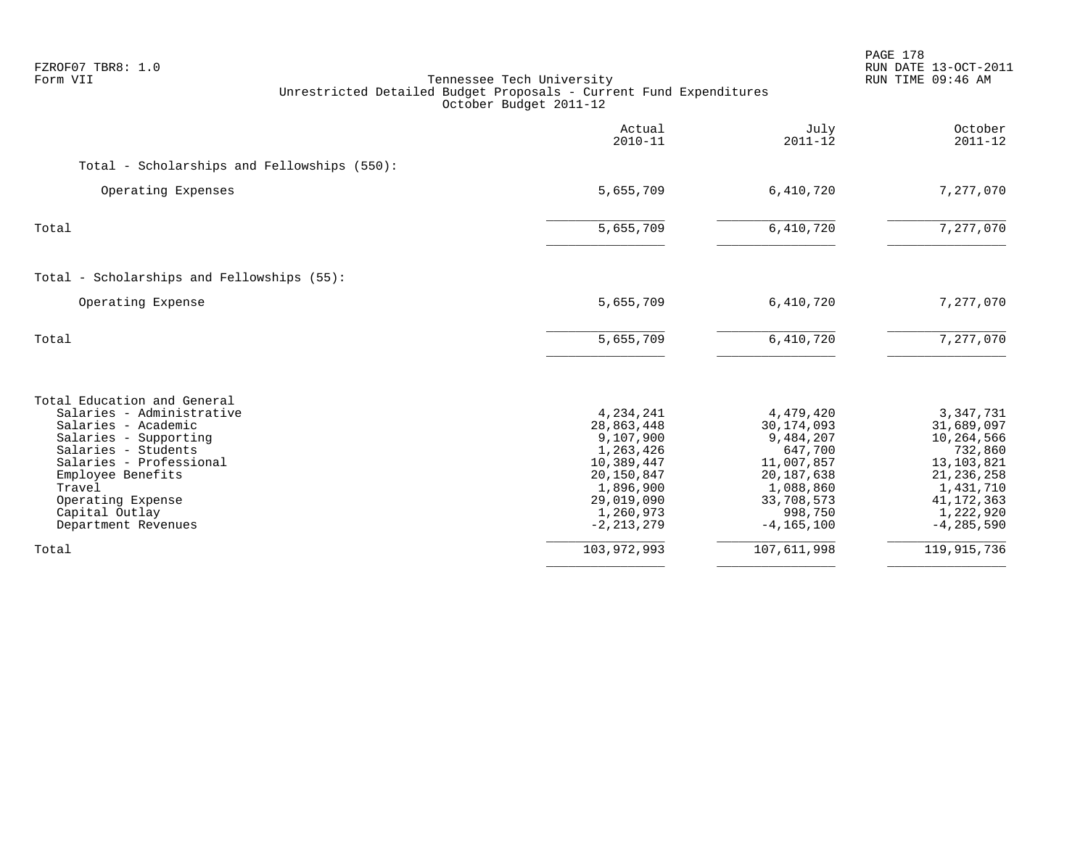| FZROF07 TBR8: 1.0<br>Form VII<br>Tennessee Tech University<br>Unrestricted Detailed Budget Proposals - Current Fund Expenditures<br>October Budget 2011-12                                                                                              |                                                                                                                                         |                                                                                                                                         | PAGE 178<br>RUN DATE 13-OCT-2011<br>RUN TIME 09:46 AM                                                                                          |  |
|---------------------------------------------------------------------------------------------------------------------------------------------------------------------------------------------------------------------------------------------------------|-----------------------------------------------------------------------------------------------------------------------------------------|-----------------------------------------------------------------------------------------------------------------------------------------|------------------------------------------------------------------------------------------------------------------------------------------------|--|
|                                                                                                                                                                                                                                                         | Actual<br>$2010 - 11$                                                                                                                   | July<br>$2011 - 12$                                                                                                                     | October<br>$2011 - 12$                                                                                                                         |  |
| Total - Scholarships and Fellowships (550):                                                                                                                                                                                                             |                                                                                                                                         |                                                                                                                                         |                                                                                                                                                |  |
| Operating Expenses                                                                                                                                                                                                                                      | 5,655,709                                                                                                                               | 6,410,720                                                                                                                               | 7,277,070                                                                                                                                      |  |
| Total                                                                                                                                                                                                                                                   | 5,655,709                                                                                                                               | 6,410,720                                                                                                                               | 7,277,070                                                                                                                                      |  |
| Total - Scholarships and Fellowships (55):                                                                                                                                                                                                              |                                                                                                                                         |                                                                                                                                         |                                                                                                                                                |  |
| Operating Expense                                                                                                                                                                                                                                       | 5,655,709                                                                                                                               | 6,410,720                                                                                                                               | 7,277,070                                                                                                                                      |  |
| Total                                                                                                                                                                                                                                                   | 5,655,709                                                                                                                               | 6,410,720                                                                                                                               | 7,277,070                                                                                                                                      |  |
| Total Education and General<br>Salaries - Administrative<br>Salaries - Academic<br>Salaries - Supporting<br>Salaries - Students<br>Salaries - Professional<br>Employee Benefits<br>Travel<br>Operating Expense<br>Capital Outlay<br>Department Revenues | 4,234,241<br>28,863,448<br>9,107,900<br>1,263,426<br>10,389,447<br>20,150,847<br>1,896,900<br>29,019,090<br>1,260,973<br>$-2, 213, 279$ | 4,479,420<br>30, 174, 093<br>9,484,207<br>647,700<br>11,007,857<br>20, 187, 638<br>1,088,860<br>33,708,573<br>998,750<br>$-4, 165, 100$ | 3, 347, 731<br>31,689,097<br>10,264,566<br>732,860<br>13, 103, 821<br>21, 236, 258<br>1,431,710<br>41, 172, 363<br>1,222,920<br>$-4, 285, 590$ |  |
| Total                                                                                                                                                                                                                                                   | 103,972,993                                                                                                                             | 107,611,998                                                                                                                             | 119,915,736                                                                                                                                    |  |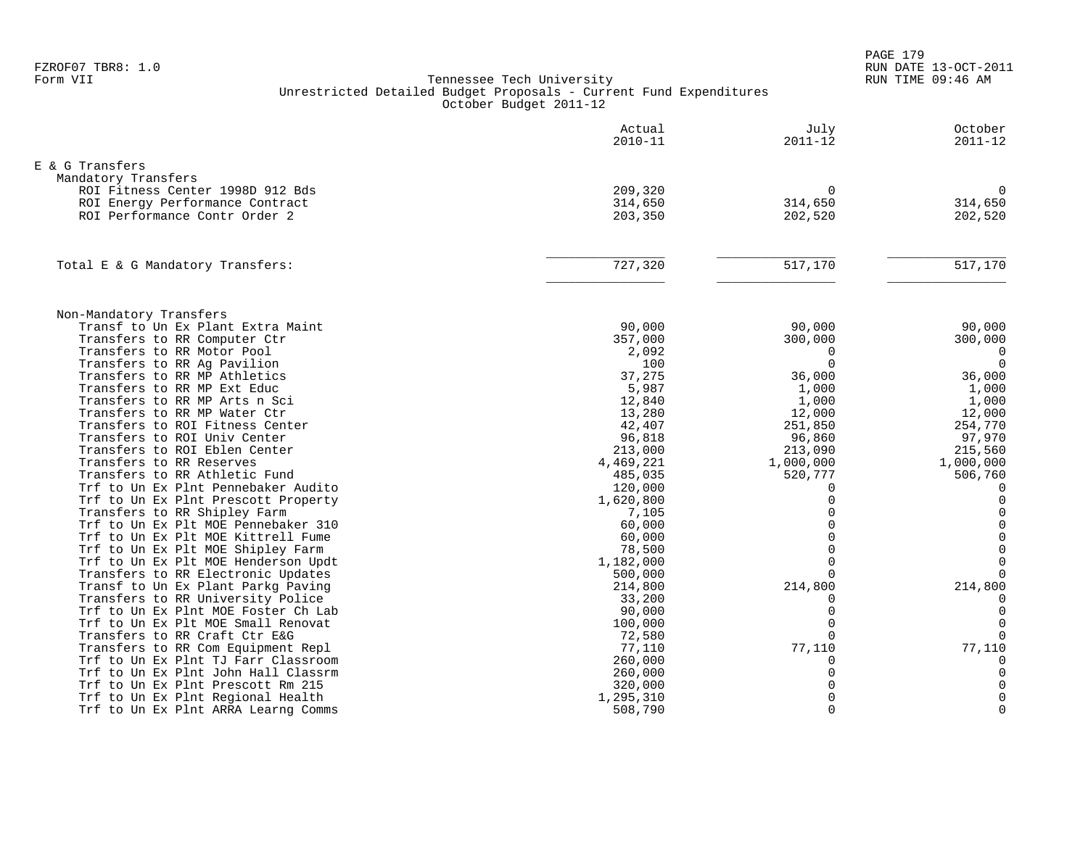PAGE 179 FZROF07 TBR8: 1.0 RUN DATE 13-OCT-2011

|                                                                 | Actual<br>$2010 - 11$ | July<br>$2011 - 12$ | October<br>$2011 - 12$ |
|-----------------------------------------------------------------|-----------------------|---------------------|------------------------|
| E & G Transfers                                                 |                       |                     |                        |
| Mandatory Transfers                                             |                       |                     |                        |
| ROI Fitness Center 1998D 912 Bds                                | 209,320               | $\Omega$            | $\Omega$               |
| ROI Energy Performance Contract                                 | 314,650               | 314,650             | 314,650                |
| ROI Performance Contr Order 2                                   | 203,350               | 202,520             | 202,520                |
|                                                                 |                       |                     |                        |
| Total E & G Mandatory Transfers:                                | 727,320               | 517,170             | $\overline{517,170}$   |
|                                                                 |                       |                     |                        |
| Non-Mandatory Transfers                                         |                       |                     |                        |
| Transf to Un Ex Plant Extra Maint                               | 90,000                | 90,000              | 90,000                 |
| Transfers to RR Computer Ctr                                    | 357,000               | 300,000             | 300,000                |
| Transfers to RR Motor Pool                                      | 2,092                 | $\Omega$            | $\overline{0}$         |
| Transfers to RR Ag Pavilion                                     | 100                   | $\Omega$            | $\Omega$               |
| Transfers to RR MP Athletics                                    | 37,275                | 36,000              | 36,000                 |
| Transfers to RR MP Ext Educ                                     | 5,987                 | 1,000               | 1,000                  |
| Transfers to RR MP Arts n Sci                                   | 12,840                | 1,000               | 1,000                  |
| Transfers to RR MP Water Ctr                                    | 13,280                | 12,000              | 12,000                 |
| Transfers to ROI Fitness Center<br>Transfers to ROI Univ Center | 42,407                | 251,850             | 254,770                |
| Transfers to ROI Eblen Center                                   | 96,818<br>213,000     | 96,860<br>213,090   | 97,970<br>215,560      |
| Transfers to RR Reserves                                        | 4,469,221             | 1,000,000           | 1,000,000              |
| Transfers to RR Athletic Fund                                   | 485,035               | 520,777             | 506,760                |
| Trf to Un Ex Plnt Pennebaker Audito                             | 120,000               | $\Omega$            | $\Omega$               |
| Trf to Un Ex Plnt Prescott Property                             | 1,620,800             |                     | $\Omega$               |
| Transfers to RR Shipley Farm                                    | 7,105                 | $\Omega$            | $\overline{0}$         |
| Trf to Un Ex Plt MOE Pennebaker 310                             | 60,000                |                     | $\mathbf 0$            |
| Trf to Un Ex Plt MOE Kittrell Fume                              | 60,000                | $\Omega$            | $\mathbf 0$            |
| Trf to Un Ex Plt MOE Shipley Farm                               | 78,500                | $\Omega$            | $\mathbf 0$            |
| Trf to Un Ex Plt MOE Henderson Updt                             | 1,182,000             | $\Omega$            | $\mathbf 0$            |
| Transfers to RR Electronic Updates                              | 500,000               | $\Omega$            | $\Omega$               |
| Transf to Un Ex Plant Parkg Paving                              | 214,800               | 214,800             | 214,800                |
| Transfers to RR University Police                               | 33,200                | $\Omega$            | $\Omega$               |
| Trf to Un Ex Plnt MOE Foster Ch Lab                             | 90,000                | $\Omega$            | $\Omega$               |
| Trf to Un Ex Plt MOE Small Renovat                              | 100,000               | $\Omega$            | $\Omega$               |
| Transfers to RR Craft Ctr E&G                                   | 72,580                | $\Omega$            | $\Omega$               |
| Transfers to RR Com Equipment Repl                              | 77,110                | 77,110              | 77,110                 |
| Trf to Un Ex Plnt TJ Farr Classroom                             | 260,000               | $\Omega$            | $\overline{0}$         |
| Trf to Un Ex Plnt John Hall Classrm                             | 260,000               | $\Omega$            | $\mathbf 0$            |
| Trf to Un Ex Plnt Prescott Rm 215                               | 320,000               | $\Omega$            | $\mathbf 0$            |
| Trf to Un Ex Plnt Regional Health                               | 1,295,310             | $\Omega$            | $\mathbf 0$            |
| Trf to Un Ex Plnt ARRA Learng Comms                             | 508,790               | $\Omega$            | $\overline{0}$         |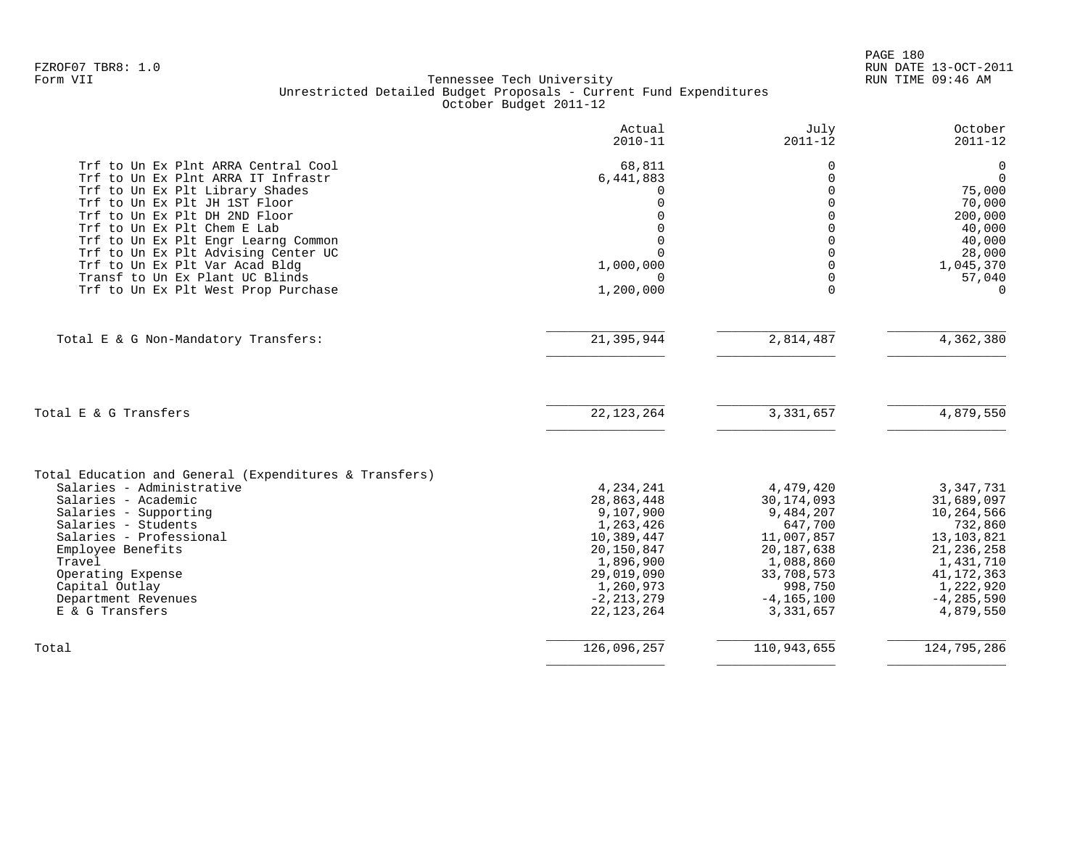|                                                                                                                                      | Actual<br>$2010 - 11$                | July<br>$2011 - 12$        | October<br>$2011 - 12$                |
|--------------------------------------------------------------------------------------------------------------------------------------|--------------------------------------|----------------------------|---------------------------------------|
| Trf to Un Ex Plnt ARRA Central Cool<br>Trf to Un Ex Plnt ARRA IT Infrastr<br>Trf to Un Ex Plt Library Shades                         | 68,811<br>6,441,883<br>∩<br>$\Omega$ | 0<br>0<br>$\Omega$<br>U    | 0<br>$\Omega$<br>75,000               |
| Trf to Un Ex Plt JH 1ST Floor<br>Trf to Un Ex Plt DH 2ND Floor<br>Trf to Un Ex Plt Chem E Lab<br>Trf to Un Ex Plt Engr Learng Common | $\Omega$<br>$\Omega$                 | U                          | 70,000<br>200,000<br>40,000<br>40,000 |
| Trf to Un Ex Plt Advising Center UC<br>Trf to Un Ex Plt Var Acad Bldg<br>Transf to Un Ex Plant UC Blinds                             | $\Omega$<br>1,000,000<br>∩           | U<br>U<br>$\Omega$         | 28,000<br>1,045,370<br>57,040         |
| Trf to Un Ex Plt West Prop Purchase                                                                                                  | 1,200,000                            | $\Omega$                   | $\Omega$                              |
| Total E & G Non-Mandatory Transfers:                                                                                                 | 21,395,944                           | 2,814,487                  | 4,362,380                             |
| Total E & G Transfers                                                                                                                | 22, 123, 264                         | 3, 331, 657                | 4,879,550                             |
| Total Education and General (Expenditures & Transfers)                                                                               |                                      |                            |                                       |
| Salaries - Administrative<br>Salaries - Academic                                                                                     | 4,234,241<br>28,863,448              | 4,479,420<br>30, 174, 093  | 3,347,731<br>31,689,097               |
| Salaries - Supporting                                                                                                                | 9,107,900                            | 9,484,207                  | 10,264,566                            |
| Salaries - Students                                                                                                                  | 1,263,426                            | 647,700                    | 732,860                               |
| Salaries - Professional<br>Employee Benefits                                                                                         | 10,389,447<br>20,150,847             | 11,007,857<br>20, 187, 638 | 13, 103, 821<br>21, 236, 258          |
| Travel                                                                                                                               | 1,896,900                            | 1,088,860                  | 1,431,710                             |
| Operating Expense                                                                                                                    | 29,019,090                           | 33,708,573                 | 41, 172, 363                          |
| Capital Outlay<br>Department Revenues                                                                                                | 1,260,973<br>$-2, 213, 279$          | 998,750<br>$-4, 165, 100$  | 1,222,920<br>$-4, 285, 590$           |
| E & G Transfers                                                                                                                      | 22, 123, 264                         | 3,331,657                  | 4,879,550                             |
| Total                                                                                                                                | 126,096,257                          | 110,943,655                | 124,795,286                           |
|                                                                                                                                      |                                      |                            |                                       |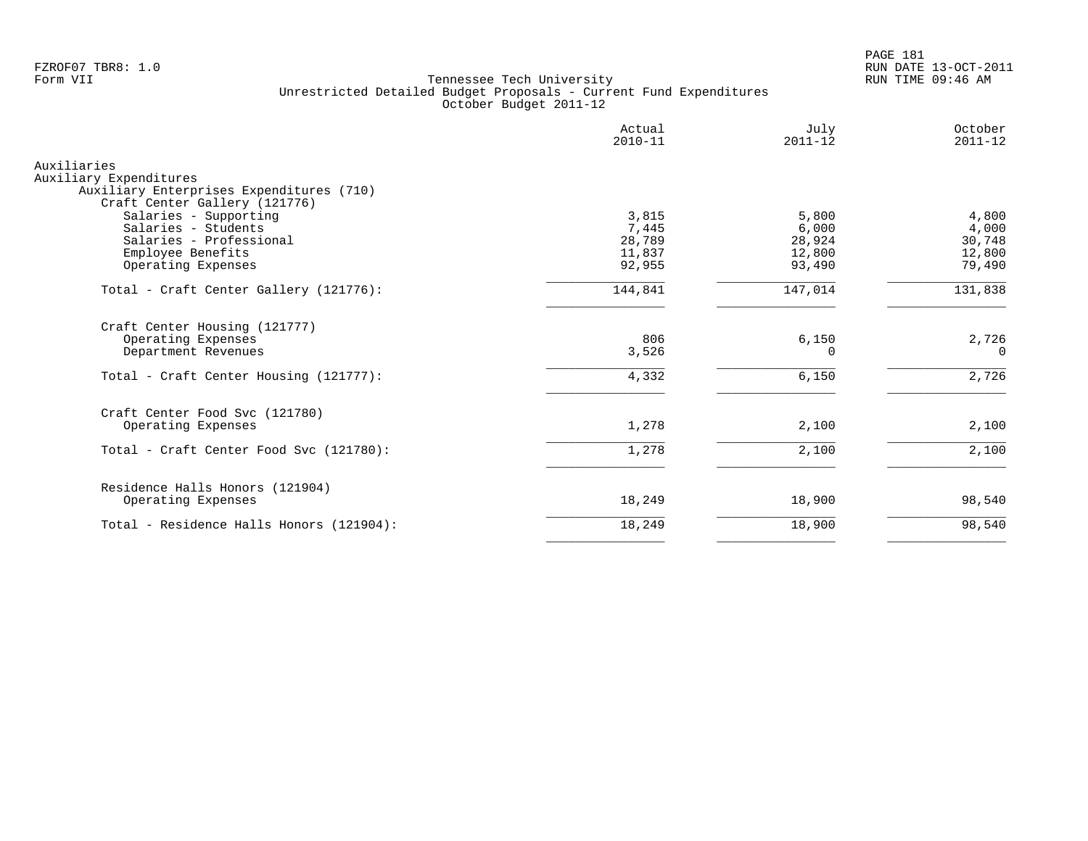PAGE 181 FZROF07 TBR8: 1.0 RUN DATE 13-OCT-2011

|                                                                                                                                                     | Actual<br>$2010 - 11$                        | July<br>$2011 - 12$                          | October<br>$2011 - 12$                       |
|-----------------------------------------------------------------------------------------------------------------------------------------------------|----------------------------------------------|----------------------------------------------|----------------------------------------------|
| Auxiliaries<br>Auxiliary Expenditures<br>Auxiliary Enterprises Expenditures (710)                                                                   |                                              |                                              |                                              |
| Craft Center Gallery (121776)<br>Salaries - Supporting<br>Salaries - Students<br>Salaries - Professional<br>Employee Benefits<br>Operating Expenses | 3,815<br>7,445<br>28,789<br>11,837<br>92,955 | 5,800<br>6,000<br>28,924<br>12,800<br>93,490 | 4,800<br>4,000<br>30,748<br>12,800<br>79,490 |
| Total - Craft Center Gallery (121776):                                                                                                              | 144,841                                      | 147,014                                      | 131,838                                      |
| Craft Center Housing (121777)<br>Operating Expenses<br>Department Revenues                                                                          | 806<br>3,526                                 | 6,150<br>$\Omega$                            | 2,726<br>$\Omega$                            |
| Total - Craft Center Housing (121777):                                                                                                              | 4,332                                        | 6,150                                        | 2,726                                        |
| Craft Center Food Svc (121780)<br>Operating Expenses                                                                                                | 1,278                                        | 2,100                                        | 2,100                                        |
| Total - Craft Center Food Svc (121780):                                                                                                             | 1,278                                        | 2,100                                        | 2,100                                        |
| Residence Halls Honors (121904)<br>Operating Expenses                                                                                               | 18,249                                       | 18,900                                       | 98,540                                       |
| Total - Residence Halls Honors (121904):                                                                                                            | 18,249                                       | 18,900                                       | 98,540                                       |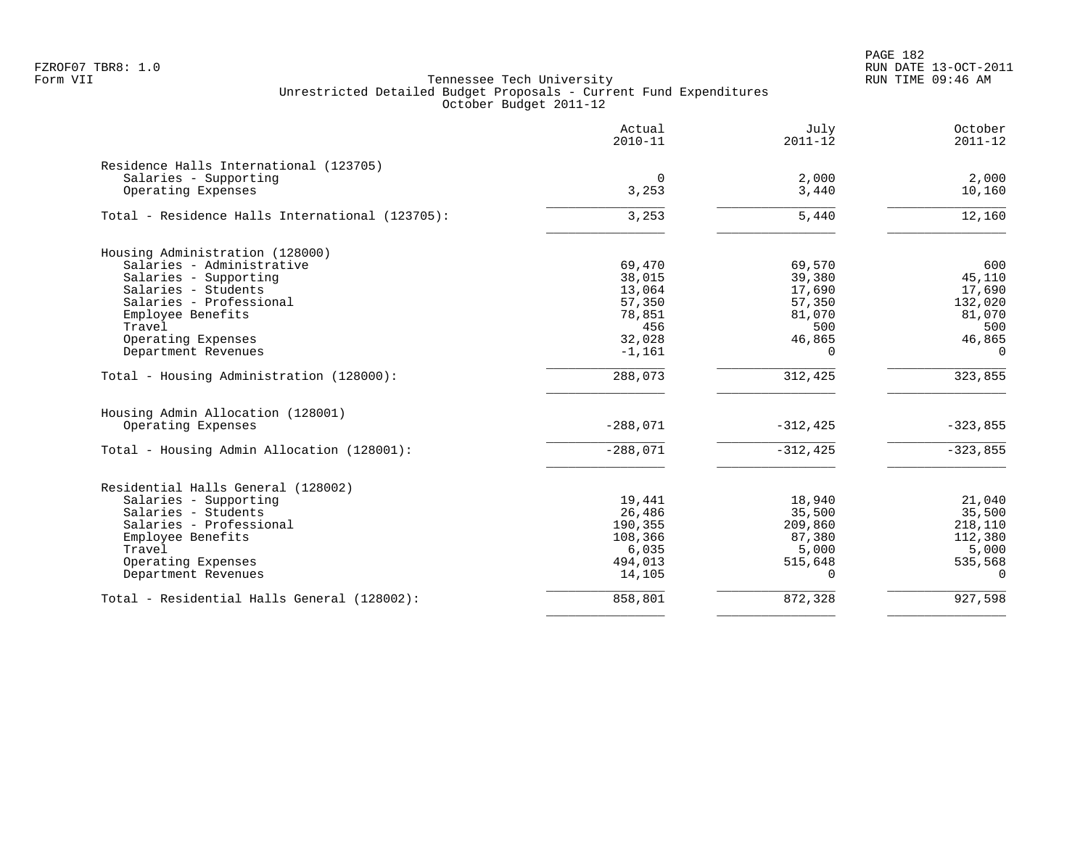PAGE 182 FZROF07 TBR8: 1.0 RUN DATE 13-OCT-2011

|                                                 | Actual<br>$2010 - 11$ | July<br>$2011 - 12$ | October<br>$2011 - 12$ |
|-------------------------------------------------|-----------------------|---------------------|------------------------|
| Residence Halls International (123705)          |                       |                     |                        |
| Salaries - Supporting                           | 0                     | 2,000               | 2,000                  |
| Operating Expenses                              | 3,253                 | 3,440               | 10,160                 |
| Total - Residence Halls International (123705): | 3,253                 | 5,440               | 12,160                 |
| Housing Administration (128000)                 |                       |                     |                        |
| Salaries - Administrative                       | 69,470                | 69,570              | 600                    |
| Salaries - Supporting                           | 38,015                | 39,380              | 45,110                 |
| Salaries - Students                             | 13,064                | 17,690              | 17,690                 |
| Salaries - Professional                         | 57,350                | 57,350              | 132,020                |
| Employee Benefits                               | 78,851                | 81,070              | 81,070                 |
| Travel                                          | 456                   | 500                 | 500                    |
| Operating Expenses                              | 32,028                | 46,865              | 46,865                 |
| Department Revenues                             | $-1,161$              | $\Omega$            | $\Omega$               |
| Total - Housing Administration (128000):        | 288,073               | 312,425             | 323,855                |
| Housing Admin Allocation (128001)               |                       |                     |                        |
| Operating Expenses                              | $-288,071$            | $-312, 425$         | $-323,855$             |
| Total - Housing Admin Allocation (128001):      | $-288,071$            | $-312,425$          | $-323,855$             |
| Residential Halls General (128002)              |                       |                     |                        |
| Salaries - Supporting                           | 19,441                | 18,940              | 21,040                 |
| Salaries - Students                             | 26,486                | 35,500              | 35,500                 |
| Salaries - Professional                         | 190,355               | 209,860             | 218,110                |
| Employee Benefits                               | 108,366               | 87,380              | 112,380                |
| Travel                                          | 6,035                 | 5,000               | 5,000                  |
| Operating Expenses                              | 494,013               | 515,648             | 535,568                |
| Department Revenues                             | 14,105                | $\Omega$            | $\Omega$               |
| Total - Residential Halls General (128002):     | 858,801               | 872,328             | 927,598                |
|                                                 |                       |                     |                        |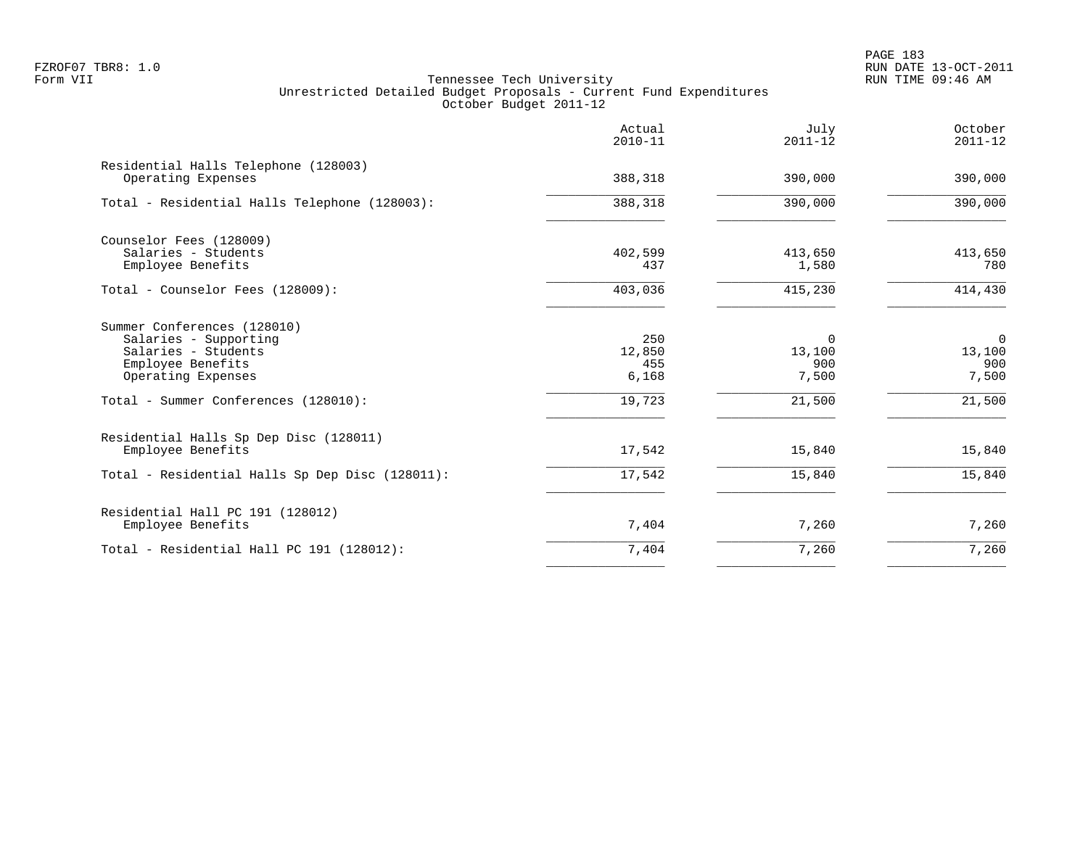PAGE 183 FZROF07 TBR8: 1.0 RUN DATE 13-OCT-2011

|                                                                                                                        | Actual<br>$2010 - 11$         | July<br>$2011 - 12$         | October<br>$2011 - 12$                |
|------------------------------------------------------------------------------------------------------------------------|-------------------------------|-----------------------------|---------------------------------------|
| Residential Halls Telephone (128003)<br>Operating Expenses                                                             | 388,318                       | 390,000                     | 390,000                               |
| Total - Residential Halls Telephone (128003):                                                                          | 388,318                       | 390,000                     | 390,000                               |
| Counselor Fees (128009)<br>Salaries - Students<br>Employee Benefits                                                    | 402,599<br>437                | 413,650<br>1,580            | 413,650<br>780                        |
| Total - Counselor Fees (128009):                                                                                       | 403,036                       | 415,230                     | 414,430                               |
| Summer Conferences (128010)<br>Salaries - Supporting<br>Salaries - Students<br>Employee Benefits<br>Operating Expenses | 250<br>12,850<br>455<br>6,168 | 0<br>13,100<br>900<br>7,500 | $\mathbf 0$<br>13,100<br>900<br>7,500 |
| Total - Summer Conferences (128010):                                                                                   | 19,723                        | 21,500                      | 21,500                                |
| Residential Halls Sp Dep Disc (128011)<br>Employee Benefits                                                            | 17,542                        | 15,840                      | 15,840                                |
| Total - Residential Halls Sp Dep Disc (128011):                                                                        | 17,542                        | 15,840                      | 15,840                                |
| Residential Hall PC 191 (128012)<br>Employee Benefits                                                                  | 7,404                         | 7,260                       | 7,260                                 |
| Total - Residential Hall PC 191 (128012):                                                                              | 7,404                         | 7,260                       | 7,260                                 |
|                                                                                                                        |                               |                             |                                       |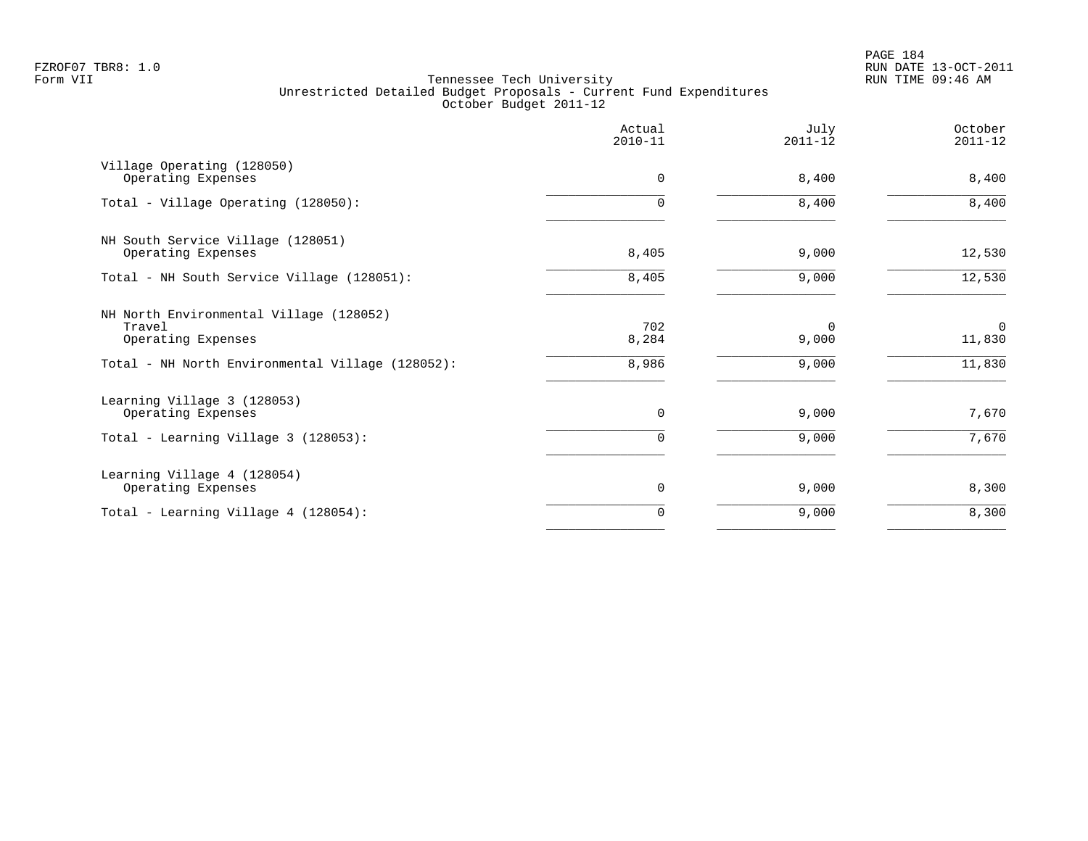PAGE 184 FZROF07 TBR8: 1.0 RUN DATE 13-OCT-2011

|                                                                         | Actual<br>$2010 - 11$ | July<br>$2011 - 12$ | October<br>$2011 - 12$ |
|-------------------------------------------------------------------------|-----------------------|---------------------|------------------------|
| Village Operating (128050)<br>Operating Expenses                        | $\mathbf 0$           | 8,400               | 8,400                  |
| Total - Village Operating (128050):                                     | O.                    | 8,400               | 8,400                  |
| NH South Service Village (128051)<br>Operating Expenses                 | 8,405                 | 9,000               | 12,530                 |
| Total - NH South Service Village (128051):                              | 8,405                 | 9,000               | 12,530                 |
| NH North Environmental Village (128052)<br>Travel<br>Operating Expenses | 702<br>8,284          | $\Omega$<br>9,000   | $\mathbf 0$<br>11,830  |
| Total - NH North Environmental Village (128052):                        | 8,986                 | 9,000               | 11,830                 |
| Learning Village 3 (128053)<br>Operating Expenses                       | 0                     | 9,000               | 7,670                  |
| Total - Learning Village 3 (128053):                                    | 0                     | 9,000               | 7,670                  |
| Learning Village 4 (128054)<br>Operating Expenses                       | 0                     | 9,000               | 8,300                  |
| Total - Learning Village 4 (128054):                                    | $\Omega$              | 9,000               | 8,300                  |
|                                                                         |                       |                     |                        |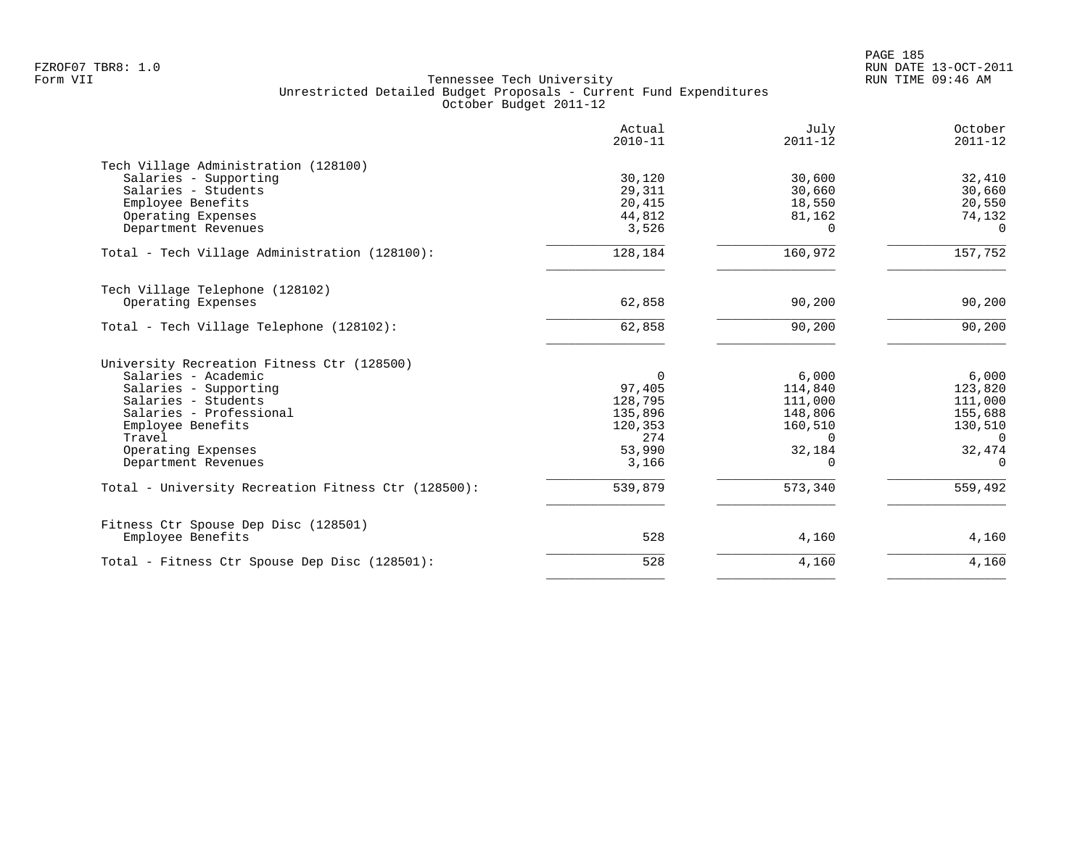|                                                           | Actual<br>$2010 - 11$ | July<br>$2011 - 12$ | October<br>$2011 - 12$ |
|-----------------------------------------------------------|-----------------------|---------------------|------------------------|
| Tech Village Administration (128100)                      |                       |                     |                        |
| Salaries - Supporting                                     | 30,120                | 30,600              | 32,410                 |
| Salaries - Students                                       | 29,311                | 30,660              | 30,660                 |
| Employee Benefits                                         | 20,415                | 18,550              | 20,550                 |
| Operating Expenses                                        | 44,812                | 81,162              | 74,132                 |
| Department Revenues                                       | 3,526                 | $\Omega$            | $\Omega$               |
| Total - Tech Village Administration (128100):             | 128,184               | 160,972             | 157,752                |
| Tech Village Telephone (128102)                           |                       |                     |                        |
| Operating Expenses                                        | 62,858                | 90,200              | 90,200                 |
| Total - Tech Village Telephone (128102):                  | 62,858                | 90,200              | 90,200                 |
| University Recreation Fitness Ctr (128500)                |                       |                     |                        |
| Salaries - Academic                                       | $\Omega$              | 6,000               | 6,000                  |
| Salaries - Supporting                                     | 97,405                | 114,840             | 123,820                |
| Salaries - Students                                       | 128,795               | 111,000             | 111,000                |
| Salaries - Professional                                   | 135,896               | 148,806             | 155,688                |
| Employee Benefits                                         | 120,353               | 160,510             | 130,510                |
| Travel                                                    | 274                   | $\Omega$            | $\Omega$               |
| Operating Expenses                                        | 53,990                | 32,184              | 32,474                 |
| Department Revenues                                       | 3,166                 | 0                   | $\Omega$               |
| Total - University Recreation Fitness Ctr (128500):       | 539,879               | 573,340             | 559,492                |
|                                                           |                       |                     |                        |
| Fitness Ctr Spouse Dep Disc (128501)<br>Employee Benefits | 528                   | 4,160               | 4,160                  |
| Total - Fitness Ctr Spouse Dep Disc (128501):             | 528                   | 4,160               | 4,160                  |
|                                                           |                       |                     |                        |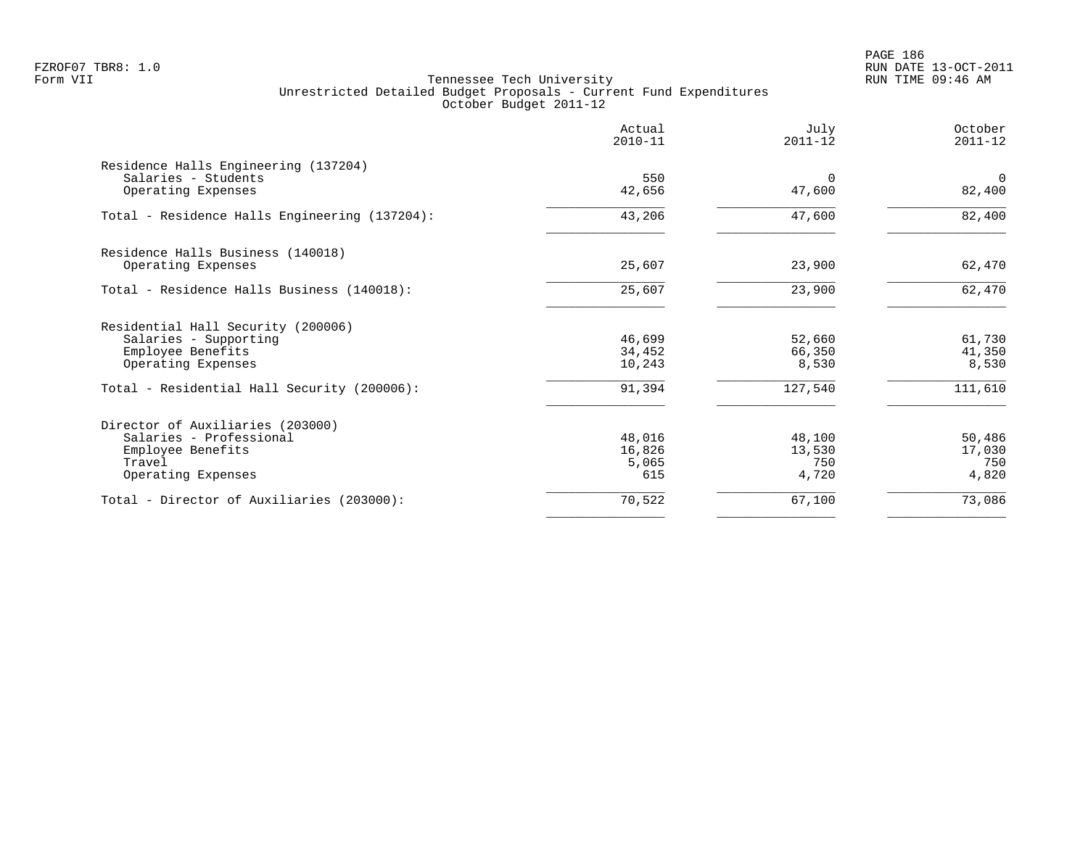PAGE 186 FZROF07 TBR8: 1.0 RUN DATE 13-OCT-2011

| 550<br>42,656 | $\Omega$                  |                         |
|---------------|---------------------------|-------------------------|
|               |                           |                         |
|               | 47,600                    | $\mathbf 0$<br>82,400   |
| 43,206        | 47,600                    | 82,400                  |
|               |                           |                         |
| 25,607        | 23,900                    | 62,470                  |
| 25,607        | 23,900                    | 62,470                  |
|               |                           |                         |
| 46,699        | 52,660                    | 61,730                  |
| 10,243        | 8,530                     | 41,350<br>8,530         |
| 91,394        | 127,540                   | 111,610                 |
|               |                           |                         |
| 48,016        | 48,100                    | 50,486                  |
|               |                           | 17,030<br>750           |
| 615           | 4,720                     | 4,820                   |
| 70,522        | 67,100                    | 73,086                  |
|               | 34,452<br>16,826<br>5,065 | 66,350<br>13,530<br>750 |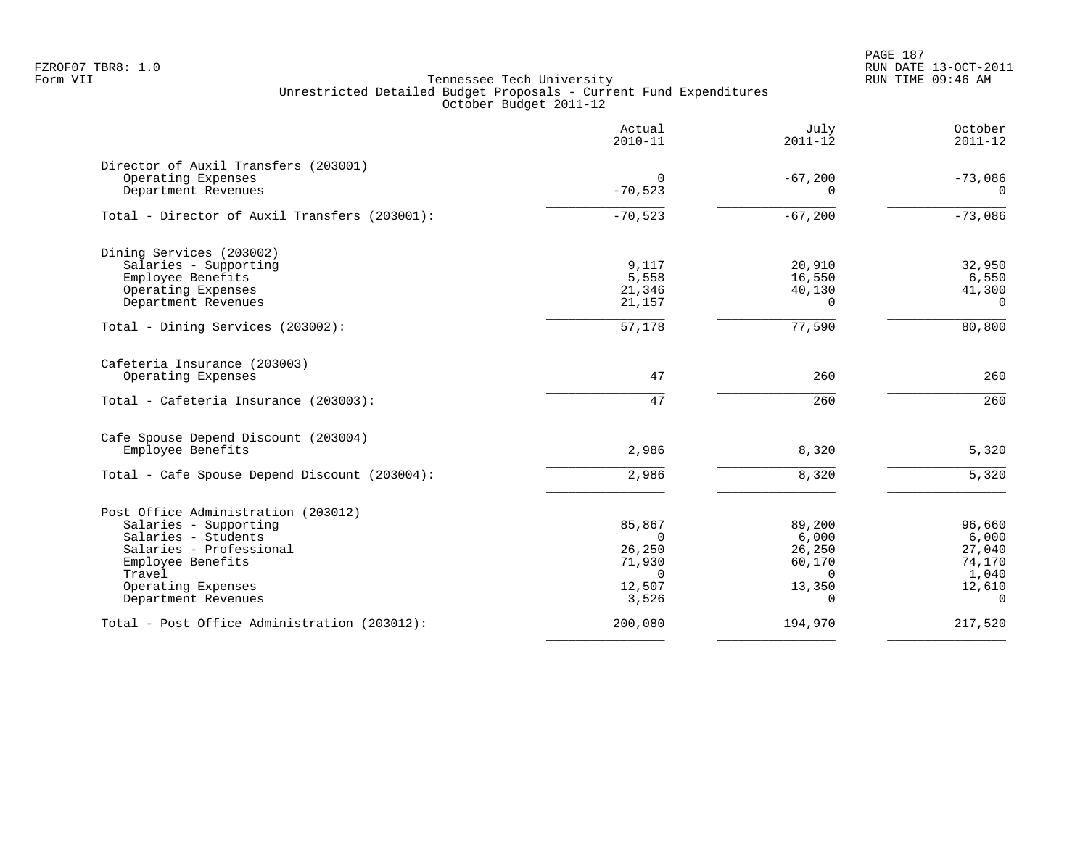|                                               | Actual<br>$2010 - 11$ | July<br>$2011 - 12$ | October<br>$2011 - 12$ |
|-----------------------------------------------|-----------------------|---------------------|------------------------|
| Director of Auxil Transfers (203001)          |                       |                     |                        |
| Operating Expenses                            | $\Omega$              | $-67,200$           | $-73,086$              |
| Department Revenues                           | $-70,523$             | $\Omega$            | $\Omega$               |
| Total - Director of Auxil Transfers (203001): | $-70,523$             | $-67,200$           | $-73,086$              |
| Dining Services (203002)                      |                       |                     |                        |
| Salaries - Supporting                         | 9,117                 | 20,910              | 32,950                 |
| Employee Benefits<br>Operating Expenses       | 5,558<br>21,346       | 16,550<br>40,130    | 6,550<br>41,300        |
| Department Revenues                           | 21,157                | $\Omega$            | $\Omega$               |
| Total - Dining Services (203002):             | 57,178                | 77,590              | 80,800                 |
| Cafeteria Insurance (203003)                  |                       |                     |                        |
| Operating Expenses                            | 47                    | 260                 | 260                    |
| Total - Cafeteria Insurance (203003):         | 47                    | 260                 | 260                    |
| Cafe Spouse Depend Discount (203004)          |                       |                     |                        |
| Employee Benefits                             | 2,986                 | 8,320               | 5,320                  |
| Total - Cafe Spouse Depend Discount (203004): | 2,986                 | 8,320               | 5,320                  |
| Post Office Administration (203012)           |                       |                     |                        |
| Salaries - Supporting                         | 85,867                | 89,200              | 96,660                 |
| Salaries - Students                           | $\Omega$              | 6,000               | 6,000                  |
| Salaries - Professional                       | 26,250                | 26,250              | 27,040                 |
| Employee Benefits<br>Travel                   | 71,930<br>$\Omega$    | 60,170<br>$\Omega$  | 74,170<br>1,040        |
| Operating Expenses                            | 12,507                | 13,350              | 12,610                 |
| Department Revenues                           | 3,526                 | $\Omega$            | $\Omega$               |
| Total - Post Office Administration (203012):  | 200,080               | 194,970             | 217,520                |
|                                               |                       |                     |                        |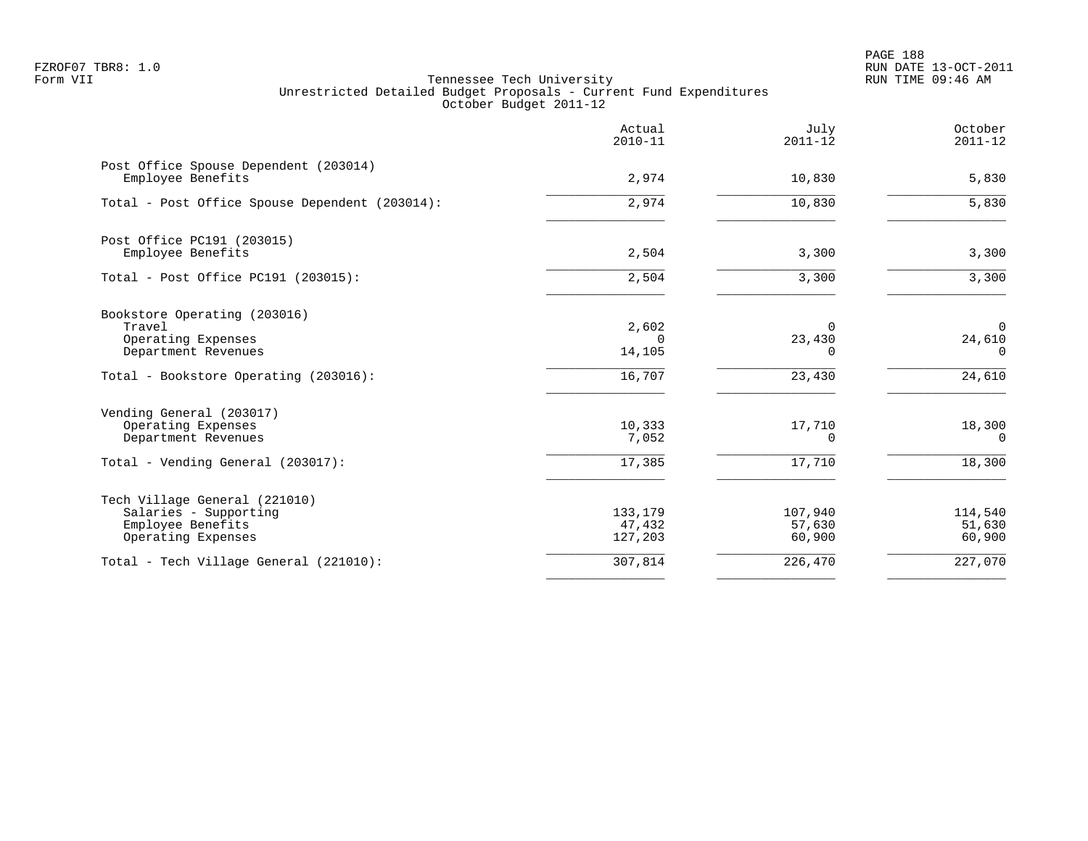PAGE 188 FZROF07 TBR8: 1.0 RUN DATE 13-OCT-2011

|                                                                                                            | Actual<br>$2010 - 11$        | July<br>$2011 - 12$            | October<br>$2011 - 12$            |
|------------------------------------------------------------------------------------------------------------|------------------------------|--------------------------------|-----------------------------------|
| Post Office Spouse Dependent (203014)<br>Employee Benefits                                                 | 2,974                        | 10,830                         | 5,830                             |
| Total - Post Office Spouse Dependent (203014):                                                             | 2,974                        | 10,830                         | 5,830                             |
| Post Office PC191 (203015)<br>Employee Benefits                                                            | 2,504                        | 3,300                          | 3,300                             |
| Total - Post Office PC191 (203015):                                                                        | 2,504                        | 3,300                          | 3,300                             |
| Bookstore Operating (203016)<br>Travel<br>Operating Expenses<br>Department Revenues                        | 2,602<br>$\Omega$<br>14,105  | $\Omega$<br>23,430<br>$\Omega$ | $\mathbf 0$<br>24,610<br>$\Omega$ |
| Total - Bookstore Operating (203016):                                                                      | 16,707                       | 23,430                         | 24,610                            |
| Vending General (203017)<br>Operating Expenses<br>Department Revenues<br>Total - Vending General (203017): | 10,333<br>7,052<br>17,385    | 17,710<br>0<br>17,710          | 18,300<br>0<br>18,300             |
| Tech Village General (221010)<br>Salaries - Supporting<br>Employee Benefits<br>Operating Expenses          | 133,179<br>47,432<br>127,203 | 107,940<br>57,630<br>60,900    | 114,540<br>51,630<br>60,900       |
| Total - Tech Village General (221010):                                                                     | 307,814                      | 226,470                        | 227,070                           |
|                                                                                                            |                              |                                |                                   |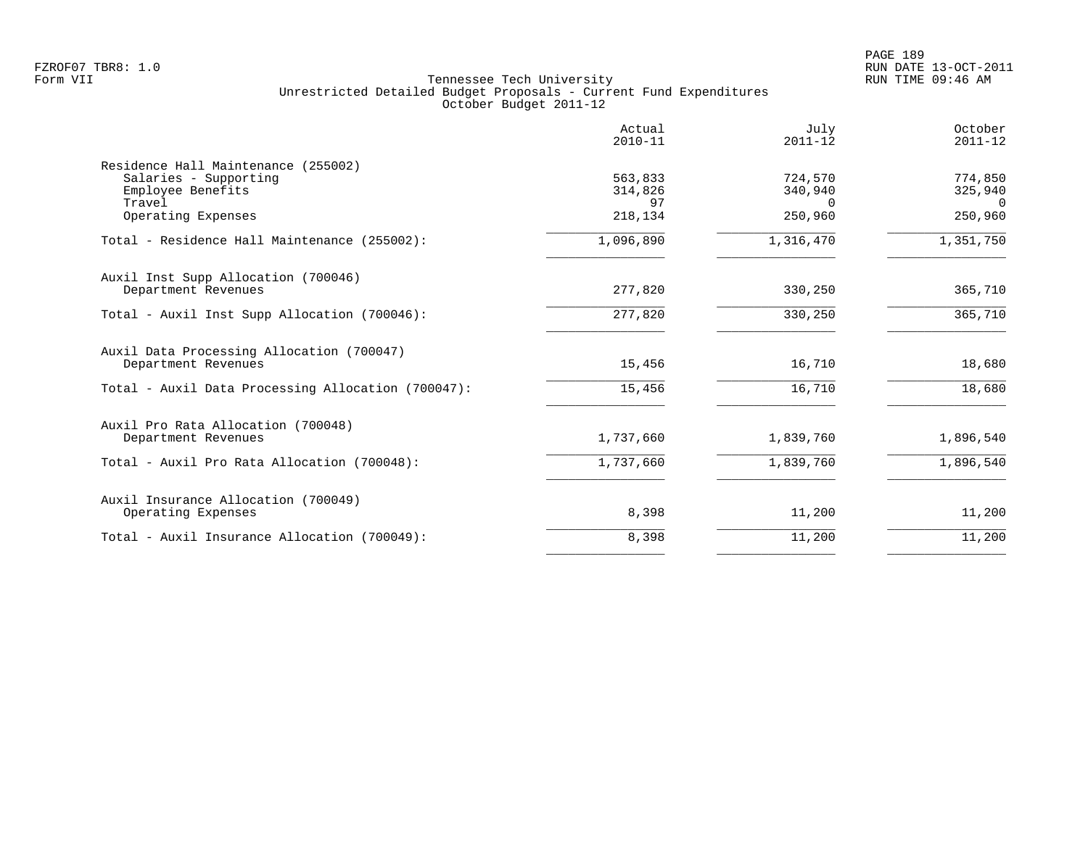|                                                                                             | Actual<br>$2010 - 11$    | July<br>$2011 - 12$            | October<br>$2011 - 12$         |
|---------------------------------------------------------------------------------------------|--------------------------|--------------------------------|--------------------------------|
| Residence Hall Maintenance (255002)<br>Salaries - Supporting<br>Employee Benefits<br>Travel | 563,833<br>314,826<br>97 | 724,570<br>340,940<br>$\Omega$ | 774,850<br>325,940<br>$\Omega$ |
| Operating Expenses                                                                          | 218,134                  | 250,960                        | 250,960                        |
| Total - Residence Hall Maintenance (255002):                                                | 1,096,890                | 1,316,470                      | 1,351,750                      |
| Auxil Inst Supp Allocation (700046)<br>Department Revenues                                  | 277,820                  | 330,250                        | 365,710                        |
| Total - Auxil Inst Supp Allocation (700046):                                                | 277,820                  | 330,250                        | 365,710                        |
| Auxil Data Processing Allocation (700047)<br>Department Revenues                            | 15,456                   | 16,710                         | 18,680                         |
| Total - Auxil Data Processing Allocation (700047):                                          | 15,456                   | 16,710                         | 18,680                         |
| Auxil Pro Rata Allocation (700048)<br>Department Revenues                                   | 1,737,660                | 1,839,760                      | 1,896,540                      |
| Total - Auxil Pro Rata Allocation (700048):                                                 | 1,737,660                | 1,839,760                      | 1,896,540                      |
| Auxil Insurance Allocation (700049)<br>Operating Expenses                                   | 8,398                    | 11,200                         | 11,200                         |
| Total - Auxil Insurance Allocation (700049):                                                | 8,398                    | 11,200                         | 11,200                         |
|                                                                                             |                          |                                |                                |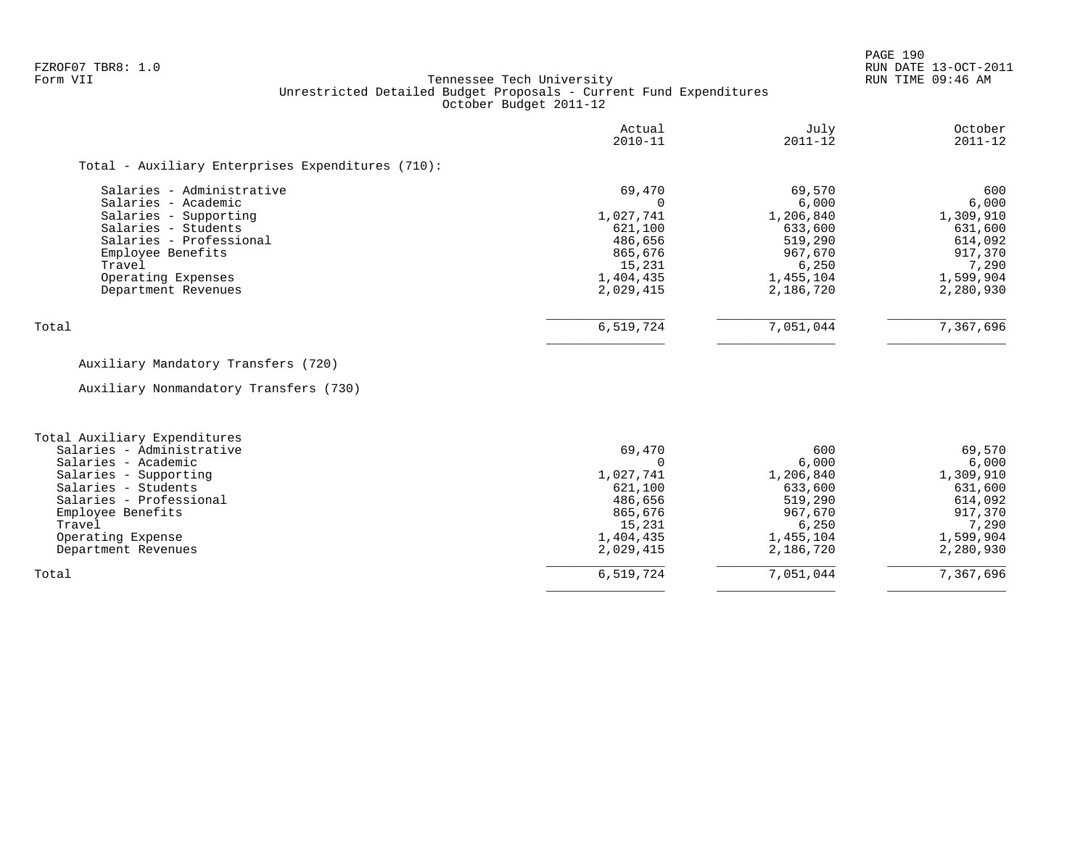PAGE 190

# FZROF07 TBR8: 1.0 RUN DATE 13-OCT-2011 Tennessee Tech University Unrestricted Detailed Budget Proposals - Current Fund Expenditures October Budget 2011-12

| October<br>$2011 - 12$ | July<br>$2011 - 12$ | Actual<br>$2010 - 11$ |                                                   |
|------------------------|---------------------|-----------------------|---------------------------------------------------|
|                        |                     |                       | Total - Auxiliary Enterprises Expenditures (710): |
| 600                    | 69,570              | 69,470                | Salaries - Administrative                         |
| 6,000                  | 6,000               |                       | Salaries - Academic                               |
| 1,309,910              | 1,206,840           | 1,027,741             | Salaries - Supporting                             |
| 631,600                | 633,600             | 621,100               | Salaries - Students                               |
| 614,092                | 519,290             | 486,656               | Salaries - Professional                           |
| 917,370                | 967,670             | 865,676               | Employee Benefits                                 |
| 7,290                  | 6,250               | 15,231                | Travel                                            |
| 1,599,904              | 1,455,104           | 1,404,435             | Operating Expenses                                |
| 2,280,930              | 2,186,720           | 2,029,415             | Department Revenues                               |
| 7,367,696              | 7,051,044           |                       | Total                                             |
|                        |                     | 6,519,724             |                                                   |

# Auxiliary Mandatory Transfers (720)

Auxiliary Nonmandatory Transfers (730)

| Total Auxiliary Expenditures |           |           |           |
|------------------------------|-----------|-----------|-----------|
| Salaries - Administrative    | 69,470    | 600       | 69,570    |
| Salaries - Academic          |           | 6.000     | 6,000     |
| Salaries - Supporting        | 1,027,741 | 1,206,840 | 1,309,910 |
| Salaries - Students          | 621,100   | 633,600   | 631,600   |
| Salaries - Professional      | 486,656   | 519,290   | 614,092   |
| Employee Benefits            | 865,676   | 967,670   | 917,370   |
| Travel                       | 15,231    | 6.250     | 7,290     |
| Operating Expense            | 1,404,435 | 1,455,104 | 1,599,904 |
| Department Revenues          | 2,029,415 | 2,186,720 | 2,280,930 |
| Total                        | 6,519,724 | 7,051,044 | 7,367,696 |
|                              |           |           |           |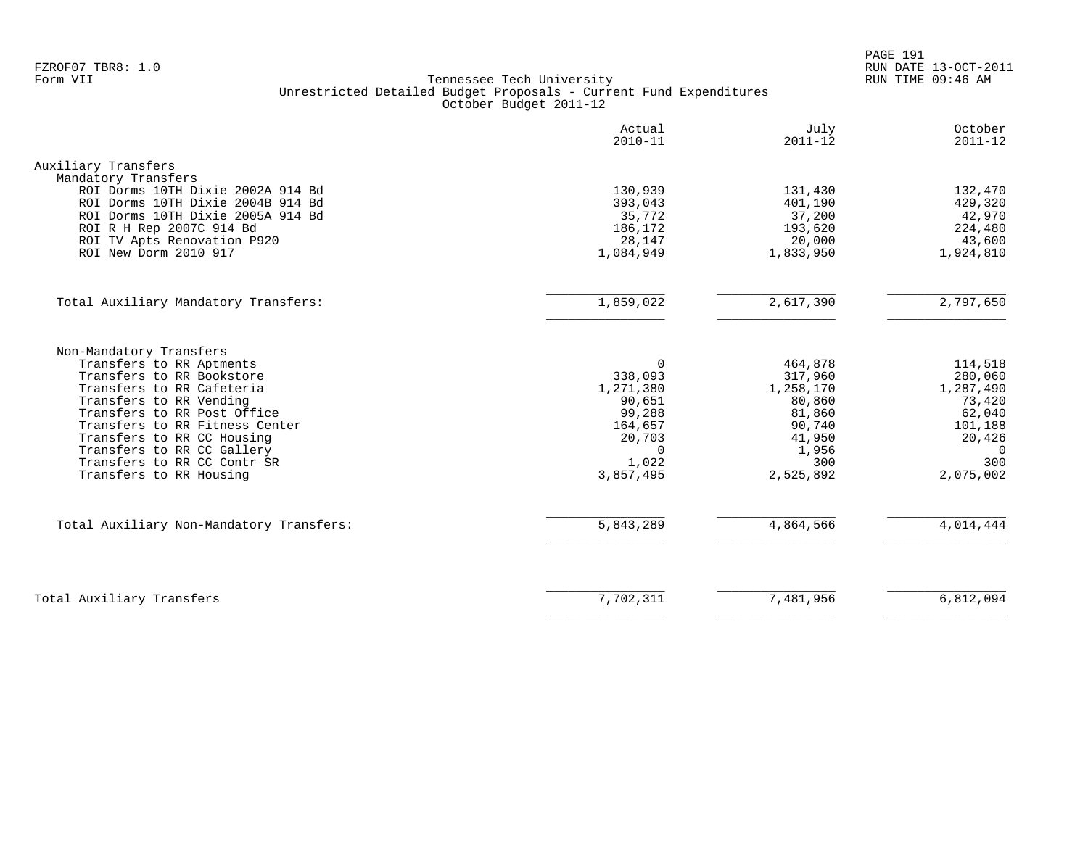PAGE 191 FZROF07 TBR8: 1.0 RUN DATE 13-OCT-2011

|                                                                                                                                                                                                                                                                                                                                 | Actual<br>$2010 - 11$                                                                                          | July<br>$2011 - 12$                                                                                  | October<br>$2011 - 12$                                                                                      |
|---------------------------------------------------------------------------------------------------------------------------------------------------------------------------------------------------------------------------------------------------------------------------------------------------------------------------------|----------------------------------------------------------------------------------------------------------------|------------------------------------------------------------------------------------------------------|-------------------------------------------------------------------------------------------------------------|
| Auxiliary Transfers<br>Mandatory Transfers<br>ROI Dorms 10TH Dixie 2002A 914 Bd                                                                                                                                                                                                                                                 | 130,939                                                                                                        | 131,430                                                                                              | 132,470                                                                                                     |
| ROI Dorms 10TH Dixie 2004B 914 Bd<br>ROI Dorms 10TH Dixie 2005A 914 Bd<br>ROI R H Rep 2007C 914 Bd<br>ROI TV Apts Renovation P920<br>ROI New Dorm 2010 917                                                                                                                                                                      | 393,043<br>35,772<br>186,172<br>28,147<br>1,084,949                                                            | 401,190<br>37,200<br>193,620<br>20,000<br>1,833,950                                                  | 429,320<br>42,970<br>224,480<br>43,600<br>1,924,810                                                         |
| Total Auxiliary Mandatory Transfers:                                                                                                                                                                                                                                                                                            | 1,859,022                                                                                                      | 2,617,390                                                                                            | 2,797,650                                                                                                   |
| Non-Mandatory Transfers<br>Transfers to RR Aptments<br>Transfers to RR Bookstore<br>Transfers to RR Cafeteria<br>Transfers to RR Vending<br>Transfers to RR Post Office<br>Transfers to RR Fitness Center<br>Transfers to RR CC Housing<br>Transfers to RR CC Gallery<br>Transfers to RR CC Contr SR<br>Transfers to RR Housing | $\Omega$<br>338,093<br>1,271,380<br>90,651<br>99,288<br>164,657<br>20,703<br>$\mathbf 0$<br>1,022<br>3,857,495 | 464,878<br>317,960<br>1,258,170<br>80,860<br>81,860<br>90,740<br>41,950<br>1,956<br>300<br>2,525,892 | 114,518<br>280,060<br>1,287,490<br>73,420<br>62,040<br>101,188<br>20,426<br>$\mathbf 0$<br>300<br>2,075,002 |
| Total Auxiliary Non-Mandatory Transfers:                                                                                                                                                                                                                                                                                        | 5,843,289                                                                                                      | 4,864,566                                                                                            | 4,014,444                                                                                                   |
| Total Auxiliary Transfers                                                                                                                                                                                                                                                                                                       | 7,702,311                                                                                                      | 7,481,956                                                                                            | 6,812,094                                                                                                   |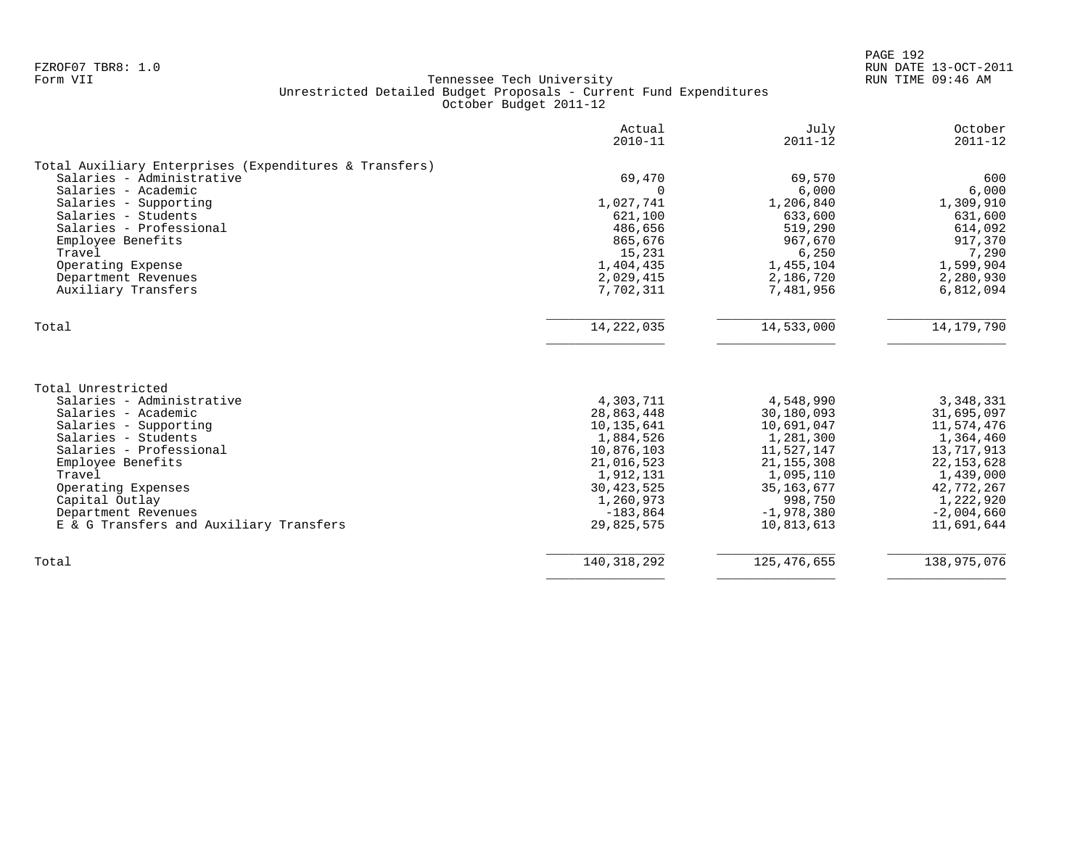|                                                        | Actual<br>$2010 - 11$ | July<br>$2011 - 12$ | October<br>$2011 - 12$ |
|--------------------------------------------------------|-----------------------|---------------------|------------------------|
| Total Auxiliary Enterprises (Expenditures & Transfers) |                       |                     |                        |
| Salaries - Administrative                              | 69,470                | 69,570              | 600                    |
| Salaries - Academic                                    | $\Omega$              | 6,000               | 6,000                  |
| Salaries - Supporting                                  | 1,027,741             | 1,206,840           | 1,309,910              |
| Salaries - Students                                    | 621,100               | 633,600             | 631,600                |
| Salaries - Professional                                | 486,656               | 519,290             | 614,092                |
| Employee Benefits                                      | 865,676               | 967,670             | 917,370                |
| Travel                                                 | 15,231                | 6,250               | 7,290                  |
| Operating Expense                                      | 1,404,435             | 1,455,104           | 1,599,904              |
| Department Revenues                                    | 2,029,415             | 2,186,720           | 2,280,930              |
| Auxiliary Transfers                                    | 7,702,311             | 7,481,956           | 6,812,094              |
| Total                                                  | 14, 222, 035          | 14,533,000          | 14, 179, 790           |
|                                                        |                       |                     |                        |
| Total Unrestricted                                     |                       |                     |                        |
| Salaries - Administrative                              | 4,303,711             | 4,548,990           | 3,348,331              |
| Salaries - Academic                                    | 28,863,448            | 30,180,093          | 31,695,097             |
| Salaries - Supporting                                  | 10,135,641            | 10,691,047          | 11,574,476             |
| Salaries - Students                                    | 1,884,526             | 1,281,300           | 1,364,460              |
| Salaries - Professional                                | 10,876,103            | 11,527,147          | 13,717,913             |
| Employee Benefits                                      | 21,016,523            | 21, 155, 308        | 22, 153, 628           |
| Travel                                                 | 1,912,131             | 1,095,110           | 1,439,000              |
| Operating Expenses                                     | 30, 423, 525          | 35, 163, 677        | 42,772,267             |
| Capital Outlay                                         | 1,260,973             | 998,750             | 1,222,920              |
| Department Revenues                                    | $-183,864$            | $-1,978,380$        | $-2,004,660$           |
| E & G Transfers and Auxiliary Transfers                | 29,825,575            | 10,813,613          | 11,691,644             |
| Total                                                  | 140, 318, 292         | 125, 476, 655       | 138,975,076            |
|                                                        |                       |                     |                        |